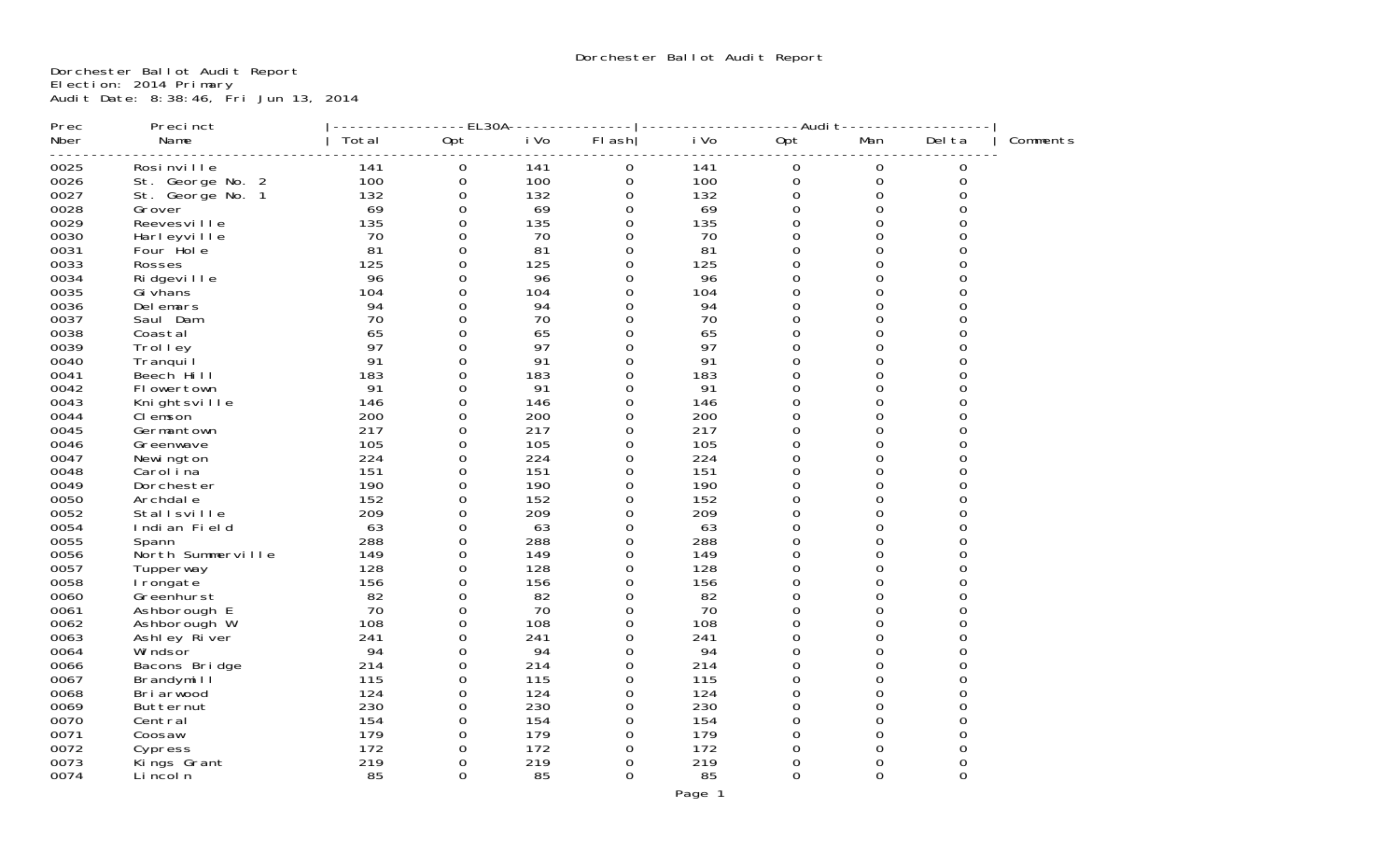Dorchester Ballot Audit Report Election: 2014 Primary Audit Date: 8:38:46, Fri Jun 13, 2014

| Prec | Precinct          |       | $-EL30A-$ |      |          |      | -Audit-  |             |          |          |
|------|-------------------|-------|-----------|------|----------|------|----------|-------------|----------|----------|
| Nber | Name              | Total | Opt       | i Vo | FI ash   | i Vo | Opt      | Man         | Del ta   | Comments |
| 0025 | Rosi nville       | 141   | 0         | 141  | 0        | 141  | 0        | 0           | 0        |          |
| 0026 | St. George No. 2  | 100   | 0         | 100  | 0        | 100  | 0        | $\mathbf 0$ | 0        |          |
| 0027 | St. George No. 1  | 132   | 0         | 132  | 0        | 132  | 0        | 0           | 0        |          |
| 0028 | Grover            | 69    | 0         | 69   | 0        | 69   | 0        | $\mathbf 0$ | $\Omega$ |          |
| 0029 | Reevesville       | 135   | $\Omega$  | 135  | $\Omega$ | 135  | $\Omega$ | $\Omega$    | 0        |          |
| 0030 | Harleyville       | 70    | 0         | 70   | 0        | 70   | $\Omega$ | $\Omega$    | 0        |          |
| 0031 | Four Hole         | 81    | $\Omega$  | 81   | 0        | 81   | 0        | 0           | 0        |          |
| 0033 | Rosses            | 125   | $\Omega$  | 125  | $\Omega$ | 125  | $\Omega$ | $\Omega$    | 0        |          |
| 0034 | Ri dgevi I I e    | 96    | $\Omega$  | 96   | 0        | 96   | 0        | 0           | 0        |          |
| 0035 | Gi vhans          | 104   | $\Omega$  | 104  | 0        | 104  | 0        | $\Omega$    | 0        |          |
| 0036 | Del emars         | 94    | 0         | 94   | 0        | 94   | 0        | 0           | 0        |          |
| 0037 | Saul Dam          | 70    | $\Omega$  | 70   | $\Omega$ | 70   | $\Omega$ | 0           | 0        |          |
| 0038 | Coastal           | 65    | 0         | 65   | 0        | 65   | 0        | $\Omega$    | 0        |          |
| 0039 | Trolley           | 97    | $\Omega$  | 97   | $\Omega$ | 97   | 0        | 0           | 0        |          |
| 0040 | Tranqui I         | 91    | $\Omega$  | 91   | 0        | 91   | 0        | 0           | 0        |          |
| 0041 | Beech Hill        | 183   | $\Omega$  | 183  | $\Omega$ | 183  | 0        | 0           | 0        |          |
| 0042 | FI owertown       | 91    | $\Omega$  | 91   | $\Omega$ | 91   | $\Omega$ | $\Omega$    | 0        |          |
| 0043 | Knightsville      | 146   | 0         | 146  | 0        | 146  | 0        | 0           | 0        |          |
| 0044 | CI emson          | 200   | 0         | 200  | $\Omega$ | 200  | $\Omega$ | $\Omega$    | 0        |          |
| 0045 | Germantown        | 217   | 0         | 217  | 0        | 217  | 0        | 0           | 0        |          |
| 0046 | Greenwave         | 105   | $\Omega$  | 105  | 0        | 105  | $\Omega$ | $\Omega$    | 0        |          |
| 0047 | Newi ngton        | 224   | 0         | 224  | 0        | 224  | 0        | 0           | 0        |          |
| 0048 | Carol ina         | 151   | $\Omega$  | 151  | $\Omega$ | 151  | 0        | 0           | 0        |          |
| 0049 | Dorchester        | 190   | $\Omega$  | 190  | $\Omega$ | 190  | 0        | $\Omega$    | 0        |          |
| 0050 | Archdal e         | 152   | $\Omega$  | 152  | 0        | 152  | 0        | 0           | 0        |          |
| 0052 | Stallsville       | 209   | 0         | 209  | 0        | 209  | 0        | $\Omega$    | 0        |          |
| 0054 | Indian Field      | 63    | $\Omega$  | 63   | 0        | 63   | 0        | 0           | $\Omega$ |          |
| 0055 | Spann             | 288   | $\Omega$  | 288  | $\Omega$ | 288  | $\Omega$ | $\Omega$    | 0        |          |
| 0056 | North Summerville | 149   | 0         | 149  | 0        | 149  | 0        | 0           | 0        |          |
| 0057 | Tupperway         | 128   | 0         | 128  | 0        | 128  | 0        | $\Omega$    | 0        |          |
| 0058 | I rongate         | 156   | $\Omega$  | 156  | 0        | 156  | 0        | $\Omega$    | 0        |          |
| 0060 | Greenhurst        | 82    | $\Omega$  | 82   | $\Omega$ | 82   | $\Omega$ | $\Omega$    | 0        |          |
| 0061 | Ashborough E      | 70    | 0         | 70   | 0        | 70   | 0        | 0           | 0        |          |
| 0062 | Ashborough W      | 108   | $\Omega$  | 108  | $\Omega$ | 108  | 0        | 0           | 0        |          |
| 0063 | Ashley River      | 241   | $\Omega$  | 241  | 0        | 241  | $\Omega$ | $\Omega$    | 0        |          |
| 0064 | Wi ndsor          | 94    | $\Omega$  | 94   | $\Omega$ | 94   | $\Omega$ | 0           | 0        |          |
| 0066 | Bacons Bridge     | 214   | $\Omega$  | 214  | 0        | 214  | $\Omega$ | $\Omega$    | 0        |          |
| 0067 | Brandymill        | 115   | 0         | 115  | 0        | 115  | 0        | 0           | 0        |          |
| 0068 | Bri arwood        | 124   | $\Omega$  | 124  | $\Omega$ | 124  | $\Omega$ | $\Omega$    | 0        |          |
| 0069 | Butternut         | 230   | 0         | 230  | 0        | 230  | 0        | 0           | 0        |          |
| 0070 | Central           | 154   | 0         | 154  | 0        | 154  | $\Omega$ | $\Omega$    | 0        |          |
| 0071 | Coosaw            | 179   | 0         | 179  | 0        | 179  | 0        | 0           | 0        |          |
| 0072 | Cypress           | 172   | $\Omega$  | 172  | $\Omega$ | 172  | $\Omega$ | 0           | 0        |          |
| 0073 | Kings Grant       | 219   | 0         | 219  | 0        | 219  | 0        | $\Omega$    | 0        |          |
| 0074 | Li ncol n         | 85    | 0         | 85   | 0        | 85   | 0        | $\mathbf 0$ | $\Omega$ |          |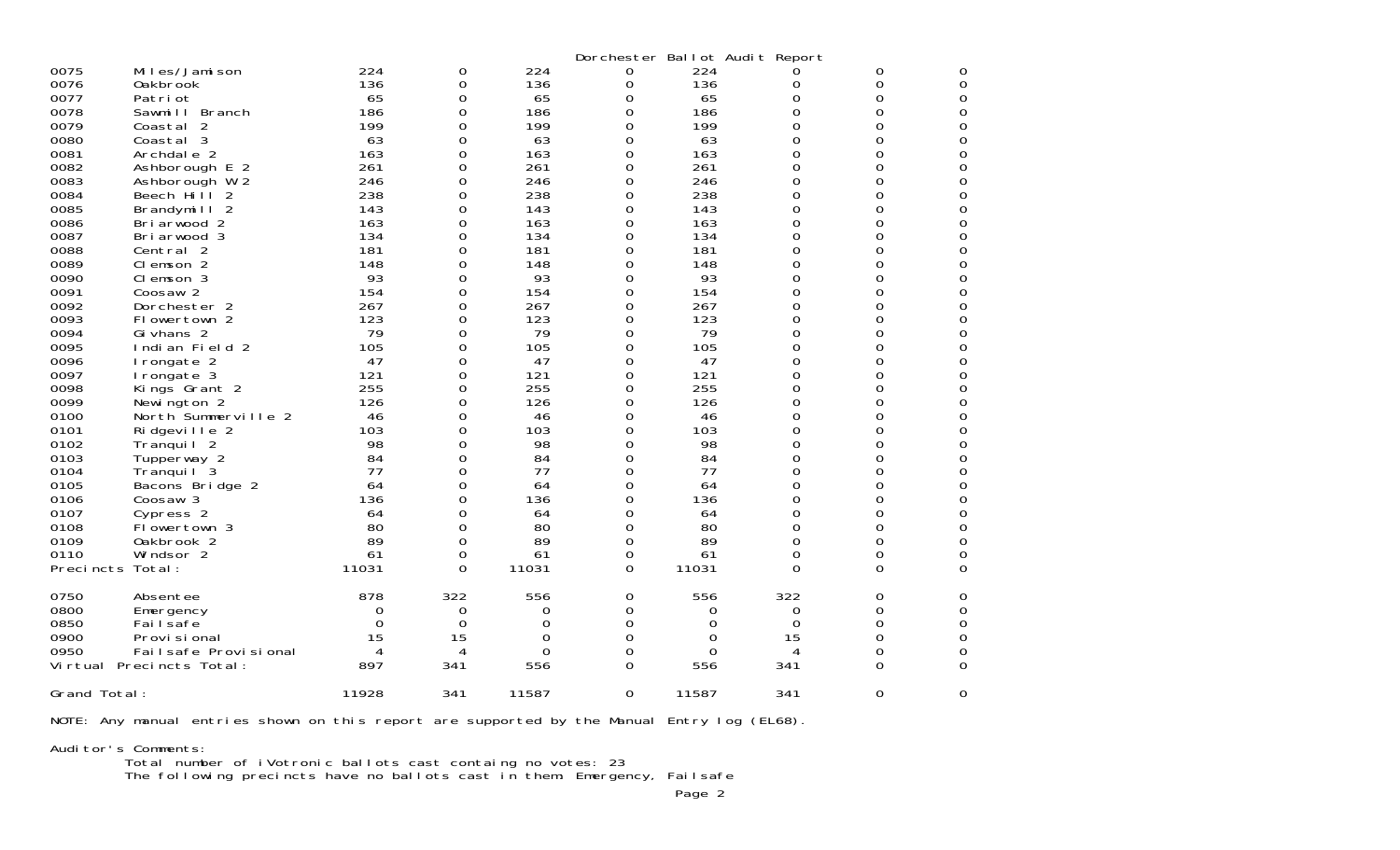|                  |                          |       |          |          |          | Dorchester Ballot Audit Report |             |          |   |
|------------------|--------------------------|-------|----------|----------|----------|--------------------------------|-------------|----------|---|
| 0075             | Miles/Jamison            | 224   | 0        | 224      | 0        | 224                            | 0           | 0        | 0 |
| 0076             | 0akbrook                 | 136   | 0        | 136      | 0        | 136                            | 0           | 0        | 0 |
| 0077             | Patri ot                 | 65    | 0        | 65       | 0        | 65                             | O           | 0        | 0 |
| 0078             | Sawmill Branch           | 186   | 0        | 186      | 0        | 186                            | 0           | 0        | 0 |
| 0079             | Coastal 2                | 199   | 0        | 199      | 0        | 199                            | 0           | 0        | 0 |
| 0080             | Coastal 3                | 63    | $\Omega$ | 63       | 0        | 63                             | 0           | 0        | 0 |
| 0081             | Archdale 2               | 163   | 0        | 163      | 0        | 163                            | 0           | 0        | 0 |
| 0082             | Ashborough E 2           | 261   | $\Omega$ | 261      | 0        | 261                            | $\Omega$    | $\Omega$ | 0 |
| 0083             | Ashborough W 2           | 246   | 0        | 246      | 0        | 246                            | $\mathbf 0$ | 0        | 0 |
| 0084             | Beech Hill 2             | 238   | 0        | 238      | 0        | 238                            | 0           | 0        | 0 |
| 0085             | Brandymill 2             | 143   | 0        | 143      | 0        | 143                            | $\mathbf 0$ | 0        | 0 |
| 0086             | Bri arwood 2             | 163   | 0        | 163      | 0        | 163                            | 0           | 0        | 0 |
| 0087             | Bri arwood 3             | 134   | 0        | 134      | 0        | 134                            | 0           | 0        | 0 |
| 0088             | Central 2                | 181   | 0        | 181      | 0        | 181                            | $\mathbf 0$ | 0        | 0 |
| 0089             | Clemson 2                | 148   | 0        | 148      | 0        | 148                            | 0           | 0        | 0 |
| 0090             | Clemson 3                | 93    | 0        | 93       | 0        | 93                             | $\mathbf 0$ | 0        | 0 |
| 0091             | Coosaw <sub>2</sub>      | 154   | $\Omega$ | 154      | 0        | 154                            | 0           | 0        | 0 |
| 0092             | Dorchester 2             | 267   | 0        | 267      | 0        | 267                            | 0           | 0        | 0 |
| 0093             | Flowertown 2             | 123   | 0        | 123      | 0        | 123                            | $\mathbf 0$ | 0        | 0 |
| 0094             | Gi vhans 2               | 79    | 0        | 79       | 0        | 79                             | 0           | 0        | 0 |
| 0095             | Indian Field 2           | 105   | 0        | 105      | 0        | 105                            | $\mathbf 0$ | 0        | 0 |
| 0096             | I rongate 2              | 47    | 0        | 47       | 0        | 47                             | 0           | 0        | 0 |
| 0097             | Irongate 3               | 121   | 0        | 121      | 0        | 121                            | 0           | 0        | 0 |
| 0098             | Kings Grant 2            | 255   | 0        | 255      | 0        | 255                            | $\mathbf 0$ | 0        | 0 |
| 0099             | Newington 2              | 126   | 0        | 126      | 0        | 126                            | 0           | 0        | 0 |
| 0100             | North Summerville 2      | 46    | 0        | 46       | 0        | 46                             | 0           | 0        | 0 |
| 0101             | Ridgeville 2             | 103   | 0        | 103      | 0        | 103                            | 0           | 0        | 0 |
| 0102             | Tranquil <sub>2</sub>    | 98    | 0        | 98       | 0        | 98                             | 0           | 0        | 0 |
| 0103             | Tupperway 2              | 84    | 0        | 84       | 0        | 84                             | $\mathbf 0$ | 0        | 0 |
| 0104             | Tranqui I 3              | 77    | $\Omega$ | 77       | 0        | 77                             | 0           | 0        | 0 |
| 0105             | Bacons Bridge 2          | 64    | 0        | 64       | 0        | 64                             | 0           | 0        | 0 |
| 0106             | Coosaw 3                 | 136   | 0        | 136      | 0        | 136                            | 0           | 0        | 0 |
| 0107             | Cypress 2                | 64    | 0        | 64       | 0        | 64                             | 0           | 0        | 0 |
| 0108             | Flowertown 3             | 80    | 0        | 80       | 0        | 80                             | 0           | 0        | 0 |
| 0109             | Oakbrook 2               | 89    | 0        | 89       | 0        | 89                             | $\Omega$    | 0        | 0 |
| 0110             | Windsor 2                | 61    | 0        | 61       | 0        | 61                             | 0           | 0        | 0 |
| Precincts Total: |                          | 11031 | $\Omega$ | 11031    | 0        | 11031                          | 0           | 0        | 0 |
|                  |                          |       |          |          |          |                                |             |          |   |
| 0750             | Absentee                 | 878   | 322      | 556      | 0        | 556                            | 322         | 0        | 0 |
| 0800             | Emergency                | 0     | 0        | 0        | 0        | 0                              | 0           | $\Omega$ | 0 |
| 0850             | Failsafe                 | 0     | 0        | 0        | 0        | 0                              | 0           | 0        | 0 |
| 0900             | Provi si onal            | 15    | 15       | 0        | 0        | 0                              | 15          | 0        | 0 |
| 0950             | Fail safe Provi si onal  | 4     | 4        | $\Omega$ | 0        | $\Omega$                       | 4           | 0        | 0 |
|                  | Virtual Precincts Total: | 897   | 341      | 556      | 0        | 556                            | 341         | $\Omega$ | 0 |
| Grand Total:     |                          | 11928 | 341      | 11587    | $\Omega$ | 11587                          | 341         | $\Omega$ | 0 |

NOTE: Any manual entries shown on this report are supported by the Manual Entry log (EL68).

Auditor's Comments:

Total number of iVotronic ballots cast containg no votes: 23

The following precincts have no ballots cast in them: Emergency, Failsafe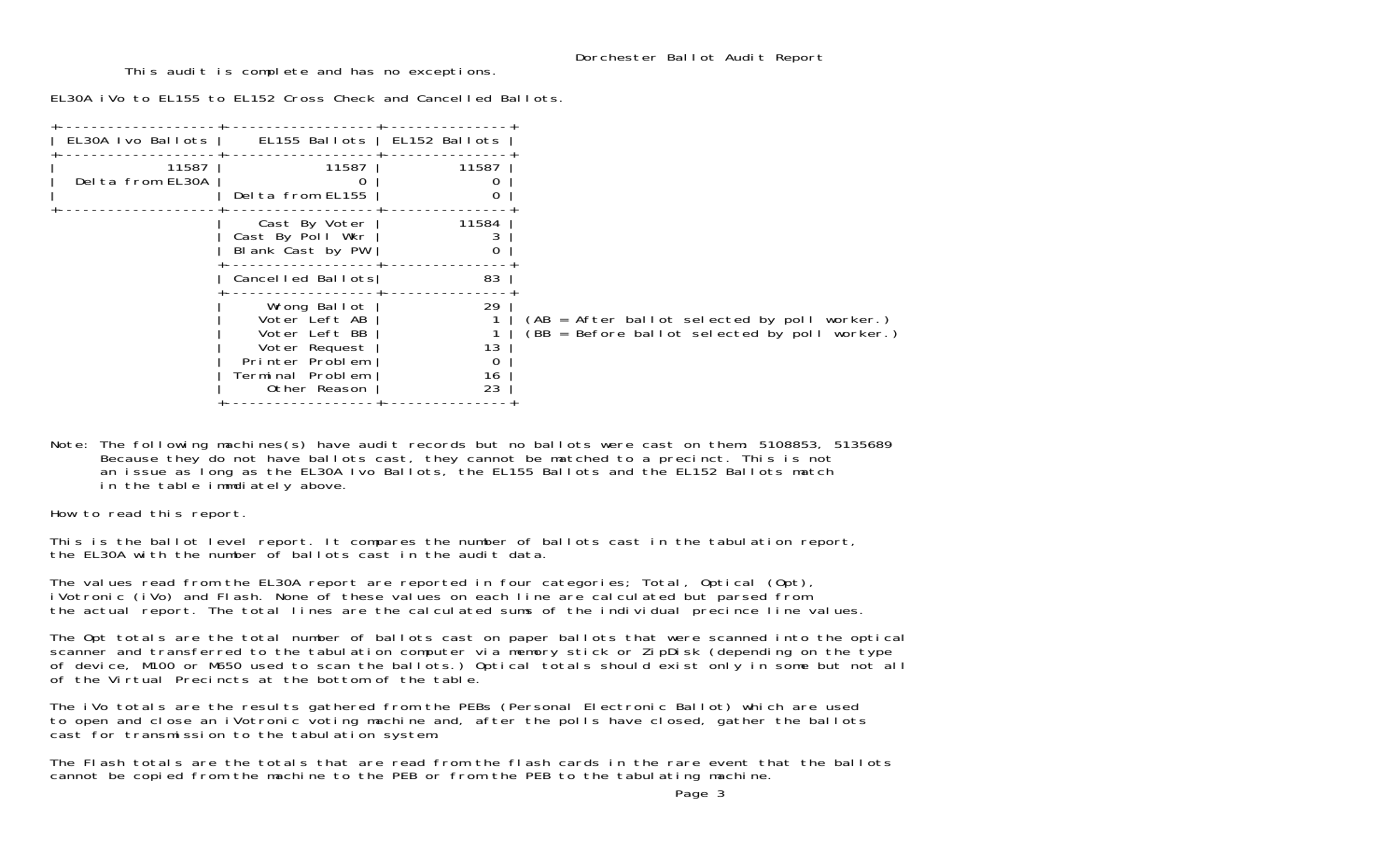This audit is complete and has no exceptions.

EL30A iVo to EL155 to EL152 Cross Check and Cancelled Ballots.

| EL30A Ivo Ballots         | EL155 Ballots   EL152 Ballots                                                                                          |                           |                                                                                                 |
|---------------------------|------------------------------------------------------------------------------------------------------------------------|---------------------------|-------------------------------------------------------------------------------------------------|
| 11587<br>Delta from EL30A | 11587<br>Delta from EL155                                                                                              | 11587                     |                                                                                                 |
|                           | Cast By Voter<br>Cast By Poll Wkr<br>Blank Cast by PW                                                                  | 11584                     |                                                                                                 |
|                           | Cancelled Ballots                                                                                                      | 83                        |                                                                                                 |
|                           | Wrong Ballot<br>Voter Left AB<br>Voter Left BB<br>Voter Request<br>Printer Problem<br>Terminal Problem<br>Other Reason | 29<br>13<br>0<br>16<br>23 | $(AB = After ballot selected by poll worker.)$<br>(BB = Before ballot selected by poll worker.) |
|                           |                                                                                                                        |                           |                                                                                                 |

Note: The following machines(s) have audit records but no ballots were cast on them: 5108853, 5135689 Because they do not have ballots cast, they cannot be matched to a precinct. This is not an issue as long as the EL30A Ivo Ballots, the EL155 Ballots and the EL152 Ballots match in the table immdiately above.

How to read this report.

This is the ballot level report. It compares the number of ballots cast in the tabulation report, the EL30A with the number of ballots cast in the audit data.

The values read from the EL30A report are reported in four categories; Total, Optical (Opt), iVotronic (iVo) and Flash. None of these values on each line are calculated but parsed from the actual report. The total lines are the calculated sums of the individual precince line values.

The Opt totals are the total number of ballots cast on paper ballots that were scanned into the optical<br>scanner and transferred to the tabulation computer via memory stick or ZipDisk (depending on the type of device, M100 or M650 used to scan the ballots.) Optical totals should exist only in some but not all of the Virtual Precincts at the bottom of the table.

The iVo totals are the results gathered from the PEBs (Personal Electronic Ballot) which are used to open and close an iVotronic voting machine and, after the polls have closed, gather the ballots cast for transmission to the tabulation system.

The Flash totals are the totals that are read from the flash cards in the rare event that the ballots cannot be copied from the machine to the PEB or from the PEB to the tabulating machine.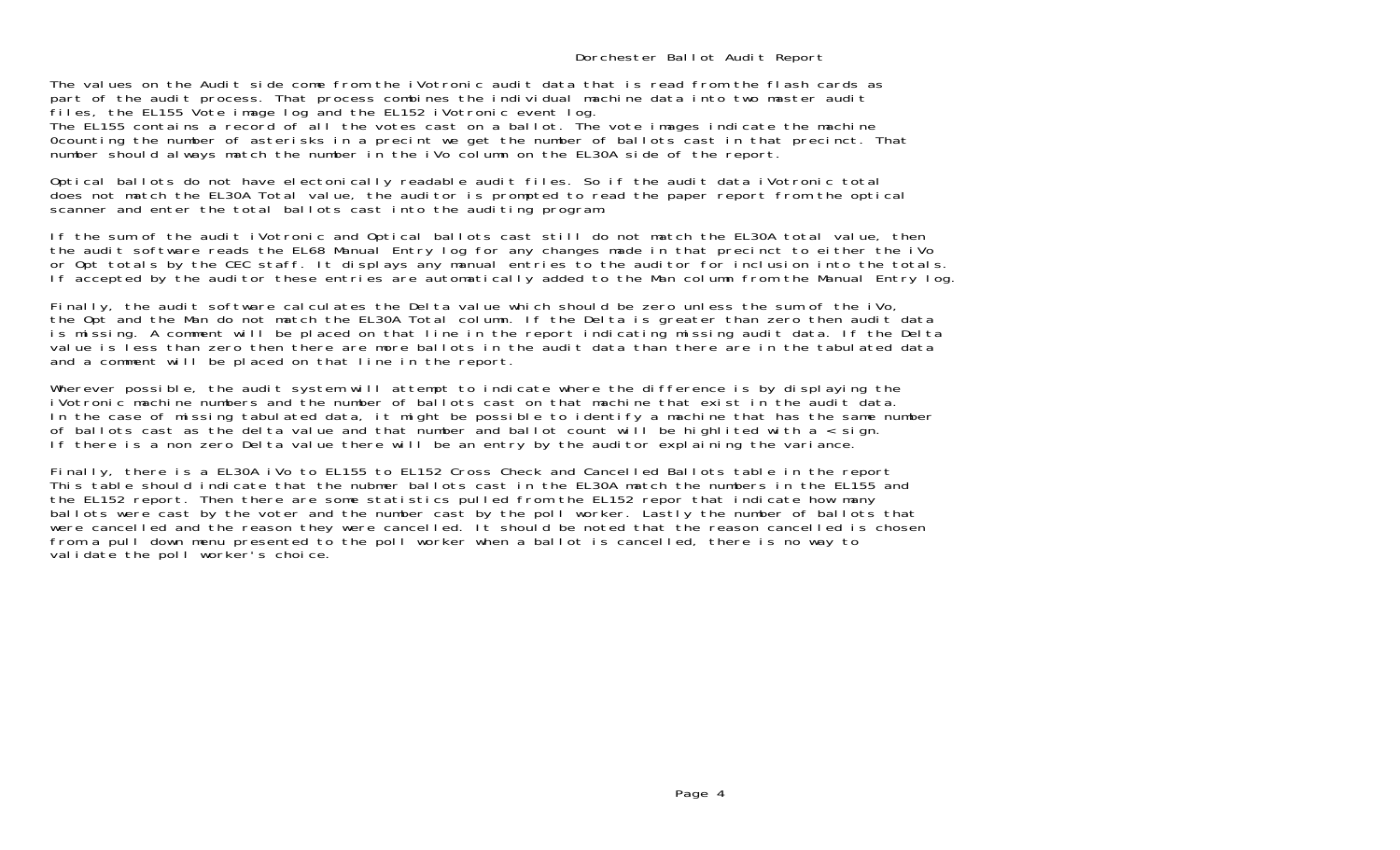The values on the Audit side come from the iVotronic audit data that is read from the flash cards as part of the audit process. That process combines the individual machine data into two master audit files, the EL155 Vote image log and the EL152 iVotronic event log.

The EL155 contains a record of all the votes cast on a ballot. The vote images indicate the machine 0counting the number of asterisks in a precint we get the number of ballots cast in that precinct. That number should always match the number in the iVo column on the EL30A side of the report.

Optical ballots do not have electonically readable audit files. So if the audit data iVotronic total does not match the EL30A Total value, the auditor is prompted to read the paper report from the optical scanner and enter the total ballots cast into the auditing program.

If the sum of the audit iVotronic and Optical ballots cast still do not match the EL30A total value, then the audit software reads the EL68 Manual Entry log for any changes made in that precinct to either the iVo or Opt totals by the CEC staff. It displays any manual entries to the auditor for inclusion into the totals. If accepted by the auditor these entries are automatically added to the Man column from the Manual Entry log.

Finally, the audit software calculates the Delta value which should be zero unless the sum of the iVo, the Opt and the Man do not match the EL30A Total column. If the Delta is greater than zero then audit data is missing. A comment will be placed on that line in the report indicating missing audit data. If the Delta value is less than zero then there are more ballots in the audit data than there are in the tabulated data and a comment will be placed on that line in the report.

Wherever possible, the audit system will attempt to indicate where the difference is by displaying the iVotronic machine numbers and the number of ballots cast on that machine that exist in the audit data. In the case of missing tabulated data, it might be possible to identify a machine that has the same number of ballots cast as the delta value and that number and ballot count will be highlited with a  $\lt$  sign. If there is a non zero Delta value there will be an entry by the auditor explaining the variance.

Finally, there is a EL30A iVo to EL155 to EL152 Cross Check and Cancelled Ballots table in the report This table should indicate that the nubmer ballots cast in the EL30A match the numbers in the EL155 and the EL152 report. Then there are some statistics pulled from the EL152 repor that indicate how many ballots were cast by the voter and the number cast by the poll worker. Lastly the number of ballots that were cancelled and the reason they were cancelled. It should be noted that the reason cancelled is chosen from a pull down menu presented to the poll worker when a ballot is cancelled, there is no way to validate the poll worker's choice.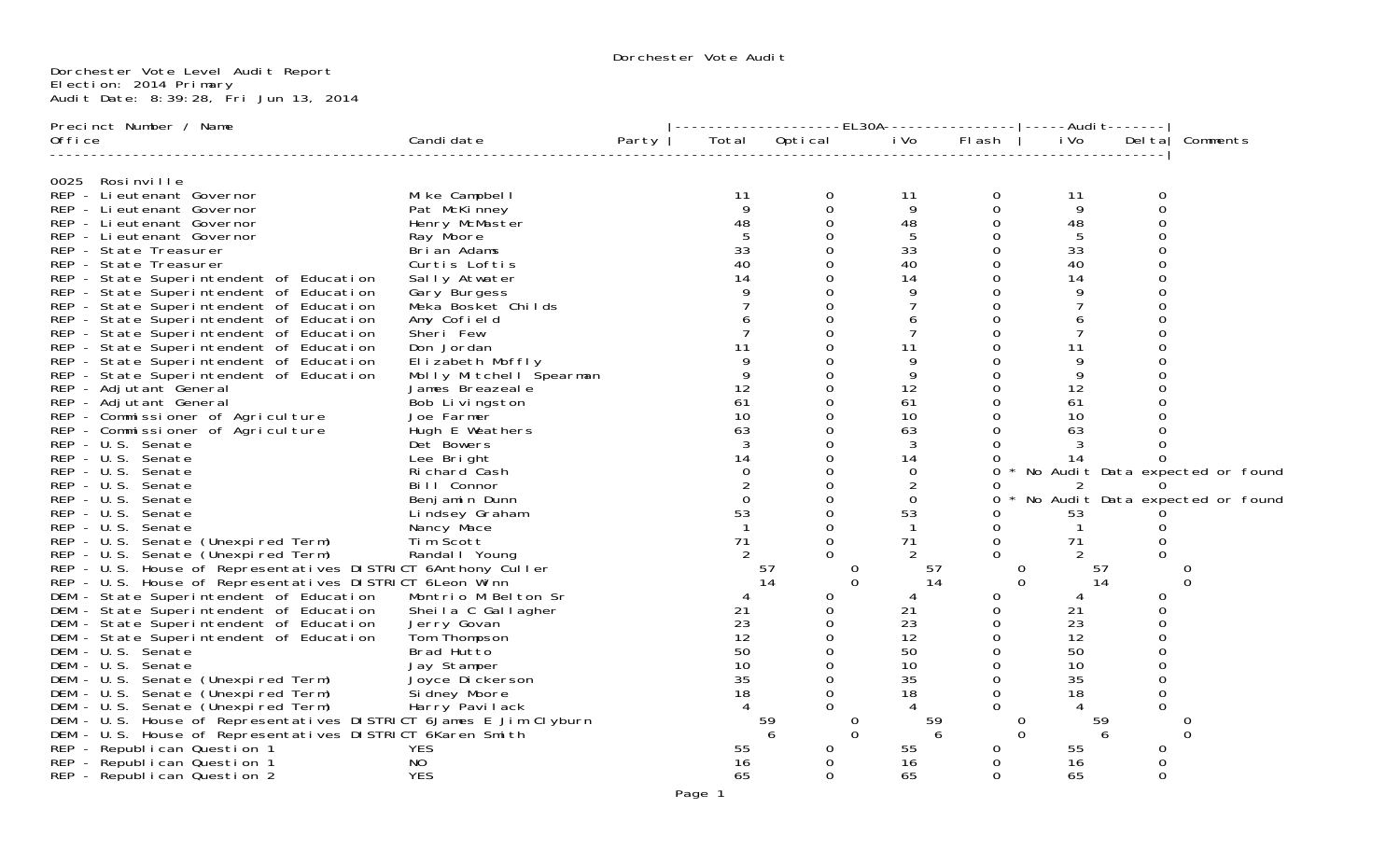## Dorchester Vote Level Audit Report Election: 2014 Primary Audit Date: 8:39:28, Fri Jun 13, 2014

| Precinct Number / Name                                                                                                                                     |                         |       |                 |               | -------------------EL30A----------------- -----Audi t------- |          |          |          |                                 |
|------------------------------------------------------------------------------------------------------------------------------------------------------------|-------------------------|-------|-----------------|---------------|--------------------------------------------------------------|----------|----------|----------|---------------------------------|
| Office                                                                                                                                                     | Candi date              | Party |                 | Total Optical | i Vo                                                         | Flash    | i Vo     |          | Del ta   Comments               |
| 0025<br>Rosinville                                                                                                                                         |                         |       |                 |               |                                                              |          |          |          |                                 |
| REP - Lieutenant Governor                                                                                                                                  | Mike Campbell           |       | 11              | 0             | 11                                                           | 0        | 11       | 0        |                                 |
| REP - Lieutenant Governor                                                                                                                                  | Pat McKinney            |       | 9               | 0             | 9                                                            | 0        | 9        | $\Omega$ |                                 |
| REP - Lieutenant Governor                                                                                                                                  | Henry McMaster          |       | 48              | 0             | 48                                                           |          | 48       |          |                                 |
| REP - Lieutenant Governor                                                                                                                                  | Ray Moore               |       |                 | $\Omega$      | 5                                                            | 0        | 5        |          |                                 |
| REP - State Treasurer                                                                                                                                      | Brian Adams             |       | 33              | 0             | 33                                                           |          | 33       |          |                                 |
| REP - State Treasurer                                                                                                                                      | Curtis Loftis           |       | 40              | $\Omega$      | 40                                                           | $\Omega$ | 40       |          |                                 |
| REP - State Superintendent of Education                                                                                                                    | Sally Atwater           |       | 14              | 0             | 14                                                           | 0        | 14       |          |                                 |
| REP - State Superintendent of Education                                                                                                                    | Gary Burgess            |       |                 |               | 9                                                            | $\Omega$ | 9        |          |                                 |
| REP - State Superintendent of Education                                                                                                                    | Meka Bosket Childs      |       |                 | 0             |                                                              |          |          |          |                                 |
| REP - State Superintendent of Education                                                                                                                    | Amy Cofield             |       |                 |               | 6                                                            |          | 6        |          |                                 |
| REP - State Superintendent of Education                                                                                                                    | Sheri Few               |       |                 | 0             | 7                                                            |          |          |          |                                 |
| REP - State Superintendent of Education                                                                                                                    | Don Jordan              |       | 11              |               | 11                                                           |          | 11       |          |                                 |
| REP - State Superintendent of Education                                                                                                                    | Elizabeth Moffly        |       |                 | 0             | 9                                                            | Ω        | 9        |          |                                 |
| REP - State Superintendent of Education                                                                                                                    | Molly Mitchell Spearman |       |                 |               | 9                                                            |          | 9        |          |                                 |
| REP - Adjutant General                                                                                                                                     | James Breazeal e        |       | 12              | $\Omega$      | 12                                                           | $\Omega$ | 12       |          |                                 |
| REP - Adjutant General                                                                                                                                     | Bob Livingston          |       | 61              | 0             | 61                                                           | 0        | 61       |          |                                 |
| REP - Commissioner of Agriculture                                                                                                                          | Joe Farmer              |       | 10 <sup>1</sup> |               | 10                                                           | $\Omega$ | 10       |          |                                 |
| REP - Commissioner of Agriculture                                                                                                                          | Hugh E Weathers         |       | 63              | 0             | 63                                                           |          | 63       |          |                                 |
| REP - U.S. Senate                                                                                                                                          | Det Bowers              |       |                 |               | 3                                                            |          | 3        |          |                                 |
| REP - U.S. Senate                                                                                                                                          | Lee Bright              |       | 14              | 0             | 14                                                           |          | 14       | $\Omega$ |                                 |
| REP - U.S. Senate                                                                                                                                          | Richard Cash            |       |                 |               | $\Omega$                                                     | ∩        |          |          | No Audit Data expected or found |
| REP - U.S. Senate                                                                                                                                          | Bill Connor             |       |                 | 0             | 2                                                            |          |          |          |                                 |
| REP - U.S. Senate                                                                                                                                          | Benjamin Dunn           |       | $\Omega$        | 0             | $\Omega$                                                     | O        |          |          | No Audit Data expected or found |
| REP - U.S. Senate                                                                                                                                          | Lindsey Graham          |       | 53              | $\Omega$      | 53                                                           | Ω        | 53       |          |                                 |
| REP - U.S. Senate<br>REP - U.S. Senate<br>REP - U.S. Senate (Unexpired Term)<br>PED - U.S. Senate (Unexpired Term)                                         | Nancy Mace              |       | $\mathbf{1}$    | 0             | $\overline{1}$                                               | 0        |          |          |                                 |
|                                                                                                                                                            | Tim Scott               |       | 71              | 0             | 71                                                           | $\Omega$ | 71       |          |                                 |
| REP - U.S. Senate (Unexpired Term)                                                                                                                         | Randal I Young          |       | 2               |               | 2                                                            | 0        | 2        |          |                                 |
| REP - U.S. House of Representatives DISTRICT 6Anthony Culler<br>REP - U.S. House of Representatives DISTRICT 6Leon Winn                                    |                         |       |                 | 57            | 57<br>$\mathbf{O}$                                           |          | 0        | 57       |                                 |
|                                                                                                                                                            |                         |       |                 | 14            | $\Omega$<br>14                                               |          | $\Omega$ | 14       | $\Omega$                        |
| DEM - State Superintendent of Education                                                                                                                    | Montrio M Belton Sr     |       | 4               | 0             | 4                                                            | 0        |          | 0        |                                 |
| DEM - State Superintendent of Education                                                                                                                    | Sheila C Gallagher      |       | 21              | $\Omega$      | 21                                                           | $\Omega$ | 21       |          |                                 |
| DEM - State Superintendent of Education                                                                                                                    | Jerry Govan             |       | 23              | 0             | 23                                                           | 0        | 23       |          |                                 |
| DEM - State Superintendent of Education                                                                                                                    | Tom Thompson            |       | 12              | 0             | 12                                                           | 0        | 12       |          |                                 |
| DEM - U.S. Senate                                                                                                                                          | Brad Hutto              |       | 50              | $\Omega$      | 50                                                           | 0        | 50       |          |                                 |
| DEM - U.S. Senate                                                                                                                                          | Jay Stamper             |       | 10              |               | 10                                                           | $\Omega$ | 10       |          |                                 |
|                                                                                                                                                            | Joyce Dickerson         |       | 35              | 0             | 35                                                           | 0        | 35       | $\Omega$ |                                 |
| DEM - U.S. Senate (Unexpired Term) Joyce Dickersor<br>DEM - U.S. Senate (Unexpired Term) Sidney Moore<br>DEM - U.S. Senate (Unexpired Term) Harry Pavilack |                         |       | 18              | 0             | 18                                                           | $\Omega$ | 18       |          |                                 |
|                                                                                                                                                            |                         |       |                 | 0             | 4                                                            | $\Omega$ |          | ∩        |                                 |
| DEM - U.S. House of Representatives DISTRICT 6James E Jim Clyburn                                                                                          |                         |       |                 | 59            | 59<br>$\overline{O}$                                         |          | 0        | 59       | O                               |
| DEM - U.S. House of Representatives DISTRICT 6Karen Smith                                                                                                  |                         |       |                 |               | $\Omega$                                                     | 6        | $\Omega$ |          | $\Omega$                        |
| REP - Republican Question 1                                                                                                                                | YES                     |       | 55              | 0             | 55                                                           | Ω        | 55       |          |                                 |
| REP - Republican Question 1                                                                                                                                | NO.                     |       | 16              | 0             | 16                                                           | 0        | 16       | Ω        |                                 |
| REP - Republican Question 2                                                                                                                                | <b>YES</b>              |       | 65              | $\Omega$      | 65                                                           | $\Omega$ | 65       | $\Omega$ |                                 |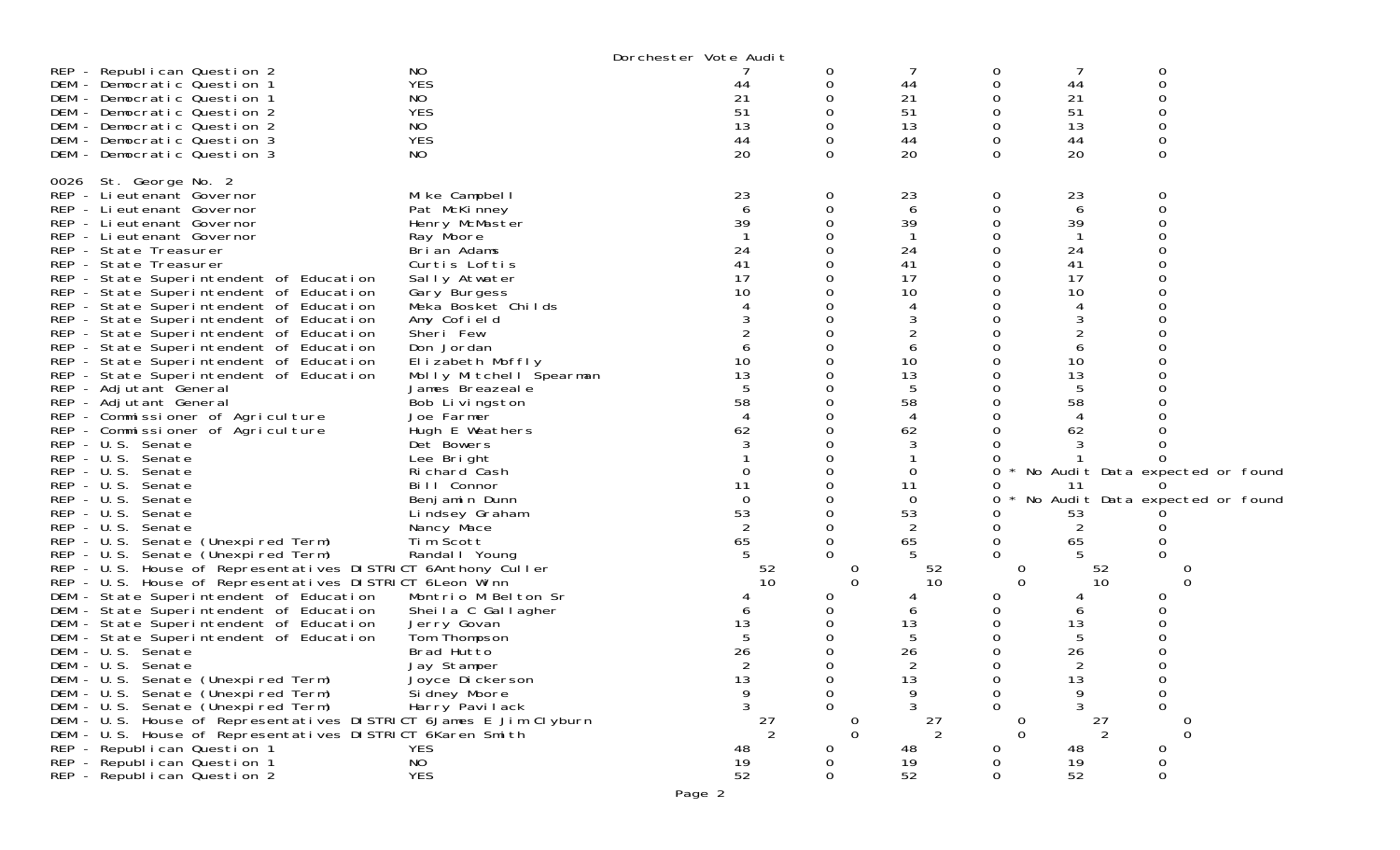|                                                                                          |                                           | Dorchester Vote Audit |          |                 |               |                     |                                 |  |
|------------------------------------------------------------------------------------------|-------------------------------------------|-----------------------|----------|-----------------|---------------|---------------------|---------------------------------|--|
| REP - Republican Question 2                                                              | NO                                        |                       | 0        |                 | 0             |                     | 0                               |  |
| DEM - Democratic Question 1                                                              | <b>YES</b>                                | 44                    | 0        | 44              | 0             | 44                  | 0                               |  |
| DEM - Democratic Question 1                                                              | NO                                        | 21                    |          | 21              | 0             | 21                  |                                 |  |
| DEM - Democratic Question 2                                                              | <b>YES</b>                                | 51                    |          | 51              | 0             | 51                  | O                               |  |
| DEM - Democratic Question 2                                                              | NO.                                       | 13                    |          | 13              | 0             | 13                  | 0                               |  |
| DEM - Democratic Question 3                                                              | <b>YES</b>                                | 44                    |          | 44              | 0             | 44                  |                                 |  |
| DEM - Democratic Question 3                                                              | NO.                                       | 20                    | 0        | 20              | $\Omega$      | 20                  | $\Omega$                        |  |
|                                                                                          |                                           |                       |          |                 |               |                     |                                 |  |
| 0026 St. George No. 2                                                                    |                                           |                       |          |                 |               |                     |                                 |  |
| REP - Lieutenant Governor                                                                | Mike Campbell                             | 23                    | 0        | 23              | 0             | 23                  | 0                               |  |
| REP - Lieutenant Governor                                                                | Pat McKinney                              | 6                     |          | 6               | 0             | 6                   | 0                               |  |
| REP - Lieutenant Governor                                                                | Henry McMaster                            | 39                    |          | 39              |               | 39                  |                                 |  |
| REP - Lieutenant Governor                                                                | Ray Moore                                 |                       |          |                 |               |                     |                                 |  |
| REP - State Treasurer                                                                    | Brian Adams                               | 24                    |          | 24              | 0             | 24                  |                                 |  |
| REP - State Treasurer                                                                    | Curtis Loftis                             | 41                    |          | 41              |               | 41                  |                                 |  |
| REP - State Superintendent of Education                                                  | Sally Atwater                             | 17                    |          | 17              | 0             | 17                  |                                 |  |
| REP - State Superintendent of Education                                                  | Gary Burgess                              | 10                    |          | 10              | 0             | 10                  |                                 |  |
| REP - State Superintendent of Education                                                  | Meka Bosket Childs                        |                       |          |                 |               |                     |                                 |  |
| REP - State Superintendent of Education                                                  | Amy Cofield                               |                       |          | 3               |               | 3                   |                                 |  |
| REP - State Superintendent of Education                                                  | Sheri Few                                 |                       |          |                 |               |                     |                                 |  |
| REP - State Superintendent of Education                                                  | Don Jordan                                |                       |          | 6               |               | 6                   |                                 |  |
| REP - State Superintendent of Education                                                  | Elizabeth Moffly                          | 10                    |          | 10              | 0             | 10                  |                                 |  |
| REP - State Superintendent of Education                                                  | Molly Mitchell Spearman                   | 13                    |          | 13              |               | 13                  |                                 |  |
| REP - Adjutant General                                                                   | James Breazeale                           |                       |          | 5               |               | 5                   |                                 |  |
| REP - Adjutant General                                                                   | Bob Livingston                            | 58                    |          | 58              | 0             | 58                  |                                 |  |
| REP - Commissioner of Agriculture                                                        | Joe Farmer                                |                       |          | 4               |               | 4                   |                                 |  |
| REP - Commissioner of Agriculture                                                        | Hugh E Weathers                           | 62                    |          | 62              |               | 62                  |                                 |  |
| REP - U.S. Senate                                                                        | Det Bowers                                |                       |          | 3               |               |                     |                                 |  |
| REP - U.S. Senate                                                                        | Lee Bright                                |                       |          |                 |               |                     |                                 |  |
| REP - U.S. Senate                                                                        | Richard Cash                              |                       |          | 0               | 0             |                     | No Audit Data expected or found |  |
| REP - U.S. Senate                                                                        | Bill Connor                               | 11                    |          | 11              | O             | 11                  | $\Omega$                        |  |
| $REP - U.S.$<br>Senate                                                                   |                                           | $\Omega$              |          | $\Omega$        | 0             |                     | No Audit Data expected or found |  |
| REP - U.S. Senate                                                                        | Benjamin Dunn                             | 53                    |          | 53              |               |                     |                                 |  |
| REP - U.S. Senate                                                                        | Lindsey Graham                            |                       |          | 2               | 0             | 53                  |                                 |  |
|                                                                                          | Nancy Mace<br>Tim Scott                   |                       |          |                 |               |                     |                                 |  |
| REP - U.S. Senate (Unexpired Term)                                                       |                                           | 65                    |          | 65              | 0<br>0        | 65                  |                                 |  |
| REP - U.S. Senate (Unexpired Term)                                                       | Randal   Young                            |                       |          |                 |               |                     |                                 |  |
| REP - U.S. House of Representatives DISTRICT 6Anthony Culler                             |                                           | 52<br>10              | 0        | 52<br>10        | O<br>$\Omega$ | 52<br>10            | 0                               |  |
| REP - U.S. House of Representatives DISTRICT 6Leon Winn                                  |                                           |                       |          |                 |               |                     |                                 |  |
| DEM - State Superintendent of Education<br>DEM - State Superintendent of Education       | Montrio M Belton Sr<br>Sheila C Gallagher |                       |          | 6               | 0<br>0        | 6                   | O                               |  |
| DEM - State Superintendent of Education                                                  | Jerry Govan                               | 13                    |          | 13              |               | 13                  |                                 |  |
| DEM - State Superintendent of Education                                                  | Tom Thompson                              |                       |          | 5               | 0             | 5                   |                                 |  |
| DEM - U.S. Senate                                                                        | Brad Hutto                                | 26                    |          | 26              | 0             | 26                  |                                 |  |
|                                                                                          |                                           |                       |          |                 | 0             |                     | 0                               |  |
| DEM - U.S. Senate<br>DEM - U.S. Senate (Unexpired Term)                                  | Jay Stamper                               |                       |          | 2               |               | 2                   |                                 |  |
|                                                                                          | Joyce Dickerson                           | 13                    |          | 13<br>9         | 0<br>0        | 13<br>9             | 0                               |  |
| DEM - U.S. Senate (Unexpired Term)<br>DEM - U.S. Senate (Unexpired Term)                 | Si dney Moore                             | 9                     | 0        |                 | 0             | 3                   | 0<br>0                          |  |
|                                                                                          | Harry Pavilack                            |                       |          |                 |               |                     |                                 |  |
| DEM - U.S. House of Representatives DISTRICT 6James E Jim Clyburn                        |                                           | 27<br>2               | $\Omega$ | 27<br>2         | O<br>$\Omega$ | 27<br>$\mathcal{P}$ | $\Omega$                        |  |
| DEM - U.S. House of Representatives DISTRICT 6Karen Smith<br>REP - Republican Question 1 | <b>YES</b>                                |                       | 0        |                 | 0             |                     |                                 |  |
| REP - Republican Question 1                                                              | NO                                        | 48                    |          | 48              |               | 48                  | 0<br>0                          |  |
| REP - Republican Question 2                                                              | <b>YES</b>                                | 19<br>52              | 0        | $\frac{19}{52}$ | 0<br>0        | 19<br>52            | 0                               |  |
|                                                                                          |                                           |                       |          |                 |               |                     |                                 |  |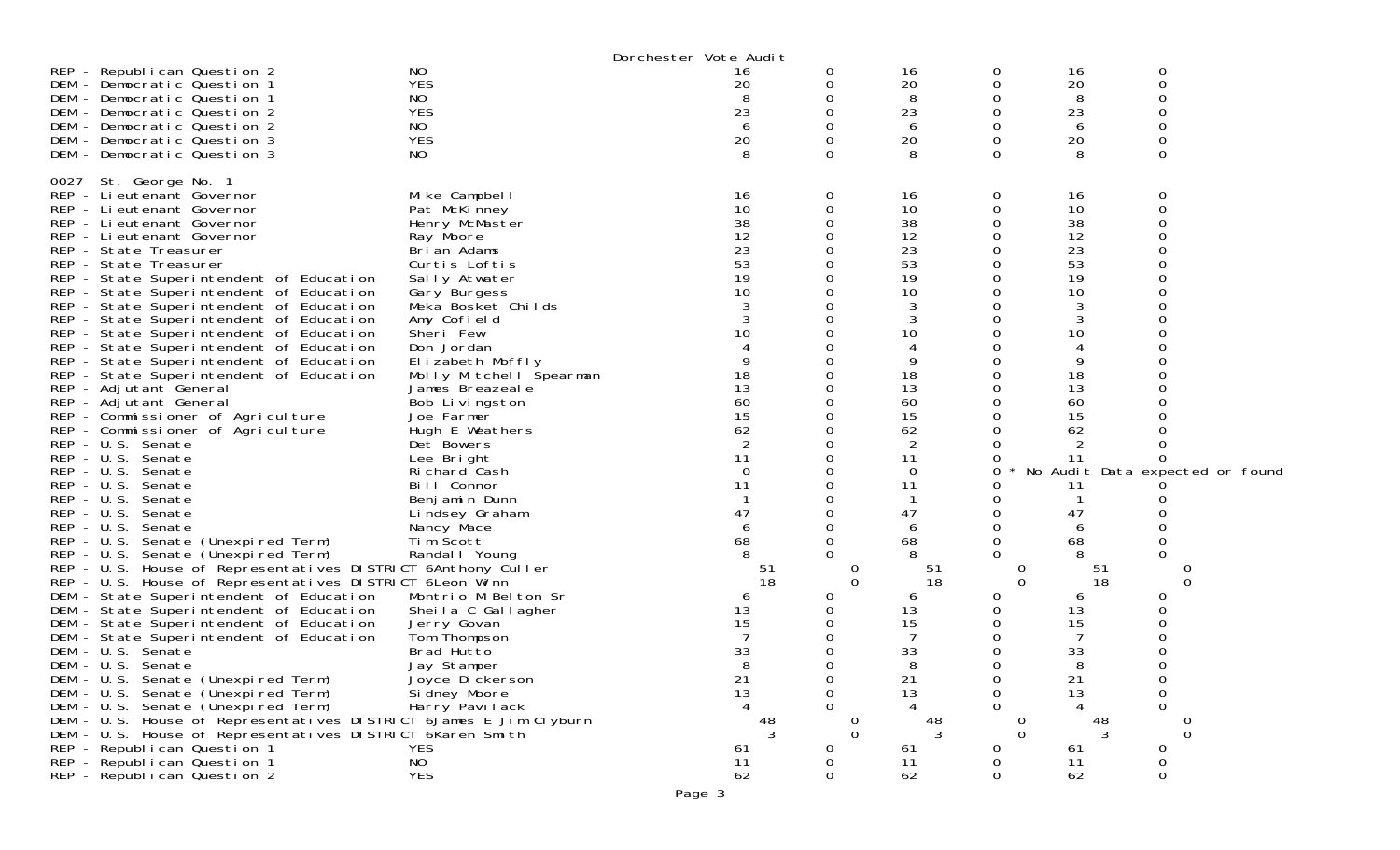|                                                                          |                         | Dorchester Vote Audit                   |        |                     |        |               |                      |                                 |
|--------------------------------------------------------------------------|-------------------------|-----------------------------------------|--------|---------------------|--------|---------------|----------------------|---------------------------------|
| REP - Republican Question 2                                              | NO                      | 16                                      | 0      | 16                  | 0      | 16            | 0                    |                                 |
| DEM - Democratic Question 1                                              | <b>YES</b>              | 20                                      |        | 20                  | 0      | 20            | 0                    |                                 |
| DEM - Democratic Question 1                                              | NO                      |                                         |        | 8                   | 0      | 8             | Ω                    |                                 |
| DEM - Democratic Question 2                                              | <b>YES</b>              | 23                                      |        | 23                  | 0      | 23            | O                    |                                 |
| DEM - Democratic Question 2                                              | NO                      | 6                                       |        | 6                   | 0      | 6             | 0                    |                                 |
| DEM - Democratic Question 3                                              | <b>YES</b>              | 20                                      |        | 20                  | 0      | 20            | 0                    |                                 |
| DEM - Democratic Question 3                                              | NO.                     | 8                                       |        | 8                   | 0      | 8             | $\Omega$             |                                 |
|                                                                          |                         |                                         |        |                     |        |               |                      |                                 |
| 0027 St. George No. 1                                                    |                         |                                         |        |                     |        |               |                      |                                 |
| REP - Li eutenant Governor                                               | Mike Campbell           | 16                                      | 0      | 16                  | 0      | 16            | 0                    |                                 |
| REP - Lieutenant Governor                                                | Pat McKinney            | 10                                      |        | 10                  | 0      | 10            | 0                    |                                 |
| REP - Lieutenant Governor                                                | Henry McMaster          | 38                                      |        | 38                  | 0      | 38            |                      |                                 |
| REP - Lieutenant Governor                                                | Ray Moore               | 12                                      |        | 12                  | 0      | 12            | 0                    |                                 |
| REP - State Treasurer                                                    | Brian Adams             | 23                                      |        | 23                  |        | 23            |                      |                                 |
| REP - State Treasurer                                                    | Curtis Loftis           | 53                                      |        | 53                  |        | 53            |                      |                                 |
| REP - State Superintendent of Education                                  | Sally Atwater           | 19                                      |        | 19                  | 0      | 19            |                      |                                 |
| REP - State Superintendent of Education                                  | Gary Burgess            | 10                                      |        | 10                  | 0      | 10            |                      |                                 |
| REP - State Superintendent of Education                                  | Meka Bosket Childs      |                                         |        | 3                   |        | 3             |                      |                                 |
| REP - State Superintendent of Education                                  | Amy Cofield             |                                         |        | 3                   | 0      | 3             |                      |                                 |
| REP - State Superintendent of Education                                  | Sheri Few               | 10                                      |        | 10                  | 0      | 10            |                      |                                 |
| REP - State Superintendent of Education                                  | Don Jordan              |                                         |        |                     |        | 4             |                      |                                 |
| REP - State Superintendent of Education                                  | Elizabeth Moffly        |                                         |        | 9                   | 0      | 9             |                      |                                 |
| REP - State Superintendent of Education                                  | Molly Mitchell Spearman | 18                                      |        | 18                  |        | 18            |                      |                                 |
| REP - Adjutant General                                                   | James Breazeal e        | 13                                      |        | 13                  | 0      | 13            |                      |                                 |
| REP - Adjutant General                                                   | Bob Livingston          | 60                                      |        | 60                  | 0      | 60            |                      |                                 |
| REP - Commissioner of Agriculture                                        | Joe Farmer              | 15                                      |        | 15                  |        | 15            |                      |                                 |
| REP - Commissioner of Agriculture                                        | Hugh E Weathers         | 62                                      |        | 62                  |        | 62            |                      |                                 |
| REP - U.S. Senate                                                        | Det Bowers              |                                         |        | 2                   |        | 2             |                      |                                 |
| REP - U.S. Senate                                                        | Lee Bright              | 11                                      |        | 11                  | O      | 11            | 0                    |                                 |
| REP - U.S. Senate                                                        | Richard Cash            | $\Omega$                                |        | $\Omega$            | 0      |               |                      | No Audit Data expected or found |
| REP - U.S. Senate                                                        | Bill Connor             | 11                                      |        | 11                  |        | 11            |                      |                                 |
| REP - U.S. Senate                                                        | Benjamin Dunn           |                                         |        |                     | 0      |               |                      |                                 |
| REP - U.S. Senate                                                        | Lindsey Graham          | 47                                      |        | 47                  | 0      | 47            |                      |                                 |
| REP - U.S. Senate                                                        | Nancy Mace              | 6                                       |        | 6                   | 0      | 6             |                      |                                 |
| REP - U.S. Senate (Unexpired Term)                                       | Tim Scott               | 68                                      |        | 68                  | 0      | 68            |                      |                                 |
| REP - U.S. Senate (Unexpired Term)                                       | Randal I Young          |                                         |        | 8                   |        |               | O                    |                                 |
| REP - U.S. House of Representatives DISTRICT 6Anthony Culler             |                         | -51                                     |        | 51                  |        | 0             | 51                   |                                 |
| REP - U.S. House of Representatives DISTRICT 6Leon Winn                  |                         | 18                                      |        | 18<br>$\Omega$      |        | $\Omega$      | 18                   | 0                               |
| DEM - State Superintendent of Education                                  | Montrio M Belton Sr     | 6                                       |        | 6                   | 0      | 6             | O                    |                                 |
| DEM - State Superintendent of Education                                  | Sheila C Gallagher      | 13                                      |        | 13                  | 0      | 13            | 0                    |                                 |
| DEM - State Superintendent of Education                                  | Jerry Govan             | 15                                      |        | 15                  | 0      | 15            | Ω                    |                                 |
| DEM - State Superintendent of Education                                  | Tom Thompson            |                                         |        |                     | 0      |               |                      |                                 |
| DEM - U.S. Senate                                                        | Brad Hutto              | 33<br>8                                 |        | 33                  | 0<br>0 | 33            | 0                    |                                 |
| DEM - U.S. Senate<br>DEM - U.S. Senate (Unexpired Term)                  | Jay Stamper             |                                         |        | 8                   |        | 8             |                      |                                 |
|                                                                          | Joyce Dickerson         | $\begin{array}{c} 21 \\ 13 \end{array}$ | 0<br>0 | 21                  | 0      | 21            | 0                    |                                 |
| DEM - U.S. Senate (Unexpired Term)<br>DEM - U.S. Senate (Unexpired Term) | Si dney Moore           |                                         |        | 13                  | 0<br>0 | 13            | 0<br>0               |                                 |
| DEM - U.S. House of Representatives DISTRICT 6James E Jim Clyburn        | Harry Pavilack          |                                         |        |                     |        |               |                      |                                 |
| DEM - U.S. House of Representatives DISTRICT 6Karen Smith                |                         | $\begin{array}{c} 48 \\ 3 \end{array}$  |        | 48<br>3<br>$\Omega$ |        | 0<br>$\Omega$ | 48<br>$\overline{3}$ | $\Omega$                        |
| REP - Republican Question 1                                              | <b>YES</b>              | 61                                      | O      |                     | 0      | 61            | 0                    |                                 |
| REP - Republican Question 1                                              | NO                      | 11                                      |        | 61<br>11            | 0      | 11            | 0                    |                                 |
| REP - Republican Question 2                                              | <b>YES</b>              | 62                                      | 0      | 62                  | 0      | 62            | 0                    |                                 |
|                                                                          |                         |                                         |        |                     |        |               |                      |                                 |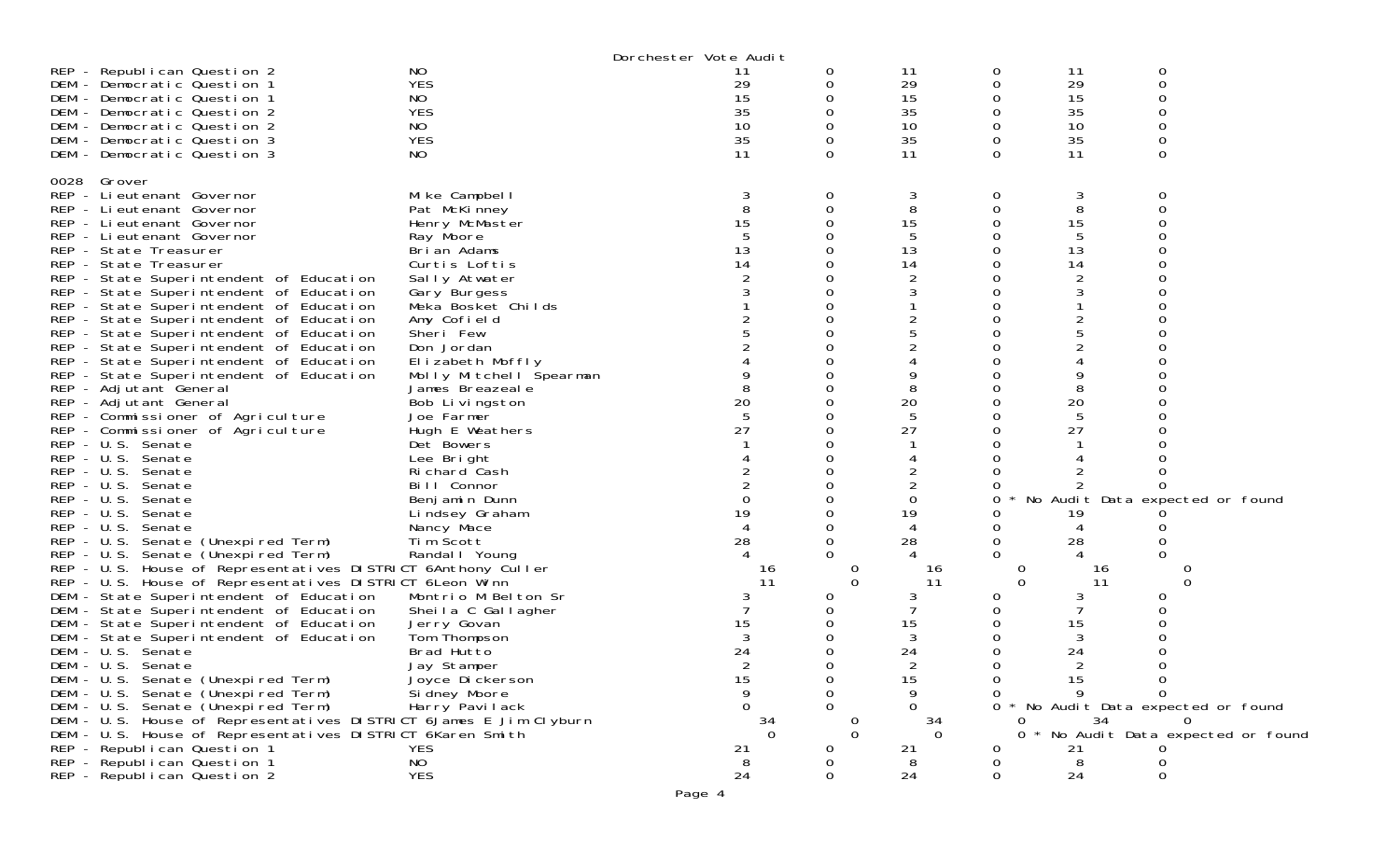| NO<br>REP - Republican Question 2<br>0<br>11<br>0<br>11<br>11<br>29<br><b>YES</b><br>29<br>29<br>0<br>$\Omega$<br>DEM - Democratic Question 1<br>0<br>15<br>NO<br>15<br>0<br>15<br>DEM - Democratic Question 1<br>0<br><b>YES</b><br>35<br>35<br>35<br>$\Omega$<br>O<br>0<br>DEM - Democratic Question 2<br>10<br>10<br>10<br>DEM - Democratic Question 2<br>NO.<br>0<br>0<br><b>YES</b><br>35<br>35<br>35<br>DEM - Democratic Question 3<br>0<br>0<br>0<br>NO<br>11<br>$\Omega$<br>11<br>$\Omega$<br>0<br>11<br>DEM - Democratic Question 3<br>0028 Grover<br>REP - Lieutenant Governor<br>Mike Campbell<br>0<br>3<br>3<br>8<br>8<br>0<br>8<br>REP - Lieutenant Governor<br>Pat McKinney<br>0<br>15<br>15<br>0<br>0<br>15<br>REP - Lieutenant Governor<br>Henry McMaster |  |
|---------------------------------------------------------------------------------------------------------------------------------------------------------------------------------------------------------------------------------------------------------------------------------------------------------------------------------------------------------------------------------------------------------------------------------------------------------------------------------------------------------------------------------------------------------------------------------------------------------------------------------------------------------------------------------------------------------------------------------------------------------------------------|--|
|                                                                                                                                                                                                                                                                                                                                                                                                                                                                                                                                                                                                                                                                                                                                                                           |  |
|                                                                                                                                                                                                                                                                                                                                                                                                                                                                                                                                                                                                                                                                                                                                                                           |  |
|                                                                                                                                                                                                                                                                                                                                                                                                                                                                                                                                                                                                                                                                                                                                                                           |  |
|                                                                                                                                                                                                                                                                                                                                                                                                                                                                                                                                                                                                                                                                                                                                                                           |  |
|                                                                                                                                                                                                                                                                                                                                                                                                                                                                                                                                                                                                                                                                                                                                                                           |  |
|                                                                                                                                                                                                                                                                                                                                                                                                                                                                                                                                                                                                                                                                                                                                                                           |  |
|                                                                                                                                                                                                                                                                                                                                                                                                                                                                                                                                                                                                                                                                                                                                                                           |  |
|                                                                                                                                                                                                                                                                                                                                                                                                                                                                                                                                                                                                                                                                                                                                                                           |  |
|                                                                                                                                                                                                                                                                                                                                                                                                                                                                                                                                                                                                                                                                                                                                                                           |  |
|                                                                                                                                                                                                                                                                                                                                                                                                                                                                                                                                                                                                                                                                                                                                                                           |  |
|                                                                                                                                                                                                                                                                                                                                                                                                                                                                                                                                                                                                                                                                                                                                                                           |  |
| 5<br>REP - Lieutenant Governor<br>O<br>Ray Moore                                                                                                                                                                                                                                                                                                                                                                                                                                                                                                                                                                                                                                                                                                                          |  |
| 13<br>13<br>13<br>REP - State Treasurer<br>Brian Adams                                                                                                                                                                                                                                                                                                                                                                                                                                                                                                                                                                                                                                                                                                                    |  |
| 14<br>14<br>14<br>Curtis Loftis<br>REP - State Treasurer                                                                                                                                                                                                                                                                                                                                                                                                                                                                                                                                                                                                                                                                                                                  |  |
| 2<br>REP - State Superintendent of Education<br>Sally Atwater<br>Ω                                                                                                                                                                                                                                                                                                                                                                                                                                                                                                                                                                                                                                                                                                        |  |
| REP - State Superintendent of Education<br>0<br>Gary Burgess                                                                                                                                                                                                                                                                                                                                                                                                                                                                                                                                                                                                                                                                                                              |  |
| REP - State Superintendent of Education<br>O<br>Meka Bosket Childs                                                                                                                                                                                                                                                                                                                                                                                                                                                                                                                                                                                                                                                                                                        |  |
| REP - State Superintendent of Education<br>Amy Cofield<br>O                                                                                                                                                                                                                                                                                                                                                                                                                                                                                                                                                                                                                                                                                                               |  |
| REP - State Superintendent of Education<br>Sheri Few                                                                                                                                                                                                                                                                                                                                                                                                                                                                                                                                                                                                                                                                                                                      |  |
| REP - State Superintendent of Education<br>Don Jordan                                                                                                                                                                                                                                                                                                                                                                                                                                                                                                                                                                                                                                                                                                                     |  |
| Elizabeth Moffly<br>REP - State Superintendent of Education<br>Ω                                                                                                                                                                                                                                                                                                                                                                                                                                                                                                                                                                                                                                                                                                          |  |
| REP - State Superintendent of Education<br>0<br>Molly Mitchell Spearman                                                                                                                                                                                                                                                                                                                                                                                                                                                                                                                                                                                                                                                                                                   |  |
| 8<br>REP - Adjutant General<br>James Breazeal e<br>0                                                                                                                                                                                                                                                                                                                                                                                                                                                                                                                                                                                                                                                                                                                      |  |
| 20<br>20<br>20<br>REP - Adjutant General<br>Bob Livingston<br>Ω                                                                                                                                                                                                                                                                                                                                                                                                                                                                                                                                                                                                                                                                                                           |  |
| 5<br>REP - Commissioner of Agriculture<br>Joe Farmer                                                                                                                                                                                                                                                                                                                                                                                                                                                                                                                                                                                                                                                                                                                      |  |
| 27<br>27<br>27<br>REP - Commissioner of Agriculture<br>Hugh E Weathers<br>O                                                                                                                                                                                                                                                                                                                                                                                                                                                                                                                                                                                                                                                                                               |  |
| REP - U.S. Senate<br>Det Bowers<br>ი                                                                                                                                                                                                                                                                                                                                                                                                                                                                                                                                                                                                                                                                                                                                      |  |
| REP - U.S. Senate<br>Lee Bright                                                                                                                                                                                                                                                                                                                                                                                                                                                                                                                                                                                                                                                                                                                                           |  |
| Richard Cash<br>REP - U.S. Senate<br>O                                                                                                                                                                                                                                                                                                                                                                                                                                                                                                                                                                                                                                                                                                                                    |  |
| 2<br>$REP - U.S.$<br>Bill Connor<br>0<br>Senate                                                                                                                                                                                                                                                                                                                                                                                                                                                                                                                                                                                                                                                                                                                           |  |
| 0<br>No Audit Data expected or found<br>$REP - U.S.$<br>0<br>Senate<br>Benjamin Dunn                                                                                                                                                                                                                                                                                                                                                                                                                                                                                                                                                                                                                                                                                      |  |
| 19<br>19<br>REP - U.S. Senate<br>0<br>Lindsey Graham<br>19                                                                                                                                                                                                                                                                                                                                                                                                                                                                                                                                                                                                                                                                                                                |  |
| 4<br>REP - U.S. Senate<br>0<br>$\overline{4}$<br>Nancy Mace<br>0                                                                                                                                                                                                                                                                                                                                                                                                                                                                                                                                                                                                                                                                                                          |  |
| 28<br>28<br>REP - U.S. Senate (Unexpired Term)<br>Tim Scott<br>0<br>28<br>0                                                                                                                                                                                                                                                                                                                                                                                                                                                                                                                                                                                                                                                                                               |  |
| 0<br>REP - U.S. Senate (Unexpired Term)<br>Randal I Young<br>$\Omega$                                                                                                                                                                                                                                                                                                                                                                                                                                                                                                                                                                                                                                                                                                     |  |
| REP - U.S. House of Representatives DISTRICT 6Anthony Culler<br>16<br>$\cup$<br>16<br>U<br>16                                                                                                                                                                                                                                                                                                                                                                                                                                                                                                                                                                                                                                                                             |  |
| REP - U.S. House of Representatives DISTRICT 6 Leon Winn<br>11<br>$\mathbf 0$<br>11<br>$\Omega$<br>$\Omega$<br>11                                                                                                                                                                                                                                                                                                                                                                                                                                                                                                                                                                                                                                                         |  |
| DEM - State Superintendent of Education<br>Montrio M Belton Sr<br>0<br>0                                                                                                                                                                                                                                                                                                                                                                                                                                                                                                                                                                                                                                                                                                  |  |
| 0<br>DEM - State Superintendent of Education<br>Sheila C Gallagher<br>15<br>15<br>0                                                                                                                                                                                                                                                                                                                                                                                                                                                                                                                                                                                                                                                                                       |  |
| 15<br>DEM - State Superintendent of Education<br>Jerry Govan<br>3<br>DEM - State Superintendent of Education<br>Tom Thompson<br>3<br>Ω                                                                                                                                                                                                                                                                                                                                                                                                                                                                                                                                                                                                                                    |  |
| 24<br>24<br>DEM - U.S. Senate<br>Brad Hutto<br>24<br>0                                                                                                                                                                                                                                                                                                                                                                                                                                                                                                                                                                                                                                                                                                                    |  |
| DEM - U.S. Senate<br>2<br>0<br>2<br>Jay Stamper                                                                                                                                                                                                                                                                                                                                                                                                                                                                                                                                                                                                                                                                                                                           |  |
| DEM - U.S. Senate (Unexpired Term)<br>Joyce Dickerson<br>15<br>0<br>15<br>15<br>0                                                                                                                                                                                                                                                                                                                                                                                                                                                                                                                                                                                                                                                                                         |  |
| 9<br>9<br>DEM - U.S. Senate (Unexpired Term)<br>Si dney Moore<br>0<br>9<br>$\Omega$                                                                                                                                                                                                                                                                                                                                                                                                                                                                                                                                                                                                                                                                                       |  |
| DEM - U.S. Senate (Unexpired Term)<br>Harry Pavilack<br>0<br>0<br>* No Audit Data expected or found<br>0<br>$\Omega$                                                                                                                                                                                                                                                                                                                                                                                                                                                                                                                                                                                                                                                      |  |
| DEM - U.S. House of Representatives DISTRICT 6James E Jim Clyburn<br>34<br>34<br>34                                                                                                                                                                                                                                                                                                                                                                                                                                                                                                                                                                                                                                                                                       |  |
| $\Omega$<br>$\Omega$<br>$\Omega$<br>No Audit Data expected or found<br>DEM - U.S. House of Representatives DISTRICT 6Karen Smith<br>0                                                                                                                                                                                                                                                                                                                                                                                                                                                                                                                                                                                                                                     |  |
| REP - Republican Question 1<br><b>YES</b><br>21<br>0<br>21<br>21<br>0                                                                                                                                                                                                                                                                                                                                                                                                                                                                                                                                                                                                                                                                                                     |  |
| NO<br>REP - Republican Question 1<br>8<br>0<br>8<br>0                                                                                                                                                                                                                                                                                                                                                                                                                                                                                                                                                                                                                                                                                                                     |  |
| 24<br><b>YES</b><br>24<br>REP - Republican Question 2<br>0<br>0<br>24<br>0                                                                                                                                                                                                                                                                                                                                                                                                                                                                                                                                                                                                                                                                                                |  |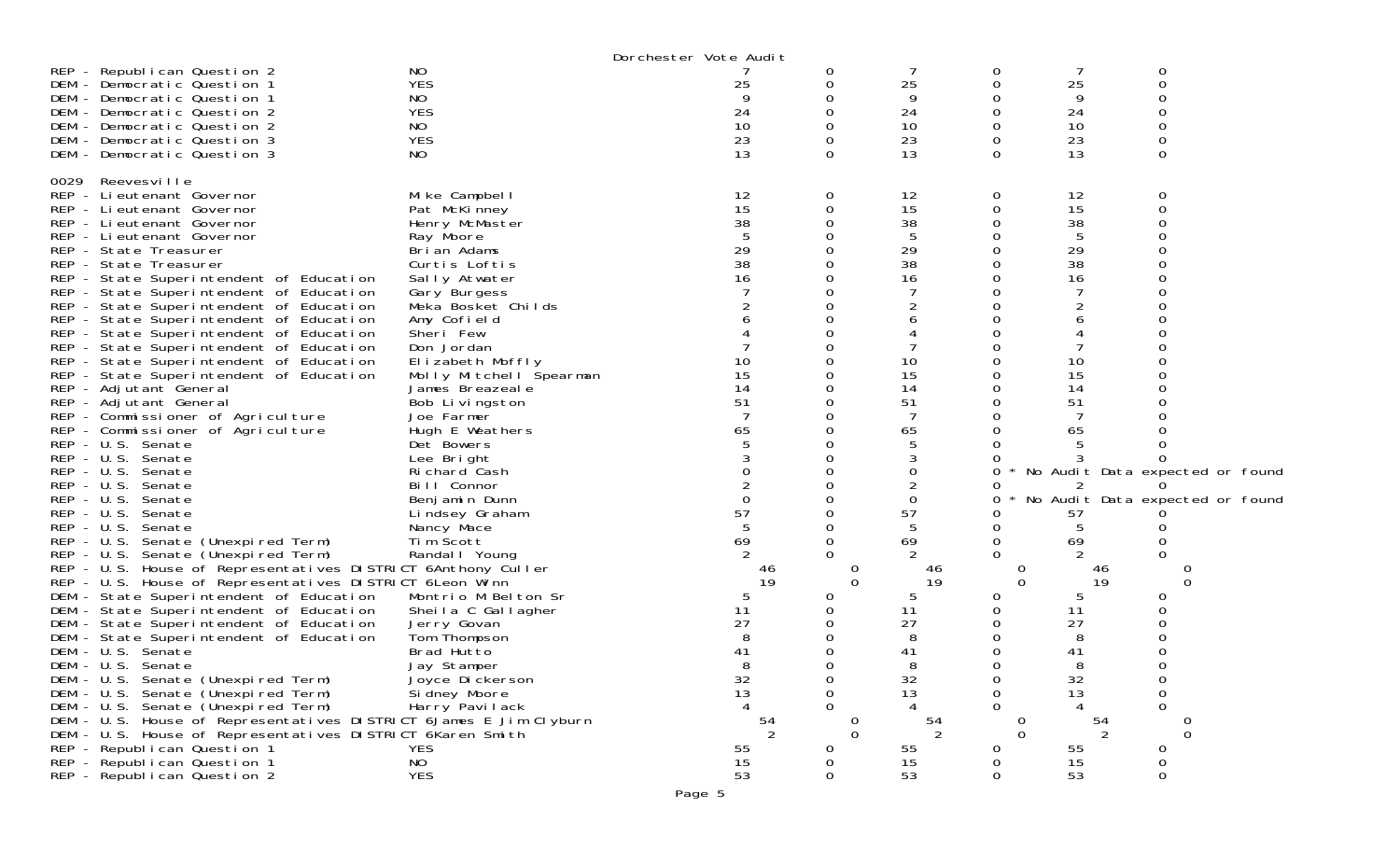|                                                                   | Dorchester Vote Audit   |                |          |                |          |               |                                 |
|-------------------------------------------------------------------|-------------------------|----------------|----------|----------------|----------|---------------|---------------------------------|
| N <sub>O</sub><br>REP - Republican Question 2                     |                         |                | 0        |                | 0        |               | 0                               |
| <b>YES</b><br>DEM - Democratic Question 1                         |                         | 25             |          | 25             | 0        | 25            | 0                               |
| NO<br>DEM - Democratic Question 1                                 |                         |                |          | 9              |          | 9             |                                 |
| <b>YES</b><br>DEM - Democratic Question 2                         |                         | 24             |          | 24             | 0        | 24            |                                 |
| NO<br>DEM - Democratic Question 2                                 |                         | 10             |          | 10             | 0        | 10            | 0                               |
| <b>YES</b><br>DEM - Democratic Question 3                         |                         | 23             |          | 23             | 0        | 23            | 0                               |
| NO<br>DEM - Democratic Question 3                                 |                         | 13             | 0        | 13             | 0        | 13            | $\Omega$                        |
|                                                                   |                         |                |          |                |          |               |                                 |
| 0029 Reevesville                                                  |                         |                |          |                |          |               |                                 |
| REP - Lieutenant Governor                                         | Mike Campbell           | 12             | 0        | 12             | 0        | 12            | 0                               |
| REP - Lieutenant Governor                                         | Pat McKinney            | 15             |          | 15             | 0        | 15            | 0                               |
| REP - Lieutenant Governor                                         | Henry McMaster          | 38             |          | 38             |          | 38            |                                 |
| REP - Lieutenant Governor                                         | Ray Moore               |                |          | 5              | 0        | 5             |                                 |
| REP - State Treasurer                                             | Brian Adams             | 29             |          | 29             |          | 29            |                                 |
| REP - State Treasurer                                             | Curtis Loftis           | 38             |          | 38             |          | 38            |                                 |
| REP - State Superintendent of Education                           | Sally Atwater           | 16             |          | 16             | 0        | 16            |                                 |
| REP - State Superintendent of Education                           | Gary Burgess            |                |          |                |          |               |                                 |
| REP - State Superintendent of Education                           | Meka Bosket Childs      |                |          |                |          |               |                                 |
| REP - State Superintendent of Education                           | Amy Cofield             |                |          |                |          |               |                                 |
| REP - State Superintendent of Education                           | Sheri Few               |                |          |                |          |               |                                 |
| REP - State Superintendent of Education                           | Don Jordan              |                |          |                |          |               |                                 |
| REP - State Superintendent of Education                           | Elizabeth Moffly        | 10             |          | 10             | Ω        | 10            |                                 |
| REP - State Superintendent of Education                           | Molly Mitchell Spearman | 15             |          | 15             |          | 15            |                                 |
| REP - Adjutant General                                            | James Breazeal e        | 14             |          | 14             | 0        | 14            |                                 |
| REP - Adjutant General                                            | Bob Livingston          | 51             |          | 51             | 0        | 51            |                                 |
| REP - Commissioner of Agriculture                                 | Joe Farmer              |                |          | 7              |          | 7             |                                 |
| REP - Commissioner of Agriculture                                 | Hugh E Weathers         | 65             |          | 65             |          | 65            |                                 |
| REP - U.S. Senate                                                 | Det Bowers              |                |          | 5              |          |               |                                 |
| REP - U.S. Senate                                                 | Lee Bright              |                |          | 3              |          |               |                                 |
| REP - U.S. Senate                                                 | Richard Cash            |                |          | 0              | 0        |               | No Audit Data expected or found |
| REP - U.S. Senate                                                 | Bill Connor             |                |          | $\overline{2}$ | O        | 2             | $\Omega$                        |
| $REP - U.S.$<br>Senate                                            | Benjamin Dunn           |                |          | $\mathbf 0$    | 0        |               | No Audit Data expected or found |
| REP - U.S. Senate                                                 | Lindsey Graham          | 57             |          | 57             |          | 57            |                                 |
| REP - U.S. Senate                                                 | Nancy Mace              |                |          | 5              | 0        | 5             |                                 |
| REP - U.S. Senate (Unexpired Term)                                | Tim Scott               | 69             |          | 69             | 0        | 69            |                                 |
| REP - U.S. Senate (Unexpired Term)                                | Randal   Young          |                |          |                | 0        |               |                                 |
| REP - U.S. House of Representatives DISTRICT 6Anthony Culler      |                         | 46             |          | 46             | U        | 46            |                                 |
| REP - U.S. House of Representatives DISTRICT 6Leon Winn           |                         | 19             | $\Omega$ | 19             | $\Omega$ | 19            | 0                               |
| DEM - State Superintendent of Education                           | Montrio M Belton Sr     | 5              |          | 5              | 0        | 5             | O                               |
| DEM - State Superintendent of Education                           | Sheila C Gallagher      | 11             |          | 11             | 0        | 11            |                                 |
| DEM - State Superintendent of Education                           | Jerry Govan             | 27             |          | 27             | ი        | 27            |                                 |
| DEM - State Superintendent of Education                           | Tom Thompson            |                |          | 8              | 0        | 8             |                                 |
| DEM - U.S. Senate                                                 | Brad Hutto              | 41             |          | 41             | 0        | 41            |                                 |
| DEM - U.S. Senate                                                 | Jay Stamper             | 8              |          | 8              | 0        | 8             | 0                               |
| DEM - U.S. Senate (Unexpired Term)                                | Joyce Dickerson         | 32             |          | 32             | 0        | 32            | 0                               |
| DEM - U.S. Senate (Unexpired Term)                                | Si dney Moore           | 13             | 0        | 13             | 0        | 13            | 0                               |
| DEM - U.S. Senate (Unexpired Term)                                | Harry Pavilack          |                |          |                | 0        |               | $\Omega$                        |
| DEM - U.S. House of Representatives DISTRICT 6James E Jim Clyburn |                         |                | 0        | 54             | U        | 54            |                                 |
| DEM - U.S. House of Representatives DISTRICT 6Karen Smith         |                         | $\frac{54}{2}$ | $\Omega$ | 2              | $\Omega$ | $\mathcal{P}$ | $\Omega$                        |
| REP - Republican Question 1<br><b>YES</b>                         |                         | 55             | 0        | 55             | 0        | 55            | 0                               |
| NO<br>REP - Republican Question 1                                 |                         | 15             |          | 15             | 0        | 15            | 0                               |
| <b>YES</b><br>REP - Republican Question 2                         |                         | 53             |          | 53             | 0        | 53            | 0                               |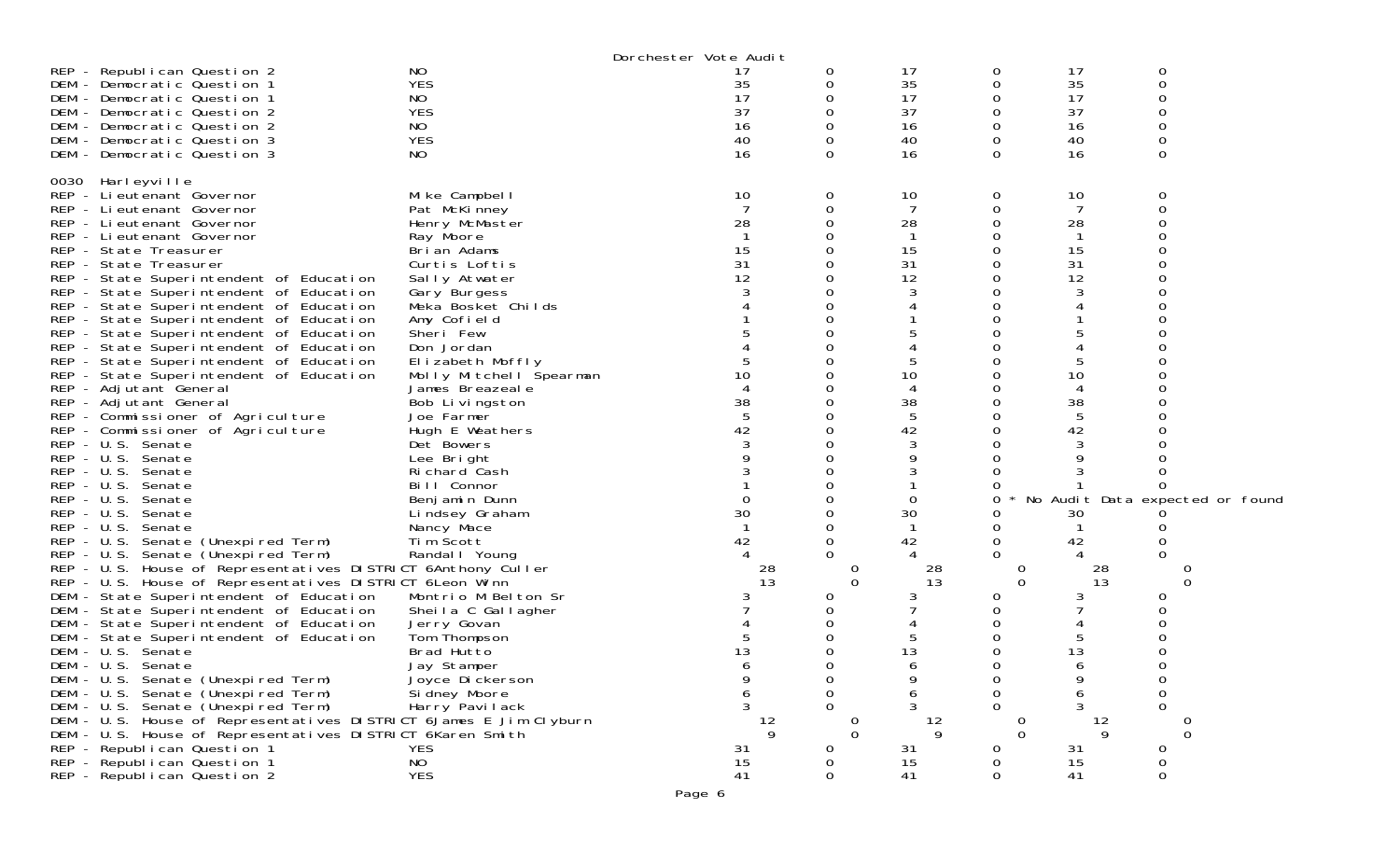|              |                                                                   |                         | Dorchester Vote Audit |    |          |                |          |     |                                 |
|--------------|-------------------------------------------------------------------|-------------------------|-----------------------|----|----------|----------------|----------|-----|---------------------------------|
|              | REP - Republican Question 2                                       | ΝO                      |                       | 17 | 0        | 17             | 0        | 17  | 0                               |
|              | DEM - Democratic Question 1                                       | <b>YES</b>              |                       | 35 |          | 35             | 0        | 35  | 0                               |
|              | DEM - Democratic Question 1                                       | NO                      |                       | 17 |          | 17             | 0        | 17  | 0                               |
|              | DEM - Democratic Question 2                                       | <b>YES</b>              |                       | 37 |          | 37             | 0        | 37  | O                               |
|              | DEM - Democratic Question 2                                       | NO                      |                       | 16 |          | 16             | 0        | 16  | 0                               |
|              | DEM - Democratic Question 3                                       | <b>YES</b>              |                       | 40 |          | 40             | 0        | 40  | 0                               |
|              | DEM - Democratic Question 3                                       | NO                      |                       | 16 | 0        | 16             | 0        | 16  | $\Omega$                        |
|              |                                                                   |                         |                       |    |          |                |          |     |                                 |
|              | 0030 Harleyville                                                  |                         |                       |    |          |                |          |     |                                 |
|              | REP - Lieutenant Governor                                         | Mike Campbell           |                       | 10 | 0        | 10             | 0        | 10  | 0                               |
|              | REP - Lieutenant Governor                                         | Pat McKinney            |                       |    |          | 7              | 0        | 7   | 0                               |
|              | REP - Lieutenant Governor                                         | Henry McMaster          | 28                    |    |          | 28             |          | 28  |                                 |
|              | REP - Lieutenant Governor                                         | Ray Moore               |                       |    |          | -1             |          | -1  |                                 |
|              | REP - State Treasurer                                             | Brian Adams             | 15                    |    |          | 15             |          | 15  |                                 |
|              | REP - State Treasurer                                             | Curtis Loftis           |                       | 31 |          | 31             |          | 31  |                                 |
|              | REP - State Superintendent of Education                           | Sally Atwater           |                       | 12 |          | 12             | Ω        | 12  |                                 |
|              | REP - State Superintendent of Education                           | Gary Burgess            |                       |    |          | 3              |          | 3   |                                 |
|              | REP - State Superintendent of Education                           | Meka Bosket Childs      |                       |    |          |                |          |     |                                 |
|              | REP - State Superintendent of Education                           | Amy Cofield             |                       |    |          |                |          |     |                                 |
|              | REP - State Superintendent of Education                           | Sheri Few               |                       |    |          |                |          |     |                                 |
|              | REP - State Superintendent of Education                           | Don Jordan              |                       |    |          |                |          |     |                                 |
|              | REP - State Superintendent of Education                           | Elizabeth Moffly        |                       |    |          | 5              |          | 5   |                                 |
|              | REP - State Superintendent of Education                           | Molly Mitchell Spearman |                       | 10 |          | 10             |          | 10  |                                 |
|              | REP - Adjutant General                                            | James Breazeal e        |                       |    |          | 4              |          | 4   |                                 |
|              | REP - Adjutant General                                            | Bob Livingston          | 38                    |    |          | 38             | 0        | 38  |                                 |
|              | REP - Commissioner of Agriculture                                 | Joe Farmer              |                       |    |          | $\overline{5}$ |          | 5   |                                 |
|              | REP - Commissioner of Agriculture                                 | Hugh E Weathers         | 42                    |    |          | 42             |          | 42  |                                 |
|              | REP - U.S. Senate                                                 | Det Bowers              |                       |    |          | 3              | 0        | 3   |                                 |
|              | REP - U.S. Senate                                                 | Lee Bright              |                       |    |          | 9              |          | 9   |                                 |
|              | REP - U.S. Senate                                                 | Richard Cash            |                       |    |          |                |          |     |                                 |
| $REP - U.S.$ | Senate                                                            | Bill Connor             |                       |    |          |                |          |     | <sup>0</sup>                    |
| $REP - U.S.$ | Senate                                                            | Benjamin Dunn           |                       |    |          | 0              | Ω        |     | No Audit Data expected or found |
| $REP - U.S.$ | Senate                                                            | Lindsey Graham          | 30                    |    |          | 30             |          | 30  |                                 |
|              | REP - U.S. Senate                                                 | Nancy Mace              |                       |    |          | -1             | 0        |     |                                 |
|              | REP - U.S. Senate (Unexpired Term)                                | Tim Scott               | 42                    |    |          | 42             | 0        | 42  |                                 |
|              | REP - U.S. Senate (Unexpired Term)                                | Randal   Young          |                       |    |          |                | 0        |     |                                 |
|              | REP - U.S. House of Representatives DISTRICT 6Anthony Culler      |                         |                       | 28 | Ü        | 28             | 0        | -28 |                                 |
|              | REP - U.S. House of Representatives DISTRICT 6Leon Winn           |                         |                       | 13 | $\Omega$ | 13             | 0        | 13  | 0                               |
|              | DEM - State Superintendent of Education                           | Montrio M Belton Sr     |                       |    |          | 3              |          | 3   |                                 |
|              | DEM - State Superintendent of Education                           | Sheila C Gallagher      |                       |    |          |                |          |     | 0                               |
|              | DEM - State Superintendent of Education                           | Jerry Govan             |                       |    |          |                |          |     |                                 |
|              | DEM - State Superintendent of Education                           | Tom Thompson            |                       |    |          | 5              |          | 5   |                                 |
|              | DEM - U.S. Senate                                                 | Brad Hutto              |                       | 13 |          | 13             |          | 13  |                                 |
|              | DEM - U.S. Senate                                                 | Jay Stamper             |                       |    |          | 6              | 0        | 6   | 0                               |
|              | DEM - U.S. Senate (Unexpired Term)                                | Joyce Dickerson         |                       |    |          | 9              | 0        |     | 0                               |
|              | DEM - U.S. Senate (Unexpired Term)                                | Si dney Moore           |                       | 6  | $\Omega$ | 6              | 0        | 6   | 0                               |
|              | DEM - U.S. Senate (Unexpired Term)                                | Harry Pavilack          |                       | 3  |          | 3              | 0        | 3   | $\Omega$                        |
|              | DEM - U.S. House of Representatives DISTRICT 6James E Jim Clyburn |                         |                       | 12 | 0        | 12             |          | 12  |                                 |
|              | DEM - U.S. House of Representatives DISTRICT 6Karen Smith         |                         |                       | 9  | $\Omega$ | 9              | $\Omega$ | 9   | $\Omega$                        |
|              | REP - Republican Question 1                                       | <b>YES</b>              |                       | 31 | 0        | 31             | 0        | 31  | 0                               |
|              | REP - Republican Question 1                                       | NO                      |                       | 15 |          | 15             | Ω        | 15  | 0                               |
|              | REP - Republican Question 2                                       | <b>YES</b>              | 41                    |    | Ω        | 41             | 0        | 41  | 0                               |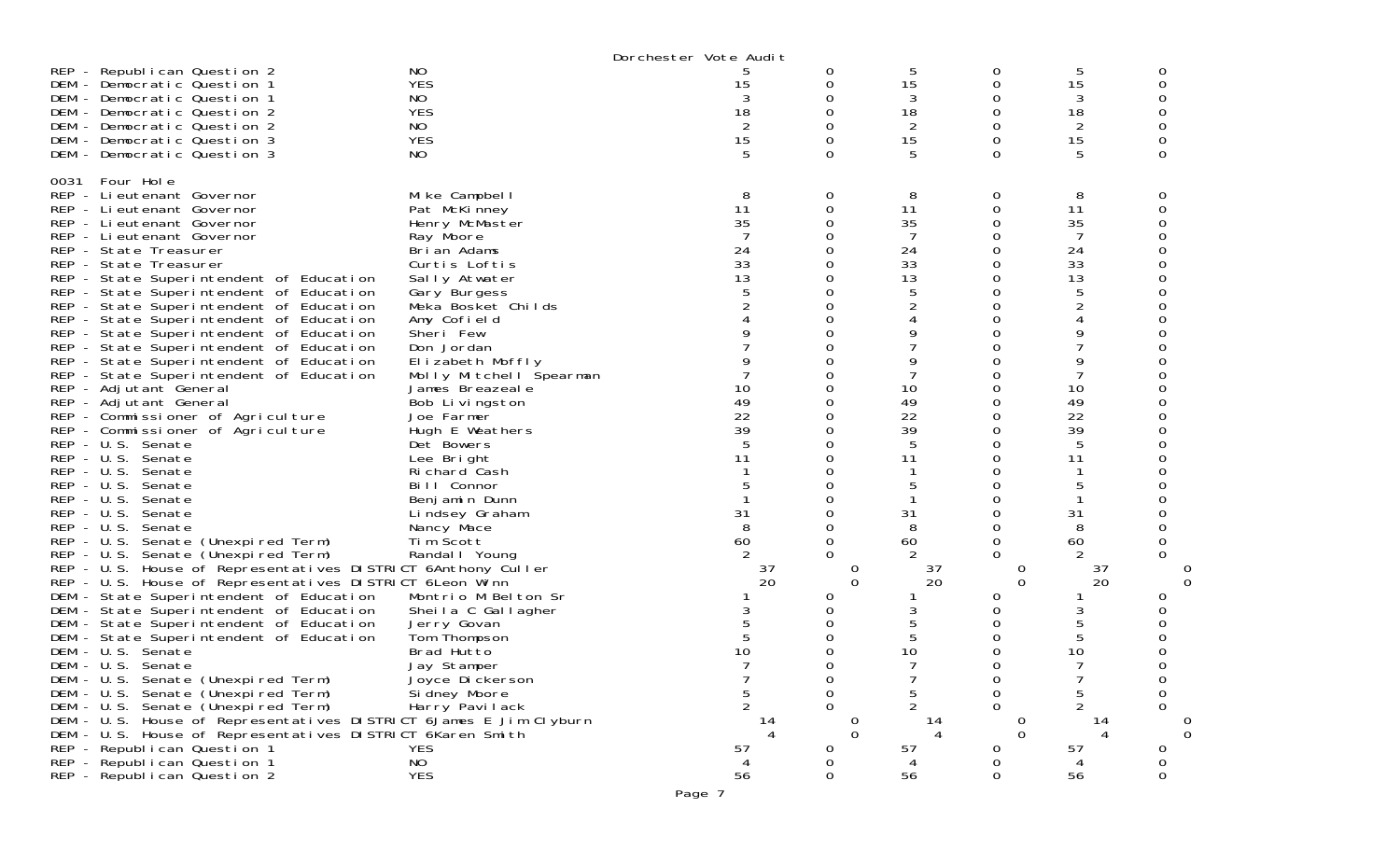|                                                                                                                                                                                                                                                                                                                                                                                                                                                                                                                                                                                                                                                                                                                                                                                                                                                                                                                                                                                                                                                                                                                                                                                                                                                                                                                                                                                                                                                                                                                                                   |                                                                                                                                                                                                                                                                                                                                                                                                                                                                                                                                                                                                                                             | Dorchester Vote Audit                                                                                                                                |                                                                                                                                                                                                                                       |                                                                                                                                                 |                                                                                                                                                          |                                                                                                                                                                                                           |                                                         |
|---------------------------------------------------------------------------------------------------------------------------------------------------------------------------------------------------------------------------------------------------------------------------------------------------------------------------------------------------------------------------------------------------------------------------------------------------------------------------------------------------------------------------------------------------------------------------------------------------------------------------------------------------------------------------------------------------------------------------------------------------------------------------------------------------------------------------------------------------------------------------------------------------------------------------------------------------------------------------------------------------------------------------------------------------------------------------------------------------------------------------------------------------------------------------------------------------------------------------------------------------------------------------------------------------------------------------------------------------------------------------------------------------------------------------------------------------------------------------------------------------------------------------------------------------|---------------------------------------------------------------------------------------------------------------------------------------------------------------------------------------------------------------------------------------------------------------------------------------------------------------------------------------------------------------------------------------------------------------------------------------------------------------------------------------------------------------------------------------------------------------------------------------------------------------------------------------------|------------------------------------------------------------------------------------------------------------------------------------------------------|---------------------------------------------------------------------------------------------------------------------------------------------------------------------------------------------------------------------------------------|-------------------------------------------------------------------------------------------------------------------------------------------------|----------------------------------------------------------------------------------------------------------------------------------------------------------|-----------------------------------------------------------------------------------------------------------------------------------------------------------------------------------------------------------|---------------------------------------------------------|
| REP - Republican Question 2<br>DEM - Democratic Question 1<br>DEM - Democratic Question 1<br>DEM - Democratic Question 2<br>DEM - Democratic Question 2<br>DEM - Democratic Question 3<br>DEM - Democratic Question 3                                                                                                                                                                                                                                                                                                                                                                                                                                                                                                                                                                                                                                                                                                                                                                                                                                                                                                                                                                                                                                                                                                                                                                                                                                                                                                                             | N <sub>O</sub><br><b>YES</b><br>NO.<br><b>YES</b><br>NO.<br><b>YES</b><br>NO.                                                                                                                                                                                                                                                                                                                                                                                                                                                                                                                                                               | 5<br>15<br>3<br>18<br>$\overline{2}$<br>15<br>5                                                                                                      | 0<br>0<br>0<br>0<br>0<br>0<br>$\Omega$                                                                                                                                                                                                | 5<br>15<br>3<br>18<br>2<br>15<br>5                                                                                                              | 0<br>0<br>0<br>0<br>0<br>0<br>$\Omega$                                                                                                                   | 5<br>15<br>3<br>18<br>$\overline{2}$<br>15<br>5                                                                                                                                                           | O<br>$\Omega$                                           |
| Four Hole<br>0031<br>REP - Lieutenant Governor<br>REP - Lieutenant Governor<br>REP - Lieutenant Governor<br>REP - Lieutenant Governor<br>REP - State Treasurer<br>REP - State Treasurer<br>REP - State Superintendent of Education<br>REP - State Superintendent of Education<br>REP - State Superintendent of Education<br>REP - State Superintendent of Education<br>REP - State Superintendent of Education<br>REP - State Superintendent of Education<br>REP - State Superintendent of Education<br>REP - State Superintendent of Education<br>REP - Adjutant General<br>REP - Adjutant General<br>REP - Commissioner of Agriculture<br>REP - Commissioner of Agriculture<br>REP - U.S. Senate<br>REP - U.S. Senate<br>REP - U.S. Senate<br>REP - U.S. Senate<br>REP - U.S. Senate<br>REP - U.S. Senate<br>REP - U.S. Senate<br>REP - U.S. Senate (Unexpired Term)<br>REP - U.S. Senate (Unexpired Term)<br>REP - U.S. House of Representatives DISTRICT 6Anthony Culler<br>REP - U.S. House of Representatives DISTRICT 6 Leon Winn<br>DEM - State Superintendent of Education<br>DEM - State Superintendent of Education<br>DEM - State Superintendent of Education<br>DEM - State Superintendent of Education<br>DEM - U.S. Senate<br>DEM - U.S. Senate<br>DEM - U.S. Senate (Unexpired Term)<br>DEM - U.S. Senate (Unexpired Term)<br>DEM - U.S. Senate (Unexpired Term)<br>DEM - U.S. House of Representatives DISTRICT 6James E Jim Clyburn<br>DEM - U.S. House of Representatives DISTRICT 6Karen Smith<br>REP - Republican Question 1 | Mike Campbell<br>Pat McKinney<br>Henry McMaster<br>Ray Moore<br>Brian Adams<br>Curtis Loftis<br>Sally Atwater<br>Gary Burgess<br>Meka Bosket Childs<br>Amy Cofield<br>Sheri Few<br>Don Jordan<br>Elizabeth Moffly<br>Molly Mitchell Spearman<br>James Breazeale<br>Bob Livingston<br>Joe Farmer<br>Hugh E Weathers<br>Det Bowers<br>Lee Bright<br>Richard Cash<br>Bill Connor<br>Benjamin Dunn<br>Lindsey Graham<br>Nancy Mace<br>Tim Scott<br>Randal   Young<br>Montrio M Belton Sr<br>Sheila C Gallagher<br>Jerry Govan<br>Tom Thompson<br>Brad Hutto<br>Jay Stamper<br>Joyce Di ckerson<br>Si dney Moore<br>Harry Pavilack<br><b>YES</b> | 8<br>11<br>35<br>7<br>24<br>33<br>13<br>5<br>9<br>9<br>10<br>49<br>22<br>39<br>5<br>11<br>5<br>31<br>8<br>60<br>37<br>20<br>5<br>10<br>5<br>14<br>57 | 0<br>0<br>0<br>0<br>0<br>0<br>0<br>0<br>0<br>0<br>0<br>0<br>0<br>0<br>0<br>0<br>0<br>0<br>0<br>0<br>0<br>0<br>0<br>$\Omega$<br>0<br>0<br>$\Omega$<br>0<br>0<br>0<br>0<br>0<br>O<br>0<br>∩<br>0<br>0<br>$\Omega$<br>O<br>$\Omega$<br>0 | 8<br>11<br>35<br>7<br>24<br>33<br>13<br>5<br>9<br>9<br>7<br>10<br>49<br>22<br>39<br>5<br>11<br>5<br>31<br>8<br>60<br>37<br>20<br>10<br>14<br>57 | 0<br>0<br>0<br>0<br>0<br>0<br>0<br>0<br>0<br>0<br>0<br>0<br>$\Omega$<br>0<br>0<br>0<br>0<br>0<br>0<br>0<br>$\Omega$<br>0<br>∩<br>0<br>0<br>$\Omega$<br>O | 8<br>11<br>35<br>7<br>24<br>33<br>13<br>5<br>$\overline{2}$<br>4<br>9<br>7<br>9<br>7<br>10<br>49<br>22<br>39<br>5<br>11<br>5<br>31<br>8<br>60<br>37<br>20<br>3<br>5<br>5<br>10<br>7<br>5<br>2<br>14<br>57 | 0<br>0<br>0<br>$\Omega$<br>0<br>0<br>0<br>$\Omega$<br>0 |
| REP - Republican Question 1<br>REP - Republican Question 2                                                                                                                                                                                                                                                                                                                                                                                                                                                                                                                                                                                                                                                                                                                                                                                                                                                                                                                                                                                                                                                                                                                                                                                                                                                                                                                                                                                                                                                                                        | NO<br><b>YES</b>                                                                                                                                                                                                                                                                                                                                                                                                                                                                                                                                                                                                                            | 56                                                                                                                                                   | O<br>0                                                                                                                                                                                                                                | 56                                                                                                                                              | 0                                                                                                                                                        | 56                                                                                                                                                                                                        | 0                                                       |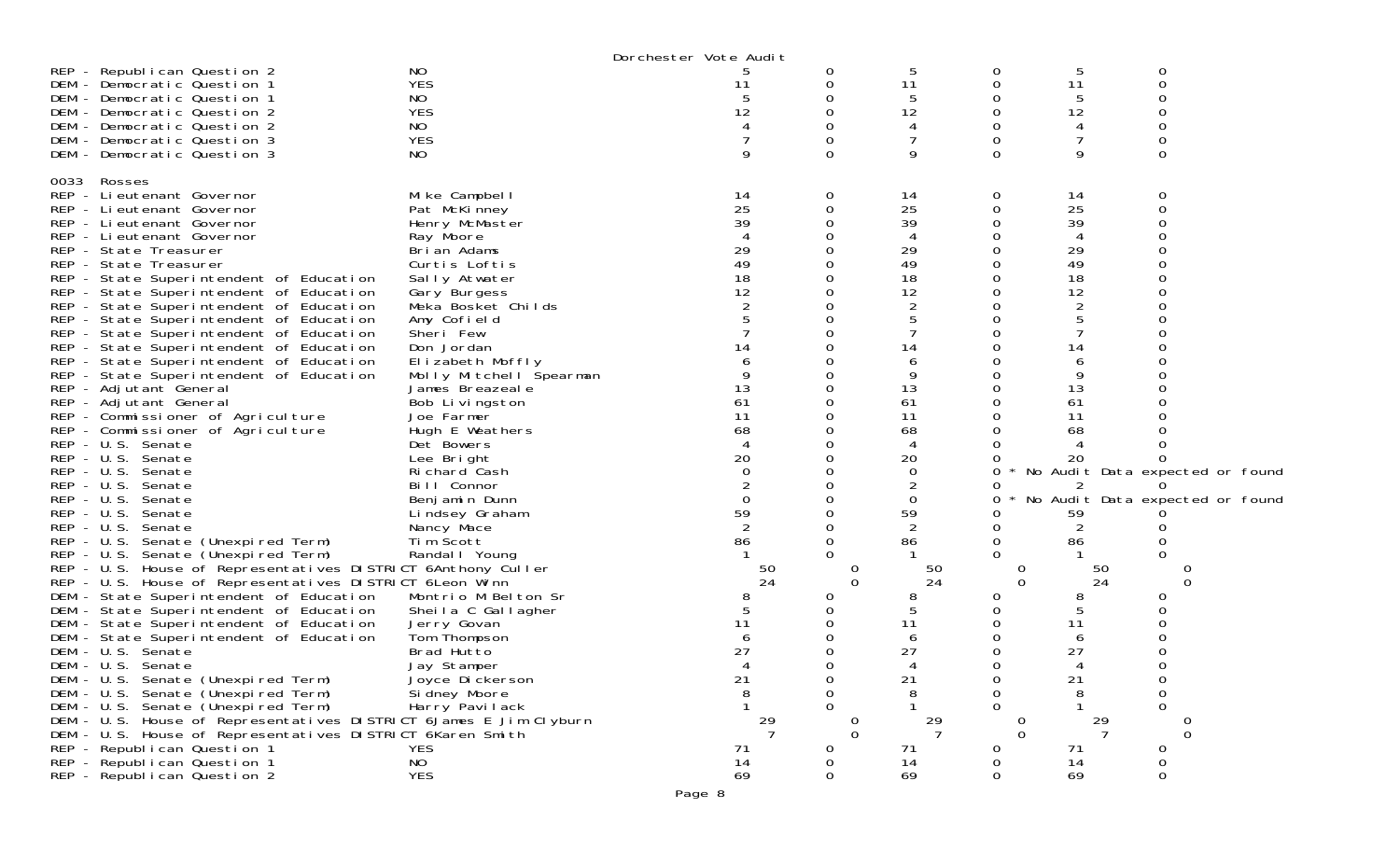|              |                                                                                          |                         | Dorchester Vote Audit |    |               |                |          |                |                                 |  |
|--------------|------------------------------------------------------------------------------------------|-------------------------|-----------------------|----|---------------|----------------|----------|----------------|---------------------------------|--|
|              | REP - Republican Question 2                                                              | NO                      |                       |    | 0             | 5              | 0        | 5              | 0                               |  |
|              | DEM - Democratic Question 1                                                              | <b>YES</b>              |                       | 11 | 0             | 11             | 0        | 11             | 0                               |  |
|              | DEM - Democratic Question 1                                                              | NO                      |                       |    |               | 5              | 0        | 5              |                                 |  |
|              | DEM - Democratic Question 2                                                              | <b>YES</b>              |                       | 12 |               | 12             | 0        | 12             |                                 |  |
|              | DEM - Democratic Question 2                                                              | NO                      |                       |    |               | 4              |          | 4              |                                 |  |
|              | DEM - Democratic Question 3                                                              | <b>YES</b>              |                       |    |               | 7              |          |                |                                 |  |
|              | DEM - Democratic Question 3                                                              | NO                      |                       |    | $\Omega$      | 9              | 0        | 9              | 0                               |  |
|              |                                                                                          |                         |                       |    |               |                |          |                |                                 |  |
| 0033         | Rosses                                                                                   |                         |                       |    |               |                |          |                |                                 |  |
|              | REP - Li eutenant Governor                                                               | Mike Campbell           |                       | 14 | 0             | 14             | 0        | 14             | 0                               |  |
|              | REP - Lieutenant Governor                                                                | Pat McKinney            |                       | 25 |               | 25             | 0        | 25             | 0                               |  |
|              | REP - Lieutenant Governor                                                                | Henry McMaster          |                       | 39 |               | 39             |          | 39             |                                 |  |
|              | REP - Lieutenant Governor                                                                | Ray Moore               |                       |    |               | 4              |          | 4              |                                 |  |
|              | REP - State Treasurer                                                                    | Brian Adams             |                       | 29 |               | 29             |          | 29             |                                 |  |
|              | REP - State Treasurer                                                                    | Curtis Loftis           | 49                    |    |               | 49             |          | 49             |                                 |  |
|              | REP - State Superintendent of Education                                                  |                         |                       | 18 |               | 18             | 0        | 18             |                                 |  |
|              |                                                                                          | Sally Atwater           |                       | 12 |               | 12             |          | 12             |                                 |  |
|              | REP - State Superintendent of Education                                                  | Gary Burgess            |                       |    |               |                |          |                |                                 |  |
|              | REP - State Superintendent of Education                                                  | Meka Bosket Childs      |                       |    |               | 2              |          | 2              |                                 |  |
|              | REP - State Superintendent of Education                                                  | Amy Cofield             |                       |    |               | 5<br>7         |          | 5              |                                 |  |
|              | REP - State Superintendent of Education                                                  | Sheri Few               |                       |    |               |                |          |                |                                 |  |
|              | REP - State Superintendent of Education                                                  | Don Jordan              |                       |    |               | 14             |          | 14             |                                 |  |
|              | REP - State Superintendent of Education                                                  | Elizabeth Moffly        |                       |    |               | 6              |          | 6              |                                 |  |
|              | REP - State Superintendent of Education                                                  | Molly Mitchell Spearman |                       |    |               | 9              |          | 9              |                                 |  |
|              | REP - Adjutant General                                                                   | James Breazeale         |                       | 13 |               | 13             |          | 13             |                                 |  |
|              | REP - Adjutant General                                                                   | Bob Livingston          | 61                    |    |               | 61             |          | 61             |                                 |  |
|              | REP - Commissioner of Agriculture                                                        | Joe Farmer              | 11                    |    |               | 11             |          | 11             |                                 |  |
|              | REP - Commissioner of Agriculture                                                        | Hugh E Weathers         | 68                    |    |               | 68             |          | 68             |                                 |  |
|              | REP - U.S. Senate                                                                        | Det Bowers              |                       |    |               | 4              |          | 4              |                                 |  |
|              | REP - U.S. Senate                                                                        | Lee Bright              |                       | 20 |               | 20             |          | 20             |                                 |  |
| $REP - U.S.$ | Senate                                                                                   | Richard Cash            |                       |    |               | 0              | 0        |                | No Audit Data expected or found |  |
| $REP - U.S.$ | Senate                                                                                   | Bill Connor             |                       | 2  |               | 2              |          | 2              |                                 |  |
| REP - U.S.   | Senate                                                                                   | Benjamin Dunn           |                       |    |               | 0              | Ω        |                | No Audit Data expected or found |  |
| $REP - U.S.$ | Senate                                                                                   | Lindsey Graham          |                       | 59 |               | 59             |          | 59             |                                 |  |
| $REP - U.S.$ | Senate                                                                                   | Nancy Mace              |                       |    |               | $\overline{2}$ | 0        | 2              |                                 |  |
|              | REP - U.S. Senate (Unexpired Term)                                                       | Tim Scott               |                       | 86 |               | 86             | 0        | 86             |                                 |  |
|              | REP - U.S. Senate (Unexpired Term)                                                       | Randal   Young          |                       |    |               |                | 0        |                |                                 |  |
|              | REP - U.S. House of Representatives DISTRICT 6Anthony Culler                             |                         |                       | 50 | U             | 50             | 0        | 50             |                                 |  |
|              | REP - U.S. House of Representatives DISTRICT 6 Leon Winn                                 |                         |                       | 24 | $\Omega$      | 24             | 0        | 24             | $\Omega$                        |  |
|              | DEM - State Superintendent of Education                                                  | Montrio M Belton Sr     |                       | 8  |               | 8              |          | 8              |                                 |  |
|              | DEM - State Superintendent of Education                                                  | Sheila C Gallagher      |                       |    |               | 5              |          | 5              |                                 |  |
|              | DEM - State Superintendent of Education                                                  | Jerry Govan             |                       | 11 |               | 11             |          | 11             |                                 |  |
|              | DEM - State Superintendent of Education                                                  | Tom Thompson            |                       |    |               | 6              |          | 6              |                                 |  |
|              | DEM - U.S. Senate                                                                        | Brad Hutto              |                       | 27 |               | 27             | 0        | 27             |                                 |  |
|              | DEM - U.S. Senate                                                                        | Jay Stamper             |                       |    |               | 4              | 0        | 4              | 0                               |  |
|              | DEM - U.S. Senate (Unexpired Term)                                                       | Joyce Dickerson         | $\overline{21}$       |    | 0             | 21             | $\sigma$ | 21             | 0                               |  |
|              | DEM - U.S. Senate (Unexpired Term)                                                       | Si dney Moore           |                       | 8  | $\Omega$      | 8              | 0        | 8              | $\mathsf{O}\xspace$             |  |
|              | DEM - U.S. Senate (Unexpired Term)                                                       | Harry Pavilack          |                       |    |               |                | 0        |                | $\Omega$                        |  |
|              | DEM - U.S. House of Representatives DISTRICT 6James E Jim Clyburn                        |                         |                       | 29 |               | 29             |          | 29             |                                 |  |
|              |                                                                                          |                         |                       |    | 0<br>$\Omega$ | $\overline{7}$ | $\Omega$ | $\overline{7}$ | $\Omega$                        |  |
|              | DEM - U.S. House of Representatives DISTRICT 6Karen Smith<br>REP - Republican Question 1 | <b>YES</b>              |                       |    |               |                |          |                |                                 |  |
|              |                                                                                          | <b>NO</b>               | 71                    |    | 0             | 71             | 0        | 71             | 0                               |  |
|              | REP - Republican Question 1                                                              |                         |                       | 14 |               | 14             |          | 14             | 0                               |  |
|              | REP - Republican Question 2                                                              | <b>YES</b>              |                       | 69 |               | 69             | 0        | 69             | 0                               |  |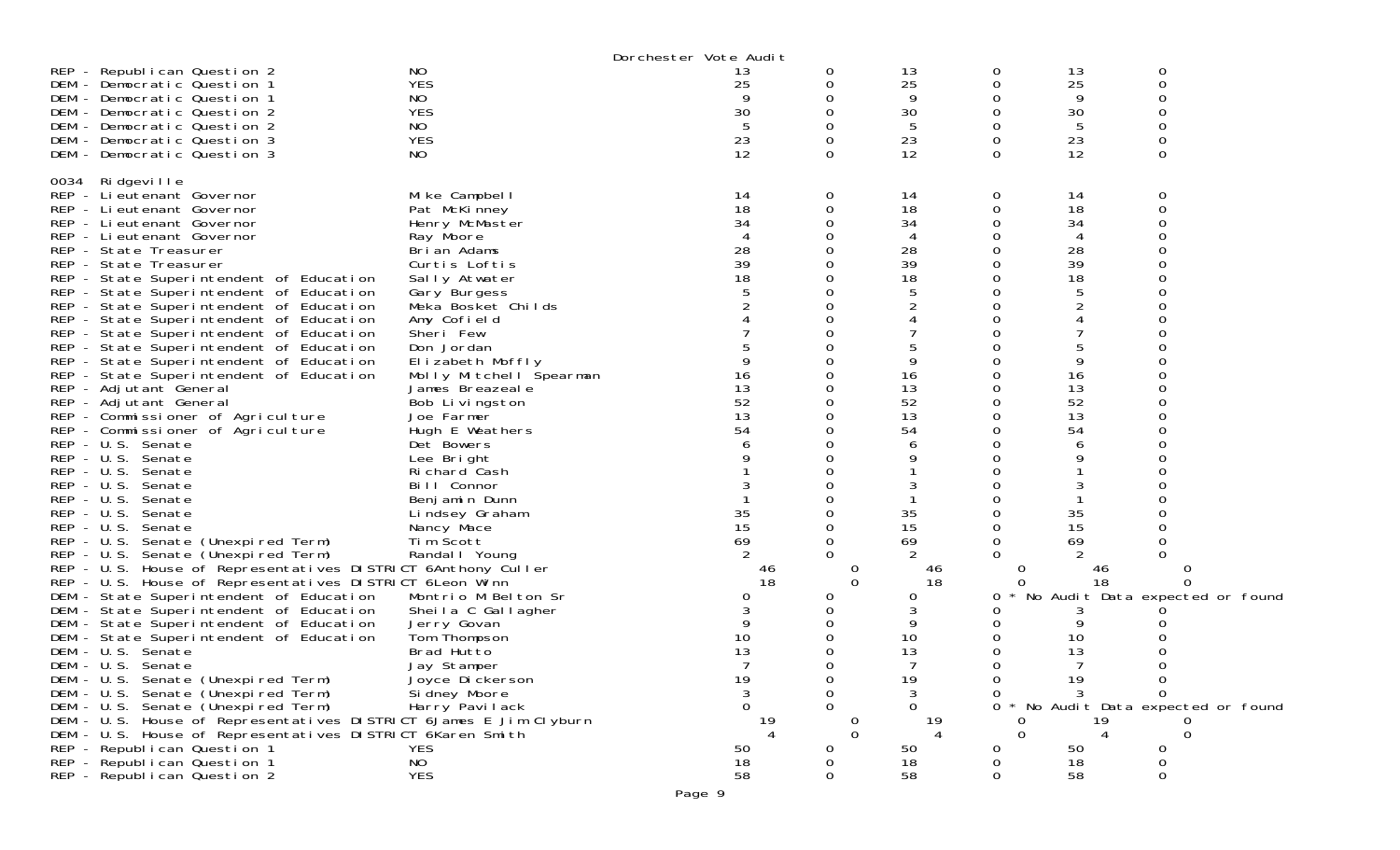|                                                                                                                                |                                 | Dorchester Vote Audit |          |                      |          |         |                                     |  |
|--------------------------------------------------------------------------------------------------------------------------------|---------------------------------|-----------------------|----------|----------------------|----------|---------|-------------------------------------|--|
| REP - Republican Question 2                                                                                                    | NO                              | 13                    | 0        | 13                   | 0        | 13      | 0                                   |  |
| DEM - Democratic Question 1                                                                                                    | <b>YES</b>                      | 25                    | 0        | 25                   | 0        | 25      | $\mathbf 0$                         |  |
| DEM - Democratic Question 1                                                                                                    | NO                              |                       |          | 9                    | 0        | 9       | Ω                                   |  |
| DEM - Democratic Question 2                                                                                                    | <b>YES</b>                      | 30                    |          | 30                   | 0        | 30      | 0                                   |  |
| DEM - Democratic Question 2                                                                                                    | NO                              | 5                     |          | 5                    | 0        | 5       | 0                                   |  |
| DEM - Democratic Question 3                                                                                                    | <b>YES</b>                      | 23                    |          | 23                   | 0        | 23      | 0                                   |  |
| DEM - Democratic Question 3                                                                                                    | NO.                             | 12                    | 0        | 12                   | $\Omega$ | 12      | 0                                   |  |
|                                                                                                                                |                                 |                       |          |                      |          |         |                                     |  |
| 0034 Ridgeville                                                                                                                |                                 |                       |          |                      |          |         |                                     |  |
| REP - Li eutenant Governor                                                                                                     | Mike Campbell                   | 14                    | 0        | 14                   | 0        | 14      | 0                                   |  |
| REP - Lieutenant Governor                                                                                                      | Pat McKinney                    | 18                    |          | 18                   | 0        | 18      | 0                                   |  |
| REP - Lieutenant Governor                                                                                                      | Henry McMaster                  | 34                    |          | 34                   | 0        | 34      |                                     |  |
| REP - Lieutenant Governor                                                                                                      | Ray Moore                       |                       |          | 4                    | Ω        | 4       |                                     |  |
| REP - State Treasurer                                                                                                          | Brian Adams                     | 28                    |          | 28                   |          | 28      |                                     |  |
| REP - State Treasurer                                                                                                          | Curtis Loftis                   | 39                    |          | 39                   | 0        | 39      |                                     |  |
| REP - State Superintendent of Education                                                                                        | Sally Atwater                   | 18                    |          | 18                   | 0        | 18      |                                     |  |
| REP - State Superintendent of Education                                                                                        | Gary Burgess                    |                       |          | 5                    | 0        | 5       |                                     |  |
| REP - State Superintendent of Education                                                                                        | Meka Bosket Childs              |                       |          |                      | Ω        |         |                                     |  |
| REP - State Superintendent of Education                                                                                        | Amy Cofield                     |                       |          |                      | Ω        | 4       |                                     |  |
| REP - State Superintendent of Education                                                                                        | Sheri Few                       |                       |          |                      |          |         |                                     |  |
| REP - State Superintendent of Education                                                                                        | Don Jordan                      |                       |          |                      |          | 5       |                                     |  |
| REP - State Superintendent of Education                                                                                        | Elizabeth Moffly                |                       |          | 9                    | Ω        | 9       |                                     |  |
| REP - State Superintendent of Education                                                                                        | Molly Mitchell Spearman         | 16                    |          | 16                   | Ω        | 16      |                                     |  |
| REP - Adjutant General                                                                                                         | James Breazeale                 | 13                    |          | 13                   | 0        | 13      | ∩                                   |  |
| REP - Adjutant General                                                                                                         | Bob Livingston                  | 52                    |          | 52                   | 0        | 52      |                                     |  |
| REP - Commissioner of Agriculture                                                                                              | Joe Farmer                      | 13                    |          | 13                   |          | 13      |                                     |  |
| REP - Commissioner of Agriculture                                                                                              | Hugh E Weathers                 | 54                    |          | 54                   | 0        | 54      |                                     |  |
| REP - U.S. Senate                                                                                                              | Det Bowers                      |                       |          | 6                    | 0        | 6       |                                     |  |
| REP - U.S. Senate                                                                                                              | Lee Bright                      |                       |          | 9                    |          | 9       |                                     |  |
| REP - U.S. Senate                                                                                                              | Richard Cash                    |                       |          |                      | Ω        |         |                                     |  |
| REP - U.S. Senate                                                                                                              | Bill Connor                     | 3                     |          | 3                    | Ω        | 3       |                                     |  |
| REP - U.S. Senate                                                                                                              | Benjamin Dunn                   |                       |          |                      |          |         |                                     |  |
| REP - U.S. Senate                                                                                                              | Lindsey Graham                  | 35                    |          | 35                   | 0        | 35      |                                     |  |
| REP - U.S. Senate                                                                                                              | Nancy Mace                      | 15                    |          | 15                   | 0        | 15      |                                     |  |
| REP - U.S. Senate (Unexpired Term)                                                                                             | Tim Scott                       | 69                    |          | 69                   | 0        | 69      |                                     |  |
| REP - U.S. Senate (Unexpired Term)                                                                                             | Randal I Young                  |                       |          | $\overline{2}$       |          |         | O                                   |  |
| REP - U.S. House of Representatives DISTRICT 6Anthony Culler                                                                   |                                 | 46                    |          | 46                   | U        | 46      |                                     |  |
| REP - U.S. House of Representatives DISTRICT 6 Leon Winn                                                                       |                                 | 18                    | $\Omega$ | 18                   | 0        | 18      | ∩                                   |  |
| DEM - State Superintendent of Education                                                                                        | Montrio M Belton Sr             | 0                     |          | 0                    | 0        |         | No Audit Data expected or found     |  |
| DEM - State Superintendent of Education                                                                                        | Sheila C Gallagher              |                       |          | 3                    | 0        | 3       |                                     |  |
| DEM - State Superintendent of Education                                                                                        | Jerry Govan                     |                       |          | 9                    | 0        | 9       |                                     |  |
| DEM - State Superintendent of Education                                                                                        | Tom Thompson                    | 10                    |          | 10<br>13             | 0        | 10      |                                     |  |
| DEM - U.S. Senate                                                                                                              | Brad Hutto                      | 13                    |          |                      | 0        | 13<br>7 | 0                                   |  |
| DEM - U.S. Senate<br>DEM - U.S. Senate (Unexpired Term)                                                                        | Jay Stamper                     |                       |          |                      | 0        |         |                                     |  |
|                                                                                                                                | Joyce Dickerson                 | 19                    |          | 19                   | $\sigma$ | 19      | 0<br><sup>n</sup>                   |  |
| DEM - U.S. Senate (Unexpired Term)<br>DEM - U.S. Senate (Unexpired Term)                                                       | Si dney Moore<br>Harry Pavilack | 3<br>0                | $\Omega$ | 3<br>0               | 0        | 3       | 0 * No Audit Data expected or found |  |
|                                                                                                                                |                                 |                       |          |                      |          |         |                                     |  |
| DEM - U.S. House of Representatives DISTRICT 6James E Jim Clyburn<br>DEM - U.S. House of Representatives DISTRICT 6Karen Smith |                                 | 19                    | $\Omega$ | 19<br>$\overline{4}$ | $\Omega$ | 19<br>4 | $\Omega$                            |  |
| REP - Republican Question 1                                                                                                    | <b>YES</b>                      | 50                    | O        | 50                   | 0        | 50      |                                     |  |
| REP - Republican Question 1                                                                                                    | NO                              | 18                    |          | 18                   |          | 18      |                                     |  |
| REP - Republican Question 2                                                                                                    | <b>YES</b>                      | 58                    |          | 58                   | 0        | 58      |                                     |  |
|                                                                                                                                |                                 |                       |          |                      |          |         |                                     |  |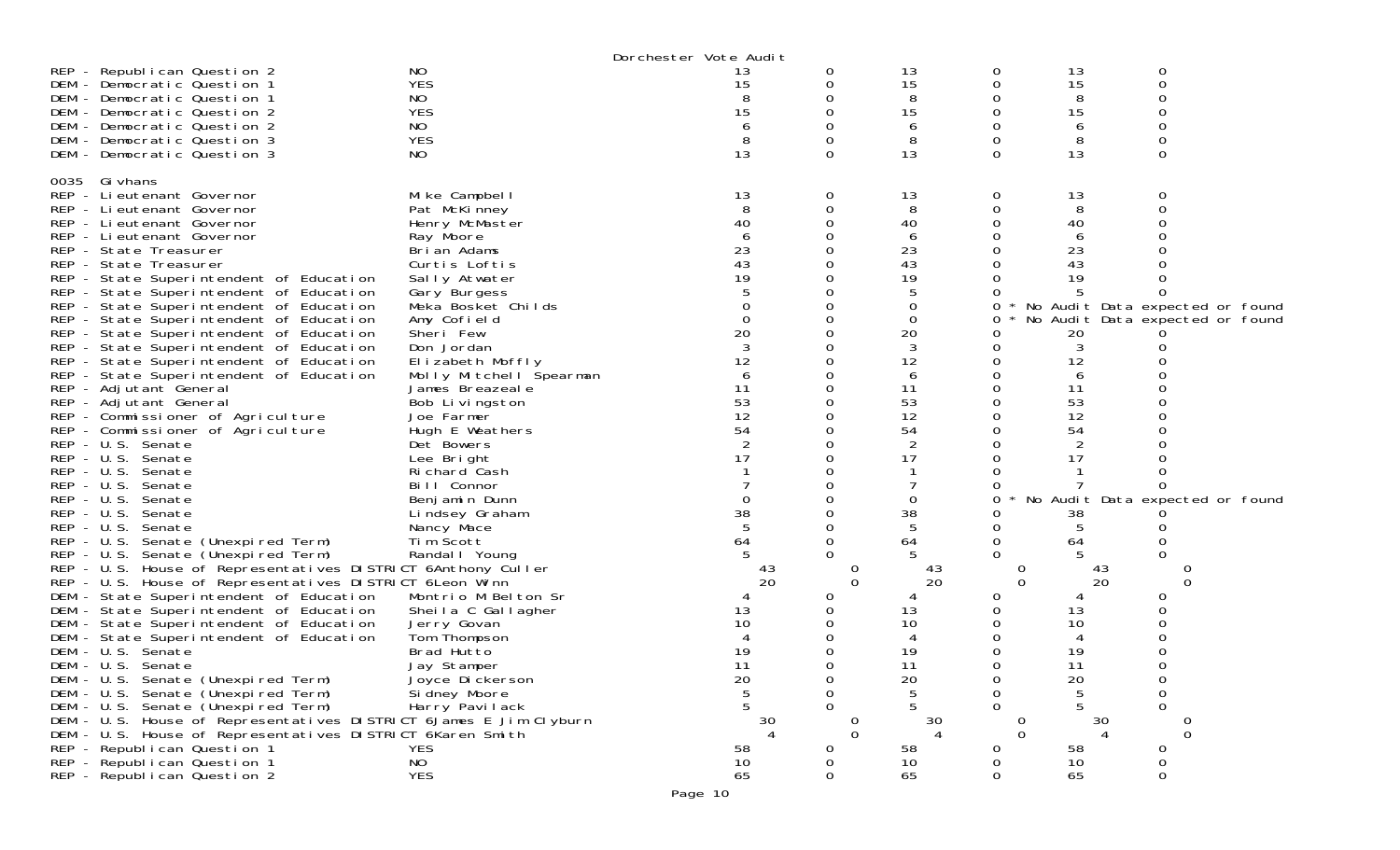| NO<br>REP - Republican Question 2<br>13<br>13<br>0<br>0<br>13<br>0<br><b>YES</b><br>15<br>$\mathbf 0$<br>15<br>0<br>DEM - Democratic Question 1<br>15<br>0<br>8<br>NO.<br>8<br>0<br>DEM - Democratic Question 1<br>15<br><b>YES</b><br>15<br>15<br>0<br>DEM - Democratic Question 2<br>0<br>NO<br>DEM - Democratic Question 2<br>6<br>6<br>6<br><b>YES</b><br>8<br>8<br>0<br>DEM - Democratic Question 3<br>13<br>13<br>13<br>$\Omega$<br>$\Omega$<br>DEM - Democratic Question 3<br>NO.<br>$\Omega$<br>0035 Gi vhans<br>REP - Lieutenant Governor<br>Mike Campbell<br>13<br>13<br>13<br>0<br>0<br>0<br>8<br>8<br>8<br>0<br>REP - Lieutenant Governor<br>Pat McKinney<br>40<br>40<br>Henry McMaster<br>40<br>REP - Lieutenant Governor<br>6<br>REP - Lieutenant Governor<br>Ray Moore<br>6<br>6<br>23<br>23<br>23<br>REP - State Treasurer<br>Brian Adams<br>43<br>43<br>43<br>REP - State Treasurer<br>Curtis Loftis<br>19<br>19<br>19<br>REP - State Superintendent of Education<br>Sally Atwater<br>REP - State Superintendent of Education<br>Gary Burgess<br>0<br>REP - State Superintendent of Education<br>Meka Bosket Childs<br>0<br>No Audit Data expected or found<br>0<br>$\Omega$<br>$\overline{0}$<br>REP - State Superintendent of Education<br>Amy Cofield<br>No Audit Data expected or found<br>0<br>20<br>20<br>Sheri Few<br>REP - State Superintendent of Education<br>20<br>REP - State Superintendent of Education<br>Don Jordan<br>3<br>12<br>12<br>12<br>REP - State Superintendent of Education<br>Elizabeth Moffly<br>REP - State Superintendent of Education<br>Molly Mitchell Spearman<br>6<br>6<br>REP - Adjutant General<br>11<br>11<br>11<br>James Breazeale<br>53<br>53<br>53<br>REP - Adjutant General<br>Bob Livingston<br>12<br>12<br>12<br>Joe Farmer<br>REP - Commissioner of Agriculture<br>54<br>54<br>54<br>REP - Commissioner of Agriculture<br>Hugh E Weathers<br>2<br>2<br>REP - U.S. Senate<br>Det Bowers<br>17<br>REP - U.S. Senate<br>17<br>17<br>Lee Bright<br>REP - U.S. Senate<br>Richard Cash<br>$REP - U.S.$<br>Bill Connor<br>Senate<br><sup>o</sup><br>REP - U.S. Senate<br>$\Omega$<br>No Audit Data expected or found<br>Benjamin Dunn<br>0<br>0<br>38<br>38<br>$REP - U.S.$<br>Senate<br>Lindsey Graham<br>38<br>REP - U.S.<br>5<br>5<br>Senate<br>Nancy Mace<br>REP - U.S. Senate (Unexpired Term)<br>Tim Scott<br>64<br>64<br>64<br>REP - U.S. Senate (Unexpired Term)<br>Randal   Young<br>REP - U.S. House of Representatives DISTRICT 6Anthony Culler<br>43<br>43<br>43<br>20<br>REP - U.S. House of Representatives DISTRICT 6 Leon Winn<br>$\Omega$<br>20<br>0<br>20<br>0<br>DEM - State Superintendent of Education<br>Montrio M Belton Sr<br>O<br>DEM - State Superintendent of Education<br>Sheila C Gallagher<br>13<br>13<br>13<br>10<br>10<br>DEM - State Superintendent of Education<br>Jerry Govan<br>10<br>Tom Thompson<br>DEM - State Superintendent of Education<br>19<br>19<br>19<br>DEM - U.S. Senate<br>Brad Hutto<br>DEM - U.S. Senate<br>Jay Stamper<br>Joyce Dickerson<br>11<br>11<br>0<br>11<br>$\Omega$<br>20<br>20<br>20<br>DEM - U.S. Senate (Unexpired Term)<br>0<br>0<br>5<br>0<br>DEM - U.S. Senate (Unexpired Term)<br>Si dney Moore<br>0<br>0<br>5<br>0<br>DEM - U.S. Senate (Unexpired Term)<br>Harry Pavilack<br>5.<br>0<br>DEM - U.S. House of Representatives DISTRICT 6James E Jim Clyburn<br>30<br>30<br>30<br>DEM - U.S. House of Representatives DISTRICT 6Karen Smith<br>$\Omega$<br>$\Omega$<br>$\Omega$<br>REP - Republican Question 1<br><b>YES</b><br>58<br>58<br>58<br>0<br>Ω<br>0<br>0<br>0 |                             |           | Dorchester Vote Audit |    |    |  |
|--------------------------------------------------------------------------------------------------------------------------------------------------------------------------------------------------------------------------------------------------------------------------------------------------------------------------------------------------------------------------------------------------------------------------------------------------------------------------------------------------------------------------------------------------------------------------------------------------------------------------------------------------------------------------------------------------------------------------------------------------------------------------------------------------------------------------------------------------------------------------------------------------------------------------------------------------------------------------------------------------------------------------------------------------------------------------------------------------------------------------------------------------------------------------------------------------------------------------------------------------------------------------------------------------------------------------------------------------------------------------------------------------------------------------------------------------------------------------------------------------------------------------------------------------------------------------------------------------------------------------------------------------------------------------------------------------------------------------------------------------------------------------------------------------------------------------------------------------------------------------------------------------------------------------------------------------------------------------------------------------------------------------------------------------------------------------------------------------------------------------------------------------------------------------------------------------------------------------------------------------------------------------------------------------------------------------------------------------------------------------------------------------------------------------------------------------------------------------------------------------------------------------------------------------------------------------------------------------------------------------------------------------------------------------------------------------------------------------------------------------------------------------------------------------------------------------------------------------------------------------------------------------------------------------------------------------------------------------------------------------------------------------------------------------------------------------------------------------------------------------------------------------------------------------------------------------------------------------------------------------------------------------------------------------------------------------------------------------------------------------------------------------------------------------------------------------------------------------------------------------------------------------------------------------------------------------------------------------|-----------------------------|-----------|-----------------------|----|----|--|
|                                                                                                                                                                                                                                                                                                                                                                                                                                                                                                                                                                                                                                                                                                                                                                                                                                                                                                                                                                                                                                                                                                                                                                                                                                                                                                                                                                                                                                                                                                                                                                                                                                                                                                                                                                                                                                                                                                                                                                                                                                                                                                                                                                                                                                                                                                                                                                                                                                                                                                                                                                                                                                                                                                                                                                                                                                                                                                                                                                                                                                                                                                                                                                                                                                                                                                                                                                                                                                                                                                                                                                                                  |                             |           |                       |    |    |  |
| <b>YES</b><br>65<br>65<br>65<br>$\Omega$<br>REP - Republican Question 2                                                                                                                                                                                                                                                                                                                                                                                                                                                                                                                                                                                                                                                                                                                                                                                                                                                                                                                                                                                                                                                                                                                                                                                                                                                                                                                                                                                                                                                                                                                                                                                                                                                                                                                                                                                                                                                                                                                                                                                                                                                                                                                                                                                                                                                                                                                                                                                                                                                                                                                                                                                                                                                                                                                                                                                                                                                                                                                                                                                                                                                                                                                                                                                                                                                                                                                                                                                                                                                                                                                          | REP - Republican Question 1 | <b>NO</b> | 10                    | 10 | 10 |  |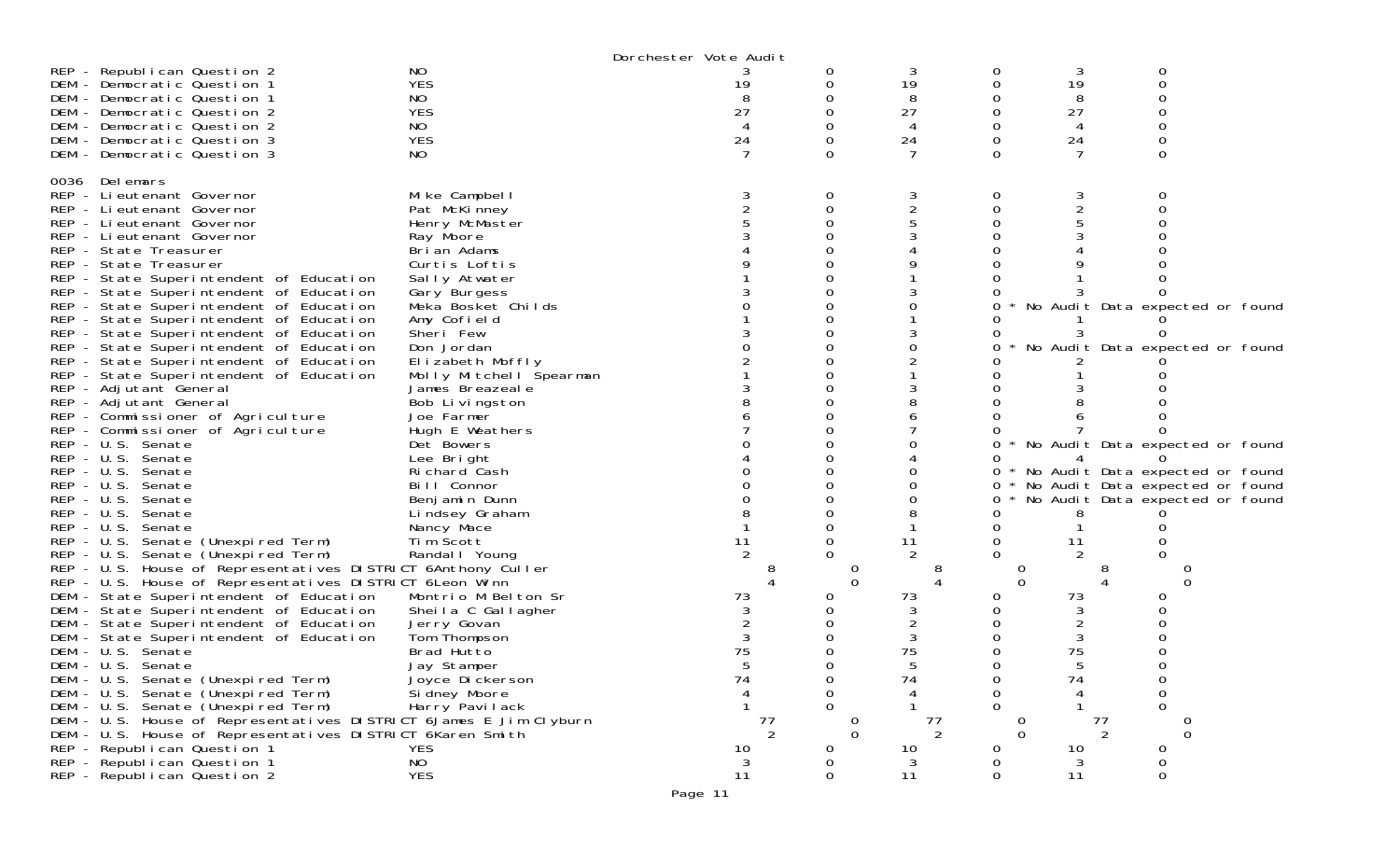|                                                                                                                                                                                                                                                                                                                                                                                                                                                                                                                                                                                                                                                                                                                                                                                                                                                                                                                                                                                                                                                                                                                                                                                                                                                                                                                                                                                                                                                                                                                                                             |                                                                                                                                                                                                                                                                                                                                                                                                                                                                                                                                                                                                                                              | Dorchester Vote Audit            |                                                      |                                                 |                                                              |                                                                |                                                                                                                                                                                                                                            |  |
|-------------------------------------------------------------------------------------------------------------------------------------------------------------------------------------------------------------------------------------------------------------------------------------------------------------------------------------------------------------------------------------------------------------------------------------------------------------------------------------------------------------------------------------------------------------------------------------------------------------------------------------------------------------------------------------------------------------------------------------------------------------------------------------------------------------------------------------------------------------------------------------------------------------------------------------------------------------------------------------------------------------------------------------------------------------------------------------------------------------------------------------------------------------------------------------------------------------------------------------------------------------------------------------------------------------------------------------------------------------------------------------------------------------------------------------------------------------------------------------------------------------------------------------------------------------|----------------------------------------------------------------------------------------------------------------------------------------------------------------------------------------------------------------------------------------------------------------------------------------------------------------------------------------------------------------------------------------------------------------------------------------------------------------------------------------------------------------------------------------------------------------------------------------------------------------------------------------------|----------------------------------|------------------------------------------------------|-------------------------------------------------|--------------------------------------------------------------|----------------------------------------------------------------|--------------------------------------------------------------------------------------------------------------------------------------------------------------------------------------------------------------------------------------------|--|
| REP - Republican Question 2<br>DEM - Democratic Question 1<br>DEM - Democratic Question 1<br>DEM - Democratic Question 2                                                                                                                                                                                                                                                                                                                                                                                                                                                                                                                                                                                                                                                                                                                                                                                                                                                                                                                                                                                                                                                                                                                                                                                                                                                                                                                                                                                                                                    | NO.<br><b>YES</b><br>NO.<br><b>YES</b>                                                                                                                                                                                                                                                                                                                                                                                                                                                                                                                                                                                                       | 19<br>27                         | 0<br>0<br>Ω<br>Ω                                     | 3<br>19<br>8<br>27                              | 0<br>0                                                       | 3<br>19<br>8<br>27                                             | 0<br>0                                                                                                                                                                                                                                     |  |
| DEM - Democratic Question 2<br>DEM - Democratic Question 3<br>DEM - Democratic Question 3                                                                                                                                                                                                                                                                                                                                                                                                                                                                                                                                                                                                                                                                                                                                                                                                                                                                                                                                                                                                                                                                                                                                                                                                                                                                                                                                                                                                                                                                   | NO.<br><b>YES</b><br>NO.                                                                                                                                                                                                                                                                                                                                                                                                                                                                                                                                                                                                                     | 4<br>24                          | Ω<br>0                                               | 24<br>7                                         | $\Omega$                                                     | 24                                                             | $\Omega$                                                                                                                                                                                                                                   |  |
| 0036 Delemars<br>REP - Lieutenant Governor<br>REP - Lieutenant Governor<br>REP - Lieutenant Governor<br>REP - Lieutenant Governor<br>REP - State Treasurer<br>REP - State Treasurer<br>REP - State Superintendent of Education<br>REP - State Superintendent of Education<br>REP - State Superintendent of Education<br>REP - State Superintendent of Education<br>REP - State Superintendent of Education<br>REP - State Superintendent of Education<br>REP - State Superintendent of Education<br>REP - State Superintendent of Education<br>REP - Adjutant General<br>REP - Adjutant General<br>REP - Commissioner of Agriculture<br>REP - Commissioner of Agriculture<br>REP - U.S. Senate<br>REP - U.S. Senate<br>REP - U.S. Senate<br>$REP - U.S.$<br>Senate<br>REP - U.S. Senate<br>$REP - U.S.$<br>Senate<br>$REP - U.S.$<br>Senate<br>REP - U.S. Senate (Unexpired Term)<br>REP - U.S. Senate (Unexpired Term)<br>REP - U.S. House of Representatives DISTRICT 6Anthony Culler<br>REP - U.S. House of Representatives DISTRICT 6Leon Winn<br>DEM - State Superintendent of Education<br>DEM - State Superintendent of Education<br>DEM - State Superintendent of Education<br>DEM - State Superintendent of Education<br>DEM - U.S. Senate<br>DEM - U.S. Senate<br>DEM - U.S. Senate (Unexpired Term)<br>DEM - U.S. Senate (Unexpired Term)<br>DEM - U.S. Senate (Unexpired Term)<br>DEM - U.S. House of Representatives DISTRICT 6James E Jim Clyburn<br>DEM - U.S. House of Representatives DISTRICT 6Karen Smith<br>REP - Republican Question 1 | Mike Campbell<br>Pat McKinney<br>Henry McMaster<br>Ray Moore<br>Bri an Adams<br>Curtis Loftis<br>Sally Atwater<br>Gary Burgess<br>Meka Bosket Childs<br>Amy Cofield<br>Sheri Few<br>Don Jordan<br>Elizabeth Moffly<br>Molly Mitchell Spearman<br>James Breazeale<br>Bob Livingston<br>Joe Farmer<br>Hugh E Weathers<br>Det Bowers<br>Lee Bright<br>Richard Cash<br>Bill Connor<br>Benjamin Dunn<br>Lindsey Graham<br>Nancy Mace<br>Tim Scott<br>Randal   Young<br>Montrio M Belton Sr<br>Sheila C Gallagher<br>Jerry Govan<br>Tom Thompson<br>Brad Hutto<br>Jay Stamper<br>Joyce Di ckerson<br>Si dney Moore<br>Harry Pavilack<br><b>YES</b> | 11<br>73<br>75<br>74<br>77<br>10 | 0<br>0<br>$\Omega$<br>0<br>$\Omega$<br>$\Omega$<br>0 | 3<br>11<br>73<br>3<br>75<br>74<br>77<br>2<br>10 | 0<br>0<br>0<br>0<br>0<br>0<br>$\Omega$<br>0<br>$\Omega$<br>0 | 3<br>2<br>11<br>73<br>3<br>2<br>3<br>75<br>74<br>77<br>2<br>10 | 0<br>No Audit Data expected or found<br>No Audit Data expected or found<br>* No Audit Data expected or found<br>* No Audit Data expected or found<br>* No Audit Data expected or found<br>* No Audit Data expected or found<br>0<br>0<br>0 |  |
| REP - Republican Question 1<br>REP - Republican Question 2                                                                                                                                                                                                                                                                                                                                                                                                                                                                                                                                                                                                                                                                                                                                                                                                                                                                                                                                                                                                                                                                                                                                                                                                                                                                                                                                                                                                                                                                                                  | NO<br><b>YES</b>                                                                                                                                                                                                                                                                                                                                                                                                                                                                                                                                                                                                                             | 3<br>11                          | 0<br>0                                               | $\mathbf{3}$<br>11                              | 0<br>0                                                       | 3<br>11                                                        | 0                                                                                                                                                                                                                                          |  |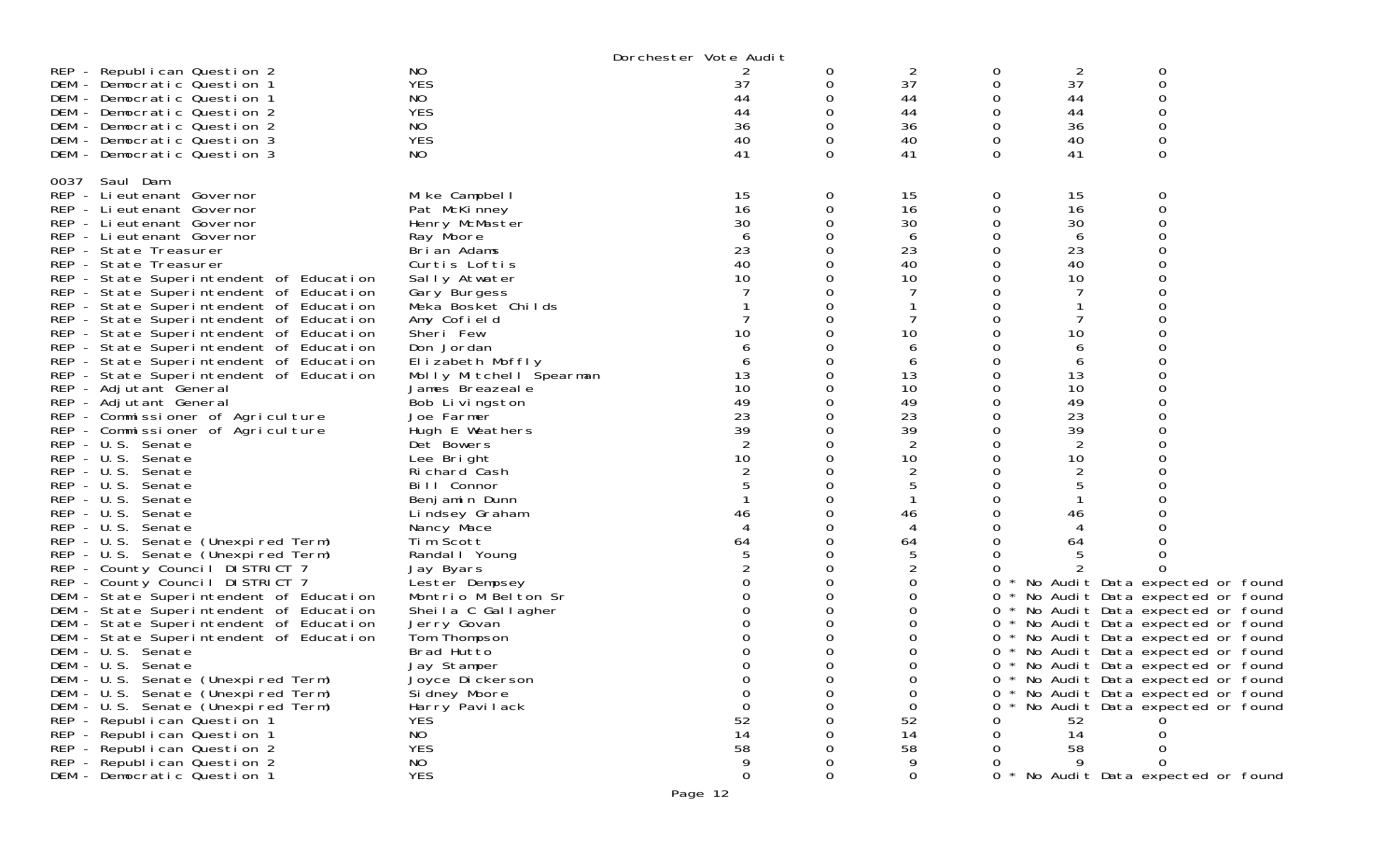|                                         |                         | Dorchester Vote Audit |          |          |   |    |                                     |  |
|-----------------------------------------|-------------------------|-----------------------|----------|----------|---|----|-------------------------------------|--|
| REP - Republican Question 2             | NO                      |                       | 0        | 2        | 0 | 2  | 0                                   |  |
| DEM - Democratic Question 1             | <b>YES</b>              | 37                    | 0        | 37       | 0 | 37 | 0                                   |  |
| DEM - Democratic Question 1             | NO                      | 44                    | 0        | 44       |   | 44 | 0                                   |  |
| DEM - Democratic Question 2             | <b>YES</b>              | 44                    | 0        | 44       |   | 44 | ∩                                   |  |
| DEM - Democratic Question 2             | NO                      | 36                    | 0        | 36       |   | 36 | 0                                   |  |
| DEM - Democratic Question 3             | <b>YES</b>              | 40                    | 0        | 40       | 0 | 40 | 0                                   |  |
| DEM - Democratic Question 3             | NO                      | 41                    | $\Omega$ | 41       | 0 | 41 | $\Omega$                            |  |
|                                         |                         |                       |          |          |   |    |                                     |  |
| 0037 Saul Dam                           |                         |                       |          |          |   |    |                                     |  |
| REP - Lieutenant Governor               | Mike Campbell           | 15                    | 0        | 15       | 0 | 15 | 0                                   |  |
| REP - Lieutenant Governor               | Pat McKinney            | 16                    | 0        | 16       | 0 | 16 | $\mathbf 0$                         |  |
| REP - Lieutenant Governor               | Henry McMaster          | 30                    |          | 30       |   | 30 |                                     |  |
| REP - Lieutenant Governor               | Ray Moore               | 6                     | 0        | 6        |   | 6  |                                     |  |
| REP - State Treasurer                   | Brian Adams             | 23                    |          | 23       |   | 23 |                                     |  |
| REP - State Treasurer                   | Curtis Loftis           | 40                    |          | 40       |   | 40 |                                     |  |
| REP - State Superintendent of Education | Sally Atwater           | 10                    | 0        | 10       |   | 10 |                                     |  |
| REP - State Superintendent of Education | Gary Burgess            |                       |          |          |   |    |                                     |  |
| REP - State Superintendent of Education | Meka Bosket Childs      |                       |          |          |   |    |                                     |  |
| REP - State Superintendent of Education | Amy Cofield             |                       | 0        |          |   |    |                                     |  |
| REP - State Superintendent of Education | Sheri Few               | 10                    |          | 10       |   | 10 |                                     |  |
| REP - State Superintendent of Education | Don Jordan              |                       |          | 6        |   | 6  |                                     |  |
| REP - State Superintendent of Education | Elizabeth Moffly        | 6                     | 0        | 6        |   | 6  |                                     |  |
| REP - State Superintendent of Education | Molly Mitchell Spearman | 13                    |          | 13       |   | 13 |                                     |  |
| REP - Adjutant General                  | James Breazeale         | 10                    |          | 10       | O | 10 | ∩                                   |  |
| REP - Adjutant General                  | Bob Livingston          | 49                    |          | 49       |   | 49 |                                     |  |
| REP - Commissioner of Agriculture       | Joe Farmer              | 23                    |          | 23       |   | 23 |                                     |  |
| REP - Commissioner of Agriculture       | Hugh E Weathers         | 39                    |          | 39       |   | 39 |                                     |  |
| REP - U.S. Senate                       | Det Bowers              |                       | 0        | 2        |   | 2  |                                     |  |
| REP - U.S. Senate                       | Lee Bright              | 10                    | 0        | 10       |   | 10 |                                     |  |
| REP - U.S. Senate                       | Richard Cash            |                       |          | 2        |   |    |                                     |  |
| REP - U.S. Senate                       | Bill Connor             |                       |          | 5        |   | 5  |                                     |  |
| REP - U.S. Senate                       | Benjamin Dunn           |                       |          |          |   |    |                                     |  |
| REP - U.S. Senate                       | Lindsey Graham          | 46                    |          | 46       |   | 46 |                                     |  |
| REP - U.S. Senate                       | Nancy Mace              | 4                     |          | 4        |   | 4  |                                     |  |
| REP - U.S. Senate (Unexpired Term)      | Tim Scott               | 64                    |          | 64       |   | 64 |                                     |  |
| REP - U.S. Senate (Unexpired Term)      | Randal   Young          |                       | 0        | 5        |   |    |                                     |  |
| REP - County Council DISTRICT 7         | Jay Byars               |                       | 0        | 2        |   |    |                                     |  |
| REP - County Council DISTRICT 7         | Lester Dempsey          |                       | Ω        | 0        | 0 |    | * No Audit Data expected or found   |  |
| DEM - State Superintendent of Education | Montrio M Belton Sr     |                       | 0        | 0        | 0 |    | * No Audit Data expected or found   |  |
| DEM - State Superintendent of Education | Sheila C Gallagher      |                       | 0        | 0        |   |    | 0 * No Audit Data expected or found |  |
| DEM - State Superintendent of Education | Jerry Govan             |                       |          | 0        | 0 |    | * No Audit Data expected or found   |  |
| DEM - State Superintendent of Education | Tom Thompson            |                       | 0        | 0        | 0 |    | * No Audit Data expected or found   |  |
| DEM - U.S. Senate                       | Brad Hutto              |                       | 0        | 0        | 0 |    | * No Audit Data expected or found   |  |
| DEM - U.S. Senate                       | Jay Stamper             |                       | 0        | 0        | 0 |    | * No Audit Data expected or found   |  |
| DEM - U.S. Senate (Unexpired Term)      | Joyce Dickerson         |                       |          | 0        |   |    | 0 * No Audit Data expected or found |  |
| DEM - U.S. Senate (Unexpired Term)      | Si dney Moore           |                       |          | $\Omega$ | 0 |    | * No Audit Data expected or found   |  |
| DEM - U.S. Senate (Unexpired Term)      | Harry Pavilack          |                       |          | 0        | 0 |    | No Audit Data expected or found     |  |
| REP - Republican Question 1             | <b>YES</b>              | 52                    |          | 52       |   | 52 |                                     |  |
| REP - Republican Question 1             | <b>NO</b>               | 14                    |          | 14       |   | 14 |                                     |  |
| REP - Republican Question 2             | <b>YES</b>              | 58                    |          | 58       |   | 58 |                                     |  |
| REP - Republican Question 2             | NO                      | 9                     |          |          |   | Q  |                                     |  |
| DEM - Democratic Question 1             | <b>YES</b>              | $\mathbf{O}$          | 0        | 0        |   |    | * No Audit Data expected or found   |  |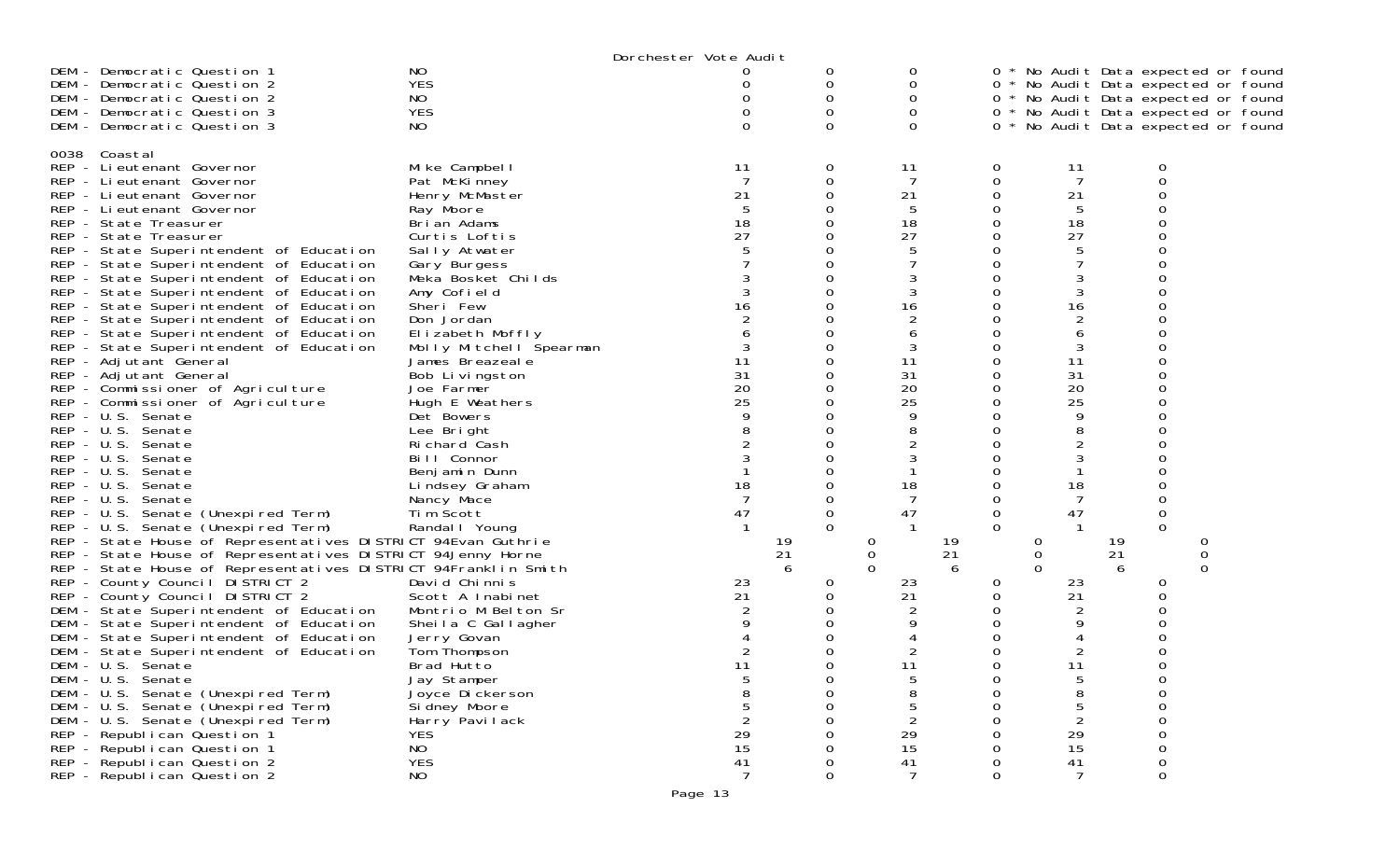|                                                                   |                                    | Dorchester Vote Audit |   |                         |    |          |                |    |                                     |  |
|-------------------------------------------------------------------|------------------------------------|-----------------------|---|-------------------------|----|----------|----------------|----|-------------------------------------|--|
| NO<br>DEM - Democratic Question 1                                 |                                    |                       | 0 | 0                       |    |          |                |    | 0 * No Audit Data expected or found |  |
| <b>YES</b><br>DEM - Democratic Question 2                         |                                    | 0                     | 0 | 0                       |    |          |                |    | 0 * No Audit Data expected or found |  |
| NO<br>DEM - Democratic Question 2                                 |                                    |                       | 0 | 0                       |    |          |                |    | 0 * No Audit Data expected or found |  |
| <b>YES</b><br>DEM - Democratic Question 3                         |                                    |                       |   | 0                       |    |          |                |    | 0 * No Audit Data expected or found |  |
| DEM - Democratic Question 3<br>NO                                 |                                    |                       | Ω | 0                       |    |          |                |    | 0 * No Audit Data expected or found |  |
|                                                                   |                                    |                       |   |                         |    |          |                |    |                                     |  |
| Coastal<br>0038<br>REP - Lieutenant Governor                      | Mike Campbell                      | 11                    | 0 | 11                      | 0  |          | 11             |    | 0                                   |  |
| REP - Lieutenant Governor                                         | Pat McKinney                       |                       | 0 | 7                       | 0  |          | 7              |    | 0                                   |  |
| REP - Lieutenant Governor                                         | Henry McMaster                     | 21                    |   | 21                      | 0  |          | 21             |    |                                     |  |
| REP - Lieutenant Governor                                         | Ray Moore                          |                       |   | 5                       |    |          | 5              |    |                                     |  |
| REP - State Treasurer                                             | Brian Adams                        | 18                    |   | 18                      | 0  |          | 18             |    |                                     |  |
| REP - State Treasurer                                             | Curtis Loftis                      | 27                    |   | 27                      | 0  |          | 27             |    |                                     |  |
| REP - State Superintendent of Education                           | Sally Atwater                      |                       |   | 5                       |    |          | 5              |    |                                     |  |
| REP - State Superintendent of Education                           |                                    |                       |   |                         | Ω  |          |                |    |                                     |  |
| REP - State Superintendent of Education                           | Gary Burgess<br>Meka Bosket Childs |                       |   | 3                       |    |          | 3              |    |                                     |  |
| REP - State Superintendent of Education                           | Amy Cofield                        |                       |   | 3                       |    |          | 3              |    |                                     |  |
| REP - State Superintendent of Education                           | Sheri Few                          | 16                    |   | 16                      | 0  |          | 16             |    |                                     |  |
| REP - State Superintendent of Education                           | Don Jordan                         |                       |   | $\overline{c}$          |    |          | $\overline{c}$ |    |                                     |  |
| REP - State Superintendent of Education                           | Elizabeth Moffly                   |                       |   | 6                       |    |          | 6              |    |                                     |  |
|                                                                   | Molly Mitchell Spearman            |                       |   | 3                       | 0  |          | 3              |    |                                     |  |
| REP - State Superintendent of Education<br>REP - Adjutant General | James Breazeale                    | 11                    |   | 11                      |    |          | 11             |    |                                     |  |
| REP - Adjutant General                                            | Bob Livingston                     | 31                    |   | 31                      | 0  |          | 31             |    |                                     |  |
| REP - Commissioner of Agriculture                                 | Joe Farmer                         | 20                    |   | 20                      | 0  |          | 20             |    |                                     |  |
| REP - Commissioner of Agriculture                                 | Hugh E Weathers                    | 25                    |   | 25                      |    |          | 25             |    |                                     |  |
| REP - U.S. Senate                                                 | Det Bowers                         |                       |   | 9                       | Ω  |          | 9              |    |                                     |  |
| REP - U.S. Senate                                                 | Lee Bright                         |                       |   | 8                       |    |          | 8              |    |                                     |  |
| REP - U.S. Senate                                                 | Richard Cash                       |                       |   | 2                       |    |          | $\overline{2}$ |    |                                     |  |
| REP - U.S. Senate                                                 | Bill Connor                        |                       |   | 3                       |    |          | 3              |    |                                     |  |
| REP - U.S. Senate                                                 | Benjamin Dunn                      |                       |   |                         |    |          |                |    |                                     |  |
| $REP - U.S.$<br>Senate                                            | Lindsey Graham                     | 18                    |   | 18                      |    |          | 18             |    |                                     |  |
| REP - U.S. Senate                                                 | Nancy Mace                         |                       |   |                         | 0  |          |                |    | 0                                   |  |
| REP - U.S. Senate (Unexpired Term)                                | Tim Scott                          | 47                    | 0 | 47                      | 0  |          | 47             |    | 0                                   |  |
| REP - U.S. Senate (Unexpired Term)                                | Randal   Young                     |                       |   |                         | 0  |          |                |    | $\Omega$                            |  |
| REP - State House of Representatives DISTRICT 94Evan Guthrie      |                                    | 19                    |   | 0                       | 19 | 0        |                | 19 | 0                                   |  |
| REP - State House of Representatives DISTRICT 94Jenny Horne       |                                    | 21                    |   | $\mathbf 0$             | 21 | 0        |                | 21 | 0                                   |  |
| REP - State House of Representatives DISTRICT 94Franklin Smith    |                                    |                       | 6 | $\Omega$                | 6  | $\Omega$ |                | 6  | $\Omega$                            |  |
| REP - County Council DISTRICT 2                                   | David Chinnis                      | 23                    | 0 | 23                      | 0  |          | 23             |    | 0                                   |  |
| REP - County Council DISTRICT 2                                   | Scott A Inabinet                   | 21                    |   | 21                      | 0  |          | 21             |    | 0                                   |  |
| DEM - State Superintendent of Education                           | Montrio M Belton Sr                |                       |   |                         |    |          |                |    |                                     |  |
| DEM - State Superintendent of Education                           | Sheila C Gallagher                 |                       |   |                         |    |          | 9              |    |                                     |  |
| DEM - State Superintendent of Education                           | Jerry Govan                        |                       |   |                         |    |          |                |    |                                     |  |
| DEM - State Superintendent of Education                           | Tom Thompson                       |                       |   |                         |    |          |                |    |                                     |  |
| DEM - U.S. Senate                                                 | Brad Hutto                         | 11                    |   | 11                      |    |          | 11             |    | ∩                                   |  |
| DEM - U.S. Senate                                                 | Jay Stamper                        |                       |   | 5                       | 0  |          |                |    | 0                                   |  |
| DEM - U.S. Senate (Unexpired Term)                                | Joyce Di ckerson                   |                       | ი | 8                       | 0  |          | 8              |    | 0                                   |  |
| DEM - U.S. Senate (Unexpired Term)                                | Si dney Moore                      |                       |   | 5                       |    |          | 5              |    | $\Omega$                            |  |
| DEM - U.S. Senate (Unexpired Term)                                | Harry Pavilack                     |                       |   | $\overline{\mathbf{c}}$ |    |          |                |    |                                     |  |
| <b>YES</b><br>REP - Republican Question 1                         |                                    | 29                    |   | 29                      |    |          | 29             |    |                                     |  |
| <b>NO</b><br>REP - Republican Question 1                          |                                    | 15                    |   | 15                      |    |          | 15             |    |                                     |  |
| <b>YES</b><br>REP - Republican Question 2                         |                                    | 41                    |   | 41                      |    |          | 41             |    | $\mathbf 0$                         |  |
| <b>NO</b><br>REP - Republican Question 2                          |                                    | 7                     | 0 | $\overline{7}$          | 0  |          | 7              |    | $\mathbf 0$                         |  |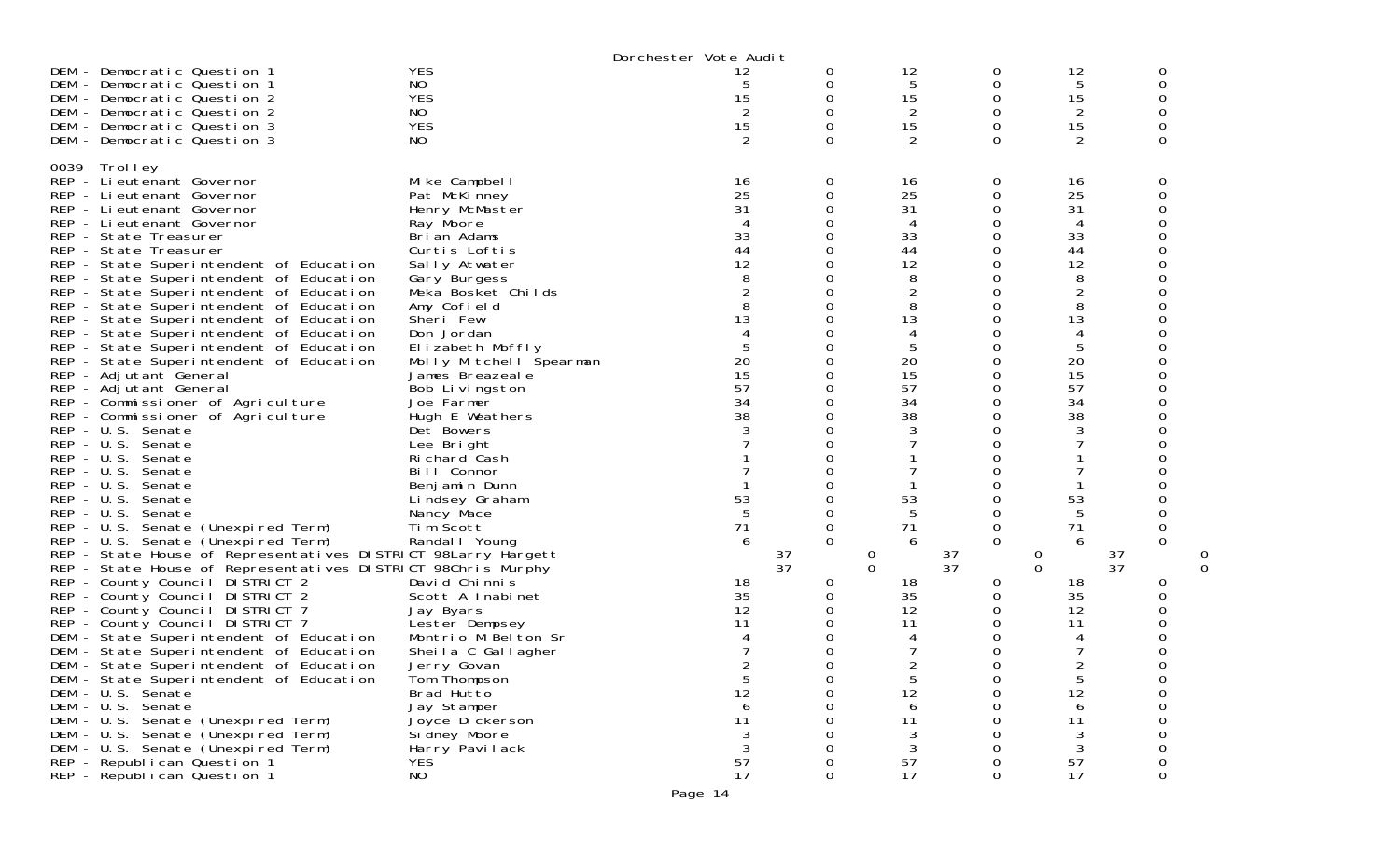|      |                                                                                                                                                                                                                                                                                                                                                                                                                                                                                                                                                                                                                                                                                                                                                                                                                                                                                                                                                                                                                                                                                                                                                                                                                                                                                                                                                                                                                                                                                                                                                                                        |                                                                                                                                                                                                                                                                                                                                                                                                                                                                                                                                                                                                                                                                                                                       | Dorchester Vote Audit                                                                                                                                                                                                           |                                                                                                              |                                                                                                                                                                                                                  |                                                                                                                                                                                                                                                            |                                                                                                                                                                                                                                                  |                                                  |
|------|----------------------------------------------------------------------------------------------------------------------------------------------------------------------------------------------------------------------------------------------------------------------------------------------------------------------------------------------------------------------------------------------------------------------------------------------------------------------------------------------------------------------------------------------------------------------------------------------------------------------------------------------------------------------------------------------------------------------------------------------------------------------------------------------------------------------------------------------------------------------------------------------------------------------------------------------------------------------------------------------------------------------------------------------------------------------------------------------------------------------------------------------------------------------------------------------------------------------------------------------------------------------------------------------------------------------------------------------------------------------------------------------------------------------------------------------------------------------------------------------------------------------------------------------------------------------------------------|-----------------------------------------------------------------------------------------------------------------------------------------------------------------------------------------------------------------------------------------------------------------------------------------------------------------------------------------------------------------------------------------------------------------------------------------------------------------------------------------------------------------------------------------------------------------------------------------------------------------------------------------------------------------------------------------------------------------------|---------------------------------------------------------------------------------------------------------------------------------------------------------------------------------------------------------------------------------|--------------------------------------------------------------------------------------------------------------|------------------------------------------------------------------------------------------------------------------------------------------------------------------------------------------------------------------|------------------------------------------------------------------------------------------------------------------------------------------------------------------------------------------------------------------------------------------------------------|--------------------------------------------------------------------------------------------------------------------------------------------------------------------------------------------------------------------------------------------------|--------------------------------------------------|
|      | DEM - Democratic Question 1<br>DEM - Democratic Question 1<br>DEM - Democratic Question 2<br>DEM - Democratic Question 2<br>DEM - Democratic Question 3<br>DEM - Democratic Question 3                                                                                                                                                                                                                                                                                                                                                                                                                                                                                                                                                                                                                                                                                                                                                                                                                                                                                                                                                                                                                                                                                                                                                                                                                                                                                                                                                                                                 | <b>YES</b><br>NO<br><b>YES</b><br>NO<br><b>YES</b><br>NO.                                                                                                                                                                                                                                                                                                                                                                                                                                                                                                                                                                                                                                                             | 12<br>5<br>15<br>2<br>15<br>2                                                                                                                                                                                                   | 0<br>0<br>0<br>0<br>0<br>$\Omega$                                                                            | 12<br>5<br>15<br>2<br>15                                                                                                                                                                                         | 0<br>0<br>$\Omega$<br>0<br>0<br>$\Omega$                                                                                                                                                                                                                   | 12<br>5<br>15<br>2<br>15<br>2                                                                                                                                                                                                                    | 0<br>0<br>0<br>0<br>0                            |
| 0039 | Trolley<br>REP - Li eutenant Governor<br>REP - Lieutenant Governor<br>REP - Lieutenant Governor<br>REP - Lieutenant Governor<br>REP - State Treasurer<br>REP - State Treasurer<br>REP - State Superintendent of Education<br>REP - State Superintendent of Education<br>REP - State Superintendent of Education<br>REP - State Superintendent of Education<br>REP - State Superintendent of Education<br>REP - State Superintendent of Education<br>REP - State Superintendent of Education<br>REP - State Superintendent of Education<br>REP - Adjutant General<br>REP - Adjutant General<br>REP - Commissioner of Agriculture<br>REP - Commissioner of Agriculture<br>REP - U.S. Senate<br>REP - U.S. Senate<br>REP - U.S. Senate<br>REP - U.S. Senate<br>REP - U.S. Senate<br>REP - U.S. Senate<br>REP - U.S. Senate<br>REP - U.S. Senate (Unexpired Term)<br>REP - U.S. Senate (Unexpired Term)<br>REP - State House of Representatives DISTRICT 98Larry Hargett<br>REP - State House of Representatives DISTRICT 98Chris Murphy<br>REP - County Council DISTRICT 2<br>REP - County Council DISTRICT 2<br>REP - County Council DISTRICT 7<br>REP - County Council DISTRICT 7<br>DEM - State Superintendent of Education<br>DEM - State Superintendent of Education<br>DEM - State Superintendent of Education<br>DEM - State Superintendent of Education<br>DEM - U.S. Senate<br>DEM - U.S. Senate<br>DEM - U.S. Senate (Unexpired Term)<br>DEM - U.S. Senate (Unexpired Term)<br>DEM - U.S. Senate (Unexpired Term)<br>REP - Republican Question 1<br>REP - Republican Question 1 | Mike Campbell<br>Pat McKinney<br>Henry McMaster<br>Ray Moore<br>Brian Adams<br>Curtis Loftis<br>Sally Atwater<br>Gary Burgess<br>Meka Bosket Childs<br>Amy Cofield<br>Sheri Few<br>Don Jordan<br>Elizabeth Moffly<br>Molly Mitchell Spearman<br>James Breazeale<br>Bob Livingston<br>Joe Farmer<br>Hugh E Weathers<br>Det Bowers<br>Lee Bright<br>Richard Cash<br>Bill Connor<br>Benjamin Dunn<br>Lindsey Graham<br>Nancy Mace<br>Tim Scott<br>Randal   Young<br>David Chinnis<br>Scott A Inabinet<br>Jay Byars<br>Lester Dempsey<br>Montrio M Belton Sr<br>Sheila C Gallagher<br>Jerry Govan<br>Tom Thompson<br>Brad Hutto<br>Jay Stamper<br>Joyce Di ckerson<br>Si dney Moore<br>Harry Pavilack<br><b>YES</b><br>NO | 16<br>25<br>31<br>33<br>44<br>12<br>8<br>$\overline{2}$<br>8<br>13<br>4<br>5<br>20<br>15<br>57<br>34<br>38<br>3<br>53<br>5<br>71<br>6<br>18<br>35<br>12<br>11<br>4<br>$\mathcal{D}$<br>5<br>12<br>6<br>11<br>3<br>3<br>57<br>17 | 0<br>0<br>0<br>0<br>0<br>0<br>0<br>0<br>0<br>37<br>37<br>0<br>U<br>0<br>0<br>0<br>0<br>0<br>0<br>$\mathbf 0$ | 16<br>25<br>31<br>4<br>33<br>44<br>12<br>8<br>8<br>13<br>5<br>20<br>15<br>57<br>34<br>38<br>53<br>5<br>71<br>6<br>0<br>$\Omega$<br>18<br>35<br>12<br>11<br>$\overline{5}$<br>12<br>6<br>11<br>3<br>3<br>57<br>17 | 0<br>$\mathbf 0$<br>0<br>0<br>$\mathbf 0$<br>0<br>0<br>0<br>0<br>0<br>$\mathbf 0$<br>0<br>0<br>0<br>0<br>0<br>0<br>0<br>0<br>O<br>0<br>0<br>0<br>0<br>0<br>0<br>0<br>37<br>37<br>0<br>0<br>0<br>0<br>0<br>0<br>$\Omega$<br>0<br>0<br>Ω<br>0<br>0<br>0<br>0 | 16<br>25<br>31<br>4<br>33<br>44<br>12<br>8<br>$\overline{c}$<br>8<br>13<br>4<br>5<br>20<br>15<br>57<br>34<br>38<br>3<br>53<br>5<br>71<br>6<br>37<br>0<br>37<br>$\Omega$<br>18<br>35<br>12<br>11<br>っ<br>5<br>12<br>6<br>11<br>3<br>3<br>57<br>17 | 0<br>0<br>0<br>$\Omega$<br>0<br>0<br>∩<br>0<br>0 |

Page 14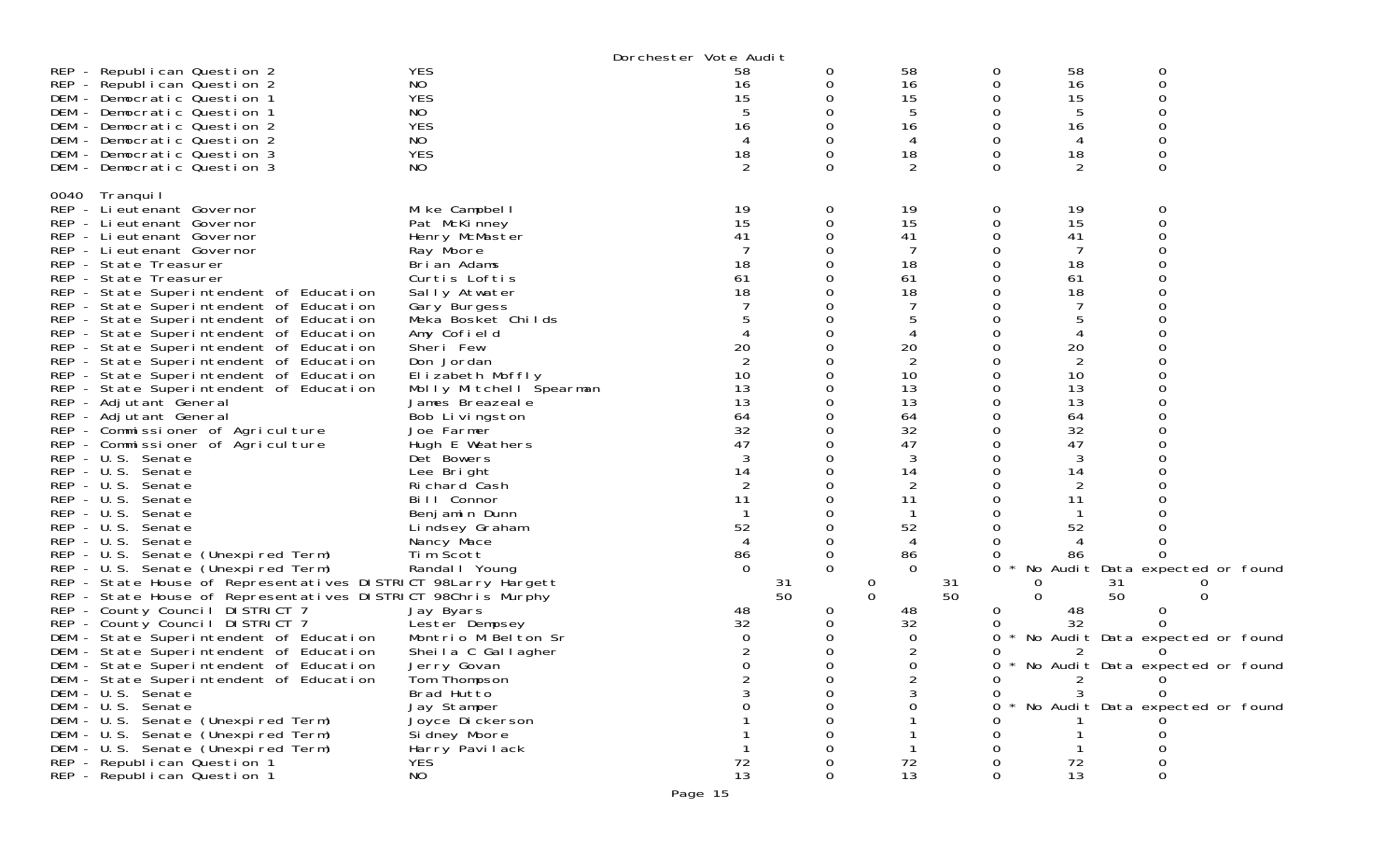|                                                               |                         | Dorchester Vote Audit |          |          |    |    |                                   |
|---------------------------------------------------------------|-------------------------|-----------------------|----------|----------|----|----|-----------------------------------|
| REP - Republican Question 2                                   | <b>YES</b>              | 58                    |          | 58       | 0  | 58 | 0                                 |
| REP - Republican Question 2                                   | NO                      | 16                    |          | 16       | 0  | 16 | 0                                 |
| DEM - Democratic Question 1                                   | <b>YES</b>              | 15                    |          | 15       | 0  | 15 |                                   |
| DEM - Democratic Question 1                                   | NO.                     |                       |          | 5        | 0  | 5  | O                                 |
| DEM - Democratic Question 2                                   | <b>YES</b>              | 16                    |          | 16       | 0  | 16 | 0                                 |
| DEM - Democratic Question 2                                   | NO                      |                       |          | 4        |    | 4  | 0                                 |
| DEM - Democratic Question 3                                   | <b>YES</b>              | 18                    |          | 18       | 0  | 18 | O                                 |
| DEM - Democratic Question 3                                   | NO                      |                       |          | 2        | 0  | 2  | 0                                 |
|                                                               |                         |                       |          |          |    |    |                                   |
| 0040 Tranqui I                                                |                         |                       |          |          |    |    |                                   |
| REP - Lieutenant Governor                                     | Mike Campbell           | 19                    | 0        | 19       | 0  | 19 | 0                                 |
| REP - Lieutenant Governor                                     |                         | 15                    |          | 15       | 0  | 15 | 0                                 |
|                                                               | Pat McKinney            | 41                    |          |          |    |    | 0                                 |
| REP - Lieutenant Governor                                     | Henry McMaster          |                       |          | 41       | 0  | 41 |                                   |
| REP - Lieutenant Governor                                     | Ray Moore               |                       |          |          |    | 7  |                                   |
| REP - State Treasurer                                         | Brian Adams             | 18                    |          | 18       |    | 18 |                                   |
| REP - State Treasurer                                         | Curtis Loftis           | 61                    |          | 61       | 0  | 61 |                                   |
| REP - State Superintendent of Education                       | Sally Atwater           | 18                    |          | 18       | 0  | 18 |                                   |
| REP - State Superintendent of Education                       | Gary Burgess            |                       |          |          |    |    |                                   |
| REP - State Superintendent of Education                       | Meka Bosket Childs      |                       |          |          | 0  |    |                                   |
| REP - State Superintendent of Education                       | Amy Cofield             |                       |          |          |    |    |                                   |
| REP - State Superintendent of Education                       | Sheri Few               | 20                    |          | 20       |    | 20 |                                   |
| REP - State Superintendent of Education                       | Don Jordan              |                       |          | 2        | Ω  | 2  |                                   |
| REP - State Superintendent of Education                       | Elizabeth Moffly        | 10                    |          | 10       |    | 10 |                                   |
| REP - State Superintendent of Education                       | Molly Mitchell Spearman | 13                    |          | 13       | 0  | 13 |                                   |
| REP - Adjutant General                                        | James Breazeale         | 13                    |          | 13       | 0  | 13 |                                   |
| REP - Adjutant General                                        | Bob Livingston          | 64                    |          | 64       |    | 64 |                                   |
| REP - Commissioner of Agriculture                             | Joe Farmer              | 32                    |          | 32       | 0  | 32 |                                   |
| REP - Commissioner of Agriculture                             | Hugh E Weathers         | 47                    |          | 47       | 0  | 47 |                                   |
| REP - U.S. Senate                                             |                         |                       |          | 3        |    | 3  |                                   |
|                                                               | Det Bowers              |                       |          |          |    |    |                                   |
| REP - U.S. Senate                                             | Lee Bright              | 14                    |          | 14       |    | 14 |                                   |
| REP - U.S. Senate                                             | Richard Cash            | 2                     |          | 2        | 0  | 2  |                                   |
| $REP - U.S.$<br>Senate                                        | Bill Connor             | 11                    |          | 11       |    | 11 |                                   |
| $REP - U.S.$<br>Senate                                        | Benjamin Dunn           |                       |          |          |    |    |                                   |
| REP - U.S. Senate                                             | Lindsey Graham          | 52                    |          | 52       |    | 52 |                                   |
| $REP - U.S.$<br>Senate                                        | Nancy Mace              |                       |          | 4        |    |    |                                   |
| REP - U.S. Senate (Unexpired Term)                            | Tim Scott               | 86                    |          | 86       |    | 86 |                                   |
| REP - U.S. Senate (Unexpired Term)                            | Randal   Young          | $\Omega$              | $\Omega$ | $\Omega$ | 0  |    | No Audit Data expected or found   |
| REP - State House of Representatives DISTRICT 98Larry Hargett |                         |                       | 31       | 0        | 31 | 0  | 31<br>O                           |
| REP - State House of Representatives DISTRICT 98Chris Murphy  |                         |                       | 50       | 0        | 50 | 0  | 50<br>n                           |
| REP - County Council DISTRICT 7                               | Jay Byars               | 48                    | 0        | 48       | 0  | 48 | 0                                 |
| REP - County Council DISTRICT 7                               | Lester Dempsey          | 32                    |          | 32       |    | 32 | 0                                 |
| DEM - State Superintendent of Education                       | Montrio M Belton Sr     | 0                     |          | $\Omega$ | 0  |    | No Audit Data expected or found   |
| DEM - State Superintendent of Education                       | Sheila C Gallagher      |                       |          | 2        | 0  | 2  |                                   |
| DEM - State Superintendent of Education                       | Jerry Govan             | $\Omega$              | 0        | 0        | 0  |    | * No Audit Data expected or found |
| DEM - State Superintendent of Education                       | Tom Thompson            |                       |          |          |    |    |                                   |
| DEM - U.S. Senate                                             | Brad Hutto              |                       |          | 3        |    |    |                                   |
| DEM - U.S. Senate                                             | Jay Stamper             |                       |          |          |    |    | * No Audit Data expected or found |
|                                                               |                         |                       |          |          |    |    |                                   |
| DEM - U.S. Senate (Unexpired Term)                            | Joyce Dickerson         |                       |          |          |    |    |                                   |
| DEM - U.S. Senate (Unexpired Term)                            | Si dney Moore           |                       |          |          |    |    |                                   |
| DEM - U.S. Senate (Unexpired Term)                            | Harry Pavilack          |                       |          |          |    |    |                                   |
| REP - Republican Question 1                                   | <b>YES</b>              | 72                    |          | 72       |    | 72 |                                   |
| REP - Republican Question 1                                   | <b>NO</b>               | 13                    |          | 13       | 0  | 13 | 0                                 |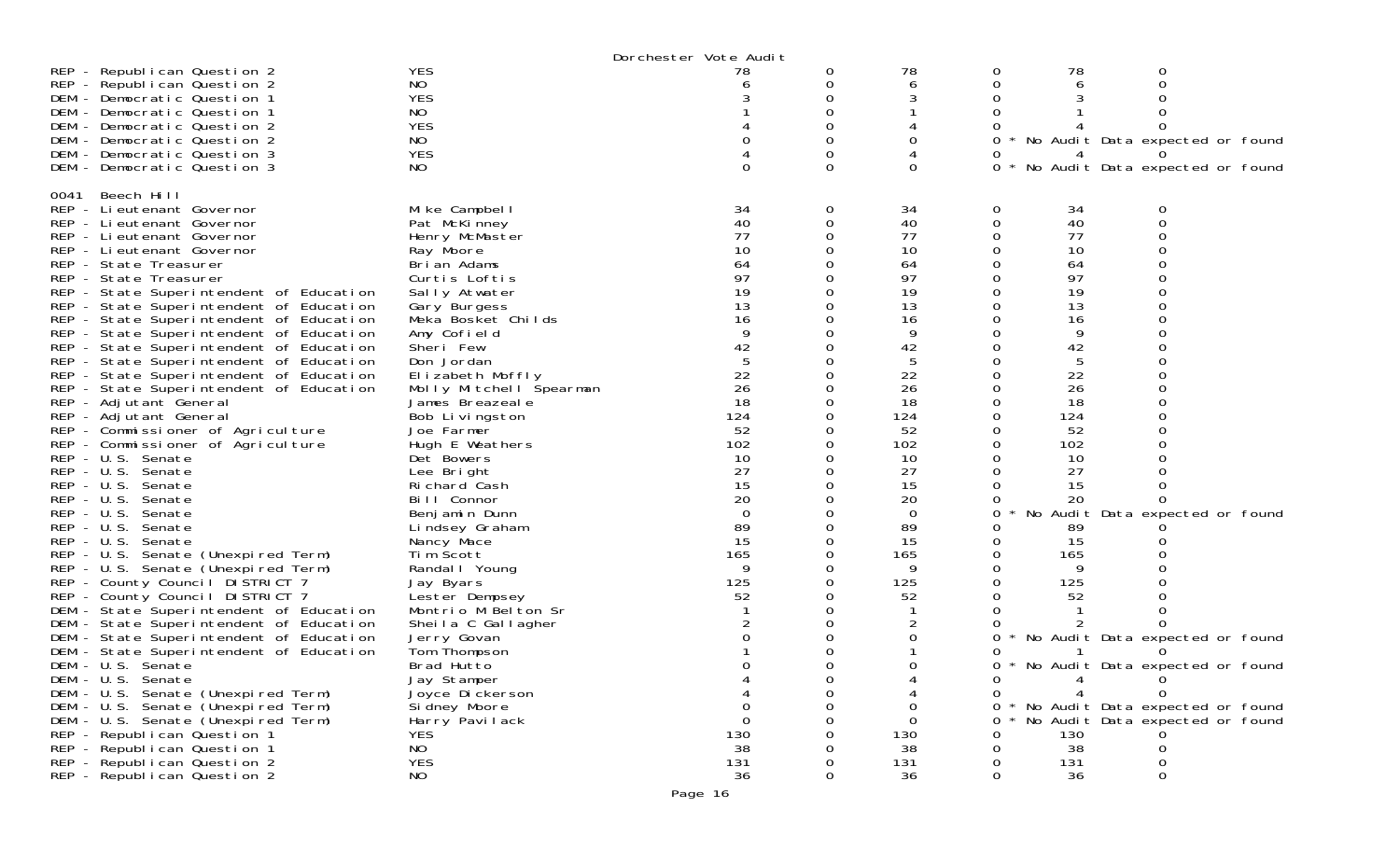|                                         |                         | Dorchester Vote Audit |          |          |   |     |                                 |  |
|-----------------------------------------|-------------------------|-----------------------|----------|----------|---|-----|---------------------------------|--|
| REP - Republican Question 2             | <b>YES</b>              | 78                    | O        | 78       | 0 | 78  | O                               |  |
| REP - Republican Question 2             | NO.                     |                       | 0        | 6        | 0 | 6   |                                 |  |
| DEM - Democratic Question 1             | <b>YES</b>              |                       | 0        |          |   |     |                                 |  |
|                                         |                         |                       |          |          |   |     |                                 |  |
| DEM - Democratic Question 1             | NO.                     |                       | 0        |          | 0 |     | 0                               |  |
| DEM - Democratic Question 2             | <b>YES</b>              |                       |          |          |   |     |                                 |  |
| DEM - Democratic Question 2             | NO.                     |                       | 0        | Ω        | 0 |     | No Audit Data expected or found |  |
| DEM - Democratic Question 3             | <b>YES</b>              |                       | 0        |          | O | 4   |                                 |  |
| DEM - Democratic Question 3             | NO.                     | $\Omega$              | 0        | $\Omega$ | 0 |     | No Audit Data expected or found |  |
|                                         |                         |                       |          |          |   |     |                                 |  |
|                                         |                         |                       |          |          |   |     |                                 |  |
| Beech Hill<br>0041                      |                         |                       |          |          |   |     |                                 |  |
| REP - Li eutenant Governor              | Mike Campbell           | 34                    | 0        | 34       | 0 | 34  | 0                               |  |
| REP - Lieutenant Governor               | Pat McKinney            | 40                    | 0        | 40       | 0 | 40  | 0                               |  |
| REP - Lieutenant Governor               | Henry McMaster          | 77                    | 0        | 77       | 0 | 77  | 0                               |  |
| REP - Lieutenant Governor               | Ray Moore               | 10                    | 0        | 10       |   | 10  |                                 |  |
| REP - State Treasurer                   | Brian Adams             | 64                    | 0        | 64       | 0 | 64  | $\Omega$                        |  |
| REP - State Treasurer                   | Curtis Loftis           | 97                    | 0        | 97       | 0 | 97  | 0                               |  |
|                                         |                         |                       |          |          |   |     |                                 |  |
| REP - State Superintendent of Education | Sally Atwater           | 19                    | 0        | 19       | 0 | 19  |                                 |  |
| REP - State Superintendent of Education | Gary Burgess            | 13                    | 0        | 13       | 0 | 13  | $\Omega$                        |  |
| REP - State Superintendent of Education | Meka Bosket Childs      | 16                    | 0        | 16       | 0 | 16  |                                 |  |
| REP - State Superintendent of Education | Amy Cofield             | 9                     | 0        | 9        |   | 9   |                                 |  |
| REP - State Superintendent of Education | Sheri Few               | 42                    | 0        | 42       | 0 | 42  |                                 |  |
| REP - State Superintendent of Education | Don Jordan              | 5                     | 0        | 5        | 0 | 5   | 0                               |  |
|                                         |                         |                       |          |          |   |     |                                 |  |
| REP - State Superintendent of Education | Elizabeth Moffly        | 22                    | 0        | 22       |   | 22  |                                 |  |
| REP - State Superintendent of Education | Molly Mitchell Spearman | 26                    | 0        | 26       | 0 | 26  |                                 |  |
| REP - Adjutant General                  | James Breazeale         | 18                    | 0        | 18       | 0 | 18  |                                 |  |
| REP - Adjutant General                  | Bob Livingston          | 124                   | 0        | 124      | 0 | 124 |                                 |  |
| REP - Commissioner of Agriculture       | Joe Farmer              | 52                    | 0        | 52       | 0 | 52  | $\Omega$                        |  |
| REP - Commissioner of Agriculture       | Hugh E Weathers         | 102                   | 0        | 102      | 0 | 102 |                                 |  |
| REP - U.S. Senate                       |                         | 10                    | 0        |          | 0 |     |                                 |  |
|                                         | Det Bowers              |                       |          | 10       |   | 10  |                                 |  |
| REP - U.S. Senate                       | Lee Bright              | 27                    | 0        | 27       | 0 | 27  |                                 |  |
| $REP - U.S.$<br>Senate                  | Richard Cash            | 15                    | 0        | 15       | 0 | 15  | 0                               |  |
| $REP - U.S.$<br>Senate                  | Bill Connor             | 20                    | 0        | 20       | 0 | 20  | $\Omega$                        |  |
| $REP - U.S.$<br>Senate                  | Benjamin Dunn           | $\overline{0}$        | 0        | $\Omega$ | 0 |     | No Audit Data expected or found |  |
| REP - U.S.<br>Senate                    | Lindsey Graham          | 89                    | 0        | 89       | 0 | 89  |                                 |  |
| REP - U.S. Senate                       | Nancy Mace              | 15                    | 0        | 15       | 0 | 15  |                                 |  |
|                                         |                         | 165                   | 0        | 165      | 0 |     |                                 |  |
| REP - U.S. Senate (Unexpired Term)      | Tim Scott               |                       |          |          |   | 165 |                                 |  |
| REP - U.S. Senate (Unexpired Term)      | Randal   Young          | 9                     | 0        | 9        | 0 | 9   |                                 |  |
| REP - County Council DISTRICT 7         | Jay Byars               | 125                   | 0        | 125      |   | 125 |                                 |  |
| REP - County Council DISTRICT 7         | Lester Dempsey          | 52                    | 0        | 52       | 0 | 52  |                                 |  |
| DEM - State Superintendent of Education | Montrio M Belton Sr     |                       | 0        |          | 0 |     |                                 |  |
| DEM - State Superintendent of Education | Sheila C Gallagher      |                       | 0        |          | 0 |     |                                 |  |
| DEM - State Superintendent of Education | Jerry Govan             | $\Omega$              | 0        | 0        | 0 |     | No Audit Data expected or found |  |
|                                         |                         |                       |          |          |   |     |                                 |  |
| DEM - State Superintendent of Education | Tom Thompson            |                       | 0        |          | O |     |                                 |  |
| DEM - U.S. Senate                       | Brad Hutto              | $\Omega$              | Ω        | 0        | 0 |     | No Audit Data expected or found |  |
| DEM - U.S. Senate                       | Jay Stamper             |                       |          |          | U | 4   | <b>O</b>                        |  |
| DEM - U.S. Senate (Unexpired Term)      | Joyce Di ckerson        |                       | 0        |          | 0 |     | $\Omega$                        |  |
| DEM - U.S. Senate (Unexpired Term)      | Si dney Moore           | 0                     | 0        | $\Omega$ | 0 |     | No Audit Data expected or found |  |
| DEM - U.S. Senate (Unexpired Term)      | Harry Pavilack          | $\mathbf{0}$          | $\Omega$ | $\Omega$ | 0 |     | No Audit Data expected or found |  |
| REP - Republican Question 1             | <b>YES</b>              | 130                   |          | 130      | 0 | 130 |                                 |  |
|                                         |                         |                       |          |          |   |     |                                 |  |
| REP - Republican Question 1             | NO                      | 38                    |          | 38       | 0 | 38  | 0                               |  |
| REP - Republican Question 2             | <b>YES</b>              | 131                   | $\Omega$ | 131      | 0 | 131 | 0                               |  |
| REP - Republican Question 2             | NO                      | 36                    | $\Omega$ | 36       | 0 | 36  | 0                               |  |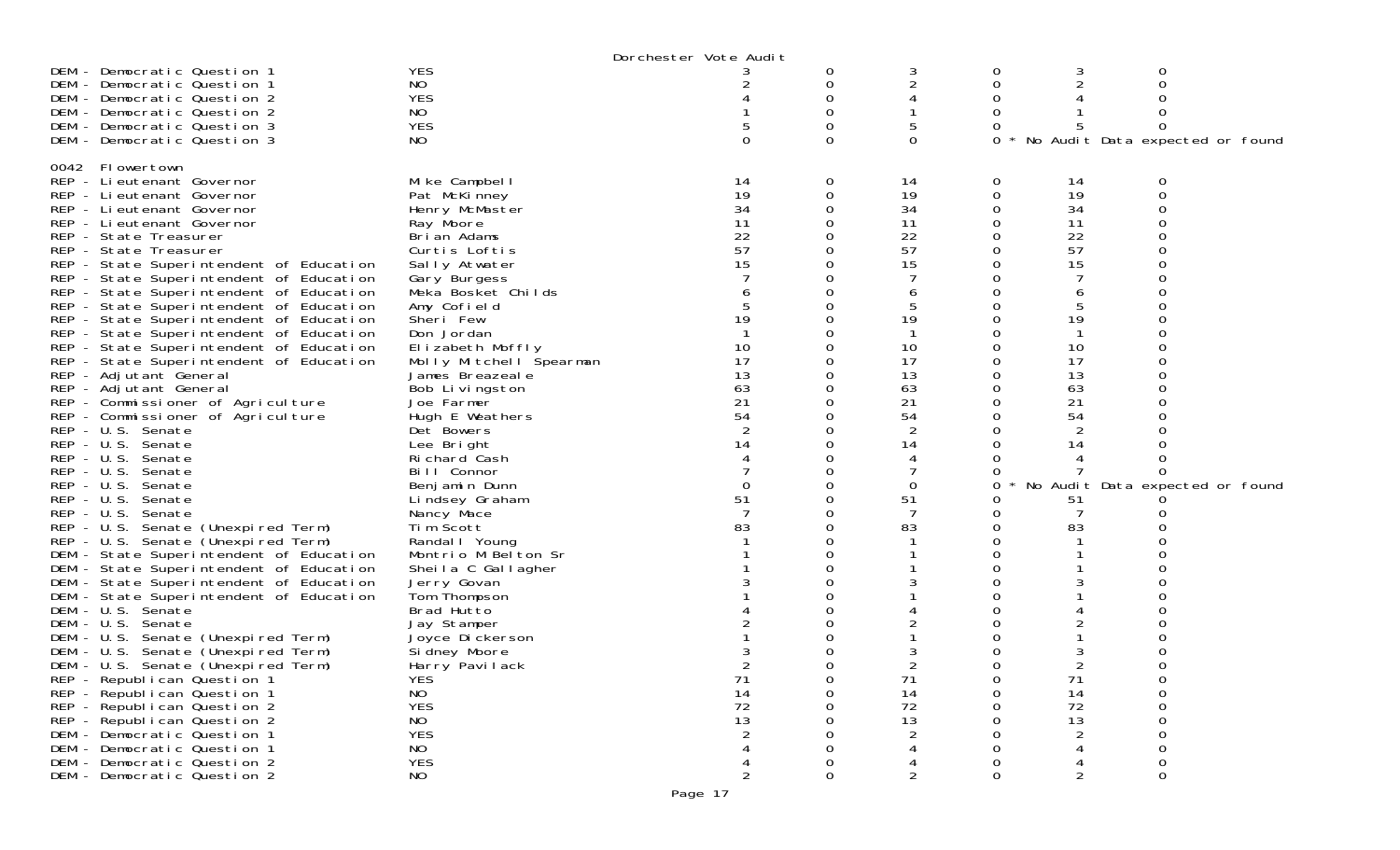|                                         |                         | Dorchester Vote Audit |   |                                         |   |                |                                 |  |
|-----------------------------------------|-------------------------|-----------------------|---|-----------------------------------------|---|----------------|---------------------------------|--|
| DEM - Democratic Question 1             | <b>YES</b>              |                       | 0 | 3                                       | 0 | 3              |                                 |  |
| DEM - Democratic Question 1             | NO                      |                       | 0 |                                         | 0 |                |                                 |  |
| DEM - Democratic Question 2             | <b>YES</b>              |                       |   |                                         |   |                |                                 |  |
| DEM - Democratic Question 2             | NO.                     |                       |   |                                         |   |                |                                 |  |
| DEM - Democratic Question 3             | <b>YES</b>              |                       |   |                                         |   |                |                                 |  |
| DEM - Democratic Question 3             | NO.                     |                       | 0 | $\Omega$                                | 0 |                | No Audit Data expected or found |  |
|                                         |                         |                       |   |                                         |   |                |                                 |  |
| 0042 Flowertown                         |                         |                       |   |                                         |   |                |                                 |  |
| REP - Lieutenant Governor               | Mike Campbell           | 14                    | 0 | 14                                      | 0 | 14             |                                 |  |
| REP - Lieutenant Governor               | Pat McKinney            | 19                    | 0 | 19                                      | 0 | 19             | 0                               |  |
| REP - Lieutenant Governor               | Henry McMaster          | 34                    |   | 34                                      |   | 34             |                                 |  |
| REP - Lieutenant Governor               | Ray Moore               | 11                    |   | 11                                      |   | 11             |                                 |  |
| REP - State Treasurer                   | Brian Adams             | 22                    |   | 22                                      |   | 22             |                                 |  |
| REP - State Treasurer                   | Curtis Loftis           | 57                    |   | 57                                      |   | 57             |                                 |  |
| REP - State Superintendent of Education | Sally Atwater           | 15                    |   | 15                                      |   | 15             |                                 |  |
| REP - State Superintendent of Education | Gary Burgess            |                       |   |                                         |   |                |                                 |  |
| REP - State Superintendent of Education | Meka Bosket Childs      |                       |   | b                                       |   | 6              |                                 |  |
| REP - State Superintendent of Education | Amy Cofield             |                       |   |                                         |   |                |                                 |  |
| REP - State Superintendent of Education | Sheri Few               | 19                    |   | 19                                      |   | 19             |                                 |  |
| REP - State Superintendent of Education | Don Jordan              |                       |   |                                         |   |                |                                 |  |
| REP - State Superintendent of Education | Elizabeth Moffly        | 10                    |   | 10                                      |   | 10             |                                 |  |
| REP - State Superintendent of Education | Molly Mitchell Spearman | 17                    | 0 | 17                                      |   | 17             |                                 |  |
| REP - Adjutant General                  | James Breazeale         | 13                    |   | 13                                      |   | 13             |                                 |  |
| REP - Adjutant General                  | Bob Livingston          | 63                    |   | 63                                      |   | 63             |                                 |  |
| REP - Commissioner of Agriculture       | Joe Farmer              | 21                    |   | 21                                      |   | 21             |                                 |  |
| REP - Commissioner of Agriculture       | Hugh E Weathers         | 54                    |   | 54                                      |   | 54             |                                 |  |
| REP - U.S. Senate                       | Det Bowers              |                       |   |                                         |   |                |                                 |  |
| REP - U.S. Senate                       | Lee Bright              | 14                    |   | 14                                      |   | 14             |                                 |  |
| $REP - U.S.$<br>Senate                  | Richard Cash            |                       |   |                                         |   |                |                                 |  |
| $REP - U.S.$<br>Senate                  | Bill Connor             |                       |   |                                         |   |                |                                 |  |
| REP - U.S. Senate                       | Benjamin Dunn           | 0                     | Ω | $\Omega$                                |   |                | No Audit Data expected or found |  |
| REP - U.S.<br>Senate                    | Lindsey Graham          | 51                    |   | 51                                      |   | 51             |                                 |  |
| $REP - U.S.$<br>Senate                  | Nancy Mace              |                       |   |                                         |   |                |                                 |  |
| REP - U.S. Senate (Unexpired Term)      | Tim Scott               | 83                    |   | 83                                      |   | 83             |                                 |  |
| REP - U.S. Senate (Unexpired Term)      | Randal I Young          |                       |   |                                         |   |                |                                 |  |
| DEM - State Superintendent of Education | Montrio M Belton Sr     |                       |   |                                         |   |                |                                 |  |
| DEM - State Superintendent of Education | Sheila C Gallagher      |                       |   |                                         |   |                |                                 |  |
| DEM - State Superintendent of Education | Jerry Govan             |                       |   |                                         |   |                |                                 |  |
| DEM - State Superintendent of Education | Tom Thompson            |                       |   |                                         |   |                |                                 |  |
| DEM - U.S. Senate                       | Brad Hutto              |                       |   |                                         |   |                |                                 |  |
| DEM - U.S. Senate                       | Jay Stamper             |                       |   |                                         |   |                |                                 |  |
| DEM - U.S. Senate (Unexpired Term)      | Joyce Dickerson         |                       |   |                                         |   |                |                                 |  |
| DEM - U.S. Senate (Unexpired Term)      | Si dney Moore           |                       |   |                                         |   |                |                                 |  |
| DEM - U.S. Senate (Unexpired Term)      | Harry Pavilack          |                       |   |                                         | 0 |                |                                 |  |
| REP - Republican Question 1             | <b>YES</b>              | 71                    |   | 71                                      |   | 71             |                                 |  |
| REP - Republican Question 1             | <b>NO</b>               | 14                    |   | 14                                      |   | 14             |                                 |  |
| REP - Republican Question 2             | <b>YES</b>              | 72                    |   |                                         |   | 72             |                                 |  |
| REP - Republican Question 2             | NO                      | 13                    |   | $\begin{array}{c} 72 \\ 13 \end{array}$ |   | 13             |                                 |  |
| DEM - Democratic Question 1             | <b>YES</b>              |                       |   |                                         |   | $\overline{c}$ |                                 |  |
| DEM - Democratic Question 1             | NO                      |                       |   |                                         |   |                |                                 |  |
| DEM - Democratic Question 2             | <b>YES</b>              |                       |   |                                         |   |                |                                 |  |
| DEM - Democratic Question 2             | NO                      |                       |   |                                         |   |                |                                 |  |
|                                         |                         |                       |   |                                         |   |                |                                 |  |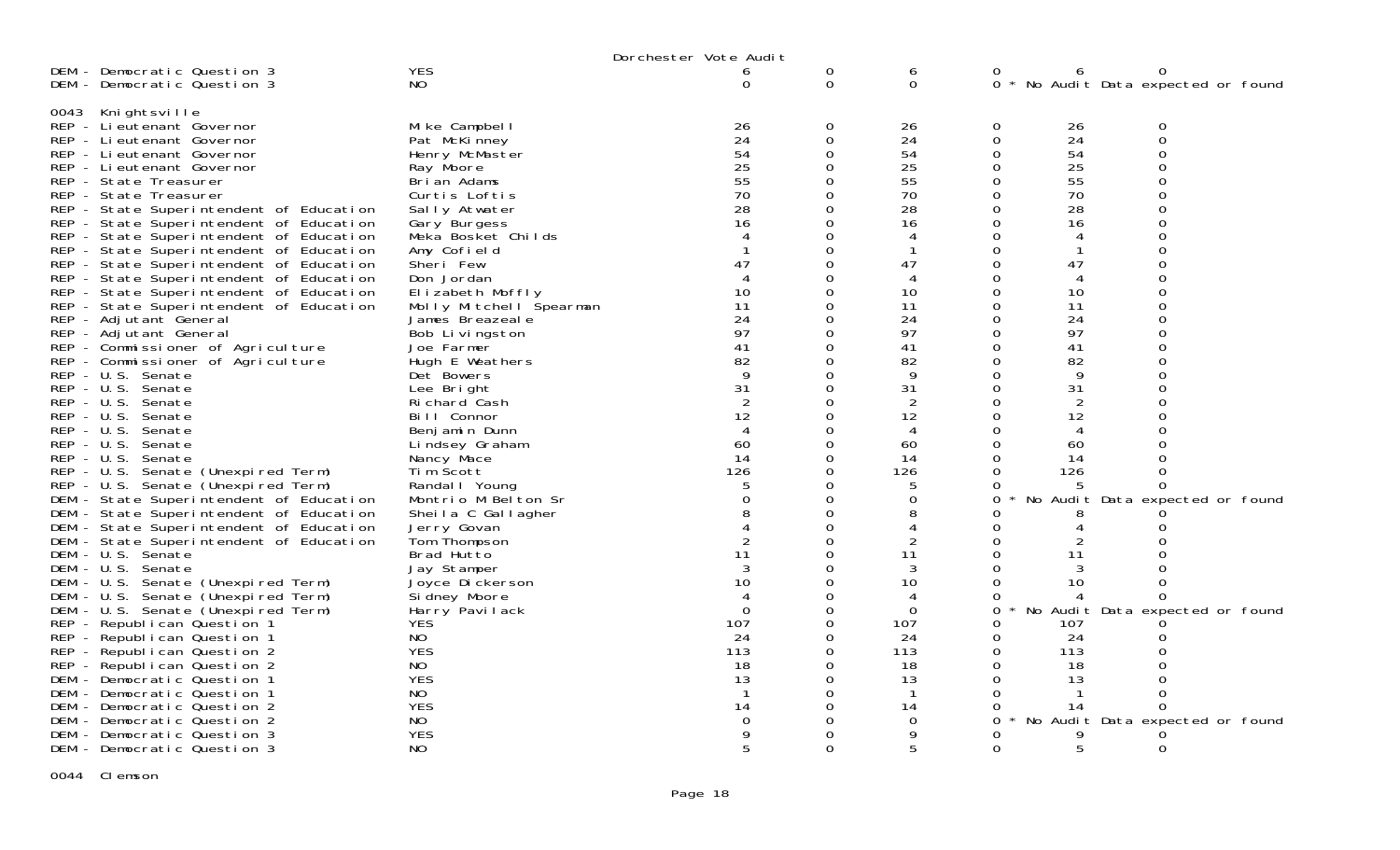|                                                 | Dorchester Vote Audit   |                        |                  |                      |                        |                                     |  |  |  |
|-------------------------------------------------|-------------------------|------------------------|------------------|----------------------|------------------------|-------------------------------------|--|--|--|
| DEM - Democratic Question 3                     | <b>YES</b>              | 6                      | 0                | 6                    | 0                      | 0                                   |  |  |  |
| DEM - Democratic Question 3                     | <b>NO</b>               | 0                      | $\mathbf 0$      | $\mathbf 0$          |                        | 0 * No Audit Data expected or found |  |  |  |
|                                                 |                         |                        |                  |                      |                        |                                     |  |  |  |
| 0043 Knightsville<br>REP - Li eutenant Governor | Mike Campbell           | 26                     | 0                | 26                   | 0<br>26                | 0                                   |  |  |  |
| REP - Lieutenant Governor                       | Pat McKinney            | 24                     | $\boldsymbol{0}$ | 24                   | $\boldsymbol{0}$<br>24 | $\mathbf 0$                         |  |  |  |
| REP - Lieutenant Governor                       | Henry McMaster          | 54                     | $\Omega$         | 54                   | 54<br>$\mathbf 0$      | $\overline{0}$                      |  |  |  |
| REP - Lieutenant Governor                       | Ray Moore               | 25                     | $\Omega$         | 25                   | 25<br>$\mathbf 0$      | $\overline{0}$                      |  |  |  |
| REP - State Treasurer                           | Brian Adams             | 55                     | $\Omega$         | 55                   | 55<br>$\Omega$         | $\overline{0}$                      |  |  |  |
| REP - State Treasurer                           | Curtis Loftis           | 70                     | $\Omega$         | 70                   | 70<br>0                | $\overline{0}$                      |  |  |  |
|                                                 |                         | 28                     | $\Omega$         | 28                   | 28<br>$\Omega$         | $\overline{0}$                      |  |  |  |
| REP - State Superintendent of Education         | Sally Atwater           | 16                     | $\mathbf 0$      | 16                   | $\Omega$<br>16         | $\Omega$                            |  |  |  |
| REP - State Superintendent of Education         | Gary Burgess            | $\overline{4}$         | $\Omega$         |                      | $\Omega$               | $\overline{0}$                      |  |  |  |
| REP - State Superintendent of Education         | Meka Bosket Childs      |                        |                  | $\overline{4}$<br>-1 |                        | $\overline{4}$<br>$\Omega$<br>-1    |  |  |  |
| REP - State Superintendent of Education         | Amy Cofield             |                        | $\Omega$         |                      | 0                      |                                     |  |  |  |
| REP - State Superintendent of Education         | Sheri Few               | 47                     | $\mathbf 0$      | 47                   | $\boldsymbol{0}$<br>47 | $\mathbf 0$                         |  |  |  |
| REP - State Superintendent of Education         | Don Jordan              | $\boldsymbol{\Lambda}$ | $\Omega$         | 4                    | $\Omega$               | $\overline{0}$<br>4                 |  |  |  |
| REP - State Superintendent of Education         | Elizabeth Moffly        | 10                     | $\mathbf 0$      | 10                   | $\mathbf 0$<br>10      | $\mathbf 0$                         |  |  |  |
| REP - State Superintendent of Education         | Molly Mitchell Spearman | 11                     | 0                | 11                   | $\mathbf 0$<br>11      | $\overline{0}$                      |  |  |  |
| REP - Adjutant General                          | James Breazeal e        | 24                     | 0                | 24                   | $\mathbf 0$<br>24      | $\mathbf 0$                         |  |  |  |
| REP - Adjutant General                          | Bob Livingston          | 97                     | $\Omega$         | 97                   | $\Omega$<br>97         | $\Omega$                            |  |  |  |
| REP - Commissioner of Agriculture               | Joe Farmer              | 41                     | $\Omega$         | 41                   | $\mathbf 0$<br>41      | $\overline{0}$                      |  |  |  |
| REP - Commissioner of Agriculture               | Hugh E Weathers         | 82                     | $\mathbf 0$      | 82                   | $\mathbf 0$<br>82      | $\overline{0}$                      |  |  |  |
| REP - U.S. Senate                               | Det Bowers              | 9                      | $\Omega$         | 9                    | $\Omega$               | 9                                   |  |  |  |
| REP - U.S. Senate                               | Lee Bright              | 31                     | 0                | 31                   | 31<br>$\mathbf 0$      | $\Omega$                            |  |  |  |
| REP - U.S. Senate                               | Richard Cash            | $\overline{2}$         | $\Omega$         | $\overline{2}$       | $\Omega$               | $\overline{2}$                      |  |  |  |
| $REP - U.S.$<br>Senate                          | Bill Connor             | 12                     | 0                | 12                   | 0<br>12                | $\mathbf 0$                         |  |  |  |
| $REP - U.S.$<br>Senate                          | Benj amin Dunn          | 4                      | $\Omega$         | 4                    | $\Omega$               | $\Omega$<br>4                       |  |  |  |
| $REP - U.S.$<br>Senate                          | Lindsey Graham          | 60                     | $\mathbf 0$      | 60                   | $\mathbf 0$<br>60      |                                     |  |  |  |
| $REP - U.S.$<br>Senate                          | Nancy Mace              | 14                     | 0                | 14                   | $\Omega$<br>14         | $\Omega$                            |  |  |  |
| REP - U.S. Senate (Unexpired Term)              | Tim Scott               | 126                    | $\mathbf 0$      | 126                  | 0<br>126               | $\Omega$                            |  |  |  |
| REP - U.S. Senate (Unexpired Term)              | Randal I Young          | 5                      | $\Omega$         | 5                    | ∩                      |                                     |  |  |  |
| DEM - State Superintendent of Education         | Montrio M Belton Sr     | $\Omega$               | $\Omega$         | $\Omega$             | $\Omega$               | No Audit Data expected or found     |  |  |  |
| DEM - State Superintendent of Education         | Sheila C Gallagher      | 8                      | $\mathbf 0$      | 8                    | ∩                      |                                     |  |  |  |
| DEM - State Superintendent of Education         | Jerry Govan             | $\overline{4}$         | $\overline{0}$   | $\overline{4}$       | O                      | 4<br>Ω                              |  |  |  |
| DEM - State Superintendent of Education         | Tom Thompson            | $\overline{2}$         | $\Omega$         | 2                    | $\Omega$               |                                     |  |  |  |
| DEM - U.S. Senate                               | Brad Hutto              | 11                     | $\Omega$         | 11                   | $\Omega$<br>11         |                                     |  |  |  |
| DEM - U.S. Senate                               | Jay Stamper             | 3                      | $\Omega$         | 3                    | $\Omega$               | 3                                   |  |  |  |
| DEM - U.S. Senate (Unexpired Term)              | Joyce Dickerson         | 10                     | $\Omega$         | 10                   | $\Omega$<br>10         |                                     |  |  |  |
| DEM - U.S. Senate (Unexpired Term)              | Si dney Moore           | $\overline{4}$         | 0                | $\overline{4}$       | $\Omega$               | 4                                   |  |  |  |
| DEM - U.S. Senate (Unexpired Term)              | Harry Pavilack          | $\Omega$               | 0                | $\Omega$             | 0                      | No Audit Data expected or found     |  |  |  |
| REP - Republican Question 1                     | <b>YES</b>              | 107                    | $\mathbf 0$      | 107                  | 0<br>107               |                                     |  |  |  |
| REP - Republican Question 1                     | <b>NO</b>               | 24                     | $\Omega$         | 24                   | 24<br>0                | Ω                                   |  |  |  |
| REP - Republican Question 2                     | <b>YES</b>              | 113                    | 0                | 113                  | $\mathbf 0$<br>113     |                                     |  |  |  |
| REP - Republican Question 2                     | <b>NO</b>               | 18                     | $\Omega$         | 18                   | $\Omega$<br>18         |                                     |  |  |  |
| DEM - Democratic Question 1                     | <b>YES</b>              | 13                     | 0                | 13                   | 0<br>13                | $\Omega$                            |  |  |  |
| DEM - Democratic Question 1                     | NO.                     | $\mathbf 1$            | $\Omega$         | $\mathbf{1}$         | $\Omega$               | $\Omega$<br>$\mathbf 1$             |  |  |  |
| DEM - Democratic Question 2                     | <b>YES</b>              | 14                     | 0                | 14                   | O<br>14                | 0                                   |  |  |  |
| DEM - Democratic Question 2                     | NO                      | $\Omega$               | $\Omega$         | $\Omega$             | 0                      | No Audit Data expected or found     |  |  |  |
| DEM - Democratic Question 3                     | <b>YES</b>              | $\mathbf Q$            | 0                |                      |                        |                                     |  |  |  |
| DEM - Democratic Question 3                     | NO.                     | 5                      | $\Omega$         | 5                    | $\Omega$               | 5<br>$\Omega$                       |  |  |  |

0044 Clemson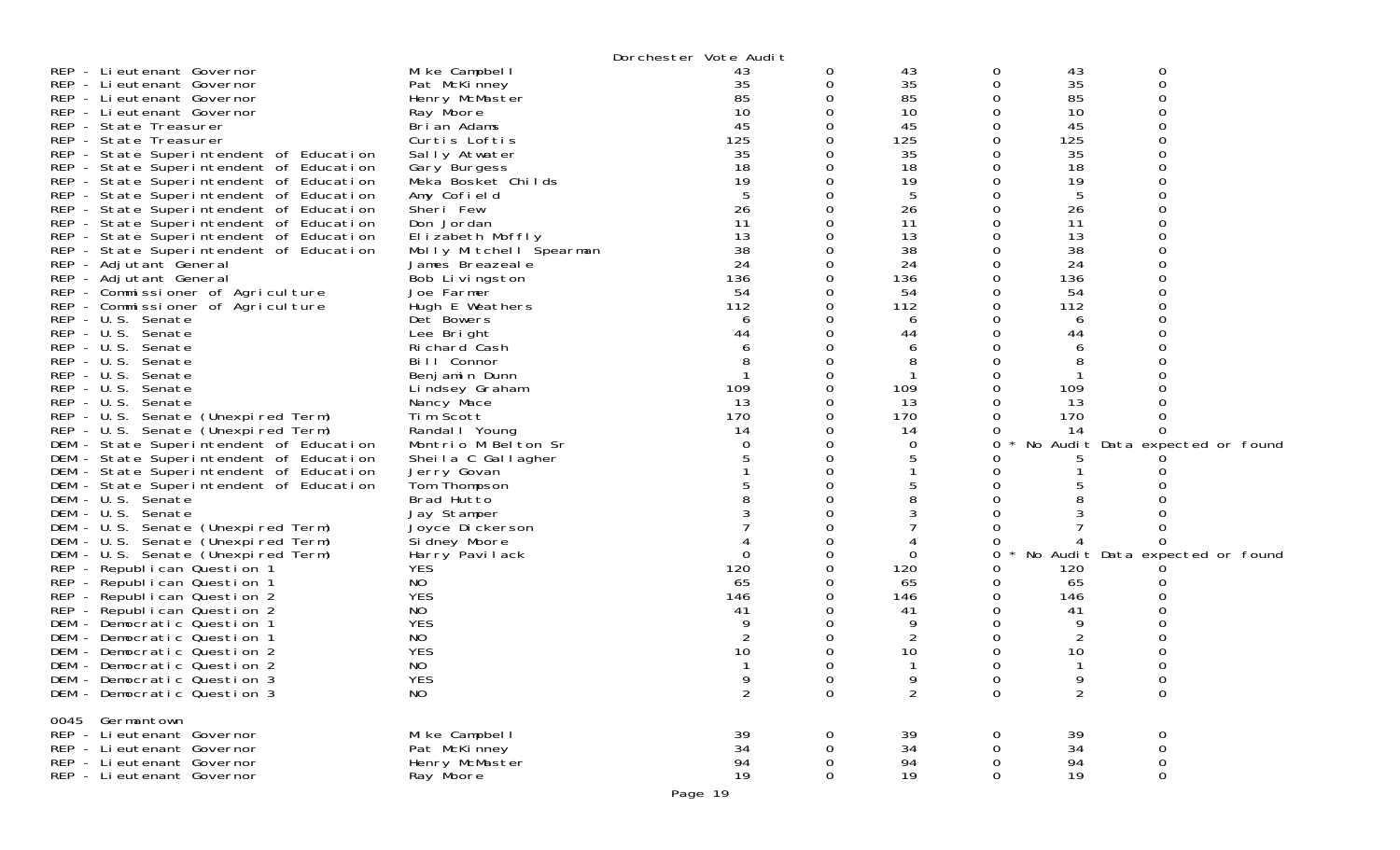|                                         |                                 | Dorchester Vote Audit |          |                |          |                |                                 |
|-----------------------------------------|---------------------------------|-----------------------|----------|----------------|----------|----------------|---------------------------------|
| REP - Lieutenant Governor               | Mike Campbell                   | 43                    | 0        | 43             | 0        | 43             | 0                               |
| REP - Lieutenant Governor               | Pat McKinney                    | 35                    | 0        | 35             | 0        | 35             | $\Omega$                        |
| REP - Lieutenant Governor               | Henry McMaster                  | 85                    | 0        | 85             | 0        | 85             | ∩                               |
| REP - Lieutenant Governor               | Ray Moore                       | 10                    | 0        | 10             | 0        | 10             |                                 |
| REP - State Treasurer                   | Brian Adams                     | 45                    | 0        | 45             | 0        | 45             |                                 |
| REP - State Treasurer                   | Curtis Loftis                   | 125                   | 0        | 125            | 0        | 125            |                                 |
| REP - State Superintendent of Education | Sally Atwater                   | 35                    | 0        | 35             | O        | 35             |                                 |
| REP - State Superintendent of Education | Gary Burgess                    | 18                    | Ω        | 18             | Ω        | 18             |                                 |
| REP - State Superintendent of Education | Meka Bosket Childs              | 19                    | O        | 19             | Ω        | 19             |                                 |
| REP - State Superintendent of Education | Amy Cofield                     | 5                     | 0        | 5              | 0        | 5              |                                 |
| REP - State Superintendent of Education | Sheri Few                       | 26                    | Ω        | 26             |          | 26             |                                 |
| REP - State Superintendent of Education | Don Jordan                      | 11                    | O        | 11             |          | 11             |                                 |
| REP - State Superintendent of Education | Elizabeth Moffly                | 13                    | 0        | 13             | O        | 13             |                                 |
| REP - State Superintendent of Education | Molly Mitchell Spearman         | 38                    | 0        | 38             |          | 38             |                                 |
| REP - Adjutant General                  | James Breazeale                 | 24                    | 0        | 24             | 0        | 24             |                                 |
| REP - Adjutant General                  | Bob Livingston                  | 136                   | 0        | 136            | 0        | 136            |                                 |
| REP - Commissioner of Agriculture       | Joe Farmer                      | 54                    | 0        | 54             | 0        | 54             |                                 |
| REP - Commissioner of Agriculture       | Hugh E Weathers                 | 112                   | 0        | 112            | Ω        | 112            |                                 |
| REP - U.S. Senate                       | Det Bowers                      | 6                     | 0        | 6              | 0        | 6              |                                 |
| REP - U.S. Senate                       | Lee Bright<br>Richard Cash      | 44                    | Ω<br>∩   | 44             | 0        | 44             |                                 |
| REP - U.S. Senate<br>REP - U.S. Senate  |                                 | 6                     | O        | 6              | Ω        | 6              |                                 |
| REP - U.S. Senate                       | Bill Connor                     | 8                     | Ω        | 8              |          | 8              |                                 |
| REP - U.S. Senate                       | Benjamin Dunn<br>Lindsey Graham | 109                   | 0        | 109            | 0        | 109            |                                 |
| REP - U.S. Senate                       | Nancy Mace                      | 13                    | 0        | 13             | O        | 13             |                                 |
| REP - U.S. Senate (Unexpired Term)      | Tim Scott                       | 170                   | 0        | 170            | 0        | 170            |                                 |
| REP - U.S. Senate (Unexpired Term)      | Randal I Young                  | 14                    | 0        | 14             |          | 14             |                                 |
| DEM - State Superintendent of Education | Montrio M Belton Sr             | 0                     | 0        | 0              | 0        |                | No Audit Data expected or found |
| DEM - State Superintendent of Education | Sheila C Gallagher              |                       | Ω        | 5              |          |                |                                 |
| DEM - State Superintendent of Education | Jerry Govan                     |                       | O        |                |          |                |                                 |
| DEM - State Superintendent of Education | Tom Thompson                    |                       | Ω        | 5              |          |                |                                 |
| DEM - U.S. Senate                       | Brad Hutto                      |                       |          | 8              |          |                |                                 |
| DEM - U.S. Senate                       | Jay Stamper                     |                       | Ω        | 3              |          |                |                                 |
| DEM - U.S. Senate (Unexpired Term)      | Joyce Dickerson                 |                       |          |                | Ω        |                |                                 |
| DEM - U.S. Senate (Unexpired Term)      | Si dney Moore                   |                       | Ω        |                | Ω        |                | $\Omega$                        |
| DEM - U.S. Senate (Unexpired Term)      | Harry Pavilack                  | $\Omega$              | 0        | 0              | 0        |                | No Audit Data expected or found |
| REP - Republican Question 1             | <b>YES</b>                      | 120                   | 0        | 120            | O        | 120            |                                 |
| REP - Republican Question 1             | NO                              | 65                    | 0        | 65             | O        | 65             |                                 |
| REP - Republican Question 2             | <b>YES</b>                      | 146                   | Ω        | 146            | Ω        | 146            |                                 |
| REP - Republican Question 2             | NO                              | 41                    | Ω        | 41             |          | 41             |                                 |
| DEM - Democratic Question 1             | <b>YES</b>                      |                       | Ω        | 9              |          | 9              |                                 |
| DEM - Democratic Question 1             | <b>NO</b>                       | 2                     | O        | 2              | O        | 2              |                                 |
| DEM - Democratic Question 2             | <b>YES</b>                      | 10                    | Ω        | 10             | 0        | 10             |                                 |
| DEM - Democratic Question 2             | NO                              |                       | ∩        |                | ∩        |                | ∩                               |
| DEM - Democratic Question 3             | <b>YES</b>                      |                       | 0        | 9              | 0        | 9              | 0                               |
| DEM - Democratic Question 3             | NO                              | $\overline{2}$        | $\Omega$ | $\overline{2}$ | $\Omega$ | $\overline{2}$ | $\mathbf 0$                     |
| 0045 Germantown                         |                                 |                       |          |                |          |                |                                 |
| REP - Lieutenant Governor               | Mike Campbell                   | 39                    | Ω        | 39             |          | 39             |                                 |
| REP - Lieutenant Governor               | Pat McKinney                    | 34                    | Ω        | 34             | Ω        | 34             | 0                               |
| REP - Lieutenant Governor               | Henry McMaster                  | 94                    | 0        | 94             | 0        | 94             | 0                               |
| REP - Lieutenant Governor               | Ray Moore                       | 19                    | 0        | 19             | 0        | 19             | 0                               |
|                                         |                                 |                       |          |                |          |                |                                 |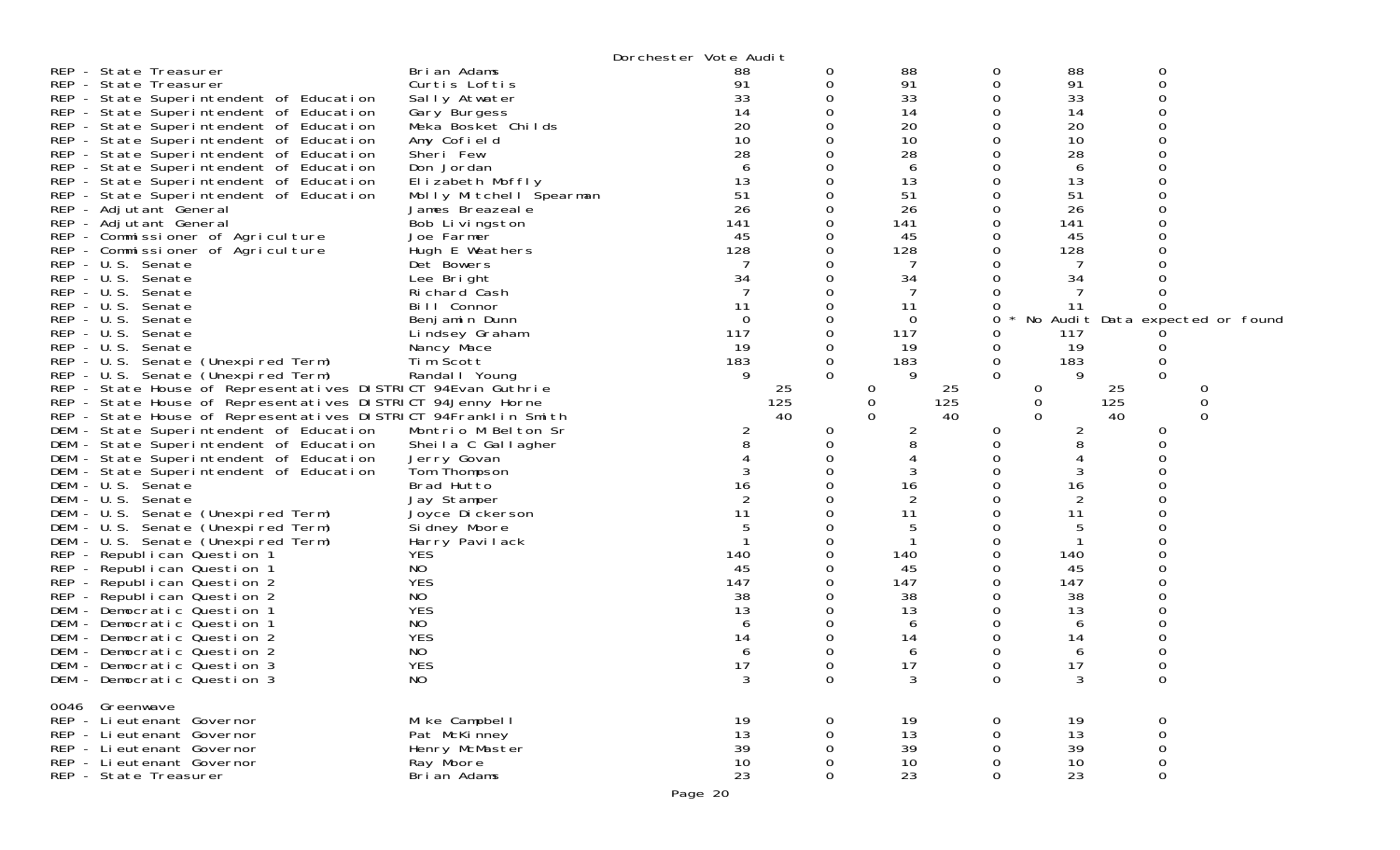| $REP - U.S.$<br>$REP - U.S.$ | REP - State Treasurer<br>REP - State Treasurer<br>REP - State Superintendent of Education<br>REP - State Superintendent of Education<br>REP - State Superintendent of Education<br>REP - State Superintendent of Education<br>REP - State Superintendent of Education<br>REP - State Superintendent of Education<br>REP - State Superintendent of Education<br>REP - State Superintendent of Education<br>REP - Adjutant General<br>REP - Adjutant General<br>REP - Commissioner of Agriculture<br>REP - Commissioner of Agriculture<br>REP - U.S. Senate<br>REP - U.S. Senate<br>REP - U.S. Senate<br>REP - U.S. Senate<br>Senate<br>REP - U.S. Senate<br>Senate<br>REP - U.S. Senate (Unexpired Term)<br>REP - U.S. Senate (Unexpired Term)<br>REP - State House of Representatives DISTRICT 94Evan Guthrie<br>REP - State House of Representatives DISTRICT 94Jenny Horne<br>REP - State House of Representatives DISTRICT 94Franklin Smith<br>DEM - State Superintendent of Education<br>DEM - State Superintendent of Education<br>DEM - State Superintendent of Education<br>DEM - State Superintendent of Education<br>DEM - U.S. Senate<br>DEM - U.S. Senate<br>DEM - U.S. Senate (Unexpired Term)<br>DEM - U.S. Senate (Unexpired Term)<br>DEM - U.S. Senate (Unexpired Term)<br>REP - Republican Question 1<br>REP - Republican Question 1<br>REP - Republican Question 2<br>REP - Republican Question 2<br>DEM - Democratic Question 1<br>DEM - Democratic Question 1<br>DEM - Democratic Question 2 | Brian Adams<br>Curtis Loftis<br>Sally Atwater<br>Gary Burgess<br>Meka Bosket Childs<br>Amy Cofield<br>Sheri Few<br>Don Jordan<br>Elizabeth Moffly<br>Molly Mitchell Spearman<br>James Breazeale<br>Bob Livingston<br>Joe Farmer<br>Hugh E Weathers<br>Det Bowers<br>Lee Bright<br>Richard Cash<br>Bill Connor<br>Benjamin Dunn<br>Lindsey Graham<br>Nancy Mace<br>Tim Scott<br>Randal   Young<br>Montrio M Belton Sr<br>Sheila C Gallagher<br>Jerry Govan<br>Tom Thompson<br>Brad Hutto<br>Jay Stamper<br>Joyce Dickerson<br>Si dney Moore<br>Harry Pavilack<br><b>YES</b><br>NO<br><b>YES</b><br>NO.<br><b>YES</b><br>NO<br><b>YES</b> | Dorchester Vote Audit<br>88<br>91<br>33<br>14<br>20<br>10<br>28<br>6<br>13<br>51<br>26<br>141<br>45<br>128<br>34<br>11<br>$\overline{0}$<br>117<br>19<br>183<br>9<br>2<br>8<br>3<br>16<br>11<br>140<br>45<br>147<br>38<br>13<br>b<br>14 | 0<br>0<br>0<br>$\Omega$<br>25<br>125<br>40<br>0 | 88<br>91<br>33<br>14<br>20<br>10<br>28<br>6<br>13<br>51<br>26<br>141<br>45<br>128<br>7<br>34<br>11<br>0<br>117<br>19<br>183<br>9<br>25<br>0<br>125<br>0<br>$\Omega$<br>40<br>2<br>8<br>3<br>16<br>2<br>11<br>5<br>140<br>45<br>147<br>38<br>13<br>6<br>14 | 0<br>0<br>0<br>0<br>0<br>0<br>0<br>0<br>0<br>0<br>0<br>0<br>0<br>0<br>0<br>0<br>0<br>0<br>0<br>0<br>$\Omega$<br>0<br>0<br>0<br>0<br>0<br>0<br>0<br>0<br>0<br>0<br>0<br>0<br>0<br>0<br>0<br>0 | 88<br>91<br>33<br>14<br>20<br>10<br>28<br>6<br>13<br>51<br>26<br>141<br>45<br>128<br>7<br>34<br>11<br>No Audit Data expected or found<br>117<br>19<br>183<br>9<br>25<br>0<br>125<br>0<br>40<br>$\Omega$<br>2<br>8<br>3<br>16<br>2<br>11<br>140<br>45<br>147<br>38<br>13<br>6<br>14 | 0<br>0<br>0<br>0<br>Ω<br>0<br>0<br>$\Omega$<br>0<br>0<br>∩<br>ი | 0<br>0<br>0 |
|------------------------------|-----------------------------------------------------------------------------------------------------------------------------------------------------------------------------------------------------------------------------------------------------------------------------------------------------------------------------------------------------------------------------------------------------------------------------------------------------------------------------------------------------------------------------------------------------------------------------------------------------------------------------------------------------------------------------------------------------------------------------------------------------------------------------------------------------------------------------------------------------------------------------------------------------------------------------------------------------------------------------------------------------------------------------------------------------------------------------------------------------------------------------------------------------------------------------------------------------------------------------------------------------------------------------------------------------------------------------------------------------------------------------------------------------------------------------------------------------------------------------------------------------------------|-----------------------------------------------------------------------------------------------------------------------------------------------------------------------------------------------------------------------------------------------------------------------------------------------------------------------------------------------------------------------------------------------------------------------------------------------------------------------------------------------------------------------------------------------------------------------------------------------------------------------------------------|-----------------------------------------------------------------------------------------------------------------------------------------------------------------------------------------------------------------------------------------|-------------------------------------------------|-----------------------------------------------------------------------------------------------------------------------------------------------------------------------------------------------------------------------------------------------------------|----------------------------------------------------------------------------------------------------------------------------------------------------------------------------------------------|------------------------------------------------------------------------------------------------------------------------------------------------------------------------------------------------------------------------------------------------------------------------------------|-----------------------------------------------------------------|-------------|
|                              | DEM - Democratic Question 2                                                                                                                                                                                                                                                                                                                                                                                                                                                                                                                                                                                                                                                                                                                                                                                                                                                                                                                                                                                                                                                                                                                                                                                                                                                                                                                                                                                                                                                                                     | NO                                                                                                                                                                                                                                                                                                                                                                                                                                                                                                                                                                                                                                      |                                                                                                                                                                                                                                         |                                                 | 6                                                                                                                                                                                                                                                         | 0                                                                                                                                                                                            | 6                                                                                                                                                                                                                                                                                  |                                                                 |             |
|                              | DEM - Democratic Question 3<br>DEM - Democratic Question 3                                                                                                                                                                                                                                                                                                                                                                                                                                                                                                                                                                                                                                                                                                                                                                                                                                                                                                                                                                                                                                                                                                                                                                                                                                                                                                                                                                                                                                                      | <b>YES</b><br>N <sub>O</sub>                                                                                                                                                                                                                                                                                                                                                                                                                                                                                                                                                                                                            | 17<br>3                                                                                                                                                                                                                                 | 0                                               | 17<br>3                                                                                                                                                                                                                                                   | $\Omega$<br>0                                                                                                                                                                                | 17<br>3                                                                                                                                                                                                                                                                            | ∩<br>0                                                          |             |
|                              | 0046 Greenwave<br>REP - Lieutenant Governor<br>REP - Lieutenant Governor<br>REP - Lieutenant Governor<br>REP - Lieutenant Governor<br>REP - State Treasurer                                                                                                                                                                                                                                                                                                                                                                                                                                                                                                                                                                                                                                                                                                                                                                                                                                                                                                                                                                                                                                                                                                                                                                                                                                                                                                                                                     | Mike Campbell<br>Pat McKinney<br>Henry McMaster<br>Ray Moore<br>Brian Adams                                                                                                                                                                                                                                                                                                                                                                                                                                                                                                                                                             | 19<br>13<br>39<br>10<br>23                                                                                                                                                                                                              | 0<br>0<br>0                                     | 19<br>13<br>39<br>10<br>23                                                                                                                                                                                                                                | 0<br>0<br>0<br>0<br>0                                                                                                                                                                        | 19<br>13<br>39<br>10<br>23                                                                                                                                                                                                                                                         | 0<br>0<br>0<br>0<br>0                                           |             |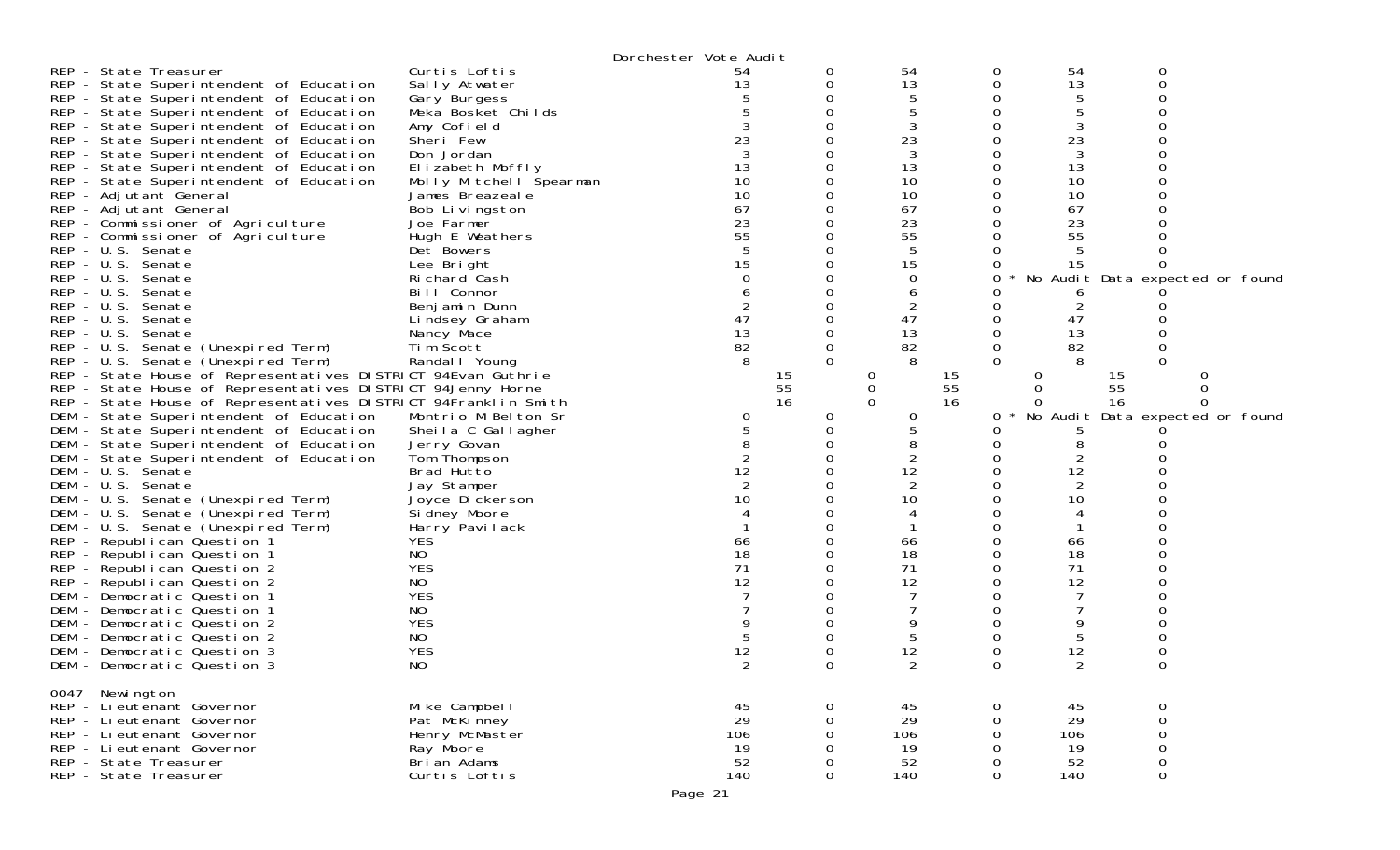|                                                                                            | Dorchester Vote Audit         |                      |                 |          |                                 |
|--------------------------------------------------------------------------------------------|-------------------------------|----------------------|-----------------|----------|---------------------------------|
| Curtis Loftis<br>REP - State Treasurer                                                     | 54                            | 0                    | 54<br>0         | 54       | 0                               |
| REP - State Superintendent of Education<br>Sally Atwater                                   | 13                            | 0                    | 13              | 13       | $\Omega$                        |
| REP - State Superintendent of Education<br>Gary Burgess                                    |                               |                      |                 | 5        |                                 |
| REP - State Superintendent of Education<br>Meka Bosket Childs                              |                               |                      |                 | 5        |                                 |
| REP - State Superintendent of Education<br>Amy Cofield                                     |                               |                      | 3               | 3        |                                 |
| REP - State Superintendent of Education<br>Sheri Few                                       | 23                            |                      | 23              | 23       |                                 |
| REP - State Superintendent of Education<br>Don Jordan                                      |                               |                      | 3               | 3        |                                 |
| REP - State Superintendent of Education<br>Elizabeth Moffly                                | 13                            |                      | 13              | 13       |                                 |
| REP - State Superintendent of Education                                                    | 10<br>Molly Mitchell Spearman | 0                    | 10              | 10       |                                 |
| REP - Adjutant General<br>James Breazeale                                                  | 10                            |                      | 10              | 10       |                                 |
| REP - Adjutant General<br>Bob Livingston                                                   | 67                            |                      | 67              | 67       |                                 |
| REP - Commissioner of Agriculture<br>Joe Farmer                                            | 23                            |                      | 23              | 23       |                                 |
| REP - Commissioner of Agriculture<br>Hugh E Weathers                                       | 55                            |                      | 55              | 55       |                                 |
| REP - U.S. Senate<br>Det Bowers                                                            |                               |                      |                 |          |                                 |
| REP - U.S. Senate<br>Lee Bright                                                            | 15                            |                      | 15              | 15       |                                 |
| REP - U.S. Senate<br>Richard Cash                                                          |                               |                      | 0               |          | No Audit Data expected or found |
| REP - U.S. Senate<br>Bill Connor                                                           |                               |                      | b               |          |                                 |
| REP - U.S. Senate<br>Benjamin Dunn                                                         |                               |                      |                 |          |                                 |
| REP - U.S. Senate<br>Lindsey Graham<br>REP - U.S. Senate                                   | 47<br>13                      | 0                    | 47<br>13        | 47<br>13 |                                 |
| Nancy Mace<br>Tim Scott                                                                    | 82                            | 0                    | 82              | 82       |                                 |
| REP - U.S. Senate (Unexpired Term)<br>REP - U.S. Senate (Unexpired Term)<br>Randal   Young | 8                             | $\Omega$             | 0               |          | 0                               |
| REP - State House of Representatives DISTRICT 94Evan Guthrie                               |                               | 15<br>0              |                 | 0        | O<br>15                         |
| REP - State House of Representatives DISTRICT 94Jenny Horne                                |                               | 55<br>$\overline{0}$ | 15<br>55        | 0        | 55<br>0                         |
| REP - State House of Representatives DISTRICT 94Franklin Smith                             |                               | 16<br>$\Omega$       | 16              |          | 16                              |
| DEM - State Superintendent of Education<br>Montrio M Belton Sr                             | 0                             | 0                    | 0<br>0          | No Audit | Data expected or found          |
| DEM - State Superintendent of Education<br>Sheila C Gallagher                              |                               | 0                    |                 |          |                                 |
| DEM - State Superintendent of Education<br>Jerry Govan                                     |                               |                      |                 |          |                                 |
| DEM - State Superintendent of Education<br>Tom Thompson                                    |                               |                      |                 |          |                                 |
| Brad Hutto<br>DEM - U.S. Senate                                                            | 12                            |                      | 12              | 12       |                                 |
| DEM - U.S. Senate<br>Jay Stamper                                                           | 2                             |                      | 2               | 2        |                                 |
| DEM - U.S. Senate (Unexpired Term)<br>Joyce Dickerson                                      | 10                            |                      | 10              | 10       |                                 |
| DEM - U.S. Senate (Unexpired Term)<br>Si dney Moore                                        |                               |                      |                 |          |                                 |
| DEM - U.S. Senate (Unexpired Term)<br>Harry Pavilack                                       |                               |                      |                 |          |                                 |
| <b>YES</b><br>REP - Republican Question 1                                                  | 66                            |                      | 66              | 66       |                                 |
| REP - Republican Question 1<br>NO                                                          | 18                            |                      | 18              | 18       |                                 |
| <b>YES</b><br>REP - Republican Question 2                                                  | 71                            |                      | 71              | 71       |                                 |
| REP - Republican Question 2<br>NO                                                          | 12                            |                      | 12              | 12       |                                 |
| <b>YES</b><br>DEM - Democratic Question 1                                                  |                               |                      |                 |          |                                 |
| NO<br>DEM - Democratic Question 1                                                          |                               |                      |                 |          |                                 |
| <b>YES</b><br>DEM - Democratic Question 2                                                  |                               |                      |                 |          |                                 |
| NO<br>DEM - Democratic Question 2                                                          |                               |                      | 5               | 5        |                                 |
| <b>YES</b><br>DEM - Democratic Question 3                                                  | 12                            |                      | 12              | 12       |                                 |
| NO<br>DEM - Democratic Question 3                                                          |                               |                      |                 |          |                                 |
| 0047 Newington                                                                             |                               |                      |                 |          |                                 |
| REP - Li eutenant Governor<br>Mike Campbell                                                | 45                            | 0                    | 45<br>0         | 45       | 0                               |
| REP - Li eutenant Governor<br>Pat McKinney                                                 | 29                            | 0                    | 29<br>0         | 29       | $\mathsf{O}\xspace$             |
| Henry McMaster<br>REP - Lieutenant Governor                                                | 106                           | $\Omega$             | 106<br>$\Omega$ | 106      | $\mbox{O}$                      |
| REP - Lieutenant Governor<br>Ray Moore                                                     | 19                            | $\Omega$             | 19              | 19       | $\mathbf 0$                     |
| REP - State Treasurer<br>Bri an Adams                                                      | 52                            | 0                    | 52              | 52       | 0                               |
| REP - State Treasurer<br>Curtis Loftis                                                     | 140                           | $\Omega$             | 140<br>$\Omega$ | 140      | $\mathbf 0$                     |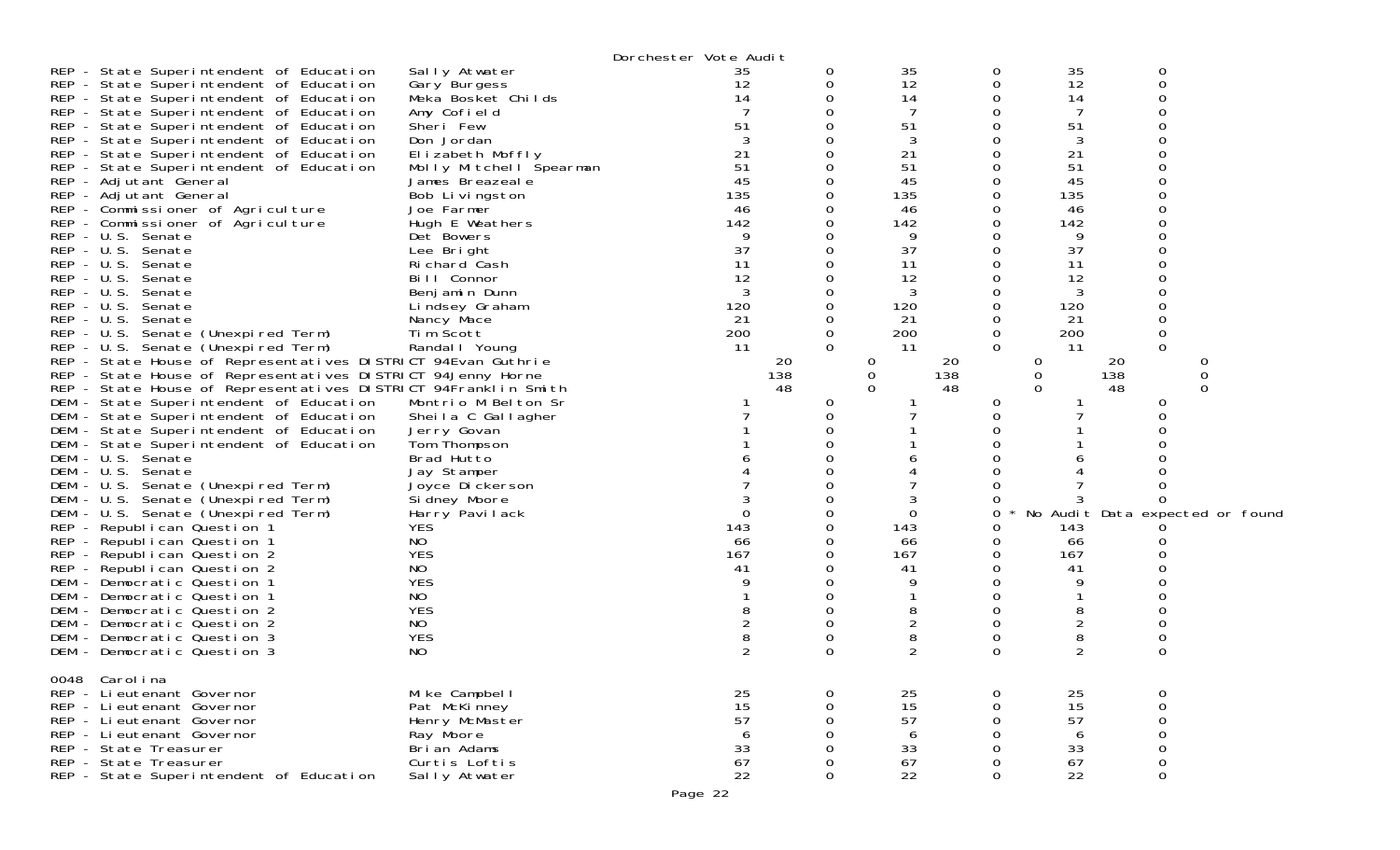|                                                                |                         | Dorchester Vote Audit |          |                |   |                |                  |                                 |
|----------------------------------------------------------------|-------------------------|-----------------------|----------|----------------|---|----------------|------------------|---------------------------------|
| REP - State Superintendent of Education                        | Sally Atwater           | 35                    |          | 35             | 0 | 35             | 0                |                                 |
| REP - State Superintendent of Education                        | Gary Burgess            | 12                    |          | 12             | 0 | 12             | 0                |                                 |
| REP - State Superintendent of Education                        | Meka Bosket Childs      | 14                    |          | 14             | 0 | 14             |                  |                                 |
| REP - State Superintendent of Education                        | Amy Cofield             |                       |          |                | Ω | 7              |                  |                                 |
| REP - State Superintendent of Education                        | Sheri Few               | 51                    |          | 51             | Ω | 51             |                  |                                 |
| REP - State Superintendent of Education                        | Don Jordan              |                       |          | 3              | ი | 3              |                  |                                 |
| REP - State Superintendent of Education                        | Elizabeth Moffly        | 21                    |          | 21             | 0 | 21             |                  |                                 |
| REP - State Superintendent of Education                        | Molly Mitchell Spearman | 51                    |          | 51             | 0 | 51             |                  |                                 |
| REP - Adjutant General                                         | James Breazeale         | 45                    |          | 45             | 0 | 45             |                  |                                 |
| REP - Adjutant General                                         | Bob Livingston          | 135                   |          | 135            | Ω | 135            |                  |                                 |
| REP - Commissioner of Agriculture                              | Joe Farmer              | 46                    |          | 46             |   | 46             |                  |                                 |
| REP - Commissioner of Agriculture                              | Hugh E Weathers         | 142                   |          | 142            | Ω | 142            |                  |                                 |
| REP - U.S. Senate                                              | Det Bowers              |                       |          | 9              | Ω | 9              |                  |                                 |
| REP - U.S. Senate                                              | Lee Bright              | 37                    |          | 37             | 0 | 37             |                  |                                 |
| REP - U.S. Senate                                              | Richard Cash            | 11                    |          | 11             | Ω | 11             |                  |                                 |
| REP - U.S. Senate                                              | Bill Connor             | 12                    |          | 12             | 0 | 12             |                  |                                 |
| REP - U.S. Senate                                              | Benjamin Dunn           | 3                     |          | 3              | 0 | 3              |                  |                                 |
| REP - U.S. Senate                                              | Lindsey Graham          | 120                   |          | 120            | 0 | 120            |                  |                                 |
| REP - U.S. Senate                                              | Nancy Mace              | 21                    |          | 21             | 0 | 21             | 0                |                                 |
| REP - U.S. Senate (Unexpired Term)                             | Tim Scott               | 200                   | 0        | 200            | 0 | 200            | 0                |                                 |
| REP - U.S. Senate (Unexpired Term)                             | Randal   Young          | 11                    | $\Omega$ | 11             | 0 | 11             | $\Omega$         |                                 |
| REP - State House of Representatives DISTRICT 94Evan Guthrie   |                         |                       | 20       | 20<br>0        |   | 0              | 20               | 0                               |
| REP - State House of Representatives DISTRICT 94Jenny Horne    |                         |                       | 138      | 0<br>138       |   | 0              | 138              | $\mathbf 0$                     |
| REP - State House of Representatives DISTRICT 94Franklin Smith |                         |                       | 48       | $\Omega$<br>48 |   | $\Omega$       | 48               | $\Omega$                        |
| DEM - State Superintendent of Education                        | Montrio M Belton Sr     |                       | 0        |                | 0 |                | 0                |                                 |
| DEM - State Superintendent of Education                        | Sheila C Gallagher      |                       |          |                | 0 |                |                  |                                 |
| DEM - State Superintendent of Education                        | Jerry Govan             |                       |          |                |   |                |                  |                                 |
| DEM - State Superintendent of Education                        | Tom Thompson            |                       |          |                |   |                |                  |                                 |
| DEM - U.S. Senate                                              | Brad Hutto              |                       |          |                |   |                |                  |                                 |
| DEM - U.S. Senate                                              | Jay Stamper             |                       |          |                |   |                |                  |                                 |
| DEM - U.S. Senate (Unexpired Term)                             | Joyce Dickerson         |                       |          |                | 0 |                |                  |                                 |
| DEM - U.S. Senate (Unexpired Term)                             | Si dney Moore           |                       |          |                |   |                |                  |                                 |
| DEM - U.S. Senate (Unexpired Term)                             | Harry Pavilack          | 0                     |          | 0              | 0 |                |                  | No Audit Data expected or found |
| REP - Republican Question 1                                    | <b>YES</b>              | 143                   |          | 143            | 0 | 143            |                  |                                 |
| REP - Republican Question 1                                    | NO                      | 66                    |          | 66             | 0 | 66             |                  |                                 |
| REP - Republican Question 2                                    | <b>YES</b>              | 167                   |          | 167            | 0 | 167            |                  |                                 |
| REP - Republican Question 2                                    | NO.                     | 41                    |          | 41             | 0 | 41             |                  |                                 |
| DEM - Democratic Question 1                                    | <b>YES</b>              |                       |          | 9              | 0 | 9              |                  |                                 |
| DEM - Democratic Question 1                                    | NO                      |                       |          |                | 0 |                |                  |                                 |
| DEM - Democratic Question 2                                    | <b>YES</b>              |                       |          | 8              | 0 | 8              |                  |                                 |
| DEM - Democratic Question 2                                    | NO                      |                       |          | 2              | 0 | 2              |                  |                                 |
| DEM - Democratic Question 3                                    | <b>YES</b>              |                       |          | 8              | 0 | 8              |                  |                                 |
| DEM - Democratic Question 3                                    | NO.                     |                       | 0        | $\overline{c}$ | 0 | $\overline{2}$ | $\Omega$         |                                 |
| 0048 Carolina                                                  |                         |                       |          |                |   |                |                  |                                 |
| REP - Lieutenant Governor                                      | Mike Campbell           | 25                    |          | 25             | 0 | 25             | 0                |                                 |
| REP - Li eutenant Governor                                     | Pat McKinney            | 15                    | 0        | 15             | 0 | 15             | $\boldsymbol{0}$ |                                 |
| REP - Li eutenant Governor                                     | Henry McMaster          | 57                    |          | 57             | 0 | 57             | 0                |                                 |
| REP - Lieutenant Governor                                      | Ray Moore               | 6                     |          | 6              |   | 6              | 0                |                                 |
| REP - State Treasurer                                          | Bri an Adams            | 33                    |          | 33             |   | 33             | 0                |                                 |
| REP - State Treasurer                                          | Curtis Loftis           | 67                    |          | 67             | Ω | 67             | 0                |                                 |
| REP - State Superintendent of Education                        | Sally Atwater           | 22                    | 0        | 22             | 0 | 22             | 0                |                                 |
|                                                                |                         |                       |          |                |   |                |                  |                                 |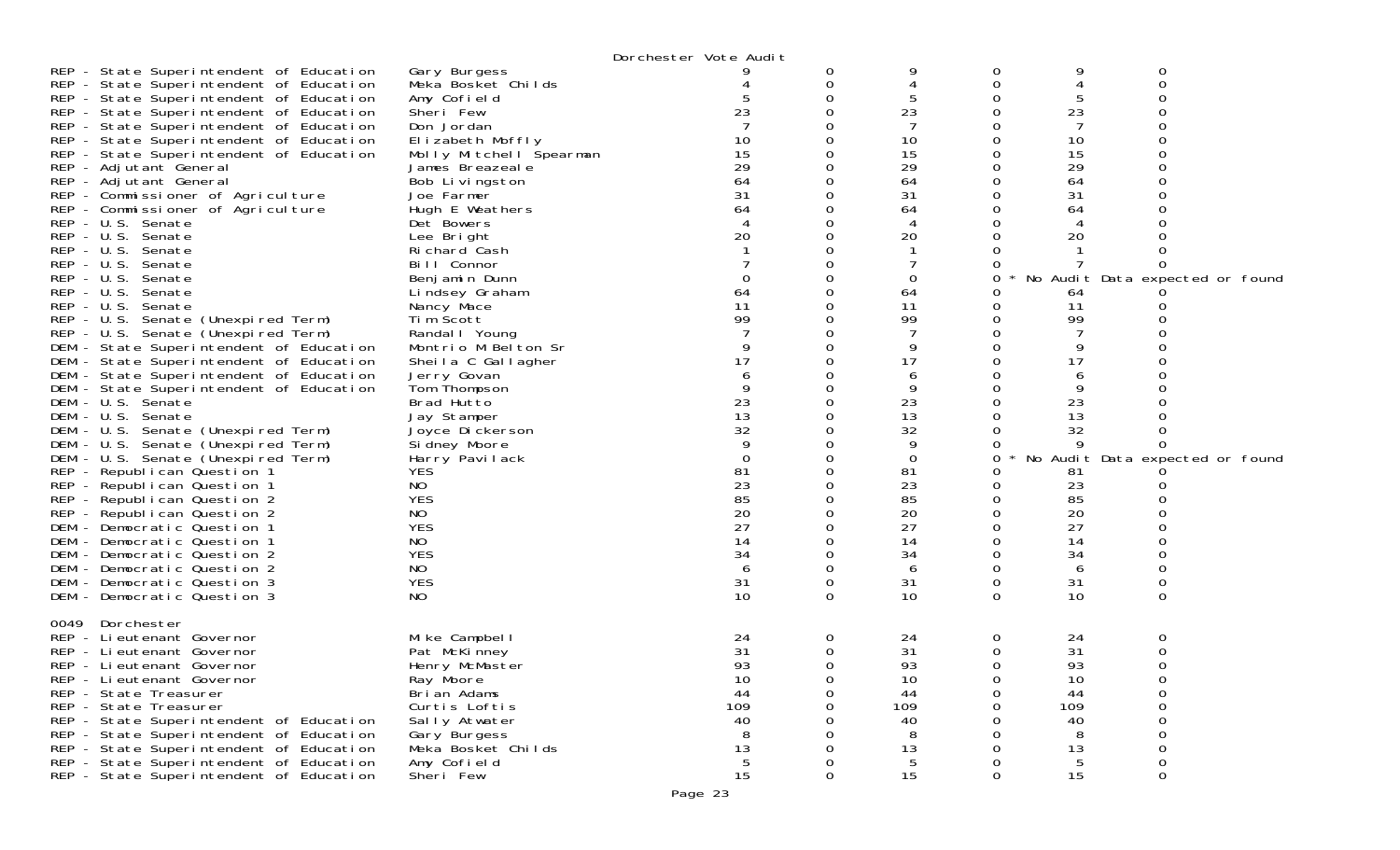| Gary Burgess<br>0<br>0<br>0<br>0<br>REP - State Superintendent of Education<br>Meka Bosket Childs<br>0<br>∩<br>$\Omega$<br>5<br>REP - State Superintendent of Education<br>Amy Cofield<br>0<br>23<br>23<br>23<br>REP - State Superintendent of Education<br>Sheri Few<br>0<br>REP - State Superintendent of Education<br>Don Jordan<br>0<br>10<br>10<br>10<br>REP - State Superintendent of Education<br>Elizabeth Moffly<br>0<br>0<br>15<br>15<br>15<br>REP - State Superintendent of Education<br>0<br>Molly Mitchell Spearman<br>29<br>29<br>29<br>REP - Adjutant General<br>James Breazeal e<br>0<br>64<br>64<br>64<br>REP - Adjutant General<br>Bob Livingston<br>0<br>0<br>REP - Commissioner of Agriculture<br>31<br>31<br>31<br>Joe Farmer<br>0<br>REP - Commissioner of Agriculture<br>Hugh E Weathers<br>64<br>$\Omega$<br>64<br>64<br>REP - U.S. Senate<br>$\Omega$<br>Det Bowers<br>4<br>20<br>20<br>REP - U.S. Senate<br>20<br>Lee Bright<br>REP - U.S. Senate<br>Richard Cash<br>∩<br>$\Omega$<br>REP - U.S. Senate<br>Bill Connor<br>REP - U.S. Senate<br>0<br>Benj amin Dunn<br>No Audit Data expected or found<br>64<br>$\Omega$<br>Lindsey Graham<br>64<br>64<br>11<br>REP - U.S. Senate<br>11<br>0<br>11<br>Nancy Mace<br>99<br>99<br>99<br>REP - U.S. Senate (Unexpired Term)<br>Tim Scott<br>$\Omega$<br>Randal I Young<br>$\Omega$<br>0<br>9<br>0<br>9<br>9<br>DEM - State Superintendent of Education<br>Montrio M Belton Sr<br>0<br>17<br>17<br>17<br>DEM - State Superintendent of Education<br>$\Omega$<br>Sheila C Gallagher<br>6<br>Jerry Govan<br>0<br>6<br>6<br>9<br>9<br>0<br>9<br>DEM - State Superintendent of Education<br>Tom Thompson<br>0<br>23<br>23<br>23<br>Brad Hutto<br>$\Omega$<br>13<br>13<br>13<br>Jay Stamper<br>$\Omega$<br>32<br>32<br>32<br>DEM - U.S. Senate (Unexpired Term)<br>Joyce Di ckerson<br>0<br>9<br>DEM - U.S. Senate (Unexpired Term)<br>Si dney Moore<br>$\Omega$<br>9<br>DEM - U.S. Senate (Unexpired Term)<br>$\Omega$<br>$\mathbf 0$<br>Harry Pavilack<br>$\Omega$<br>0<br>No Audit Data expected or found<br>REP - Republican Question 1<br><b>YES</b><br>81<br>0<br>81<br>81<br>23<br>23<br>REP - Republican Question 1<br>NO.<br>$\Omega$<br>23<br>85<br><b>YES</b><br>85<br>85<br>REP - Republican Question 2<br>$\Omega$<br>20<br>20<br>20<br>NO<br>REP - Republican Question 2<br>0<br>0<br>27<br><b>YES</b><br>27<br>27<br>DEM - Democratic Question 1<br>$\Omega$<br>NO.<br>14<br>14<br>14<br>DEM - Democratic Question 1<br>$\Omega$<br><b>YES</b><br>34<br>34<br>34<br>0<br>0<br>DEM - Democratic Question 2<br>NO.<br>$\Omega$<br>DEM - Democratic Question 2<br>6<br>6<br>6<br><b>YES</b><br>31<br>0<br>31<br>31<br>0<br>0<br>10<br>10<br>10<br>NO.<br>$\Omega$<br>0<br>$\Omega$<br>Dorchester<br>0049<br>REP - Lieutenant Governor<br>Mike Campbell<br>0<br>24<br>0<br>24<br>0<br>24<br>31<br>31<br>31<br>Pat McKinney<br>$\Omega$<br>0<br>Ω<br>REP - Lieutenant Governor<br>93<br>93<br>93<br>REP - Lieutenant Governor<br>Henry McMaster<br>$\Omega$<br>∩<br>Ray Moore<br>10<br>10<br>10<br>REP - Lieutenant Governor<br>0<br>0<br>0<br>Brian Adams<br>REP - State Treasurer<br>44<br>44<br>44<br>0<br>0<br>0<br>109<br>REP - State Treasurer<br>Curtis Loftis<br>109<br>109<br>$\Omega$<br>∩<br>Ω<br>40<br>40<br>40<br>REP - State Superintendent of Education<br>Sally Atwater<br>REP - State Superintendent of Education<br>Gary Burgess<br>8<br>8<br>8<br>13<br>REP - State Superintendent of Education<br>Meka Bosket Childs<br>13<br>13<br>$\Omega$<br>$\sqrt{5}$<br>REP - State Superintendent of Education<br>Amy Cofield<br>5<br>5<br>0<br>0<br>0<br>0<br>0<br>0 |                                         |           | Dorchester Vote Audit |    |    |  |
|------------------------------------------------------------------------------------------------------------------------------------------------------------------------------------------------------------------------------------------------------------------------------------------------------------------------------------------------------------------------------------------------------------------------------------------------------------------------------------------------------------------------------------------------------------------------------------------------------------------------------------------------------------------------------------------------------------------------------------------------------------------------------------------------------------------------------------------------------------------------------------------------------------------------------------------------------------------------------------------------------------------------------------------------------------------------------------------------------------------------------------------------------------------------------------------------------------------------------------------------------------------------------------------------------------------------------------------------------------------------------------------------------------------------------------------------------------------------------------------------------------------------------------------------------------------------------------------------------------------------------------------------------------------------------------------------------------------------------------------------------------------------------------------------------------------------------------------------------------------------------------------------------------------------------------------------------------------------------------------------------------------------------------------------------------------------------------------------------------------------------------------------------------------------------------------------------------------------------------------------------------------------------------------------------------------------------------------------------------------------------------------------------------------------------------------------------------------------------------------------------------------------------------------------------------------------------------------------------------------------------------------------------------------------------------------------------------------------------------------------------------------------------------------------------------------------------------------------------------------------------------------------------------------------------------------------------------------------------------------------------------------------------------------------------------------------------------------------------------------------------------------------------------------------------------------------------------------------------------------------------------------------------------------------------------------------------------------------------------------------------------------------------------------------------------------------------------------------------------------------------------------------------------------------------------------------------------------------------------------------------------------------------------|-----------------------------------------|-----------|-----------------------|----|----|--|
|                                                                                                                                                                                                                                                                                                                                                                                                                                                                                                                                                                                                                                                                                                                                                                                                                                                                                                                                                                                                                                                                                                                                                                                                                                                                                                                                                                                                                                                                                                                                                                                                                                                                                                                                                                                                                                                                                                                                                                                                                                                                                                                                                                                                                                                                                                                                                                                                                                                                                                                                                                                                                                                                                                                                                                                                                                                                                                                                                                                                                                                                                                                                                                                                                                                                                                                                                                                                                                                                                                                                                                                                                                                            | REP - State Superintendent of Education |           |                       |    |    |  |
|                                                                                                                                                                                                                                                                                                                                                                                                                                                                                                                                                                                                                                                                                                                                                                                                                                                                                                                                                                                                                                                                                                                                                                                                                                                                                                                                                                                                                                                                                                                                                                                                                                                                                                                                                                                                                                                                                                                                                                                                                                                                                                                                                                                                                                                                                                                                                                                                                                                                                                                                                                                                                                                                                                                                                                                                                                                                                                                                                                                                                                                                                                                                                                                                                                                                                                                                                                                                                                                                                                                                                                                                                                                            |                                         |           |                       |    |    |  |
|                                                                                                                                                                                                                                                                                                                                                                                                                                                                                                                                                                                                                                                                                                                                                                                                                                                                                                                                                                                                                                                                                                                                                                                                                                                                                                                                                                                                                                                                                                                                                                                                                                                                                                                                                                                                                                                                                                                                                                                                                                                                                                                                                                                                                                                                                                                                                                                                                                                                                                                                                                                                                                                                                                                                                                                                                                                                                                                                                                                                                                                                                                                                                                                                                                                                                                                                                                                                                                                                                                                                                                                                                                                            |                                         |           |                       |    |    |  |
|                                                                                                                                                                                                                                                                                                                                                                                                                                                                                                                                                                                                                                                                                                                                                                                                                                                                                                                                                                                                                                                                                                                                                                                                                                                                                                                                                                                                                                                                                                                                                                                                                                                                                                                                                                                                                                                                                                                                                                                                                                                                                                                                                                                                                                                                                                                                                                                                                                                                                                                                                                                                                                                                                                                                                                                                                                                                                                                                                                                                                                                                                                                                                                                                                                                                                                                                                                                                                                                                                                                                                                                                                                                            |                                         |           |                       |    |    |  |
|                                                                                                                                                                                                                                                                                                                                                                                                                                                                                                                                                                                                                                                                                                                                                                                                                                                                                                                                                                                                                                                                                                                                                                                                                                                                                                                                                                                                                                                                                                                                                                                                                                                                                                                                                                                                                                                                                                                                                                                                                                                                                                                                                                                                                                                                                                                                                                                                                                                                                                                                                                                                                                                                                                                                                                                                                                                                                                                                                                                                                                                                                                                                                                                                                                                                                                                                                                                                                                                                                                                                                                                                                                                            |                                         |           |                       |    |    |  |
|                                                                                                                                                                                                                                                                                                                                                                                                                                                                                                                                                                                                                                                                                                                                                                                                                                                                                                                                                                                                                                                                                                                                                                                                                                                                                                                                                                                                                                                                                                                                                                                                                                                                                                                                                                                                                                                                                                                                                                                                                                                                                                                                                                                                                                                                                                                                                                                                                                                                                                                                                                                                                                                                                                                                                                                                                                                                                                                                                                                                                                                                                                                                                                                                                                                                                                                                                                                                                                                                                                                                                                                                                                                            |                                         |           |                       |    |    |  |
|                                                                                                                                                                                                                                                                                                                                                                                                                                                                                                                                                                                                                                                                                                                                                                                                                                                                                                                                                                                                                                                                                                                                                                                                                                                                                                                                                                                                                                                                                                                                                                                                                                                                                                                                                                                                                                                                                                                                                                                                                                                                                                                                                                                                                                                                                                                                                                                                                                                                                                                                                                                                                                                                                                                                                                                                                                                                                                                                                                                                                                                                                                                                                                                                                                                                                                                                                                                                                                                                                                                                                                                                                                                            |                                         |           |                       |    |    |  |
|                                                                                                                                                                                                                                                                                                                                                                                                                                                                                                                                                                                                                                                                                                                                                                                                                                                                                                                                                                                                                                                                                                                                                                                                                                                                                                                                                                                                                                                                                                                                                                                                                                                                                                                                                                                                                                                                                                                                                                                                                                                                                                                                                                                                                                                                                                                                                                                                                                                                                                                                                                                                                                                                                                                                                                                                                                                                                                                                                                                                                                                                                                                                                                                                                                                                                                                                                                                                                                                                                                                                                                                                                                                            |                                         |           |                       |    |    |  |
|                                                                                                                                                                                                                                                                                                                                                                                                                                                                                                                                                                                                                                                                                                                                                                                                                                                                                                                                                                                                                                                                                                                                                                                                                                                                                                                                                                                                                                                                                                                                                                                                                                                                                                                                                                                                                                                                                                                                                                                                                                                                                                                                                                                                                                                                                                                                                                                                                                                                                                                                                                                                                                                                                                                                                                                                                                                                                                                                                                                                                                                                                                                                                                                                                                                                                                                                                                                                                                                                                                                                                                                                                                                            |                                         |           |                       |    |    |  |
|                                                                                                                                                                                                                                                                                                                                                                                                                                                                                                                                                                                                                                                                                                                                                                                                                                                                                                                                                                                                                                                                                                                                                                                                                                                                                                                                                                                                                                                                                                                                                                                                                                                                                                                                                                                                                                                                                                                                                                                                                                                                                                                                                                                                                                                                                                                                                                                                                                                                                                                                                                                                                                                                                                                                                                                                                                                                                                                                                                                                                                                                                                                                                                                                                                                                                                                                                                                                                                                                                                                                                                                                                                                            |                                         |           |                       |    |    |  |
|                                                                                                                                                                                                                                                                                                                                                                                                                                                                                                                                                                                                                                                                                                                                                                                                                                                                                                                                                                                                                                                                                                                                                                                                                                                                                                                                                                                                                                                                                                                                                                                                                                                                                                                                                                                                                                                                                                                                                                                                                                                                                                                                                                                                                                                                                                                                                                                                                                                                                                                                                                                                                                                                                                                                                                                                                                                                                                                                                                                                                                                                                                                                                                                                                                                                                                                                                                                                                                                                                                                                                                                                                                                            |                                         |           |                       |    |    |  |
|                                                                                                                                                                                                                                                                                                                                                                                                                                                                                                                                                                                                                                                                                                                                                                                                                                                                                                                                                                                                                                                                                                                                                                                                                                                                                                                                                                                                                                                                                                                                                                                                                                                                                                                                                                                                                                                                                                                                                                                                                                                                                                                                                                                                                                                                                                                                                                                                                                                                                                                                                                                                                                                                                                                                                                                                                                                                                                                                                                                                                                                                                                                                                                                                                                                                                                                                                                                                                                                                                                                                                                                                                                                            |                                         |           |                       |    |    |  |
|                                                                                                                                                                                                                                                                                                                                                                                                                                                                                                                                                                                                                                                                                                                                                                                                                                                                                                                                                                                                                                                                                                                                                                                                                                                                                                                                                                                                                                                                                                                                                                                                                                                                                                                                                                                                                                                                                                                                                                                                                                                                                                                                                                                                                                                                                                                                                                                                                                                                                                                                                                                                                                                                                                                                                                                                                                                                                                                                                                                                                                                                                                                                                                                                                                                                                                                                                                                                                                                                                                                                                                                                                                                            |                                         |           |                       |    |    |  |
|                                                                                                                                                                                                                                                                                                                                                                                                                                                                                                                                                                                                                                                                                                                                                                                                                                                                                                                                                                                                                                                                                                                                                                                                                                                                                                                                                                                                                                                                                                                                                                                                                                                                                                                                                                                                                                                                                                                                                                                                                                                                                                                                                                                                                                                                                                                                                                                                                                                                                                                                                                                                                                                                                                                                                                                                                                                                                                                                                                                                                                                                                                                                                                                                                                                                                                                                                                                                                                                                                                                                                                                                                                                            |                                         |           |                       |    |    |  |
|                                                                                                                                                                                                                                                                                                                                                                                                                                                                                                                                                                                                                                                                                                                                                                                                                                                                                                                                                                                                                                                                                                                                                                                                                                                                                                                                                                                                                                                                                                                                                                                                                                                                                                                                                                                                                                                                                                                                                                                                                                                                                                                                                                                                                                                                                                                                                                                                                                                                                                                                                                                                                                                                                                                                                                                                                                                                                                                                                                                                                                                                                                                                                                                                                                                                                                                                                                                                                                                                                                                                                                                                                                                            |                                         |           |                       |    |    |  |
|                                                                                                                                                                                                                                                                                                                                                                                                                                                                                                                                                                                                                                                                                                                                                                                                                                                                                                                                                                                                                                                                                                                                                                                                                                                                                                                                                                                                                                                                                                                                                                                                                                                                                                                                                                                                                                                                                                                                                                                                                                                                                                                                                                                                                                                                                                                                                                                                                                                                                                                                                                                                                                                                                                                                                                                                                                                                                                                                                                                                                                                                                                                                                                                                                                                                                                                                                                                                                                                                                                                                                                                                                                                            |                                         |           |                       |    |    |  |
|                                                                                                                                                                                                                                                                                                                                                                                                                                                                                                                                                                                                                                                                                                                                                                                                                                                                                                                                                                                                                                                                                                                                                                                                                                                                                                                                                                                                                                                                                                                                                                                                                                                                                                                                                                                                                                                                                                                                                                                                                                                                                                                                                                                                                                                                                                                                                                                                                                                                                                                                                                                                                                                                                                                                                                                                                                                                                                                                                                                                                                                                                                                                                                                                                                                                                                                                                                                                                                                                                                                                                                                                                                                            | REP - U.S. Senate                       |           |                       |    |    |  |
|                                                                                                                                                                                                                                                                                                                                                                                                                                                                                                                                                                                                                                                                                                                                                                                                                                                                                                                                                                                                                                                                                                                                                                                                                                                                                                                                                                                                                                                                                                                                                                                                                                                                                                                                                                                                                                                                                                                                                                                                                                                                                                                                                                                                                                                                                                                                                                                                                                                                                                                                                                                                                                                                                                                                                                                                                                                                                                                                                                                                                                                                                                                                                                                                                                                                                                                                                                                                                                                                                                                                                                                                                                                            |                                         |           |                       |    |    |  |
|                                                                                                                                                                                                                                                                                                                                                                                                                                                                                                                                                                                                                                                                                                                                                                                                                                                                                                                                                                                                                                                                                                                                                                                                                                                                                                                                                                                                                                                                                                                                                                                                                                                                                                                                                                                                                                                                                                                                                                                                                                                                                                                                                                                                                                                                                                                                                                                                                                                                                                                                                                                                                                                                                                                                                                                                                                                                                                                                                                                                                                                                                                                                                                                                                                                                                                                                                                                                                                                                                                                                                                                                                                                            |                                         |           |                       |    |    |  |
|                                                                                                                                                                                                                                                                                                                                                                                                                                                                                                                                                                                                                                                                                                                                                                                                                                                                                                                                                                                                                                                                                                                                                                                                                                                                                                                                                                                                                                                                                                                                                                                                                                                                                                                                                                                                                                                                                                                                                                                                                                                                                                                                                                                                                                                                                                                                                                                                                                                                                                                                                                                                                                                                                                                                                                                                                                                                                                                                                                                                                                                                                                                                                                                                                                                                                                                                                                                                                                                                                                                                                                                                                                                            | REP - U.S. Senate (Unexpired Term)      |           |                       |    |    |  |
|                                                                                                                                                                                                                                                                                                                                                                                                                                                                                                                                                                                                                                                                                                                                                                                                                                                                                                                                                                                                                                                                                                                                                                                                                                                                                                                                                                                                                                                                                                                                                                                                                                                                                                                                                                                                                                                                                                                                                                                                                                                                                                                                                                                                                                                                                                                                                                                                                                                                                                                                                                                                                                                                                                                                                                                                                                                                                                                                                                                                                                                                                                                                                                                                                                                                                                                                                                                                                                                                                                                                                                                                                                                            |                                         |           |                       |    |    |  |
|                                                                                                                                                                                                                                                                                                                                                                                                                                                                                                                                                                                                                                                                                                                                                                                                                                                                                                                                                                                                                                                                                                                                                                                                                                                                                                                                                                                                                                                                                                                                                                                                                                                                                                                                                                                                                                                                                                                                                                                                                                                                                                                                                                                                                                                                                                                                                                                                                                                                                                                                                                                                                                                                                                                                                                                                                                                                                                                                                                                                                                                                                                                                                                                                                                                                                                                                                                                                                                                                                                                                                                                                                                                            |                                         |           |                       |    |    |  |
|                                                                                                                                                                                                                                                                                                                                                                                                                                                                                                                                                                                                                                                                                                                                                                                                                                                                                                                                                                                                                                                                                                                                                                                                                                                                                                                                                                                                                                                                                                                                                                                                                                                                                                                                                                                                                                                                                                                                                                                                                                                                                                                                                                                                                                                                                                                                                                                                                                                                                                                                                                                                                                                                                                                                                                                                                                                                                                                                                                                                                                                                                                                                                                                                                                                                                                                                                                                                                                                                                                                                                                                                                                                            | DEM - State Superintendent of Education |           |                       |    |    |  |
|                                                                                                                                                                                                                                                                                                                                                                                                                                                                                                                                                                                                                                                                                                                                                                                                                                                                                                                                                                                                                                                                                                                                                                                                                                                                                                                                                                                                                                                                                                                                                                                                                                                                                                                                                                                                                                                                                                                                                                                                                                                                                                                                                                                                                                                                                                                                                                                                                                                                                                                                                                                                                                                                                                                                                                                                                                                                                                                                                                                                                                                                                                                                                                                                                                                                                                                                                                                                                                                                                                                                                                                                                                                            |                                         |           |                       |    |    |  |
|                                                                                                                                                                                                                                                                                                                                                                                                                                                                                                                                                                                                                                                                                                                                                                                                                                                                                                                                                                                                                                                                                                                                                                                                                                                                                                                                                                                                                                                                                                                                                                                                                                                                                                                                                                                                                                                                                                                                                                                                                                                                                                                                                                                                                                                                                                                                                                                                                                                                                                                                                                                                                                                                                                                                                                                                                                                                                                                                                                                                                                                                                                                                                                                                                                                                                                                                                                                                                                                                                                                                                                                                                                                            | DEM - U.S. Senate                       |           |                       |    |    |  |
|                                                                                                                                                                                                                                                                                                                                                                                                                                                                                                                                                                                                                                                                                                                                                                                                                                                                                                                                                                                                                                                                                                                                                                                                                                                                                                                                                                                                                                                                                                                                                                                                                                                                                                                                                                                                                                                                                                                                                                                                                                                                                                                                                                                                                                                                                                                                                                                                                                                                                                                                                                                                                                                                                                                                                                                                                                                                                                                                                                                                                                                                                                                                                                                                                                                                                                                                                                                                                                                                                                                                                                                                                                                            | DEM - U.S. Senate                       |           |                       |    |    |  |
|                                                                                                                                                                                                                                                                                                                                                                                                                                                                                                                                                                                                                                                                                                                                                                                                                                                                                                                                                                                                                                                                                                                                                                                                                                                                                                                                                                                                                                                                                                                                                                                                                                                                                                                                                                                                                                                                                                                                                                                                                                                                                                                                                                                                                                                                                                                                                                                                                                                                                                                                                                                                                                                                                                                                                                                                                                                                                                                                                                                                                                                                                                                                                                                                                                                                                                                                                                                                                                                                                                                                                                                                                                                            |                                         |           |                       |    |    |  |
|                                                                                                                                                                                                                                                                                                                                                                                                                                                                                                                                                                                                                                                                                                                                                                                                                                                                                                                                                                                                                                                                                                                                                                                                                                                                                                                                                                                                                                                                                                                                                                                                                                                                                                                                                                                                                                                                                                                                                                                                                                                                                                                                                                                                                                                                                                                                                                                                                                                                                                                                                                                                                                                                                                                                                                                                                                                                                                                                                                                                                                                                                                                                                                                                                                                                                                                                                                                                                                                                                                                                                                                                                                                            |                                         |           |                       |    |    |  |
|                                                                                                                                                                                                                                                                                                                                                                                                                                                                                                                                                                                                                                                                                                                                                                                                                                                                                                                                                                                                                                                                                                                                                                                                                                                                                                                                                                                                                                                                                                                                                                                                                                                                                                                                                                                                                                                                                                                                                                                                                                                                                                                                                                                                                                                                                                                                                                                                                                                                                                                                                                                                                                                                                                                                                                                                                                                                                                                                                                                                                                                                                                                                                                                                                                                                                                                                                                                                                                                                                                                                                                                                                                                            |                                         |           |                       |    |    |  |
|                                                                                                                                                                                                                                                                                                                                                                                                                                                                                                                                                                                                                                                                                                                                                                                                                                                                                                                                                                                                                                                                                                                                                                                                                                                                                                                                                                                                                                                                                                                                                                                                                                                                                                                                                                                                                                                                                                                                                                                                                                                                                                                                                                                                                                                                                                                                                                                                                                                                                                                                                                                                                                                                                                                                                                                                                                                                                                                                                                                                                                                                                                                                                                                                                                                                                                                                                                                                                                                                                                                                                                                                                                                            |                                         |           |                       |    |    |  |
|                                                                                                                                                                                                                                                                                                                                                                                                                                                                                                                                                                                                                                                                                                                                                                                                                                                                                                                                                                                                                                                                                                                                                                                                                                                                                                                                                                                                                                                                                                                                                                                                                                                                                                                                                                                                                                                                                                                                                                                                                                                                                                                                                                                                                                                                                                                                                                                                                                                                                                                                                                                                                                                                                                                                                                                                                                                                                                                                                                                                                                                                                                                                                                                                                                                                                                                                                                                                                                                                                                                                                                                                                                                            |                                         |           |                       |    |    |  |
|                                                                                                                                                                                                                                                                                                                                                                                                                                                                                                                                                                                                                                                                                                                                                                                                                                                                                                                                                                                                                                                                                                                                                                                                                                                                                                                                                                                                                                                                                                                                                                                                                                                                                                                                                                                                                                                                                                                                                                                                                                                                                                                                                                                                                                                                                                                                                                                                                                                                                                                                                                                                                                                                                                                                                                                                                                                                                                                                                                                                                                                                                                                                                                                                                                                                                                                                                                                                                                                                                                                                                                                                                                                            |                                         |           |                       |    |    |  |
|                                                                                                                                                                                                                                                                                                                                                                                                                                                                                                                                                                                                                                                                                                                                                                                                                                                                                                                                                                                                                                                                                                                                                                                                                                                                                                                                                                                                                                                                                                                                                                                                                                                                                                                                                                                                                                                                                                                                                                                                                                                                                                                                                                                                                                                                                                                                                                                                                                                                                                                                                                                                                                                                                                                                                                                                                                                                                                                                                                                                                                                                                                                                                                                                                                                                                                                                                                                                                                                                                                                                                                                                                                                            |                                         |           |                       |    |    |  |
|                                                                                                                                                                                                                                                                                                                                                                                                                                                                                                                                                                                                                                                                                                                                                                                                                                                                                                                                                                                                                                                                                                                                                                                                                                                                                                                                                                                                                                                                                                                                                                                                                                                                                                                                                                                                                                                                                                                                                                                                                                                                                                                                                                                                                                                                                                                                                                                                                                                                                                                                                                                                                                                                                                                                                                                                                                                                                                                                                                                                                                                                                                                                                                                                                                                                                                                                                                                                                                                                                                                                                                                                                                                            |                                         |           |                       |    |    |  |
|                                                                                                                                                                                                                                                                                                                                                                                                                                                                                                                                                                                                                                                                                                                                                                                                                                                                                                                                                                                                                                                                                                                                                                                                                                                                                                                                                                                                                                                                                                                                                                                                                                                                                                                                                                                                                                                                                                                                                                                                                                                                                                                                                                                                                                                                                                                                                                                                                                                                                                                                                                                                                                                                                                                                                                                                                                                                                                                                                                                                                                                                                                                                                                                                                                                                                                                                                                                                                                                                                                                                                                                                                                                            |                                         |           |                       |    |    |  |
|                                                                                                                                                                                                                                                                                                                                                                                                                                                                                                                                                                                                                                                                                                                                                                                                                                                                                                                                                                                                                                                                                                                                                                                                                                                                                                                                                                                                                                                                                                                                                                                                                                                                                                                                                                                                                                                                                                                                                                                                                                                                                                                                                                                                                                                                                                                                                                                                                                                                                                                                                                                                                                                                                                                                                                                                                                                                                                                                                                                                                                                                                                                                                                                                                                                                                                                                                                                                                                                                                                                                                                                                                                                            |                                         |           |                       |    |    |  |
|                                                                                                                                                                                                                                                                                                                                                                                                                                                                                                                                                                                                                                                                                                                                                                                                                                                                                                                                                                                                                                                                                                                                                                                                                                                                                                                                                                                                                                                                                                                                                                                                                                                                                                                                                                                                                                                                                                                                                                                                                                                                                                                                                                                                                                                                                                                                                                                                                                                                                                                                                                                                                                                                                                                                                                                                                                                                                                                                                                                                                                                                                                                                                                                                                                                                                                                                                                                                                                                                                                                                                                                                                                                            |                                         |           |                       |    |    |  |
|                                                                                                                                                                                                                                                                                                                                                                                                                                                                                                                                                                                                                                                                                                                                                                                                                                                                                                                                                                                                                                                                                                                                                                                                                                                                                                                                                                                                                                                                                                                                                                                                                                                                                                                                                                                                                                                                                                                                                                                                                                                                                                                                                                                                                                                                                                                                                                                                                                                                                                                                                                                                                                                                                                                                                                                                                                                                                                                                                                                                                                                                                                                                                                                                                                                                                                                                                                                                                                                                                                                                                                                                                                                            | DEM - Democratic Question 3             |           |                       |    |    |  |
|                                                                                                                                                                                                                                                                                                                                                                                                                                                                                                                                                                                                                                                                                                                                                                                                                                                                                                                                                                                                                                                                                                                                                                                                                                                                                                                                                                                                                                                                                                                                                                                                                                                                                                                                                                                                                                                                                                                                                                                                                                                                                                                                                                                                                                                                                                                                                                                                                                                                                                                                                                                                                                                                                                                                                                                                                                                                                                                                                                                                                                                                                                                                                                                                                                                                                                                                                                                                                                                                                                                                                                                                                                                            | DEM - Democratic Question 3             |           |                       |    |    |  |
|                                                                                                                                                                                                                                                                                                                                                                                                                                                                                                                                                                                                                                                                                                                                                                                                                                                                                                                                                                                                                                                                                                                                                                                                                                                                                                                                                                                                                                                                                                                                                                                                                                                                                                                                                                                                                                                                                                                                                                                                                                                                                                                                                                                                                                                                                                                                                                                                                                                                                                                                                                                                                                                                                                                                                                                                                                                                                                                                                                                                                                                                                                                                                                                                                                                                                                                                                                                                                                                                                                                                                                                                                                                            |                                         |           |                       |    |    |  |
|                                                                                                                                                                                                                                                                                                                                                                                                                                                                                                                                                                                                                                                                                                                                                                                                                                                                                                                                                                                                                                                                                                                                                                                                                                                                                                                                                                                                                                                                                                                                                                                                                                                                                                                                                                                                                                                                                                                                                                                                                                                                                                                                                                                                                                                                                                                                                                                                                                                                                                                                                                                                                                                                                                                                                                                                                                                                                                                                                                                                                                                                                                                                                                                                                                                                                                                                                                                                                                                                                                                                                                                                                                                            |                                         |           |                       |    |    |  |
|                                                                                                                                                                                                                                                                                                                                                                                                                                                                                                                                                                                                                                                                                                                                                                                                                                                                                                                                                                                                                                                                                                                                                                                                                                                                                                                                                                                                                                                                                                                                                                                                                                                                                                                                                                                                                                                                                                                                                                                                                                                                                                                                                                                                                                                                                                                                                                                                                                                                                                                                                                                                                                                                                                                                                                                                                                                                                                                                                                                                                                                                                                                                                                                                                                                                                                                                                                                                                                                                                                                                                                                                                                                            |                                         |           |                       |    |    |  |
|                                                                                                                                                                                                                                                                                                                                                                                                                                                                                                                                                                                                                                                                                                                                                                                                                                                                                                                                                                                                                                                                                                                                                                                                                                                                                                                                                                                                                                                                                                                                                                                                                                                                                                                                                                                                                                                                                                                                                                                                                                                                                                                                                                                                                                                                                                                                                                                                                                                                                                                                                                                                                                                                                                                                                                                                                                                                                                                                                                                                                                                                                                                                                                                                                                                                                                                                                                                                                                                                                                                                                                                                                                                            |                                         |           |                       |    |    |  |
|                                                                                                                                                                                                                                                                                                                                                                                                                                                                                                                                                                                                                                                                                                                                                                                                                                                                                                                                                                                                                                                                                                                                                                                                                                                                                                                                                                                                                                                                                                                                                                                                                                                                                                                                                                                                                                                                                                                                                                                                                                                                                                                                                                                                                                                                                                                                                                                                                                                                                                                                                                                                                                                                                                                                                                                                                                                                                                                                                                                                                                                                                                                                                                                                                                                                                                                                                                                                                                                                                                                                                                                                                                                            |                                         |           |                       |    |    |  |
|                                                                                                                                                                                                                                                                                                                                                                                                                                                                                                                                                                                                                                                                                                                                                                                                                                                                                                                                                                                                                                                                                                                                                                                                                                                                                                                                                                                                                                                                                                                                                                                                                                                                                                                                                                                                                                                                                                                                                                                                                                                                                                                                                                                                                                                                                                                                                                                                                                                                                                                                                                                                                                                                                                                                                                                                                                                                                                                                                                                                                                                                                                                                                                                                                                                                                                                                                                                                                                                                                                                                                                                                                                                            |                                         |           |                       |    |    |  |
|                                                                                                                                                                                                                                                                                                                                                                                                                                                                                                                                                                                                                                                                                                                                                                                                                                                                                                                                                                                                                                                                                                                                                                                                                                                                                                                                                                                                                                                                                                                                                                                                                                                                                                                                                                                                                                                                                                                                                                                                                                                                                                                                                                                                                                                                                                                                                                                                                                                                                                                                                                                                                                                                                                                                                                                                                                                                                                                                                                                                                                                                                                                                                                                                                                                                                                                                                                                                                                                                                                                                                                                                                                                            |                                         |           |                       |    |    |  |
|                                                                                                                                                                                                                                                                                                                                                                                                                                                                                                                                                                                                                                                                                                                                                                                                                                                                                                                                                                                                                                                                                                                                                                                                                                                                                                                                                                                                                                                                                                                                                                                                                                                                                                                                                                                                                                                                                                                                                                                                                                                                                                                                                                                                                                                                                                                                                                                                                                                                                                                                                                                                                                                                                                                                                                                                                                                                                                                                                                                                                                                                                                                                                                                                                                                                                                                                                                                                                                                                                                                                                                                                                                                            |                                         |           |                       |    |    |  |
|                                                                                                                                                                                                                                                                                                                                                                                                                                                                                                                                                                                                                                                                                                                                                                                                                                                                                                                                                                                                                                                                                                                                                                                                                                                                                                                                                                                                                                                                                                                                                                                                                                                                                                                                                                                                                                                                                                                                                                                                                                                                                                                                                                                                                                                                                                                                                                                                                                                                                                                                                                                                                                                                                                                                                                                                                                                                                                                                                                                                                                                                                                                                                                                                                                                                                                                                                                                                                                                                                                                                                                                                                                                            |                                         |           |                       |    |    |  |
|                                                                                                                                                                                                                                                                                                                                                                                                                                                                                                                                                                                                                                                                                                                                                                                                                                                                                                                                                                                                                                                                                                                                                                                                                                                                                                                                                                                                                                                                                                                                                                                                                                                                                                                                                                                                                                                                                                                                                                                                                                                                                                                                                                                                                                                                                                                                                                                                                                                                                                                                                                                                                                                                                                                                                                                                                                                                                                                                                                                                                                                                                                                                                                                                                                                                                                                                                                                                                                                                                                                                                                                                                                                            |                                         |           |                       |    |    |  |
|                                                                                                                                                                                                                                                                                                                                                                                                                                                                                                                                                                                                                                                                                                                                                                                                                                                                                                                                                                                                                                                                                                                                                                                                                                                                                                                                                                                                                                                                                                                                                                                                                                                                                                                                                                                                                                                                                                                                                                                                                                                                                                                                                                                                                                                                                                                                                                                                                                                                                                                                                                                                                                                                                                                                                                                                                                                                                                                                                                                                                                                                                                                                                                                                                                                                                                                                                                                                                                                                                                                                                                                                                                                            |                                         |           |                       |    |    |  |
|                                                                                                                                                                                                                                                                                                                                                                                                                                                                                                                                                                                                                                                                                                                                                                                                                                                                                                                                                                                                                                                                                                                                                                                                                                                                                                                                                                                                                                                                                                                                                                                                                                                                                                                                                                                                                                                                                                                                                                                                                                                                                                                                                                                                                                                                                                                                                                                                                                                                                                                                                                                                                                                                                                                                                                                                                                                                                                                                                                                                                                                                                                                                                                                                                                                                                                                                                                                                                                                                                                                                                                                                                                                            | REP - State Superintendent of Education | Sheri Few | 15                    | 15 | 15 |  |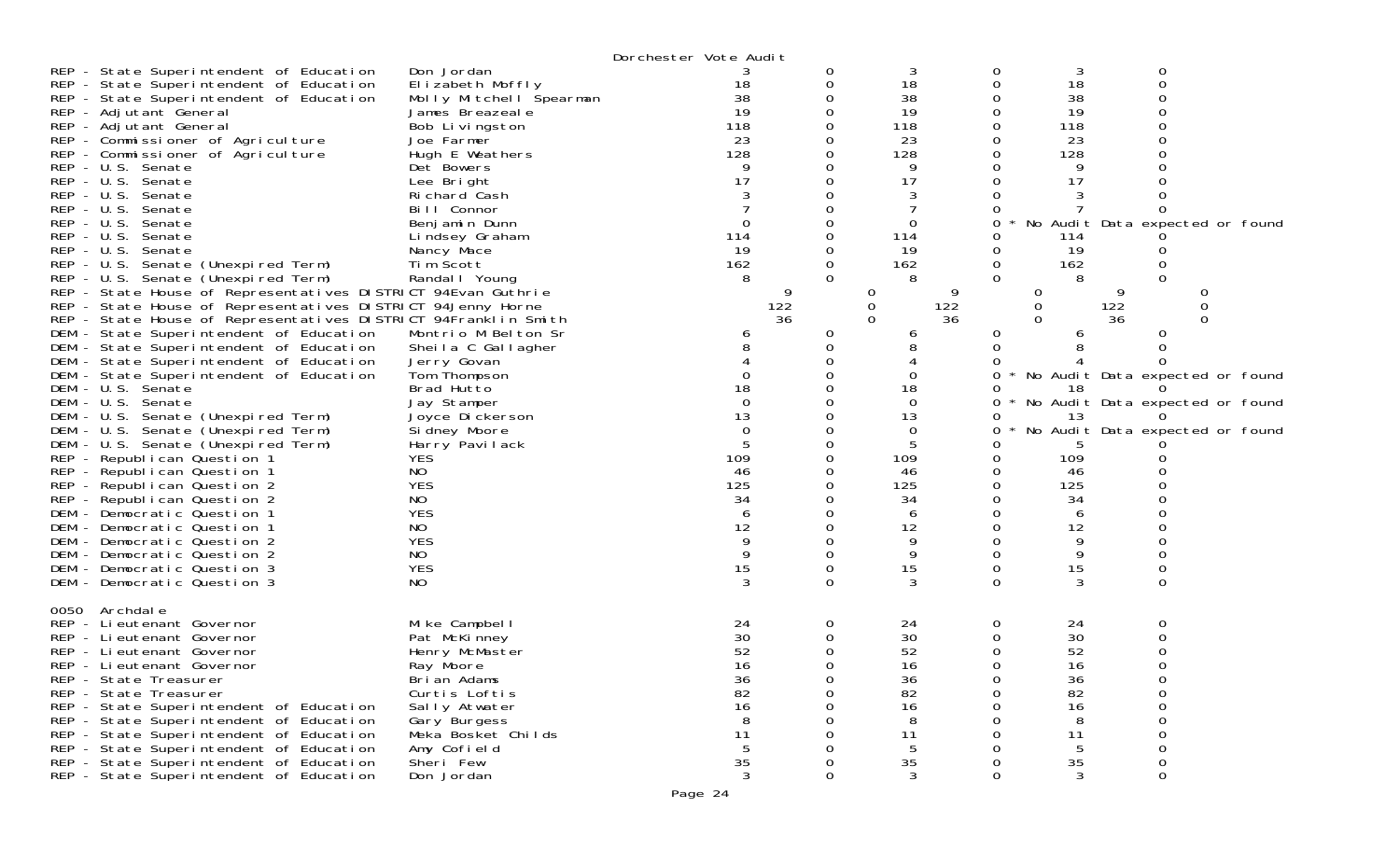|                                                                                                                                                                                                                                                                                                                                                                                                                                                                                                                                                                                                                                       |                                                                                                                                                                                                                                                                            | Dorchester Vote Audit                                                         |                                   |                                                                                  |                                                                                            |                                                                                                                                          |
|---------------------------------------------------------------------------------------------------------------------------------------------------------------------------------------------------------------------------------------------------------------------------------------------------------------------------------------------------------------------------------------------------------------------------------------------------------------------------------------------------------------------------------------------------------------------------------------------------------------------------------------|----------------------------------------------------------------------------------------------------------------------------------------------------------------------------------------------------------------------------------------------------------------------------|-------------------------------------------------------------------------------|-----------------------------------|----------------------------------------------------------------------------------|--------------------------------------------------------------------------------------------|------------------------------------------------------------------------------------------------------------------------------------------|
| REP - State Superintendent of Education<br>REP - State Superintendent of Education<br>REP - State Superintendent of Education<br>REP - Adjutant General<br>REP - Adjutant General<br>REP - Commissioner of Agriculture<br>REP - Commissioner of Agriculture<br>REP - U.S. Senate<br>REP - U.S. Senate<br>REP - U.S. Senate<br>REP - U.S. Senate<br>REP - U.S. Senate<br>REP - U.S. Senate<br>REP - U.S. Senate<br>REP - U.S. Senate (Unexpired Term)<br>REP - U.S. Senate (Unexpired Term)                                                                                                                                            | Don Jordan<br>Elizabeth Moffly<br>Molly Mitchell Spearman<br>James Breazeale<br>Bob Livingston<br>Joe Farmer<br>Hugh E Weathers<br>Det Bowers<br>Lee Bright<br>Richard Cash<br>Bill Connor<br>Benjamin Dunn<br>Lindsey Graham<br>Nancy Mace<br>Tim Scott<br>Randal I Young | 18<br>38<br>19<br>118<br>23<br>128<br>17<br>$\Omega$<br>114<br>19<br>162<br>8 | 0<br>0<br>0<br>0<br>0             | 3<br>18<br>38<br>19<br>118<br>23<br>128<br>9<br>17<br>0<br>114<br>19<br>162<br>8 | 3<br>18<br>0<br>38<br>19<br>118<br>23<br>128<br>9<br>17<br>0<br>114<br>19<br>162<br>0<br>8 | 0<br>No Audit Data expected or found                                                                                                     |
| REP - State House of Representatives DISTRICT 94Evan Guthrie<br>REP - State House of Representatives DISTRICT 94Jenny Horne<br>REP - State House of Representatives DISTRICT 94Franklin Smith<br>DEM - State Superintendent of Education<br>DEM - State Superintendent of Education<br>DEM - State Superintendent of Education<br>DEM - State Superintendent of Education<br>DEM - U.S. Senate<br>DEM - U.S. Senate<br>DEM - U.S. Senate (Unexpired Term)<br>DEM - U.S. Senate (Unexpired Term)<br>DEM - U.S. Senate (Unexpired Term)<br>REP - Republican Question 1<br><b>YES</b><br>NO<br>REP - Republican Question 1<br><b>YES</b> | Montrio M Belton Sr<br>Sheila C Gallagher<br>Jerry Govan<br>Tom Thompson<br>Brad Hutto<br>Jay Stamper<br>Joyce Di ckerson<br>Si dney Moore<br>Harry Pavilack                                                                                                               | 9<br>122<br>36<br>b<br>18<br>$\Omega$<br>13<br>$\Omega$<br>109<br>46<br>125   | 0<br>0<br>$\Omega$<br>0<br>0<br>0 | 122<br>36<br>ь<br>18<br>$\Omega$<br>13<br>0<br>109<br>46                         | $\Omega$<br>0<br>$\Omega$<br>0<br>6<br>18<br>13<br>0<br>109<br>46<br>125                   | 122<br>0<br>36<br>$\Omega$<br>0<br>No Audit Data expected or found<br>No Audit Data expected or found<br>No Audit Data expected or found |
| REP - Republican Question 2<br>NO<br>REP - Republican Question 2<br><b>YES</b><br>DEM - Democratic Question 1<br><b>NO</b><br>DEM - Democratic Question 1<br><b>YES</b><br>DEM - Democratic Question 2<br>DEM - Democratic Question 2<br>NO<br><b>YES</b><br>DEM - Democratic Question 3<br>NO<br>DEM - Democratic Question 3<br>0050<br>Archdal e<br>REP - Lieutenant Governor                                                                                                                                                                                                                                                       | Mike Campbell                                                                                                                                                                                                                                                              | 34<br>6<br>12<br>9<br>9<br>15<br>3<br>24                                      | 0<br>0<br>0<br>0<br>0<br>0        | 125<br>34<br>6<br>12<br>9<br>9<br>15<br>3<br>24                                  | 34<br>6<br>12<br>9<br>9<br>0<br>15<br>0<br>$\Omega$<br>3<br>0<br>24                        | 0<br>$\Omega$<br>0                                                                                                                       |
| REP - Lieutenant Governor<br>REP - Lieutenant Governor<br>REP - Lieutenant Governor<br>REP - State Treasurer<br>REP - State Treasurer<br>REP - State Superintendent of Education<br>REP - State Superintendent of Education<br>REP - State Superintendent of Education<br>REP - State Superintendent of Education<br>REP - State Superintendent of Education<br>REP - State Superintendent of Education                                                                                                                                                                                                                               | Pat McKinney<br>Henry McMaster<br>Ray Moore<br>Brian Adams<br>Curtis Loftis<br>Sally Atwater<br>Gary Burgess<br>Meka Bosket Childs<br>Amy Cofield<br>Sheri Few<br>Don Jordan                                                                                               | 30<br>52<br>16<br>36<br>82<br>16<br>8<br>11<br>5<br>35<br>3                   | 0<br>0<br>0<br>0<br>0             | 30<br>52<br>16<br>36<br>82<br>16<br>8<br>11<br>35<br>3                           | 30<br>52<br>16<br>36<br>82<br>16<br>8<br>11<br>5<br>35<br>3<br>0                           | 0<br>0<br>0<br>0                                                                                                                         |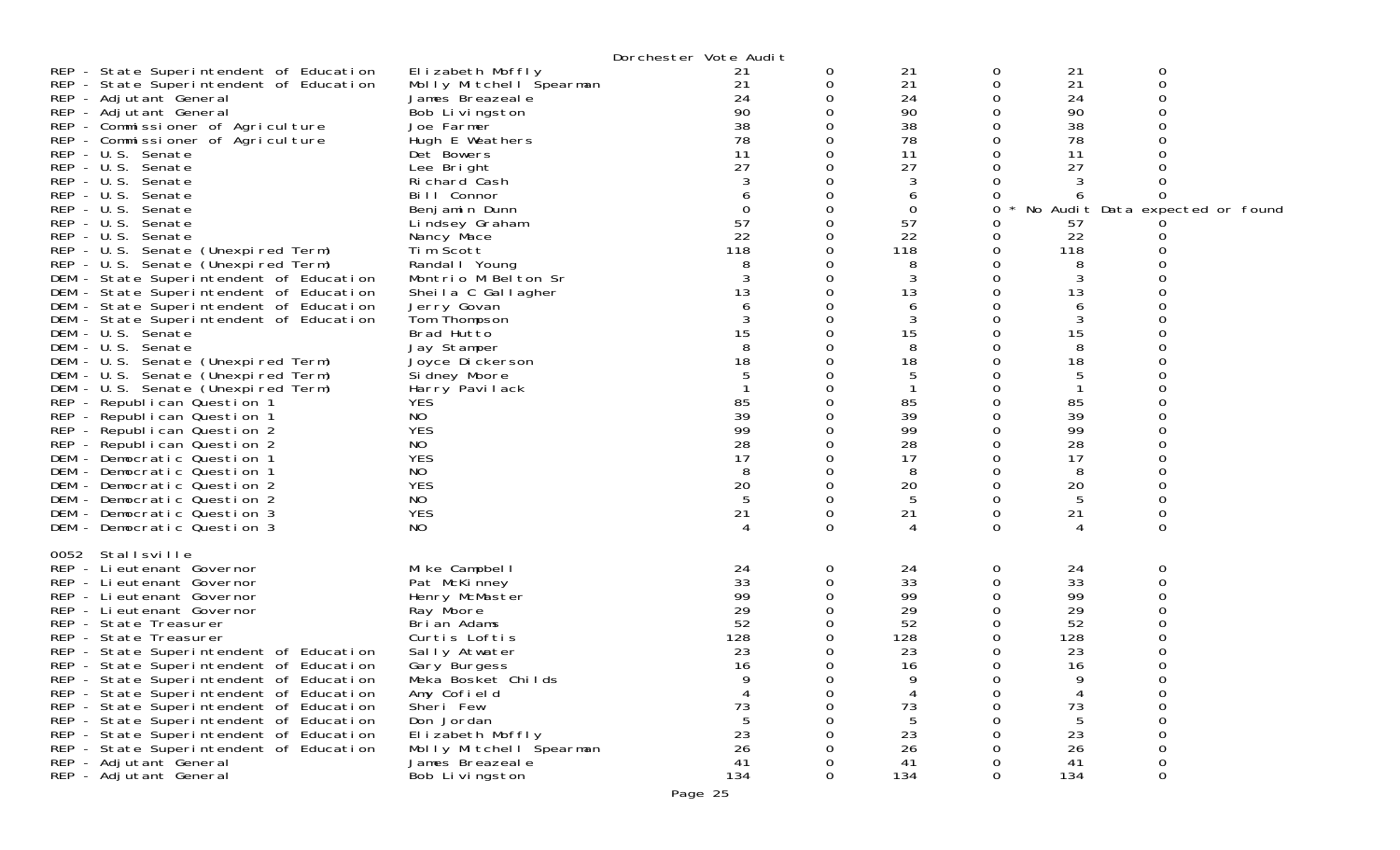| REP - State Superintendent of Education<br>REP - State Superintendent of Education<br>REP - Adjutant General<br>REP - Adjutant General<br>REP - Commissioner of Agriculture<br>REP - Commissioner of Agriculture<br>REP - U.S. Senate<br>REP - U.S. Senate<br>REP - U.S. Senate<br>REP - U.S. Senate<br>REP - U.S. Senate<br>REP - U.S. Senate<br>REP - U.S. Senate<br>REP - U.S. Senate (Unexpired Term)<br>REP - U.S. Senate (Unexpired Term)<br>DEM - State Superintendent of Education                                                                                                                      | Elizabeth Moffly<br>Molly Mitchell Spearman<br>James Breazeale<br>Bob Livingston<br>Joe Farmer<br>Hugh E Weathers<br>Det Bowers<br>Lee Bright<br>Richard Cash<br>Bill Connor<br>Benjamin Dunn<br>Lindsey Graham<br>Nancy Mace<br>Tim Scott<br>Randal   Young<br>Montrio M Belton Sr | Dorchester Vote Audit<br>21<br>21<br>24<br>90<br>38<br>78<br>11<br>27<br>0<br>57<br>22<br>118 | 0<br>0 | 21<br>21<br>24<br>90<br>38<br>78<br>11<br>27<br>3<br>6<br>0<br>57<br>22<br>118<br>8<br>3 | 0<br>0<br>0<br>0<br>0<br>O<br>0<br>Ω<br>0   | 21<br>21<br>24<br>90<br>38<br>78<br>11<br>27<br>57<br>22<br>118<br>8<br>3              | 0<br>0<br>No Audit Data expected or found             |  |
|-----------------------------------------------------------------------------------------------------------------------------------------------------------------------------------------------------------------------------------------------------------------------------------------------------------------------------------------------------------------------------------------------------------------------------------------------------------------------------------------------------------------------------------------------------------------------------------------------------------------|-------------------------------------------------------------------------------------------------------------------------------------------------------------------------------------------------------------------------------------------------------------------------------------|-----------------------------------------------------------------------------------------------|--------|------------------------------------------------------------------------------------------|---------------------------------------------|----------------------------------------------------------------------------------------|-------------------------------------------------------|--|
| DEM - State Superintendent of Education<br>DEM - State Superintendent of Education<br>DEM - State Superintendent of Education<br>DEM - U.S. Senate<br>DEM - U.S. Senate<br>DEM - U.S. Senate (Unexpired Term)<br>DEM - U.S. Senate (Unexpired Term)<br>DEM - U.S. Senate (Unexpired Term)<br>REP - Republican Question 1<br>REP - Republican Question 1<br>REP - Republican Question 2<br>REP - Republican Question 2<br>DEM - Democratic Question 1<br>DEM - Democratic Question 1<br>DEM - Democratic Question 2<br>DEM - Democratic Question 2<br>DEM - Democratic Question 3<br>DEM - Democratic Question 3 | Sheila C Gallagher<br>Jerry Govan<br>Tom Thompson<br>Brad Hutto<br>Jay Stamper<br>Joyce Dickerson<br>Si dney Moore<br>Harry <sup>-</sup> Pavilack<br><b>YES</b><br>NO<br><b>YES</b><br>NO<br><b>YES</b><br>NO.<br><b>YES</b><br>NO<br><b>YES</b><br>NO                              | 13<br>15<br>18<br>85<br>39<br>99<br>28<br>17<br>8<br>20<br>21                                 | 0<br>Ω | 13<br>6<br>3<br>15<br>8<br>18<br>5<br>85<br>39<br>99<br>28<br>17<br>8<br>20<br>5<br>21   | 0<br>0<br>0<br>Ω<br>0<br>Ω<br>Ω<br>0<br>0   | 13<br>6<br>3<br>15<br>8<br>18<br>5<br>85<br>39<br>99<br>28<br>17<br>8<br>20<br>5<br>21 | 0<br>0                                                |  |
| 0052 Stallsville<br>REP - Li eutenant Governor<br>REP - Lieutenant Governor<br>REP - Lieutenant Governor<br>REP - Lieutenant Governor<br>REP - State Treasurer<br>REP - State Treasurer<br>REP - State Superintendent of Education<br>REP - State Superintendent of Education<br>REP - State Superintendent of Education<br>REP - State Superintendent of Education<br>REP - State Superintendent of Education<br>REP - State Superintendent of Education<br>REP - State Superintendent of Education<br>REP - State Superintendent of Education<br>REP - Adjutant General<br>REP - Adjutant General             | Mike Campbell<br>Pat McKinney<br>Henry McMaster<br>Ray Moore<br>Brian Adams<br>Curtis Loftis<br>Sally Atwater<br>Gary Burgess<br>Meka Bosket Childs<br>Amy Cofield<br>Sheri Few<br>Don Jordan<br>Elizabeth Moffly<br>Molly Mitchell Spearman<br>James Breazeal e<br>Bob Livingston  | 24<br>33<br>99<br>29<br>52<br>128<br>23<br>16<br>73<br>23<br>26<br>41<br>134                  | 0<br>0 | 24<br>33<br>99<br>29<br>52<br>128<br>23<br>16<br>9<br>73<br>5<br>23<br>26<br>41<br>134   | 0<br>0<br>0<br>0<br>$\Omega$<br>0<br>0<br>0 | 24<br>33<br>99<br>29<br>52<br>128<br>23<br>16<br>9<br>73<br>5<br>23<br>26<br>41<br>134 | 0<br>∩<br>0<br>$\mathbf 0$<br>$\Omega$<br>0<br>0<br>0 |  |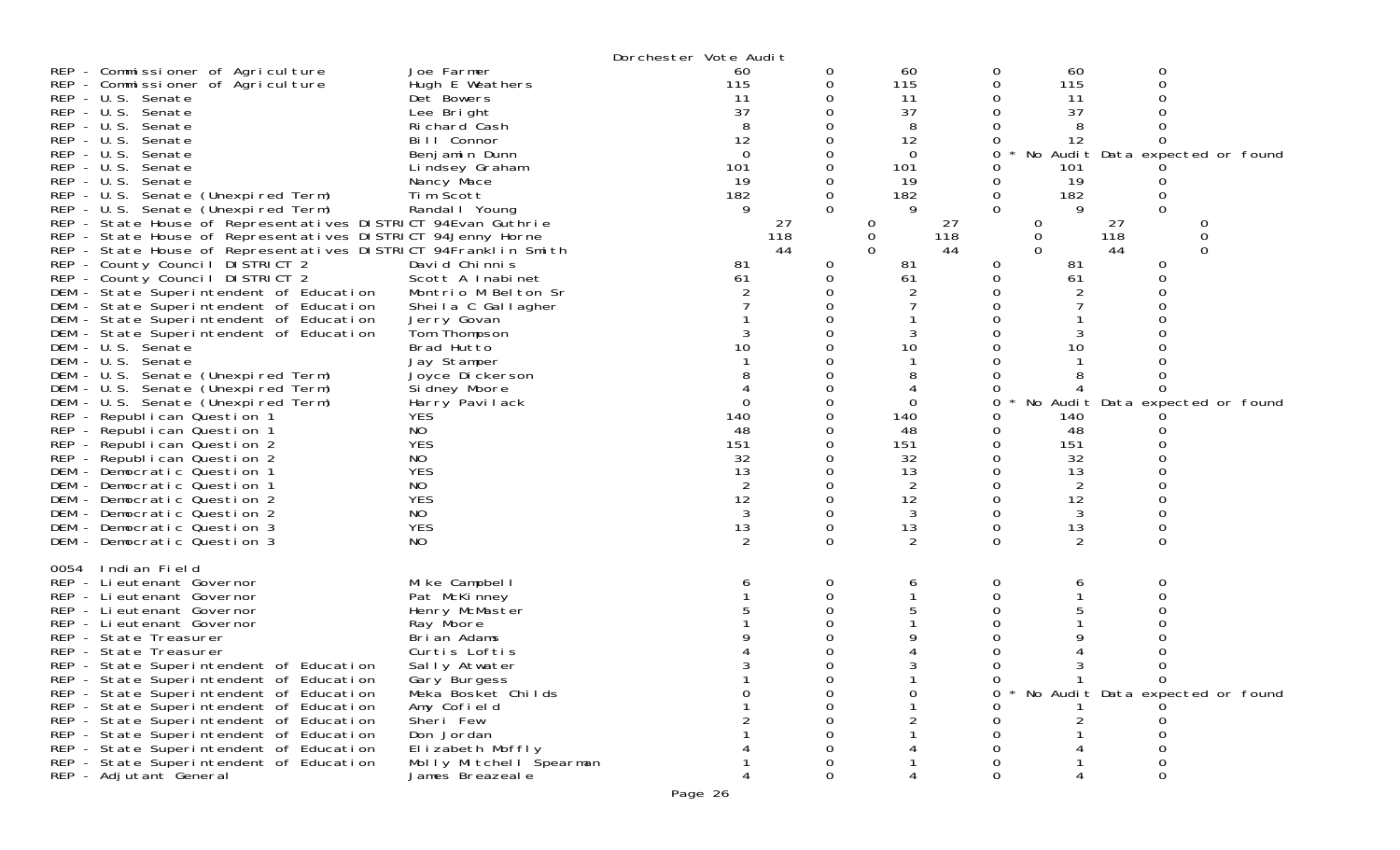|                                                                                                                               |                                | Dorchester Vote Audit |           |               |           |               |                                 |  |
|-------------------------------------------------------------------------------------------------------------------------------|--------------------------------|-----------------------|-----------|---------------|-----------|---------------|---------------------------------|--|
| REP - Commissioner of Agriculture                                                                                             | Joe Farmer                     | 60                    | 0         | 60            |           | 60<br>0       | 0                               |  |
| REP - Commissioner of Agriculture                                                                                             | Hugh E Weathers                | 115                   | 0         | 115           |           | 0<br>115      |                                 |  |
| REP - U.S. Senate                                                                                                             | Det Bowers                     | 11                    |           | 11            |           | 11            |                                 |  |
| REP - U.S. Senate                                                                                                             | Lee Bright                     | 37                    |           | 37            |           | 37            |                                 |  |
| REP - U.S. Senate                                                                                                             | Richard Cash                   | 8                     |           | 8             |           |               |                                 |  |
| REP - U.S. Senate                                                                                                             | Bill Connor                    | 12                    |           | 12            |           | 12            |                                 |  |
| $REP - U.S.$<br>Senate                                                                                                        | Benjamin Dunn                  | $\overline{0}$        | 0         | $\Omega$      |           | 0             | No Audit Data expected or found |  |
| $REP - U.S.$<br>Senate                                                                                                        | Lindsey Graham                 | 101                   |           | 101           |           | 101           |                                 |  |
| REP - U.S. Senate                                                                                                             | Nancy Mace                     | 19                    | 0         | 19            |           | 19<br>0       |                                 |  |
| REP - U.S. Senate (Unexpired Term)                                                                                            | Tim Scott                      | 182                   | 0         | 182           |           | 182<br>0      | 0<br>$\Omega$                   |  |
| REP - U.S. Senate (Unexpired Term)                                                                                            | Randal   Young                 | 9                     | $\Omega$  | 9             |           | $\Omega$      |                                 |  |
| REP - State House of Representatives DISTRICT 94Evan Guthrie                                                                  |                                |                       | 27<br>118 | 0             | 27<br>118 | 0<br>$\Omega$ | 27<br>0<br>118<br>0             |  |
| REP - State House of Representatives DISTRICT 94Jenny Horne<br>REP - State House of Representatives DISTRICT 94Franklin Smith |                                |                       | 44        | 0<br>$\Omega$ | 44        | 0             | 44<br>0                         |  |
| REP - County Council DISTRICT 2                                                                                               | David Chinnis                  | 81                    | 0         | 81            |           | 0<br>81       | 0                               |  |
| REP - County Council DISTRICT 2                                                                                               | Scott A Inabinet               | 61                    | 0         | 61            |           | 61<br>0       |                                 |  |
| DEM - State Superintendent of Education                                                                                       | Montrio M Belton Sr            |                       |           |               |           |               |                                 |  |
| DEM - State Superintendent of Education                                                                                       | Sheila C Gallagher             |                       |           |               |           |               |                                 |  |
| DEM - State Superintendent of Education                                                                                       | Jerry Govan                    |                       |           |               |           |               |                                 |  |
| DEM - State Superintendent of Education                                                                                       | Tom Thompson                   |                       |           |               |           |               |                                 |  |
| DEM - U.S. Senate                                                                                                             | Brad Hutto                     | 10                    |           | 10            |           | 10            |                                 |  |
| DEM - U.S. Senate                                                                                                             | Jay Stamper                    |                       |           |               |           |               |                                 |  |
| DEM - U.S. Senate (Unexpired Term)                                                                                            | Joyce Dickerson                |                       |           |               |           |               |                                 |  |
| DEM - U.S. Senate (Unexpired Term)                                                                                            | Si dney Moore                  |                       |           | 4             |           |               |                                 |  |
| DEM - U.S. Senate (Unexpired Term)                                                                                            | Harry Pavilack                 | $\Omega$              | 0         | $\Omega$      |           | 0             | No Audit Data expected or found |  |
| REP - Republican Question 1                                                                                                   | <b>YES</b>                     | 140                   |           | 140           |           | 140           |                                 |  |
| REP - Republican Question 1                                                                                                   | NO.                            | 48                    |           | 48            |           | 48            |                                 |  |
| REP - Republican Question 2                                                                                                   | <b>YES</b>                     | 151                   |           | 151           |           | 151           |                                 |  |
| REP - Republican Question 2                                                                                                   | NO                             | 32                    |           | 32            |           | 32            |                                 |  |
| DEM - Democratic Question 1                                                                                                   | <b>YES</b>                     | 13                    |           | 13            |           | 13            |                                 |  |
| DEM - Democratic Question 1                                                                                                   | NO                             | $\overline{2}$        | 0         | 2             |           | 2<br>0        |                                 |  |
| DEM - Democratic Question 2                                                                                                   | <b>YES</b>                     | 12                    | O         | 12            |           | 12<br>0       |                                 |  |
| DEM - Democratic Question 2                                                                                                   | NO.                            | 3                     | 0         | 3             |           | 3<br>0        |                                 |  |
| DEM - Democratic Question 3                                                                                                   | <b>YES</b>                     | 13                    | 0         | 13            |           | 13<br>0       | 0                               |  |
| DEM - Democratic Question 3                                                                                                   | NO.                            | 2                     | $\Omega$  | 2             |           | $\Omega$<br>2 | $\Omega$                        |  |
|                                                                                                                               |                                |                       |           |               |           |               |                                 |  |
| 0054<br>Indian Field                                                                                                          |                                |                       |           |               |           |               |                                 |  |
| REP - Lieutenant Governor                                                                                                     | Mike Campbell                  |                       | 0<br>0    | 6             |           | 0<br>Ω        | O                               |  |
| REP - Lieutenant Governor<br>REP - Lieutenant Governor                                                                        | Pat McKinney<br>Henry McMaster |                       |           |               |           |               |                                 |  |
| REP - Lieutenant Governor                                                                                                     | Ray Moore                      |                       |           |               |           |               |                                 |  |
| REP - State Treasurer                                                                                                         | Brian Adams                    |                       |           |               |           |               |                                 |  |
| REP - State Treasurer                                                                                                         | Curtis Loftis                  |                       |           |               |           |               |                                 |  |
| REP - State Superintendent of Education                                                                                       | Sally Atwater                  |                       | Ω         |               |           | 0<br>3        |                                 |  |
| REP - State Superintendent of Education                                                                                       | Gary Burgess                   |                       |           |               |           | 0             | 0                               |  |
| REP - State Superintendent of Education                                                                                       | Meka Bosket Childs             |                       |           |               |           |               | No Audit Data expected or found |  |
| REP - State Superintendent of Education                                                                                       | Amy Cofield                    |                       |           |               |           |               |                                 |  |
| REP - State Superintendent of Education                                                                                       | Sheri Few                      |                       |           |               |           |               |                                 |  |
| REP - State Superintendent of Education                                                                                       | Don Jordan                     |                       |           |               |           |               |                                 |  |
| REP - State Superintendent of Education                                                                                       | Elizabeth Moffly               |                       |           |               |           |               |                                 |  |
| REP - State Superintendent of Education                                                                                       | Molly Mitchell Spearman        |                       |           |               |           |               |                                 |  |
| REP - Adjutant General                                                                                                        | James Breazeale                |                       | Ω         |               |           |               |                                 |  |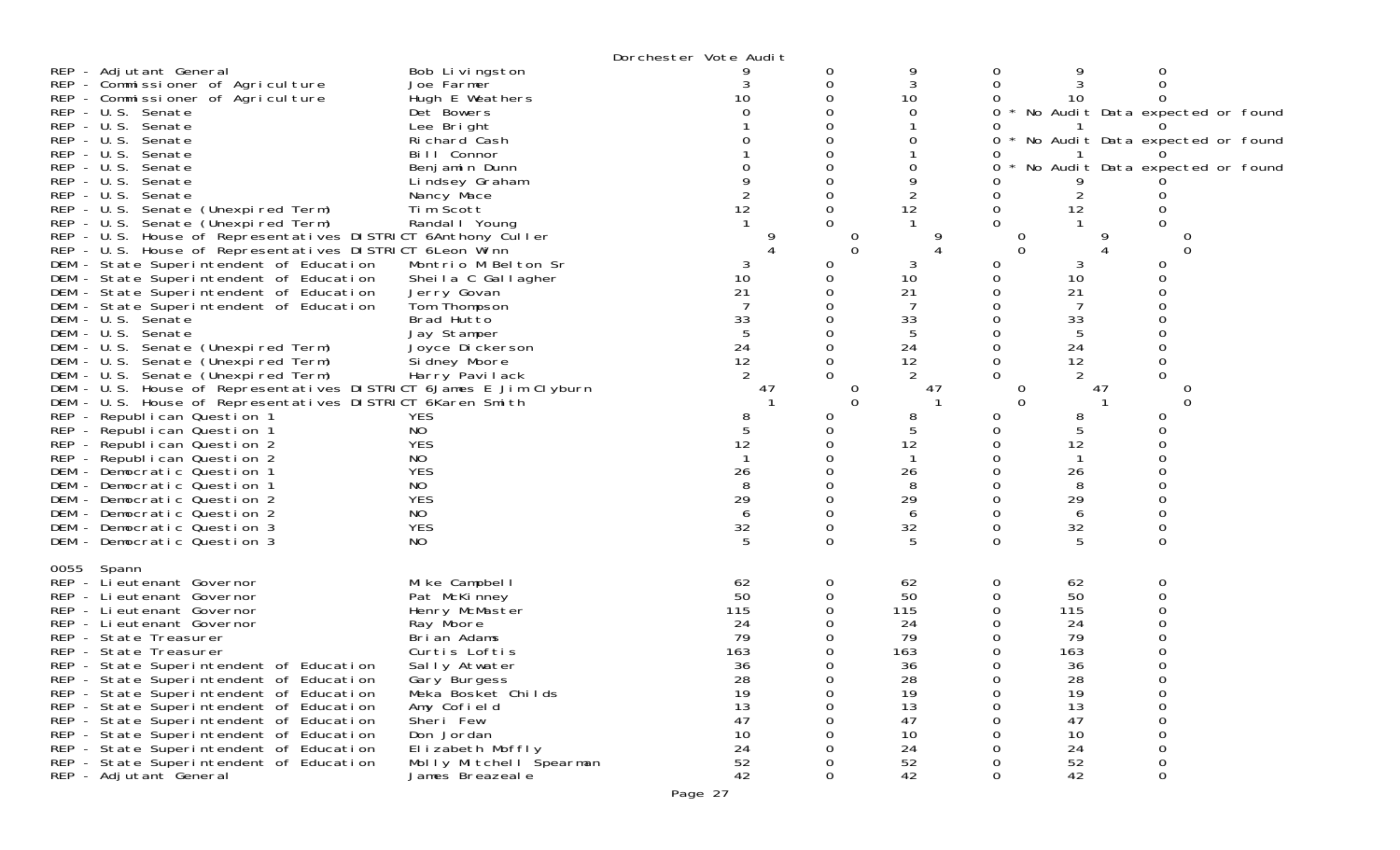| REP - Adjutant General<br>REP - Commissioner of Agriculture<br>REP - Commissioner of Agriculture<br>REP - U.S. Senate<br>REP - U.S. Senate<br>REP - U.S. Senate<br>$REP - U.S.$<br>Senate<br>REP - U.S. Senate<br>$REP - U.S.$<br>Senate<br>$REP - U.S.$<br>Senate<br>REP - U.S. Senate (Unexpired Term)<br>REP - U.S. Senate (Unexpired Term)<br>REP - U.S. House of Representatives DISTRICT 6Anthony Culler<br>REP - U.S. House of Representatives DISTRICT 6Leon Winn<br>DEM - State Superintendent of Education<br>DEM - State Superintendent of Education<br>DEM - State Superintendent of Education<br>DEM - State Superintendent of Education<br>DEM - U.S. Senate<br>DEM - U.S. Senate<br>DEM - U.S. Senate (Unexpired Term)<br>DEM - U.S. Senate (Unexpired Term)<br>DEM - U.S. Senate (Unexpired Term)<br>DEM - U.S. House of Representatives DISTRICT 6James E Jim Clyburn<br>DEM - U.S. House of Representatives DISTRICT 6Karen Smith<br>REP - Republican Question 1<br>REP - Republican Question 1<br>REP - Republican Question 2<br>REP - Republican Question 2 | Bob Livingston<br>Joe Farmer<br>Hugh E Weathers<br>Det Bowers<br>Lee Bright<br>Richard Cash<br>Bill Connor<br>Benjamin Dunn<br>Lindsey Graham<br>Nancy Mace<br>Tim Scott<br>Randal   Young<br>Montrio M Belton Sr<br>Sheila C Gallagher<br>Jerry Govan<br>Tom Thompson<br>Brad Hutto<br>Jay Stamper<br>Joyce Dickerson<br>Si dney Moore<br>Harry Pavilack<br><b>YES</b><br>NO.<br><b>YES</b><br>NO | Dorchester Vote Audit<br>3<br>10<br>12<br>10<br>21<br>$\begin{array}{c} 33 \\ 5 \end{array}$<br>24<br>12<br>47<br>8<br>12 | O<br>0<br>$\Omega$<br>Ω<br>0<br>0<br>$\Omega$<br>O | 9<br>3<br>10<br>0<br>0<br>12<br>10<br>21<br>33<br>5<br>24<br>12<br>47<br>8<br>12              | 0<br>0<br>0<br>$\Omega$<br>O<br>0<br>0<br>O<br>$\Omega$ | 10<br>12<br>10<br>21<br>33<br>5<br>24<br>12<br>47<br>8<br>12                                  | 0<br>No Audit Data expected or found<br>No Audit Data expected or found<br>No Audit Data expected or found<br>$\Omega$<br>$\Omega$ |  |
|---------------------------------------------------------------------------------------------------------------------------------------------------------------------------------------------------------------------------------------------------------------------------------------------------------------------------------------------------------------------------------------------------------------------------------------------------------------------------------------------------------------------------------------------------------------------------------------------------------------------------------------------------------------------------------------------------------------------------------------------------------------------------------------------------------------------------------------------------------------------------------------------------------------------------------------------------------------------------------------------------------------------------------------------------------------------------------|----------------------------------------------------------------------------------------------------------------------------------------------------------------------------------------------------------------------------------------------------------------------------------------------------------------------------------------------------------------------------------------------------|---------------------------------------------------------------------------------------------------------------------------|----------------------------------------------------|-----------------------------------------------------------------------------------------------|---------------------------------------------------------|-----------------------------------------------------------------------------------------------|------------------------------------------------------------------------------------------------------------------------------------|--|
| DEM - Democratic Question 1<br>DEM - Democratic Question 1<br>DEM - Democratic Question 2<br>DEM - Democratic Question 2<br>DEM - Democratic Question 3                                                                                                                                                                                                                                                                                                                                                                                                                                                                                                                                                                                                                                                                                                                                                                                                                                                                                                                         | <b>YES</b><br>NO<br><b>YES</b><br>NO<br><b>YES</b>                                                                                                                                                                                                                                                                                                                                                 | 26<br>8<br>29<br>6<br>32                                                                                                  | 0<br>0                                             | 26<br>8<br>29<br>6<br>32                                                                      | 0<br>0                                                  | 26<br>8<br>29<br>6<br>32                                                                      |                                                                                                                                    |  |
| DEM - Democratic Question 3<br>0055<br>Spann<br>REP - Lieutenant Governor<br>REP - Lieutenant Governor<br>REP - Lieutenant Governor<br>REP - Lieutenant Governor<br>REP - State Treasurer<br>REP - State Treasurer<br>REP - State Superintendent of Education<br>REP - State Superintendent of Education<br>REP - State Superintendent of Education<br>REP - State Superintendent of Education<br>REP - State Superintendent of Education<br>REP - State Superintendent of Education<br>REP - State Superintendent of Education<br>REP - State Superintendent of Education<br>REP - Adjutant General                                                                                                                                                                                                                                                                                                                                                                                                                                                                            | NO<br>Mike Campbell<br>Pat McKinney<br>Henry McMaster<br>Ray Moore<br>Brian Adams<br>Curtis Loftis<br>Sally Atwater<br>Gary Burgess<br>Meka Bosket Childs<br>Amy Cofield<br>Sheri Few<br>Don Jordan<br>Elizabeth Moffly<br>Molly Mitchell Spearman<br>James Breazeal e                                                                                                                             | 5<br>62<br>50<br>115<br>24<br>79<br>163<br>36<br>28<br>19<br>13<br>47<br>10<br>24<br>52<br>42                             | 0<br>0<br>Ω<br>O<br>Ω<br>0<br>$\mathbf 0$          | 5<br>62<br>50<br>115<br>24<br>79<br>163<br>36<br>28<br>19<br>13<br>47<br>10<br>24<br>52<br>42 | 0<br>0<br>0<br>0<br>0<br>0                              | 5<br>62<br>50<br>115<br>24<br>79<br>163<br>36<br>28<br>19<br>13<br>47<br>10<br>24<br>52<br>42 | 0<br>O<br>0<br>0<br>$\mathbf 0$                                                                                                    |  |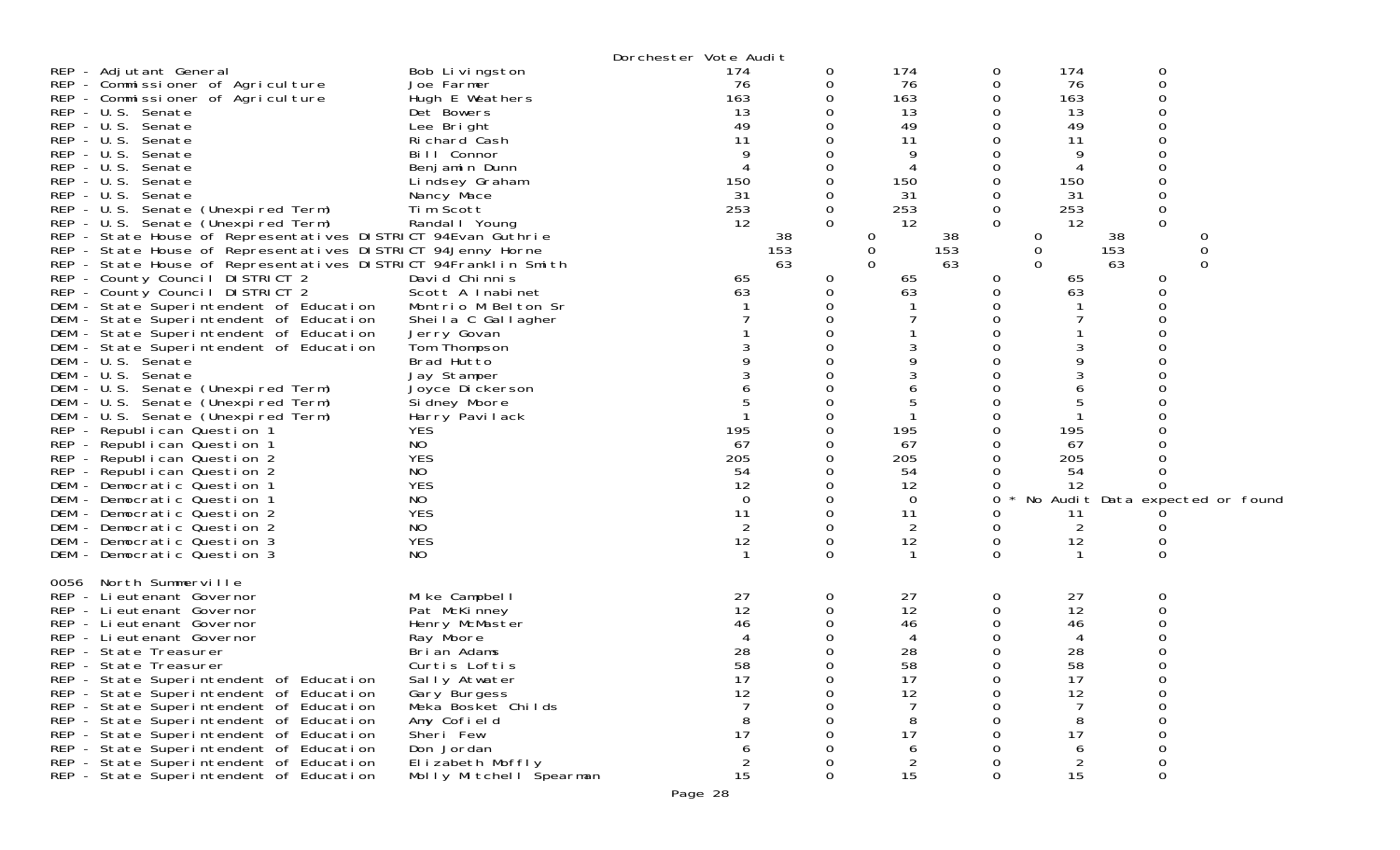|                                                                                                                             |                                | Dorchester Vote Audit |               |                |               |                |                  |                                 |
|-----------------------------------------------------------------------------------------------------------------------------|--------------------------------|-----------------------|---------------|----------------|---------------|----------------|------------------|---------------------------------|
| REP - Adjutant General                                                                                                      | Bob Livingston                 | 174                   | 0             | 174            | 0             | 174            | 0                |                                 |
| REP - Commissioner of Agriculture                                                                                           | Joe Farmer                     | 76                    | 0             | 76             | 0             | 76             | 0                |                                 |
| REP - Commissioner of Agriculture                                                                                           | Hugh E Weathers                | 163                   |               | 163            |               | 163            | Ω                |                                 |
| REP - U.S. Senate                                                                                                           | Det Bowers                     | 13                    |               | 13             |               | 13             |                  |                                 |
| REP - U.S. Senate                                                                                                           | Lee Bright                     | 49                    |               | 49             |               | 49             |                  |                                 |
| $REP - U.S.$<br>Senate                                                                                                      | Richard Cash                   | 11                    |               | 11             |               | 11             |                  |                                 |
| $REP - U.S.$<br>Senate                                                                                                      | Bill Connor                    |                       |               | 9              |               | 9              |                  |                                 |
| $REP - U.S.$<br>Senate                                                                                                      | Benjamin Dunn                  |                       |               |                |               |                |                  |                                 |
| $REP - U.S.$<br>Senate                                                                                                      | Lindsey Graham                 | 150                   |               | 150            |               | 150            |                  |                                 |
| $REP - U.S.$<br>Senate                                                                                                      | Nancy Mace                     | 31                    | 0             | 31             | 0             | 31             |                  |                                 |
| REP - U.S. Senate (Unexpired Term)                                                                                          | Tim Scott                      | 253<br>12             | 0<br>$\Omega$ | 253<br>12      | 0<br>$\Omega$ | 253<br>12      | 0<br>$\mathbf 0$ |                                 |
| REP - U.S. Senate (Unexpired Term)                                                                                          | Randal I Young                 |                       |               |                |               |                |                  |                                 |
| REP - State House of Representatives DISTRICT 94Evan Guthrie<br>REP - State House of Representatives DISTRICT 94Jenny Horne |                                | 38                    |               | 0              | 38            | 0              | 38               | C<br>$\mathbf 0$                |
| REP - State House of Representatives DISTRICT 94Franklin Smith                                                              |                                | 153<br>63             |               | 0<br>$\Omega$  | 153<br>63     | 0<br>$\Omega$  | 153<br>63        | $\Omega$                        |
| REP - County Council DISTRICT 2                                                                                             | David Chinnis                  |                       | 0             |                |               |                |                  |                                 |
| REP - County Council DISTRICT 2                                                                                             | Scott A Inabinet               | 65<br>63              | 0             | 65<br>63       | 0<br>0        | 65<br>63       | 0                |                                 |
| DEM - State Superintendent of Education                                                                                     | Montrio M Belton Sr            |                       |               |                |               |                |                  |                                 |
| DEM - State Superintendent of Education                                                                                     | Sheila C Gallagher             |                       |               |                |               |                |                  |                                 |
| DEM - State Superintendent of Education                                                                                     | Jerry Govan                    |                       |               |                |               |                |                  |                                 |
| DEM - State Superintendent of Education                                                                                     | Tom Thompson                   |                       |               |                |               |                |                  |                                 |
| - U.S. Senate<br>DEM                                                                                                        | Brad Hutto                     |                       |               |                |               |                |                  |                                 |
| DEM - U.S. Senate                                                                                                           | Jay Stamper                    |                       |               |                |               |                |                  |                                 |
| DEM<br>- U.S. Senate (Unexpired Term)                                                                                       | Joyce Dickerson                |                       |               |                |               | 6              |                  |                                 |
| DEM - U.S. Senate (Unexpired Term)                                                                                          | Si dney Moore                  |                       |               | 5              |               | 5              |                  |                                 |
| DEM<br>- U.S. Senate (Unexpired Term)                                                                                       | Harry Pavilack                 |                       |               |                |               |                |                  |                                 |
| REP - Republican Question 1<br><b>YES</b>                                                                                   |                                | 195                   | 0             | 195            | 0             | 195            |                  |                                 |
| NO<br>REP - Republican Question 1                                                                                           |                                | 67                    |               | 67             |               | 67             |                  |                                 |
| <b>YES</b><br>REP - Republican Question 2                                                                                   |                                | 205                   |               | 205            |               | 205            |                  |                                 |
| NO<br>REP - Republican Question 2                                                                                           |                                | 54                    |               | 54             |               | 54             |                  |                                 |
| <b>YES</b><br>DEM - Democratic Question 1                                                                                   |                                | 12                    |               | 12             |               | 12             |                  |                                 |
| NO<br>DEM - Democratic Question 1                                                                                           |                                | 0                     | 0             | 0              | 0             |                |                  | No Audit Data expected or found |
| <b>YES</b><br>DEM - Democratic Question 2                                                                                   |                                | 11                    | 0             | 11             |               | 11             |                  |                                 |
| NO<br>DEM - Democratic Question 2                                                                                           |                                | $\overline{2}$        | 0             | $\overline{2}$ | 0             | $\overline{2}$ |                  |                                 |
| <b>YES</b><br>DEM - Democratic Question 3                                                                                   |                                | 12                    | 0             | 12             | 0             | 12             | 0                |                                 |
| NO.<br>DEM - Democratic Question 3                                                                                          |                                |                       | $\Omega$      |                | $\Omega$      | -1             | $\Omega$         |                                 |
|                                                                                                                             |                                |                       |               |                |               |                |                  |                                 |
| North Summerville<br>0056                                                                                                   |                                |                       |               |                |               |                |                  |                                 |
| REP - Li eutenant Governor                                                                                                  | Mike Campbell                  | 27<br>12              | 0<br>0        | 27<br>12       | 0             | 27<br>12       | 0                |                                 |
| REP - Lieutenant Governor<br>REP - Lieutenant Governor                                                                      | Pat McKinney<br>Henry McMaster | 46                    |               | 46             |               | 46             |                  |                                 |
| REP - Li eutenant Governor                                                                                                  | Ray Moore                      |                       |               | 4              |               | 4              |                  |                                 |
| REP - State Treasurer                                                                                                       | Brian Adams                    | 28                    |               | 28             |               | 28             |                  |                                 |
| REP - State Treasurer                                                                                                       | Curtis Loftis                  | 58                    | 0             | 58             |               | 58             |                  |                                 |
| REP - State Superintendent of Education                                                                                     | Sally Atwater                  | 17                    | 0             | 17             | Ü             | 17             | 0                |                                 |
| REP - State Superintendent of Education                                                                                     | Gary Burgess                   | 12                    | 0             | 12             | 0             | 12             | 0                |                                 |
| REP - State Superintendent of Education                                                                                     | Meka Bosket Childs             |                       | Ω             |                | 0             |                | 0                |                                 |
| REP - State Superintendent of Education                                                                                     | Amy Cofield                    | 8                     |               | 8              |               | 8              |                  |                                 |
| REP - State Superintendent of Education                                                                                     | Sheri Few                      | 17                    |               | 17             |               | 17             |                  |                                 |
| REP - State Superintendent of Education                                                                                     | Don Jordan                     | 6                     |               | 6              |               | 6              |                  |                                 |
| REP - State Superintendent of Education                                                                                     | Elizabeth Moffly               | $\overline{c}$        | 0             | $\overline{c}$ |               | $\overline{c}$ |                  |                                 |
| REP - State Superintendent of Education                                                                                     | Molly Mitchell Spearman        | 15                    | 0             | 15             | 0             | 15             |                  |                                 |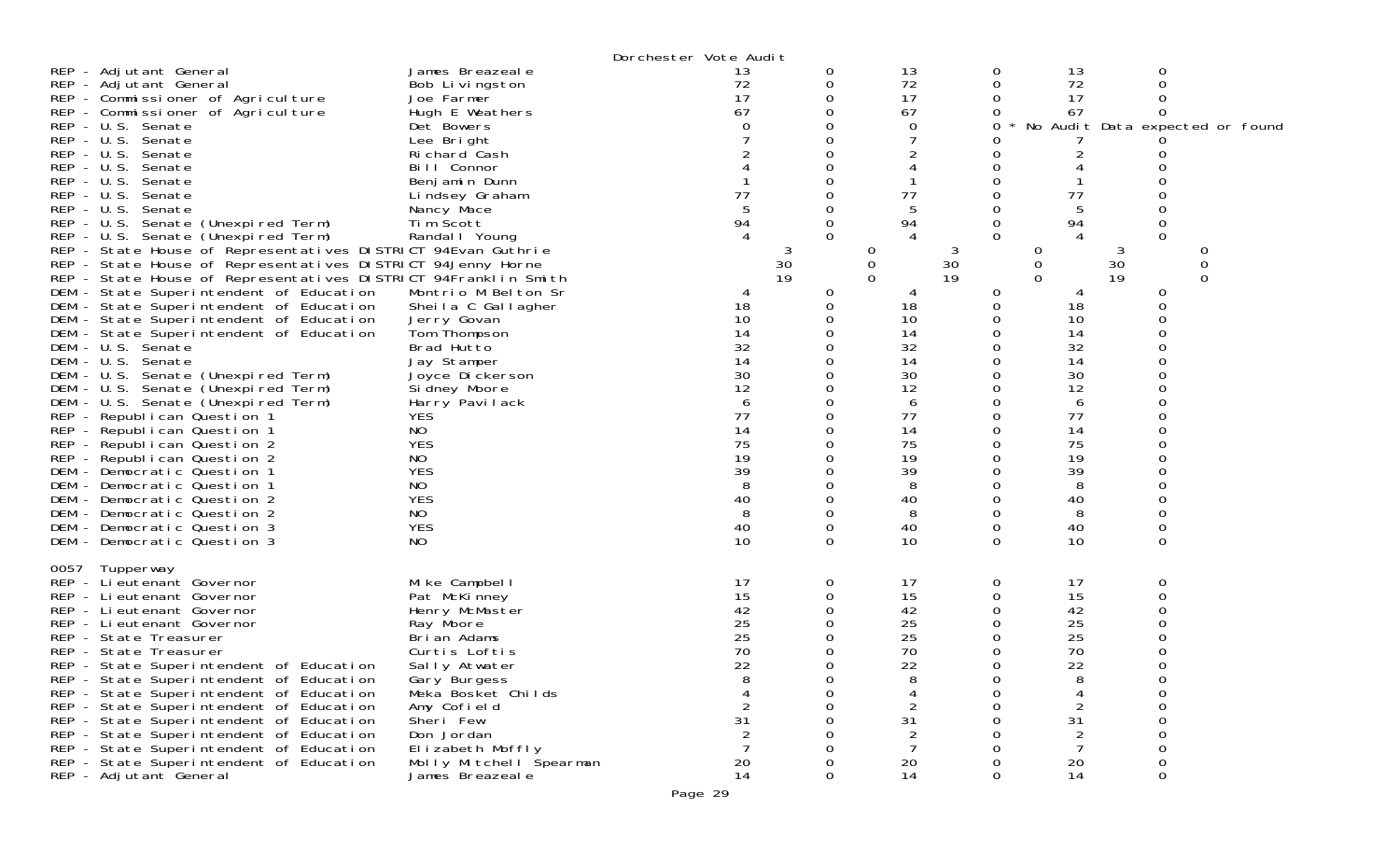|                                                                                                                                                                                                                                                                                                                                                                                                                                                                                                                                                                                                                                                                                                                                                                                                                                                             |                                                                                                                                                                                                                                                                         | Dorchester Vote Audit                                                                                                  |             |                                                                                                                                                     |                                                |                                                                                                                             |                                                              |                                 |
|-------------------------------------------------------------------------------------------------------------------------------------------------------------------------------------------------------------------------------------------------------------------------------------------------------------------------------------------------------------------------------------------------------------------------------------------------------------------------------------------------------------------------------------------------------------------------------------------------------------------------------------------------------------------------------------------------------------------------------------------------------------------------------------------------------------------------------------------------------------|-------------------------------------------------------------------------------------------------------------------------------------------------------------------------------------------------------------------------------------------------------------------------|------------------------------------------------------------------------------------------------------------------------|-------------|-----------------------------------------------------------------------------------------------------------------------------------------------------|------------------------------------------------|-----------------------------------------------------------------------------------------------------------------------------|--------------------------------------------------------------|---------------------------------|
| REP - Adjutant General<br>REP - Adjutant General<br>REP - Commissioner of Agriculture<br>REP - Commissioner of Agriculture<br>REP - U.S. Senate<br>REP - U.S. Senate<br>REP - U.S. Senate<br>REP - U.S. Senate<br>$REP - U.S.$<br>Senate<br>REP - U.S.<br>Senate<br>REP - U.S. Senate<br>REP - U.S. Senate (Unexpired Term)<br>REP - U.S. Senate (Unexpired Term)                                                                                                                                                                                                                                                                                                                                                                                                                                                                                           | James Breazeale<br>Bob Livingston<br>Joe Farmer<br>Hugh E Weathers<br>Det Bowers<br>Lee Bright<br>Richard Cash<br>Bill Connor<br>Benjamin Dunn<br>Lindsey Graham<br>Nancy Mace<br>Tim Scott<br>Randal   Young                                                           | 13<br>72<br>17<br>67<br>77<br>94                                                                                       | 0<br>0<br>0 | 13<br>72<br>17<br>67<br>0<br>77<br>5<br>94                                                                                                          | 0<br>0<br>0<br>0<br>0                          | 13<br>72<br>17<br>67<br>2<br>77<br>5<br>94                                                                                  | 0<br>Ω<br>O<br>O<br>0<br>$\Omega$                            | No Audit Data expected or found |
| REP - State House of Representatives DISTRICT 94Evan Guthrie<br>REP - State House of Representatives DISTRICT 94Jenny Horne<br>REP - State House of Representatives DISTRICT 94Franklin Smith<br>DEM - State Superintendent of Education<br>DEM - State Superintendent of Education<br>DEM - State Superintendent of Education<br>DEM - State Superintendent of Education<br>DEM - U.S. Senate<br>DEM - U.S. Senate<br>DEM - U.S. Senate (Unexpired Term)<br>DEM - U.S. Senate (Unexpired Term)<br>DEM - U.S. Senate (Unexpired Term)<br>REP - Republican Question 1<br>REP - Republican Question 1<br>REP - Republican Question 2<br>REP - Republican Question 2<br>DEM - Democratic Question 1<br>DEM - Democratic Question 1<br>DEM - Democratic Question 2<br>DEM - Democratic Question 2<br>DEM - Democratic Question 3<br>DEM - Democratic Question 3 | Montrio M Belton Sr<br>Sheila C Gallagher<br>Jerry Govan<br>Tom Thompson<br>Brad Hutto<br>Jay Stamper<br>Joyce Dickerson<br>Si dney Moore<br>Harry Pavilack<br><b>YES</b><br>NO<br><b>YES</b><br>NO<br><b>YES</b><br><b>NO</b><br><b>YES</b><br>NO.<br><b>YES</b><br>NO | 3<br>30<br>19<br>18<br>10<br>14<br>32<br>14<br>30<br>12<br>6<br>77<br>14<br>75<br>19<br>39<br>8<br>40<br>8<br>40<br>10 | O<br>0      | $\theta$<br>3<br>30<br>0<br>19<br>$\Omega$<br>18<br>10<br>14<br>32<br>14<br>30<br>12<br>6<br>77<br>14<br>75<br>19<br>39<br>8<br>40<br>8<br>40<br>10 | 0<br>0<br>0<br>0<br>0<br>0<br>0<br>0           | 0<br>0<br>$\Omega$<br>18<br>10<br>14<br>32<br>14<br>30<br>12<br>6<br>77<br>14<br>75<br>19<br>39<br>8<br>40<br>8<br>40<br>10 | 3<br>30<br>19<br>0<br>0<br>0<br>0                            | O<br>0<br>$\Omega$              |
| 0057<br>Tupperway<br>REP - Lieutenant Governor<br>REP - Lieutenant Governor<br>REP - Lieutenant Governor<br>REP - Lieutenant Governor<br>REP - State Treasurer<br>REP - State Treasurer<br>REP - State Superintendent of Education<br>REP - State Superintendent of Education<br>REP - State Superintendent of Education<br>REP - State Superintendent of Education<br>REP - State Superintendent of Education<br>REP - State Superintendent of Education<br>REP - State Superintendent of Education<br>REP - State Superintendent of Education<br>REP - Adjutant General                                                                                                                                                                                                                                                                                   | Mike Campbell<br>Pat McKinney<br>Henry McMaster<br>Ray Moore<br>Brian Adams<br>Curtis Loftis<br>Sally Atwater<br>Gary Burgess<br>Meka Bosket Childs<br>Amy Cofield<br>Sheri Few<br>Don Jordan<br>Elizabeth Moffly<br>Molly Mitchell Spearman<br>James Breazeal e        | 17<br>15<br>42<br>25<br>25<br>70<br>22<br>31<br>20<br>14                                                               | 0<br>0      | 17<br>15<br>42<br>25<br>25<br>70<br>22<br>8<br>2<br>31<br>20<br>14                                                                                  | 0<br>0<br>0<br>0<br>0<br>0<br>0<br>0<br>0<br>0 | 17<br>15<br>42<br>25<br>25<br>70<br>22<br>8<br>$\overline{2}$<br>31<br>$\overline{c}$<br>7<br>20<br>14                      | 0<br>∩<br>0<br>0<br>$\Omega$<br>0<br>0<br>$\Omega$<br>0<br>0 |                                 |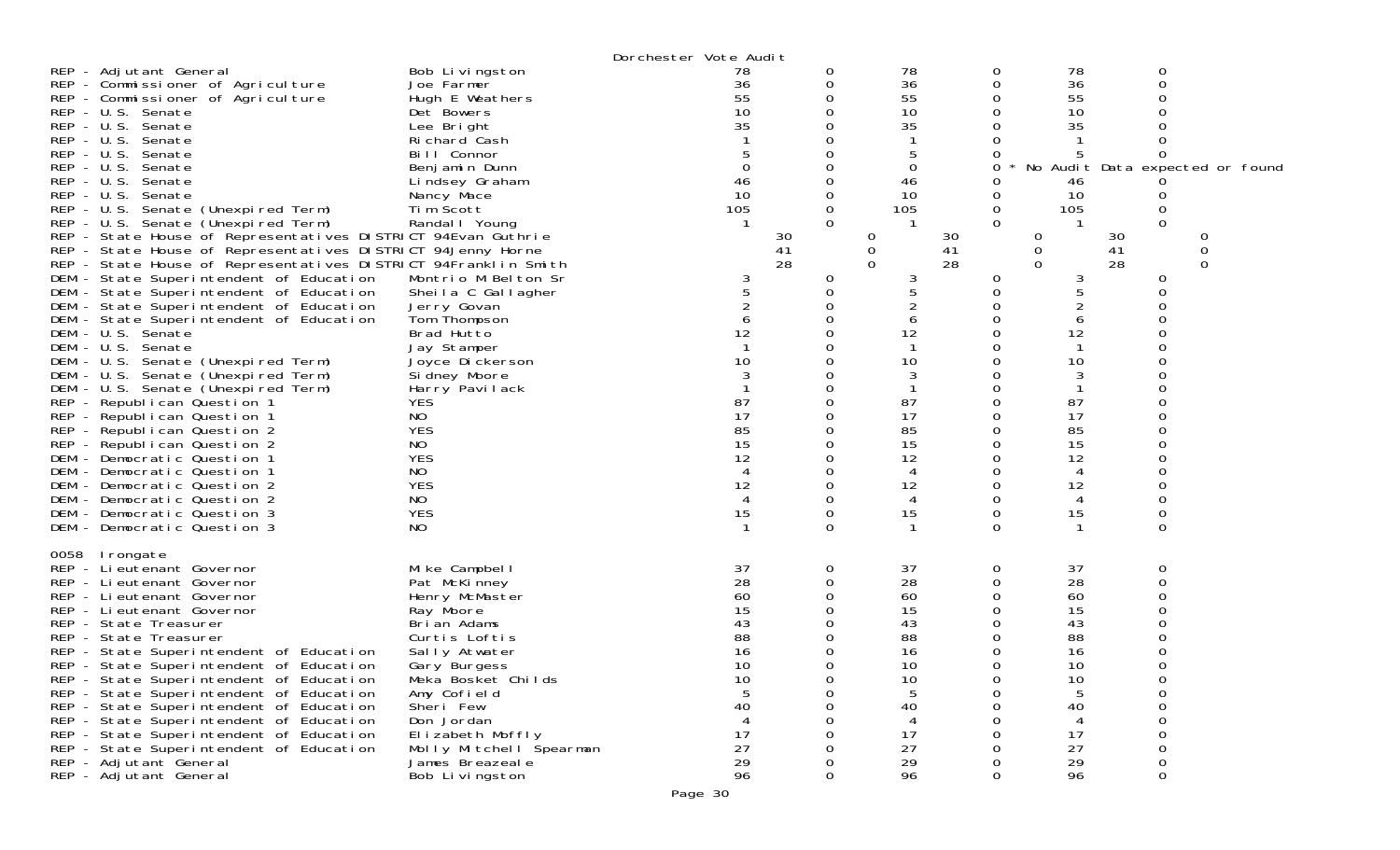|                                                                                                                                                                                                                                                                                                                                                                                                                                                                                                                                                                                                                                                                                                                                                                                                                                                                                                                                                                                                                                                                                                                                                                                                                    |                                                                                                                                                                                                                                                                                                                                                                                                                                                                         | Dorchester Vote Audit                                                                                         |                                                |                                                                                                                                                                                      |                                                                                                                                                      |                                                                                                                                                    |                                                                                                                                          |             |  |
|--------------------------------------------------------------------------------------------------------------------------------------------------------------------------------------------------------------------------------------------------------------------------------------------------------------------------------------------------------------------------------------------------------------------------------------------------------------------------------------------------------------------------------------------------------------------------------------------------------------------------------------------------------------------------------------------------------------------------------------------------------------------------------------------------------------------------------------------------------------------------------------------------------------------------------------------------------------------------------------------------------------------------------------------------------------------------------------------------------------------------------------------------------------------------------------------------------------------|-------------------------------------------------------------------------------------------------------------------------------------------------------------------------------------------------------------------------------------------------------------------------------------------------------------------------------------------------------------------------------------------------------------------------------------------------------------------------|---------------------------------------------------------------------------------------------------------------|------------------------------------------------|--------------------------------------------------------------------------------------------------------------------------------------------------------------------------------------|------------------------------------------------------------------------------------------------------------------------------------------------------|----------------------------------------------------------------------------------------------------------------------------------------------------|------------------------------------------------------------------------------------------------------------------------------------------|-------------|--|
| REP - Adjutant General<br>REP - Commissioner of Agriculture<br>REP - Commissioner of Agriculture<br>REP - U.S. Senate<br>REP - U.S. Senate<br>REP - U.S. Senate<br>$REP - U.S.$<br>Senate<br>$REP - U.S.$<br>Senate<br>$REP - U.S.$<br>Senate<br>$REP - U.S.$<br>Senate<br>REP - U.S. Senate (Unexpired Term)<br>REP - U.S. Senate (Unexpired Term)<br>REP - State House of Representatives DISTRICT 94Evan Guthrie<br>REP - State House of Representatives DISTRICT 94Jenny Horne<br>REP - State House of Representatives DISTRICT 94Franklin Smith<br>DEM - State Superintendent of Education<br>DEM - State Superintendent of Education<br>DEM - State Superintendent of Education<br>DEM - State Superintendent of Education<br>DEM - U.S. Senate<br>DEM - U.S. Senate<br>DEM - U.S. Senate (Unexpired Term)<br>DEM - U.S. Senate (Unexpired Term)<br>DEM - U.S. Senate (Unexpired Term)<br>REP - Republican Question 1<br>REP - Republican Question 1<br>REP - Republican Question 2<br>REP - Republican Question 2<br>DEM - Democratic Question 1<br>DEM - Democratic Question 1<br>DEM - Democratic Question 2<br>DEM - Democratic Question 2<br>DEM - Democratic Question 3<br>DEM - Democratic Question 3 | Bob Livingston<br>Joe Farmer<br>Hugh E Weathers<br>Det Bowers<br>Lee Bright<br>Richard Cash<br>Bill Connor<br>Benjamin Dunn<br>Lindsey Graham<br>Nancy Mace<br>Tim Scott<br>Randal I Young<br>Montrio M Belton Sr<br>Sheila C Gallagher<br>Jerry Govan<br>Tom Thompson<br>Brad Hutto<br>Jay Stamper<br>Joyce Dickerson<br>Si dney Moore<br>Harry Pavilack<br><b>YES</b><br><b>NO</b><br><b>YES</b><br>NO.<br><b>YES</b><br>NO.<br><b>YES</b><br>NO<br><b>YES</b><br>NO. | 78<br>36<br>55<br>10<br>35<br>46<br>10<br>105<br>3<br>6<br>12<br>10<br>87<br>17<br>85<br>15<br>12<br>12<br>15 | 0<br>O<br>$\Omega$<br>30<br>41<br>28<br>0<br>0 | 78<br>36<br>55<br>10<br>35<br>5<br>0<br>46<br>10<br>105<br>30<br>0<br>0<br>41<br>28<br>$\Omega$<br>3<br>6<br>12<br>10<br>3<br>87<br>17<br>85<br>15<br>12<br>4<br>12<br>4<br>15<br>-1 | $\mathbf{0}$<br>0<br>0<br>0<br>0<br>0<br>0<br>0<br>$\Omega$<br>$\sigma$<br>0<br>0<br>0<br>0<br>0<br>0<br>0<br>0<br>0<br>0<br>0<br>0<br>0<br>$\Omega$ | 78<br>36<br>55<br>10<br>35<br>46<br>10<br>105<br>0<br>0<br>$\Omega$<br>3<br>5<br>6<br>12<br>10<br>3<br>87<br>17<br>85<br>15<br>12<br>12<br>4<br>15 | 0<br>0<br>0<br>Ω<br>No Audit Data expected or found<br>Ü<br>0<br>$\Omega$<br>30<br>41<br>28<br>0<br>0<br>∩<br>ი<br>O<br>0<br>0<br>0<br>0 | 0<br>0<br>0 |  |
| 0058<br>Irongate<br>REP - Lieutenant Governor<br>REP - Lieutenant Governor<br>REP - Lieutenant Governor<br>REP - Lieutenant Governor<br>REP - State Treasurer<br>REP - State Treasurer<br>REP - State Superintendent of Education<br>REP - State Superintendent of Education<br>REP - State Superintendent of Education<br>REP - State Superintendent of Education<br>REP - State Superintendent of Education<br>REP - State Superintendent of Education<br>REP - State Superintendent of Education<br>REP - State Superintendent of Education<br>REP - Adjutant General<br>REP - Adjutant General                                                                                                                                                                                                                                                                                                                                                                                                                                                                                                                                                                                                                 | Mike Campbell<br>Pat McKinney<br>Henry McMaster<br>Ray Moore<br>Brian Adams<br>Curtis Loftis<br>Sally Atwater<br>Gary Burgess<br>Meka Bosket Childs<br>Amy Cofield<br>Sheri Few<br>Don Jordan<br>Elizabeth Moffly<br>Molly Mitchell Spearman<br>James Breazeal e<br>Bob Livingston                                                                                                                                                                                      | 37<br>28<br>60<br>15<br>43<br>88<br>16<br>10<br>10<br>40<br>17<br>27<br>29<br>96                              | 0                                              | 37<br>28<br>60<br>15<br>43<br>88<br>16<br>10<br>10<br>5<br>40<br>17<br>27<br>29<br>96                                                                                                | 0<br>0<br>0<br>0<br>0<br>0<br>0<br>0                                                                                                                 | 37<br>28<br>60<br>15<br>43<br>88<br>16<br>10<br>10<br>5<br>40<br>17<br>27<br>29<br>96                                                              | 0<br>0<br>0<br>∩<br>0<br>0<br>0                                                                                                          |             |  |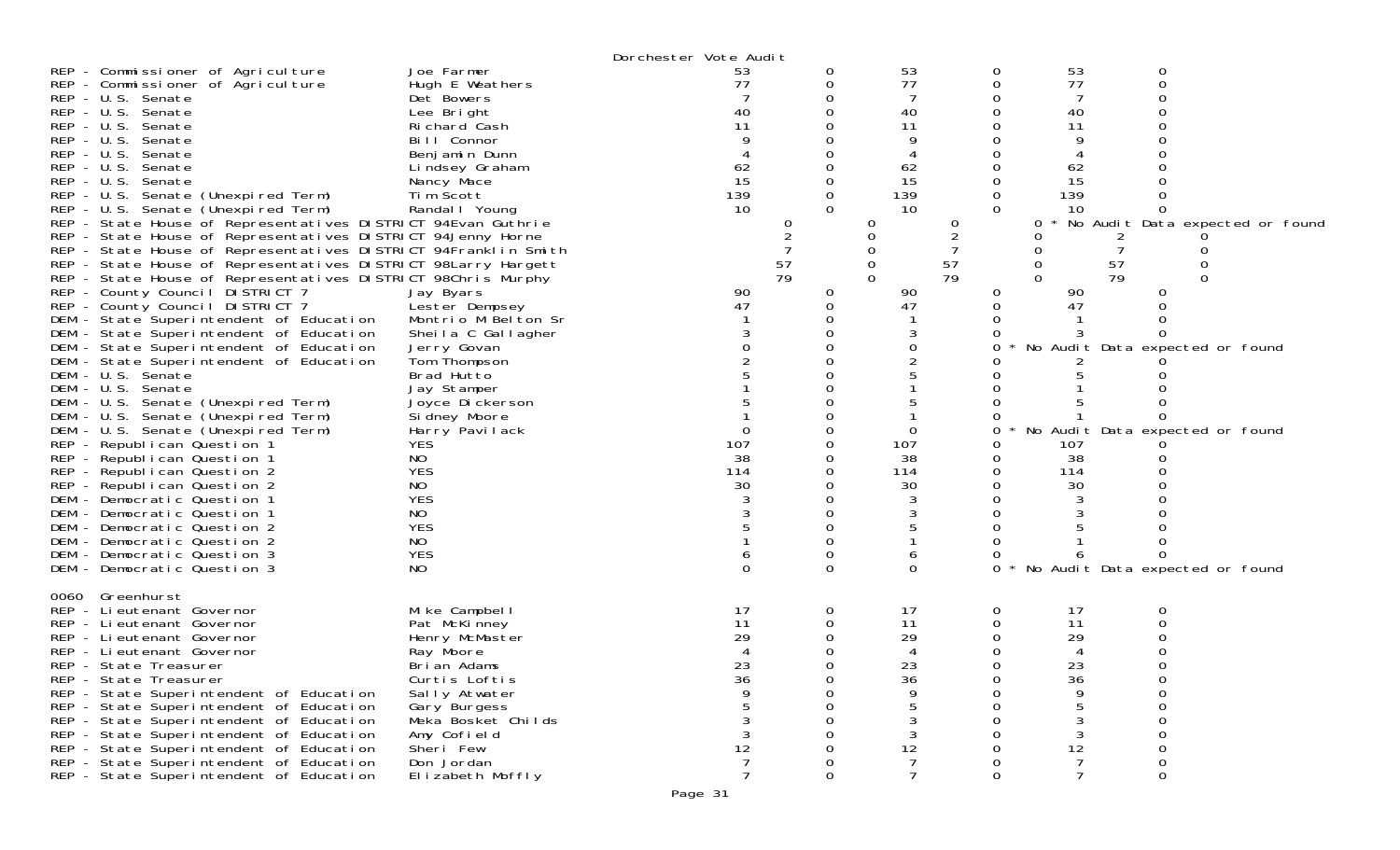|                                                                                                                                                                                                                                                                                                                                                                                                                                                                                                                                                                                                                                                                                                                                                                                                                                                |                                                                                                                                                                                                                                                                     | Dorchester Vote Audit                                                           |                         |                                                                            |               |                         |                                                                                 |                                                                    |                                 |
|------------------------------------------------------------------------------------------------------------------------------------------------------------------------------------------------------------------------------------------------------------------------------------------------------------------------------------------------------------------------------------------------------------------------------------------------------------------------------------------------------------------------------------------------------------------------------------------------------------------------------------------------------------------------------------------------------------------------------------------------------------------------------------------------------------------------------------------------|---------------------------------------------------------------------------------------------------------------------------------------------------------------------------------------------------------------------------------------------------------------------|---------------------------------------------------------------------------------|-------------------------|----------------------------------------------------------------------------|---------------|-------------------------|---------------------------------------------------------------------------------|--------------------------------------------------------------------|---------------------------------|
| REP - Commissioner of Agriculture<br>REP - Commissioner of Agriculture<br>REP - U.S. Senate<br>REP - U.S. Senate<br>REP - U.S. Senate<br>REP - U.S. Senate<br>REP - U.S. Senate<br>REP - U.S. Senate<br>REP - U.S. Senate<br>REP - U.S. Senate (Unexpired Term)<br>REP - U.S. Senate (Unexpired Term)<br>REP - State House of Representatives DISTRICT 94Evan Guthrie<br>REP - State House of Representatives DISTRICT 94Jenny Horne<br>REP - State House of Representatives DISTRICT 94Franklin Smith<br>REP - State House of Representatives DISTRICT 98Larry Hargett<br>REP - State House of Representatives DISTRICT 98Chris Murphy<br>REP - County Council DISTRICT 7<br>REP - County Council DISTRICT 7<br>DEM - State Superintendent of Education<br>DEM - State Superintendent of Education<br>DEM - State Superintendent of Education | Joe Farmer<br>Hugh E Weathers<br>Det Bowers<br>Lee Bright<br>Richard Cash<br>Bill Connor<br>Benjamin Dunn<br>Lindsey Graham<br>Nancy Mace<br>Tim Scott<br>Randal   Young<br>Jay Byars<br>Lester Dempsey<br>Montrio M Belton Sr<br>Sheila C Gallagher<br>Jerry Govan | 53<br>77<br>40<br>11<br>62<br>15<br>139<br>10<br>0<br>57<br>79<br>90<br>47<br>0 | 0<br>0<br>$\Omega$<br>O | 53<br>77<br>40<br>11<br>62<br>15<br>139<br>10<br>0<br>$\Omega$<br>90<br>47 | 0<br>57<br>79 | 0<br>0<br>$\Omega$<br>O | 53<br>77<br>40<br>11<br>62<br>15<br>139<br>10<br>0<br>O<br>$\Omega$<br>90<br>47 | 0<br>57<br>79<br>No Audit Data expected or found                   | No Audit Data expected or found |
| DEM - State Superintendent of Education<br>DEM - U.S. Senate<br>DEM - U.S. Senate<br>DEM - U.S. Senate (Unexpired Term)<br>DEM - U.S. Senate (Unexpired Term)<br>DEM - U.S. Senate (Unexpired Term)<br>REP - Republican Question 1<br>REP - Republican Question 1<br>REP - Republican Question 2<br>REP - Republican Question 2<br>DEM - Democratic Question 1<br>DEM - Democratic Question 1<br>DEM - Democratic Question 2<br>DEM - Democratic Question 2<br>DEM - Democratic Question 3<br>DEM - Democratic Question 3                                                                                                                                                                                                                                                                                                                      | Tom Thompson<br>Brad Hutto<br>Jay Stamper<br>Joyce Dickerson<br>Si dney Moore<br>Harry Pavilack<br><b>YES</b><br>NO<br><b>YES</b><br>NO<br><b>YES</b><br>NO<br><b>YES</b><br>NO<br><b>YES</b><br>NO.                                                                | O<br>107<br>38<br>114<br>30<br>O                                                |                         | 0<br>107<br>38<br>114<br>30<br>6<br>0                                      |               | 0<br>0                  | 107<br>38<br>114<br>30                                                          | No Audit Data expected or found<br>No Audit Data expected or found |                                 |
| 0060 Greenhurst<br>REP - Lieutenant Governor<br>REP - Lieutenant Governor<br>REP - Lieutenant Governor<br>REP - Lieutenant Governor<br>REP - State Treasurer<br>REP - State Treasurer<br>REP - State Superintendent of Education<br>REP - State Superintendent of Education<br>REP - State Superintendent of Education<br>REP - State Superintendent of Education<br>REP - State Superintendent of Education<br>REP - State Superintendent of Education<br>REP - State Superintendent of Education                                                                                                                                                                                                                                                                                                                                             | Mike Campbell<br>Pat McKinney<br>Henry McMaster<br>Ray Moore<br>Brian Adams<br>Curtis Loftis<br>Sally Atwater<br>Gary Burgess<br>Meka Bosket Childs<br>Amy Cofield<br>Sheri Few<br>Don Jordan<br>Elizabeth Moffly                                                   | 17<br>11<br>29<br>23<br>36<br>9<br>12                                           | 0<br>0<br>0             | 17<br>11<br>29<br>4<br>23<br>36<br>3<br>12                                 |               | 0<br>0<br>0<br>0        | 17<br>11<br>29<br>4<br>23<br>36<br>9<br>5<br>3<br>12                            | 0                                                                  |                                 |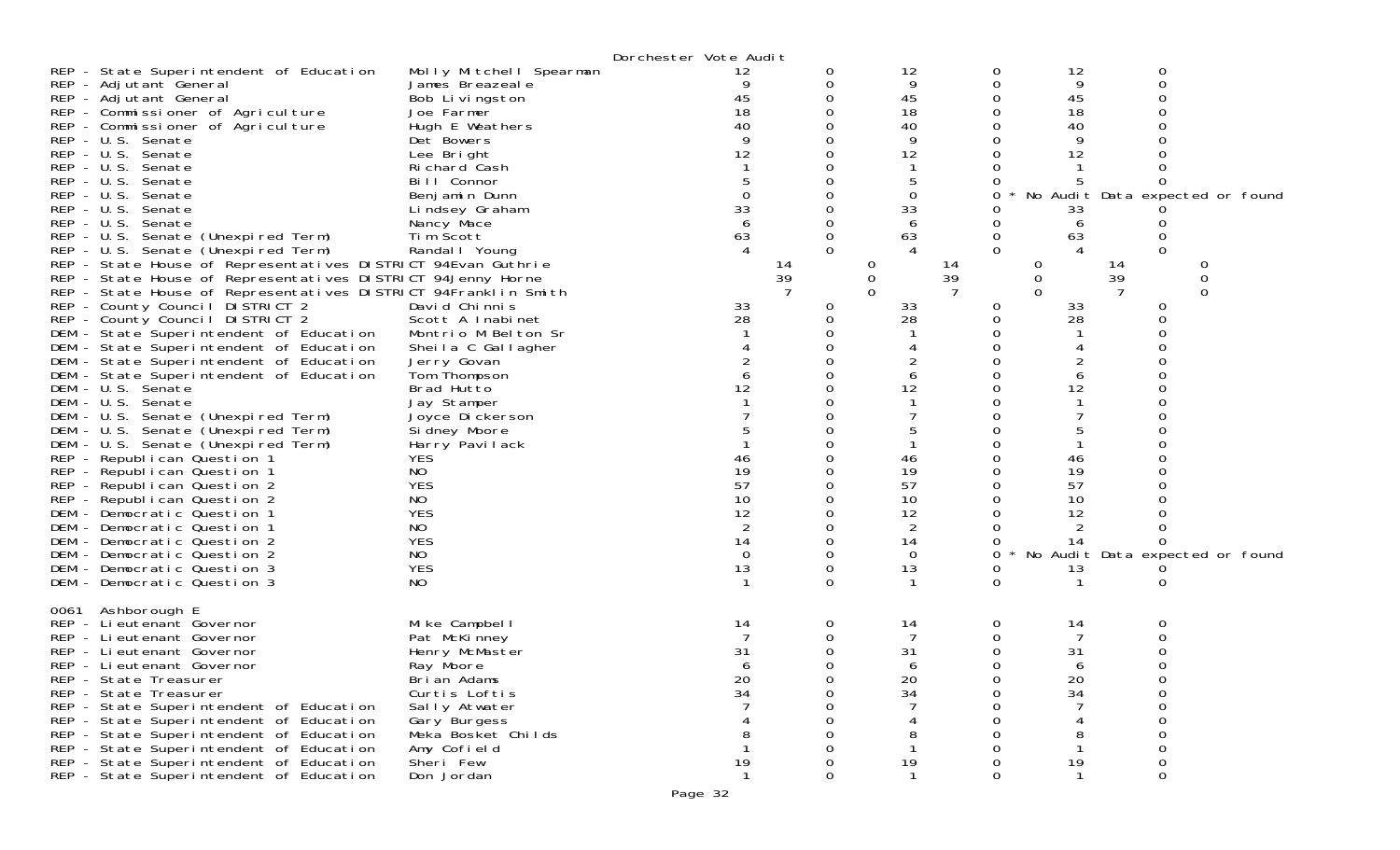| $REP - U.S.$<br>DEM | REP - State Superintendent of Education<br>REP - Adjutant General<br>REP - Adjutant General<br>REP - Commissioner of Agriculture<br>REP - Commissioner of Agriculture<br>REP - U.S. Senate<br>REP - U.S. Senate<br>REP - U.S. Senate<br>REP - U.S. Senate<br>Senate<br>$REP - U.S.$<br>Senate<br>REP - U.S. Senate<br>REP - U.S. Senate (Unexpired Term)<br>REP - U.S. Senate (Unexpired Term)<br>REP - State House of Representatives DISTRICT 94Evan Guthrie<br>REP - State House of Representatives DISTRICT 94Jenny Horne<br>REP - State House of Representatives DISTRICT 94Franklin Smith<br>REP - County Council DISTRICT 2<br>REP - County Council DISTRICT 2<br>DEM - State Superintendent of Education<br>DEM - State Superintendent of Education<br>DEM - State Superintendent of Education<br>DEM - State Superintendent of Education<br>DEM - U.S. Senate<br>DEM - U.S. Senate<br>- U.S. Senate (Unexpired Term)<br>DEM - U.S. Senate (Unexpired Term)<br>DEM - U.S. Senate (Unexpired Term)<br>REP - Republican Question 1<br>REP - Republican Question 1<br>REP - Republican Question 2<br>REP - Republican Question 2<br>DEM - Democratic Question 1<br>DEM - Democratic Question 1<br>DEM - Democratic Question 2<br>DEM - Democratic Question 2<br>DEM - Democratic Question 3<br>DEM - Democratic Question 3 | Molly Mitchell Spearman<br>James Breazeale<br>Bob Livingston<br>Joe Farmer<br>Hugh E Weathers<br>Det Bowers<br>Lee Bright<br>Richard Cash<br>Bill Connor<br>Benjamin Dunn<br>Lindsey Graham<br>Nancy Mace<br>Tim Scott<br>Randal I Young<br>David Chinnis<br>Scott A Inabinet<br>Montrio M Belton Sr<br>Sheila C Gallagher<br>Jerry Govan<br>Tom Thompson<br>Brad Hutto<br>Jay Stamper<br>Joyce Dickerson<br>Si dney Moore<br>Harry Pavilack<br><b>YES</b><br>NO.<br><b>YES</b><br>NO<br><b>YES</b><br>NO<br><b>YES</b><br>NO<br><b>YES</b><br>NO | Dorchester Vote Audit | 12<br>9<br>45<br>18<br>40<br>12<br>$\Omega$<br>33<br>63<br>14<br>39<br>33<br>28<br>12<br>46<br>19<br>57<br>10<br>12<br>$\overline{2}$<br>14<br>$\Omega$<br>13 | 0<br>0<br>0<br>$\Omega$<br>0<br>0<br>0<br>$\Omega$ | 12<br>9<br>45<br>18<br>40<br>9<br>12<br>5<br>0<br>33<br>6<br>63<br>$\theta$<br>$\mathbf 0$<br>33<br>28<br>2<br>6<br>12<br>46<br>19<br>57<br>10<br>12<br>2<br>14<br>0<br>13 | 0<br>0<br>0<br>0<br>0<br>O<br>0<br>0<br>Ω<br>0<br>0<br>$\Omega$<br>14<br>39<br>0<br>0<br>Ω<br>0<br>Ω<br>0<br>0<br>0<br>0<br>0<br>0<br>0<br>0<br>0<br>0<br>$\Omega$ | 12<br>9<br>45<br>18<br>40<br>9<br>12<br>33<br>6<br>63<br>0<br>0<br>0<br>33<br>28<br>6<br>12<br>46<br>19<br>57<br>10<br>12<br>2<br>14<br>13 | 0<br>0<br>Ω<br>$\mathbf{O}$<br>0<br>$\Omega$<br>14<br>39<br>0<br>0<br>ი<br>Ω<br>0<br>0 | No Audit Data expected or found<br>0<br>0<br>0<br>No Audit Data expected or found |  |
|---------------------|---------------------------------------------------------------------------------------------------------------------------------------------------------------------------------------------------------------------------------------------------------------------------------------------------------------------------------------------------------------------------------------------------------------------------------------------------------------------------------------------------------------------------------------------------------------------------------------------------------------------------------------------------------------------------------------------------------------------------------------------------------------------------------------------------------------------------------------------------------------------------------------------------------------------------------------------------------------------------------------------------------------------------------------------------------------------------------------------------------------------------------------------------------------------------------------------------------------------------------------------------------------------------------------------------------------------------------|---------------------------------------------------------------------------------------------------------------------------------------------------------------------------------------------------------------------------------------------------------------------------------------------------------------------------------------------------------------------------------------------------------------------------------------------------------------------------------------------------------------------------------------------------|-----------------------|---------------------------------------------------------------------------------------------------------------------------------------------------------------|----------------------------------------------------|----------------------------------------------------------------------------------------------------------------------------------------------------------------------------|--------------------------------------------------------------------------------------------------------------------------------------------------------------------|--------------------------------------------------------------------------------------------------------------------------------------------|----------------------------------------------------------------------------------------|-----------------------------------------------------------------------------------|--|
| 0061                | Ashborough E<br>REP - Lieutenant Governor<br>REP - Lieutenant Governor<br>REP - Lieutenant Governor<br>REP - Lieutenant Governor<br>REP - State Treasurer<br>REP - State Treasurer<br>REP - State Superintendent of Education<br>REP - State Superintendent of Education<br>REP - State Superintendent of Education<br>REP - State Superintendent of Education<br>REP - State Superintendent of Education<br>REP - State Superintendent of Education                                                                                                                                                                                                                                                                                                                                                                                                                                                                                                                                                                                                                                                                                                                                                                                                                                                                            | Mike Campbell<br>Pat McKinney<br>Henry McMaster<br>Ray Moore<br>Brian Adams<br>Curtis Loftis<br>Sally Atwater<br>Gary Burgess<br>Meka Bosket Childs<br>Amy Cofield<br>Sheri Few<br>Don Jordan                                                                                                                                                                                                                                                                                                                                                     |                       | 14<br>31<br>20<br>34<br>19                                                                                                                                    | 0<br>0                                             | 14<br>31<br>20<br>34<br>8<br>19                                                                                                                                            | 0<br>0<br>0<br><sup>n</sup><br>0<br>0<br>0<br>0                                                                                                                    | 14<br>7<br>31<br>20<br>34<br>8<br>19                                                                                                       | 0<br>∩<br>0<br>0<br>0                                                                  |                                                                                   |  |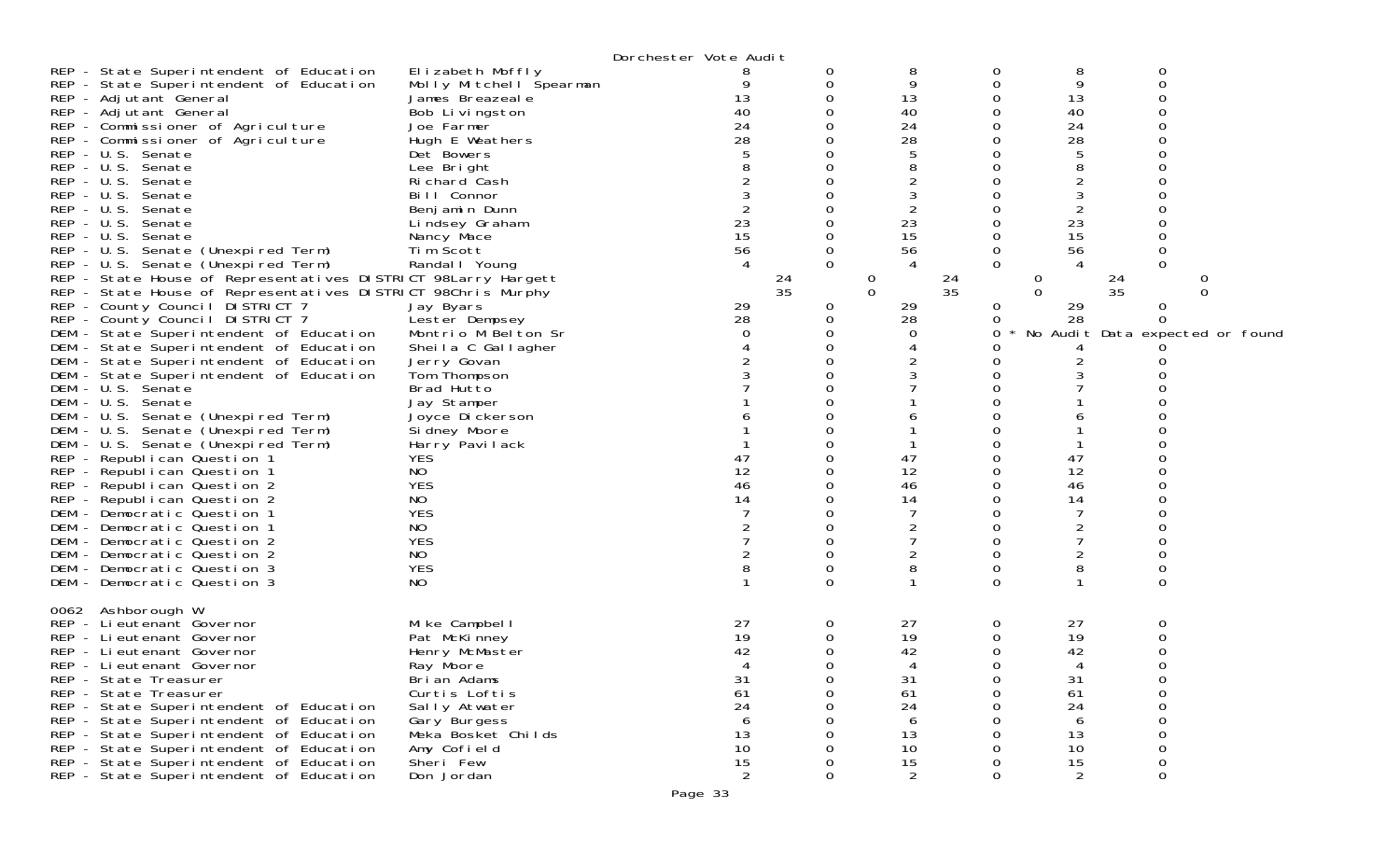|                                                                                                                                                                                                                                                                                                                                                                                                                                                                                                                                                                                                                                                                                                                                                                                                                                                                                                                                                                                                                                                                                                                                                                                                                                                                                                                      |                                                                                                                                                                                                                                                                                                                                                                                                                                                                                                                                                                     | Dorchester Vote Audit                                                                                                |                                     |                                                                                                                                                                                          |                                                                                                                               |                                                                                                                                                                         |                                                                          |                                           |
|----------------------------------------------------------------------------------------------------------------------------------------------------------------------------------------------------------------------------------------------------------------------------------------------------------------------------------------------------------------------------------------------------------------------------------------------------------------------------------------------------------------------------------------------------------------------------------------------------------------------------------------------------------------------------------------------------------------------------------------------------------------------------------------------------------------------------------------------------------------------------------------------------------------------------------------------------------------------------------------------------------------------------------------------------------------------------------------------------------------------------------------------------------------------------------------------------------------------------------------------------------------------------------------------------------------------|---------------------------------------------------------------------------------------------------------------------------------------------------------------------------------------------------------------------------------------------------------------------------------------------------------------------------------------------------------------------------------------------------------------------------------------------------------------------------------------------------------------------------------------------------------------------|----------------------------------------------------------------------------------------------------------------------|-------------------------------------|------------------------------------------------------------------------------------------------------------------------------------------------------------------------------------------|-------------------------------------------------------------------------------------------------------------------------------|-------------------------------------------------------------------------------------------------------------------------------------------------------------------------|--------------------------------------------------------------------------|-------------------------------------------|
| REP - State Superintendent of Education<br>REP - State Superintendent of Education<br>REP - Adjutant General<br>REP - Adjutant General<br>REP - Commissioner of Agriculture<br>REP - Commissioner of Agriculture<br>REP - U.S. Senate<br>REP - U.S. Senate<br>REP - U.S. Senate<br>REP - U.S. Senate<br>REP - U.S. Senate<br>REP - U.S. Senate<br>REP - U.S. Senate<br>REP - U.S. Senate (Unexpired Term)<br>REP - U.S. Senate (Unexpired Term)<br>REP - State House of Representatives DISTRICT 98Larry Hargett<br>REP - State House of Representatives DISTRICT 98Chris Murphy<br>REP - County Council DISTRICT 7<br>REP - County Council DISTRICT 7<br>DEM - State Superintendent of Education<br>DEM - State Superintendent of Education<br>DEM - State Superintendent of Education<br>DEM - State Superintendent of Education<br>DEM - U.S. Senate<br>DEM - U.S. Senate<br>DEM - U.S. Senate (Unexpired Term)<br>DEM - U.S. Senate (Unexpired Term)<br>DEM - U.S. Senate (Unexpired Term)<br>REP - Republican Question 1<br>REP - Republican Question 1<br>REP - Republican Question 2<br>REP - Republican Question 2<br>DEM - Democratic Question 1<br>DEM - Democratic Question 1<br>DEM - Democratic Question 2<br>DEM - Democratic Question 2<br>DEM - Democratic Question 3<br>DEM - Democratic Question 3 | Elizabeth Moffly<br>Molly Mitchell Spearman<br>James Breazeale<br>Bob Livingston<br>Joe Farmer<br>Hugh E Weathers<br>Det Bowers<br>Lee Bright<br>Richard Cash<br>Bill Connor<br>Benjamin Dunn<br>Lindsey Graham<br>Nancy Mace<br>Tim Scott<br>Randal   Young<br>Jay Byars<br>Lester Dempsey<br>Montrio M Belton Sr<br>Sheila C Gallagher<br>Jerry Govan<br>Tom Thompson<br>Brad Hutto<br>Jay Stamper<br>Joyce Dickerson<br>Si dney Moore<br>Harry Pavilack<br><b>YES</b><br>NO.<br><b>YES</b><br>NO.<br><b>YES</b><br>NO.<br><b>YES</b><br>NO.<br><b>YES</b><br>NO. | 8<br>13<br>40<br>24<br>28<br>23<br>15<br>56<br>$\overline{4}$<br>$\frac{24}{35}$<br>29<br>28<br>47<br>12<br>46<br>14 | 0<br>0<br>$\Omega$<br>0<br>$\Omega$ | 8<br>9<br>13<br>40<br>24<br>28<br>5<br>8<br>2<br>2<br>23<br>15<br>56<br>$\overline{4}$<br>24<br>$\overline{0}$<br>35<br>$\Omega$<br>29<br>28<br>0<br>47<br>12<br>46<br>14<br>2<br>2<br>8 | 0<br>0<br>0<br>0<br>0<br>Ω<br>0<br>0<br>0<br>$\Omega$<br>0<br>0<br>0<br>0<br>0<br>0<br>0<br>0<br>0<br>O<br>0<br>0<br>$\Omega$ | 8<br>9<br>13<br>40<br>24<br>28<br>5<br>8<br>$\overline{c}$<br>23<br>15<br>56<br>4<br>0<br>$\Omega$<br>29<br>28<br>2<br>47<br>12<br>46<br>14<br>$\overline{c}$<br>2<br>8 | 0<br>0<br>O<br>0<br>0<br>$\frac{24}{35}$<br>0<br>0<br>0<br>0<br>$\Omega$ | 0<br>∩<br>No Audit Data expected or found |
| 0062 Ashborough W<br>REP - Lieutenant Governor<br>REP - Lieutenant Governor<br>REP - Lieutenant Governor<br>REP - Lieutenant Governor<br>REP - State Treasurer<br>REP - State Treasurer<br>REP - State Superintendent of Education<br>REP - State Superintendent of Education<br>REP - State Superintendent of Education<br>REP - State Superintendent of Education<br>REP - State Superintendent of Education<br>REP - State Superintendent of Education                                                                                                                                                                                                                                                                                                                                                                                                                                                                                                                                                                                                                                                                                                                                                                                                                                                            | Mike Campbell<br>Pat McKinney<br>Henry McMaster<br>Ray Moore<br>Brian Adams<br>Curtis Loftis<br>Sally Atwater<br>Gary Burgess<br>Meka Bosket Childs<br>Amy Cofield<br>Sheri Few<br>Don Jordan                                                                                                                                                                                                                                                                                                                                                                       | 27<br>19<br>42<br>31<br>61<br>24<br>6<br>13<br>10<br>15<br>$\overline{2}$                                            | 0<br>0                              | 27<br>19<br>42<br>31<br>61<br>24<br>6<br>13<br>10<br>15<br>2                                                                                                                             | 0<br>0<br>0<br>0<br>0<br>0<br>0<br>0                                                                                          | 27<br>19<br>42<br>4<br>31<br>61<br>24<br>6<br>13<br>10<br>15<br>2                                                                                                       | 0<br>0<br>∩<br>0<br>0<br>0<br>0<br>0<br>0<br>0                           |                                           |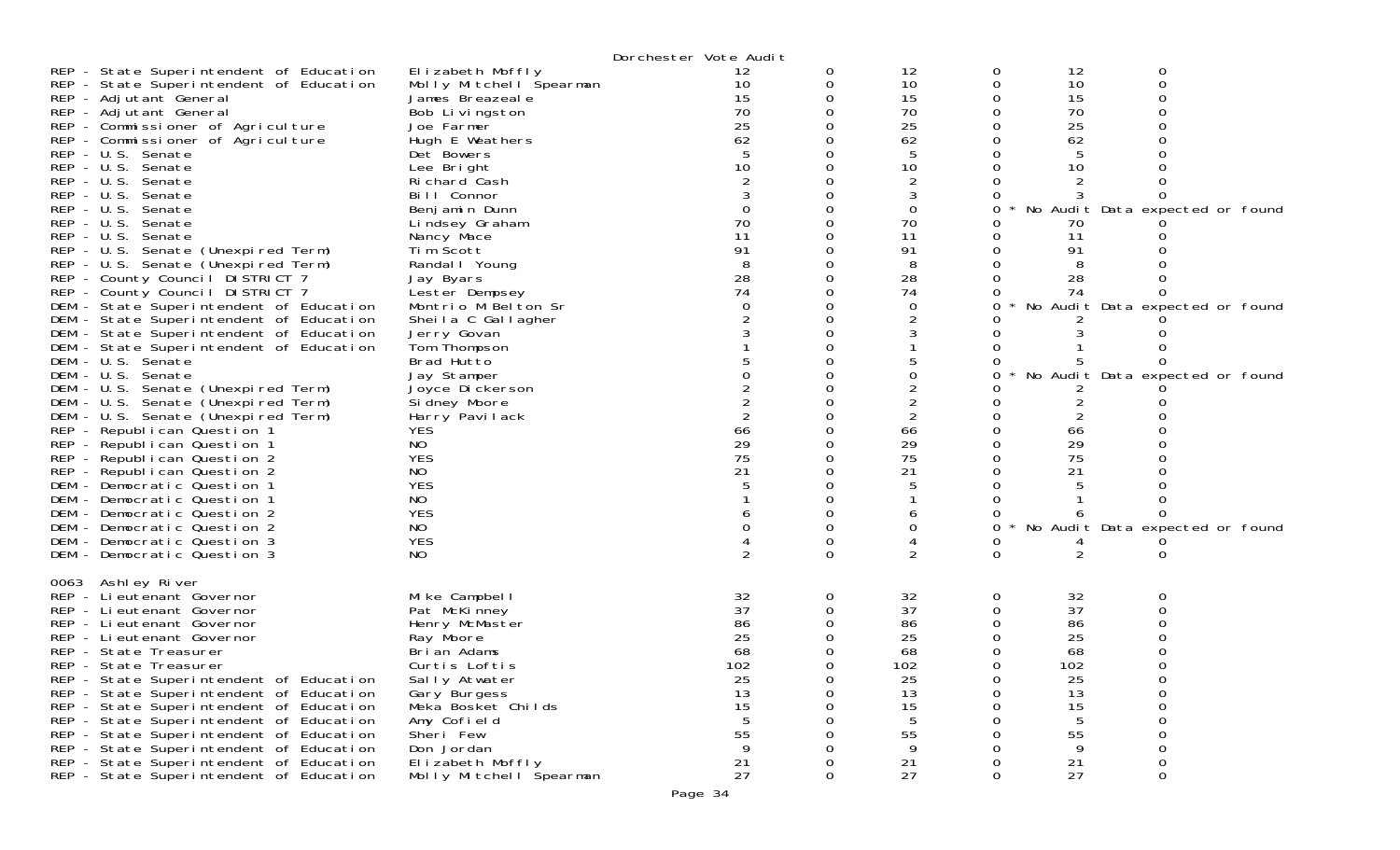|              |                                                                                    |                                             | Dorchester Vote Audit |        |                      |        |                |                                 |  |
|--------------|------------------------------------------------------------------------------------|---------------------------------------------|-----------------------|--------|----------------------|--------|----------------|---------------------------------|--|
|              | REP - State Superintendent of Education<br>REP - State Superintendent of Education | Elizabeth Moffly<br>Molly Mitchell Spearman | 12<br>10              | 0<br>0 | 12<br>10             | 0<br>0 | 12<br>10       | 0<br>0                          |  |
|              | REP - Adjutant General                                                             | James Breazeale                             | 15                    |        | 15                   |        | 15             | $\Omega$                        |  |
|              | REP - Adjutant General                                                             | Bob Livingston                              | 70                    |        | 70                   |        | 70             |                                 |  |
|              | REP - Commissioner of Agriculture                                                  | Joe Farmer                                  | 25                    |        | 25                   |        | 25             |                                 |  |
|              | REP - Commissioner of Agriculture                                                  | Hugh E Weathers                             | 62                    |        | 62                   |        | 62             |                                 |  |
|              | REP - U.S. Senate                                                                  | Det Bowers                                  | 10                    |        | 5                    |        | 5<br>10        |                                 |  |
| $REP - U.S.$ | REP - U.S. Senate<br>Senate                                                        | Lee Bright<br>Richard Cash                  |                       |        | 10<br>$\overline{2}$ |        |                |                                 |  |
| $REP - U.S.$ | Senate                                                                             | Bill Connor                                 |                       |        | 3                    |        |                |                                 |  |
| $REP - U.S.$ | Senate                                                                             | Benjamin Dunn                               | $\Omega$              |        | 0                    |        |                | No Audit Data expected or found |  |
| $REP - U.S.$ | Senate                                                                             | Lindsey Graham                              | 70                    |        | 70                   |        | 70             |                                 |  |
| $REP - U.S.$ | Senate                                                                             | Nancy Mace                                  | 11                    |        | 11                   |        | 11             |                                 |  |
|              | REP - U.S. Senate (Unexpired Term)                                                 | Tim Scott                                   | 91                    |        | 91                   |        | 91             |                                 |  |
|              | REP - U.S. Senate (Unexpired Term)                                                 | Randal I Young                              | 8                     |        | 8                    |        | 8              |                                 |  |
|              | REP - County Council DISTRICT 7                                                    | Jay Byars                                   | 28                    |        | 28                   |        | 28             |                                 |  |
|              | REP - County Council DISTRICT 7                                                    | Lester Dempsey                              | 74                    |        | 74                   |        | 74             |                                 |  |
|              | DEM - State Superintendent of Education                                            | Montrio M Belton Sr                         | 0                     |        | 0                    |        |                | No Audit Data expected or found |  |
|              | DEM - State Superintendent of Education                                            | Sheila C Gallagher                          |                       |        |                      |        |                |                                 |  |
|              | DEM - State Superintendent of Education                                            | Jerry Govan                                 |                       |        |                      |        |                |                                 |  |
|              | DEM - State Superintendent of Education                                            | Tom Thompson                                |                       |        |                      |        |                |                                 |  |
|              | DEM - U.S. Senate<br>DEM - U.S. Senate                                             | Brad Hutto<br>Jay Stamper                   |                       |        |                      |        |                | No Audit Data expected or found |  |
|              | DEM - U.S. Senate (Unexpired Term)                                                 | Joyce Dickerson                             |                       |        | 2                    |        |                |                                 |  |
|              | DEM - U.S. Senate (Unexpired Term)                                                 | Si dney Moore                               |                       |        | 2                    |        | 2              |                                 |  |
|              | DEM - U.S. Senate (Unexpired Term)                                                 | Harry Pavilack                              |                       |        | 2                    |        |                |                                 |  |
|              | REP - Republican Question 1                                                        | <b>YES</b>                                  | 66                    |        | 66                   |        | 66             |                                 |  |
|              | REP - Republican Question 1                                                        | NO                                          | 29                    |        | 29                   |        | 29             |                                 |  |
|              | REP - Republican Question 2                                                        | <b>YES</b>                                  | 75                    |        | 75                   |        | 75             |                                 |  |
|              | REP - Republican Question 2                                                        | NO.                                         | 21                    |        | 21                   |        | 21             |                                 |  |
|              | DEM - Democratic Question 1                                                        | <b>YES</b>                                  |                       |        |                      |        |                |                                 |  |
|              | DEM - Democratic Question 1                                                        | NO.                                         |                       |        |                      |        |                |                                 |  |
|              | DEM - Democratic Question 2                                                        | <b>YES</b>                                  |                       |        | b                    |        |                |                                 |  |
|              | DEM - Democratic Question 2                                                        | NO                                          |                       |        |                      |        |                | No Audit Data expected or found |  |
|              | DEM - Democratic Question 3                                                        | <b>YES</b>                                  |                       | 0<br>0 | 2                    | O      | $\overline{2}$ |                                 |  |
|              | DEM - Democratic Question 3                                                        | NO.                                         |                       |        |                      |        |                | 0                               |  |
|              | 0063 Ashley River                                                                  |                                             |                       |        |                      |        |                |                                 |  |
|              | REP - Lieutenant Governor                                                          | Mike Campbell                               | 32                    | 0      | 32                   | 0      | 32             | 0                               |  |
|              | REP - Lieutenant Governor                                                          | Pat McKinney                                | 37                    |        | 37                   |        | 37             |                                 |  |
|              | REP - Lieutenant Governor<br>REP - Lieutenant Governor                             | Henry McMaster                              | 86<br>25              |        | 86<br>25             |        | 86<br>25       |                                 |  |
|              | REP - State Treasurer                                                              | Ray Moore<br>Brian Adams                    | 68                    |        | 68                   |        | 68             |                                 |  |
|              | REP - State Treasurer                                                              | Curtis Loftis                               | 102                   |        | 102                  |        | 102            |                                 |  |
|              | REP - State Superintendent of Education                                            | Sally Atwater                               | 25                    | 0      | 25                   | 0      | 25             | 0                               |  |
|              | REP - State Superintendent of Education                                            | Gary Burgess                                | 13                    | 0      | 13                   | 0      | 13             | 0                               |  |
|              | REP - State Superintendent of Education                                            | Meka Bosket Childs                          | 15                    |        | 15                   |        | 15             | 0                               |  |
|              | REP - State Superintendent of Education                                            | Amy Cofield                                 |                       |        | 5                    |        | 5              | 0                               |  |
|              | REP - State Superintendent of Education                                            | Sheri Few                                   | 55                    |        | 55                   |        | 55             | 0                               |  |
|              | REP - State Superintendent of Education                                            | Don Jordan                                  | 9                     |        | 9                    |        | 9              | 0                               |  |
|              | REP - State Superintendent of Education                                            | Elizabeth Moffly                            | 21                    |        | 21                   |        | 21             | 0                               |  |
|              | REP - State Superintendent of Education                                            | Molly Mitchell Spearman                     | 27                    | 0      | 27                   | 0      | 27             | $\mathbf 0$                     |  |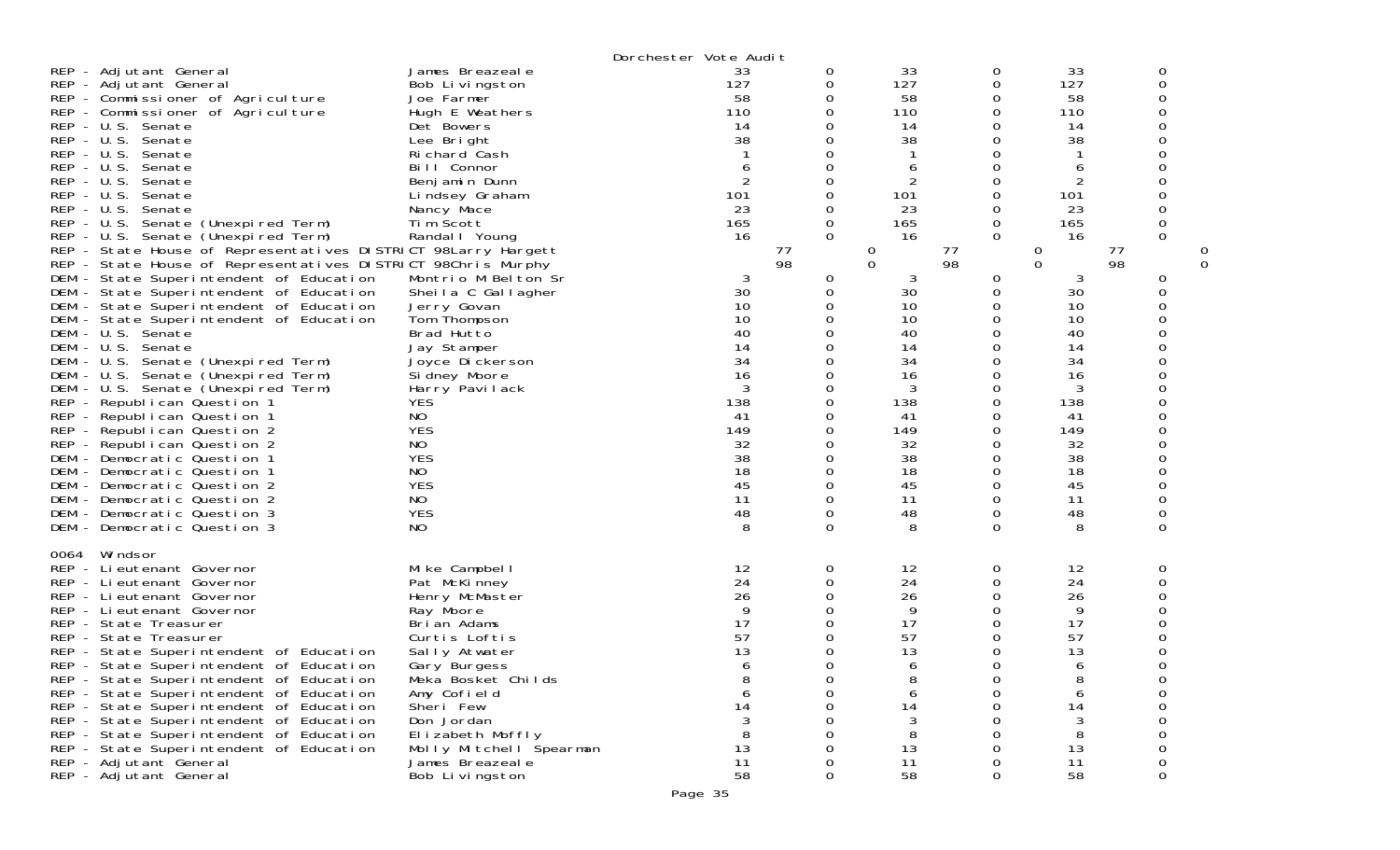|                                                            |                                                                                                     |                                           | Dorchester Vote Audit |               |                   |                      |           |          |  |
|------------------------------------------------------------|-----------------------------------------------------------------------------------------------------|-------------------------------------------|-----------------------|---------------|-------------------|----------------------|-----------|----------|--|
| REP - Adjutant General<br>REP - Adjutant General           |                                                                                                     | James Breazeale<br>Bob Livingston         | 33<br>127             | 0<br>0        | 33<br>127         | 0<br>0               | 33<br>127 | 0<br>0   |  |
|                                                            | REP - Commissioner of Agriculture<br>REP - Commissioner of Agriculture                              | Joe Farmer<br>Hugh E Weathers             | 58<br>110             | 0<br>0        | 58<br>110         | 0<br>0               | 58<br>110 | 0<br>0   |  |
| REP - U.S. Senate<br>REP - U.S. Senate                     |                                                                                                     | Det Bowers<br>Lee Bright                  | 14<br>38              | 0<br>0        | 14<br>38          | 0<br>0               | 14<br>38  |          |  |
| REP - U.S. Senate<br><b>REP</b><br>– U.S.                  | Senate                                                                                              | Richard Cash<br>Bill Connor               | 6                     | 0<br>0        | 6                 | 0<br>0               | 6         | 0        |  |
| REP - U.S. Senate                                          |                                                                                                     | Benjamin Dunn                             | $\overline{2}$        | 0             | 2                 | 0                    | 2         |          |  |
| REP - U.S. Senate<br>$REP - U.S.$                          | Senate                                                                                              | Lindsey Graham<br>Nancy Mace              | 101<br>23             | 0<br>0        | 101<br>23         | 0<br>0               | 101<br>23 | 0        |  |
|                                                            | REP - U.S. Senate (Unexpired Term)                                                                  | Tim Scott                                 | 165                   | 0             | 165               | 0                    | 165       |          |  |
|                                                            | REP - U.S. Senate (Unexpired Term)<br>REP - State House of Representatives DISTRICT 98Larry Hargett | Randal   Young                            | 16<br>77              | $\mathbf 0$   | 16<br>$\mathbf 0$ | $\mathbf 0$<br>77    | 16<br>0   | $\Omega$ |  |
|                                                            | REP - State House of Representatives DISTRICT 98Chris Murphy                                        |                                           | 98                    |               | $\mathbf 0$       | 98                   | $\Omega$  | 77<br>98 |  |
| DEM                                                        | DEM - State Superintendent of Education<br>- State Superintendent of Education                      | Montrio M Belton Sr<br>Sheila C Gallagher | 3<br>30               | 0<br>0        | 3<br>30           | 0<br>0               | 3<br>30   | 0<br>0   |  |
|                                                            | DEM - State Superintendent of Education                                                             | Jerry Govan                               | 10                    | 0             | 10                | 0                    | 10        |          |  |
| DEM<br>- U.S. Senate                                       | DEM - State Superintendent of Education                                                             | Tom Thompson<br>Brad Hutto                | 10<br>40              | 0<br>0        | 10<br>40          | 0<br>0               | 10<br>40  | 0        |  |
| - U.S. Senate<br>DEM<br>DEM                                | - U.S. Senate (Unexpired Term)                                                                      | Jay Stamper<br>Joyce Dickerson            | 14<br>34              | 0<br>0        | 14<br>34          | 0<br>0               | 14<br>34  |          |  |
| DEM                                                        | - U.S. Senate (Unexpired Term)                                                                      | Sidney Moore                              | 16                    | 0             | 16                | 0                    | 16        |          |  |
| DEM<br>REP - Republican Question 1                         | - U.S. Senate (Unexpired Term)                                                                      | Harry Pavilack<br><b>YES</b>              | 3<br>138              | 0<br>0        | 3<br>138          | 0<br>0               | 3<br>138  | 0<br>0   |  |
| REP - Republican Question 1                                |                                                                                                     | NO                                        | 41                    | 0             | 41                | 0                    | 41        |          |  |
| REP - Republican Question 2<br>REP - Republican Question 2 |                                                                                                     | <b>YES</b><br>NO                          | 149<br>32             | 0<br>0        | 149<br>32         | 0<br>0               | 149<br>32 |          |  |
| DEM - Democratic Question 1<br>DEM                         | - Democratic Question 1                                                                             | <b>YES</b><br>NO.                         | 38<br>18              | 0<br>0        | 38<br>18          | 0<br>0               | 38<br>18  | 0        |  |
| DEM - Democratic Question 2                                |                                                                                                     | <b>YES</b>                                | 45                    | 0             | 45                | 0                    | 45        | 0        |  |
| DEM - Democratic Question 2<br>DEM                         | - Democratic Question 3                                                                             | NO<br><b>YES</b>                          | 11<br>48              | 0<br>0        | 11<br>48          | 0<br>0               | 11<br>48  | 0<br>0   |  |
| DEM                                                        | - Democratic Question 3                                                                             | NO.                                       | 8                     | $\Omega$      | 8                 | 0                    | 8         | 0        |  |
| Wi ndsor<br>0064                                           |                                                                                                     |                                           |                       |               |                   |                      |           |          |  |
| REP - Lieutenant Governor<br>REP - Lieutenant Governor     |                                                                                                     | Mike Campbell<br>Pat McKinney             | 12<br>24              | 0<br>0        | 12<br>24          | 0<br>0               | 12<br>24  | 0<br>0   |  |
| REP - Lieutenant Governor                                  |                                                                                                     | Henry McMaster                            | 26                    | 0             | 26                | 0                    | 26        |          |  |
| REP - Lieutenant Governor<br>REP - State Treasurer         |                                                                                                     | Ray Moore<br>Brian Adams                  | 9<br>17               | 0<br>0        | 9<br>17           | 0<br>0               | 9<br>17   | 0        |  |
| REP - State Treasurer                                      |                                                                                                     | Curtis Loftis                             | 57<br>13              | 0<br>0        | 57<br>13          | 0                    | 57<br>13  | 0        |  |
|                                                            | REP - State Superintendent of Education<br>REP - State Superintendent of Education                  | Sally Atwater<br>Gary Burgess             | 6                     | 0             | 6                 | 0<br>0               | 6         | 0        |  |
|                                                            | REP - State Superintendent of Education<br>REP - State Superintendent of Education                  | Meka Bosket Childs<br>Amy Cofield         | 6                     | 0<br>0        | 8<br>6            | 0<br>0               | 8<br>6    | 0        |  |
|                                                            | REP - State Superintendent of Education                                                             | Sheri Few                                 | 14                    | 0             | 14                | 0                    | 14        | Ω        |  |
|                                                            | REP - State Superintendent of Education<br>REP - State Superintendent of Education                  | Don Jordan<br>Elizabeth Moffly            | 3<br>8                | $\Omega$<br>0 |                   | $\Omega$<br>$\Omega$ | 3<br>8    |          |  |
|                                                            | REP - State Superintendent of Education                                                             | Molly Mitchell Spearman                   | 13                    | 0             | 13                | $\Omega$             | 13        | 0        |  |
| REP - Adjutant General<br>REP - Adjutant General           |                                                                                                     | James Breazeal e<br>Bob Livingston        | 11<br>58              | 0<br>0        | 11<br>58          | 0<br>0               | 11<br>58  | 0<br>0   |  |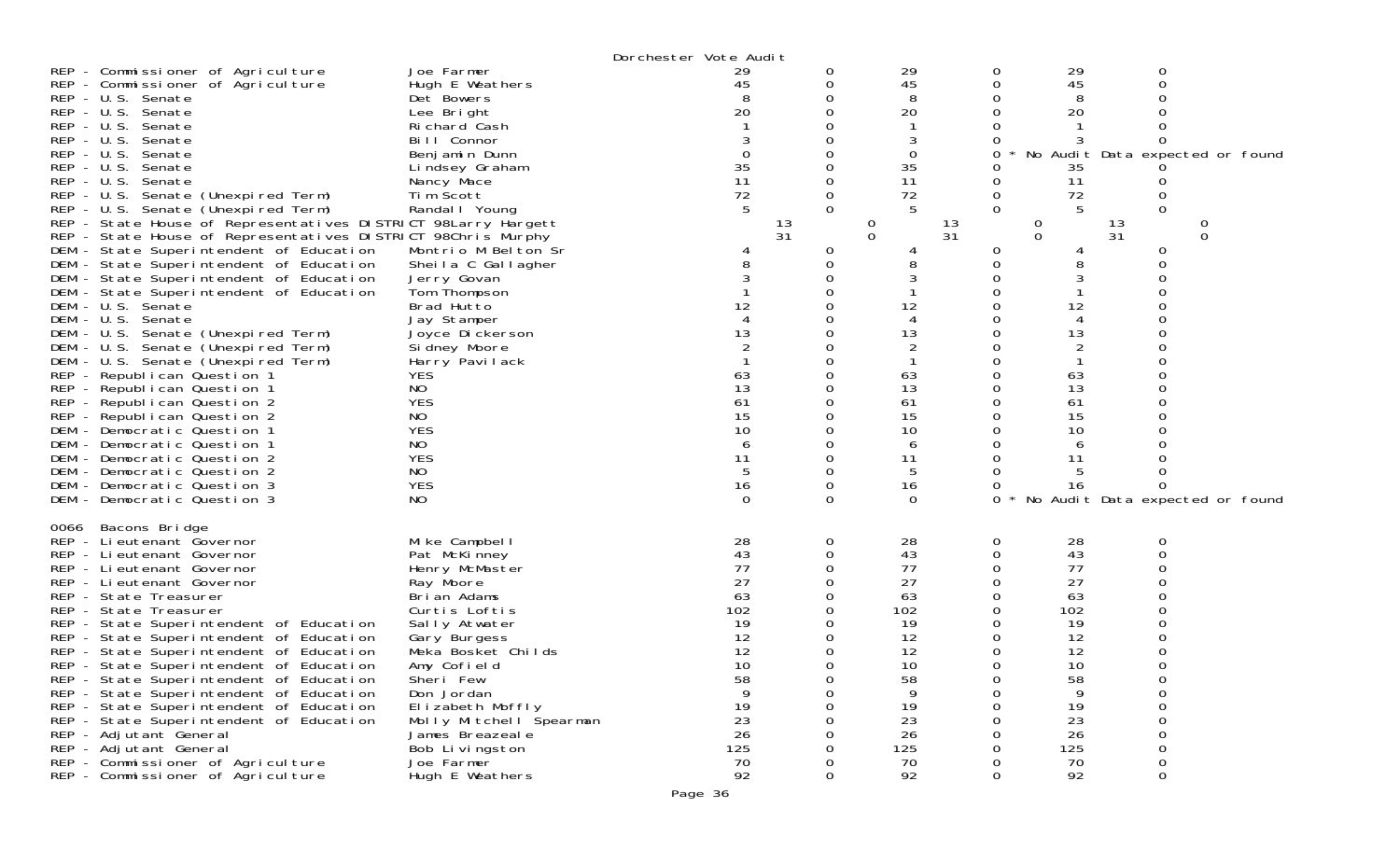|                                                                                    |                             | Dorchester Vote Audit |          |                          |          |                              |                                 |   |  |
|------------------------------------------------------------------------------------|-----------------------------|-----------------------|----------|--------------------------|----------|------------------------------|---------------------------------|---|--|
| REP - Commissioner of Agriculture                                                  | Joe Farmer                  | 29                    |          | 29                       |          | 29<br>0                      | 0                               |   |  |
| REP - Commissioner of Agriculture                                                  | Hugh E Weathers             | 45                    |          | 45                       |          | 45<br>0                      | 0                               |   |  |
| REP - U.S. Senate                                                                  | Det Bowers                  |                       |          | 8                        |          | 8                            |                                 |   |  |
| REP - U.S. Senate                                                                  | Lee Bright                  | 20                    |          | 20                       |          | 20<br>O                      |                                 |   |  |
| $REP - U.S.$<br>Senate                                                             | Richard Cash                |                       |          |                          |          |                              |                                 |   |  |
| $REP - U.S.$<br>Senate                                                             | Bill Connor                 |                       |          |                          |          |                              |                                 |   |  |
| $REP - U.S.$<br>Senate                                                             | Benjamin Dunn               | $\Omega$              |          | 0                        |          | 0                            | No Audit Data expected or found |   |  |
| $REP - U.S.$<br>Senate                                                             | Lindsey Graham              | 35                    |          | 35                       |          | 35                           |                                 |   |  |
| REP - U.S. Senate                                                                  | Nancy Mace                  | 11                    |          | 11                       |          | 11<br>O                      | Û                               |   |  |
| REP - U.S. Senate (Unexpired Term)                                                 | Tim Scott                   | 72                    | 0        | 72                       |          | 72<br>0                      | $\mathbf 0$                     |   |  |
| REP - U.S. Senate (Unexpired Term)                                                 | Randal I Young              |                       | $\Omega$ | 5                        |          | 5<br>$\Omega$                | $\Omega$                        |   |  |
| REP - State House of Representatives DISTRICT 98Larry Hargett                      |                             | 13<br>31              |          | $\theta$<br>$\mathbf{O}$ | 13<br>31 | $\mathbf{0}$<br>$\mathbf{O}$ | 13<br>31                        | 0 |  |
| REP - State House of Representatives DISTRICT 98Chris Murphy                       |                             |                       |          |                          |          |                              |                                 | 0 |  |
| DEM - State Superintendent of Education                                            | Montrio M Belton Sr         |                       | 0<br>0   | 8                        |          | 0<br>8<br>0                  | 0<br>0                          |   |  |
| DEM - State Superintendent of Education                                            | Sheila C Gallagher          |                       |          | 3                        |          |                              |                                 |   |  |
| DEM - State Superintendent of Education<br>DEM - State Superintendent of Education | Jerry Govan<br>Tom Thompson |                       |          |                          |          | 3                            |                                 |   |  |
| DEM - U.S. Senate                                                                  | Brad Hutto                  | 12                    |          | 12                       |          | 12                           |                                 |   |  |
| DEM - U.S. Senate                                                                  | Jay Stamper                 |                       |          | 4                        |          | 4                            |                                 |   |  |
| DEM<br>- U.S. Senate (Unexpired Term)                                              | Joyce Dickerson             | 13                    |          | 13                       |          | 13                           |                                 |   |  |
| DEM - U.S. Senate (Unexpired Term)                                                 | Sidney Moore                |                       |          | 2                        |          | 2                            |                                 |   |  |
| DEM - U.S. Senate (Unexpired Term)                                                 | Harry Pavilack              |                       |          |                          |          |                              |                                 |   |  |
| REP - Republican Question 1                                                        | <b>YES</b>                  | 63                    |          | 63                       |          | 63                           |                                 |   |  |
| REP - Republican Question 1                                                        | NO                          | 13                    |          | 13                       |          | 13<br>Ω                      |                                 |   |  |
| REP - Republican Question 2                                                        | <b>YES</b>                  | 61                    |          | 61                       |          | 61<br>O                      |                                 |   |  |
| REP - Republican Question 2                                                        | NO                          | 15                    |          | 15                       |          | 15                           |                                 |   |  |
| DEM - Democratic Question 1                                                        | <b>YES</b>                  | 10                    |          | 10                       |          | 10                           |                                 |   |  |
| DEM - Democratic Question 1                                                        | NO                          | 6                     |          | 6                        |          | 6                            |                                 |   |  |
| DEM - Democratic Question 2                                                        | <b>YES</b>                  | 11                    |          | 11                       |          | 11                           |                                 |   |  |
| DEM - Democratic Question 2                                                        | NO                          | 5                     |          | 5                        |          | 5                            |                                 |   |  |
| DEM - Democratic Question 3                                                        | <b>YES</b>                  | 16                    | 0        | 16                       |          | 16                           | 0                               |   |  |
| DEM - Democratic Question 3                                                        | NO                          | 0                     | 0        | 0                        |          | 0                            | No Audit Data expected or found |   |  |
| Bacons Bridge<br>0066                                                              |                             |                       |          |                          |          |                              |                                 |   |  |
| REP - Lieutenant Governor                                                          | Mike Campbell               | 28                    | 0        | 28                       |          | 28<br>0                      | 0                               |   |  |
| REP - Lieutenant Governor                                                          | Pat McKinney                | 43                    | 0        | 43                       |          | 43<br>0                      | $\Omega$                        |   |  |
| REP - Lieutenant Governor                                                          | Henry McMaster              | 77                    |          | 77                       |          | 77<br>0                      |                                 |   |  |
| REP - Li eutenant Governor                                                         | Ray Moore                   | 27                    |          | 27                       |          | 27                           |                                 |   |  |
| REP - State Treasurer                                                              | Brian Adams                 | 63                    |          | 63                       |          | 63<br>0                      |                                 |   |  |
| REP - State Treasurer                                                              | Curtis Loftis               | 102                   |          | 102                      |          | 102                          |                                 |   |  |
| REP - State Superintendent of Education                                            | Sally Atwater               | 19                    |          | 19                       |          | 19                           |                                 |   |  |
| REP - State Superintendent of Education                                            | Gary Burgess                | 12                    |          | 12                       |          | 12<br>0                      | 0                               |   |  |
| REP - State Superintendent of Education                                            | Meka Bosket Childs          | 12                    |          | 12                       |          | 12                           |                                 |   |  |
| REP - State Superintendent of Education                                            | Amy Cofield                 | 10                    |          | 10                       |          | Ω<br>10                      | 0                               |   |  |
| REP - State Superintendent of Education                                            | Sheri Few                   | 58                    | O        | 58                       |          | 58<br>U                      | $\cup$                          |   |  |
| REP - State Superintendent of Education                                            | Don Jordan                  | 9                     |          | 9                        |          | 9<br>0                       | 0                               |   |  |
| REP - State Superintendent of Education                                            | Elizabeth Moffly            | 19                    |          | 19                       |          | 19<br>$\Omega$               | 0                               |   |  |
| REP - State Superintendent of Education                                            | Molly Mitchell Spearman     | 23                    |          | 23                       |          | 23                           | 0                               |   |  |
| REP - Adjutant General                                                             | James Breazeal e            | 26                    |          | 26                       |          | 26                           | 0                               |   |  |
| REP - Adjutant General                                                             | Bob Livingston              | 125                   |          | 125                      |          | 125                          | 0                               |   |  |
| REP - Commissioner of Agriculture                                                  | Joe Farmer                  | 70                    |          | 70                       |          | 70                           | 0                               |   |  |
| REP - Commissioner of Agriculture                                                  | Hugh E Weathers             | 92                    |          | 92                       |          | 92<br>0                      | $\Omega$                        |   |  |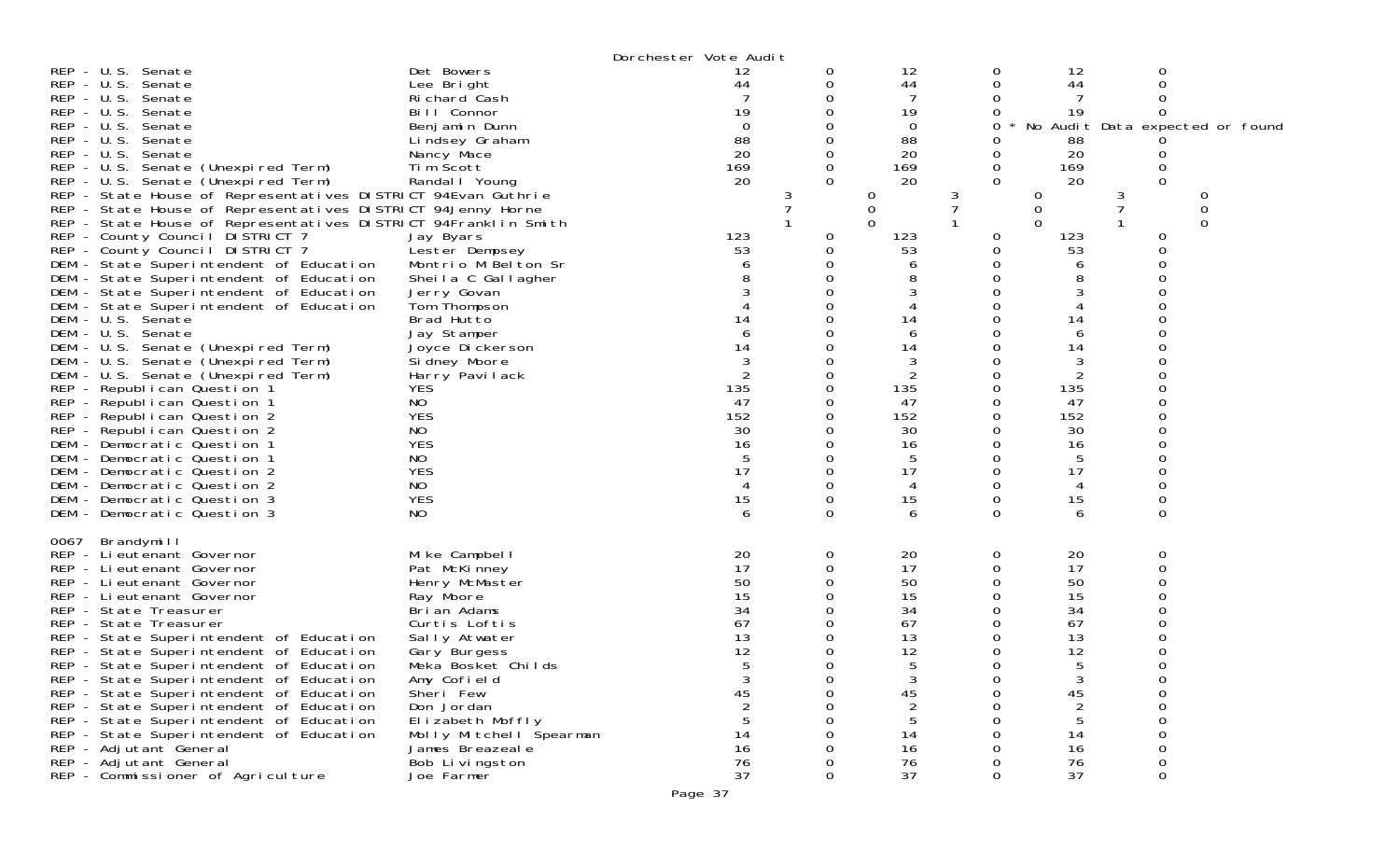|                                                                                                                                                                                                                                                                                                                                                                                                                                                                                                                                                                                                                                                                                                                                                                                                                                                                                                                                   |                                                                                                                                                                                                                                                                                                 | Dorchester Vote Audit                                                            |                                                                                  |                                                                                                                     |                                                                                              |                                                                                                                |                                     |                                 |
|-----------------------------------------------------------------------------------------------------------------------------------------------------------------------------------------------------------------------------------------------------------------------------------------------------------------------------------------------------------------------------------------------------------------------------------------------------------------------------------------------------------------------------------------------------------------------------------------------------------------------------------------------------------------------------------------------------------------------------------------------------------------------------------------------------------------------------------------------------------------------------------------------------------------------------------|-------------------------------------------------------------------------------------------------------------------------------------------------------------------------------------------------------------------------------------------------------------------------------------------------|----------------------------------------------------------------------------------|----------------------------------------------------------------------------------|---------------------------------------------------------------------------------------------------------------------|----------------------------------------------------------------------------------------------|----------------------------------------------------------------------------------------------------------------|-------------------------------------|---------------------------------|
| $REP - U.S.$<br>Senate<br>$REP - U.S.$<br>Senate<br>$REP - U.S.$<br>Senate<br>REP - U.S. Senate<br>$REP - U.S.$<br>Senate<br>$REP - U.S.$<br>Senate<br>REP - U.S. Senate<br>REP - U.S. Senate (Unexpired Term)<br>REP - U.S. Senate (Unexpired Term)                                                                                                                                                                                                                                                                                                                                                                                                                                                                                                                                                                                                                                                                              | Det Bowers<br>Lee Bright<br>Richard Cash<br>Bill Connor<br>Benjamin Dunn<br>Lindsey Graham<br>Nancy Mace<br>Tim Scott<br>Randal   Young                                                                                                                                                         | 12<br>44<br>19<br>$\Omega$<br>88<br>20<br>169<br>20                              | 0<br>0<br>0<br>0<br>0<br>0<br>$\Omega$                                           | 12<br>44<br>19<br>$\Omega$<br>88<br>20<br>169<br>20                                                                 | 0<br>0<br>0<br>$\Omega$<br>0<br>0<br>$\Omega$                                                | 12<br>44<br>19<br>88<br>20<br>169<br>20                                                                        | 0<br>O<br>0<br>$\Omega$             | No Audit Data expected or found |
| REP - State House of Representatives DISTRICT 94Evan Guthrie<br>REP - State House of Representatives DISTRICT 94Jenny Horne<br>REP - State House of Representatives DISTRICT 94Franklin Smith<br>REP - County Council DISTRICT 7<br>REP - County Council DISTRICT 7<br>DEM - State Superintendent of Education<br>DEM - State Superintendent of Education<br>DEM - State Superintendent of Education<br>DEM - State Superintendent of Education<br>DEM - U.S. Senate<br>DEM - U.S. Senate<br>DEM - U.S. Senate (Unexpired Term)<br>DEM - U.S. Senate (Unexpired Term)<br>DEM - U.S. Senate (Unexpired Term)<br>REP - Republican Question 1<br>REP - Republican Question 1<br>REP - Republican Question 2<br>REP - Republican Question 2<br>DEM - Democratic Question 1<br>DEM - Democratic Question 1<br>DEM - Democratic Question 2<br>DEM - Democratic Question 2<br>DEM - Democratic Question 3<br>DEM - Democratic Question 3 | Jay Byars<br>Lester Dempsey<br>Montrio M Belton Sr<br>Sheila C Gallagher<br>Jerry Govan<br>Tom Thompson<br>Brad Hutto<br>Jay Stamper<br>Joyce Dickerson<br>Si dney Moore<br>Harry Pavilack<br><b>YES</b><br>NO<br><b>YES</b><br>NO<br><b>YES</b><br>NO<br><b>YES</b><br>NO<br><b>YES</b><br>NO  | 123<br>53<br>14<br>14<br>2<br>135<br>47<br>152<br>30<br>16<br>17<br>4<br>15<br>6 | 0<br>0<br>$\Omega$<br>0<br>0<br>Ω<br>0<br>0<br>0<br>0<br>0<br>0<br>0<br>$\Omega$ | 0<br>0<br>∩<br>123<br>53<br>6<br>8<br>14<br>6<br>14<br>3<br>135<br>47<br>152<br>30<br>16<br>5<br>17<br>4<br>15<br>6 | 3<br>0<br>0<br>$\Omega$<br>$\Omega$<br>0<br>O<br>0<br>0<br>0<br>0<br>0<br>0<br>0<br>$\Omega$ | 0<br>0<br>∩<br>123<br>53<br>14<br>6<br>14<br>3<br>2<br>135<br>47<br>152<br>30<br>16<br>5<br>17<br>4<br>15<br>6 | 3<br>0<br>0<br>$\Omega$<br>$\Omega$ | 0<br>$\Omega$                   |
| 0067<br>Brandymill<br>REP - Lieutenant Governor<br>REP - Lieutenant Governor<br>REP - Lieutenant Governor<br>REP - Lieutenant Governor<br>REP - State Treasurer<br>REP - State Treasurer<br>REP - State Superintendent of Education<br>REP - State Superintendent of Education<br>REP - State Superintendent of Education<br>REP - State Superintendent of Education<br>REP - State Superintendent of Education<br>REP - State Superintendent of Education<br>REP - State Superintendent of Education<br>REP - State Superintendent of Education<br>REP - Adjutant General<br>REP - Adjutant General<br>REP - Commissioner of Agriculture                                                                                                                                                                                                                                                                                         | Mike Campbell<br>Pat McKinney<br>Henry McMaster<br>Ray Moore<br>Brian Adams<br>Curtis Loftis<br>Sally Atwater<br>Gary Burgess<br>Meka Bosket Childs<br>Amy Cofield<br>Sheri Few<br>Don Jordan<br>Elizabeth Moffly<br>Molly Mitchell Spearman<br>James Breazeale<br>Bob Livingston<br>Joe Farmer | 20<br>17<br>50<br>15<br>34<br>67<br>13<br>12<br>3<br>45<br>14<br>16<br>76<br>37  | 0<br>0<br>0<br>0<br>0<br>0<br>0                                                  | 20<br>17<br>50<br>15<br>34<br>67<br>13<br>12<br>5<br>3<br>45<br>5<br>14<br>16<br>76<br>37                           | 0<br>0<br>0<br>0<br>Ω<br>∩<br>0<br>0<br>Ω<br>0<br>0                                          | 20<br>17<br>50<br>15<br>34<br>67<br>13<br>12<br>3<br>45<br>5<br>14<br>16<br>76<br>37                           | 0<br>0<br>$\Omega$<br>0             |                                 |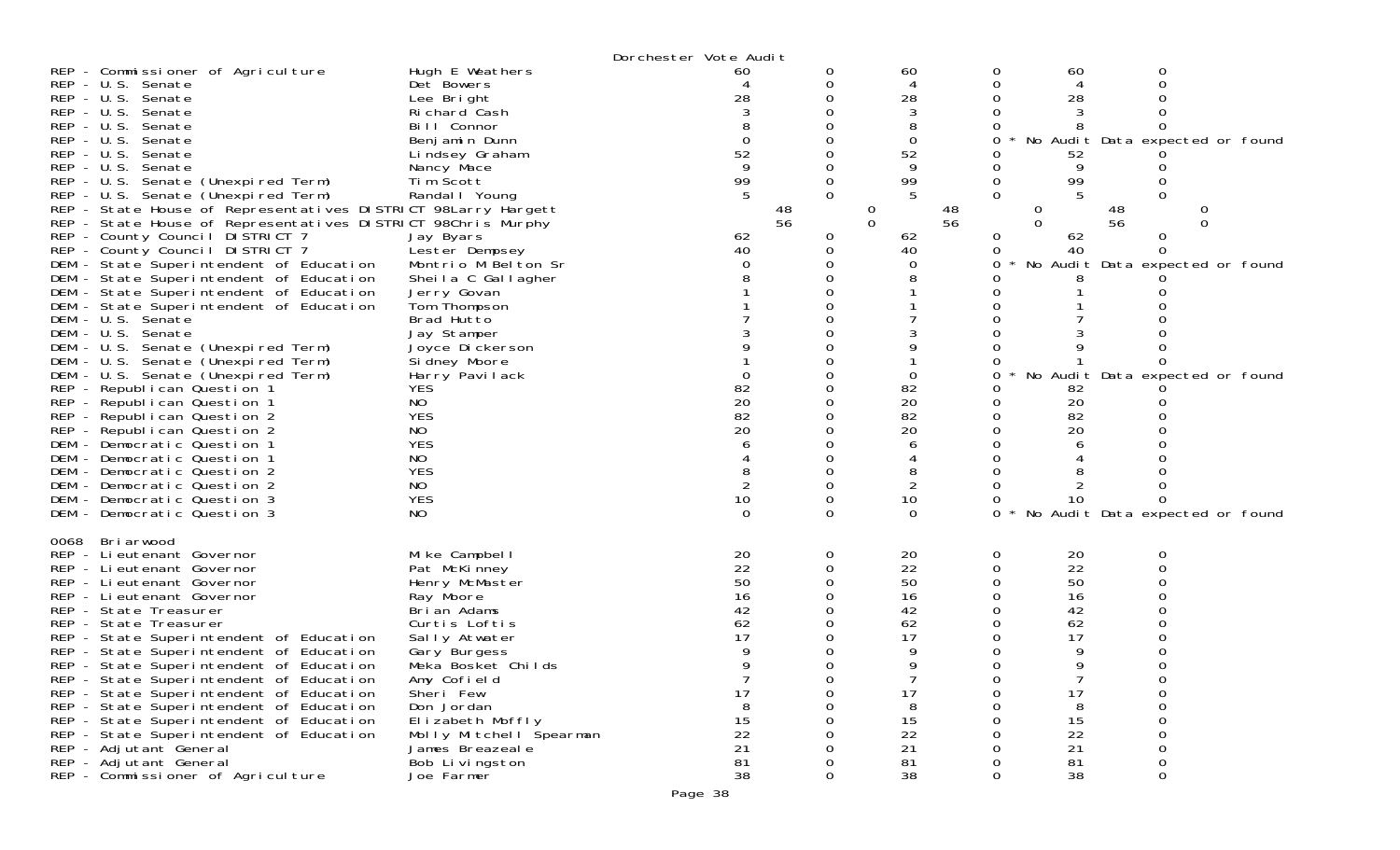| REP - Commissioner of Agriculture<br>REP - U.S. Senate<br>REP - U.S. Senate<br>REP - U.S. Senate<br>REP - U.S. Senate<br>REP - U.S. Senate<br>REP - U.S. Senate<br>REP - U.S. Senate<br>REP - U.S. Senate (Unexpired Term)<br>REP - U.S. Senate (Unexpired Term)<br>REP - State House of Representatives DISTRICT 98Larry Hargett<br>REP - State House of Representatives DISTRICT 98Chris Murphy<br>REP - County Council DISTRICT 7<br>REP - County Council DISTRICT 7<br>DEM - State Superintendent of Education<br>DEM - State Superintendent of Education<br>DEM - State Superintendent of Education<br>DEM - State Superintendent of Education<br>DEM - U.S. Senate<br>DEM - U.S. Senate<br>DEM - U.S. Senate (Unexpired Term)<br>DEM - U.S. Senate (Unexpired Term)<br>DEM - U.S. Senate (Unexpired Term)<br>REP - Republican Question 1<br>REP - Republican Question 1 | Hugh E Weathers<br>Det Bowers<br>Lee Bright<br>Richard Cash<br>Bill Connor<br>Benjamin Dunn<br>Lindsey Graham<br>Nancy Mace<br>Tim Scott<br>Randal   Young<br>Jay Byars<br>Lester Dempsey<br>Montrio M Belton Sr<br>Sheila C Gallagher<br>Jerry Govan<br>Tom Thompson<br>Brad Hutto<br>Jay Stamper<br>Joyce Dickerson<br>Si dney Moore<br>Harry Pavilack<br><b>YES</b><br><b>NO</b> | Dorchester Vote Audit<br>60<br>28<br>$\Omega$<br>52<br>9<br>99<br>5<br>48<br>56<br>62<br>40<br>$\Omega$<br>82<br>20 | 0<br>0      | 60<br>4<br>28<br>3<br>8<br>0<br>52<br>9<br>99<br>5<br>48<br>$\cup$<br>56<br>$\Omega$<br>62<br>40<br>0<br>82<br>20 | 60<br>0<br>0<br>28<br>0<br>0<br>52<br>0<br>99<br>0<br>0<br>$\sigma$<br>$\Omega$<br>62<br>0<br>40<br>0<br>0<br>0<br>0<br>82<br>20<br>0  | 0<br>0<br>4<br>Ω<br>No Audit Data expected or found<br>9<br>5<br>0<br>48<br>0<br>56<br>$\Omega$<br>0<br>Ω<br>No Audit Data expected or found<br>No Audit Data expected or found |
|-------------------------------------------------------------------------------------------------------------------------------------------------------------------------------------------------------------------------------------------------------------------------------------------------------------------------------------------------------------------------------------------------------------------------------------------------------------------------------------------------------------------------------------------------------------------------------------------------------------------------------------------------------------------------------------------------------------------------------------------------------------------------------------------------------------------------------------------------------------------------------|-------------------------------------------------------------------------------------------------------------------------------------------------------------------------------------------------------------------------------------------------------------------------------------------------------------------------------------------------------------------------------------|---------------------------------------------------------------------------------------------------------------------|-------------|-------------------------------------------------------------------------------------------------------------------|----------------------------------------------------------------------------------------------------------------------------------------|---------------------------------------------------------------------------------------------------------------------------------------------------------------------------------|
| REP - Republican Question 2<br>REP - Republican Question 2<br>DEM - Democratic Question 1<br>DEM - Democratic Question 1<br>DEM - Democratic Question 2<br>DEM - Democratic Question 2<br>DEM - Democratic Question 3<br>DEM - Democratic Question 3                                                                                                                                                                                                                                                                                                                                                                                                                                                                                                                                                                                                                          | <b>YES</b><br>NO<br><b>YES</b><br>NO<br><b>YES</b><br>NO<br><b>YES</b><br>NO.                                                                                                                                                                                                                                                                                                       | 82<br>20<br>10<br>$\Omega$                                                                                          | 0           | 82<br>20<br>8<br>2<br>10<br>$\Omega$                                                                              | 82<br>20<br>0<br>0<br>10<br>0                                                                                                          | Ω<br>No Audit Data expected or found                                                                                                                                            |
| Briarwood<br>0068<br>REP - Lieutenant Governor<br>REP - Lieutenant Governor<br>REP - Lieutenant Governor<br>REP - Lieutenant Governor<br>REP - State Treasurer<br>REP - State Treasurer<br>REP - State Superintendent of Education<br>REP - State Superintendent of Education<br>REP - State Superintendent of Education<br>REP - State Superintendent of Education<br>REP - State Superintendent of Education<br>REP - State Superintendent of Education<br>REP - State Superintendent of Education<br>REP - State Superintendent of Education<br>REP - Adjutant General<br>REP - Adjutant General<br>REP - Commissioner of Agriculture                                                                                                                                                                                                                                      | Mike Campbell<br>Pat McKinney<br>Henry McMaster<br>Ray Moore<br>Brian Adams<br>Curtis Loftis<br>Sally Atwater<br>Gary Burgess<br>Meka Bosket Childs<br>Amy Cofield<br>Sheri Few<br>Don Jordan<br>Elizabeth Moffly<br>Molly Mitchell Spearman<br>James Breazeal e<br>Bob Livingston<br>Joe Farmer                                                                                    | 20<br>22<br>50<br>16<br>42<br>62<br>17<br>$\overline{7}$<br>17<br>8<br>15<br>22<br>21<br>81<br>38                   | 0<br>0<br>0 | 20<br>22<br>50<br>16<br>42<br>62<br>17<br>9<br>$\overline{7}$<br>17<br>8<br>15<br>22<br>21<br>81<br>38            | 20<br>0<br>22<br>0<br>50<br>0<br>16<br>0<br>42<br>62<br>0<br>17<br>0<br>0<br>0<br>17<br>0<br>0<br>15<br>22<br>21<br>81<br>0<br>38<br>0 | 0<br>0<br>9<br>a<br>7<br>0<br>0<br>0<br>8<br>0<br>0<br>0<br>0<br>0                                                                                                              |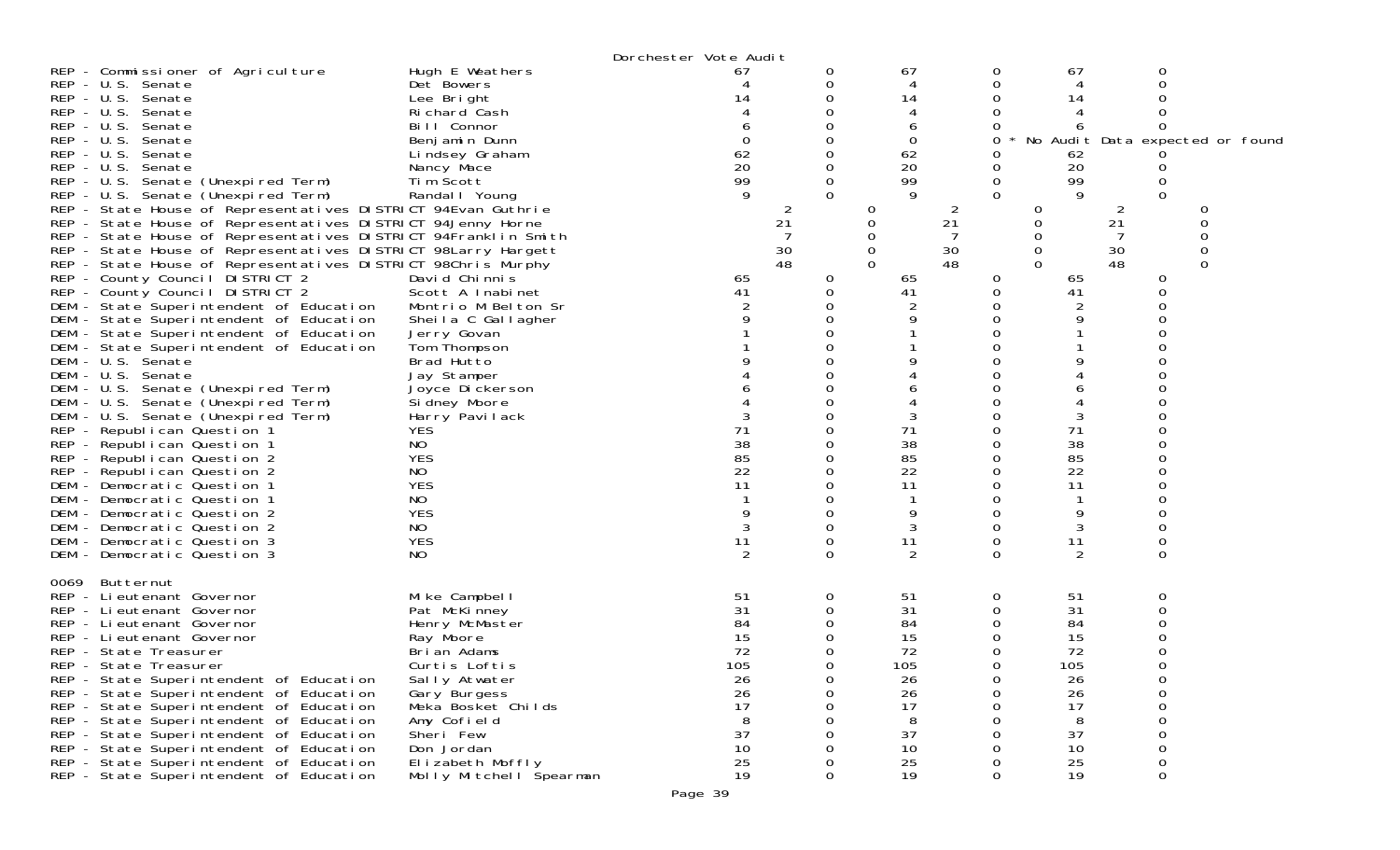|                                                                                                                                                                                                                                                                                                                                                                                                                                                                                                                                                                                                                                                                                                                                                                                                                                                                                                                                                                                                    |                                                                                                                                                                                                                                                                                                             | Dorchester Vote Audit                                                            |                                                                                           |                                                                                                       |                                                                                           |                                                                                  |                                                                                                                              |                                 |
|----------------------------------------------------------------------------------------------------------------------------------------------------------------------------------------------------------------------------------------------------------------------------------------------------------------------------------------------------------------------------------------------------------------------------------------------------------------------------------------------------------------------------------------------------------------------------------------------------------------------------------------------------------------------------------------------------------------------------------------------------------------------------------------------------------------------------------------------------------------------------------------------------------------------------------------------------------------------------------------------------|-------------------------------------------------------------------------------------------------------------------------------------------------------------------------------------------------------------------------------------------------------------------------------------------------------------|----------------------------------------------------------------------------------|-------------------------------------------------------------------------------------------|-------------------------------------------------------------------------------------------------------|-------------------------------------------------------------------------------------------|----------------------------------------------------------------------------------|------------------------------------------------------------------------------------------------------------------------------|---------------------------------|
| REP - Commissioner of Agriculture<br>REP - U.S. Senate<br>REP - U.S. Senate<br>REP - U.S. Senate<br>REP - U.S. Senate<br>$REP - U.S.$<br>Senate<br>REP - U.S. Senate<br>REP - U.S. Senate<br>REP - U.S. Senate (Unexpired Term)<br>REP - U.S. Senate (Unexpired Term)<br>REP - State House of Representatives DISTRICT 94Evan Guthrie                                                                                                                                                                                                                                                                                                                                                                                                                                                                                                                                                                                                                                                              | Hugh E Weathers<br>Det Bowers<br>Lee Bright<br>Richard Cash<br>Bill Connor<br>Benjamin Dunn<br>Lindsey Graham<br>Nancy Mace<br>Tim Scott<br>Randal   Young                                                                                                                                                  | 67<br>14<br>0<br>62<br>20<br>99<br>9                                             | 0<br>0<br>0<br>Ω<br>Ω<br>0<br>0<br>2                                                      | 67<br>4<br>14<br>4<br>6<br>0<br>62<br>20<br>99<br>9<br>0                                              | 0<br>0<br>Ω<br>0<br>0<br>O<br>0<br>$\Omega$<br>2                                          | 67<br>-14<br>62<br>20<br>99<br>$\mathsf Q$<br>O                                  | 0<br>0<br>0<br>$\Omega$<br>2                                                                                                 | No Audit Data expected or found |
| REP - State House of Representatives DISTRICT 94Jenny Horne<br>REP - State House of Representatives DISTRICT 94Franklin Smith<br>REP - State House of Representatives DISTRICT 98Larry Hargett<br>REP - State House of Representatives DISTRICT 98Chris Murphy<br>REP - County Council DISTRICT 2<br>REP - County Council DISTRICT 2<br>DEM - State Superintendent of Education<br>DEM - State Superintendent of Education<br>DEM - State Superintendent of Education<br>DEM - State Superintendent of Education<br>DEM - U.S. Senate<br>DEM - U.S. Senate<br>DEM - U.S. Senate (Unexpired Term)<br>DEM - U.S. Senate (Unexpired Term)<br>DEM - U.S. Senate (Unexpired Term)<br>REP - Republican Question 1<br>REP - Republican Question 1<br>REP - Republican Question 2<br>REP - Republican Question 2<br>DEM - Democratic Question 1<br>DEM - Democratic Question 1<br>DEM - Democratic Question 2<br>DEM - Democratic Question 2<br>DEM - Democratic Question 3<br>DEM - Democratic Question 3 | David Chinnis<br>Scott A Inabinet<br>Montrio M Belton Sr<br>Sheila C Gallagher<br>Jerry Govan<br>Tom Thompson<br>Brad Hutto<br>Jay Stamper<br>Joyce Dickerson<br>Si dney Moore<br>Harry Pavilack<br><b>YES</b><br><b>NO</b><br><b>YES</b><br>NO<br><b>YES</b><br>NO<br><b>YES</b><br>NO<br><b>YES</b><br>NO | 65<br>41<br>71<br>38<br>85<br>22<br>11<br>11<br>$\overline{2}$                   | 21<br>30<br>48<br>0<br>0<br>0<br>O<br>Ω<br>O<br>0<br>0<br>0<br>0<br>O<br>0<br>0<br>0<br>0 | 0<br>0<br>0<br>$\Omega$<br>65<br>41<br>9<br>9<br>3<br>71<br>38<br>85<br>22<br>11<br>9<br>3<br>11<br>2 | 21<br>7<br>30<br>48<br>0<br>0<br>0<br>0<br>0<br>0<br>0<br>0<br>0<br>Ω<br>0<br>0<br>0<br>0 | 0<br>0<br>O<br>0<br>65<br>41<br>71<br>38<br>85<br>22<br>11<br>9<br>3<br>11<br>2  | 21<br>7<br>30<br>48<br>0<br>0<br>0<br>0                                                                                      | 0<br>$\Omega$                   |
| Butternut<br>0069<br>REP - Lieutenant Governor<br>REP - Lieutenant Governor<br>REP - Lieutenant Governor<br>REP - Lieutenant Governor<br>REP - State Treasurer<br>REP - State Treasurer<br>REP - State Superintendent of Education<br>REP - State Superintendent of Education<br>REP - State Superintendent of Education<br>REP - State Superintendent of Education<br>REP - State Superintendent of Education<br>REP - State Superintendent of Education<br>REP - State Superintendent of Education<br>REP - State Superintendent of Education                                                                                                                                                                                                                                                                                                                                                                                                                                                    | Mike Campbell<br>Pat McKinney<br>Henry McMaster<br>Ray Moore<br>Brian Adams<br>Curtis Loftis<br>Sally Atwater<br>Gary Burgess<br>Meka Bosket Childs<br>Amy Cofield<br>Sheri Few<br>Don Jordan<br>Elizabeth Moffly<br>Molly Mitchell Spearman                                                                | 51<br>31<br>84<br>15<br>72<br>105<br>26<br>26<br>17<br>8<br>37<br>10<br>25<br>19 | 0<br>0<br>0<br>Ω<br>ი<br>0<br>0<br>0<br>O<br>0<br>0                                       | 51<br>31<br>84<br>15<br>72<br>105<br>26<br>26<br>17<br>8<br>37<br>10<br>25<br>19                      | 0<br>0<br>0<br>O<br>0<br>0<br>0<br>0<br>0                                                 | 51<br>31<br>84<br>15<br>72<br>105<br>26<br>26<br>17<br>8<br>37<br>10<br>25<br>19 | 0<br>0<br>$\Omega$<br>0<br>$\mathbf 0$<br>$\mathbf 0$<br>$\mathsf{O}\xspace$<br>$\mathbf 0$<br>0<br>0<br>$\mathsf{O}\xspace$ |                                 |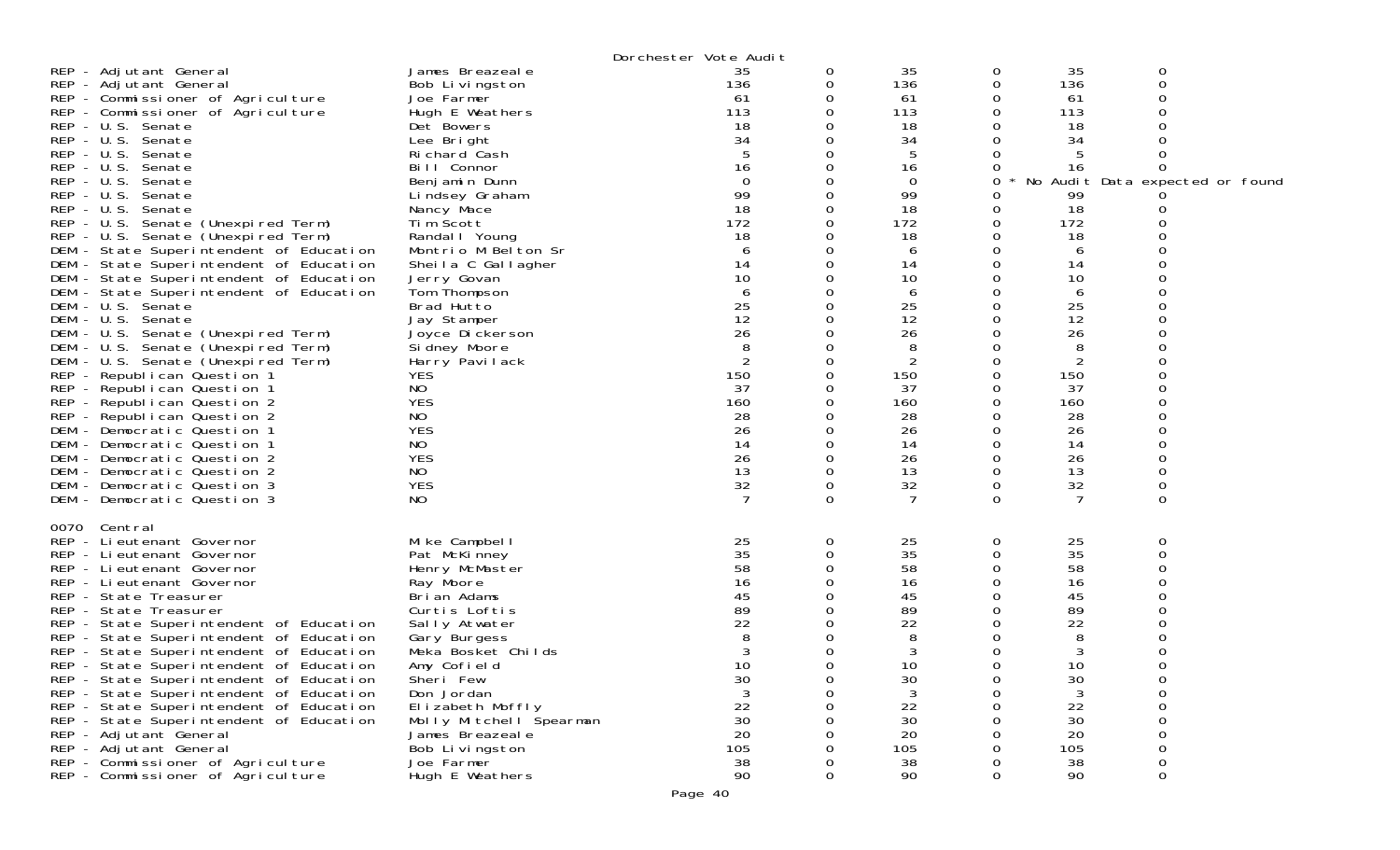|                                                                                                                                                                                                                                                                                                                                                                                                                                                                                                                                                                                                                                                                                                                                                                                                                                                                                                                                                                                                                         |                                                                                                                                                                                                                                                                                                                                                                                                                                                                                   | Dorchester Vote Audit                                                                                                                                                                                 |                                                                                                                                               |                                                                                                                                                                                                                   |                                                                                          |                                                                                                                                                                                  |                                                                                                    |
|-------------------------------------------------------------------------------------------------------------------------------------------------------------------------------------------------------------------------------------------------------------------------------------------------------------------------------------------------------------------------------------------------------------------------------------------------------------------------------------------------------------------------------------------------------------------------------------------------------------------------------------------------------------------------------------------------------------------------------------------------------------------------------------------------------------------------------------------------------------------------------------------------------------------------------------------------------------------------------------------------------------------------|-----------------------------------------------------------------------------------------------------------------------------------------------------------------------------------------------------------------------------------------------------------------------------------------------------------------------------------------------------------------------------------------------------------------------------------------------------------------------------------|-------------------------------------------------------------------------------------------------------------------------------------------------------------------------------------------------------|-----------------------------------------------------------------------------------------------------------------------------------------------|-------------------------------------------------------------------------------------------------------------------------------------------------------------------------------------------------------------------|------------------------------------------------------------------------------------------|----------------------------------------------------------------------------------------------------------------------------------------------------------------------------------|----------------------------------------------------------------------------------------------------|
| REP - Adjutant General<br>REP - Adjutant General<br>REP - Commissioner of Agriculture<br>REP - Commissioner of Agriculture<br>REP - U.S. Senate<br>REP - U.S. Senate<br>REP - U.S. Senate<br>REP - U.S. Senate<br>REP - U.S. Senate<br>REP - U.S. Senate<br>REP - U.S. Senate<br>REP - U.S. Senate (Unexpired Term)<br>REP - U.S. Senate (Unexpired Term)<br>DEM - State Superintendent of Education<br>DEM - State Superintendent of Education<br>DEM - State Superintendent of Education<br>DEM - State Superintendent of Education<br>DEM - U.S. Senate<br>DEM - U.S. Senate<br>DEM - U.S. Senate (Unexpired Term)<br>DEM - U.S. Senate (Unexpired Term)<br>DEM - U.S. Senate (Unexpired Term)<br>REP - Republican Question 1<br>REP - Republican Question 1<br>REP - Republican Question 2<br>REP - Republican Question 2<br>DEM - Democratic Question 1<br>DEM - Democratic Question 1<br>DEM - Democratic Question 2<br>DEM - Democratic Question 2<br>DEM - Democratic Question 3<br>DEM - Democratic Question 3 | James Breazeale<br>Bob Livingston<br>Joe Farmer<br>Hugh E Weathers<br>Det Bowers<br>Lee Bright<br>Richard Cash<br>Bill Connor<br>Benjamin Dunn<br>Lindsey Graham<br>Nancy Mace<br>Tim Scott<br>Randal I Young<br>Montrio M Belton Sr<br>Sheila C Gallagher<br>Jerry Govan<br>Tom Thompson<br>Brad Hutto<br>Jay Stamper<br>Joyce Di ckerson<br>Si dney Moore<br>Harry Pavilack<br><b>YES</b><br>NO<br><b>YES</b><br>NO<br><b>YES</b><br>NO<br><b>YES</b><br>NO<br><b>YES</b><br>NO | 35<br>136<br>-61<br>113<br>18<br>34<br>16<br>$\Omega$<br>99<br>18<br>172<br>18<br>6<br>14<br>10<br>6<br>25<br>12<br>26<br>8<br>$\overline{2}$<br>150<br>37<br>160<br>28<br>26<br>14<br>26<br>13<br>32 | 0<br>0<br>0<br>0<br>Ω<br>0<br>Ω<br>Ω<br>0<br>0<br>0<br>0<br>0<br>O<br>0<br>Ω<br>O<br>0<br>0<br>0<br>0<br>Ω<br>O<br>0<br>0<br>0<br>0<br>0<br>0 | 35<br>136<br>61<br>113<br>18<br>34<br>5<br>16<br>$\mathbf 0$<br>99<br>18<br>172<br>18<br>6<br>14<br>10<br>6<br>25<br>12<br>26<br>8<br>$\overline{2}$<br>150<br>37<br>160<br>28<br>26<br>14<br>26<br>13<br>32<br>7 | 0<br>0<br>0<br>0<br>0<br>O<br>O<br>0<br>O<br>O<br>∩<br>O<br>O<br>∩<br>0<br>0<br>$\Omega$ | 35<br>136<br>61<br>113<br>18<br>34<br>16<br>99<br>18<br>172<br>18<br>6<br>14<br>10<br>6<br>25<br>12<br>26<br>8<br>2<br>150<br>37<br>160<br>28<br>26<br>14<br>26<br>13<br>32<br>7 | 0<br>0<br>No Audit Data expected or found<br>$\Omega$<br>0<br>0<br>$\Omega$                        |
| 0070<br>Central<br>REP - Lieutenant Governor<br>REP - Lieutenant Governor<br>REP - Lieutenant Governor<br>REP - Lieutenant Governor<br>REP - State Treasurer<br>REP - State Treasurer<br>REP - State Superintendent of Education<br>REP - State Superintendent of Education<br>REP - State Superintendent of Education<br>REP - State Superintendent of Education<br>REP - State Superintendent of Education<br>REP - State Superintendent of Education<br>REP - State Superintendent of Education<br>REP - State Superintendent of Education<br>REP - Adjutant General<br>REP - Adjutant General<br>REP - Commissioner of Agriculture<br>REP - Commissioner of Agriculture                                                                                                                                                                                                                                                                                                                                             | Mike Campbell<br>Pat McKinney<br>Henry McMaster<br>Ray Moore<br>Brian Adams<br>Curtis Loftis<br>Sally Atwater<br>Gary Burgess<br>Meka Bosket Childs<br>Amy Cofield<br>Sheri Few<br>Don Jordan<br>Elizabeth Moffly<br>Molly Mitchell Spearman<br>James Breazeal e<br>Bob Livingston<br>Joe Farmer<br>Hugh E Weathers                                                                                                                                                               | 25<br>35<br>58<br>16<br>45<br>89<br>22<br>8<br>10<br>30<br>22<br>30<br>20<br>105<br>38<br>90                                                                                                          | 0<br>0<br>0<br>Ω<br>0<br>O<br>Ω<br>∩<br>0<br>0<br>0<br>0                                                                                      | 25<br>35<br>58<br>16<br>45<br>89<br>22<br>8<br>3<br>10<br>30<br>3<br>22<br>30<br>20<br>105<br>38<br>90                                                                                                            | 0<br>0<br>O<br>∩<br>0<br>O<br>0                                                          | 25<br>35<br>58<br>16<br>45<br>89<br>22<br>8<br>3<br>10<br>30<br>3<br>22<br>30<br>20<br>105<br>38<br>90                                                                           | 0<br>0<br>$\Omega$<br>0<br>$\mathbf 0$<br>0<br>$\mathbf 0$<br>$\mathbf 0$<br>0<br>0<br>$\mathbf 0$ |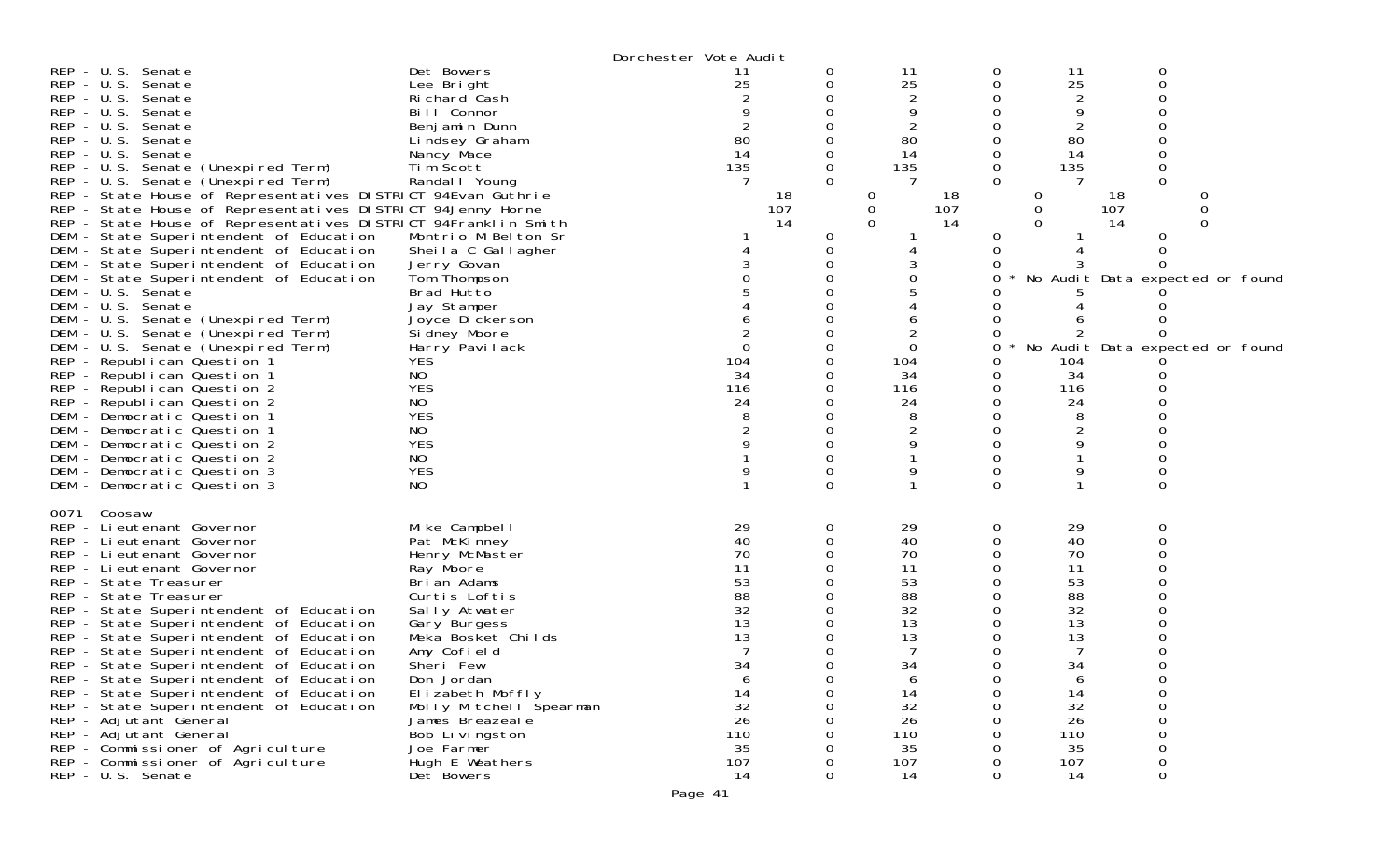|                                                                                                                                                                                                                                                                                                                                                                                                                                                                                                                                                                                                                                                                                                 |                                                                                                                                                                                                                                                                                                                                  | Dorchester Vote Audit                                                                                     |                         |                                                                                                           |             |                                                                                                           |                                            |                                                           |
|-------------------------------------------------------------------------------------------------------------------------------------------------------------------------------------------------------------------------------------------------------------------------------------------------------------------------------------------------------------------------------------------------------------------------------------------------------------------------------------------------------------------------------------------------------------------------------------------------------------------------------------------------------------------------------------------------|----------------------------------------------------------------------------------------------------------------------------------------------------------------------------------------------------------------------------------------------------------------------------------------------------------------------------------|-----------------------------------------------------------------------------------------------------------|-------------------------|-----------------------------------------------------------------------------------------------------------|-------------|-----------------------------------------------------------------------------------------------------------|--------------------------------------------|-----------------------------------------------------------|
| REP - U.S. Senate<br>REP - U.S. Senate<br>REP - U.S. Senate<br>REP - U.S. Senate<br>REP - U.S. Senate<br>REP - U.S. Senate<br>REP - U.S. Senate                                                                                                                                                                                                                                                                                                                                                                                                                                                                                                                                                 | Det Bowers<br>Lee Bright<br>Richard Cash<br>Bill Connor<br>Benjamin Dunn<br>Lindsey Graham<br>Nancy Mace                                                                                                                                                                                                                         | 11<br>25<br>80<br>14                                                                                      | 0<br>0<br>0             | 11<br>25<br>2<br>80<br>14                                                                                 | 0           | 11<br>25<br>2<br>9<br>80<br>14                                                                            | 0<br>0                                     |                                                           |
| REP - U.S. Senate (Unexpired Term)<br>REP - U.S. Senate (Unexpired Term)<br>REP - State House of Representatives DISTRICT 94Evan Guthrie<br>REP - State House of Representatives DISTRICT 94Jenny Horne<br>REP - State House of Representatives DISTRICT 94Franklin Smith<br>DEM - State Superintendent of Education<br>DEM - State Superintendent of Education                                                                                                                                                                                                                                                                                                                                 | Tim Scott<br>Randal   Young<br>Montrio M Belton Sr<br>Sheila C Gallagher                                                                                                                                                                                                                                                         | 135<br>18<br>107<br>14                                                                                    | 0<br>$\Omega$<br>0<br>0 | 135<br>18<br>0<br>0<br>107<br>$\Omega$<br>14                                                              | O<br>0<br>0 | 135<br>$\Omega$<br>0<br>0                                                                                 | 0<br>$\Omega$<br>18<br>107<br>14<br>0<br>0 | O<br>0<br>O                                               |
| DEM - State Superintendent of Education<br>DEM - State Superintendent of Education<br>DEM - U.S. Senate<br>DEM - U.S. Senate<br>DEM - U.S. Senate (Unexpired Term)<br>DEM - U.S. Senate (Unexpired Term)<br>DEM - U.S. Senate (Unexpired Term)<br>REP - Republican Question 1                                                                                                                                                                                                                                                                                                                                                                                                                   | Jerry Govan<br>Tom Thompson<br>Brad Hutto<br>Jay Stamper<br>Joyce Dickerson<br>Si dney Moore<br>Harry Pavilack<br><b>YES</b>                                                                                                                                                                                                     | $\Omega$<br>104                                                                                           | 0                       | 2<br>0<br>104                                                                                             | 0           | No Audit<br>104                                                                                           |                                            | No Audit Data expected or found<br>Data expected or found |
| REP - Republican Question 1<br>REP - Republican Question 2<br>REP - Republican Question 2<br>DEM - Democratic Question 1<br>DEM - Democratic Question 1<br>DEM - Democratic Question 2<br>DEM - Democratic Question 2<br>DEM - Democratic Question 3<br>DEM - Democratic Question 3                                                                                                                                                                                                                                                                                                                                                                                                             | NO<br><b>YES</b><br>NO<br><b>YES</b><br>NO.<br><b>YES</b><br>NO<br><b>YES</b><br>NO.                                                                                                                                                                                                                                             | 34<br>116<br>24                                                                                           |                         | 34<br>116<br>24                                                                                           | ი           | 34<br>116<br>24<br>8<br>9                                                                                 | O<br>0                                     |                                                           |
| Coosaw<br>0071<br>REP - Lieutenant Governor<br>REP - Lieutenant Governor<br>REP - Lieutenant Governor<br>REP - Lieutenant Governor<br>REP - State Treasurer<br>REP - State Treasurer<br>REP - State Superintendent of Education<br>REP - State Superintendent of Education<br>REP - State Superintendent of Education<br>REP - State Superintendent of Education<br>REP - State Superintendent of Education<br>REP - State Superintendent of Education<br>REP - State Superintendent of Education<br>REP - State Superintendent of Education<br>REP - Adjutant General<br>REP - Adjutant General<br>REP - Commissioner of Agriculture<br>REP - Commissioner of Agriculture<br>REP - U.S. Senate | Mike Campbell<br>Pat McKinney<br>Henry McMaster<br>Ray Moore<br>Brian Adams<br>Curtis Loftis<br>Sally Atwater<br>Gary Burgess<br>Meka Bosket Childs<br>Amy Cofield<br>Sheri Few<br>Don Jordan<br>Elizabeth Moffly<br>Molly Mitchell Spearman<br>James Breazeale<br>Bob Livingston<br>Joe Farmer<br>Hugh E Weathers<br>Det Bowers | 29<br>40<br>70<br>11<br>53<br>88<br>32<br>13<br>13<br>34<br>6<br>14<br>32<br>26<br>110<br>35<br>107<br>14 | 0<br>0<br>0<br>Ω        | 29<br>40<br>70<br>11<br>53<br>88<br>32<br>13<br>13<br>34<br>6<br>14<br>32<br>26<br>110<br>35<br>107<br>14 | 0           | 29<br>40<br>70<br>11<br>53<br>88<br>32<br>13<br>13<br>34<br>6<br>14<br>32<br>26<br>110<br>35<br>107<br>14 | 0<br>0<br>O<br>0<br>O<br>0<br>0            |                                                           |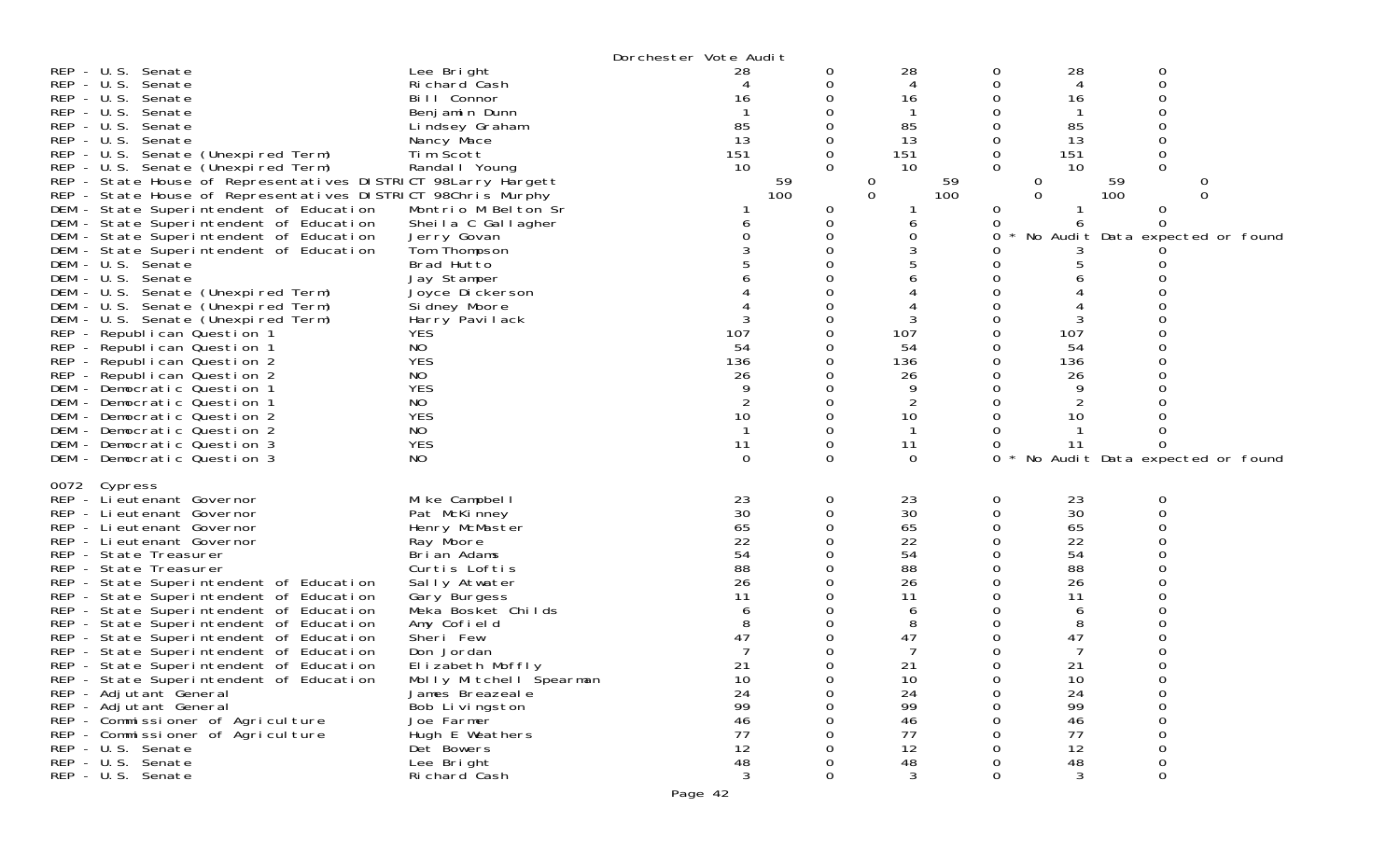| $REP - U.S.$<br>Senate<br>$REP - U.S.$<br>Senate<br>$REP - U.S.$<br>Senate<br>REP - U.S. Senate<br>$REP - U.S.$<br>Senate<br>$REP - U.S.$<br>Senate<br>REP - U.S. Senate (Unexpired Term)<br>REP - U.S. Senate (Unexpired Term)<br>REP - State House of Representatives DISTRICT 98Larry Hargett<br>REP - State House of Representatives DISTRICT 98Chris Murphy<br>DEM - State Superintendent of Education<br>DEM - State Superintendent of Education<br>DEM - State Superintendent of Education<br>DEM - State Superintendent of Education<br>DEM - U.S. Senate<br>DEM - U.S. Senate                                                                                                                                                   | Lee Bright<br>Richard Cash<br>Bill Connor<br>Benjamin Dunn<br>Lindsey Graham<br>Nancy Mace<br>Tim Scott<br>Randal   Young<br>Montrio M Belton Sr<br>Sheila C Gallagher<br>Jerry Govan<br>Tom Thompson<br>Brad Hutto<br>Jay Stamper                                                                                                                              | Dorchester Vote Audit<br>28<br>4<br>16<br>85<br>13<br>151<br>10<br>59<br>100                            | 0<br>0<br>0<br>$\Omega$<br>0<br>0<br>0 | 28<br>4<br>16<br>-1<br>85<br>13<br>151<br>10<br>59<br>0<br>0<br>100<br>6<br>0                                          | 0<br>0<br>$\Omega$<br>0<br>0<br>0<br>$\Omega$<br>0<br>0 | 28<br>0<br>∩<br>4<br>16<br>85<br>13<br>151<br>0<br>0<br>10<br>59<br>100<br>$\Omega$<br>0<br>No Audit Data expected or found                     |
|------------------------------------------------------------------------------------------------------------------------------------------------------------------------------------------------------------------------------------------------------------------------------------------------------------------------------------------------------------------------------------------------------------------------------------------------------------------------------------------------------------------------------------------------------------------------------------------------------------------------------------------------------------------------------------------------------------------------------------------|-----------------------------------------------------------------------------------------------------------------------------------------------------------------------------------------------------------------------------------------------------------------------------------------------------------------------------------------------------------------|---------------------------------------------------------------------------------------------------------|----------------------------------------|------------------------------------------------------------------------------------------------------------------------|---------------------------------------------------------|-------------------------------------------------------------------------------------------------------------------------------------------------|
| DEM - U.S. Senate (Unexpired Term)<br>DEM - U.S. Senate (Unexpired Term)<br>DEM - U.S. Senate (Unexpired Term)<br>REP - Republican Question 1<br>REP - Republican Question 1<br>REP - Republican Question 2<br>REP - Republican Question 2<br>DEM - Democratic Question 1<br>DEM - Democratic Question 1<br>DEM - Democratic Question 2<br>DEM - Democratic Question 2<br>DEM - Democratic Question 3<br>DEM - Democratic Question 3                                                                                                                                                                                                                                                                                                     | Joyce Dickerson<br>Sidney Moore<br>Harry Pavilack<br><b>YES</b><br>NO<br><b>YES</b><br>NO<br><b>YES</b><br>NO<br><b>YES</b><br>NO<br><b>YES</b><br>NO                                                                                                                                                                                                           | 107<br>54<br>136<br>26<br>$\overline{2}$<br>10<br>$\mathbf 1$<br>11<br>0                                | 0<br>0<br>0<br>0                       | 107<br>54<br>136<br>26<br>9<br>$\overline{2}$<br>10<br>-1<br>11<br>$\Omega$                                            | Ω<br>Ω<br>Ω<br>0                                        | 107<br>54<br>136<br>26<br>9<br>10<br>11<br>No Audit Data expected or found                                                                      |
| 0072 Cypress<br>REP - Li eutenant Governor<br>REP - Lieutenant Governor<br>REP - Lieutenant Governor<br>REP - Lieutenant Governor<br>REP - State Treasurer<br>REP - State Treasurer<br>REP - State Superintendent of Education<br>REP - State Superintendent of Education<br>REP - State Superintendent of Education<br>REP - State Superintendent of Education<br>REP - State Superintendent of Education<br>REP - State Superintendent of Education<br>REP - State Superintendent of Education<br>REP - State Superintendent of Education<br>REP - Adjutant General<br>REP - Adjutant General<br>REP - Commissioner of Agriculture<br>REP - Commissioner of Agriculture<br>REP - U.S. Senate<br>REP - U.S. Senate<br>REP - U.S. Senate | Mike Campbell<br>Pat McKinney<br>Henry McMaster<br>Ray Moore<br>Brian Adams<br>Curtis Loftis<br>Sally Atwater<br>Gary Burgess<br>Meka Bosket Childs<br>Amy Cofield<br>Sheri Few<br>Don Jordan<br>Elizabeth Moffly<br>Molly Mitchell Špearman<br>James Breazeal e<br>Bob Livingston<br>Joe Farmer<br>Hugh E Weathers<br>Det Bowers<br>Lee Bright<br>Richard Cash | 23<br>30<br>65<br>22<br>54<br>88<br>26<br>11<br>47<br>21<br>10<br>24<br>99<br>46<br>77<br>12<br>48<br>3 | 0<br>0<br>0<br>0                       | 23<br>30<br>65<br>22<br>54<br>88<br>26<br>11<br>6<br>8<br>47<br>7<br>21<br>10<br>24<br>99<br>46<br>77<br>12<br>48<br>3 | 0<br>0<br>Ω<br>O<br>Ω<br>$\Omega$<br>0<br>Ω<br>0        | 23<br>0<br>30<br>65<br>22<br>54<br>88<br>26<br>11<br>6<br>8<br>47<br>7<br>21<br>$\mathbf 0$<br>10<br>24<br>99<br>46<br>77<br>12<br>48<br>3<br>0 |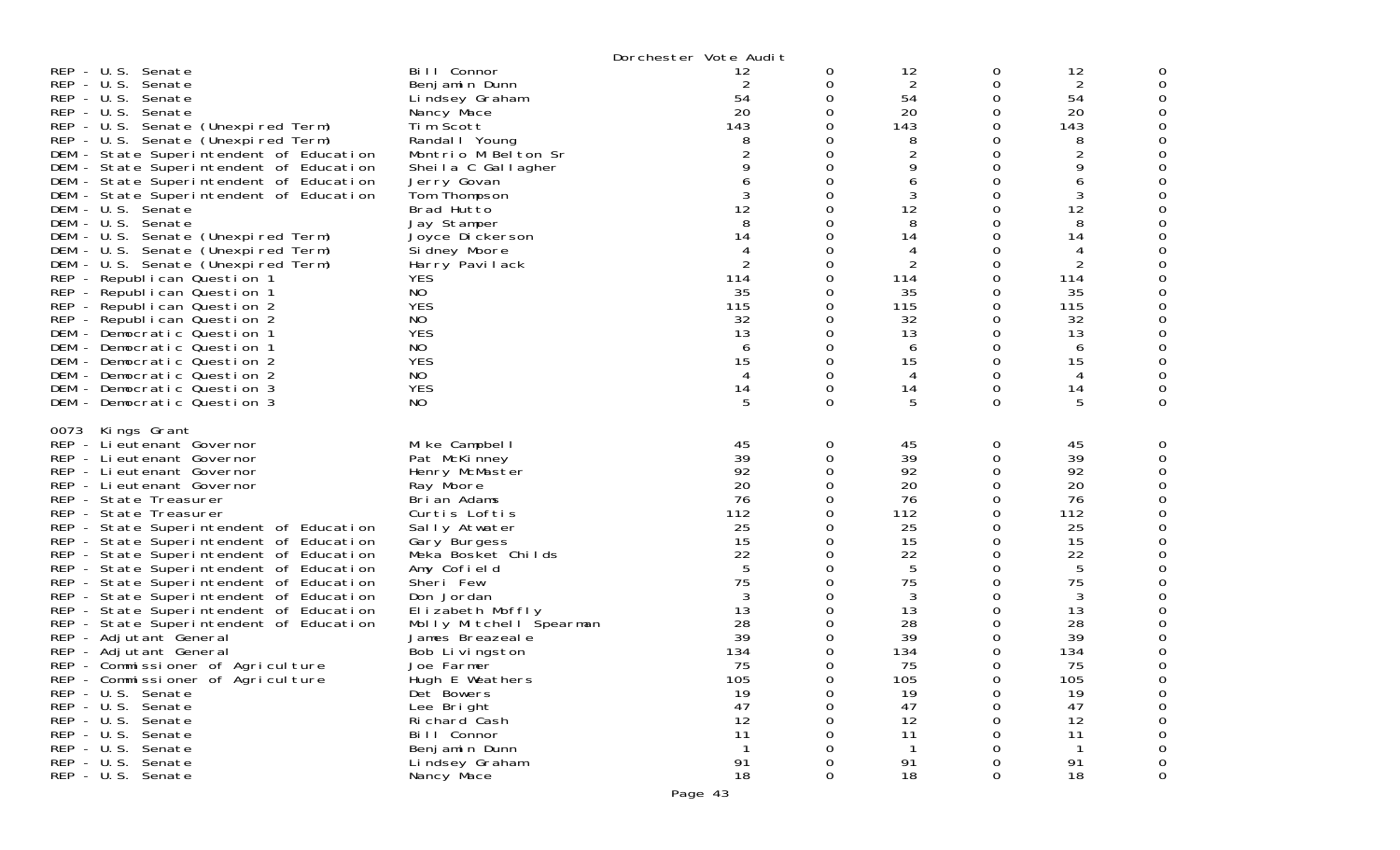|                                                                                                                                                                                                                                                                                                                                                                                                                                                                                                                                                                                                                                                                                                                                                                                                                                      |                                                                                                                                                                                                                                                                                                                                                                                                                                | Dorchester Vote Audit                                                                                                                                          |                                                                                                                                           |                                                                                                                                               |                                                                                                                                      |                                                                                                                                                                     |   |
|--------------------------------------------------------------------------------------------------------------------------------------------------------------------------------------------------------------------------------------------------------------------------------------------------------------------------------------------------------------------------------------------------------------------------------------------------------------------------------------------------------------------------------------------------------------------------------------------------------------------------------------------------------------------------------------------------------------------------------------------------------------------------------------------------------------------------------------|--------------------------------------------------------------------------------------------------------------------------------------------------------------------------------------------------------------------------------------------------------------------------------------------------------------------------------------------------------------------------------------------------------------------------------|----------------------------------------------------------------------------------------------------------------------------------------------------------------|-------------------------------------------------------------------------------------------------------------------------------------------|-----------------------------------------------------------------------------------------------------------------------------------------------|--------------------------------------------------------------------------------------------------------------------------------------|---------------------------------------------------------------------------------------------------------------------------------------------------------------------|---|
| REP - U.S. Senate<br>REP - U.S. Senate<br>REP - U.S. Senate<br>REP - U.S. Senate<br>REP - U.S. Senate (Unexpired Term)<br>REP - U.S. Senate (Unexpired Term)<br>DEM - State Superintendent of Education<br>DEM - State Superintendent of Education<br>DEM - State Superintendent of Education<br>DEM - State Superintendent of Education<br>DEM - U.S. Senate<br>DEM - U.S. Senate<br>DEM - U.S. Senate (Unexpired Term)<br>DEM - U.S. Senate (Unexpired Term)<br>DEM - U.S. Senate (Unexpired Term)<br>REP - Republican Question 1<br>REP - Republican Question 1<br>REP - Republican Question 2<br>REP - Republican Question 2<br>DEM - Democratic Question 1<br>DEM - Democratic Question 1<br>DEM - Democratic Question 2<br>DEM - Democratic Question 2<br>DEM - Democratic Question 3<br>DEM - Democratic Question 3           | Bill Connor<br>Benjamin Dunn<br>Lindsey Graham<br>Nancy Mace<br>Tim Scott<br>Randal I Young<br>Montrio M Belton Sr<br>Sheila C Gallagher<br>Jerry Govan<br>Tom Thompson<br>Brad Hutto<br>Jay Stamper<br>Joyce Dickerson<br>Sidney Moore<br>Harry Pavilack<br><b>YES</b><br>NO<br><b>YES</b><br>NO<br><b>YES</b><br>NO<br><b>YES</b><br>NO<br><b>YES</b><br>NO.                                                                 | 12<br>$\overline{2}$<br>54<br>20<br>143<br>8<br>$\overline{2}$<br>9<br>6<br>3<br>12<br>8<br>14<br>4<br>2<br>114<br>35<br>115<br>32<br>13<br>6<br>15<br>14<br>5 | 0<br>0<br>$\Omega$<br>0<br>0<br>0<br>0<br>0<br>0<br>0<br>0<br>0<br>0<br>0<br>0<br>0<br>0<br>0<br>0<br>0<br>0<br>0<br>0<br>0<br>$\Omega$   | 12<br>2<br>54<br>20<br>143<br>8<br>2<br>9<br>6<br>12<br>8<br>14<br>4<br>2<br>114<br>35<br>115<br>32<br>13<br>6<br>15<br>14                    | 0<br>0<br>0<br>0<br>0<br>0<br>0<br>0<br>0<br>0<br>0<br>0<br>0<br>0<br>0<br>0<br>0<br>0<br>0<br>0<br>0<br>0<br>0<br>0                 | 12<br>$\overline{2}$<br>54<br>20<br>143<br>8<br>$\overline{2}$<br>9<br>6<br>3<br>12<br>8<br>14<br>4<br>2<br>114<br>35<br>115<br>32<br>13<br>6<br>15<br>4<br>14<br>5 |   |
| 0073<br>Kings Grant<br>REP - Li eutenant Governor<br>REP - Lieutenant Governor<br>REP - Lieutenant Governor<br>REP - Li eutenant Governor<br>REP - State Treasurer<br>REP - State Treasurer<br>REP - State Superintendent of Education<br>REP - State Superintendent of Education<br>REP - State Superintendent of Education<br>REP - State Superintendent of Education<br>REP - State Superintendent of Education<br>REP - State Superintendent of Education<br>REP - State Superintendent of Education<br>REP - State Superintendent of Education<br>REP - Adjutant General<br>REP - Adjutant General<br>REP - Commissioner of Agriculture<br>REP - Commissioner of Agriculture<br>REP - U.S. Senate<br>REP - U.S. Senate<br>REP - U.S. Senate<br>REP - U.S. Senate<br>REP - U.S. Senate<br>REP - U.S. Senate<br>REP - U.S. Senate | Mike Campbell<br>Pat McKinney<br>Henry McMaster<br>Ray Moore<br>Brian Adams<br>Curtis Loftis<br>Sally Atwater<br>Gary Burgess<br>Meka Bosket Childs<br>Amy Cofield<br>Sheri Few<br>Don Jordan<br>Elizabeth Moffly<br>Molly Mitchell Spearman<br>James Breazeale<br>Bob Livingston<br>Joe Farmer<br>Hugh E Weathers<br>Det Bowers<br>Lee Bright<br>Richard Cash<br>Bill Connor<br>Benjamin Dunn<br>Lindsey Graham<br>Nancy Mace | 45<br>39<br>92<br>20<br>76<br>112<br>25<br>15<br>22<br>5<br>75<br>3<br>13<br>28<br>39<br>134<br>75<br>105<br>19<br>47<br>12<br>11<br>-1<br>91<br>18            | 0<br>0<br>0<br>0<br>0<br>0<br>0<br>0<br>0<br>0<br>0<br>0<br>0<br>0<br>0<br><sup>n</sup><br>0<br>0<br>0<br>0<br>0<br>0<br>0<br>$\mathbf 0$ | 45<br>39<br>92<br>20<br>76<br>112<br>25<br>15<br>22<br>5<br>75<br>3<br>13<br>28<br>39<br>134<br>75<br>105<br>19<br>47<br>12<br>11<br>91<br>18 | 0<br>0<br>0<br>0<br>0<br>0<br>0<br>0<br>0<br>0<br>0<br>0<br>0<br>0<br>0<br>0<br><sup>n</sup><br>0<br>0<br>0<br>0<br>0<br>0<br>0<br>0 | 45<br>39<br>92<br>20<br>76<br>112<br>25<br>15<br>22<br>5<br>75<br>3<br>13<br>28<br>39<br>134<br>75<br>105<br>19<br>47<br>12<br>11<br>91<br>18                       | 0 |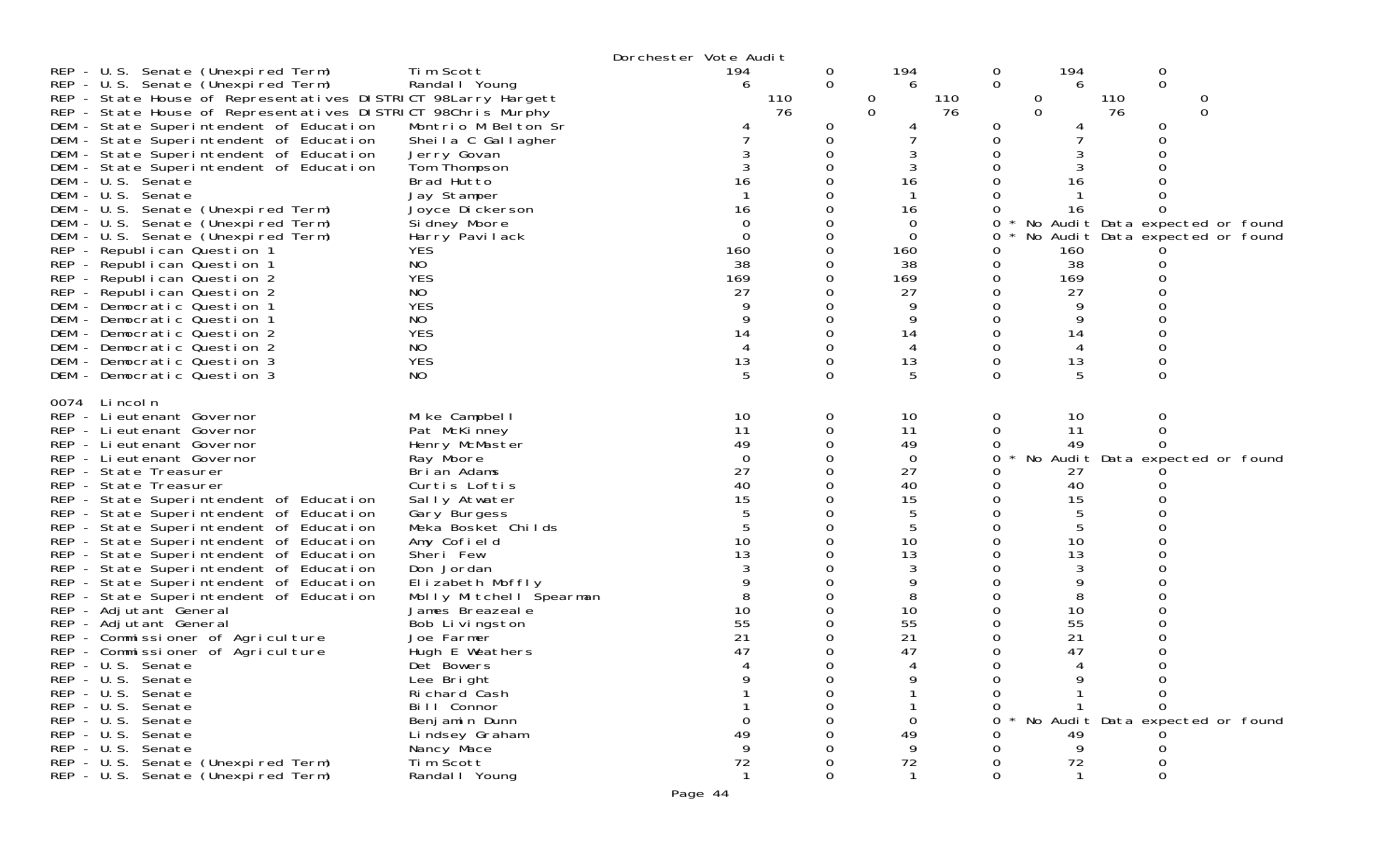|                                                                                    |                                    | Dorchester Vote Audit |          |             |          |          |     |                |                                 |         |             |          |  |
|------------------------------------------------------------------------------------|------------------------------------|-----------------------|----------|-------------|----------|----------|-----|----------------|---------------------------------|---------|-------------|----------|--|
| REP - U.S. Senate (Unexpired Term)                                                 | Tim Scott                          |                       | 194      | 0           |          | 194      |     | $\overline{0}$ | 194                             |         | 0           |          |  |
| REP - U.S. Senate (Unexpired Term)                                                 | Randal I Young                     |                       | 6        | $\mathbf 0$ |          | 6        |     | 0              |                                 | 6       | $\mathbf 0$ |          |  |
| REP - State House of Representatives DISTRICT 98Larry Hargett                      |                                    |                       | 110      |             | 0        |          | 110 |                | 0                               | 110     |             |          |  |
| REP - State House of Representatives DISTRICT 98Chris Murphy                       |                                    |                       | 76       |             | $\Omega$ |          | 76  |                | $\overline{0}$                  | 76      |             | $\Omega$ |  |
| DEM - State Superintendent of Education                                            | Montrio M Belton Sr                |                       |          | 0           |          |          |     | 0              |                                 |         | 0           |          |  |
| DEM - State Superintendent of Education                                            | Sheila C Gallagher                 |                       |          | 0<br>0      |          |          |     |                |                                 |         |             |          |  |
| DEM - State Superintendent of Education<br>DEM - State Superintendent of Education | Jerry Govan<br>Tom Thompson        |                       |          |             |          |          |     |                |                                 |         |             |          |  |
| DEM - U.S. Senate                                                                  | Brad Hutto                         |                       | 16       |             |          | 16       |     |                |                                 | 16      |             |          |  |
| DEM - U.S. Senate                                                                  | Jay Stamper                        |                       |          |             |          |          |     |                |                                 |         |             |          |  |
| DEM - U.S. Senate (Unexpired Term)                                                 | Joyce Dickerson                    |                       | 16       |             |          | 16       |     |                |                                 | 16      |             |          |  |
| DEM - U.S. Senate (Unexpired Term)                                                 | Si dney Moore                      |                       | 0        |             |          | 0        |     |                | No Audit Data expected or found |         |             |          |  |
| DEM - U.S. Senate (Unexpired Term)                                                 | Harry Pavilack                     |                       | $\Omega$ |             |          | $\Omega$ |     | 0              | No Audit Data expected or found |         |             |          |  |
| REP - Republican Question 1                                                        | <b>YES</b>                         |                       | 160      |             |          | 160      |     |                | 160                             |         |             |          |  |
| REP - Republican Question 1                                                        | NO                                 |                       | 38       |             |          | 38       |     |                |                                 | 38      |             |          |  |
| REP - Republican Question 2                                                        | <b>YES</b>                         |                       | 169      |             |          | 169      |     |                | 169                             |         |             |          |  |
| REP - Republican Question 2                                                        | NO                                 |                       | 27       |             |          | 27       |     |                | 27                              |         |             |          |  |
| DEM - Democratic Question 1                                                        | <b>YES</b>                         |                       |          |             |          |          |     |                |                                 |         |             |          |  |
| DEM - Democratic Question 1                                                        | NO.                                |                       | 9        | Ω           |          | 9        |     |                |                                 |         |             |          |  |
| DEM - Democratic Question 2                                                        | <b>YES</b>                         |                       | 14       | Ω           |          | 14       |     |                | 14                              |         |             |          |  |
| DEM - Democratic Question 2                                                        | NO.                                |                       | 4        |             |          |          |     |                |                                 |         |             |          |  |
| DEM - Democratic Question 3                                                        | <b>YES</b>                         |                       | 13<br>5  | 0<br>0      |          | 13       |     | 0              |                                 | 13<br>5 | 0           |          |  |
| DEM - Democratic Question 3                                                        | NO.                                |                       |          |             |          | 5        |     | 0              |                                 |         |             |          |  |
| 0074 Lincoln                                                                       |                                    |                       |          |             |          |          |     |                |                                 |         |             |          |  |
| REP - Lieutenant Governor                                                          | Mike Campbell                      |                       | 10       | 0           |          | 10       |     | 0              |                                 | 10      | 0           |          |  |
| REP - Lieutenant Governor                                                          | Pat McKinney                       |                       | 11       | 0           |          | 11       |     |                |                                 | 11      |             |          |  |
| REP - Lieutenant Governor                                                          | Henry McMaster                     |                       | 49       |             |          | 49       |     |                | 49                              |         |             |          |  |
| REP - Li eutenant Governor                                                         | Ray Moore                          |                       | $\Omega$ |             |          | 0        |     | 0              | No Audit Data expected or found |         |             |          |  |
| REP - State Treasurer                                                              | Brian Adams                        |                       | 27       |             |          | 27       |     |                | 27                              |         |             |          |  |
| REP - State Treasurer                                                              | Curtis Loftis                      |                       | 40       |             |          | 40       |     |                |                                 | 40      |             |          |  |
| REP - State Superintendent of Education                                            | Sally Atwater                      |                       | 15       |             |          | 15       |     |                |                                 | 15      |             |          |  |
| REP - State Superintendent of Education<br>REP - State Superintendent of Education | Gary Burgess<br>Meka Bosket Childs |                       |          |             |          | 5        |     |                |                                 | 5       |             |          |  |
| REP - State Superintendent of Education                                            | Amy Cofield                        |                       | 10       |             |          | 10       |     |                |                                 | 10      |             |          |  |
| REP - State Superintendent of Education                                            | Sheri Few                          |                       | 13       |             |          | 13       |     |                |                                 | 13      |             |          |  |
| REP - State Superintendent of Education                                            | Don Jordan                         |                       |          |             |          | 3        |     |                |                                 | 3       |             |          |  |
| REP - State Superintendent of Education                                            | Elizabeth Moffly                   |                       |          |             |          | 9        |     |                |                                 | 9       |             |          |  |
| REP - State Superintendent of Education                                            | Molly Mitchell Spearman            |                       |          |             |          | 8        |     |                |                                 | 8       |             |          |  |
| REP - Adjutant General                                                             | James Breazeale                    |                       | 10       |             |          | 10       |     |                |                                 | 10      |             |          |  |
| REP - Adjutant General                                                             | Bob Livingston                     |                       | 55       |             |          | 55       |     |                | 55                              |         |             |          |  |
| REP - Commissioner of Agriculture                                                  | Joe Farmer                         |                       | 21       |             |          | 21       |     |                | 21                              |         |             |          |  |
| REP - Commissioner of Agriculture                                                  | Hugh E Weathers                    |                       | 47       |             |          | 47       |     |                | 47                              |         |             |          |  |
| REP - U.S. Senate                                                                  | Det Bowers                         |                       |          |             |          |          |     |                |                                 |         |             |          |  |
| REP - U.S. Senate                                                                  | Lee Bright                         |                       |          |             |          |          |     |                |                                 |         |             |          |  |
| REP - U.S. Senate                                                                  | Richard Cash                       |                       |          |             |          |          |     |                |                                 |         |             |          |  |
| REP - U.S. Senate                                                                  | Bill Connor                        |                       |          |             |          |          |     |                |                                 |         |             |          |  |
| REP - U.S. Senate<br>REP - U.S. Senate                                             | Benjamin Dunn                      |                       |          |             |          |          |     |                | No Audit Data expected or found |         |             |          |  |
| REP - U.S. Senate                                                                  | Lindsey Graham<br>Nancy Mace       |                       |          |             |          | 49       |     |                |                                 | 49<br>9 |             |          |  |
| REP - U.S. Senate (Unexpired Term)                                                 | Tim Scott                          |                       | 72       |             |          | 72       |     |                |                                 | 72      |             |          |  |
| REP - U.S. Senate (Unexpired Term)                                                 | Randal I Young                     |                       |          | ∩           |          |          |     |                |                                 |         |             |          |  |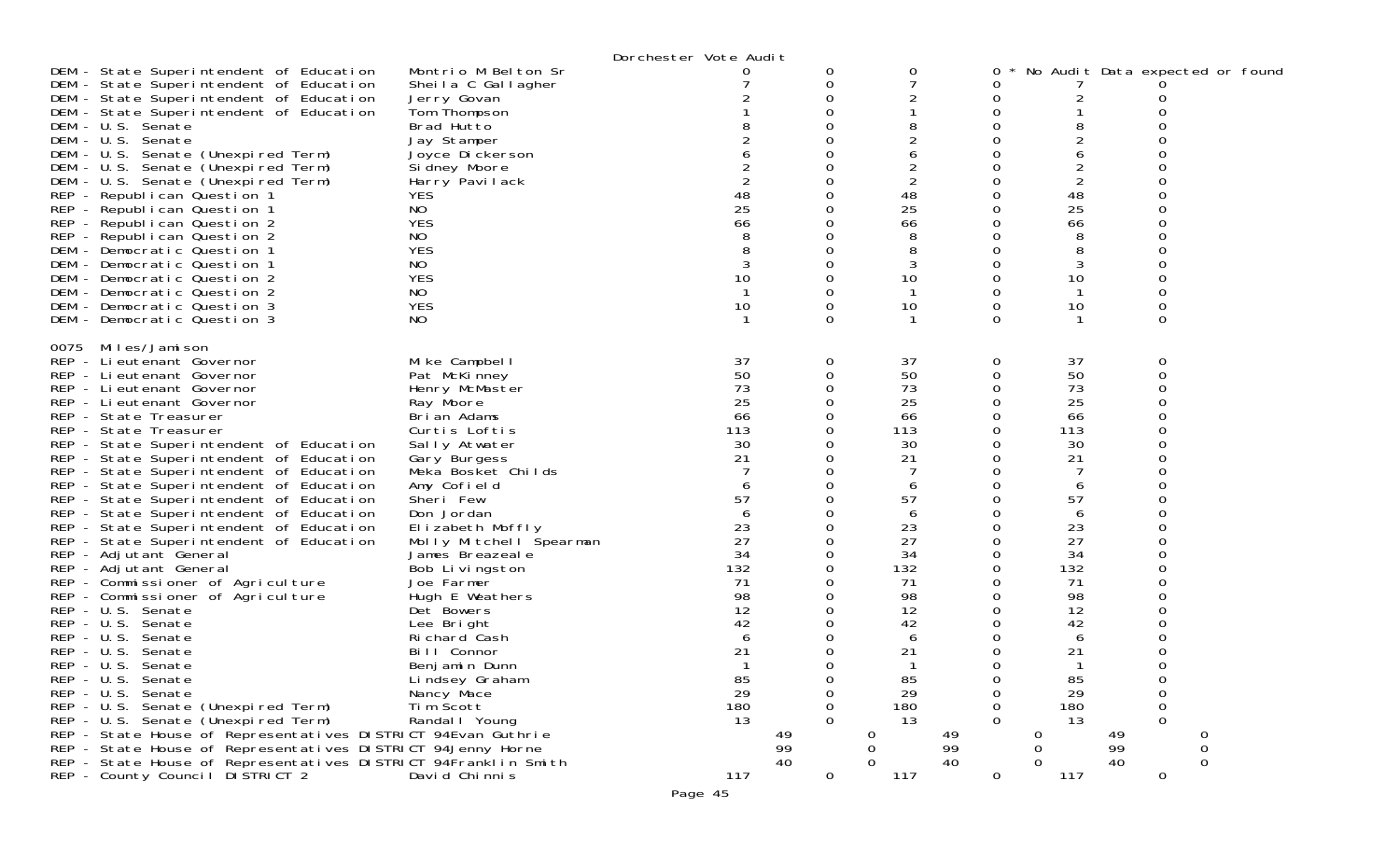|                                                                                                                                                                                                                                                                                                                                                                                                                                                                                                                                                                                                                                                                                                                                                                                                                                                                                                                                                                                                                                                                                                                                                    |                                                                                                                                                                                                                                                                                                                                                                                                                                                                                | Dorchester Vote Audit                                                                                                                                |                                                                         |                                                                                                                                                                                 |                                                                                                                                                                      |                                                                                                                                                                                      |                                                                                                                      |  |
|----------------------------------------------------------------------------------------------------------------------------------------------------------------------------------------------------------------------------------------------------------------------------------------------------------------------------------------------------------------------------------------------------------------------------------------------------------------------------------------------------------------------------------------------------------------------------------------------------------------------------------------------------------------------------------------------------------------------------------------------------------------------------------------------------------------------------------------------------------------------------------------------------------------------------------------------------------------------------------------------------------------------------------------------------------------------------------------------------------------------------------------------------|--------------------------------------------------------------------------------------------------------------------------------------------------------------------------------------------------------------------------------------------------------------------------------------------------------------------------------------------------------------------------------------------------------------------------------------------------------------------------------|------------------------------------------------------------------------------------------------------------------------------------------------------|-------------------------------------------------------------------------|---------------------------------------------------------------------------------------------------------------------------------------------------------------------------------|----------------------------------------------------------------------------------------------------------------------------------------------------------------------|--------------------------------------------------------------------------------------------------------------------------------------------------------------------------------------|----------------------------------------------------------------------------------------------------------------------|--|
| DEM - State Superintendent of Education<br>DEM - State Superintendent of Education<br>DEM - State Superintendent of Education<br>DEM - State Superintendent of Education<br>DEM - U.S. Senate<br>DEM - U.S. Senate<br>DEM - U.S. Senate (Unexpired Term)<br>DEM - U.S. Senate (Unexpired Term)<br>DEM - U.S. Senate (Unexpired Term)<br>REP - Republican Question 1<br>REP - Republican Question 1<br>REP - Republican Question 2<br>REP - Republican Question 2<br>DEM - Democratic Question 1<br>DEM - Democratic Question 1<br>DEM - Democratic Question 2<br>DEM - Democratic Question 2<br>DEM - Democratic Question 3<br>DEM - Democratic Question 3                                                                                                                                                                                                                                                                                                                                                                                                                                                                                         | Montrio M Belton Sr<br>Sheila C Gallagher<br>Jerry Govan<br>Tom Thompson<br>Brad Hutto<br>Jay Stamper<br>Joyce Dickerson<br>Si dney Moore<br>Harry Pavilack<br><b>YES</b><br>NO.<br><b>YES</b><br>NO<br><b>YES</b><br>NO.<br><b>YES</b><br>NO.<br><b>YES</b><br>NO.                                                                                                                                                                                                            | 2<br>48<br>25<br>66<br>3<br>10<br>10                                                                                                                 | 0<br>0<br>0<br>0<br>$\Omega$                                            | 0<br>2<br>8<br>2<br>6<br>2<br>$\overline{2}$<br>48<br>25<br>66<br>8<br>8<br>3<br>10<br>10                                                                                       | 0<br>0<br>0<br>0<br>Ω<br>0<br>0<br>0<br>Ω<br>0<br>0<br>0<br>0<br>0<br>0<br>0<br>0<br>0                                                                               | 2<br>8<br>2<br>6<br>$\overline{2}$<br>48<br>25<br>66<br>8<br>8<br>3<br>10<br>10<br>1                                                                                                 | No Audit Data expected or found<br>O<br>0<br>0                                                                       |  |
| 0075 Miles/Jamison<br>REP - Li eutenant Governor<br>REP - Lieutenant Governor<br>REP - Lieutenant Governor<br>REP - Lieutenant Governor<br>REP - State Treasurer<br>REP - State Treasurer<br>REP - State Superintendent of Education<br>REP - State Superintendent of Education<br>REP - State Superintendent of Education<br>REP - State Superintendent of Education<br>REP - State Superintendent of Education<br>REP - State Superintendent of Education<br>REP - State Superintendent of Education<br>REP - State Superintendent of Education<br>REP - Adjutant General<br>REP - Adjutant General<br>REP - Commissioner of Agriculture<br>REP - Commissioner of Agriculture<br>REP - U.S. Senate<br>REP - U.S. Senate<br>REP - U.S. Senate<br>REP - U.S. Senate<br>REP - U.S. Senate<br>REP - U.S. Senate<br>REP - U.S. Senate<br>REP - U.S. Senate (Unexpired Term)<br>REP - U.S. Senate (Unexpired Term)<br>REP - State House of Representatives DISTRICT 94Evan Guthrie<br>REP - State House of Representatives DISTRICT 94Jenny Horne<br>REP - State House of Representatives DISTRICT 94Franklin Smith<br>REP - County Council DISTRICT 2 | Mike Campbell<br>Pat McKinney<br>Henry McMaster<br>Ray Moore<br>Brian Adams<br>Curtis Loftis<br>Sally Atwater<br>Gary Burgess<br>Meka Bosket Childs<br>Amy Cofield<br>Sheri Few<br>Don Jordan<br>Elizabeth Moffly<br>Molly Mitchell Spearman<br>James Breazeale<br>Bob Livingston<br>Joe Farmer<br>Hugh E Weathers<br>Det Bowers<br>Lee Bright<br>Richard Cash<br>Bill Connor<br>Benjamin Dunn<br>Lindsey Graham<br>Nancy Mace<br>Tim Scott<br>Randal I Young<br>David Chinnis | 37<br>50<br>73<br>25<br>66<br>113<br>30<br>21<br>57<br>6<br>23<br>27<br>34<br>132<br>71<br>98<br>12<br>42<br>6<br>21<br>85<br>29<br>180<br>13<br>117 | 0<br>$\Omega$<br>O<br>$\overline{O}$<br>$\Omega$<br>49<br>99<br>40<br>0 | 37<br>50<br>73<br>25<br>66<br>113<br>30<br>21<br>6<br>57<br>6<br>23<br>27<br>34<br>132<br>71<br>98<br>12<br>42<br>6<br>21<br>85<br>29<br>180<br>13<br>O<br>0<br>$\Omega$<br>117 | 0<br>0<br>0<br>0<br>0<br>0<br>0<br>0<br>Ω<br>0<br>0<br>0<br>0<br>0<br>0<br>0<br>0<br>0<br>0<br>0<br>0<br>0<br>0<br>0<br>0<br>0<br>0<br>49<br>99<br>40<br>$\mathbf 0$ | 37<br>50<br>73<br>25<br>66<br>113<br>30<br>21<br>6<br>57<br>6<br>23<br>27<br>34<br>132<br>71<br>98<br>12<br>42<br>6<br>21<br>1<br>85<br>29<br>180<br>13<br>0<br>0<br>$\Omega$<br>117 | 0<br>0<br>O<br>0<br>$\mathbf 0$<br>$\mathbf 0$<br>$\Omega$<br>49<br>0<br>99<br>$\mathbf 0$<br>40<br>$\mathbf 0$<br>0 |  |

Page 45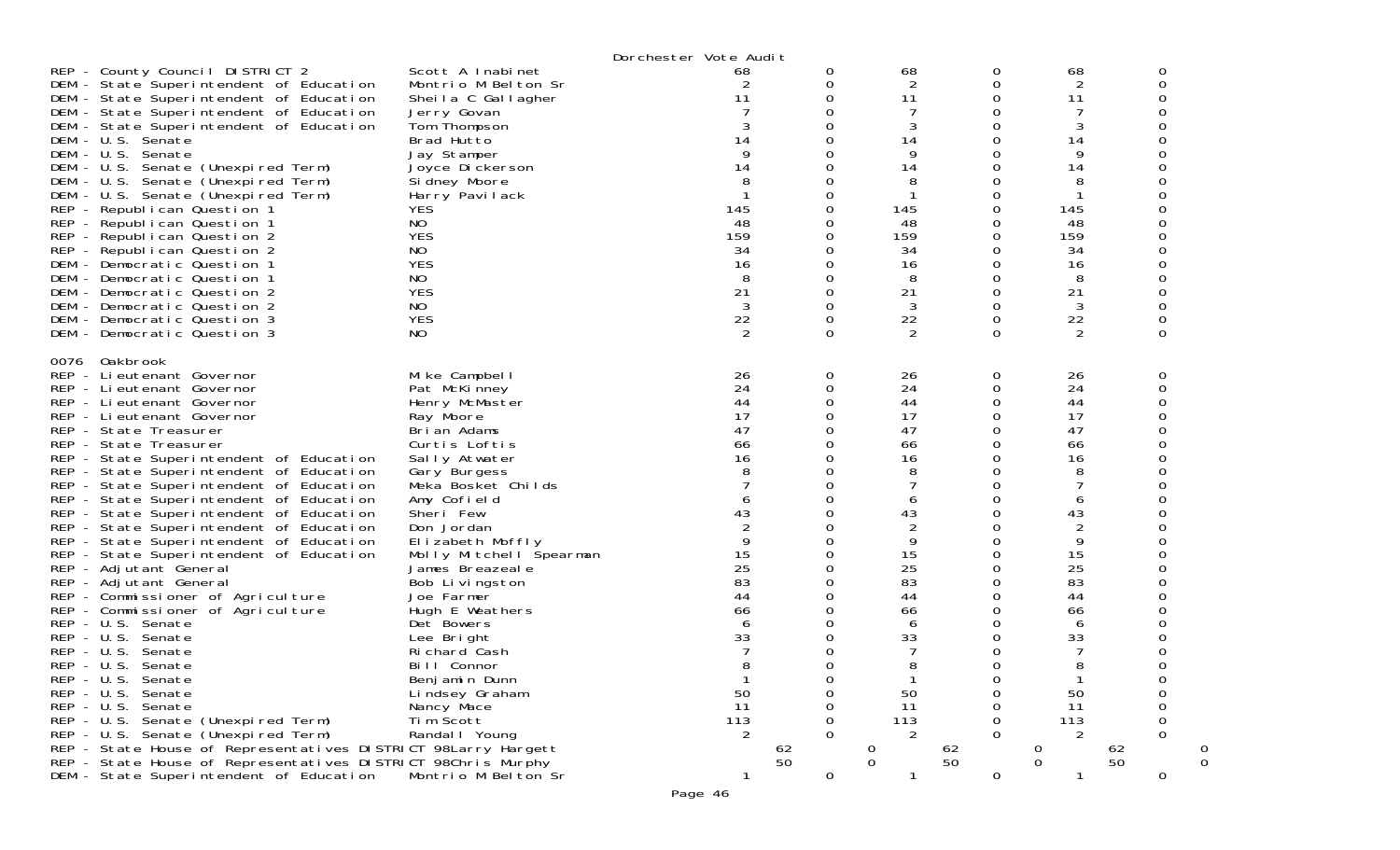|      |                                                                                                                                                                                                                                                                                                                                                                                                                                                                                                                                                                                                                                                                                                                                                                                                                                                                                                                                                                                                                                      |                                                                                                                                                                                                                                                                                                                                                                                                                                                                | Dorchester Vote Audit                                                                                                                                    |                                                                                                                                                               |                                                                                                                                                       |                                                                                                                                                               |                                                                                                                                                                         |                                                         |
|------|--------------------------------------------------------------------------------------------------------------------------------------------------------------------------------------------------------------------------------------------------------------------------------------------------------------------------------------------------------------------------------------------------------------------------------------------------------------------------------------------------------------------------------------------------------------------------------------------------------------------------------------------------------------------------------------------------------------------------------------------------------------------------------------------------------------------------------------------------------------------------------------------------------------------------------------------------------------------------------------------------------------------------------------|----------------------------------------------------------------------------------------------------------------------------------------------------------------------------------------------------------------------------------------------------------------------------------------------------------------------------------------------------------------------------------------------------------------------------------------------------------------|----------------------------------------------------------------------------------------------------------------------------------------------------------|---------------------------------------------------------------------------------------------------------------------------------------------------------------|-------------------------------------------------------------------------------------------------------------------------------------------------------|---------------------------------------------------------------------------------------------------------------------------------------------------------------|-------------------------------------------------------------------------------------------------------------------------------------------------------------------------|---------------------------------------------------------|
|      | REP - County Council DISTRICT 2<br>DEM - State Superintendent of Education<br>DEM - State Superintendent of Education<br>DEM - State Superintendent of Education<br>DEM - State Superintendent of Education<br>DEM - U.S. Senate<br>DEM - U.S. Senate<br>DEM - U.S. Senate (Unexpired Term)<br>DEM - U.S. Senate (Unexpired Term)<br>DEM - U.S. Senate (Unexpired Term)<br>REP - Republican Question 1<br>REP - Republican Question 1<br>REP - Republican Question 2<br>REP - Republican Question 2<br>DEM - Democratic Question 1<br>DEM - Democratic Question 1<br>DEM - Democratic Question 2<br>DEM - Democratic Question 2<br>DEM - Democratic Question 3<br>DEM - Democratic Question 3                                                                                                                                                                                                                                                                                                                                        | Scott A Inabinet<br>Montrio M Belton Sr<br>Sheila C Gallagher<br>Jerry Govan<br>Tom Thompson<br>Brad Hutto<br>Jay Stamper<br>Joyce Dickerson<br>Sidney Moore<br>Harry Pavilack<br>YES<br>NO.<br><b>YES</b><br>NO<br><b>YES</b><br>NO<br><b>YES</b><br>NO<br><b>YES</b><br>NO.                                                                                                                                                                                  | 68<br>2<br>11<br>3<br>14<br>9<br>14<br>8<br>145<br>48<br>159<br>34<br>16<br>8<br>21<br>3<br>22<br>2                                                      | 0<br>0<br>0<br>0<br>0<br>0<br>0<br>0<br>0<br>0<br>0<br>0<br>0<br>0<br>0<br>0<br>0<br>0<br>0<br>$\Omega$                                                       | 68<br>2<br>11<br>3<br>14<br>9<br>14<br>8<br>145<br>48<br>159<br>34<br>16<br>8<br>21<br>3<br>22<br>2                                                   | 0<br>0<br>0<br>0<br>0<br>0<br>0<br>0<br>0<br>0<br>0<br>0<br>0<br>0<br>0<br>0<br>$\Omega$<br>0<br>0<br>$\Omega$                                                | 68<br>2<br>11<br>7<br>3<br>14<br>9<br>14<br>8<br>-1<br>145<br>48<br>159<br>34<br>16<br>8<br>21<br>3<br>22<br>2                                                          | 0<br>0<br>0<br>0<br>0<br>0<br>0<br>0<br>0<br>0          |
| 0076 | Oakbrook<br>REP - Lieutenant Governor<br>REP - Lieutenant Governor<br>REP - Lieutenant Governor<br>REP - Lieutenant Governor<br>REP - State Treasurer<br>REP - State Treasurer<br>REP - State Superintendent of Education<br>REP - State Superintendent of Education<br>REP - State Superintendent of Education<br>REP - State Superintendent of Education<br>REP - State Superintendent of Education<br>REP - State Superintendent of Education<br>REP - State Superintendent of Education<br>REP - State Superintendent of Education<br>REP - Adjutant General<br>REP - Adjutant General<br>REP - Commissioner of Agriculture<br>REP - Commissioner of Agriculture<br>REP - U.S. Senate<br>REP - U.S. Senate<br>REP - U.S. Senate<br>REP - U.S. Senate<br>REP - U.S. Senate<br>REP - U.S. Senate<br>REP - U.S. Senate<br>REP - U.S. Senate (Unexpired Term)<br>REP - U.S. Senate (Unexpired Term)<br>REP - State House of Representatives DISTRICT 98Larry Hargett<br>REP - State House of Representatives DISTRICT 98Chris Murphy | Mike Campbell<br>Pat McKinney<br>Henry McMaster<br>Ray Moore<br>Brian Adams<br>Curtis Loftis<br>Sally Atwater<br>Gary Burgess<br>Meka Bosket Childs<br>Amy Cofield<br>Sheri Few<br>Don Jordan<br>Elizabeth Moffly<br>Molly Mitchell Spearman<br>James Breazeale<br>Bob Livingston<br>Joe Farmer<br>Hugh E Weathers<br>Det Bowers<br>Lee Bright<br>Richard Cash<br>Bill Connor<br>Benj amin Dunn<br>Lindsey Graham<br>Nancy Mace<br>Tim Scott<br>Randal I Young | 26<br>24<br>44<br>17<br>47<br>66<br>16<br>8<br>7<br>6<br>43<br>$\overline{2}$<br>9<br>15<br>25<br>83<br>44<br>66<br>6<br>33<br>8<br>50<br>11<br>113<br>2 | 0<br>0<br>0<br>0<br>0<br>0<br>0<br>0<br>0<br>0<br>0<br>0<br>0<br>0<br>0<br>0<br>0<br>0<br>0<br>0<br>0<br>$\Omega$<br>0<br>0<br>0<br>0<br>$\Omega$<br>62<br>50 | 26<br>24<br>44<br>17<br>47<br>66<br>16<br>8<br>6<br>43<br>2<br>9<br>15<br>25<br>83<br>44<br>66<br>6<br>33<br>50<br>11<br>113<br>2<br>0<br>$\mathbf 0$ | 0<br>0<br>0<br>0<br>0<br>0<br>0<br>0<br>0<br>0<br>0<br>0<br>0<br>0<br>0<br>0<br>0<br>0<br>0<br>0<br>0<br>$\Omega$<br>0<br>Ω<br>$\Omega$<br>0<br>0<br>62<br>50 | 26<br>24<br>44<br>17<br>47<br>66<br>16<br>8<br>7<br>6<br>43<br>$\overline{2}$<br>9<br>15<br>25<br>83<br>44<br>66<br>6<br>33<br>8<br>50<br>11<br>113<br>2<br>$\mathbf 0$ | 0<br>0<br>0<br>0<br>0<br>ი<br>0<br>$\Omega$<br>62<br>50 |
|      | DEM - State Superintendent of Education                                                                                                                                                                                                                                                                                                                                                                                                                                                                                                                                                                                                                                                                                                                                                                                                                                                                                                                                                                                              | Montrio M Belton Sr                                                                                                                                                                                                                                                                                                                                                                                                                                            |                                                                                                                                                          | 0                                                                                                                                                             |                                                                                                                                                       | 0                                                                                                                                                             | 1                                                                                                                                                                       | 0                                                       |

Page 46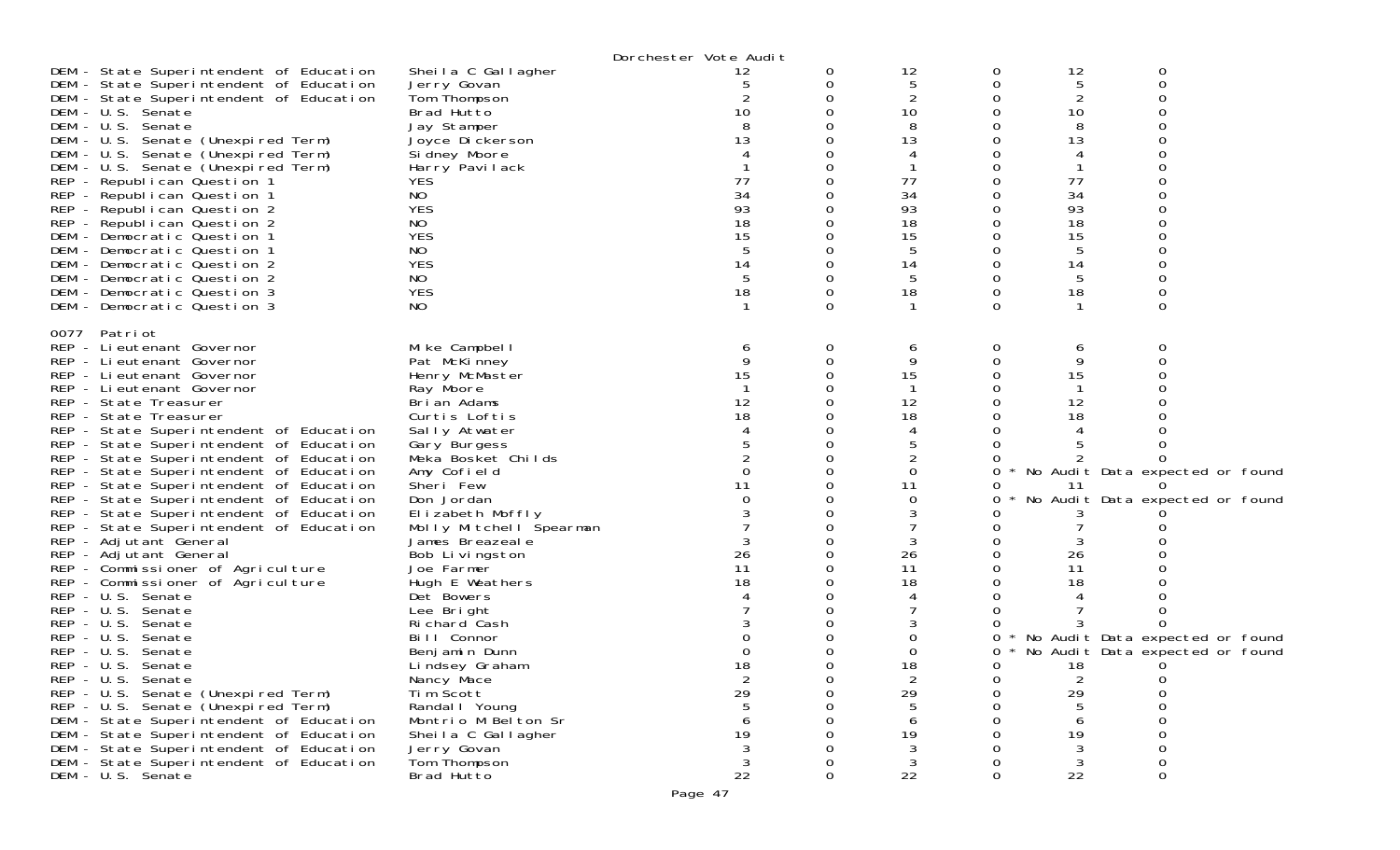|      |                                                                                    |                               | Dorchester Vote Audit |   |          |   |                |                                   |
|------|------------------------------------------------------------------------------------|-------------------------------|-----------------------|---|----------|---|----------------|-----------------------------------|
|      | DEM - State Superintendent of Education                                            | Sheila C Gallagher            | 12                    | O | 12       | 0 | 12             | 0                                 |
|      | DEM - State Superintendent of Education                                            | Jerry Govan                   | 5                     |   | 5        |   | 5              | ∩                                 |
|      | DEM - State Superintendent of Education                                            | Tom Thompson                  |                       |   | 2        |   | 2              |                                   |
|      | DEM - U.S. Senate                                                                  | Brad Hutto                    | 10                    |   | 10       |   | 10             |                                   |
|      | DEM - U.S. Senate                                                                  | Jay Stamper                   |                       |   | 8        |   | 8              |                                   |
|      | DEM - U.S. Senate (Unexpired Term)                                                 | Joyce Dickerson               |                       |   | 13       |   | 13             |                                   |
|      | DEM - U.S. Senate (Unexpired Term)                                                 | Sidney Moore                  |                       |   |          |   |                |                                   |
|      | DEM - U.S. Senate (Unexpired Term)                                                 | Harry Pavilack<br><b>YES</b>  | 77                    |   |          |   | 77             |                                   |
|      | REP - Republican Question 1<br>REP - Republican Question 1                         | NO                            | 34                    |   | 77<br>34 |   | 34             |                                   |
|      | REP - Republican Question 2                                                        | <b>YES</b>                    | 93                    |   | 93       |   | 93             |                                   |
|      | REP - Republican Question 2                                                        | NO                            | 18                    |   | 18       |   | 18             |                                   |
|      | DEM - Democratic Question 1                                                        | <b>YES</b>                    | 15                    |   | 15       |   | 15             |                                   |
|      | DEM - Democratic Question 1                                                        | NO                            |                       |   | 5        |   | 5              |                                   |
|      | DEM - Democratic Question 2                                                        | <b>YES</b>                    | 14                    |   | 14       |   | 14             |                                   |
|      | DEM - Democratic Question 2                                                        | NO.                           | 5                     |   | 5        |   | 5              |                                   |
|      | DEM - Democratic Question 3                                                        | <b>YES</b>                    | 18                    |   | 18       | 0 | 18             |                                   |
|      | DEM - Democratic Question 3                                                        | NO                            |                       |   |          | 0 |                | 0                                 |
| 0077 | Patri ot                                                                           |                               |                       |   |          |   |                |                                   |
|      | REP - Lieutenant Governor                                                          | Mike Campbell                 | 6                     | 0 | 6        | 0 | 6              | ∩                                 |
|      | REP - Lieutenant Governor                                                          | Pat McKinney                  | 9                     |   | 9        |   | 9              |                                   |
|      | REP - Lieutenant Governor                                                          | Henry McMaster                |                       |   | 15       |   | 15             |                                   |
|      | REP - Lieutenant Governor                                                          | Ray Moore                     |                       |   |          |   |                |                                   |
|      | REP - State Treasurer                                                              | Brian Adams                   | 12                    |   | 12       |   | 12             |                                   |
|      | REP - State Treasurer                                                              | Curtis Loftis                 | 18                    |   | 18       |   | 18             |                                   |
|      | REP - State Superintendent of Education<br>REP - State Superintendent of Education | Sally Atwater<br>Gary Burgess |                       |   | 5        |   |                |                                   |
|      | REP - State Superintendent of Education                                            | Meka Bosket Childs            |                       |   |          |   |                |                                   |
|      | REP - State Superintendent of Education                                            | Amy Cofield                   |                       |   | $\Omega$ | 0 |                | No Audit Data expected or found   |
|      | REP - State Superintendent of Education                                            | Sheri Few                     | 11                    |   | 11       |   | 11             |                                   |
|      | REP - State Superintendent of Education                                            | Don Jordan                    |                       |   | 0        | Ω |                | No Audit Data expected or found   |
|      | REP - State Superintendent of Education                                            | Elizabeth Moffly              |                       |   | 3        |   |                |                                   |
|      | REP - State Superintendent of Education                                            | Molly Mitchell Spearman       |                       |   |          |   |                |                                   |
|      | REP - Adjutant General                                                             | James Breazeale               |                       |   |          |   |                |                                   |
|      | REP - Adjutant General                                                             | Bob Livingston                | 26                    |   | 26       |   | 26             |                                   |
|      | REP - Commissioner of Agriculture                                                  | Joe Farmer                    | 11                    |   | 11       |   | 11             |                                   |
|      | REP - Commissioner of Agriculture                                                  | Hugh E Weathers               | 18                    |   | 18       |   | 18             |                                   |
|      | REP - U.S. Senate                                                                  | Det Bowers                    |                       |   |          |   |                |                                   |
|      | REP - U.S. Senate                                                                  | Lee Bright                    |                       |   |          |   |                |                                   |
|      | REP - U.S. Senate<br>REP - U.S. Senate                                             | Richard Cash<br>Bill Connor   |                       |   | 0        | 0 |                | * No Audit Data expected or found |
|      | REP - U.S. Senate                                                                  | Benjamin Dunn                 |                       |   | 0        | 0 |                | * No Audit Data expected or found |
|      | REP - U.S. Senate                                                                  | Lindsey Graham                | 18                    |   | 18       | 0 | 18             | $\Omega$                          |
|      | REP - U.S. Senate                                                                  | Nancy Mace                    | $\overline{2}$        |   | 2        | 0 | $\overline{2}$ | $\Omega$                          |
|      | REP - U.S. Senate (Unexpired Term)                                                 | Tim Scott                     | 29                    |   | 29       |   | 29             |                                   |
|      | REP - U.S. Senate (Unexpired Term)                                                 | Randal I Young                |                       |   |          |   |                |                                   |
|      | DEM - State Superintendent of Education                                            | Montrio M Belton Sr           |                       |   |          |   |                |                                   |
|      | DEM - State Superintendent of Education                                            | Sheila C Gallagher            | 19                    |   | 19       |   | 19             |                                   |
|      | DEM - State Superintendent of Education                                            | Jerry Govan                   |                       |   | 3        |   |                |                                   |
|      | DEM - State Superintendent of Education<br>DEM - U.S. Senate                       | Tom Thompson<br>Brad Hutto    | 22                    |   | 3<br>22  | O | 3<br>22        | 0                                 |
|      |                                                                                    |                               |                       |   |          |   |                |                                   |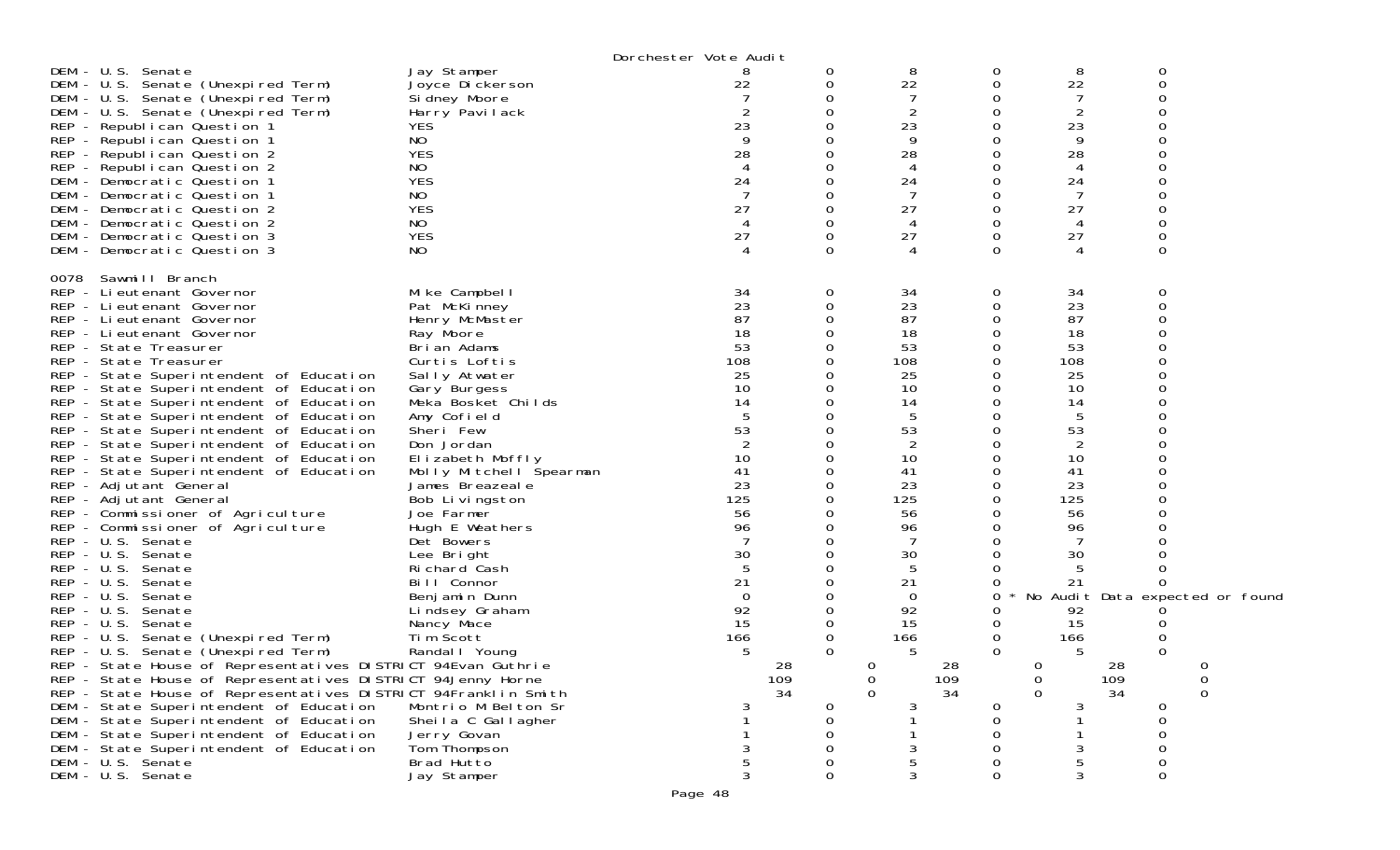|                                                                                                           |                                                 | Dorchester Vote Audit |        |                   |        |              |                |                                 |
|-----------------------------------------------------------------------------------------------------------|-------------------------------------------------|-----------------------|--------|-------------------|--------|--------------|----------------|---------------------------------|
| DEM - U.S. Senate<br>DEM - U.S. Senate (Unexpired Term)<br>DEM - U.S. Senate (Unexpired Term)             | Jay Stamper<br>Joyce Dickerson<br>Si dney Moore | 22                    | 0<br>0 | 8<br>22<br>7<br>2 | 0<br>0 | 8<br>22<br>2 | 0<br>$\Omega$  |                                 |
| DEM - U.S. Senate (Unexpired Term)<br>REP - Republican Question 1                                         | Harry Pavilack<br><b>YES</b>                    | 23                    |        | 23                |        | 23           |                |                                 |
| REP - Republican Question 1<br>REP - Republican Question 2                                                | NO.<br><b>YES</b>                               | 28                    |        | 9<br>28           |        | 9<br>28      |                |                                 |
| REP - Republican Question 2                                                                               | NO                                              |                       |        | 4                 |        | 4            |                |                                 |
| DEM - Democratic Question 1<br>DEM - Democratic Question 1                                                | <b>YES</b><br>NO.                               | 24                    |        | 24<br>7           |        | 24<br>7      |                |                                 |
| DEM - Democratic Question 2                                                                               | <b>YES</b>                                      | 27                    |        | 27                |        | 27           |                |                                 |
| DEM - Democratic Question 2<br>DEM - Democratic Question 3                                                | NO.<br><b>YES</b>                               | 27                    | 0      | 4<br>27           | Ω      | 4<br>27      |                |                                 |
| DEM - Democratic Question 3                                                                               | NO                                              |                       | ∩      |                   | O      |              | $\Omega$       |                                 |
| 0078<br>Sawmill Branch                                                                                    |                                                 |                       |        |                   |        |              |                |                                 |
| REP - Lieutenant Governor<br>REP - Lieutenant Governor                                                    | Mike Campbell<br>Pat McKinney                   | 34<br>23              | 0      | 34<br>23          | 0<br>Ω | 34<br>23     | 0              |                                 |
| REP - Lieutenant Governor                                                                                 | Henry McMaster                                  | 87                    |        | 87                |        | 87           |                |                                 |
| REP - Lieutenant Governor                                                                                 | Ray Moore                                       | 18                    |        | 18                |        | 18           |                |                                 |
| REP - State Treasurer<br>REP - State Treasurer                                                            | Brian Adams<br>Curtis Loftis                    | 53<br>108             |        | 53<br>108         |        | 53<br>108    |                |                                 |
| REP - State Superintendent of Education                                                                   | Sally Atwater                                   | 25                    |        | 25                |        | 25           |                |                                 |
| REP - State Superintendent of Education                                                                   | Gary Burgess                                    | 10                    |        | 10                |        | 10           |                |                                 |
| REP - State Superintendent of Education                                                                   | Meka Bosket Childs                              | 14                    |        | 14                |        | 14           |                |                                 |
| REP - State Superintendent of Education                                                                   | Amy Cofield<br>Sheri Few                        | 53                    |        | 5<br>53           |        | 5<br>53      |                |                                 |
| REP - State Superintendent of Education<br>REP - State Superintendent of Education                        | Don Jordan                                      | 2                     |        | 2                 |        | 2            |                |                                 |
| REP - State Superintendent of Education                                                                   | Elizabeth Moffly                                | 10                    |        | 10                |        | 10           |                |                                 |
| REP - State Superintendent of Education                                                                   | Molly Mitchell Spearman                         | 41                    |        | 41                |        | 41           |                |                                 |
| REP - Adjutant General                                                                                    | James Breazeale                                 | 23                    |        | 23                |        | 23           |                |                                 |
| REP - Adjutant General                                                                                    | Bob Livingston                                  | 125<br>56             |        | 125<br>56         |        | 125          |                |                                 |
| REP - Commissioner of Agriculture<br>REP - Commissioner of Agriculture                                    | Joe Farmer<br>Hugh E Weathers                   | 96                    |        | 96                |        | 56<br>96     |                |                                 |
| REP - U.S. Senate                                                                                         | Det Bowers                                      |                       |        |                   |        |              |                |                                 |
| REP - U.S. Senate                                                                                         | Lee Bright                                      | 30                    |        | 30                |        | 30           |                |                                 |
| REP - U.S. Senate                                                                                         | Richard Cash                                    |                       |        | 5                 |        | 5            |                |                                 |
| REP - U.S. Senate                                                                                         | Bill Connor                                     | 21                    |        | 21                |        | 21           |                |                                 |
| REP - U.S. Senate<br>REP - U.S. Senate                                                                    | Benjamin Dunn<br>Lindsey Graham                 | $\Omega$<br>92        |        | 0<br>92           | 0      | 92           |                | No Audit Data expected or found |
| REP - U.S. Senate                                                                                         | Nancy Mace                                      | 15                    |        | 15                |        | 15           |                |                                 |
| REP - U.S. Senate (Unexpired Term)                                                                        | Tim Scott                                       | 166                   |        | 166               | 0      | 166          |                |                                 |
| REP - U.S. Senate (Unexpired Term)                                                                        | Randal   Young                                  | 5                     | 0      | 5                 | 0      | 5            | 0              |                                 |
| REP - State House of Representatives DISTRICT 94Evan Guthrie                                              |                                                 |                       | 28     | $\Omega$          | 28     | $\Omega$     | 28             | $\Omega$                        |
| REP - State House of Representatives DISTRICT 94Jenny Horne                                               |                                                 |                       | 109    | 0                 | 109    | 0            | 109            |                                 |
| REP - State House of Representatives DISTRICT 94Franklin Smith<br>DEM - State Superintendent of Education | Montrio M Belton Sr                             |                       | 34     | $\Omega$          | 34     | $\Omega$     | 34<br>$\Omega$ | $\Omega$                        |
| DEM - State Superintendent of Education                                                                   | Sheila C Gallagher                              |                       |        |                   |        |              |                |                                 |
| DEM - State Superintendent of Education                                                                   | Jerry Govan                                     |                       |        |                   |        |              |                |                                 |
| DEM - State Superintendent of Education                                                                   | Tom Thompson                                    |                       |        |                   |        |              |                |                                 |
| DEM - U.S. Senate                                                                                         | Brad Hutto                                      |                       |        | 5                 |        |              |                |                                 |
| DEM - U.S. Senate                                                                                         | Jay Stamper                                     |                       |        | 3                 |        | 3            | $\Omega$       |                                 |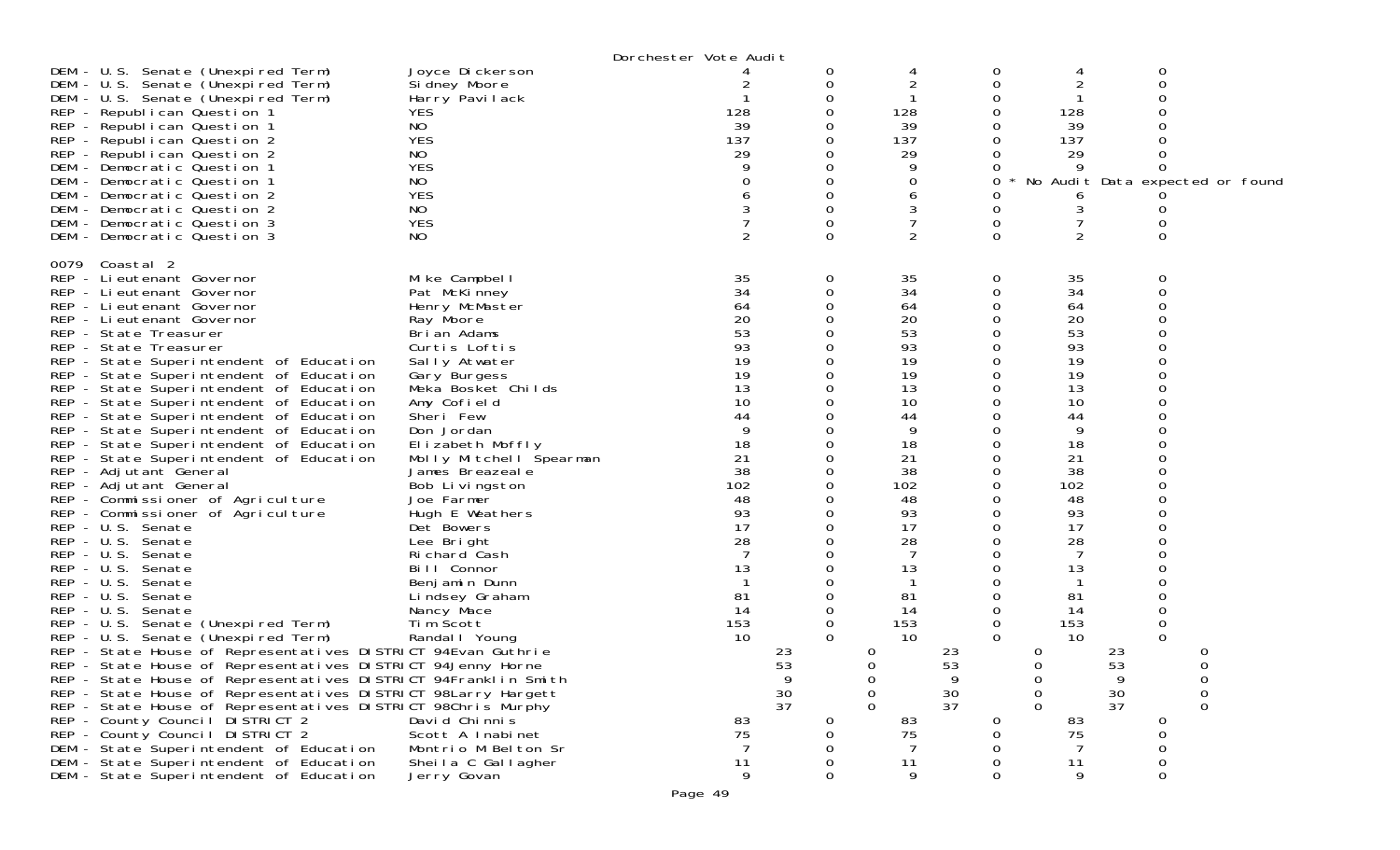|                                                                                                                                                                                                                                                                                                                                                                                                                                                                                                                                                                                                                                                                                                                                                                                                                                                                                                                                                                                                                                                                                                                                                                                                                                                                                                                                                                        |                                                                                                                                                                                                                                                                                                                                                                                                                                                                                                                           | Dorchester Vote Audit                                                                                                                                                 |                                                                                                                                       |                                                                                                                                                                                                      |                                                                                                                              |                                                                                                                                                                                                             |                                                                                                            |
|------------------------------------------------------------------------------------------------------------------------------------------------------------------------------------------------------------------------------------------------------------------------------------------------------------------------------------------------------------------------------------------------------------------------------------------------------------------------------------------------------------------------------------------------------------------------------------------------------------------------------------------------------------------------------------------------------------------------------------------------------------------------------------------------------------------------------------------------------------------------------------------------------------------------------------------------------------------------------------------------------------------------------------------------------------------------------------------------------------------------------------------------------------------------------------------------------------------------------------------------------------------------------------------------------------------------------------------------------------------------|---------------------------------------------------------------------------------------------------------------------------------------------------------------------------------------------------------------------------------------------------------------------------------------------------------------------------------------------------------------------------------------------------------------------------------------------------------------------------------------------------------------------------|-----------------------------------------------------------------------------------------------------------------------------------------------------------------------|---------------------------------------------------------------------------------------------------------------------------------------|------------------------------------------------------------------------------------------------------------------------------------------------------------------------------------------------------|------------------------------------------------------------------------------------------------------------------------------|-------------------------------------------------------------------------------------------------------------------------------------------------------------------------------------------------------------|------------------------------------------------------------------------------------------------------------|
| DEM - U.S. Senate (Unexpired Term)<br>DEM - U.S. Senate (Unexpired Term)<br>DEM - U.S. Senate (Unexpired Term)<br>REP - Republican Question 1<br>REP - Republican Question 1<br>REP - Republican Question 2<br>REP - Republican Question 2<br>DEM - Democratic Question 1<br>DEM - Democratic Question 1<br>DEM - Democratic Question 2<br>DEM - Democratic Question 2<br>DEM - Democratic Question 3<br>DEM - Democratic Question 3                                                                                                                                                                                                                                                                                                                                                                                                                                                                                                                                                                                                                                                                                                                                                                                                                                                                                                                                   | Joyce Dickerson<br>Si dney Moore<br>Harry Pavilack<br><b>YES</b><br>NO<br><b>YES</b><br>NO<br><b>YES</b><br>NO<br><b>YES</b><br>NO<br><b>YES</b><br>NO.                                                                                                                                                                                                                                                                                                                                                                   | 128<br>39<br>137<br>29                                                                                                                                                | 0<br>0<br>0<br>0<br>O<br>0<br>0<br>0                                                                                                  | 128<br>39<br>137<br>29<br>9<br>0<br>6<br>3<br>7<br>2                                                                                                                                                 | 0<br>Ω<br>0<br>0<br>0<br>0<br>0<br>$\Omega$                                                                                  | 128<br>39<br>137<br>29<br>6<br>3<br>7<br>$\overline{2}$                                                                                                                                                     | 0<br>No Audit Data expected or found<br>$\Omega$                                                           |
| 0079 Coastal 2<br>REP - Lieutenant Governor<br>REP - Lieutenant Governor<br>REP - Lieutenant Governor<br>REP - Lieutenant Governor<br>REP - State Treasurer<br>REP - State Treasurer<br>REP - State Superintendent of Education<br>REP - State Superintendent of Education<br>REP - State Superintendent of Education<br>REP - State Superintendent of Education<br>REP - State Superintendent of Education<br>REP - State Superintendent of Education<br>REP - State Superintendent of Education<br>REP - State Superintendent of Education<br>REP - Adjutant General<br>REP - Adjutant General<br>REP - Commissioner of Agriculture<br>REP - Commissioner of Agriculture<br>REP - U.S. Senate<br>REP - U.S. Senate<br>REP - U.S. Senate<br>REP - U.S. Senate<br>$REP - U.S.$<br>Senate<br>$REP - U.S.$<br>Senate<br>REP - U.S. Senate<br>REP - U.S. Senate (Unexpired Term)<br>REP - U.S. Senate (Unexpired Term)<br>REP - State House of Representatives DISTRICT 94Evan Guthrie<br>REP - State House of Representatives DISTRICT 94Jenny Horne<br>REP - State House of Representatives DISTRICT 94Franklin Smith<br>REP - State House of Representatives DISTRICT 98Larry Hargett<br>REP - State House of Representatives DISTRICT 98Chris Murphy<br>REP - County Council DISTRICT 2<br>REP - County Council DISTRICT 2<br>DEM - State Superintendent of Education | Mike Campbell<br>Pat McKinney<br>Henry McMaster<br>Ray Moore<br>Brian Adams<br>Curtis Loftis<br>Sally Atwater<br>Gary Burgess<br>Meka Bosket Childs<br>Amy Cofield<br>Sheri Few<br>Don Jordan<br>Elizabeth Moffly<br>Molly Mitchell Spearman<br>James Breazeale<br>Bob Livingston<br>Joe Farmer<br>Hugh E Weathers<br>Det Bowers<br>Lee Bright<br>Richard Cash<br>Bill Connor<br>Benjamin Dunn<br>Lindsey Graham<br>Nancy Mace<br>Tim Scott<br>Randal   Young<br>David Chinnis<br>Scott A Inabinet<br>Montrio M Belton Sr | 35<br>34<br>64<br>20<br>53<br>93<br>19<br>19<br>13<br>10<br>44<br>9<br>18<br>21<br>38<br>102<br>48<br>93<br>17<br>28<br>7<br>13<br>-81<br>14<br>153<br>10<br>83<br>75 | 0<br>$\Omega$<br>0<br>0<br>0<br>0<br>0<br>0<br>0<br>0<br>0<br>0<br>$\Omega$<br>$\Omega$<br>23<br>53<br>9<br>$\frac{30}{37}$<br>0<br>0 | 35<br>34<br>64<br>20<br>53<br>93<br>19<br>19<br>13<br>10<br>44<br>9<br>18<br>21<br>38<br>102<br>48<br>93<br>17<br>28<br>7<br>13<br>81<br>14<br>153<br>10<br>0<br>0<br>0<br>0<br>$\Omega$<br>83<br>75 | 0<br>0<br>0<br>0<br>0<br>0<br>0<br>Ω<br>0<br>0<br>Ω<br>0<br>0<br>0<br>$\Omega$<br>23<br>53<br>9<br>$\frac{30}{37}$<br>0<br>0 | 35<br>34<br>64<br>20<br>53<br>93<br>19<br>19<br>13<br>10<br>44<br>9<br>18<br>21<br>38<br>102<br>48<br>93<br>17<br>28<br>7<br>13<br>81<br>14<br>153<br>10<br>0<br>$\Omega$<br>0<br>0<br>$\Omega$<br>83<br>75 | 0<br>$\Omega$<br>0<br>0<br>23<br>53<br>9<br>0<br>$\frac{30}{37}$<br>0<br>$\mathbf 0$<br>0<br>0<br>$\Omega$ |
| DEM - State Superintendent of Education<br>DEM - State Superintendent of Education                                                                                                                                                                                                                                                                                                                                                                                                                                                                                                                                                                                                                                                                                                                                                                                                                                                                                                                                                                                                                                                                                                                                                                                                                                                                                     | Sheila C Gallagher<br>Jerry Govan                                                                                                                                                                                                                                                                                                                                                                                                                                                                                         | 11<br>9                                                                                                                                                               | 0<br>0                                                                                                                                | 11<br>9                                                                                                                                                                                              | 0<br>0                                                                                                                       | 11<br>9                                                                                                                                                                                                     | 0<br>0                                                                                                     |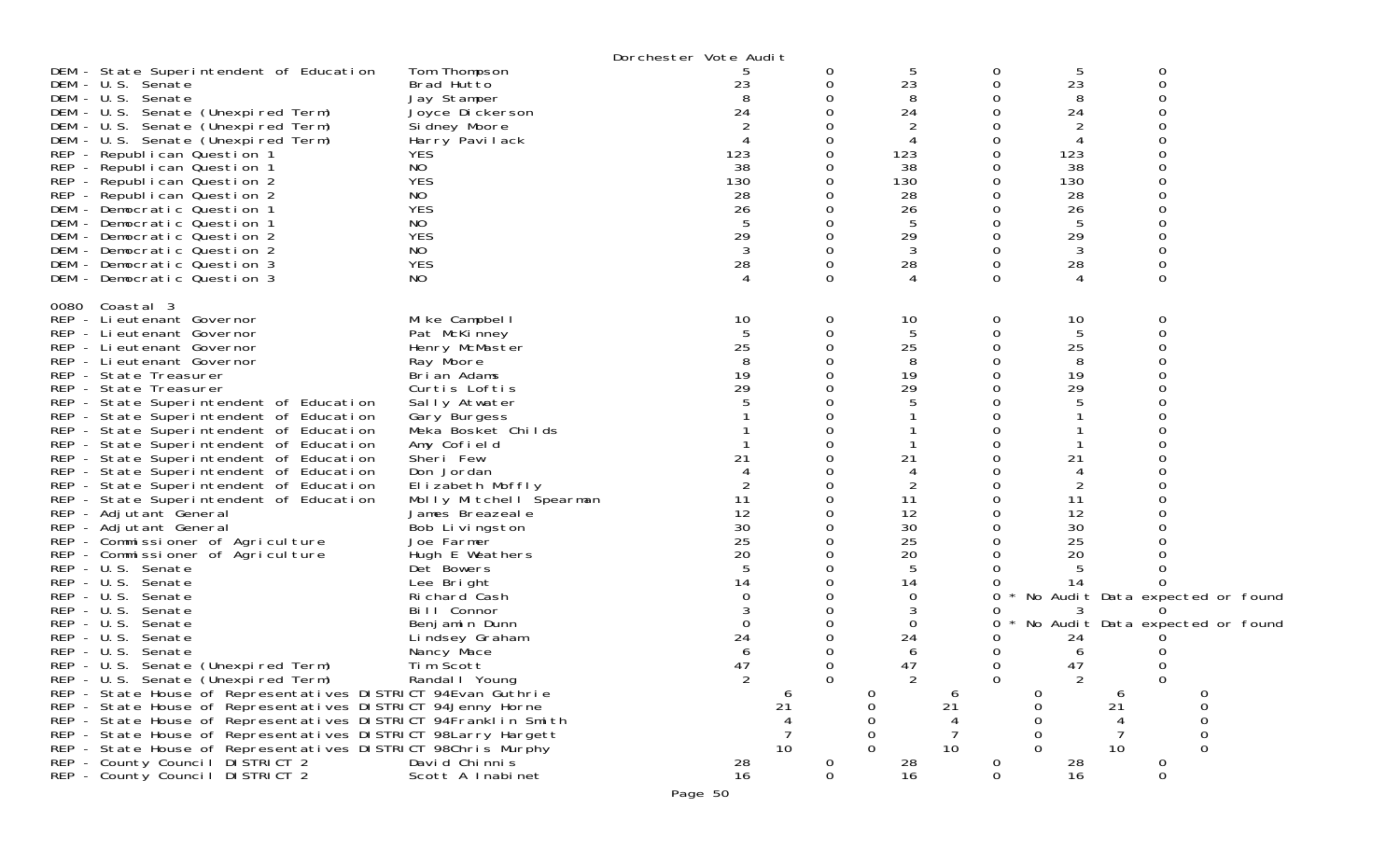|                                                                                                                                                                                                                                                                                                                                                                                                                                                                                                                                                                                                                                                                                                                                                                                                                                                                                                                                                                                                                                                                                                                                                                                                                                                                                                                   |                                                                                                                                                                                                                                                                                                                                                                                                                                                                                                    | Dorchester Vote Audit                                                                                         |                                   |                                                                                                                                                    |                                             |                                                                                                                                          |                                                                                                    |
|-------------------------------------------------------------------------------------------------------------------------------------------------------------------------------------------------------------------------------------------------------------------------------------------------------------------------------------------------------------------------------------------------------------------------------------------------------------------------------------------------------------------------------------------------------------------------------------------------------------------------------------------------------------------------------------------------------------------------------------------------------------------------------------------------------------------------------------------------------------------------------------------------------------------------------------------------------------------------------------------------------------------------------------------------------------------------------------------------------------------------------------------------------------------------------------------------------------------------------------------------------------------------------------------------------------------|----------------------------------------------------------------------------------------------------------------------------------------------------------------------------------------------------------------------------------------------------------------------------------------------------------------------------------------------------------------------------------------------------------------------------------------------------------------------------------------------------|---------------------------------------------------------------------------------------------------------------|-----------------------------------|----------------------------------------------------------------------------------------------------------------------------------------------------|---------------------------------------------|------------------------------------------------------------------------------------------------------------------------------------------|----------------------------------------------------------------------------------------------------|
| DEM - State Superintendent of Education<br>DEM - U.S. Senate<br>DEM - U.S. Senate<br>DEM - U.S. Senate (Unexpired Term)<br>DEM - U.S. Senate (Unexpired Term)<br>DEM - U.S. Senate (Unexpired Term)<br>REP - Republican Question 1<br>REP - Republican Question 1<br>REP - Republican Question 2<br>REP - Republican Question 2<br>DEM - Democratic Question 1<br>DEM - Democratic Question 1<br>DEM - Democratic Question 2<br>DEM - Democratic Question 2<br>DEM - Democratic Question 3<br>DEM - Democratic Question 3                                                                                                                                                                                                                                                                                                                                                                                                                                                                                                                                                                                                                                                                                                                                                                                         | Tom Thompson<br>Brad Hutto<br>Jay Stamper<br>Joyce Dickerson<br>Si dney Moore<br>Harry <sup>S</sup> Pavilack<br><b>YES</b><br>NO<br><b>YES</b><br>NO<br><b>YES</b><br>NO<br><b>YES</b><br>NO<br><b>YES</b><br>NO.                                                                                                                                                                                                                                                                                  | 23<br>24<br>123<br>38<br>130<br>28<br>26<br>29<br>28                                                          | 0<br>0<br>0                       | 5<br>23<br>8<br>24<br>$\overline{2}$<br>4<br>123<br>38<br>130<br>28<br>26<br>5<br>29<br>3<br>28<br>4                                               | 0<br>0<br>0<br>Ω<br>$\Omega$                | 5<br>23<br>8<br>24<br>$\overline{2}$<br>4<br>123<br>38<br>130<br>28<br>26<br>5<br>29<br>3<br>28<br>4                                     | 0<br>$\Omega$<br>0                                                                                 |
| 0080 Coastal 3<br>REP - Lieutenant Governor<br>REP - Lieutenant Governor<br>REP - Lieutenant Governor<br>REP - Lieutenant Governor<br>REP - State Treasurer<br>REP - State Treasurer<br>REP - State Superintendent of Education<br>REP - State Superintendent of Education<br>REP - State Superintendent of Education<br>REP - State Superintendent of Education<br>REP - State Superintendent of Education<br>REP - State Superintendent of Education<br>REP - State Superintendent of Education<br>REP - State Superintendent of Education<br>REP - Adjutant General<br>REP - Adjutant General<br>REP - Commissioner of Agriculture<br>REP - Commissioner of Agriculture<br>REP - U.S. Senate<br>REP - U.S. Senate<br>REP - U.S. Senate<br>REP - U.S. Senate<br>REP - U.S. Senate<br>REP - U.S. Senate<br>REP - U.S. Senate<br>REP - U.S. Senate (Unexpired Term)<br>REP - U.S. Senate (Unexpired Term)<br>REP - State House of Representatives DISTRICT 94Evan Guthrie<br>REP - State House of Representatives DISTRICT 94Jenny Horne<br>REP - State House of Representatives DISTRICT 94Franklin Smith<br>REP - State House of Representatives DISTRICT 98Larry Hargett<br>REP - State House of Representatives DISTRICT 98Chris Murphy<br>REP - County Council DISTRICT 2<br>REP - County Council DISTRICT 2 | Mike Campbell<br>Pat McKinney<br>Henry McMaster<br>Ray Moore<br>Brian Adams<br>Curtis Loftis<br>Sally Atwater<br>Gary Burgess<br>Meka Bosket Childs<br>Amy Cofield<br>Sheri Few<br>Don Jordan<br>Elizabeth Moffly<br>Molly Mitchell Spearman<br>James Breazeale<br>Bob Livingston<br>Joe Farmer<br>Hugh E Weathers<br>Det Bowers<br>Lee Bright<br>Richard Cash<br>Bill Connor<br>Benjamin Dunn<br>Lindsey Graham<br>Nancy Mace<br>Tim Scott<br>Randal I Young<br>David Chinnis<br>Scott A Inabinet | 10<br>25<br>19<br>29<br>21<br>2<br>11<br>12<br>30<br>25<br>20<br>14<br>24<br>47<br>$\overline{2}$<br>28<br>16 | 0<br>0<br>6<br>21<br>10<br>0<br>0 | 10<br>5<br>25<br>8<br>19<br>29<br>5<br>21<br>2<br>11<br>12<br>30<br>25<br>20<br>5<br>14<br>0<br>3<br>0<br>24<br>6<br>47<br>2<br>0<br>0<br>28<br>16 | 0<br>0<br>ັ<br>0<br>6<br>21<br>10<br>0<br>0 | 10<br>5<br>25<br>8<br>19<br>29<br>5<br>21<br>2<br>11<br>12<br>30<br>25<br>20<br>5<br>14<br>3<br>24<br>6<br>47<br>2<br>Ω<br>0<br>28<br>16 | 0<br>∩<br>No Audit Data expected or found<br>No Audit Data expected or found<br>0<br>21<br>10<br>0 |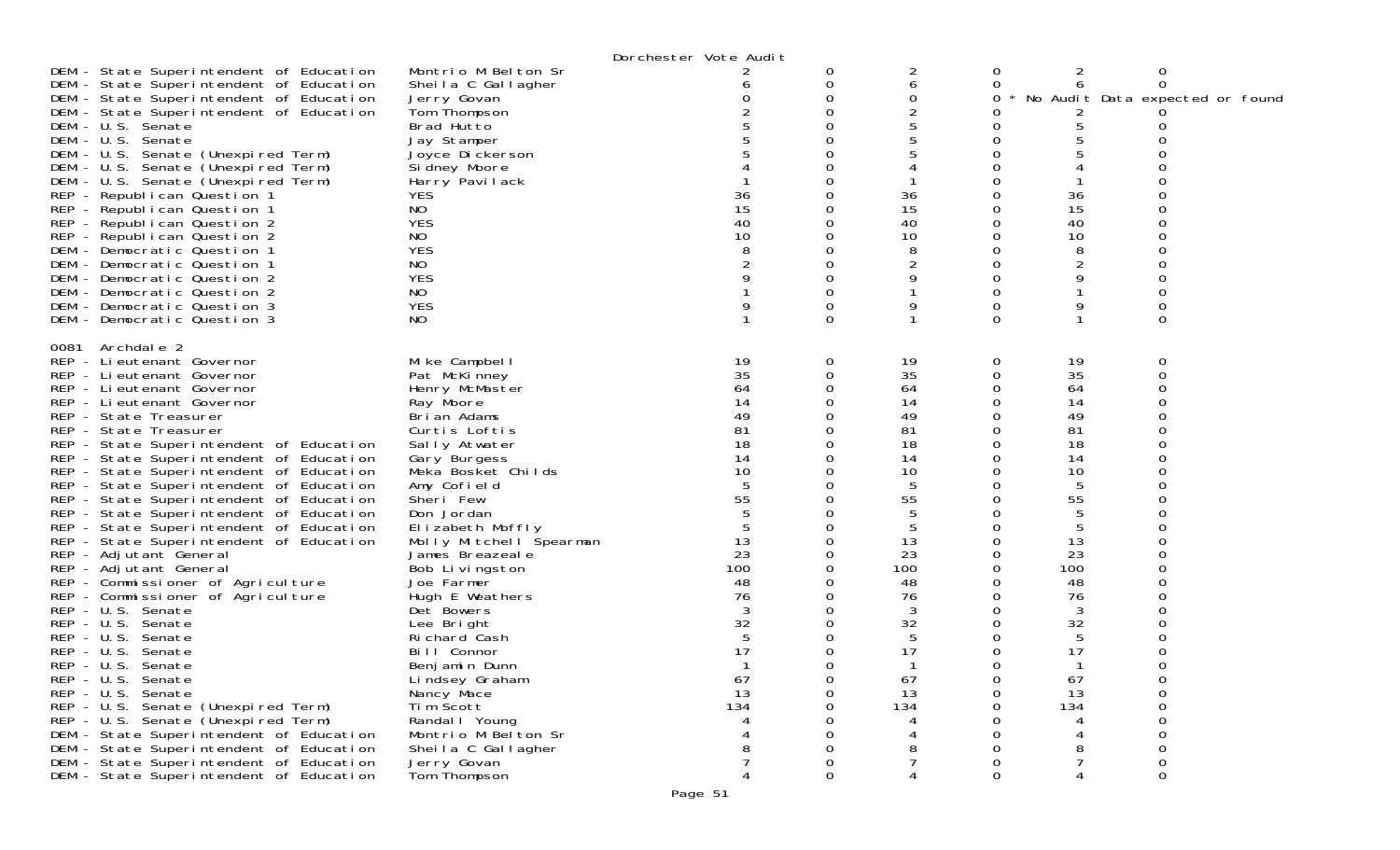|                                                                                                                                                                                                                                                                                                                                                                                                                                                                                                                                                                                                                                                                                                                                            |                                                                                                                                                                                                                                                                                                                                                                | Dorchester Vote Audit                                                                              |        |                                                                                                                        |                                                                                                  |                                                                                                                        |                                                            |
|--------------------------------------------------------------------------------------------------------------------------------------------------------------------------------------------------------------------------------------------------------------------------------------------------------------------------------------------------------------------------------------------------------------------------------------------------------------------------------------------------------------------------------------------------------------------------------------------------------------------------------------------------------------------------------------------------------------------------------------------|----------------------------------------------------------------------------------------------------------------------------------------------------------------------------------------------------------------------------------------------------------------------------------------------------------------------------------------------------------------|----------------------------------------------------------------------------------------------------|--------|------------------------------------------------------------------------------------------------------------------------|--------------------------------------------------------------------------------------------------|------------------------------------------------------------------------------------------------------------------------|------------------------------------------------------------|
| DEM - State Superintendent of Education<br>DEM - State Superintendent of Education<br>DEM - State Superintendent of Education<br>DEM - State Superintendent of Education<br>DEM - U.S. Senate<br>DEM - U.S. Senate<br>DEM - U.S. Senate (Unexpired Term)                                                                                                                                                                                                                                                                                                                                                                                                                                                                                   | Montrio M Belton Sr<br>Sheila C Gallagher<br>Jerry Govan<br>Tom Thompson<br>Brad Hutto<br>Jay Stamper<br>Joyce Dickerson                                                                                                                                                                                                                                       |                                                                                                    | 0<br>0 | 2<br>6<br>0<br>2<br>5<br>5                                                                                             | 0<br>0<br>0                                                                                      | 2<br>6<br>5                                                                                                            | 0<br>0<br>No Audit Data expected or found                  |
| DEM - U.S. Senate (Unexpired Term)<br>DEM - U.S. Senate (Unexpired Term)<br>REP - Republican Question 1<br>REP - Republican Question 1<br>REP - Republican Question 2<br>REP - Republican Question 2<br>DEM - Democratic Question 1<br>DEM - Democratic Question 1<br>DEM - Democratic Question 2<br>DEM - Democratic Question 2                                                                                                                                                                                                                                                                                                                                                                                                           | Si dney Moore<br>Harry Pavilack<br><b>YES</b><br>NO.<br><b>YES</b><br>NO<br><b>YES</b><br>NO.<br><b>YES</b><br>NO.                                                                                                                                                                                                                                             | 36<br>15<br>40<br>10                                                                               |        | 36<br>15<br>40<br>10<br>8<br>2<br>9                                                                                    | 0<br>0<br>0<br>0<br>0<br>0                                                                       | 36<br>15<br>40<br>10<br>8<br>2<br>9                                                                                    | 0<br>Ω                                                     |
| DEM - Democratic Question 3<br>DEM - Democratic Question 3                                                                                                                                                                                                                                                                                                                                                                                                                                                                                                                                                                                                                                                                                 | <b>YES</b><br>NO.                                                                                                                                                                                                                                                                                                                                              |                                                                                                    | ∩      | 9                                                                                                                      | 0<br>0                                                                                           | 9                                                                                                                      | 0<br>O                                                     |
| 0081 Archdale 2<br>REP - Lieutenant Governor<br>REP - Lieutenant Governor<br>REP - Lieutenant Governor<br>REP - Lieutenant Governor<br>REP - State Treasurer<br>REP - State Treasurer<br>REP - State Superintendent of Education<br>REP - State Superintendent of Education<br>REP - State Superintendent of Education<br>REP - State Superintendent of Education<br>REP - State Superintendent of Education<br>REP - State Superintendent of Education<br>REP - State Superintendent of Education<br>REP - State Superintendent of Education<br>REP - Adjutant General<br>REP - Adjutant General<br>REP - Commissioner of Agriculture<br>REP - Commissioner of Agriculture<br>REP - U.S. Senate<br>REP - U.S. Senate<br>REP - U.S. Senate | Mike Campbell<br>Pat McKinney<br>Henry McMaster<br>Ray Moore<br>Brian Adams<br>Curtis Loftis<br>Sally Atwater<br>Gary Burgess<br>Meka Bosket Childs<br>Amy Cofield<br>Sheri Few<br>Don Jordan<br>Elizabeth Moffly<br>Molly Mitchell Spearman<br>James Breazeale<br>Bob Livingston<br>Joe Farmer<br>Hugh E Weathers<br>Det Bowers<br>Lee Bright<br>Richard Cash | 19<br>35<br>64<br>14<br>49<br>81<br>18<br>14<br>10<br>55<br>13<br>23<br>100<br>48<br>76<br>32<br>5 | 0      | 19<br>35<br>64<br>14<br>49<br>81<br>18<br>14<br>10<br>5<br>55<br>5<br>5<br>13<br>23<br>100<br>48<br>76<br>3<br>32<br>5 | 0<br>0<br>0<br>0<br>0<br>0<br>0<br>0<br>0<br>0<br>0<br>0<br>0<br>0<br>0<br>0<br>0<br>0<br>0<br>0 | 19<br>35<br>64<br>14<br>49<br>81<br>18<br>14<br>10<br>5<br>55<br>5<br>5<br>13<br>23<br>100<br>48<br>76<br>3<br>32<br>5 | 0<br>0<br>Ω<br>Ω                                           |
| REP - U.S. Senate<br>REP - U.S. Senate<br>REP - U.S. Senate<br>REP - U.S. Senate<br>REP - U.S. Senate (Unexpired Term)<br>REP - U.S. Senate (Unexpired Term)<br>DEM - State Superintendent of Education<br>DEM - State Superintendent of Education<br>DEM - State Superintendent of Education<br>DEM - State Superintendent of Education                                                                                                                                                                                                                                                                                                                                                                                                   | Bill Connor<br>Benjamin Dunn<br>Lindsey Graham<br>Nancy Mace<br>Tim Šcott<br>Randal I Young<br>Montrio M Belton Sr<br>Sheila C Gallagher<br>Jerry Govan<br>Tom Thompson                                                                                                                                                                                        | 17<br>67<br>13<br>134                                                                              | 0<br>0 | 17<br>67<br>13<br>134<br>8                                                                                             | 0<br>0<br>0<br>0<br>0<br>0                                                                       | 17<br>67<br>13<br>134<br>4<br>4<br>8<br>$\overline{7}$<br>4                                                            | ∩<br>0<br>$\mathbf 0$<br>$\Omega$<br>0<br>0<br>O<br>0<br>0 |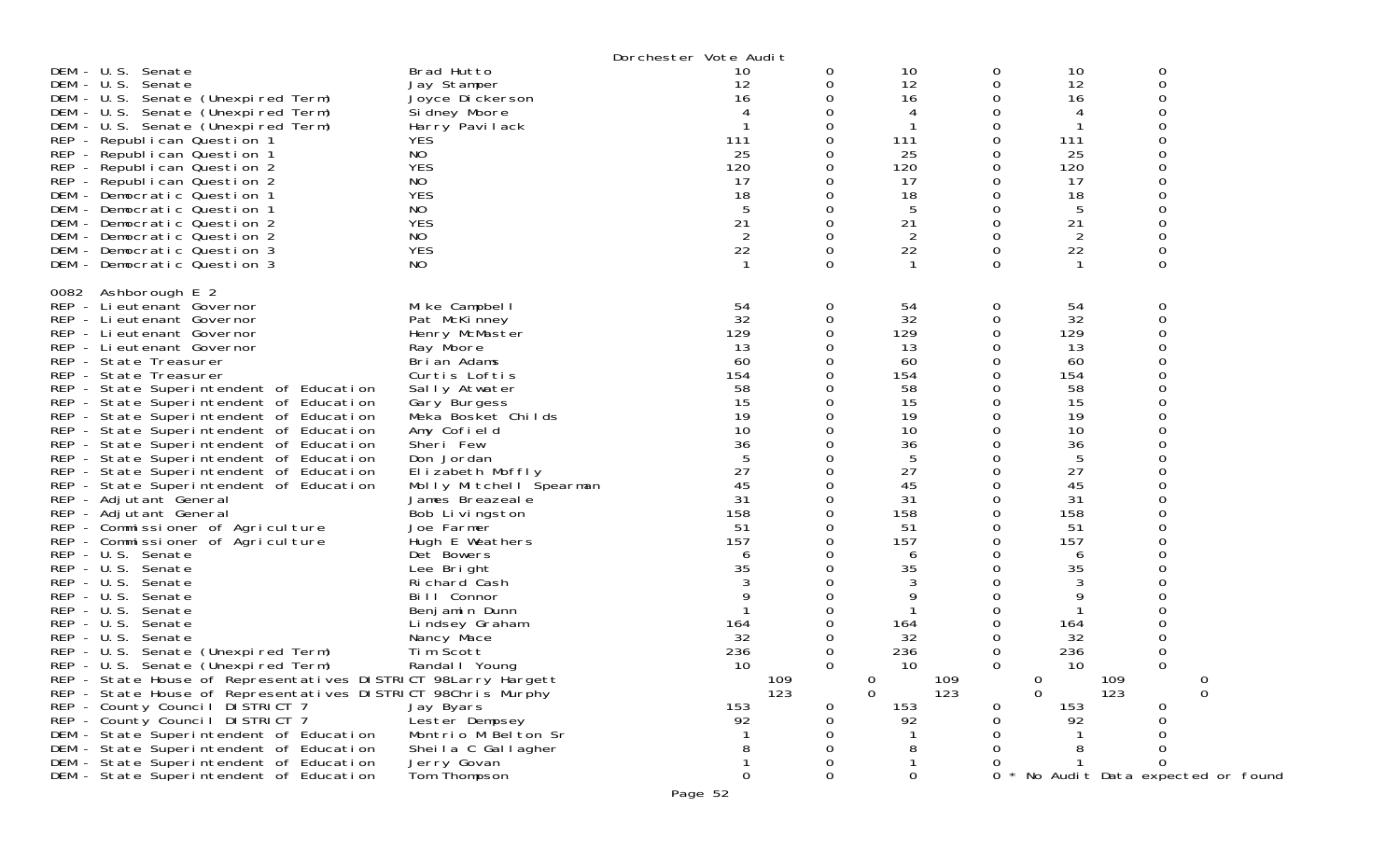|                                                                                                                                                                                                                                                                                                                                                                                                                                                                                                                                                                                                                                                                                                                                                                                                                                                                                                                                                                                                                                                                                                                                                                                                                                                                                                   |                                                                                                                                                                                                                                                                                                                                                                                                                                                                                                                                                                          | Dorchester Vote Audit                                                                                                                                                              |             |                                                                                                                                                                                                                  |                                                |                                                                                                                                                                                                        |                                                                                                   |
|---------------------------------------------------------------------------------------------------------------------------------------------------------------------------------------------------------------------------------------------------------------------------------------------------------------------------------------------------------------------------------------------------------------------------------------------------------------------------------------------------------------------------------------------------------------------------------------------------------------------------------------------------------------------------------------------------------------------------------------------------------------------------------------------------------------------------------------------------------------------------------------------------------------------------------------------------------------------------------------------------------------------------------------------------------------------------------------------------------------------------------------------------------------------------------------------------------------------------------------------------------------------------------------------------|--------------------------------------------------------------------------------------------------------------------------------------------------------------------------------------------------------------------------------------------------------------------------------------------------------------------------------------------------------------------------------------------------------------------------------------------------------------------------------------------------------------------------------------------------------------------------|------------------------------------------------------------------------------------------------------------------------------------------------------------------------------------|-------------|------------------------------------------------------------------------------------------------------------------------------------------------------------------------------------------------------------------|------------------------------------------------|--------------------------------------------------------------------------------------------------------------------------------------------------------------------------------------------------------|---------------------------------------------------------------------------------------------------|
| DEM - U.S. Senate<br>DEM - U.S. Senate<br>DEM - U.S. Senate (Unexpired Term)<br>DEM - U.S. Senate (Unexpired Term)<br>DEM - U.S. Senate (Unexpired Term)<br>REP - Republican Question 1<br>REP - Republican Question 1<br>REP - Republican Question 2<br>REP - Republican Question 2<br>DEM - Democratic Question 1<br>DEM - Democratic Question 1<br>DEM - Democratic Question 2<br>DEM - Democratic Question 2<br>DEM - Democratic Question 3<br>DEM - Democratic Question 3                                                                                                                                                                                                                                                                                                                                                                                                                                                                                                                                                                                                                                                                                                                                                                                                                    | Brad Hutto<br>Jay Stamper<br>Joyce Dickerson<br>Si dney Moore<br>Harry Pavilack<br><b>YES</b><br>NO<br><b>YES</b><br>NO<br><b>YES</b><br>NO<br><b>YES</b><br>NO<br><b>YES</b><br>NO                                                                                                                                                                                                                                                                                                                                                                                      | 10<br>12<br>16<br>111<br>25<br>120<br>17<br>18<br>5<br>21<br>$\overline{2}$<br>22                                                                                                  | 0<br>0<br>0 | 10<br>12<br>16<br>4<br>111<br>25<br>120<br>17<br>18<br>5<br>21<br>2<br>22<br>-1                                                                                                                                  | 0<br>0<br>O<br>Ω<br>Ω<br>Ω<br>0<br>0           | 10<br>12<br>16<br>4<br>111<br>25<br>120<br>17<br>18<br>5<br>21<br>$\overline{2}$<br>22<br>$\mathbf{1}$                                                                                                 | 0<br>0<br>∩<br>0                                                                                  |
| 0082 Ashborough E 2<br>REP - Lieutenant Governor<br>REP - Lieutenant Governor<br>REP - Lieutenant Governor<br>REP - Lieutenant Governor<br>REP - State Treasurer<br>REP - State Treasurer<br>REP - State Superintendent of Education<br>REP - State Superintendent of Education<br>REP - State Superintendent of Education<br>REP - State Superintendent of Education<br>REP - State Superintendent of Education<br>REP - State Superintendent of Education<br>REP - State Superintendent of Education<br>REP - State Superintendent of Education<br>REP - Adjutant General<br>REP - Adjutant General<br>REP - Commissioner of Agriculture<br>REP - Commissioner of Agriculture<br>REP - U.S. Senate<br>REP - U.S. Senate<br>REP - U.S. Senate<br>REP - U.S. Senate<br>REP - U.S. Senate<br>REP - U.S. Senate<br>REP - U.S. Senate<br>REP - U.S. Senate (Unexpired Term)<br>REP - U.S. Senate (Unexpired Term)<br>REP - State House of Representatives DISTRICT 98Larry Hargett<br>REP - State House of Representatives DISTRICT 98Chris Murphy<br>REP - County Council DISTRICT 7<br>REP - County Council DISTRICT 7<br>DEM - State Superintendent of Education<br>DEM - State Superintendent of Education<br>DEM - State Superintendent of Education<br>DEM - State Superintendent of Education | Mike Campbell<br>Pat McKinney<br>Henry McMaster<br>Ray Moore<br>Brian Adams<br>Curtis Loftis<br>Sally Atwater<br>Gary Burgess<br>Meka Bosket Childs<br>Amy Cofield<br>Sheri Few<br>Don Jordan<br>Elizabeth Moffly<br>Molly Mitchell Spearman<br>James Breazeale<br>Bob Livingston<br>Joe Farmer<br>Hugh E Weathers<br>Det Bowers<br>Lee Bright<br>Richard Cash<br>Bill Connor<br>Benjamin Dunn<br>Lindsey Graham<br>Nancy Mace<br>Tim Scott<br>Randal   Young<br>Jay Byars<br>Lester Dempsey<br>Montrio M Belton Sr<br>Sheila C Gallagher<br>Jerry Govan<br>Tom Thompson | 54<br>32<br>129<br>13<br>60<br>154<br>58<br>15<br>19<br>10<br>36<br>27<br>45<br>31<br>158<br>51<br>157<br>6<br>35<br>164<br>32<br>236<br>10<br>109<br>123<br>153<br>92<br>$\Omega$ | 0<br>0      | 54<br>32<br>129<br>13<br>60<br>154<br>58<br>15<br>19<br>10<br>36<br>5<br>27<br>45<br>31<br>158<br>51<br>157<br>6<br>35<br>3<br>9<br>164<br>32<br>236<br>10<br>0<br>109<br>123<br>$\Omega$<br>153<br>92<br>8<br>0 | 0<br>0<br>Ω<br>O<br>Ω<br>0<br>Ω<br>∩<br>0<br>0 | 54<br>32<br>129<br>13<br>60<br>154<br>58<br>15<br>19<br>10<br>36<br>5<br>27<br>45<br>31<br>158<br>51<br>157<br>6<br>35<br>3<br>9<br>164<br>32<br>236<br>10<br>0<br>109<br>$\Omega$<br>123<br>153<br>92 | 0<br>$\Omega$<br>$\Omega$<br>0<br>$\Omega$<br>0<br>0<br>∩<br>∩<br>No Audit Data expected or found |
|                                                                                                                                                                                                                                                                                                                                                                                                                                                                                                                                                                                                                                                                                                                                                                                                                                                                                                                                                                                                                                                                                                                                                                                                                                                                                                   |                                                                                                                                                                                                                                                                                                                                                                                                                                                                                                                                                                          | Page 52                                                                                                                                                                            |             |                                                                                                                                                                                                                  |                                                |                                                                                                                                                                                                        |                                                                                                   |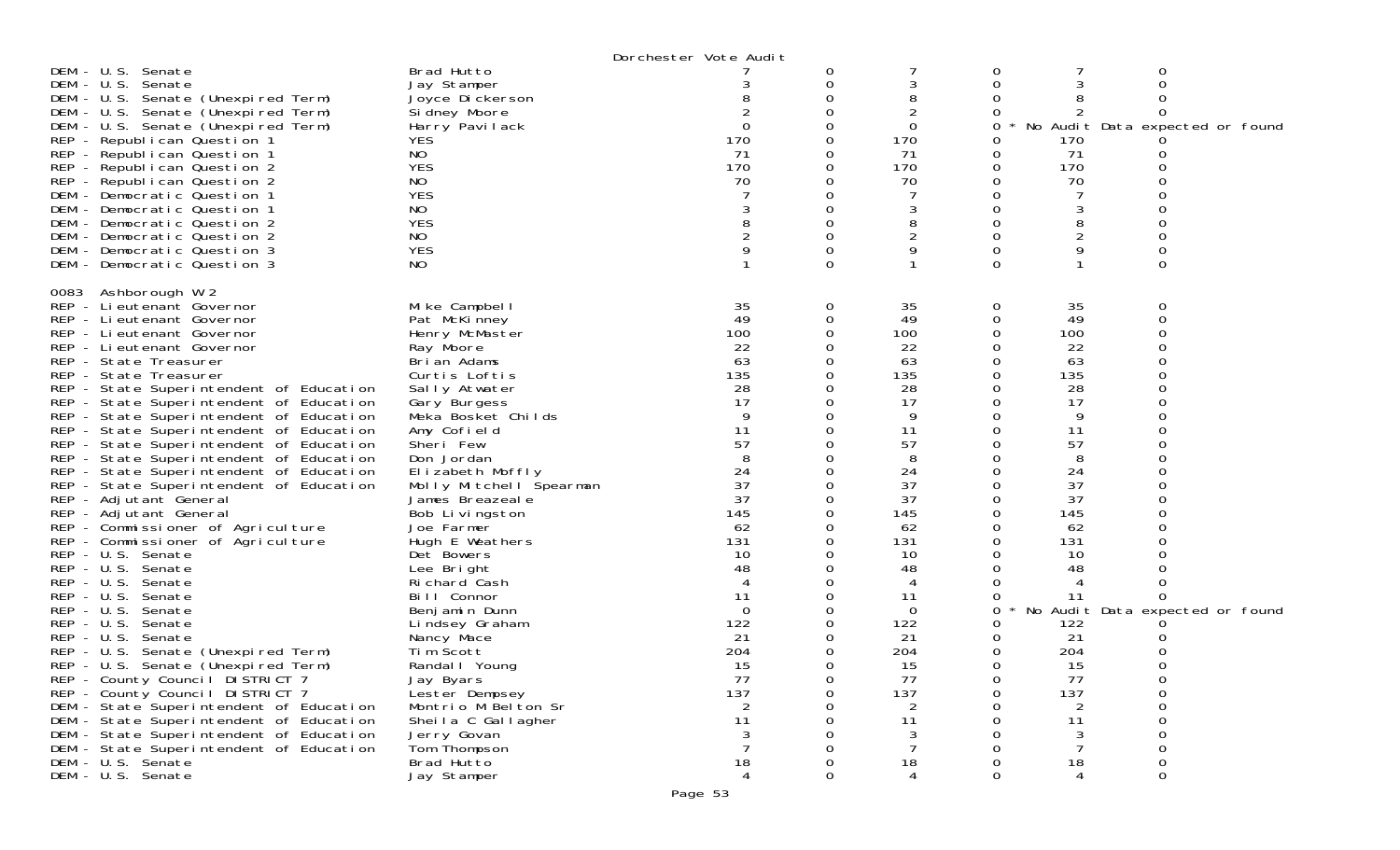|                                                                                                                                                                                                                                                                                                                                                                                                                                                                                                                                                                                                                                                                                                                                                                                                                                                                                                                                                                                                                                                                                                                                                                                                                                           |                                                                                                                                                                                                                                                                                                                                                                                                                                                                                                                                                                                                        | Dorchester Vote Audit                                                                                                                                                                                                                                           |                                                                                   |                                                                                                                                                                                                          |                       |                                                                                                                                                                                           |                                      |
|-------------------------------------------------------------------------------------------------------------------------------------------------------------------------------------------------------------------------------------------------------------------------------------------------------------------------------------------------------------------------------------------------------------------------------------------------------------------------------------------------------------------------------------------------------------------------------------------------------------------------------------------------------------------------------------------------------------------------------------------------------------------------------------------------------------------------------------------------------------------------------------------------------------------------------------------------------------------------------------------------------------------------------------------------------------------------------------------------------------------------------------------------------------------------------------------------------------------------------------------|--------------------------------------------------------------------------------------------------------------------------------------------------------------------------------------------------------------------------------------------------------------------------------------------------------------------------------------------------------------------------------------------------------------------------------------------------------------------------------------------------------------------------------------------------------------------------------------------------------|-----------------------------------------------------------------------------------------------------------------------------------------------------------------------------------------------------------------------------------------------------------------|-----------------------------------------------------------------------------------|----------------------------------------------------------------------------------------------------------------------------------------------------------------------------------------------------------|-----------------------|-------------------------------------------------------------------------------------------------------------------------------------------------------------------------------------------|--------------------------------------|
| $DEM - U.S.$<br>Senate<br>DEM - U.S. Senate<br>DEM - U.S. Senate (Unexpired Term)<br>DEM - U.S. Senate (Unexpired Term)<br>DEM - U.S. Senate (Unexpired Term)<br>REP - Republican Question 1<br>REP - Republican Question 1<br>REP - Republican Question 2<br>REP - Republican Question 2<br>DEM - Democratic Question 1<br>DEM - Democratic Question 1<br>DEM - Democratic Question 2<br>DEM - Democratic Question 2<br>DEM - Democratic Question 3<br>DEM - Democratic Question 3                                                                                                                                                                                                                                                                                                                                                                                                                                                                                                                                                                                                                                                                                                                                                       | Brad Hutto<br>Jay Stamper<br>Joyce Dickerson<br>Si dney Moore<br>Harry Pavilack<br><b>YES</b><br>NO<br><b>YES</b><br>NO<br><b>YES</b><br>NO<br><b>YES</b><br>NO<br><b>YES</b><br>NO                                                                                                                                                                                                                                                                                                                                                                                                                    | $\Omega$<br>170<br>71<br>170<br>70                                                                                                                                                                                                                              | 0<br>0<br>0<br>0<br>0<br>0<br>$\Omega$                                            | 3<br>8<br>2<br>0<br>170<br>71<br>170<br>70<br>3<br>8<br>9                                                                                                                                                | 0<br>0<br>0<br>Ω<br>0 | 170<br>71<br>170<br>70<br>8<br>9                                                                                                                                                          | No Audit Data expected or found<br>0 |
| Ashborough W 2<br>0083<br>REP - Lieutenant Governor<br>REP - Lieutenant Governor<br>REP - Lieutenant Governor<br>REP - Lieutenant Governor<br>REP - State Treasurer<br>REP - State Treasurer<br>REP - State Superintendent of Education<br>REP - State Superintendent of Education<br>REP - State Superintendent of Education<br>REP - State Superintendent of Education<br>REP - State Superintendent of Education<br>REP - State Superintendent of Education<br>REP - State Superintendent of Education<br>REP - State Superintendent of Education<br>REP - Adjutant General<br>REP - Adjutant General<br>REP - Commissioner of Agriculture<br>REP - Commissioner of Agriculture<br>REP - U.S. Senate<br>REP - U.S. Senate<br>$REP - U.S.$<br>Senate<br>$- U.S.$<br>REP<br>Senate<br>$REP - U.S.$<br>Senate<br>$REP - U.S.$<br>Senate<br>$REP - U.S.$<br>Senate<br>REP - U.S. Senate (Unexpired Term)<br>REP - U.S. Senate (Unexpired Term)<br>REP - County Council DISTRICT 7<br>REP - County Council DISTRICT 7<br>DEM - State Superintendent of Education<br>DEM - State Superintendent of Education<br>DEM - State Superintendent of Education<br>DEM - State Superintendent of Education<br>DEM - U.S. Senate<br>DEM - U.S. Senate | Mike Campbell<br>Pat McKinney<br>Henry McMaster<br>Ray Moore<br>Brian Adams<br>Curtis Loftis<br>Sally Atwater<br>Gary Burgess<br>Meka Bosket Childs<br>Amy Cofield<br>Sheri Few<br>Don Jordan<br>Elizabeth Moffly<br>Molly Mitchell Spearman<br>James Breazeale<br>Bob Livingston<br>Joe Farmer<br>Hugh E Weathers<br>Det Bowers<br>Lee Bright<br>Ri chard Cash<br>Bill Connor<br>Benjamin Dunn<br>Lindsey Graham<br>Nancy Mace<br>Tim Scott<br>Randal I Young<br>Jay Byars<br>Lester Dempsey<br>Montrio M Belton Sr<br>Sheila C Gallagher<br>Jerry Govan<br>Tom Thompson<br>Brad Hutto<br>Jay Stamper | 35<br>49<br>100<br>22<br>63<br>135<br>28<br>17<br>9<br>11<br>57<br>24<br>37<br>37<br>145<br>62<br>131<br>10<br>48<br>$\boldsymbol{\vartriangle}$<br>11<br>$\overline{0}$<br>122<br>21<br>204<br>15<br>77<br>137<br>$\overline{2}$<br>11<br>18<br>$\overline{4}$ | 0<br>0<br>0<br>0<br>0<br>0<br>0<br>0<br>0<br>0<br>0<br>∩<br>0<br>Ω<br>O<br>0<br>0 | 35<br>49<br>100<br>22<br>63<br>135<br>28<br>17<br>9<br>11<br>57<br>8<br>24<br>37<br>37<br>145<br>62<br>131<br>10<br>48<br>4<br>11<br>0<br>122<br>21<br>204<br>15<br>77<br>137<br>2<br>11<br>3<br>18<br>4 | 0<br>Ω<br>0<br>0      | 35<br>49<br>100<br>22<br>63<br>135<br>28<br>17<br>9<br>11<br>57<br>24<br>37<br>37<br>145<br>62<br>131<br>10<br>48<br>11<br>122<br>21<br>204<br>15<br>77<br>137<br>2<br>11<br>3<br>18<br>4 | No Audit Data expected or found<br>0 |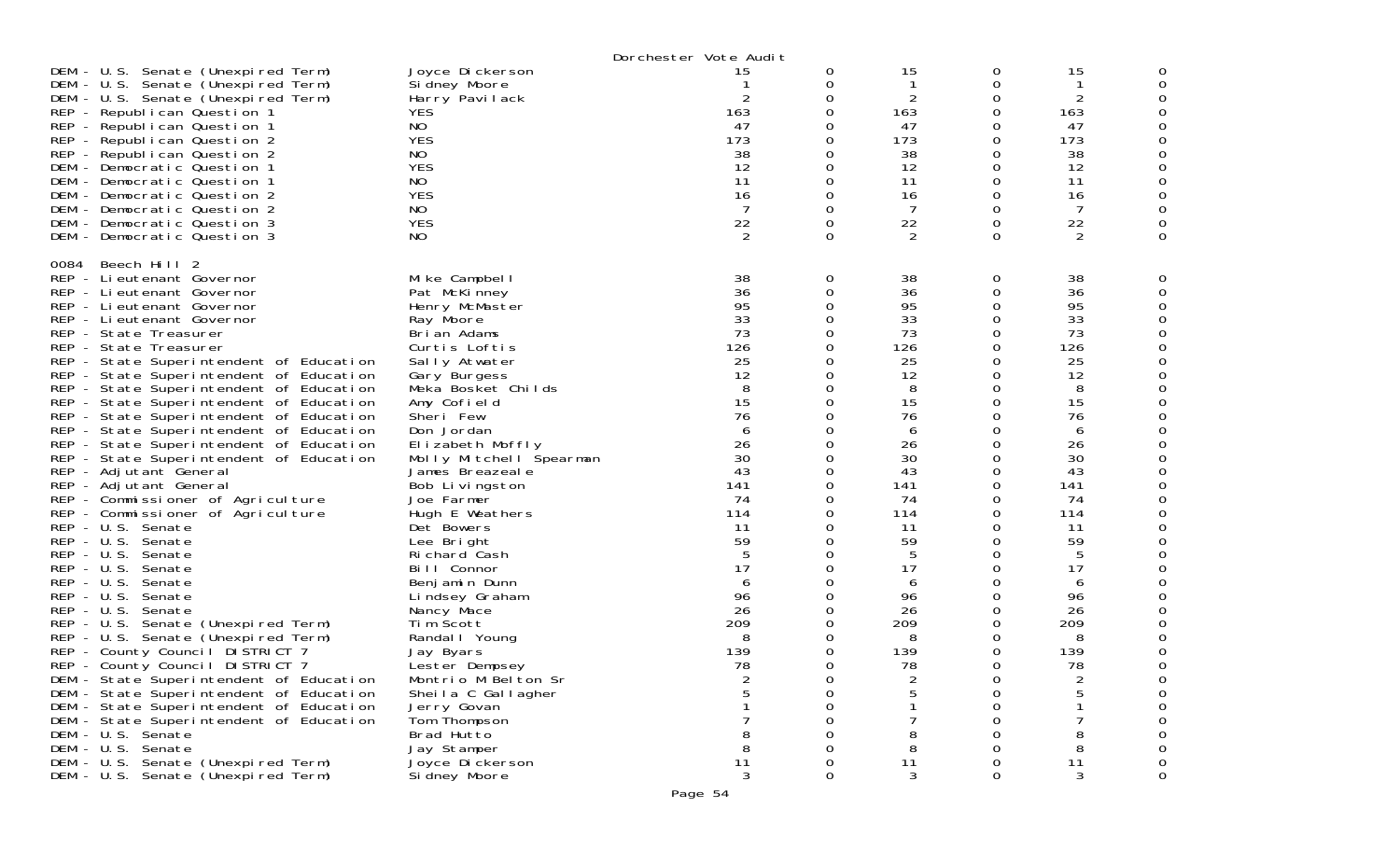|                      |                                                                                                                                                                                                                                                                                                                                                                                                                                                                                                                                                                                                                                                                                                                                                                                                                                                                                                                                                                                                                                                                                                                                                                                                                                                                                  |                                                                                                                                                                                                                                                                                                                                                                                                                                                                                                                                                                                                                                            | Dorchester Vote Audit                                                                                                                                                                                                 |                                                                                                                                                                                                        |                                                                                                                                                                                                      |                                                                                                                                                                                                  |                                                                                                                                                                                                           |   |
|----------------------|----------------------------------------------------------------------------------------------------------------------------------------------------------------------------------------------------------------------------------------------------------------------------------------------------------------------------------------------------------------------------------------------------------------------------------------------------------------------------------------------------------------------------------------------------------------------------------------------------------------------------------------------------------------------------------------------------------------------------------------------------------------------------------------------------------------------------------------------------------------------------------------------------------------------------------------------------------------------------------------------------------------------------------------------------------------------------------------------------------------------------------------------------------------------------------------------------------------------------------------------------------------------------------|--------------------------------------------------------------------------------------------------------------------------------------------------------------------------------------------------------------------------------------------------------------------------------------------------------------------------------------------------------------------------------------------------------------------------------------------------------------------------------------------------------------------------------------------------------------------------------------------------------------------------------------------|-----------------------------------------------------------------------------------------------------------------------------------------------------------------------------------------------------------------------|--------------------------------------------------------------------------------------------------------------------------------------------------------------------------------------------------------|------------------------------------------------------------------------------------------------------------------------------------------------------------------------------------------------------|--------------------------------------------------------------------------------------------------------------------------------------------------------------------------------------------------|-----------------------------------------------------------------------------------------------------------------------------------------------------------------------------------------------------------|---|
|                      | DEM - U.S. Senate (Unexpired Term)<br>DEM - U.S. Senate (Unexpired Term)<br>DEM - U.S. Senate (Unexpired Term)<br>REP - Republican Question 1<br>REP - Republican Question 1<br>REP - Republican Question 2<br>REP - Republican Question 2<br>DEM - Democratic Question 1<br>DEM - Democratic Question 1<br>DEM - Democratic Question 2<br>DEM - Democratic Question 2<br>DEM - Democratic Question 3<br>DEM - Democratic Question 3                                                                                                                                                                                                                                                                                                                                                                                                                                                                                                                                                                                                                                                                                                                                                                                                                                             | Joyce Dickerson<br>Sidney Moore<br>Harry Pavilack<br><b>YES</b><br>NO<br><b>YES</b><br>NO<br><b>YES</b><br>NO<br><b>YES</b><br>NO<br><b>YES</b><br>NO.                                                                                                                                                                                                                                                                                                                                                                                                                                                                                     | 15<br>2<br>163<br>47<br>173<br>38<br>12<br>11<br>16<br>7<br>22<br>$\overline{2}$                                                                                                                                      | 0<br>0<br>0<br>0<br>0<br>0<br>0<br>0<br>0<br>0<br>0<br>0<br>0                                                                                                                                          | 15<br>2<br>163<br>47<br>173<br>38<br>12<br>11<br>16<br>7<br>22<br>2                                                                                                                                  | 0<br>0<br>0<br>0<br>0<br>0<br>0<br>0<br>0<br>0<br>0<br>0<br>0                                                                                                                                    | 15<br>$\overline{2}$<br>163<br>47<br>173<br>38<br>12<br>11<br>16<br>7<br>22<br>2                                                                                                                          |   |
| 0084<br>$REP - U.S.$ | Beech Hill 2<br>REP - Li eutenant Governor<br>REP - Lieutenant Governor<br>REP - Lieutenant Governor<br>REP - Li eutenant Governor<br>REP - State Treasurer<br>REP - State Treasurer<br>REP - State Superintendent of Education<br>REP - State Superintendent of Education<br>REP - State Superintendent of Education<br>REP - State Superintendent of Education<br>REP - State Superintendent of Education<br>REP - State Superintendent of Education<br>REP - State Superintendent of Education<br>REP - State Superintendent of Education<br>REP - Adjutant General<br>REP - Adjutant General<br>REP - Commissioner of Agriculture<br>REP - Commissioner of Agriculture<br>REP - U.S. Senate<br>REP - U.S. Senate<br>REP - U.S. Senate<br>$REP - U.S.$<br>Senate<br>Senate<br>$REP - U.S.$<br>Senate<br>REP - U.S. Senate<br>REP - U.S. Senate (Unexpired Term)<br>REP - U.S. Senate (Unexpired Term)<br>REP - County Council DISTRICT 7<br>REP - County Council DISTRICT 7<br>DEM - State Superintendent of Education<br>DEM - State Superintendent of Education<br>DEM - State Superintendent of Education<br>DEM - State Superintendent of Education<br>DEM - U.S. Senate<br>DEM - U.S. Senate<br>DEM - U.S. Senate (Unexpired Term)<br>DEM - U.S. Senate (Unexpired Term) | Mike Campbell<br>Pat McKinney<br>Henry McMaster<br>Ray Moore<br>Brian Adams<br>Curtis Loftis<br>Sally Atwater<br>Gary Burgess<br>Meka Bosket Childs<br>Amy Cofield<br>Sheri Few<br>Don Jordan<br>Elizabeth Moffly<br>Molly Mitchell Spearman<br>James Breazeale<br>Bob Livingston<br>Joe Farmer<br>Hugh E Weathers<br>Det Bowers<br>Lee Bright<br>Richard Cash<br>Bill Connor<br>Benjamin Dunn<br>Lindsey Graham<br>Nancy Mace<br>Tim Scott<br>Randal I Young<br>Jay Byars<br>Lester Dempsey<br>Montrio M Belton Sr<br>Sheila C Gallagher<br>Jerry Govan<br>Tom Thompson<br>Brad Hutto<br>Jay Stamper<br>Joyce Di ckerson<br>Si dney Moore | 38<br>36<br>95<br>33<br>73<br>126<br>25<br>12<br>8<br>15<br>76<br>6<br>26<br>30<br>43<br>141<br>74<br>114<br>11<br>59<br>5<br>17<br>6<br>96<br>26<br>209<br>8<br>139<br>78<br>$\frac{2}{5}$<br>7<br>8<br>8<br>11<br>3 | 0<br>0<br>0<br>0<br>0<br>0<br>0<br>0<br>0<br>0<br>0<br>0<br>0<br>0<br>0<br>0<br>0<br>0<br>0<br>0<br>0<br>0<br>0<br>0<br>0<br>0<br>0<br>0<br>0<br>0<br>0<br>$\Omega$<br>0<br>0<br>0<br>0<br>$\mathbf 0$ | 38<br>36<br>95<br>33<br>73<br>126<br>25<br>12<br>8<br>15<br>76<br>6<br>26<br>30<br>43<br>141<br>74<br>114<br>11<br>59<br>5<br>17<br>6<br>96<br>26<br>209<br>8<br>139<br>78<br>2<br>5<br>8<br>11<br>3 | 0<br>0<br>0<br>0<br>0<br>0<br>0<br>0<br>0<br>0<br>0<br>0<br>0<br>0<br>0<br>0<br>0<br>0<br>0<br>0<br>0<br>0<br>0<br>0<br>0<br>0<br>0<br>0<br><sup>n</sup><br>0<br>0<br>0<br>0<br>0<br>0<br>0<br>0 | 38<br>36<br>95<br>33<br>73<br>126<br>25<br>12<br>8<br>15<br>76<br>6<br>26<br>30<br>43<br>141<br>74<br>114<br>11<br>59<br>5<br>17<br>6<br>96<br>26<br>209<br>8<br>139<br>78<br>2<br>5<br>8<br>8<br>11<br>3 | 0 |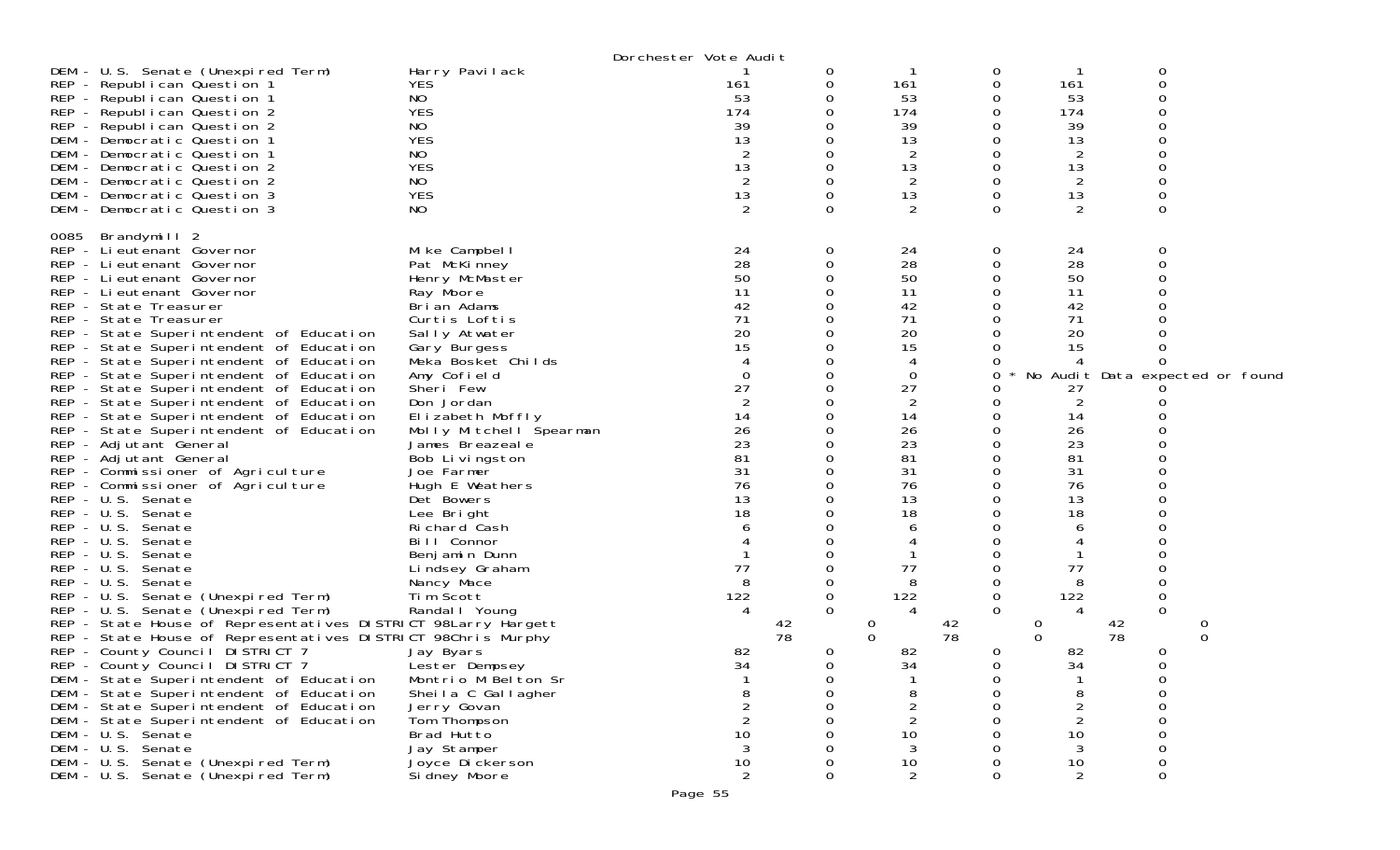|      |                                                               |                         | Dorchester Vote Audit |    |          |                |             |                |                 |                                 |
|------|---------------------------------------------------------------|-------------------------|-----------------------|----|----------|----------------|-------------|----------------|-----------------|---------------------------------|
|      | DEM - U.S. Senate (Unexpired Term)                            | Harry Pavilack          |                       |    | $\sigma$ |                | 0           |                | 0               |                                 |
|      | REP - Republican Question 1                                   | <b>YES</b>              | 161                   |    | 0        | 161            | 0           | 161            | $\Omega$        |                                 |
|      | REP - Republican Question 1                                   | NO.                     | 53                    |    | 0        | 53             | 0           | 53             |                 |                                 |
|      | REP - Republican Question 2                                   | <b>YES</b>              | 174                   |    | 0        | 174            | 0           | 174            |                 |                                 |
|      | REP - Republican Question 2                                   | <b>NO</b>               | 39                    |    |          | 39             | 0           | 39             |                 |                                 |
|      | DEM - Democratic Question 1                                   | <b>YES</b>              | 13                    |    | 0        | 13             | 0           | 13             |                 |                                 |
|      | DEM - Democratic Question 1                                   | NO                      |                       |    | 0        | 2              | 0           | 2              |                 |                                 |
|      | DEM - Democratic Question 2                                   | <b>YES</b>              | 13                    |    | 0        | 13             | 0           | 13             |                 |                                 |
|      | DEM - Democratic Question 2                                   | NO                      |                       |    | 0        | 2              | 0           | 2              |                 |                                 |
|      | DEM - Democratic Question 3                                   | <b>YES</b>              | 13                    |    | 0        | 13             | 0           | 13             |                 |                                 |
|      | DEM - Democratic Question 3                                   | NO                      | 2                     |    | 0        | 2              | $\Omega$    | 2              | $\Omega$        |                                 |
|      |                                                               |                         |                       |    |          |                |             |                |                 |                                 |
| 0085 | Brandymill 2                                                  |                         |                       |    |          |                |             |                |                 |                                 |
|      | REP - Li eutenant Governor                                    | Mike Campbell           | 24                    |    | 0        | 24             | 0           | 24             |                 |                                 |
|      | REP - Lieutenant Governor                                     | Pat McKinney            | 28                    |    | $\Omega$ | 28             | 0           | 28             | ∩               |                                 |
|      | REP - Lieutenant Governor                                     | Henry McMaster          | 50                    |    | 0        | 50             | 0           | 50             |                 |                                 |
|      | REP - Lieutenant Governor                                     | Ray Moore               | 11                    |    |          | 11             |             | 11             |                 |                                 |
|      | REP - State Treasurer                                         | Brian Adams             | 42                    |    |          | 42             |             | 42             |                 |                                 |
|      | REP - State Treasurer                                         | Curtis Loftis           | 71                    |    |          | 71             |             | 71             |                 |                                 |
|      | REP - State Superintendent of Education                       | Sally Atwater           | 20                    |    |          | 20             |             | 20             |                 |                                 |
|      | REP - State Superintendent of Education                       | Gary Burgess            | 15                    |    |          | 15             |             | 15             |                 |                                 |
|      | REP - State Superintendent of Education                       | Meka Bosket Childs      |                       |    | 0        | 4              | O           | 4              |                 |                                 |
|      | REP - State Superintendent of Education                       | Amy Cofield             |                       |    |          | 0              | 0           |                |                 | No Audit Data expected or found |
|      | REP - State Superintendent of Education                       | Sheri Few               | 27                    |    | 0        | 27             |             | 27             |                 |                                 |
|      | REP - State Superintendent of Education                       | Don Jordan              | 2                     |    | 0        | 2              | 0           | 2              |                 |                                 |
|      | REP - State Superintendent of Education                       | Elizabeth Moffly        | 14                    |    |          | 14             |             | 14             |                 |                                 |
|      | REP - State Superintendent of Education                       | Molly Mitchell Spearman | 26                    |    | 0        | 26             | 0           | 26             |                 |                                 |
|      | REP - Adjutant General                                        | James Breazeale         | 23                    |    | 0        | 23             | 0           | 23             |                 |                                 |
|      | REP - Adjutant General                                        | Bob Livingston          | 81                    |    |          | 81             |             | 81             |                 |                                 |
|      | REP - Commissioner of Agriculture                             | Joe Farmer              | 31                    |    |          | 31             |             | 31             |                 |                                 |
|      | REP - Commissioner of Agriculture                             | Hugh E Weathers         | 76                    |    |          | 76             |             | 76             |                 |                                 |
|      | REP - U.S. Senate                                             | Det Bowers              | 13                    |    |          | 13             |             | 13             |                 |                                 |
|      | REP - U.S. Senate                                             | Lee Bright              | 18                    |    |          | 18             |             | 18             |                 |                                 |
|      | REP - U.S. Senate                                             | Richard Cash            |                       |    |          | 6              |             | 6              |                 |                                 |
|      | REP - U.S. Senate                                             | Bill Connor             |                       |    |          |                |             |                |                 |                                 |
|      | REP - U.S. Senate                                             | Benjamin Dunn           |                       |    | 0        |                |             |                |                 |                                 |
|      | $REP - U.S.$<br>Senate                                        | Lindsey Graham          | 77                    |    |          | 77             |             | 77             |                 |                                 |
|      | REP - U.S. Senate                                             | Nancy Mace              | 8                     |    | 0        | 8              | 0           | 8              |                 |                                 |
|      | REP - U.S. Senate (Unexpired Term)                            | Tim Scott               | 122                   |    | 0        | 122            | 0           | 122            | 0               |                                 |
|      | REP - U.S. Senate (Unexpired Term)                            | Randal I Young          | $\overline{4}$        |    | $\Omega$ | 4              | 0           | 4              | 0               |                                 |
|      | REP - State House of Representatives DISTRICT 98Larry Hargett |                         |                       | 42 | 0        |                | 42<br>78    | O              | $\frac{42}{78}$ |                                 |
|      | REP - State House of Representatives DISTRICT 98Chris Murphy  |                         |                       | 78 | $\Omega$ |                |             | $\Omega$       |                 | $\Omega$                        |
|      | REP - County Council DISTRICT 7                               | Jay Byars               | 82                    |    | 0        | 82             | 0           | 82             | 0               |                                 |
|      | REP - County Council DISTRICT 7                               | Lester Dempsey          | 34                    |    | 0        | 34             | 0           | 34             | 0               |                                 |
|      | DEM - State Superintendent of Education                       | Montrio M Belton Sr     |                       |    | U        |                | O           |                | O               |                                 |
|      | DEM - State Superintendent of Education                       | Sheila C Gallagher      | 8                     |    | 0        | 8              | $\mathbf 0$ | 8              | 0               |                                 |
|      | DEM - State Superintendent of Education                       | Jerry Govan             | 2                     |    | 0        | 2              | Ω           | 2              | 0               |                                 |
|      | DEM - State Superintendent of Education                       | Tom Thompson            | $\overline{2}$        |    | O        | $\overline{2}$ | O           | $\overline{2}$ | ი               |                                 |
|      | DEM - U.S. Senate                                             | Brad Hutto              | 10                    |    | O        | 10             | O           | 10             |                 |                                 |
|      | DEM - U.S. Senate                                             | Jay Stamper             | 3                     |    |          | 3              |             | 3              | 0               |                                 |
|      | DEM - U.S. Senate (Unexpired Term)                            | Joyce Di ckerson        | 10                    |    | 0        | 10             | 0           | 10             | 0               |                                 |
|      | DEM - U.S. Senate (Unexpired Term)                            | Si dney Moore           | 2                     |    | 0        | 2              | 0           | 2              | 0               |                                 |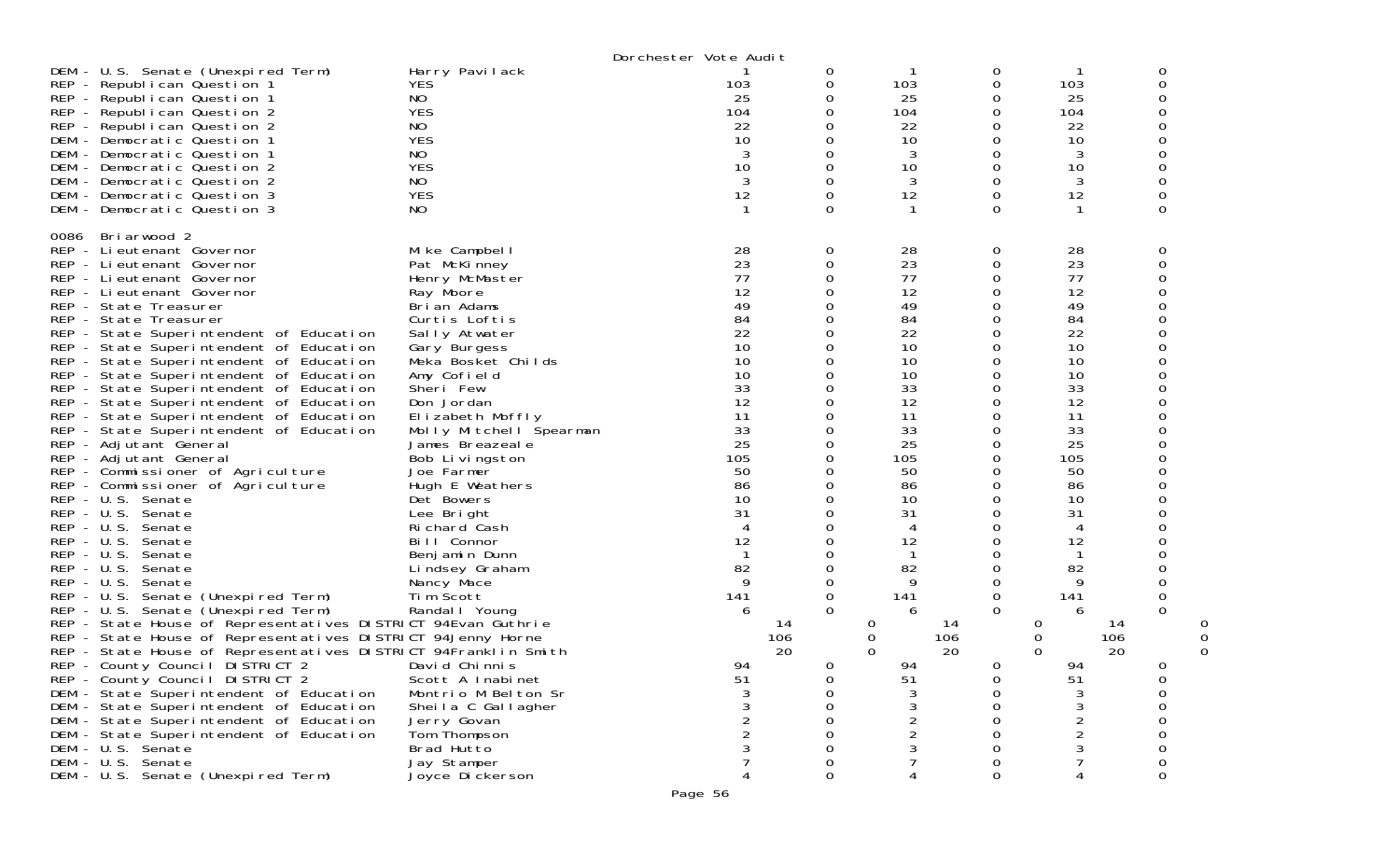|                                                                                                                                                                                                                                                                                                                                                                                                                                                                                                                                                                                                                                                                                                                                                                                                                                                                                                                                                                                                                                                                                                                                                                                                                                                                                                                                                                                                                                                             |                                                                                                                                                                                                                                                                                                                                                                                                                                                                                                                                                                                                                                | Dorchester Vote Audit                                                                                                                                                                     |                                                                                                                                                                                              |                                                                                                                                                                                                       |                                                                                                                                                                                           |                                                                                                                                                                                                                                                          |                                                                         |
|-------------------------------------------------------------------------------------------------------------------------------------------------------------------------------------------------------------------------------------------------------------------------------------------------------------------------------------------------------------------------------------------------------------------------------------------------------------------------------------------------------------------------------------------------------------------------------------------------------------------------------------------------------------------------------------------------------------------------------------------------------------------------------------------------------------------------------------------------------------------------------------------------------------------------------------------------------------------------------------------------------------------------------------------------------------------------------------------------------------------------------------------------------------------------------------------------------------------------------------------------------------------------------------------------------------------------------------------------------------------------------------------------------------------------------------------------------------|--------------------------------------------------------------------------------------------------------------------------------------------------------------------------------------------------------------------------------------------------------------------------------------------------------------------------------------------------------------------------------------------------------------------------------------------------------------------------------------------------------------------------------------------------------------------------------------------------------------------------------|-------------------------------------------------------------------------------------------------------------------------------------------------------------------------------------------|----------------------------------------------------------------------------------------------------------------------------------------------------------------------------------------------|-------------------------------------------------------------------------------------------------------------------------------------------------------------------------------------------------------|-------------------------------------------------------------------------------------------------------------------------------------------------------------------------------------------|----------------------------------------------------------------------------------------------------------------------------------------------------------------------------------------------------------------------------------------------------------|-------------------------------------------------------------------------|
| DEM - U.S. Senate (Unexpired Term)<br>REP - Republican Question 1<br>REP - Republican Question 1<br>REP - Republican Question 2<br>REP - Republican Question 2<br>DEM - Democratic Question 1<br>DEM - Democratic Question 1<br>DEM - Democratic Question 2<br>DEM - Democratic Question 2<br>DEM - Democratic Question 3<br>DEM - Democratic Question 3                                                                                                                                                                                                                                                                                                                                                                                                                                                                                                                                                                                                                                                                                                                                                                                                                                                                                                                                                                                                                                                                                                    | Harry Pavilack<br><b>YES</b><br>NO.<br><b>YES</b><br>NO.<br><b>YES</b><br>NO<br><b>YES</b><br>NO.<br><b>YES</b><br>NO.                                                                                                                                                                                                                                                                                                                                                                                                                                                                                                         | 103<br>25<br>104<br>22<br>10<br>3<br>10<br>3<br>12                                                                                                                                        | 0<br>0<br>0<br>0<br>0<br>0<br>0<br>0<br>0<br>0<br>0                                                                                                                                          | 103<br>25<br>104<br>22<br>10<br>3<br>10<br>3<br>12                                                                                                                                                    | 0<br>0<br>0<br>0<br>0<br>0<br>0<br>0<br>0<br>0<br>0                                                                                                                                       | 103<br>25<br>104<br>22<br>10<br>3<br>10<br>3<br>12                                                                                                                                                                                                       | 0<br>0<br>0<br>0<br>0<br>0<br>0<br>0<br>0                               |
| Briarwood 2<br>0086<br>REP - Lieutenant Governor<br>REP - Lieutenant Governor<br>REP - Lieutenant Governor<br>REP - Lieutenant Governor<br>REP - State Treasurer<br>REP - State Treasurer<br>REP - State Superintendent of Education<br>REP - State Superintendent of Education<br>REP - State Superintendent of Education<br>REP - State Superintendent of Education<br>REP - State Superintendent of Education<br>REP - State Superintendent of Education<br>REP - State Superintendent of Education<br>REP - State Superintendent of Education<br>REP - Adjutant General<br>REP - Adjutant General<br>REP - Commissioner of Agriculture<br>REP - Commissioner of Agriculture<br>REP - U.S. Senate<br>REP - U.S. Senate<br>REP - U.S. Senate<br>$REP - U.S.$<br>Senate<br>$REP - U.S.$<br>Senate<br>REP - U.S. Senate<br>REP - U.S. Senate<br>REP - U.S. Senate (Unexpired Term)<br>REP - U.S. Senate (Unexpired Term)<br>REP - State House of Representatives DISTRICT 94Evan Guthrie<br>REP - State House of Representatives DISTRICT 94Jenny Horne<br>REP - State House of Representatives DISTRICT 94Franklin Smith<br>REP - County Council DISTRICT 2<br>REP - County Council DISTRICT 2<br>DEM - State Superintendent of Education<br>DEM - State Superintendent of Education<br>DEM - State Superintendent of Education<br>DEM - State Superintendent of Education<br>DEM - U.S. Senate<br>DEM - U.S. Senate<br>DEM - U.S. Senate (Unexpired Term) | Mike Campbell<br>Pat McKinney<br>Henry McMaster<br>Ray Moore<br>Brian Adams<br>Curtis Loftis<br>Sally Atwater<br>Gary Burgess<br>Meka Bosket Childs<br>Amy Cofield<br>Sheri Few<br>Don Jordan<br>Elizabeth Moffly<br>Molly Mitchell Spearman<br>James Breazeale<br>Bob Livingston<br>Joe Farmer<br>Hugh E Weathers<br>Det Bowers<br>Lee Bright<br>Richard Cash<br>Bill Connor<br>Benjamin Dunn<br>Lindsey Graham<br>Nancy Mace<br>Tim Scott<br>Randal I Young<br>David Chinnis<br>Scott A Inabinet<br>Montrio M Belton Sr<br>Sheila C Gallagher<br>Jerry Govan<br>Tom Thompson<br>Brad Hutto<br>Jay Stamper<br>Joyce Dickerson | 28<br>23<br>77<br>12<br>49<br>84<br>22<br>10<br>10<br>10<br>33<br>12<br>11<br>33<br>25<br>105<br>50<br>86<br>10<br>31<br>4<br>12<br>82<br>9<br>141<br>6<br>106<br>94<br>51<br>3<br>2<br>2 | 0<br>0<br>0<br>0<br>0<br>0<br>0<br>0<br>0<br>0<br>0<br>0<br>0<br>0<br>0<br>0<br>0<br>0<br>0<br>0<br>0<br>0<br>0<br>0<br>0<br>0<br>0<br>14<br>20<br>0<br>0<br>0<br>0<br>0<br>0<br>0<br>0<br>0 | 28<br>23<br>77<br>12<br>49<br>84<br>22<br>10<br>10<br>10<br>33<br>12<br>11<br>33<br>25<br>105<br>50<br>86<br>10<br>31<br>4<br>12<br>82<br>141<br>6<br>14<br>O<br>0<br>106<br>20<br>0<br>94<br>51<br>4 | 0<br>0<br>0<br>0<br>0<br>0<br>0<br>0<br>0<br>0<br>0<br>0<br>0<br>0<br>0<br>0<br>0<br>0<br>0<br>0<br>0<br>0<br>0<br>0<br>0<br>0<br>$\Omega$<br>$\Omega$<br>0<br>0<br>0<br>0<br>0<br>0<br>0 | 28<br>23<br>77<br>12<br>49<br>84<br>22<br>10<br>10<br>10<br>33<br>12<br>11<br>33<br>25<br>105<br>50<br>86<br>10<br>31<br>$\overline{4}$<br>12<br>82<br>9<br>141<br>6<br>14<br>0<br>106<br>0<br>20<br>0<br>94<br>51<br>3<br>2<br>$\overline{2}$<br>3<br>7 | 0<br>0<br>0<br>0<br>0<br>ი<br>0<br>0<br>0<br>0<br>0<br>0<br>0<br>0<br>0 |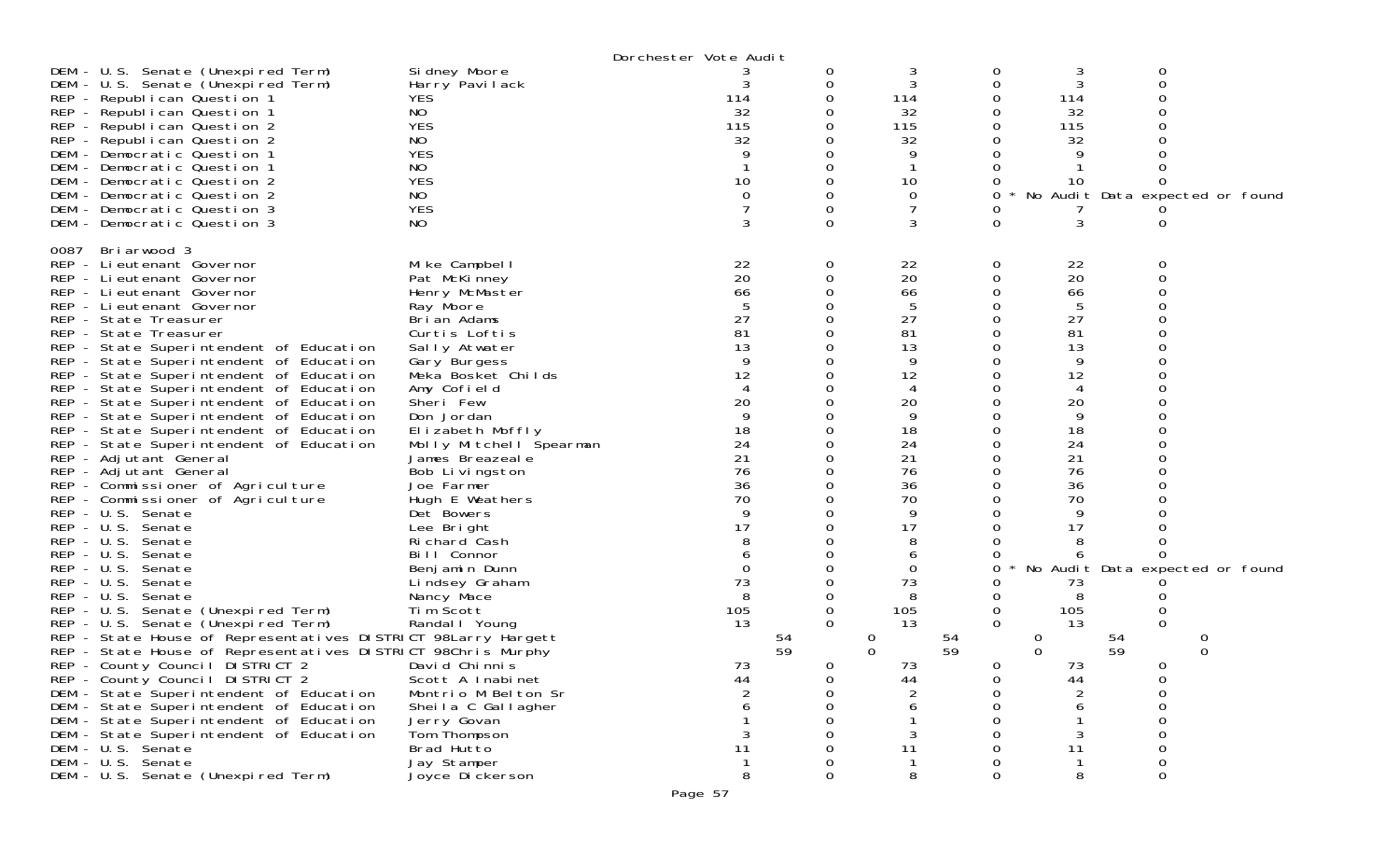|                                                                                                                                                                                                                                                                                                                                                                                                                                                                                                                                                                                                                                                                                                                                                                                                                                                                                                                     | Dorchester Vote Audit                                                                                                                                                                                                                                                                                                                                                                                                                                         |                                                                                                                                                           |                                        |                                                                                                                                                   |               |                                                                                                                                         |                                        |  |  |  |
|---------------------------------------------------------------------------------------------------------------------------------------------------------------------------------------------------------------------------------------------------------------------------------------------------------------------------------------------------------------------------------------------------------------------------------------------------------------------------------------------------------------------------------------------------------------------------------------------------------------------------------------------------------------------------------------------------------------------------------------------------------------------------------------------------------------------------------------------------------------------------------------------------------------------|---------------------------------------------------------------------------------------------------------------------------------------------------------------------------------------------------------------------------------------------------------------------------------------------------------------------------------------------------------------------------------------------------------------------------------------------------------------|-----------------------------------------------------------------------------------------------------------------------------------------------------------|----------------------------------------|---------------------------------------------------------------------------------------------------------------------------------------------------|---------------|-----------------------------------------------------------------------------------------------------------------------------------------|----------------------------------------|--|--|--|
| DEM - U.S. Senate (Unexpired Term)<br>DEM - U.S. Senate (Unexpired Term)<br>REP - Republican Question 1<br>REP - Republican Question 1<br>REP - Republican Question 2<br>REP - Republican Question 2<br>DEM - Democratic Question 1<br>DEM - Democratic Question 1<br>DEM - Democratic Question 2<br>DEM - Democratic Question 2<br>DEM - Democratic Question 3<br>DEM - Democratic Question 3                                                                                                                                                                                                                                                                                                                                                                                                                                                                                                                      | Si dney Moore<br>Harry Pavilack<br>YES<br>NO<br><b>YES</b><br>NO<br><b>YES</b><br>NO<br><b>YES</b><br>NO<br><b>YES</b><br>NO                                                                                                                                                                                                                                                                                                                                  | 114<br>32<br>115<br>32<br>10<br>0<br>3                                                                                                                    | 0<br>0<br>0<br>0                       | 3<br>114<br>32<br>115<br>32<br>9<br>10<br>0<br>3                                                                                                  | 0<br>0        | 3<br>3<br>114<br>32<br>115<br>32<br>10<br>3                                                                                             | 0<br>No Audit Data expected or found   |  |  |  |
| 0087<br>Briarwood 3<br>REP - Lieutenant Governor<br>REP - Lieutenant Governor<br>REP - Lieutenant Governor<br>REP - Lieutenant Governor<br>REP - State Treasurer<br>REP - State Treasurer<br>REP - State Superintendent of Education<br>REP - State Superintendent of Education<br>REP - State Superintendent of Education<br>REP - State Superintendent of Education<br>REP - State Superintendent of Education<br>REP - State Superintendent of Education<br>REP - State Superintendent of Education<br>REP - State Superintendent of Education<br>REP - Adjutant General<br>REP - Adjutant General<br>REP - Commissioner of Agriculture<br>REP - Commissioner of Agriculture<br>REP - U.S. Senate<br>REP - U.S. Senate<br>REP - U.S. Senate<br>REP - U.S. Senate<br>$REP - U.S.$<br>Senate<br>REP - U.S. Senate<br>REP - U.S. Senate<br>REP - U.S. Senate (Unexpired Term)<br>REP - U.S. Senate (Unexpired Term) | Mike Campbell<br>Pat McKinney<br>Henry McMaster<br>Ray Moore<br>Brian Adams<br>Curtis Loftis<br>Sally Atwater<br>Gary Burgess<br>Meka Bosket Childs<br>Amy Cofield<br>Sheri Few<br>Don Jordan<br>Elizabeth Moffly<br>Molly Mitchell Spearman<br>James Breazeale<br>Bob Livingston<br>Joe Farmer<br>Hugh E Weathers<br>Det Bowers<br>Lee Bright<br>Richard Cash<br>Bill Connor<br>Benjamin Dunn<br>Lindsey Graham<br>Nancy Mace<br>Tim Scott<br>Randal   Young | 22<br>20<br>66<br>5<br>27<br>81<br>13<br>9<br>12<br>4<br>20<br>Q<br>18<br>24<br>21<br>76<br>36<br>70<br>9<br>17<br>$\Omega$<br>73<br>8<br>105<br>13<br>54 | 0<br>0<br>0<br>0<br>0<br>0<br>$\Omega$ | 22<br>20<br>66<br>5<br>27<br>81<br>13<br>9<br>12<br>4<br>20<br>9<br>18<br>24<br>21<br>76<br>36<br>70<br>9<br>17<br>6<br>0<br>73<br>8<br>105<br>13 | 0<br>0        | 22<br>20<br>66<br>5<br>27<br>81<br>13<br>9<br>12<br>4<br>20<br>9<br>18<br>24<br>21<br>76<br>36<br>70<br>9<br>17<br>73<br>8<br>105<br>13 | 0<br>No Audit Data expected or found   |  |  |  |
| REP - State House of Representatives DISTRICT 98Larry Hargett<br>REP - State House of Representatives DISTRICT 98Chris Murphy<br>REP - County Council DISTRICT 2<br>REP - County Council DISTRICT 2<br>DEM - State Superintendent of Education<br>DEM - State Superintendent of Education<br>DEM - State Superintendent of Education<br>DEM - State Superintendent of Education<br>DEM - U.S. Senate<br>DEM - U.S. Senate<br>DEM - U.S. Senate (Unexpired Term)                                                                                                                                                                                                                                                                                                                                                                                                                                                     | David Chinnis<br>Scott A Inabinet<br>Montrio M Belton Sr<br>Sheila C Gallagher<br>Jerry Govan<br>Tom Thompson<br>Brad Hutto<br>Jay Stamper<br>Joyce Dickerson                                                                                                                                                                                                                                                                                                 | 59<br>73<br>44<br>11<br>-1<br>8                                                                                                                           | 0<br>0<br>0<br>O<br>0<br>0             | 0<br>54<br>$\Omega$<br>59<br>73<br>44<br>11<br>1<br>8                                                                                             | 0<br>$\Omega$ | 0<br>0<br>73<br>44<br>6<br>3<br>11<br>$\mathbf{1}$<br>8                                                                                 | 54<br>59<br>0<br>0<br>0<br>0<br>0<br>0 |  |  |  |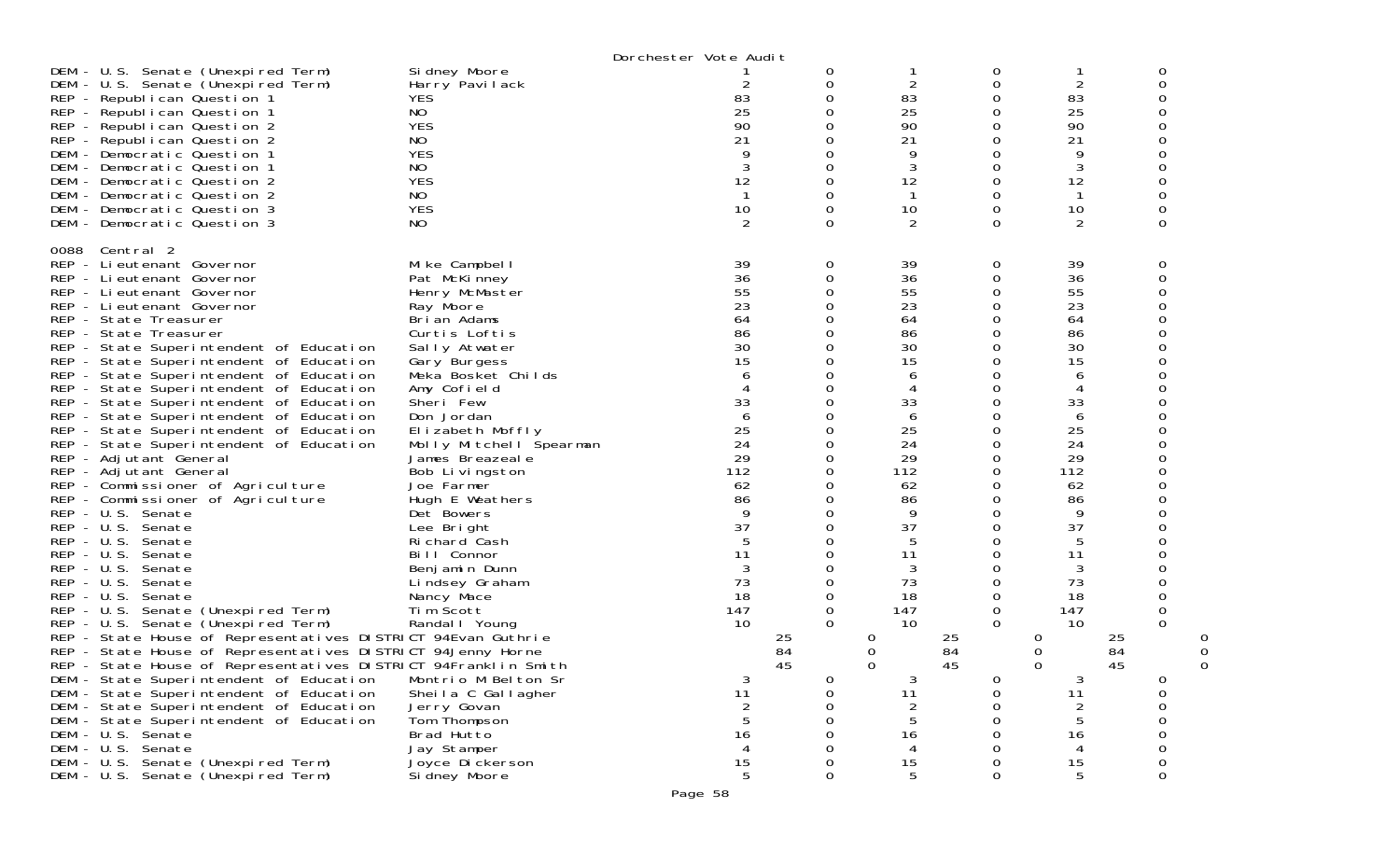|                                                                                                                                                                                                                                                                                                                                                                                                                                                                                                                                                                                                                                                                                                                                                                                                                                                                                                                                                                                                                                                                                                                                                                                                                                                                                                                                                                                                                                                                                                                                                                                                                                                                                                                                                                                                                                                                                                                                                                                                     | Dorchester Vote Audit                                                                                                                                                                                                                                      |                                                                                                                                                                                                                                                          |                                                                                                                                                                                                                                        |                                                                                                                                                                                                                                                         |                                                                                                                                                                                                                                               |                                                                             |
|-----------------------------------------------------------------------------------------------------------------------------------------------------------------------------------------------------------------------------------------------------------------------------------------------------------------------------------------------------------------------------------------------------------------------------------------------------------------------------------------------------------------------------------------------------------------------------------------------------------------------------------------------------------------------------------------------------------------------------------------------------------------------------------------------------------------------------------------------------------------------------------------------------------------------------------------------------------------------------------------------------------------------------------------------------------------------------------------------------------------------------------------------------------------------------------------------------------------------------------------------------------------------------------------------------------------------------------------------------------------------------------------------------------------------------------------------------------------------------------------------------------------------------------------------------------------------------------------------------------------------------------------------------------------------------------------------------------------------------------------------------------------------------------------------------------------------------------------------------------------------------------------------------------------------------------------------------------------------------------------------------|------------------------------------------------------------------------------------------------------------------------------------------------------------------------------------------------------------------------------------------------------------|----------------------------------------------------------------------------------------------------------------------------------------------------------------------------------------------------------------------------------------------------------|----------------------------------------------------------------------------------------------------------------------------------------------------------------------------------------------------------------------------------------|---------------------------------------------------------------------------------------------------------------------------------------------------------------------------------------------------------------------------------------------------------|-----------------------------------------------------------------------------------------------------------------------------------------------------------------------------------------------------------------------------------------------|-----------------------------------------------------------------------------|
| DEM - U.S. Senate (Unexpired Term)<br>Si dney Moore<br>DEM - U.S. Senate (Unexpired Term)<br>Harry <sup>-</sup> Pavilack<br>REP - Republican Question 1<br><b>YES</b><br>REP - Republican Question 1<br>NO<br><b>YES</b><br>REP - Republican Question 2<br>NO<br>REP - Republican Question 2<br><b>YES</b><br>DEM - Democratic Question 1<br>DEM - Democratic Question 1<br>NO.<br><b>YES</b><br>DEM - Democratic Question 2<br>NO<br>DEM - Democratic Question 2<br><b>YES</b><br>DEM - Democratic Question 3<br>NO.<br>DEM - Democratic Question 3                                                                                                                                                                                                                                                                                                                                                                                                                                                                                                                                                                                                                                                                                                                                                                                                                                                                                                                                                                                                                                                                                                                                                                                                                                                                                                                                                                                                                                                | 2<br>83<br>25<br>90<br>21<br>9<br>3<br>12<br>10<br>2                                                                                                                                                                                                       | 0<br>0<br>0<br>0<br>0<br>0<br>0<br>0<br>0<br>0<br>0<br>$\Omega$                                                                                                                                                                                          | 2<br>83<br>25<br>90<br>21<br>9<br>3<br>12<br>$\mathbf 1$<br>10<br>2                                                                                                                                                                    | 0<br>0<br>0<br>0<br>0<br>$\Omega$<br>0<br>0<br>$\Omega$<br>0<br>0<br>$\Omega$                                                                                                                                                                           | $\overline{2}$<br>83<br>25<br>90<br>21<br>9<br>3<br>12<br>$\mathbf 1$<br>10<br>2                                                                                                                                                              | 0<br>0<br>0<br>0<br>0<br>0                                                  |
| 0088<br>Central 2<br>REP - Lieutenant Governor<br>Mike Campbell<br>REP - Lieutenant Governor<br>Pat McKinney<br>REP - Lieutenant Governor<br>Henry McMaster<br>REP - Lieutenant Governor<br>Ray Moore<br>REP - State Treasurer<br>Brian Adams<br>REP - State Treasurer<br>Curtis Loftis<br>REP - State Superintendent of Education<br>Sally Atwater<br>REP - State Superintendent of Education<br>Gary Burgess<br>REP - State Superintendent of Education<br>Meka Bosket Childs<br>REP - State Superintendent of Education<br>Amy Cofield<br>Sheri Few<br>REP - State Superintendent of Education<br>Don Jordan<br>REP - State Superintendent of Education<br>REP - State Superintendent of Education<br>Elizabeth Moffly<br>REP - State Superintendent of Education<br>REP - Adjutant General<br>James Breazeale<br>REP - Adjutant General<br>Bob Livingston<br>REP - Commissioner of Agriculture<br>Joe Farmer<br>REP - Commissioner of Agriculture<br>Hugh E Weathers<br>REP - U.S. Senate<br>Det Bowers<br>REP - U.S. Senate<br>Lee Bright<br>REP - U.S. Senate<br>Richard Cash<br>REP - U.S. Senate<br>Bill Connor<br>REP - U.S. Senate<br>Benjamin Dunn<br>REP - U.S. Senate<br>Lindsey Graham<br>REP - U.S. Senate<br>Nancy Mace<br>REP - U.S. Senate (Unexpired Term)<br>Tim Scott<br>REP - U.S. Senate (Unexpired Term)<br>Randal   Young<br>REP - State House of Representatives DISTRICT 94Evan Guthrie<br>REP - State House of Representatives DISTRICT 94Jenny Horne<br>REP - State House of Representatives DISTRICT 94Franklin Smith<br>Montrio M Belton Sr<br>DEM - State Superintendent of Education<br>DEM - State Superintendent of Education<br>Sheila C Gallagher<br>DEM - State Superintendent of Education<br>Jerry Govan<br>DEM - State Superintendent of Education<br>Tom Thompson<br>DEM - U.S. Senate<br>Brad Hutto<br>DEM - U.S. Senate<br>Jay Stamper<br>DEM - U.S. Senate (Unexpired Term)<br>Joyce Di ckerson<br>DEM - U.S. Senate (Unexpired Term)<br>Si dney Moore | 39<br>36<br>55<br>23<br>64<br>86<br>30<br>15<br>6<br>$\overline{4}$<br>33<br>6<br>25<br>24<br>Molly Mitchell Spearman<br>29<br>112<br>62<br>86<br>9<br>37<br>5<br>11<br>3<br>73<br>18<br>147<br>10<br>3<br>11<br>$\overline{2}$<br>5<br>16<br>4<br>15<br>5 | 0<br>0<br>0<br>0<br>0<br>0<br>0<br>0<br>0<br>0<br>0<br>0<br>0<br>0<br>$\Omega$<br>0<br>0<br>0<br>0<br>0<br>0<br>0<br>0<br>$\Omega$<br>0<br>0<br>$\Omega$<br>25<br>84<br>45<br>0<br>0<br>0<br>0<br>0<br>$\mathbf 0$<br>$\mathsf{O}\xspace$<br>$\mathbf 0$ | 39<br>36<br>55<br>23<br>64<br>86<br>30<br>15<br>6<br>33<br>6<br>25<br>24<br>29<br>112<br>62<br>86<br>9<br>37<br>11<br>3<br>73<br>18<br>147<br>10<br>25<br>O<br>84<br>0<br>45<br>$\Omega$<br>$\mathfrak{Z}$<br>11<br>5<br>16<br>15<br>5 | 0<br>$\mathbf 0$<br>0<br>0<br>0<br>0<br>0<br>0<br>0<br>0<br>0<br>0<br>0<br>0<br>$\Omega$<br>0<br>0<br>0<br>0<br>$\Omega$<br>0<br>0<br>0<br>$\Omega$<br>0<br>0<br>$\Omega$<br>0<br>O<br>0<br>0<br>$\Omega$<br>0<br>$\Omega$<br>$\Omega$<br>0<br>$\Omega$ | 39<br>36<br>55<br>23<br>64<br>86<br>30<br>15<br>6<br>4<br>33<br>6<br>25<br>24<br>29<br>112<br>62<br>86<br>9<br>37<br>5<br>11<br>3<br>73<br>18<br>147<br>10<br>25<br>84<br>45<br>3<br>11<br>$\overline{\mathbf{c}}$<br>5<br>16<br>4<br>15<br>5 | 0<br>0<br>0<br>0<br>$\Omega$<br>0<br>0<br>0<br>0<br>O<br>$\Omega$<br>0<br>0 |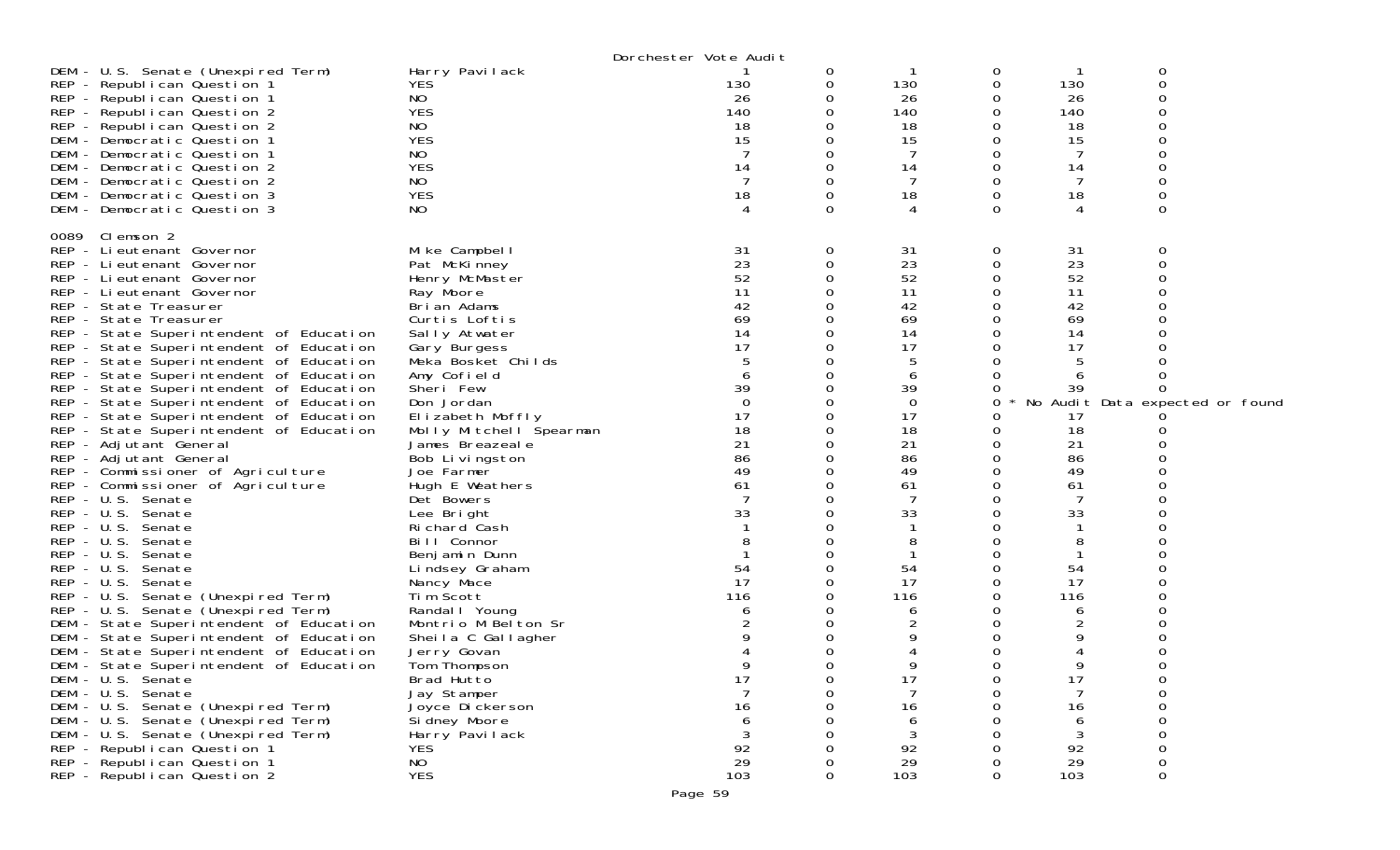|                                         |                                  | Dorchester Vote Audit |              |             |        |         |                                 |
|-----------------------------------------|----------------------------------|-----------------------|--------------|-------------|--------|---------|---------------------------------|
| DEM - U.S. Senate (Unexpired Term)      | Harry Pavilack                   |                       | 0            |             | 0      |         | 0                               |
| REP - Republican Question 1             | YES.                             | 130                   | 0            | 130         | 0      | 130     | 0                               |
| REP - Republican Question 1             | NO                               | 26                    | 0            | 26          | 0      | 26      |                                 |
| REP - Republican Question 2             | <b>YES</b>                       | 140                   | 0            | 140         | 0      | 140     |                                 |
| REP - Republican Question 2             | NO                               | 18                    |              | 18          | 0      | 18      |                                 |
| DEM - Democratic Question 1             | <b>YES</b>                       | 15                    |              | 15          | 0      | 15      |                                 |
| DEM - Democratic Question 1             | NO                               |                       | 0            | 7           | 0      | -7      |                                 |
| DEM - Democratic Question 2             | <b>YES</b>                       | 14                    | 0            | 14          | 0      | 14      |                                 |
| DEM - Democratic Question 2             | NO                               |                       |              |             |        | -7      |                                 |
| DEM - Democratic Question 3             | <b>YES</b>                       | 18                    | 0            | 18          | 0      | 18      |                                 |
| DEM - Democratic Question 3             | NO                               | 4                     | $\Omega$     | 4           | 0      | 4       | 0                               |
| 0089 Clemson 2                          |                                  |                       |              |             |        |         |                                 |
| REP - Lieutenant Governor               | Mike Campbell                    | 31                    | 0            | 31          | 0      | 31      | 0                               |
| REP - Lieutenant Governor               | Pat McKinney                     | 23                    | 0            | 23          | 0      | 23      | 0                               |
| REP - Lieutenant Governor               | Henry McMaster                   | 52                    | $\Omega$     | 52          | 0      | 52      |                                 |
| REP - Lieutenant Governor               | Ray Moore                        | 11                    | 0            | 11          | 0      | 11      |                                 |
| REP - State Treasurer                   | Brian Adams                      | 42                    |              | 42          |        | 42      |                                 |
| REP - State Treasurer                   | Curtis Loftis                    | 69                    | 0            | 69          | 0      | 69      |                                 |
| REP - State Superintendent of Education | Sally Atwater                    | 14                    | 0            | 14          | 0      | 14      |                                 |
| REP - State Superintendent of Education | Gary Burgess                     | 17                    |              | 17          |        | 17      |                                 |
| REP - State Superintendent of Education | Meka Bosket Childs               |                       | 0            | 5           |        |         |                                 |
| REP - State Superintendent of Education | Amy Cofield                      | 6                     |              | 6           |        |         |                                 |
| REP - State Superintendent of Education | Sheri Few                        | 39                    |              | 39          |        | 39      |                                 |
| REP - State Superintendent of Education | Don Jordan                       | $\Omega$              | 0            | $\mathbf 0$ | 0      |         | No Audit Data expected or found |
| REP - State Superintendent of Education | Elizabeth Moffly                 | 17                    |              | 17          | Ω      | 17      |                                 |
| REP - State Superintendent of Education | Molly Mitchell Spearman          | 18                    | 0            | 18          |        | 18      |                                 |
| REP - Adjutant General                  | James Breazeale                  | 21                    | 0            | 21          | 0      | 21      |                                 |
| REP - Adjutant General                  | Bob Livingston                   | 86                    |              | 86          |        | 86      |                                 |
| REP - Commissioner of Agriculture       | Joe Farmer                       | 49                    |              | 49          |        | 49      |                                 |
| REP - Commissioner of Agriculture       | Hugh E Weathers                  | 61                    | 0            | 61          | 0      | 61      |                                 |
| REP - U.S. Senate                       | Det Bowers                       |                       |              | 7           |        | 7       |                                 |
| REP - U.S. Senate                       | Lee Bright                       | 33                    | <sup>o</sup> | 33          | O      | 33      |                                 |
| REP - U.S. Senate                       | Richard Cash                     |                       |              |             |        |         |                                 |
| $REP - U.S.$<br>Senate                  | Bill Connor                      |                       |              | 8           |        | 8       |                                 |
| $REP - U.S.$<br>Senate                  | Benjamin Dunn                    |                       | <sup>o</sup> |             | Ω      |         |                                 |
| $REP - U.S.$<br>Senate                  | Lindsey Graham                   | 54                    | 0            | 54          | 0      | 54      |                                 |
| $REP - U.S.$<br>Senate                  | Nancy Mace                       | 17                    |              | 17          | 0      | 17      |                                 |
| REP - U.S. Senate (Unexpired Term)      | Tim Scott                        | 116                   | <sup>o</sup> | 116         | 0      | 116     |                                 |
| REP - U.S. Senate (Unexpired Term)      | Randal   Young                   | 6                     | 0            | 6           | 0      | 6       |                                 |
| DEM - State Superintendent of Education | Montrio M Belton Sr              |                       | 0            | 2           | 0      | 2       |                                 |
| DEM - State Superintendent of Education | Sheila C Gallagher               |                       | 0            | 9           | 0      | 9       |                                 |
| DEM - State Superintendent of Education | Jerry Govan                      |                       | 0            |             | O      |         |                                 |
| DEM - State Superintendent of Education | Tom Thompson                     | 9                     | 0            | 9           | 0      | 9       | 0                               |
| DEM - U.S. Senate<br>DEM - U.S. Senate  | Brad Hutto                       | 17<br>$\overline{7}$  | 0<br>0       | 17<br>7     | 0<br>0 | 17<br>7 | 0<br>0                          |
| DEM - U.S. Senate (Unexpired Term)      | Jay Stamper                      | 16                    | 0            | 16          | Ω      | 16      | $\Omega$                        |
| DEM - U.S. Senate (Unexpired Term)      | Joyce Dickerson<br>Si dney Moore | 6                     |              | 6           |        | 6       | $\Omega$                        |
| DEM - U.S. Senate (Unexpired Term)      | Harry Pavilack                   | 3                     |              | 3           |        | 3       |                                 |
| REP - Republican Question 1             | <b>YES</b>                       | 92                    |              | 92          |        | 92      | 0                               |
| REP - Republican Question 1             | N <sub>O</sub>                   | 29                    |              | 29          | Ω      | 29      | 0                               |
| REP - Republican Question 2             | <b>YES</b>                       | 103                   | $\Omega$     | 103         | 0      | 103     | 0                               |
|                                         |                                  |                       |              |             |        |         |                                 |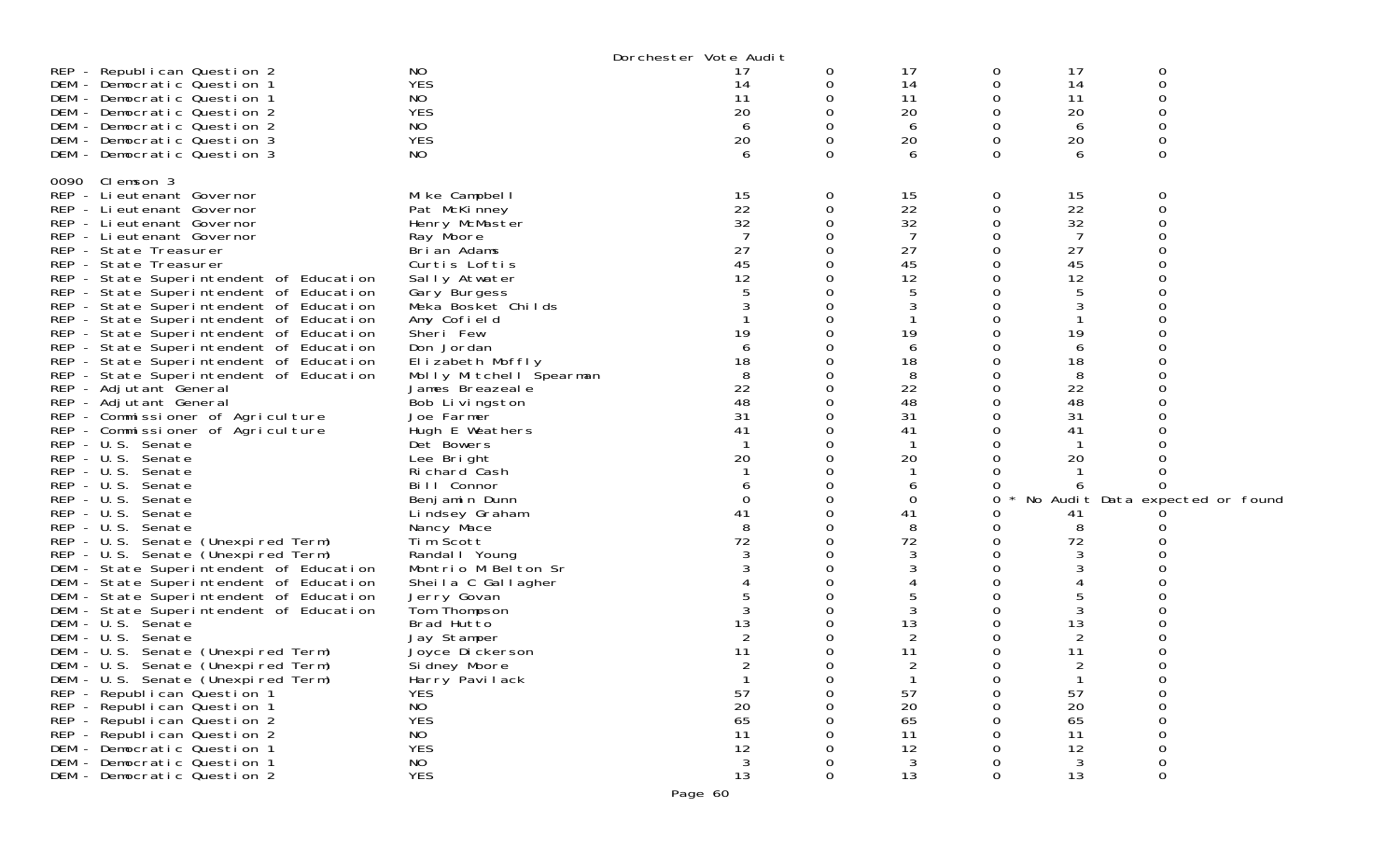|                                         |                         | Dorchester Vote Audit |   |                |          |    |                                 |  |
|-----------------------------------------|-------------------------|-----------------------|---|----------------|----------|----|---------------------------------|--|
| REP - Republican Question 2             | NO                      | 17                    | 0 | 17             | 0        | 17 | 0                               |  |
| DEM - Democratic Question 1             | <b>YES</b>              | 14                    | 0 | 14             | 0        | 14 | $\mathbf 0$                     |  |
| DEM - Democratic Question 1             | NO                      | 11                    | 0 | 11             | O        | 11 | 0                               |  |
| DEM - Democratic Question 2             | <b>YES</b>              | 20                    | 0 | 20             | O        | 20 | $\Omega$                        |  |
| DEM - Democratic Question 2             | NO                      | 6                     | 0 | 6              |          | 6  |                                 |  |
| DEM - Democratic Question 3             | <b>YES</b>              | 20                    | 0 | 20             |          | 20 |                                 |  |
| DEM - Democratic Question 3             | NO                      | 6                     | 0 | 6              | $\Omega$ | 6  | $\Omega$                        |  |
|                                         |                         |                       |   |                |          |    |                                 |  |
| 0090 Clemson 3                          |                         |                       |   |                |          |    |                                 |  |
| REP - Lieutenant Governor               | Mike Campbell           | 15                    | 0 | 15             | 0        | 15 | 0                               |  |
| REP - Lieutenant Governor               | Pat McKinney            | 22                    | 0 | 22             | 0        | 22 | $\mathbf 0$                     |  |
| REP - Lieutenant Governor               | Henry McMaster          | 32                    | 0 | 32             |          | 32 |                                 |  |
| REP - Lieutenant Governor               | Ray Moore               |                       | 0 | 7              |          | 7  |                                 |  |
| REP - State Treasurer                   | Brian Adams             | 27                    |   | 27             |          | 27 |                                 |  |
| REP - State Treasurer                   | Curtis Loftis           | 45                    | 0 | 45             |          | 45 |                                 |  |
| REP - State Superintendent of Education | Sally Atwater           | 12                    | 0 | 12             |          | 12 |                                 |  |
| REP - State Superintendent of Education | Gary Burgess            |                       | Ω | 5              |          | 5  |                                 |  |
| REP - State Superintendent of Education | Meka Bosket Childs      |                       | O | 3              |          |    |                                 |  |
| REP - State Superintendent of Education | Amy Cofield             |                       | Ω | 1              |          |    |                                 |  |
| REP - State Superintendent of Education | Sheri Few               | 19                    | Ω | 19             |          | 19 |                                 |  |
| REP - State Superintendent of Education | Don Jordan              | 6                     | O | 6              |          | 6  |                                 |  |
| REP - State Superintendent of Education | Elizabeth Moffly        | 18                    | 0 | 18             |          | 18 |                                 |  |
| REP - State Superintendent of Education | Molly Mitchell Spearman | 8                     | Ω | 8              |          | 8  |                                 |  |
| REP - Adjutant General                  | James Breazeal e        | 22                    | 0 | 22             | ∩        | 22 |                                 |  |
| REP - Adjutant General                  | Bob Livingston          | 48                    | 0 | 48             |          | 48 |                                 |  |
| REP - Commissioner of Agriculture       | Joe Farmer              | 31                    | Ω | 31             |          | 31 |                                 |  |
| REP - Commissioner of Agriculture       | Hugh E Weathers         | 41                    | 0 | 41             |          | 41 |                                 |  |
| REP - U.S. Senate                       | Det Bowers              |                       | 0 | $\mathbf{1}$   |          |    |                                 |  |
| REP - U.S. Senate                       | Lee Bright              | 20                    |   | 20             |          | 20 |                                 |  |
| REP - U.S. Senate                       | Richard Cash            |                       | O |                |          |    |                                 |  |
| REP - U.S. Senate                       | Bill Connor             |                       | 0 | 6              |          |    |                                 |  |
| REP - U.S. Senate                       | Benjamin Dunn           | 0                     | 0 | 0              | 0        |    | No Audit Data expected or found |  |
| REP - U.S. Senate                       | Lindsey Graham          | 41                    | 0 | 41             |          | 41 |                                 |  |
| REP - U.S. Senate                       | Nancy Mace              | 8                     | 0 | 8              | O        | 8  |                                 |  |
| REP - U.S. Senate (Unexpired Term)      | Tim Scott               | 72                    | 0 | 72             | 0        | 72 |                                 |  |
| REP - U.S. Senate (Unexpired Term)      | Randal   Young          | 3                     | 0 | 3              | ∩        | 3  |                                 |  |
| DEM - State Superintendent of Education | Montrio M Belton Sr     |                       | 0 | 3              |          | 3  |                                 |  |
| DEM - State Superintendent of Education | Sheila C Gallagher      |                       | 0 |                |          |    |                                 |  |
| DEM - State Superintendent of Education | Jerry Govan             |                       | O | 5              |          |    |                                 |  |
| DEM - State Superintendent of Education | Tom Thompson            |                       | Ω | 3              |          | 3  |                                 |  |
| DEM - U.S. Senate                       | Brad Hutto              | 13                    |   | 13             |          | 13 |                                 |  |
| DEM - U.S. Senate                       | Jay Stamper             | 2                     | Ω | $\overline{2}$ |          | 2  |                                 |  |
| DEM - U.S. Senate (Unexpired Term)      | Joyce Dickerson         | 11                    | 0 | 11             | 0        | 11 |                                 |  |
| DEM - U.S. Senate (Unexpired Term)      | Sidney Moore            |                       | 0 | 2              | 0        | 2  | 0                               |  |
| DEM - U.S. Senate (Unexpired Term)      | Harry Pavilack          |                       |   |                |          |    |                                 |  |
| REP - Republican Question 1             | <b>YES</b>              | 57                    | ი | 57             |          | 57 | $\mathsf{O}\xspace$             |  |
| REP - Republican Question 1             | <b>NO</b>               | 20                    |   | 20             |          | 20 | 0                               |  |
| REP - Republican Question 2             | <b>YES</b>              | 65                    |   | 65             |          | 65 | 0                               |  |
| REP - Republican Question 2             | <b>NO</b>               | 11                    |   | 11             |          | 11 |                                 |  |
| DEM - Democratic Question 1             | <b>YES</b>              | 12                    |   | 12             |          | 12 | $\mathsf{O}\xspace$             |  |
| DEM - Democratic Question 1             | <b>NO</b>               | $\mathbf{3}$          |   | 3              |          | 3  | 0                               |  |
| DEM - Democratic Question 2             | <b>YES</b>              | 13                    | O | 13             | $\Omega$ | 13 | $\Omega$                        |  |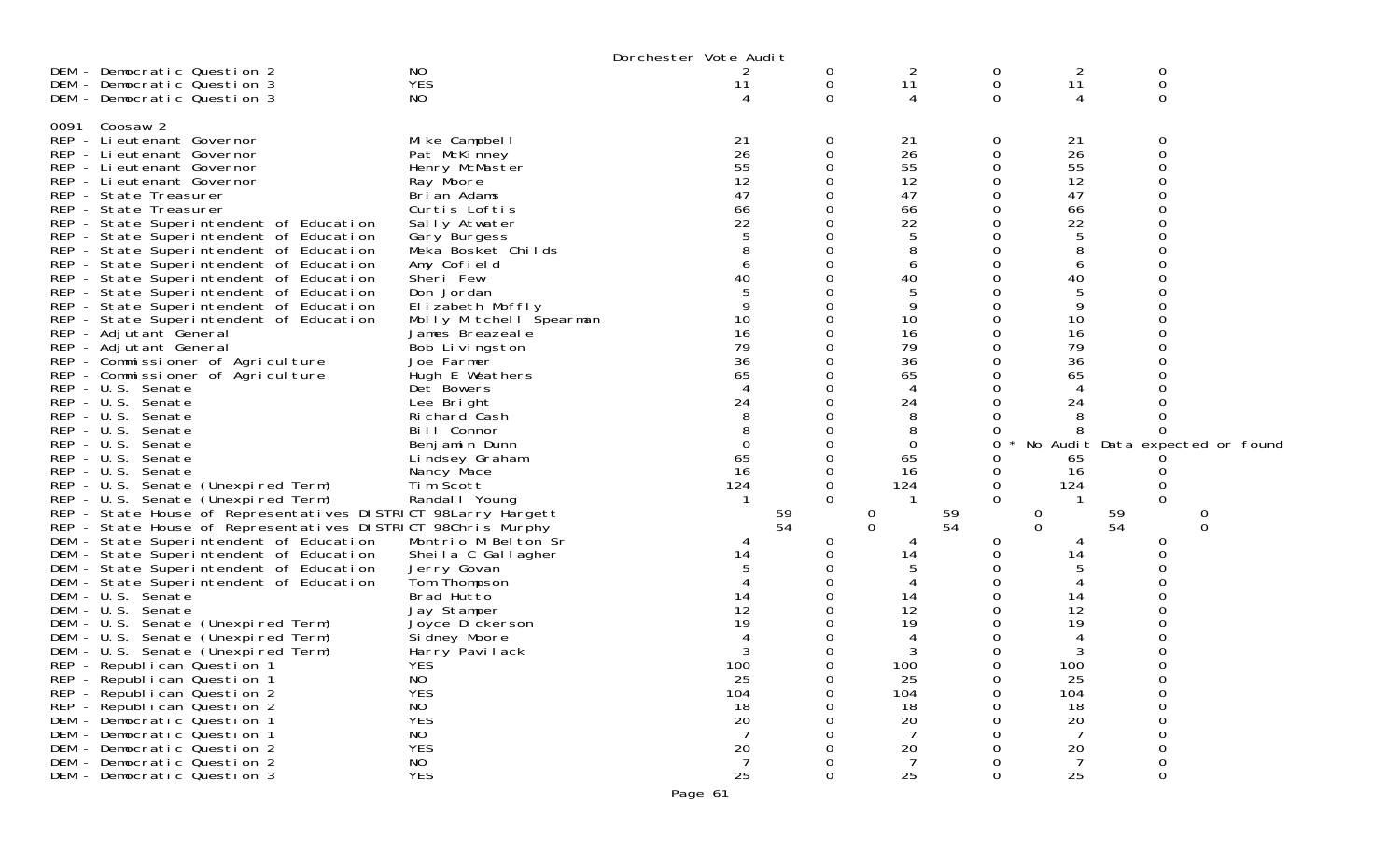|                                                               |                         | Dorchester Vote Audit |          |                |             |                |             |                                 |
|---------------------------------------------------------------|-------------------------|-----------------------|----------|----------------|-------------|----------------|-------------|---------------------------------|
| DEM - Democratic Question 2                                   | NO                      | 2                     | 0        | 2              | 0           | 2              | 0           |                                 |
| DEM - Democratic Question 3                                   | <b>YES</b>              | 11                    | 0        | 11             | $\mathbf 0$ | 11             | $\mathbf 0$ |                                 |
| DEM - Democratic Question 3                                   | NO                      |                       | 0        | $\overline{4}$ | $\Omega$    | 4              | $\mathbf 0$ |                                 |
|                                                               |                         |                       |          |                |             |                |             |                                 |
| Coosaw 2<br>0091                                              |                         |                       |          |                |             |                |             |                                 |
| REP - Lieutenant Governor                                     | Mike Campbell           | 21                    | 0        |                | 0           |                | 0           |                                 |
|                                                               |                         |                       |          | 21             |             | 21             |             |                                 |
| REP - Lieutenant Governor                                     | Pat McKinney            | 26                    | 0        | 26             | 0           | 26             | $\mathbf 0$ |                                 |
| REP - Lieutenant Governor                                     | Henry McMaster          | 55                    | 0        | 55             | 0           | 55             | $\Omega$    |                                 |
| REP - Lieutenant Governor                                     | Ray Moore               | 12                    | ∩        | 12             | 0           | 12             | $\Omega$    |                                 |
| REP - State Treasurer                                         | Brian Adams             | 47                    | 0        | 47             | 0           | 47             | $\Omega$    |                                 |
| REP - State Treasurer                                         | Curtis Loftis           | 66                    | 0        | 66             | 0           | 66             |             |                                 |
| REP - State Superintendent of Education                       | Sally Atwater           | 22                    |          | 22             | $\Omega$    | 22             | $\Omega$    |                                 |
| REP - State Superintendent of Education                       | Gary Burgess            | 5                     | $\Omega$ | 5              | 0           | 5              | 0           |                                 |
| REP - State Superintendent of Education                       | Meka Bosket Childs      |                       |          | 8              | 0           |                |             |                                 |
| REP - State Superintendent of Education                       | Amy Cofield             | 6                     | $\Omega$ | 6              | $\Omega$    | 6              | $\Omega$    |                                 |
| REP - State Superintendent of Education                       | Sheri Few               | 40                    | $\Omega$ | 40             | 0           | 40             | 0           |                                 |
| REP - State Superintendent of Education                       | Don Jordan              |                       |          | 5              | 0           | 5              | $\Omega$    |                                 |
|                                                               | Elizabeth Moffly        |                       | $\Omega$ | 9              | $\Omega$    | 9              | $\Omega$    |                                 |
| REP - State Superintendent of Education                       |                         |                       |          |                |             |                |             |                                 |
| REP - State Superintendent of Education                       | Molly Mitchell Spearman | 10                    | 0        | 10             | 0           | 10             | 0           |                                 |
| REP - Adjutant General                                        | James Breazeale         | 16                    | 0        | 16             | 0           | 16             |             |                                 |
| REP - Adjutant General                                        | Bob Livingston          | 79                    | $\Omega$ | 79             | $\Omega$    | 79             | $\Omega$    |                                 |
| REP - Commissioner of Agriculture                             | Joe Farmer              | 36                    | 0        | 36             | 0           | 36             | 0           |                                 |
| REP - Commissioner of Agriculture                             | Hugh E Weathers         | 65                    |          | 65             | 0           | 65             |             |                                 |
| REP - U.S. Senate                                             | Det Bowers              |                       | ∩        | $\overline{A}$ | 0           | 4              | $\Omega$    |                                 |
| REP - U.S. Senate                                             | Lee Bright              | 24                    | 0        | 24             | 0           | 24             |             |                                 |
| $REP - U.S.$<br>Senate                                        | Ri chard Cash           | 8                     |          | 8              | 0           | 8              |             |                                 |
| $REP - U.S.$<br>Senate                                        | Bill Connor             | 8                     | ∩        | 8              | 0           |                | $\Omega$    |                                 |
| $REP - U.S.$<br>Senate                                        | Benjamin Dunn           | $\boldsymbol{0}$      | 0        | 0              | 0           |                |             | No Audit Data expected or found |
| REP - U.S. Senate                                             | Lindsey Graham          | 65                    | 0        | 65             | 0           | 65             |             |                                 |
| $REP - U.S.$<br>Senate                                        | Nancy Mace              | 16                    | $\Omega$ | 16             | 0           | 16             |             |                                 |
| REP - U.S. Senate (Unexpired Term)                            | Tim Scott               | 124                   | 0        | 124            | 0           | 124            | 0           |                                 |
| REP - U.S. Senate (Unexpired Term)                            | Randal I Young          |                       | $\Omega$ |                | $\Omega$    |                | $\Omega$    |                                 |
| REP - State House of Representatives DISTRICT 98Larry Hargett |                         |                       | 59       | $\theta$       | 59          | 0              | 59          | 0                               |
| REP - State House of Representatives DISTRICT 98Chris Murphy  |                         |                       | 54       | $\mathbf 0$    | 54          | $\mathbf 0$    | 54          | $\mathbf 0$                     |
| DEM - State Superintendent of Education                       | Montrio M Belton Sr     |                       | 0        |                | 0           |                | 0           |                                 |
|                                                               |                         | 14                    | 0        | 14             | 0           | 14             | 0           |                                 |
| DEM - State Superintendent of Education                       | Sheila C Gallagher      |                       |          |                | 0           | 5              | $\Omega$    |                                 |
| DEM - State Superintendent of Education                       | Jerry Govan             |                       |          |                | 0           |                |             |                                 |
| DEM - State Superintendent of Education                       | Tom Thompson            |                       |          |                |             |                |             |                                 |
| DEM - U.S. Senate                                             | Brad Hutto              | 14                    |          | 14             | 0           | 14             | $\Omega$    |                                 |
| DEM - U.S. Senate                                             | Jay Stamper             | 12                    |          | 12             | 0           | 12             |             |                                 |
| DEM - U.S. Senate (Unexpired Term)                            | Joyce Dickerson         | 19                    |          | 19             | 0           | 19             | 0           |                                 |
| DEM - U.S. Senate (Unexpired Term)                            | Sidney Moore            |                       |          | 4              | 0           | 4              | 0           |                                 |
| DEM - U.S. Senate (Unexpired Term)                            | Harry Pavilack          |                       |          |                | 0           |                |             |                                 |
| REP - Republican Question 1                                   | <b>YES</b>              | 100                   | $\Omega$ | 100            | 0           | 100            | 0           |                                 |
| REP - Republican Question 1                                   | N <sub>O</sub>          | 25                    |          | 25             | O           | 25             |             |                                 |
| REP - Republican Question 2                                   | <b>YES</b>              | 104                   |          | 104            | 0           | 104            | $\circ$     |                                 |
| REP - Republican Question 2                                   | NO                      | 18                    |          | 18             |             | 18             | $\mathbf 0$ |                                 |
| DEM - Democratic Question 1                                   | <b>YES</b>              | 20                    |          | 20             |             | 20             | $\Omega$    |                                 |
| DEM - Democratic Question 1                                   | NO                      | $\overline{7}$        |          | $\overline{7}$ |             | 7              |             |                                 |
| DEM - Democratic Question 2                                   | <b>YES</b>              | 20                    |          | 20             | $\Omega$    | 20             | $\Omega$    |                                 |
| DEM - Democratic Question 2                                   | NO                      | $\overline{7}$        |          | 7              | $\Omega$    | $\overline{7}$ | 0           |                                 |
| DEM - Democratic Question 3                                   | <b>YES</b>              | 25                    | 0        | 25             | 0           | 25             | $\mathbf 0$ |                                 |
|                                                               |                         |                       |          |                |             |                |             |                                 |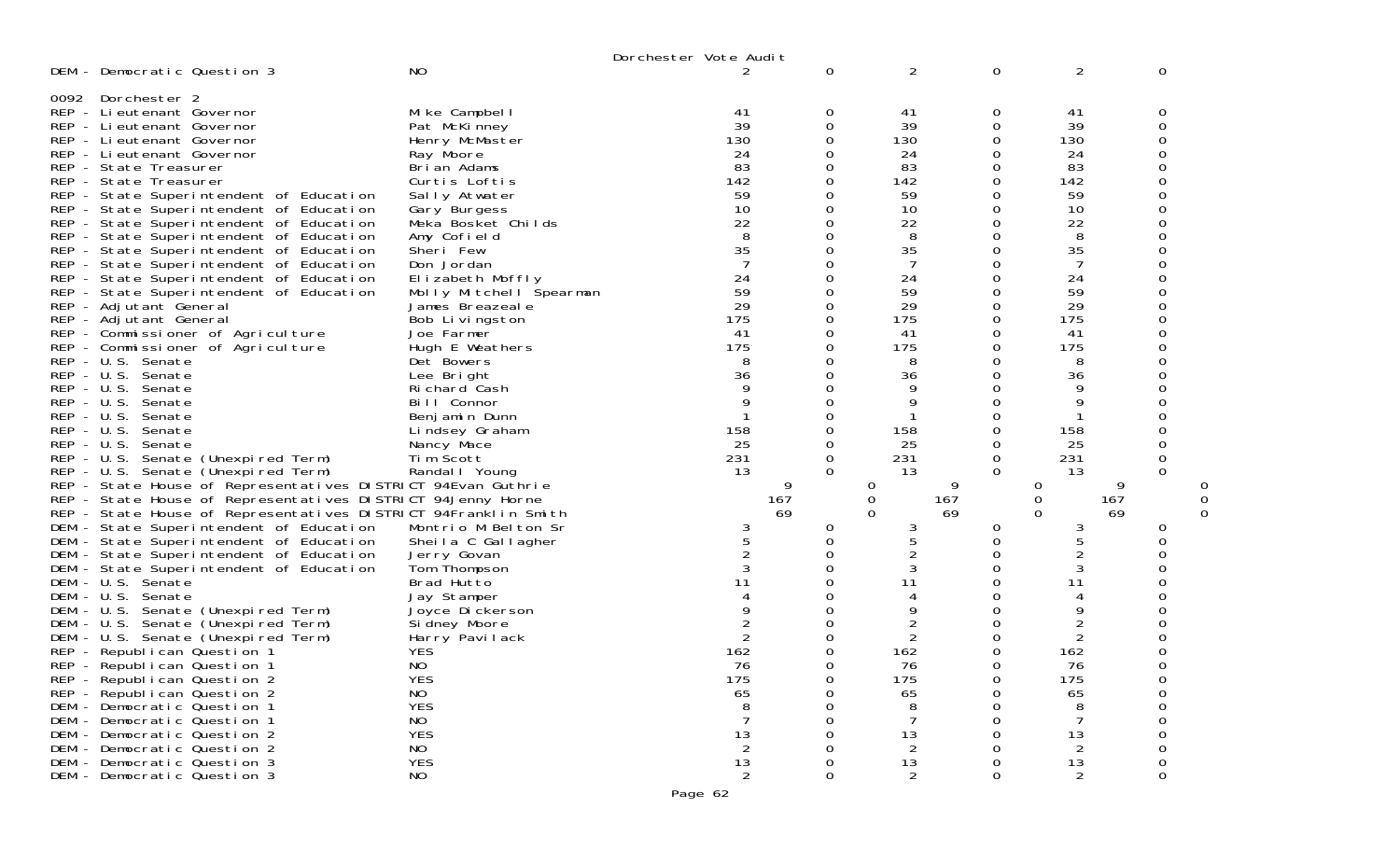| DEM - Democratic Question 3                                                                                                                                                                                                                                                                                                                                                                                                                                                                                                                                                                                                                                                                                                                                                                                                                                                                                                                                                                                                                                                                                                                                                                                                                                                                               | N <sub>O</sub>                                                                                                                                                                                                                                                                                                                                                                                                                                                                                                                            | 2                                                                                                                                                                                                                                                   | $\mathbf 0$                                                                                                                                                    | $\overline{2}$                                                                                                                                                                                                   | $\mathbf 0$                                                                                                                                                                           | 2                                                                                                                                                                                                                                        | 0                                                                                                                                               |
|-----------------------------------------------------------------------------------------------------------------------------------------------------------------------------------------------------------------------------------------------------------------------------------------------------------------------------------------------------------------------------------------------------------------------------------------------------------------------------------------------------------------------------------------------------------------------------------------------------------------------------------------------------------------------------------------------------------------------------------------------------------------------------------------------------------------------------------------------------------------------------------------------------------------------------------------------------------------------------------------------------------------------------------------------------------------------------------------------------------------------------------------------------------------------------------------------------------------------------------------------------------------------------------------------------------|-------------------------------------------------------------------------------------------------------------------------------------------------------------------------------------------------------------------------------------------------------------------------------------------------------------------------------------------------------------------------------------------------------------------------------------------------------------------------------------------------------------------------------------------|-----------------------------------------------------------------------------------------------------------------------------------------------------------------------------------------------------------------------------------------------------|----------------------------------------------------------------------------------------------------------------------------------------------------------------|------------------------------------------------------------------------------------------------------------------------------------------------------------------------------------------------------------------|---------------------------------------------------------------------------------------------------------------------------------------------------------------------------------------|------------------------------------------------------------------------------------------------------------------------------------------------------------------------------------------------------------------------------------------|-------------------------------------------------------------------------------------------------------------------------------------------------|
| 0092<br>Dorchester 2<br>REP - Lieutenant Governor<br>REP - Lieutenant Governor<br>REP - Lieutenant Governor<br>REP - Lieutenant Governor<br>REP - State Treasurer<br>REP - State Treasurer<br>REP - State Superintendent of Education<br>REP - State Superintendent of Education<br>REP - State Superintendent of Education<br>REP - State Superintendent of Education<br>REP - State Superintendent of Education<br>REP - State Superintendent of Education<br>REP - State Superintendent of Education<br>REP - State Superintendent of Education<br>REP - Adjutant General<br>REP - Adjutant General<br>REP - Commissioner of Agriculture<br>REP - Commissioner of Agriculture<br>REP - U.S. Senate<br>REP - U.S. Senate<br>REP - U.S. Senate<br>REP - U.S. Senate<br>- U.S. Senate<br><b>REP</b><br>REP - U.S. Senate<br>REP - U.S. Senate<br>REP - U.S. Senate (Unexpired Term)<br>REP - U.S. Senate (Unexpired Term)<br>REP - State House of Representatives DISTRICT 94Evan Guthrie<br>REP - State House of Representatives DISTRICT 94Jenny Horne<br>REP - State House of Representatives DISTRICT 94Franklin Smith<br>DEM - State Superintendent of Education<br>DEM - State Superintendent of Education<br>DEM<br>- State Superintendent of Education<br>DEM - State Superintendent of Education | Mike Campbell<br>Pat McKinney<br>Henry McMaster<br>Ray Moore<br>Brian Adams<br>Curtis Loftis<br>Sally Atwater<br>Gary Burgess<br>Meka Bosket Childs<br>Amy Cofield<br>Sheri Few<br>Don Jordan<br>Elizabeth Moffly<br>Molly Mitchell Spearman<br>James Breazeale<br>Bob Livingston<br>Joe Farmer<br>Hugh E Weathers<br>Det Bowers<br>Lee Bright<br>Richard Cash<br>Bill Connor<br>Benjamin Dunn<br>Lindsey Graham<br>Nancy Mace<br>Tim Scott<br>Randal I Young<br>Montrio M Belton Sr<br>Sheila C Gallagher<br>Jerry Govan<br>Tom Thompson | Dorchester Vote Audit<br>41<br>39<br>130<br>24<br>83<br>142<br>59<br>10<br>22<br>8<br>35<br>$\overline{7}$<br>24<br>59<br>29<br>175<br>41<br>175<br>8<br>36<br>9<br>9<br>158<br>25<br>231<br>13<br>9<br>167<br>69<br>3<br>$\mathbf 5$<br>$\sqrt{2}$ | 0<br>0<br>0<br>0<br>O<br>0<br>0<br>O<br>0<br>0<br>0<br>0<br>0<br>O<br>0<br>0<br>O<br>0<br>0<br>O<br>0<br>0<br>O<br>0<br>0<br>0<br>$\Omega$<br>0<br>0<br>0<br>0 | 41<br>39<br>130<br>24<br>83<br>142<br>59<br>10<br>22<br>8<br>35<br>7<br>24<br>59<br>29<br>175<br>41<br>175<br>8<br>36<br>9<br>9<br>158<br>25<br>231<br>13<br>9<br>0<br>167<br>0<br>$\Omega$<br>69<br>3<br>5<br>2 | 0<br>0<br>0<br>0<br>0<br>0<br>0<br>0<br>$\Omega$<br>0<br>0<br>0<br>0<br>$\Omega$<br>0<br>0<br>$\Omega$<br>0<br>0<br>0<br>0<br>0<br>$\Omega$<br>0<br>0<br>0<br>$\Omega$<br>0<br>0<br>0 | 41<br>39<br>130<br>24<br>83<br>142<br>59<br>10<br>22<br>8<br>35<br>7<br>24<br>59<br>29<br>175<br>41<br>175<br>8<br>36<br>9<br>9<br>158<br>25<br>231<br>13<br>9<br>0<br>167<br>0<br>$\overline{0}$<br>69<br>3<br>5<br>$\overline{c}$<br>3 | 0<br>0<br>0<br>0<br>0<br>0<br>0<br>0<br>0<br>0<br>0<br>0<br>0<br>0<br>0<br>0<br>0<br>0<br>0<br>O<br>0<br>0<br>0<br>0<br>$\Omega$<br>0<br>0<br>0 |
| DEM - U.S. Senate<br>DEM - U.S. Senate<br>DEM - U.S. Senate (Unexpired Term)                                                                                                                                                                                                                                                                                                                                                                                                                                                                                                                                                                                                                                                                                                                                                                                                                                                                                                                                                                                                                                                                                                                                                                                                                              | Brad Hutto<br>Jay Stamper<br>Joyce Dickerson                                                                                                                                                                                                                                                                                                                                                                                                                                                                                              | 11<br>9                                                                                                                                                                                                                                             | ი<br>0<br>0                                                                                                                                                    | 11<br>9                                                                                                                                                                                                          | 0<br>0<br>0                                                                                                                                                                           | 11<br>4<br>9                                                                                                                                                                                                                             | 0                                                                                                                                               |
| DEM - U.S. Senate (Unexpired Term)<br>DEM - U.S. Senate (Unexpired Term)<br>REP - Republican Question 1<br>REP - Republican Question 1<br>REP - Republican Question 2<br>REP - Republican Question 2<br>DEM - Democratic Question 1<br>DEM - Democratic Question 1<br>DEM - Democratic Question 2<br>DEM - Democratic Question 2<br>DEM - Democratic Question 3<br>DEM - Democratic Question 3                                                                                                                                                                                                                                                                                                                                                                                                                                                                                                                                                                                                                                                                                                                                                                                                                                                                                                            | Sidney Moore<br>Harry Pavilack<br><b>YES</b><br>NO<br><b>YES</b><br>NO<br><b>YES</b><br><b>NO</b><br><b>YES</b><br><b>NO</b><br><b>YES</b><br>NO                                                                                                                                                                                                                                                                                                                                                                                          | $\sqrt{2}$<br>$\overline{2}$<br>162<br>76<br>175<br>65<br>8<br>13<br>$\overline{2}$<br>13<br>$\overline{2}$                                                                                                                                         | 0<br>0<br>0<br>$\Omega$<br>0<br>0<br>0<br>0<br>0<br>0<br>0<br>0                                                                                                | 2<br>$\overline{2}$<br>162<br>76<br>175<br>65<br>8<br>13<br>2<br>13<br>$\overline{2}$                                                                                                                            | 0<br>0<br>0<br>0<br>0<br>0<br>0                                                                                                                                                       | $\sqrt{2}$<br>$\overline{2}$<br>162<br>76<br>175<br>65<br>13<br>2<br>13<br>2                                                                                                                                                             | 0<br>U<br>0<br>0<br>ი<br>0<br>$\mathbf 0$                                                                                                       |

Page 62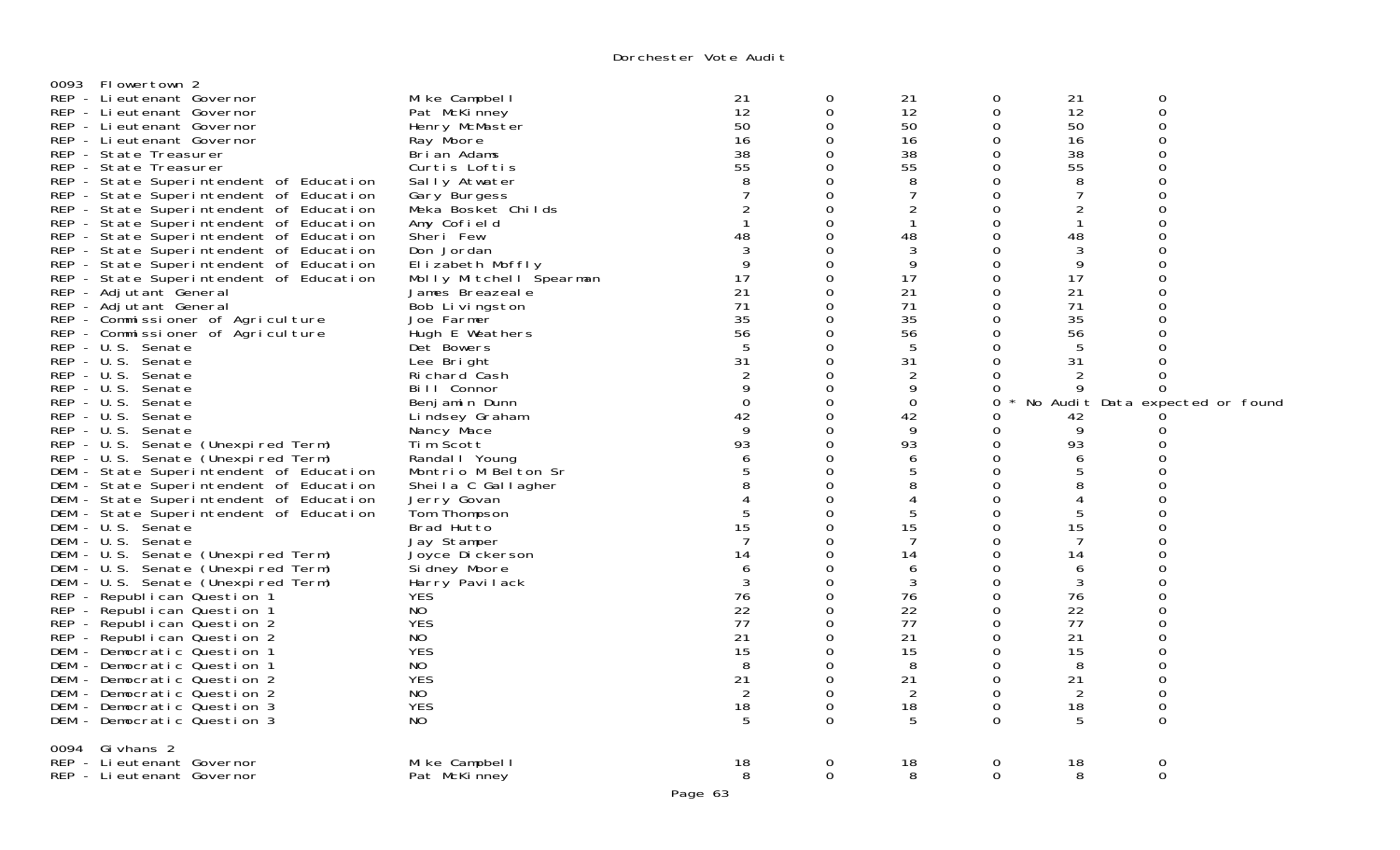| Flowertown 2<br>0093<br>REP - Lieutenant Governor<br>REP - Lieutenant Governor<br>REP - Lieutenant Governor<br>REP - Lieutenant Governor<br>REP - State Treasurer<br>REP - State Treasurer<br>REP - State Superintendent of Education<br>REP - State Superintendent of Education<br>REP - State Superintendent of Education<br>REP - State Superintendent of Education<br>REP - State Superintendent of Education<br>REP - State Superintendent of Education<br>REP - State Superintendent of Education<br>REP - State Superintendent of Education<br>REP - Adjutant General<br>REP - Adjutant General<br>REP - Commissioner of Agriculture<br>REP - Commissioner of Agriculture<br>REP - U.S. Senate<br>REP - U.S. Senate<br>REP - U.S. Senate<br>REP - U.S. Senate<br>REP - U.S. Senate<br>$REP - U.S.$<br>Senate<br>REP - U.S. Senate<br>REP - U.S. Senate (Unexpired Term)<br>REP - U.S. Senate (Unexpired Term)<br>DEM - State Superintendent of Education<br>DEM - State Superintendent of Education<br>DEM - State Superintendent of Education<br>DEM - State Superintendent of Education<br>DEM - U.S. Senate<br>DEM - U.S. Senate<br>DEM - U.S. Senate (Unexpired Term)<br>DEM - U.S. Senate (Unexpired Term)<br>DEM - U.S. Senate (Unexpired Term)<br>REP - Republican Question 1<br>REP - Republican Question 1<br>REP - Republican Question 2<br>REP - Republican Question 2<br>DEM - Democratic Question 1<br>DEM - Democratic Question 1 | Mike Campbell<br>Pat McKinney<br>Henry McMaster<br>Ray Moore<br>Brian Adams<br>Curtis Loftis<br>Sally Atwater<br>Gary Burgess<br>Meka Bosket Childs<br>Amy Cofield<br>Sheri Few<br>Don Jordan<br>Elizabeth Moffly<br>Molly Mitchell Spearman<br>James Breazeale<br>Bob Livingston<br>Joe Farmer<br>Hugh E Weathers<br>Det Bowers<br>Lee Bright<br>Ri chard Cash<br>Bill Connor<br>Benjamin Dunn<br>Lindsey Graham<br>Nancy Mace<br>Tim Scott<br>Randal   Young<br>Montrio M Belton Sr<br>Sheila C Gallagher<br>Jerry Govan<br>Tom Thompson<br>Brad Hutto<br>Jay Stamper<br>Joyce Dickerson<br>Si dney Moore<br>Harry <sup>-</sup> Pavilack<br><b>YES</b><br>NO<br><b>YES</b><br>NO.<br><b>YES</b><br>NO. | 21<br>12<br>50<br>16<br>38<br>55<br>2<br>48<br>9<br>17<br>21<br>71<br>35<br>56<br>31<br>9<br>$\mathbf 0$<br>42<br>9<br>93<br>6<br>8<br>15<br>7<br>14<br>6<br>3<br>76<br>22<br>77<br>21<br>15<br>8 | 0<br>0<br>$\Omega$<br>$\Omega$<br>0<br>0<br>0<br>0<br>$\mathbf 0$<br>$\Omega$<br>0<br>$\Omega$<br>$\Omega$<br>0<br>0<br>0<br>0<br>0<br>$\Omega$<br>0<br>$\Omega$<br>$\Omega$<br>0<br>$\Omega$<br>0<br>0<br>0<br>$\Omega$<br>0<br>$\Omega$<br>$\Omega$<br>0<br>$\Omega$<br>0<br>0<br>0<br>$\Omega$<br>0<br>$\Omega$<br>$\Omega$<br>0<br>$\Omega$ | 21<br>12<br>50<br>16<br>38<br>55<br>8<br>7<br>2<br>-1<br>48<br>3<br>9<br>17<br>21<br>71<br>35<br>56<br>5<br>31<br>$\overline{2}$<br>9<br>$\mathbf 0$<br>42<br>9<br>93<br>6<br>5<br>8<br>4<br>5<br>15<br>7<br>14<br>6<br>3<br>76<br>22<br>77<br>21<br>15<br>8 | 0<br>0<br>0<br>0<br>0<br>$\mathbf 0$<br>0<br>0<br>0<br>$\Omega$<br>0<br>$\Omega$<br>0<br>0<br>$\mathbf 0$<br>0<br>0<br>0<br>$\Omega$<br>0<br>$\Omega$<br>0<br>$\mathbf 0$<br>0<br>0<br>$\Omega$<br>0<br>0<br>0<br>$\Omega$<br>0<br>0<br>0<br>0<br>0<br>0<br>0<br>0<br>$\Omega$<br>0<br>0<br>$\Omega$ | 21<br>12<br>50<br>16<br>38<br>55<br>8<br>7<br>$\overline{2}$<br>48<br>3<br>9<br>17<br>21<br>71<br>35<br>56<br>5<br>31<br>9<br>42<br>9<br>93<br>6<br>5<br>8<br>4<br>5<br>15<br>7<br>14<br>6<br>3<br>76<br>22<br>77<br>21<br>15<br>8 | $\mathbf 0$<br>0<br>$\Omega$<br>$\Omega$<br>$\Omega$<br>∩<br>$\Omega$<br>∩<br>∩<br>O<br>∩<br>$\Omega$<br>0<br>$\Omega$<br>0<br>No Audit Data expected or found<br>∩<br>∩<br>$\Omega$<br>$\Omega$<br>0<br>$\Omega$<br>∩<br>∩<br>$\Omega$<br>∩<br>$\Omega$<br>$\Omega$<br>$\Omega$ |
|--------------------------------------------------------------------------------------------------------------------------------------------------------------------------------------------------------------------------------------------------------------------------------------------------------------------------------------------------------------------------------------------------------------------------------------------------------------------------------------------------------------------------------------------------------------------------------------------------------------------------------------------------------------------------------------------------------------------------------------------------------------------------------------------------------------------------------------------------------------------------------------------------------------------------------------------------------------------------------------------------------------------------------------------------------------------------------------------------------------------------------------------------------------------------------------------------------------------------------------------------------------------------------------------------------------------------------------------------------------------------------------------------------------------------------------------------------|----------------------------------------------------------------------------------------------------------------------------------------------------------------------------------------------------------------------------------------------------------------------------------------------------------------------------------------------------------------------------------------------------------------------------------------------------------------------------------------------------------------------------------------------------------------------------------------------------------------------------------------------------------------------------------------------------------|---------------------------------------------------------------------------------------------------------------------------------------------------------------------------------------------------|-------------------------------------------------------------------------------------------------------------------------------------------------------------------------------------------------------------------------------------------------------------------------------------------------------------------------------------------------|--------------------------------------------------------------------------------------------------------------------------------------------------------------------------------------------------------------------------------------------------------------|------------------------------------------------------------------------------------------------------------------------------------------------------------------------------------------------------------------------------------------------------------------------------------------------------|------------------------------------------------------------------------------------------------------------------------------------------------------------------------------------------------------------------------------------|----------------------------------------------------------------------------------------------------------------------------------------------------------------------------------------------------------------------------------------------------------------------------------|
| DEM - Democratic Question 2<br>DEM - Democratic Question 2<br>DEM - Democratic Question 3<br>DEM - Democratic Question 3                                                                                                                                                                                                                                                                                                                                                                                                                                                                                                                                                                                                                                                                                                                                                                                                                                                                                                                                                                                                                                                                                                                                                                                                                                                                                                                               | <b>YES</b><br>NO<br><b>YES</b><br>NO.                                                                                                                                                                                                                                                                                                                                                                                                                                                                                                                                                                                                                                                                    | 21<br>2<br>18<br>5                                                                                                                                                                                | $\mathbf 0$<br>0<br>$\mathbf 0$<br>$\Omega$                                                                                                                                                                                                                                                                                                     | 21<br>2<br>18<br>5                                                                                                                                                                                                                                           | $\mathbf 0$<br>0<br>$\mathbf 0$<br>0                                                                                                                                                                                                                                                                 | 21<br>2<br>18<br>5                                                                                                                                                                                                                 | 0<br>0<br>$\Omega$                                                                                                                                                                                                                                                               |
| 0094 Givhans 2<br>REP - Lieutenant Governor<br>REP - Lieutenant Governor                                                                                                                                                                                                                                                                                                                                                                                                                                                                                                                                                                                                                                                                                                                                                                                                                                                                                                                                                                                                                                                                                                                                                                                                                                                                                                                                                                               | Mike Campbell<br>Pat McKinney                                                                                                                                                                                                                                                                                                                                                                                                                                                                                                                                                                                                                                                                            | 18<br>8<br>$D = -2$                                                                                                                                                                               | $\mathbf 0$<br>$\Omega$                                                                                                                                                                                                                                                                                                                         | 18<br>8                                                                                                                                                                                                                                                      | 0<br>$\Omega$                                                                                                                                                                                                                                                                                        | 18<br>8                                                                                                                                                                                                                            | 0<br>$\mathbf 0$                                                                                                                                                                                                                                                                 |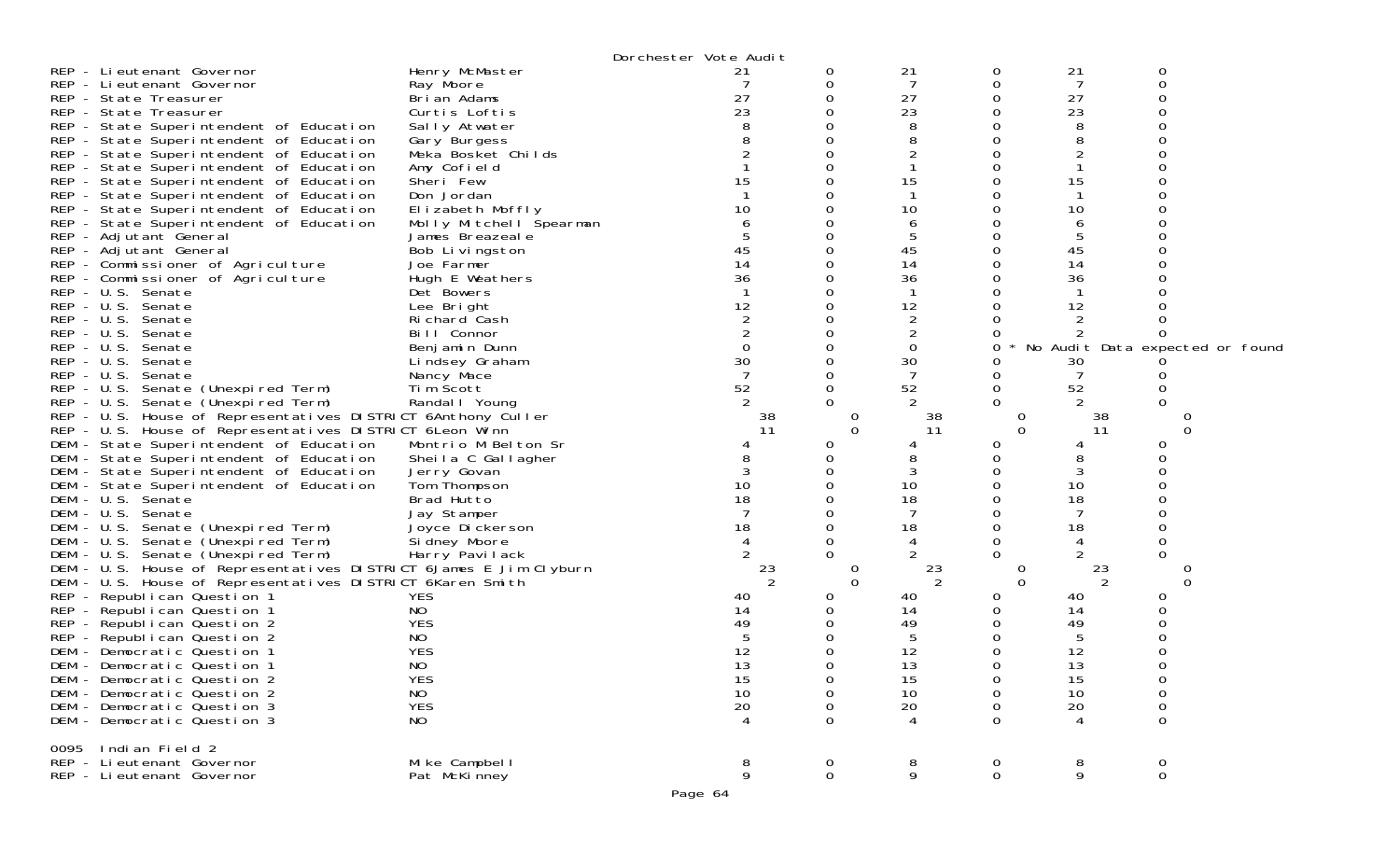|                                                                   | Dorchester Vote Audit                 |                                |                          |                                 |
|-------------------------------------------------------------------|---------------------------------------|--------------------------------|--------------------------|---------------------------------|
| REP - Lieutenant Governor                                         | Henry McMaster<br>21                  | 21<br>0                        | 21<br>0                  | 0                               |
| REP - Lieutenant Governor<br>Ray Moore                            |                                       | 7<br>0                         | 7<br>0                   | $\Omega$                        |
| REP - State Treasurer                                             | 27<br>Brian Adams                     | 27<br>0                        | 27<br>0                  |                                 |
| REP - State Treasurer                                             | 23<br>Curtis Loftis                   | 23                             | 23                       |                                 |
| REP - State Superintendent of Education                           | Sally Atwater                         | 8                              | 8                        |                                 |
| REP - State Superintendent of Education                           | Gary Burgess                          |                                | 8                        |                                 |
| REP - State Superintendent of Education                           | Meka Bosket Childs                    |                                | 2                        |                                 |
| REP - State Superintendent of Education                           | Amy Cofield                           |                                |                          |                                 |
| Sheri Few<br>REP - State Superintendent of Education              | 15                                    | 15                             | 15                       |                                 |
| REP - State Superintendent of Education<br>Don Jordan             |                                       |                                |                          |                                 |
| REP - State Superintendent of Education                           | 10<br>Elizabeth Moffly                | 10                             | 10                       |                                 |
| REP - State Superintendent of Education                           | Molly Mitchell Spearman               | 6                              | 6                        |                                 |
| REP - Adjutant General                                            | James Breazeale                       | 5                              | 5                        |                                 |
| REP - Adjutant General                                            | 45<br>Bob Livingston                  | 45                             | 45                       |                                 |
| REP - Commissioner of Agriculture<br>Joe Farmer                   | 14                                    | 14                             | 14                       |                                 |
| REP - Commissioner of Agriculture                                 | 36<br>Hugh E Weathers                 | 36                             | 36                       |                                 |
| REP - U.S. Senate<br>Det Bowers                                   | 12                                    |                                |                          |                                 |
| REP - U.S. Senate<br>Lee Bright                                   |                                       | 12                             | 12                       |                                 |
| REP - U.S. Senate<br>REP - U.S. Senate                            | Richard Cash<br>Bill Connor           | 2<br>2                         | $\overline{2}$           |                                 |
| REP - U.S. Senate                                                 | $\mathbf 0$                           | $\Omega$                       | 0                        | No Audit Data expected or found |
| $REP - U.S.$<br>Senate                                            | Benjamin Dunn<br>30<br>Lindsey Graham | 30                             | 30                       |                                 |
| REP - U.S. Senate<br>Nancy Mace                                   |                                       |                                |                          |                                 |
| REP - U.S. Senate (Unexpired Term)<br>Tim Scott                   | 52                                    | 52<br>0                        | 0<br>52                  |                                 |
| REP - U.S. Senate (Unexpired Term)                                | Randal I Young                        | 2                              | 2                        |                                 |
| REP - U.S. House of Representatives DISTRICT 6Anthony Culler      | 38                                    | 38<br>0                        | O                        | 38                              |
| REP - U.S. House of Representatives DISTRICT 6Leon Winn           | 11                                    | $\Omega$<br>11                 | $\Omega$                 | 11<br>$\Omega$                  |
| DEM - State Superintendent of Education                           | Montrio M Belton Sr                   | 0                              | 4                        |                                 |
| DEM - State Superintendent of Education                           | Sheila C Gallagher                    |                                | 8                        |                                 |
| DEM - State Superintendent of Education                           | 3<br>Jerry Govan                      | 3                              | 3                        |                                 |
| DEM - State Superintendent of Education                           | 10<br>Tom Thompson                    | 10                             | 10                       |                                 |
| DEM - U.S. Senate<br>Brad Hutto                                   | 18                                    | 18                             | 18                       |                                 |
| DEM - U.S. Senate                                                 | Jay Stamper                           | 7                              | 7                        |                                 |
| DEM - U.S. Senate (Unexpired Term)                                | 18<br>Joyce Dickerson                 | 18                             | 18                       |                                 |
| DEM - U.S. Senate (Unexpired Term)                                | Si dney Moore                         |                                | 4                        |                                 |
| - U.S. Senate (Unexpired Term)<br>DEM                             | Harry Pavilack                        |                                |                          |                                 |
| DEM - U.S. House of Representatives DISTRICT 6James E Jim Clyburn | 23                                    | 23<br>0                        | O                        | 23                              |
| DEM - U.S. House of Representatives DISTRICT 6Karen Smith         |                                       | 2<br>$\Omega$                  | $\Omega$                 | 2<br>∩                          |
| REP - Republican Question 1<br><b>YES</b>                         | 40                                    | 40                             | 40                       |                                 |
| NO<br>REP - Republican Question 1                                 | 14                                    | 14                             | 14                       |                                 |
| <b>YES</b><br>REP - Republican Question 2                         | 49                                    | 49                             | 49                       |                                 |
| NO<br>REP - Republican Question 2                                 |                                       | 5                              | 5                        |                                 |
| <b>YES</b><br>DEM - Democratic Question 1                         | 12                                    | 12                             | 12                       |                                 |
| NO<br>DEM - Democratic Question 1                                 | 13                                    | 13                             | 13                       |                                 |
| <b>YES</b><br>DEM - Democratic Question 2                         | 15                                    | 15<br>0                        | 15                       | 0                               |
| NO<br>DEM - Democratic Question 2<br>DEM - Democratic Question 3  | 10                                    | 10<br>0                        | 10<br>0                  | 0                               |
| <b>YES</b><br>DEM - Democratic Question 3<br>NO                   | 20<br>$\overline{4}$                  | 20<br>0<br>0<br>$\overline{4}$ | 20<br>0<br>$\Omega$<br>4 | 0<br>0                          |
|                                                                   |                                       |                                |                          |                                 |
| Indian Field 2<br>0095                                            |                                       |                                |                          |                                 |
| REP - Lieutenant Governor                                         | 8<br>Mike Campbell                    | 8<br>$\overline{0}$            | 8<br>$\mathbf 0$         | $\mathbf 0$                     |
| REP - Li eutenant Governor                                        | 9<br>Pat McKinney                     | $\mathbf 0$<br>9               | $\mathbf 0$<br>9         | $\mathbf{O}$                    |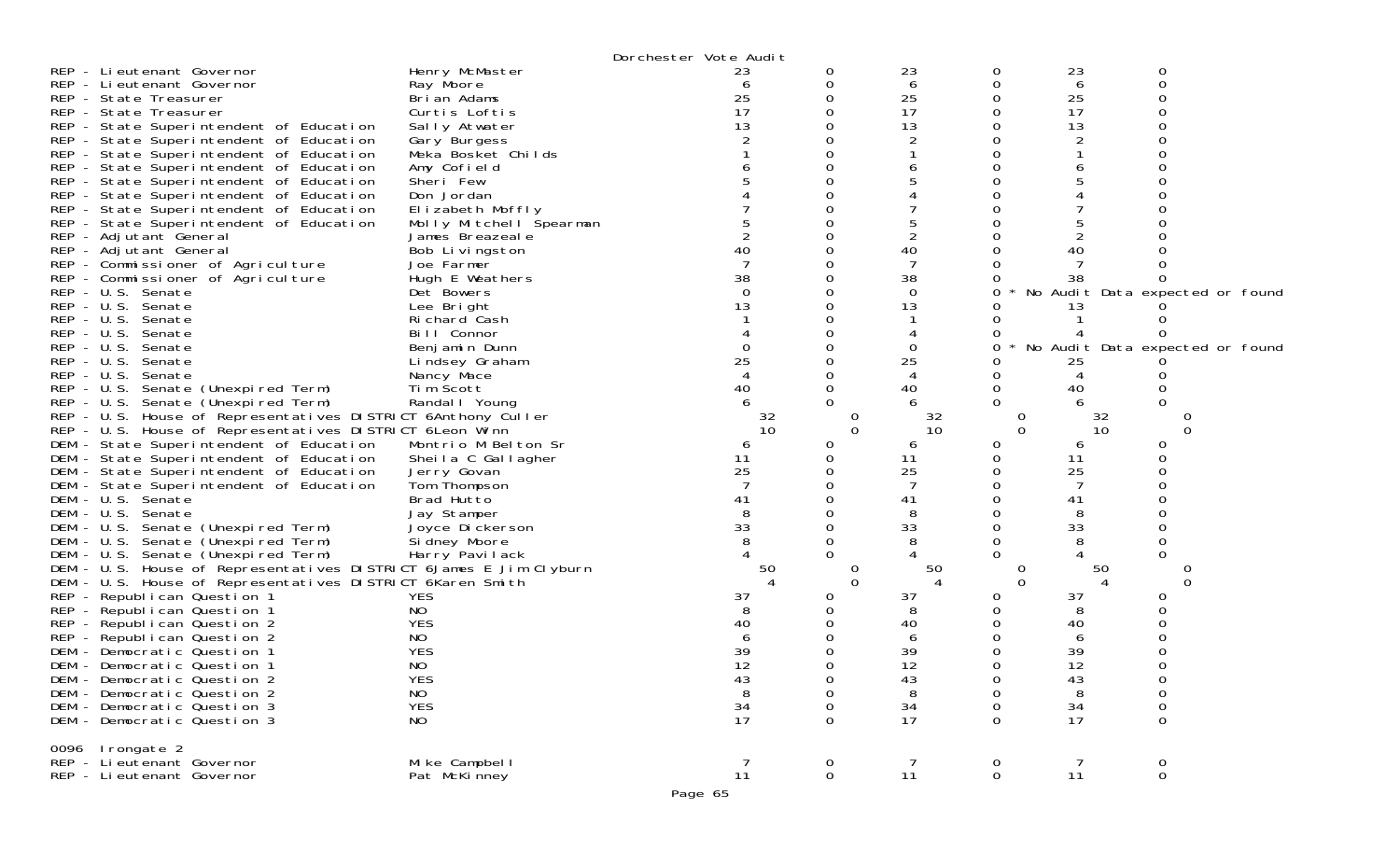|                             | Dorchester Vote Audit                                                              |                         |                |          |                      |                |                  |                          |                                 |
|-----------------------------|------------------------------------------------------------------------------------|-------------------------|----------------|----------|----------------------|----------------|------------------|--------------------------|---------------------------------|
| REP - Lieutenant Governor   |                                                                                    | Henry McMaster          | 23             |          | 0                    | 23             | 0                | 23                       | 0                               |
| REP - Lieutenant Governor   |                                                                                    | Ray Moore               | 6              |          | 0                    | 6              | 0                | 6                        | 0                               |
| REP - State Treasurer       |                                                                                    | Brian Adams             | 25             |          | 0                    | 25             | 0                | 25                       | O                               |
| REP - State Treasurer       |                                                                                    | Curtis Loftis           | 17             |          | 0                    | 17             | 0                | 17                       |                                 |
|                             | REP - State Superintendent of Education                                            | Sally Atwater           | 13             |          | 0                    | 13             | 0                | 13                       |                                 |
|                             | REP - State Superintendent of Education                                            | Gary Burgess            |                |          | $\Omega$             |                | <sup>0</sup>     |                          |                                 |
|                             | REP - State Superintendent of Education                                            | Meka Bosket Childs      |                |          |                      |                |                  |                          |                                 |
|                             | REP - State Superintendent of Education                                            | Amy Cofield             |                |          | $\Omega$             |                | Ω                |                          |                                 |
|                             | REP - State Superintendent of Education                                            | Sheri Few               |                |          |                      |                | ∩                |                          |                                 |
|                             | REP - State Superintendent of Education                                            | Don Jordan              |                |          |                      |                |                  |                          |                                 |
|                             | REP - State Superintendent of Education                                            | Elizabeth Moffly        |                |          |                      |                |                  |                          |                                 |
|                             | REP - State Superintendent of Education                                            | Molly Mitchell Spearman |                |          | 0                    |                | $\Omega$         |                          |                                 |
| REP - Adjutant General      |                                                                                    | James Breazeale         |                |          | 0                    | $\overline{2}$ |                  |                          |                                 |
| REP - Adjutant General      |                                                                                    | Bob Livingston          | 40             |          |                      | 40             |                  | 40                       |                                 |
|                             | REP - Commissioner of Agriculture                                                  | Joe Farmer              |                |          | 0                    | 7              | $\Omega$         |                          |                                 |
|                             | REP - Commissioner of Agriculture                                                  | Hugh E Weathers         | 38             |          |                      | 38             |                  | 38                       |                                 |
| REP - U.S. Senate           |                                                                                    | Det Bowers              | $\Omega$       |          | 0                    | 0              | 0                |                          | No Audit Data expected or found |
| REP - U.S. Senate           |                                                                                    | Lee Bright              | 13             |          | 0                    | 13             | $\left( \right)$ | 13                       |                                 |
| REP - U.S. Senate           |                                                                                    | Richard Cash            |                |          |                      |                |                  |                          |                                 |
| REP - U.S. Senate           |                                                                                    | Bill Connor             |                |          | $\Omega$             |                | 0                |                          |                                 |
| REP - U.S. Senate           |                                                                                    | Benjamin Dunn           | $\Omega$       |          | 0                    | 0              | 0                |                          | No Audit Data expected or found |
| $REP - U.S.$                | Senate                                                                             | Lindsey Graham          | 25             |          |                      | 25             | 0                | 25                       |                                 |
| REP - U.S. Senate           |                                                                                    | Nancy Mace              |                |          | $\Omega$             |                | 0                | 4                        |                                 |
|                             | REP - U.S. Senate (Unexpired Term)                                                 | Tim Scott               | 40             |          | 0                    | 40             | $\Omega$         | 40                       |                                 |
|                             | REP - U.S. Senate (Unexpired Term)                                                 | Randal I Young          |                |          | $\Omega$             |                | $\Omega$         |                          |                                 |
|                             | REP - U.S. House of Representatives DISTRICT 6Anthony Culler                       |                         |                | 32<br>10 | $\Omega$<br>$\Omega$ | 32<br>10       | 0<br>$\Omega$    | 32<br>10                 | 0                               |
|                             | REP - U.S. House of Representatives DISTRICT 6Leon Winn                            | Montrio M Belton Sr     | 6              |          | $\Omega$             |                | 0                | 6                        | Ω                               |
|                             | DEM - State Superintendent of Education<br>DEM - State Superintendent of Education | Sheila C Gallagher      | 11             |          | 0                    | 6<br>11        | 0                | 11                       |                                 |
|                             | DEM - State Superintendent of Education                                            | Jerry Govan             | 25             |          | 0                    | 25             | 0                | 25                       |                                 |
|                             | DEM - State Superintendent of Education                                            | Tom Thompson            |                |          |                      | 7              |                  | 7                        |                                 |
| DEM - U.S. Senate           |                                                                                    | Brad Hutto              | 41             |          | $\Omega$             | 41             | 0                | 41                       |                                 |
| DEM - U.S. Senate           |                                                                                    | Jay Stamper             | 8              |          | 0                    | 8              | 0                | 8                        |                                 |
|                             | DEM - U.S. Senate (Unexpired Term)                                                 | Joyce Dickerson         | 33             |          |                      | 33             |                  | 33                       |                                 |
|                             | DEM - U.S. Senate (Unexpired Term)                                                 | Si dney Moore           |                |          | $\Omega$             | 8              |                  |                          |                                 |
| DEM                         | - U.S. Senate (Unexpired Term)                                                     | Harry Pavilack          |                |          |                      |                |                  |                          |                                 |
|                             | DEM - U.S. House of Representatives DISTRICT 6James E Jim Clyburn                  |                         |                | 50       | 0                    | 50             | 0                | 50                       |                                 |
|                             | DEM - U.S. House of Representatives DISTRICT 6Karen Smith                          |                         |                |          | $\Omega$             | $\Delta$       | $\Omega$         | $\boldsymbol{\varDelta}$ | $\Omega$                        |
| REP - Republican Question 1 |                                                                                    | <b>YES</b>              | 37             |          | O                    | 37             | O                | 37                       |                                 |
| REP - Republican Question 1 |                                                                                    | NO.                     | 8              |          |                      | 8              |                  | 8                        |                                 |
| REP - Republican Question 2 |                                                                                    | <b>YES</b>              | 40             |          | 0                    | 40             |                  | 40                       |                                 |
| REP - Republican Question 2 |                                                                                    | NO                      | 6              |          | 0                    | 6              |                  | 6                        |                                 |
| DEM - Democratic Question 1 |                                                                                    | <b>YES</b>              | 39             |          | 0                    | 39             |                  | 39                       |                                 |
| DEM - Democratic Question 1 |                                                                                    | NO.                     | 12             |          | $\Omega$             | 12             |                  | 12                       |                                 |
| DEM - Democratic Question 2 |                                                                                    | <b>YES</b>              | 43             |          | 0                    | 43             | 0                | 43                       | 0                               |
| DEM - Democratic Question 2 |                                                                                    | NO                      | 8              |          | 0                    | 8              | 0                | 8                        | 0                               |
| DEM - Democratic Question 3 |                                                                                    | <b>YES</b>              | 34             |          | 0                    | 34             | $\Omega$         | 34                       | $\mathbf 0$                     |
| DEM - Democratic Question 3 |                                                                                    | NO                      | 17             |          | 0                    | 17             | $\Omega$         | 17                       | 0                               |
| 0096 Irongate 2             |                                                                                    |                         |                |          |                      |                |                  |                          |                                 |
| REP - Lieutenant Governor   |                                                                                    | Mike Campbell           | $\overline{7}$ |          | $\overline{0}$       | $\overline{7}$ | $\overline{0}$   | $\overline{7}$           | $\overline{0}$                  |
| REP - Li eutenant Governor  |                                                                                    | Pat McKinney            | 11             |          | $\mathbf 0$          | 11             | $\overline{0}$   | 11                       | $\mathbf 0$                     |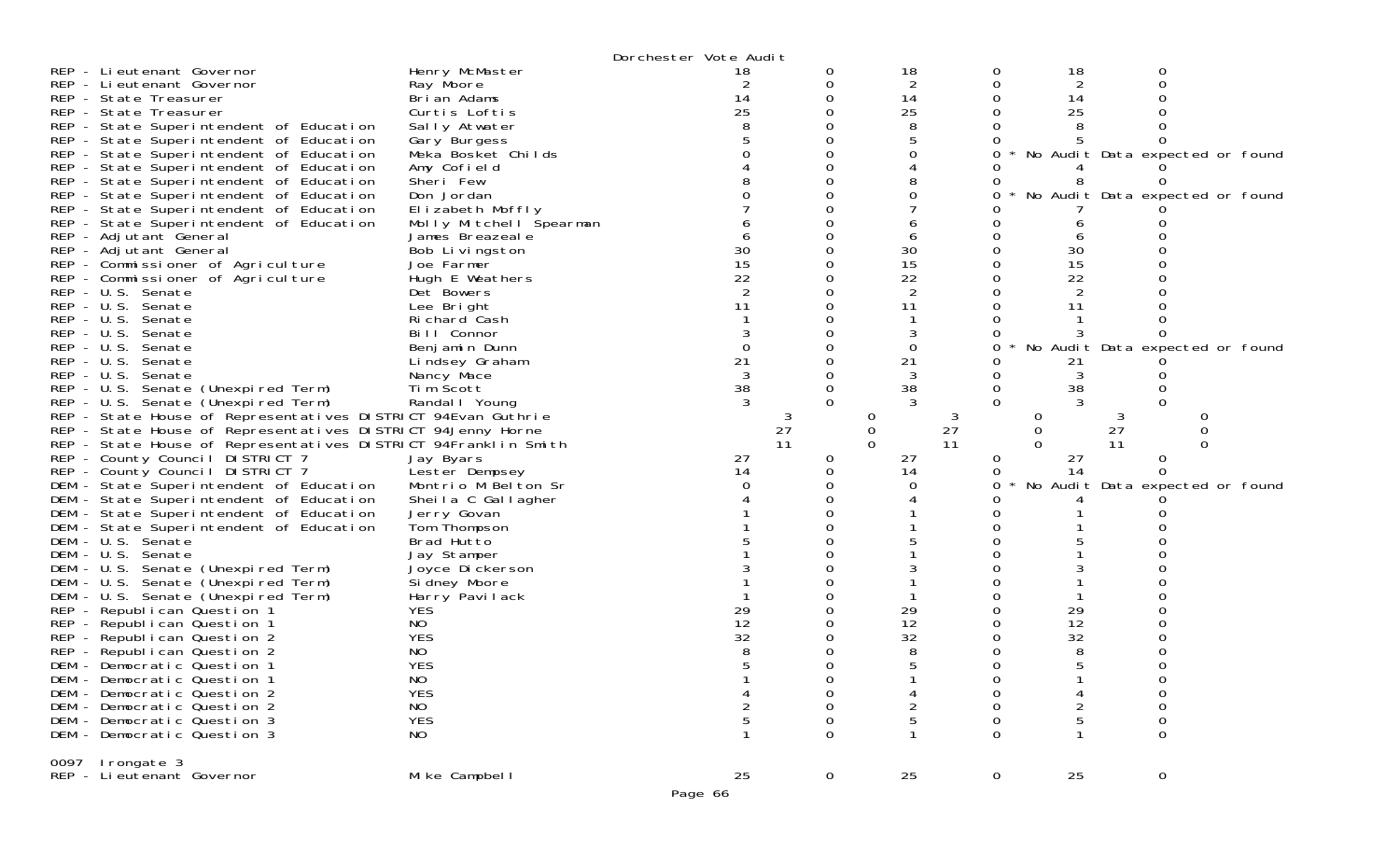|                                                                |                         | Dorchester Vote Audit |             |                |          |                |                  |                                 |
|----------------------------------------------------------------|-------------------------|-----------------------|-------------|----------------|----------|----------------|------------------|---------------------------------|
| REP - Lieutenant Governor                                      | Henry McMaster          | 18                    | 0           | 18             |          | 18             |                  |                                 |
| REP - Lieutenant Governor                                      | Ray Moore               |                       | 0           | 2              |          | 2              |                  |                                 |
| REP - State Treasurer                                          | Brian Adams             | 14                    | 0           | 14             |          | 14             |                  |                                 |
| REP - State Treasurer                                          | Curtis Loftis           | 25                    |             | 25             |          | 25             |                  |                                 |
| REP - State Superintendent of Education                        | Sally Atwater           |                       |             | 8              |          |                |                  |                                 |
| REP - State Superintendent of Education                        | Gary Burgess            |                       |             |                |          |                |                  |                                 |
| REP - State Superintendent of Education                        | Meka Bosket Childs      |                       |             |                |          |                |                  | No Audit Data expected or found |
| REP - State Superintendent of Education                        | Amy Cofield             |                       |             |                |          |                |                  |                                 |
| REP - State Superintendent of Education                        | Sheri Few               |                       |             |                |          |                |                  |                                 |
| REP - State Superintendent of Education                        | Don Jordan              |                       |             |                |          |                |                  | No Audit Data expected or found |
| REP - State Superintendent of Education                        | Elizabeth Moffly        |                       |             |                |          |                |                  |                                 |
| REP - State Superintendent of Education                        | Molly Mitchell Spearman |                       |             |                |          |                |                  |                                 |
| REP - Adjutant General                                         | James Breazeal e        |                       |             |                |          |                |                  |                                 |
| REP - Adjutant General                                         | Bob Livingston          | 30                    |             | 30             |          | 30             |                  |                                 |
| REP - Commissioner of Agriculture                              | Joe Farmer              | 15                    |             | 15             |          | 15             |                  |                                 |
| REP - Commissioner of Agriculture                              | Hugh E Weathers         | 22                    |             | 22             |          | 22             |                  |                                 |
| REP - U.S. Senate                                              | Det Bowers              |                       |             | 2              |          | 2              |                  |                                 |
| REP - U.S. Senate                                              | Lee Bright              | 11                    |             | 11             |          | 11             |                  |                                 |
| REP - U.S. Senate                                              | Richard Cash            |                       |             |                |          |                |                  |                                 |
| REP - U.S. Senate                                              | Bill Connor             |                       |             |                |          |                |                  |                                 |
| REP - U.S. Senate                                              | Benjamin Dunn           | $\Omega$              |             | 0              |          |                |                  | No Audit Data expected or found |
| $REP - U.S.$<br>Senate                                         | Lindsey Graham          | 21                    |             | 21             |          | 21             |                  |                                 |
| REP - U.S. Senate                                              | Nancy Mace              |                       |             |                |          |                |                  |                                 |
| REP - U.S. Senate (Unexpired Term)                             | Tim Scott               | 38                    | 0           | 38             |          | 38<br>0        |                  |                                 |
| REP - U.S. Senate (Unexpired Term)                             | Randal   Young          |                       |             |                |          |                |                  |                                 |
| REP - State House of Representatives DISTRICT 94Evan Guthrie   |                         |                       | 3           | 0              | 3        | 0              | 3                | 0                               |
| REP - State House of Representatives DISTRICT 94Jenny Horne    |                         |                       | 27          | $\overline{0}$ | 27       | $\Omega$       | 27               | $\Omega$                        |
| REP - State House of Representatives DISTRICT 94Franklin Smith |                         |                       | 11          |                | 11       |                | 11               |                                 |
| REP - County Council DISTRICT 7                                | Jay Byars               | 27                    | 0           | 27             |          | 27<br>0        | 0                |                                 |
| REP - County Council DISTRICT 7                                | Lester Dempsey          | 14                    | 0           | 14             |          | 14             | <sup>0</sup>     |                                 |
| DEM - State Superintendent of Education                        | Montrio M Belton Sr     |                       |             |                |          |                |                  | No Audit Data expected or found |
| DEM - State Superintendent of Education                        | Sheila C Gallagher      |                       |             |                |          |                |                  |                                 |
| DEM - State Superintendent of Education                        | Jerry Govan             |                       |             |                |          |                |                  |                                 |
| DEM - State Superintendent of Education                        | Tom Thompson            |                       |             |                |          |                |                  |                                 |
| DEM - U.S. Senate                                              | Brad Hutto              |                       |             |                |          |                |                  |                                 |
| DEM - U.S. Senate                                              | Jay Stamper             |                       |             |                |          |                |                  |                                 |
| DEM - U.S. Senate (Unexpired Term)                             | Joyce Dickerson         |                       |             |                |          |                |                  |                                 |
| DEM - U.S. Senate (Unexpired Term)                             | Si dney Moore           |                       |             |                |          |                |                  |                                 |
| DEM - U.S. Senate (Unexpired Term)                             | Harry Pavilack          |                       |             |                |          |                |                  |                                 |
| REP - Republican Question 1                                    | <b>YES</b>              | 29                    |             | 29             |          | 29             |                  |                                 |
| REP - Republican Question 1                                    | NO                      | 12                    |             | 12             |          | 12             |                  |                                 |
| REP - Republican Question 2                                    | <b>YES</b>              | 32                    |             | 32             |          | 32             |                  |                                 |
| REP - Republican Question 2                                    | NO                      |                       |             |                |          |                |                  |                                 |
| DEM - Democratic Question 1                                    | <b>YES</b>              |                       |             |                |          |                |                  |                                 |
| DEM - Democratic Question 1                                    | <b>NO</b>               |                       | 0           |                |          |                |                  |                                 |
| DEM - Democratic Question 2                                    | <b>YES</b>              |                       | 0           |                |          |                | 0                |                                 |
| DEM - Democratic Question 2                                    | NO                      |                       | 0           | 2              | 0        | $\overline{c}$ | 0                |                                 |
| DEM - Democratic Question 3                                    | <b>YES</b>              |                       | 0           |                | 0        |                | $\boldsymbol{0}$ |                                 |
| DEM - Democratic Question 3                                    | NO                      |                       | $\Omega$    |                | $\Omega$ |                | $\mathbf 0$      |                                 |
| 0097 Irongate 3                                                |                         |                       |             |                |          |                |                  |                                 |
| REP - Lieutenant Governor                                      | Mike Campbell           | 25                    | $\mathbf 0$ | 25             |          | 0<br>25        | 0                |                                 |
|                                                                |                         |                       |             |                |          |                |                  |                                 |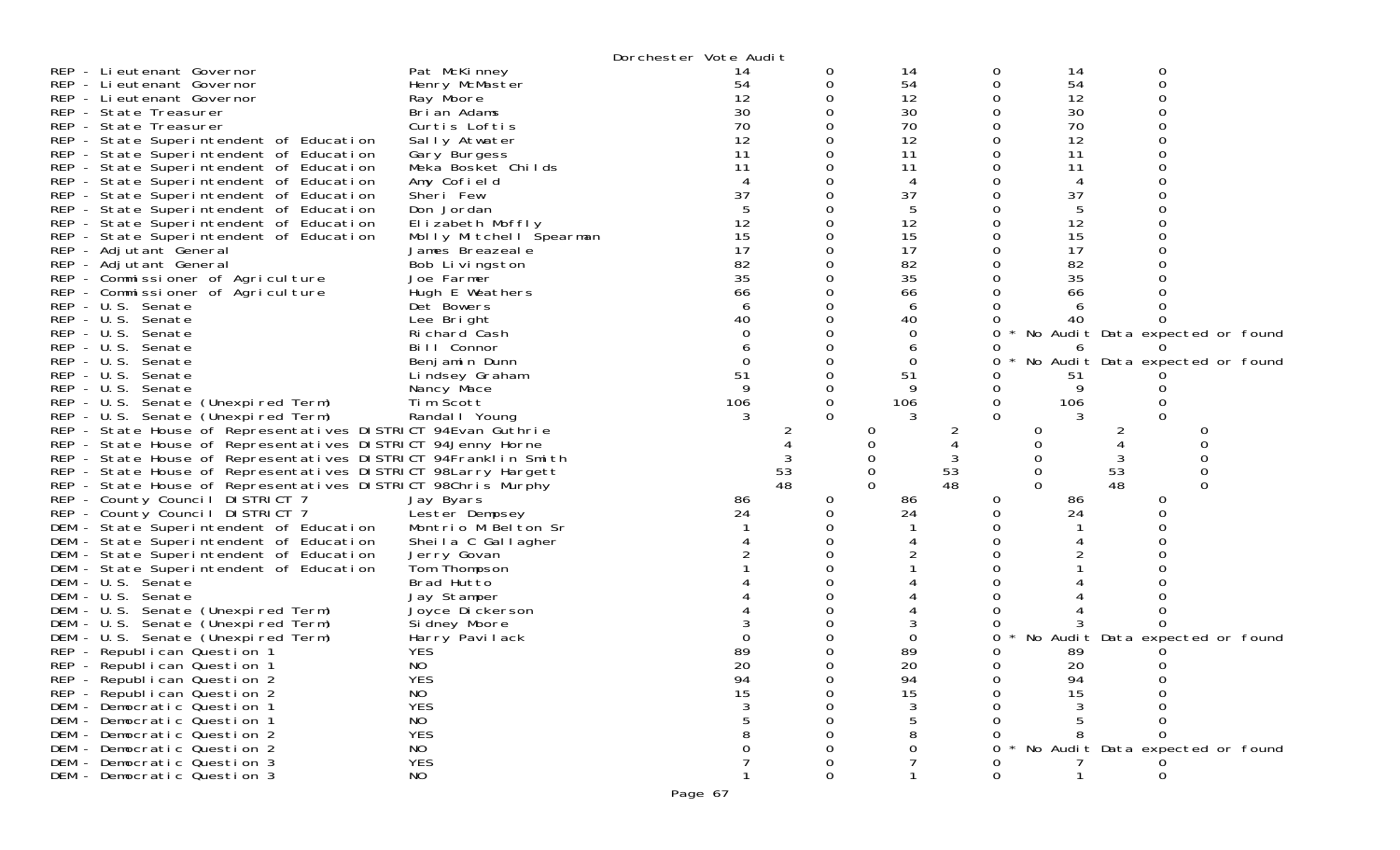| Dorchester Vote Audit                                                                                                   |                                       |
|-------------------------------------------------------------------------------------------------------------------------|---------------------------------------|
| Pat McKinney<br>REP - Lieutenant Governor<br>14<br>14<br>0<br>O                                                         | 0<br>14                               |
| 54<br>REP - Lieutenant Governor<br>Henry McMaster<br>54<br>0<br>0                                                       | 54<br>0                               |
| 12<br>12<br>REP - Lieutenant Governor<br>0<br>0<br>Ray Moore                                                            | 12<br>O                               |
| 30<br>0<br>30<br>REP - State Treasurer<br>0<br>Brian Adams                                                              | 30                                    |
| 70<br>70<br>REP - State Treasurer<br>Curtis Loftis<br>0                                                                 | 70                                    |
| 12<br>12<br>REP - State Superintendent of Education<br>0<br>0<br>Sally Atwater                                          | 12                                    |
| 11<br>11<br>REP - State Superintendent of Education<br>Gary Burgess                                                     | 11                                    |
| 11<br>11<br>REP - State Superintendent of Education<br>0<br>Meka Bosket Childs                                          | 11                                    |
| $\overline{4}$<br>REP - State Superintendent of Education<br>Amy Cofield<br>4<br>$\Omega$<br>0                          | 4                                     |
| 37<br>37<br>Sheri Few<br>REP - State Superintendent of Education<br>0                                                   | 37                                    |
| 5<br>REP - State Superintendent of Education<br>Don Jordan<br>0                                                         | 5                                     |
| 12<br>12<br>0<br>0<br>REP - State Superintendent of Education<br>Elizabeth Moffly                                       | 12                                    |
| 15<br>15<br>0<br>0<br>REP - State Superintendent of Education<br>Molly Mitchell Spearman                                | 15                                    |
| 17<br>17<br>REP - Adjutant General<br>James Breazeale<br>0<br>0                                                         | 17                                    |
| 82<br>82<br>REP - Adjutant General<br>0<br>0<br>Bob Livingston                                                          | 82                                    |
| 35<br>35<br>REP - Commissioner of Agriculture<br>Joe Farmer                                                             | 35                                    |
| REP - Commissioner of Agriculture<br>Hugh E Weathers<br>66<br>∩<br>66<br>$\Omega$                                       | 66                                    |
| REP - U.S. Senate<br>6<br>$\Omega$<br>6<br>Det Bowers<br>$\Omega$                                                       | 6                                     |
| 40<br>REP - U.S. Senate<br>40<br>Lee Bright                                                                             | 40                                    |
| $\Omega$<br>REP - U.S. Senate<br>Richard <sup>-</sup> Cash<br>0<br>0                                                    | No Audit Data expected or found       |
| REP - U.S. Senate<br>Bill Connor<br>$\Omega$<br>6                                                                       | 6                                     |
| REP - U.S. Senate<br>$\Omega$<br>0<br>0<br>Benjamin Dunn                                                                | No Audit Data expected or found       |
| 51<br>51<br>REP - U.S. Senate<br>$\Omega$<br>Lindsey Graham                                                             | 51                                    |
| 9<br>9<br>REP - U.S. Senate<br>0<br>0<br>Nancy Mace                                                                     | 9                                     |
| Tim Scott<br>106<br>$\mathbf 0$<br>106<br>REP - U.S. Senate (Unexpired Term)<br>0                                       | 106                                   |
| $\Omega$<br>3<br>REP - U.S. Senate (Unexpired Term)<br>Randal I Young<br>$\Omega$                                       |                                       |
| REP - State House of Representatives DISTRICT 94Evan Guthrie<br>0<br>2<br>2                                             | 0<br>0<br>2                           |
| REP - State House of Representatives DISTRICT 94Jenny Horne<br>$\Omega$                                                 | $\Omega$                              |
| REP - State House of Representatives DISTRICT 94Franklin Smith<br>3<br>0                                                | $\Omega$<br>3<br>0                    |
| 53<br>53<br>REP - State House of Representatives DISTRICT 98Larry Hargett<br>0                                          | 53<br>$\mathbf 0$<br>$\overline{0}$   |
| 48<br>$\Omega$<br>48<br>REP - State House of Representatives DISTRICT 98Chris Murphy                                    | 48<br>$\Omega$<br>$\Omega$            |
| REP - County Council DISTRICT 7<br>Jay Byars<br>86<br>$\overline{0}$<br>86<br>0                                         | 86<br>0                               |
| 24<br>24<br>REP - County Council DISTRICT 7<br>0<br>0<br>Lester Dempsey                                                 | 24<br>0                               |
| DEM - State Superintendent of Education<br>Montrio M Belton Sr                                                          |                                       |
| DEM - State Superintendent of Education<br>Sheila C Gallagher                                                           |                                       |
| DEM - State Superintendent of Education<br>Jerry Govan                                                                  |                                       |
| Tom Thompson<br>DEM - State Superintendent of Education                                                                 |                                       |
| DEM - U.S. Senate<br>Brad Hutto                                                                                         |                                       |
| DEM - U.S. Senate<br>Jay Stamper                                                                                        |                                       |
| DEM - U.S. Senate (Unexpired Term)<br>Joyce Dickerson                                                                   |                                       |
| DEM - U.S. Senate (Unexpired Term)<br>Si dney Moore<br>0                                                                |                                       |
| DEM - U.S. Senate (Unexpired Term)<br>Harry Pavilack<br>0<br>89<br><b>YES</b><br>89<br>REP - Republican Question 1<br>0 | No Audit Data expected or found<br>89 |
| 20<br>NO<br>20<br>REP - Republican Question 1<br>$\Omega$                                                               | 20                                    |
| REP - Republican Question 2<br><b>YES</b><br>94<br>94                                                                   | 94                                    |
| 15<br>15<br>REP - Republican Question 2<br>NO                                                                           | 15                                    |
| <b>YES</b><br>3<br>DEM - Democratic Question 1                                                                          |                                       |
| NO<br>DEM - Democratic Question 1                                                                                       |                                       |
| <b>YES</b><br>DEM - Democratic Question 2                                                                               | 0                                     |
| NO<br>DEM - Democratic Question 2<br>O                                                                                  | No Audit Data expected or found       |
| <b>YES</b><br>DEM - Democratic Question 3<br>0                                                                          |                                       |
| $\Omega$<br>DEM - Democratic Question 3<br>NO<br>0                                                                      | $\mathbf 0$                           |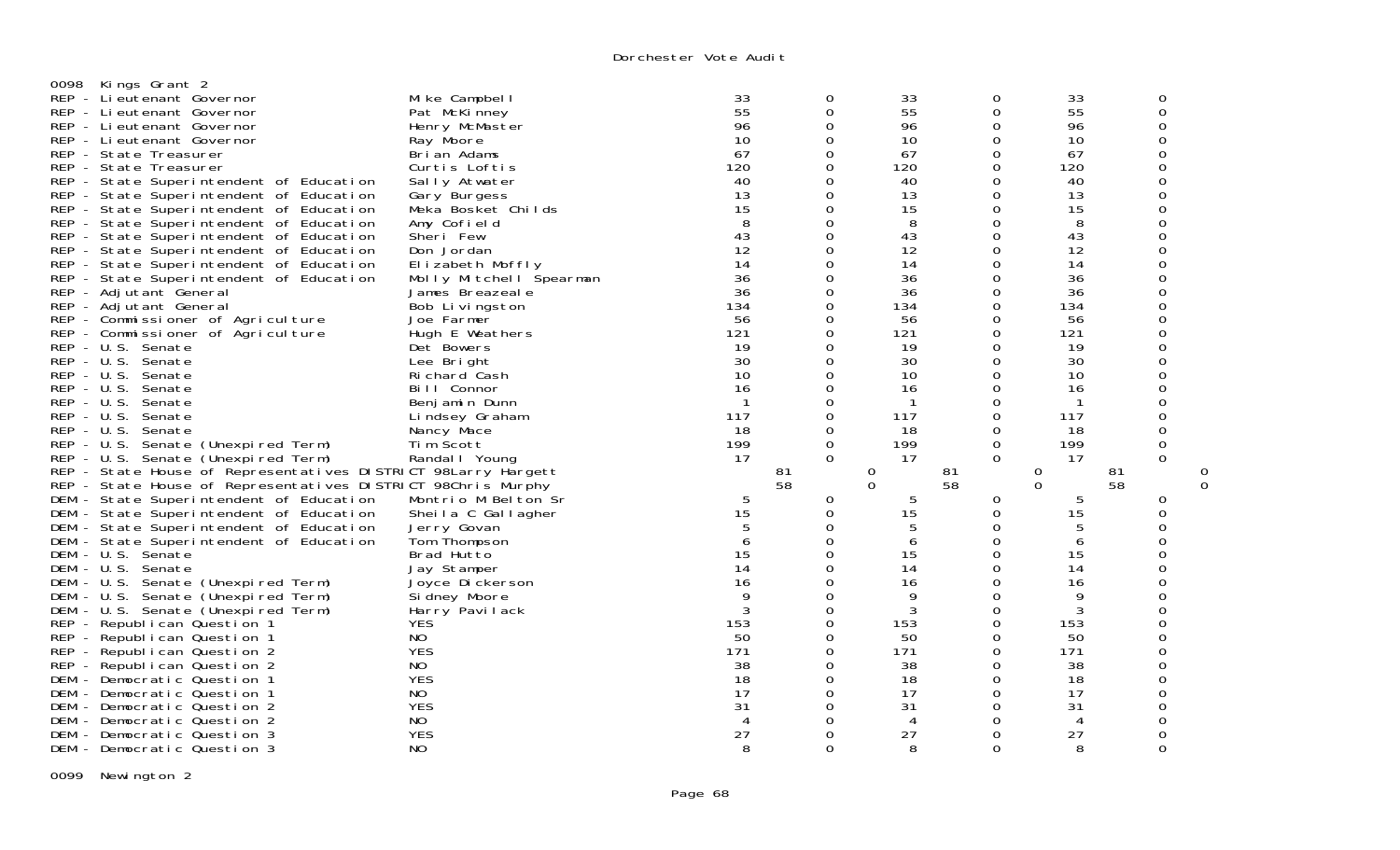| 0098         | Kings Grant 2                                                 |                         |                             |             |              |          |                |    |          |  |
|--------------|---------------------------------------------------------------|-------------------------|-----------------------------|-------------|--------------|----------|----------------|----|----------|--|
|              | REP - Li eutenant Governor                                    | Mike Campbell           | 33                          | 0           | 33           | 0        | 33             |    | 0        |  |
|              | REP - Lieutenant Governor                                     | Pat McKinney            | $\overline{55}$             | 0           | 55           | 0        | 55             |    | 0        |  |
|              |                                                               |                         | 96                          |             |              |          | 96             |    |          |  |
|              | REP - Lieutenant Governor                                     | Henry McMaster          |                             | 0           | 96           | 0        |                |    | 0        |  |
|              | REP - Lieutenant Governor                                     | Ray Moore               | 10                          | 0           | 10           | 0        | 10             |    | 0        |  |
|              | REP - State Treasurer                                         | Brian Adams             | 67                          | $\Omega$    | 67           | $\Omega$ | 67             |    | 0        |  |
|              | REP - State Treasurer                                         | Curtis Loftis           | 120                         | 0           | 120          | $\Omega$ | 120            |    | 0        |  |
|              | REP - State Superintendent of Education                       | Sally Atwater           | 40                          | 0           | 40           | $\Omega$ | 40             |    | ი        |  |
|              | REP - State Superintendent of Education                       | Gary Burgess            | 13                          | $\Omega$    | 13           | $\Omega$ | 13             |    | ი        |  |
|              | REP - State Superintendent of Education                       | Meka Bosket Childs      | 15                          | 0           | 15           | 0        | 15             |    | 0        |  |
|              | REP - State Superintendent of Education                       | Amy Cofield             | 8                           | $\Omega$    | 8            | 0        | 8              |    | ი        |  |
|              | REP - State Superintendent of Education                       | Sheri Few               | 43                          | 0           | 43           | 0        | 43             |    | 0        |  |
|              | REP - State Superintendent of Education                       | Don Jordan              | 12                          | $\Omega$    | 12           | $\Omega$ | 12             |    | ი        |  |
|              | REP - State Superintendent of Education                       | Elizabeth Moffly        | 14                          | 0           | 14           | 0        | 14             |    | 0        |  |
|              | REP - State Superintendent of Education                       | Molly Mitchell Spearman | 36                          | 0           | 36           | $\Omega$ | 36             |    | ი        |  |
|              | REP - Adjutant General                                        | James Breazeale         | 36                          | 0           | 36           | 0        | 36             |    | 0        |  |
|              | REP - Adjutant General                                        | Bob Livingston          | 134                         | 0           | 134          | 0        | 134            |    | Ω        |  |
|              | REP - Commissioner of Agriculture                             | Joe Farmer              | 56                          | 0           | 56           | 0        | 56             |    | 0        |  |
|              | REP - Commissioner of Agriculture                             | Hugh E Weathers         | 121                         | 0           | 121          | $\Omega$ | 121            |    | 0        |  |
|              | REP - U.S. Senate                                             |                         | 19                          | 0           | 19           | 0        | 19             |    | 0        |  |
|              | REP - U.S. Senate                                             | Det Bowers              |                             | 0           | 30           | $\Omega$ |                |    | ი        |  |
|              |                                                               | Lee Bright              | 30                          |             |              |          | 30             |    |          |  |
|              | REP - U.S. Senate                                             | Richard Cash            | 10                          | 0           | 10           | $\Omega$ | 10             |    | 0        |  |
| $REP - U.S.$ | Senate                                                        | Bill Connor             | 16                          | 0           | 16           | 0        | 16             |    |          |  |
| $REP - U.S.$ | Senate                                                        | Benjamin Dunn           | $\mathbf{1}$                | 0           | $\mathbf{1}$ | 0        | $\overline{1}$ |    | 0        |  |
| $REP - U.S.$ | Senate                                                        | Lindsey Graham          | 117                         | 0           | 117          | $\Omega$ | 117            |    | 0        |  |
|              | REP - U.S. Senate                                             | Nancy Mace              | 18                          | 0           | 18           | 0        | 18             |    | 0        |  |
|              | REP - U.S. Senate (Unexpired Term)                            | Tim Scott               | 199                         | $\mathbf 0$ | 199          | 0        | 199            |    | 0        |  |
|              | REP - U.S. Senate (Unexpired Term)                            | Randal I Young          | 17                          | $\Omega$    | 17           | $\Omega$ | 17             |    | 0        |  |
|              | REP - State House of Representatives DISTRICT 98Larry Hargett |                         |                             | 81          | 0            | 81       | 0              | 81 |          |  |
|              | REP - State House of Representatives DISTRICT 98Chris Murphy  |                         |                             | 58          | $\Omega$     | 58       | $\Omega$       | 58 |          |  |
|              | DEM - State Superintendent of Education                       | Montrio M Belton Sr     | 5                           | 0           | 5            | 0        | 5              |    | 0        |  |
|              | DEM - State Superintendent of Education                       | Sheila C Gallagher      | 15                          | 0           | 15           | 0        | 15             |    | 0        |  |
| DEM          | - State Superintendent of Education                           | Jerry Govan             | 5                           | 0           | 5            | $\Omega$ | 5              |    | 0        |  |
| DEM          | - State Superintendent of Education                           | Tom Thompson            | 6                           | $\Omega$    | 6            | 0        | 6              |    | ი        |  |
| DEM          | - U.S. Senate                                                 | Brad Hutto              | 15                          | 0           | 15           | 0        | 15             |    | 0        |  |
| DEM          | - U.S. Senate                                                 | Jay Stamper             | 14                          | $\Omega$    | 14           | $\Omega$ | 14             |    | ი        |  |
| DEM          | - U.S. Senate (Unexpired Term)                                | Joyce Dickerson         | 16                          | 0           | 16           | 0        | 16             |    | 0        |  |
| DEM          | - U.S. Senate (Unexpired Term)                                | Si dney Moore           | 9                           | 0           | 9            | $\Omega$ | 9              |    | ი        |  |
| DEM          | - U.S. Senate (Unexpired Term)                                | Harry Pavilack          | 3                           | 0           | 3            | 0        | 3              |    | 0        |  |
|              | REP - Republican Question 1                                   | <b>YES</b>              | 153                         | 0           | 153          | $\Omega$ | 153            |    | Ω        |  |
|              | REP - Republican Question 1                                   | NO                      | 50                          | 0           | 50           | 0        | 50             |    | 0        |  |
|              |                                                               | <b>YES</b>              |                             |             | 171          | $\Omega$ |                |    | 0        |  |
|              | REP - Republican Question 2                                   |                         | 171                         | 0           |              |          | 171            |    |          |  |
|              | REP - Republican Question 2                                   | NO.                     | 38                          | 0           | 38           | 0        | 38             |    | 0        |  |
| DEM          | - Democratic Question 1                                       | <b>YES</b>              | 18                          | 0           | 18           | 0        | 18             |    | 0        |  |
| DEM          | - Democratic Question 1                                       | NO.                     | 17                          | 0           | 17           | $\Omega$ | 17             |    | 0        |  |
| DEM          | - Democratic Question 2                                       | <b>YES</b>              | 31                          | $\Omega$    | 31           | 0        | 31             |    | ი        |  |
|              | DEM - Democratic Question 2                                   | NO                      | $\boldsymbol{\vartriangle}$ | 0           | 4            | $\Omega$ | 4              |    |          |  |
| DEM          | - Democratic Question 3                                       | <b>YES</b>              | 27                          | 0           | 27           | 0        | 27             |    | 0        |  |
|              | DEM - Democratic Question 3                                   | N <sub>O</sub>          | 8                           | $\Omega$    | 8            | $\Omega$ | 8              |    | $\Omega$ |  |

0099 Newington 2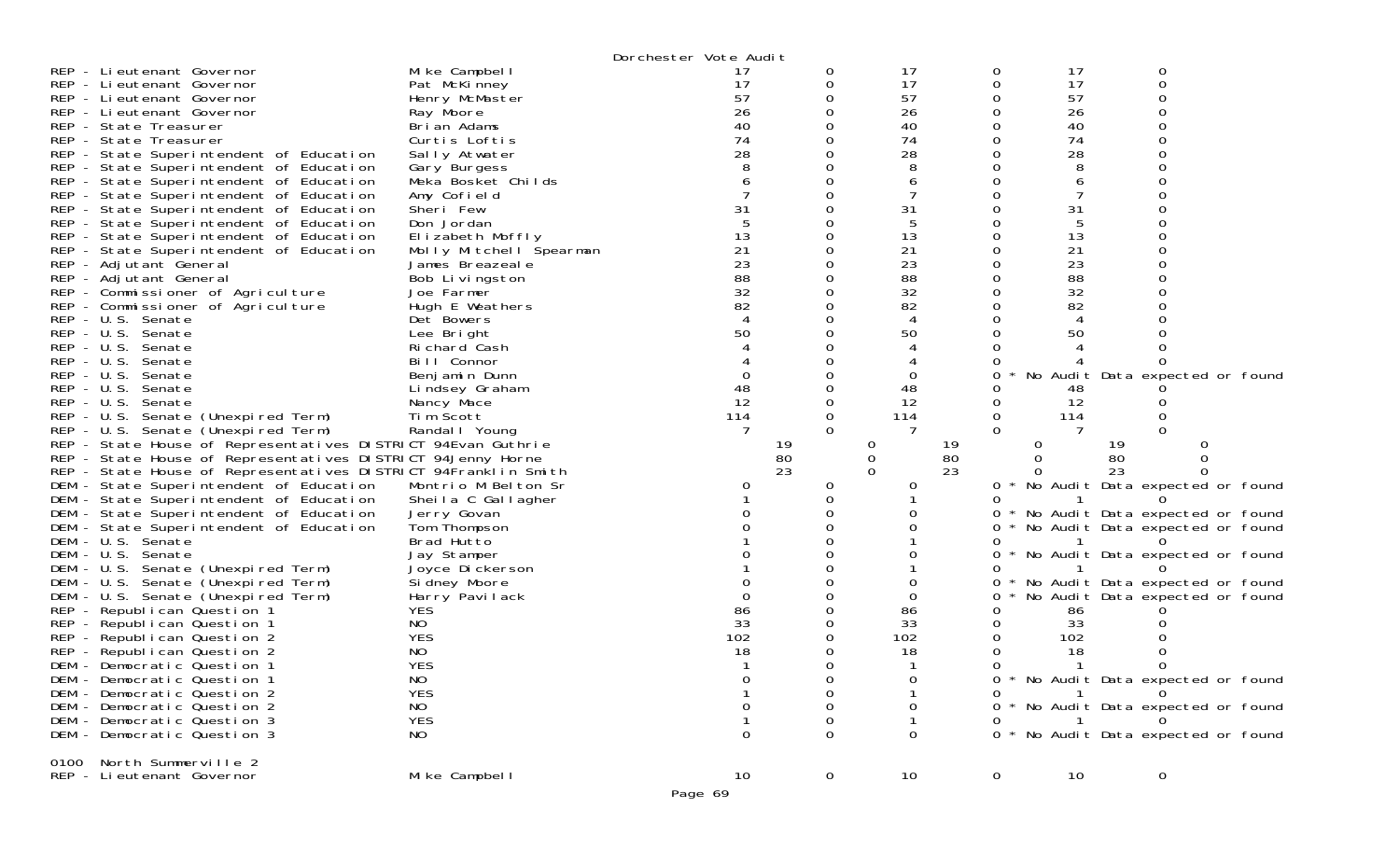| $REP - U.S.$ | REP - Li eutenant Governor<br>REP - Lieutenant Governor<br>REP - Lieutenant Governor<br>REP - Lieutenant Governor<br>REP - State Treasurer<br>REP - State Treasurer<br>REP - State Superintendent of Education<br>REP - State Superintendent of Education<br>REP - State Superintendent of Education<br>REP - State Superintendent of Education<br>REP - State Superintendent of Education<br>REP - State Superintendent of Education<br>REP - State Superintendent of Education<br>REP - State Superintendent of Education<br>REP - Adjutant General<br>REP - Adjutant General<br>REP - Commissioner of Agriculture<br>REP - Commissioner of Agriculture<br>REP - U.S. Senate<br>REP - U.S. Senate<br>REP - U.S. Senate<br>Senate<br>REP - U.S. Senate<br>REP - U.S. Senate<br>REP - U.S. Senate<br>REP - U.S. Senate (Unexpired Term)<br>REP - U.S. Senate (Unexpired Term)<br>REP - State House of Representatives DISTRICT 94Evan Guthrie<br>REP - State House of Representatives DISTRICT 94Jenny Horne<br>REP - State House of Representatives DISTRICT 94Franklin Smith<br>DEM - State Superintendent of Education<br>DEM - State Superintendent of Education<br>DEM - State Superintendent of Education<br>DEM - State Superintendent of Education<br>DEM - U.S. Senate<br>DEM - U.S. Senate<br>DEM - U.S. Senate (Unexpired Term)<br>DEM - U.S. Senate (Unexpired Term)<br>DEM - U.S. Senate (Unexpired Term)<br>REP - Republican Question 1<br>REP - Republican Question 1<br>REP - Republican Question 2<br>REP - Republican Question 2<br>DEM - Democratic Question 1 | Mike Campbell<br>Pat McKinney<br>Henry McMaster<br>Ray Moore<br>Brian Adams<br>Curtis Loftis<br>Sally Atwater<br>Gary Burgess<br>Meka Bosket Childs<br>Amy Cofield<br>Sheri Few<br>Don Jordan<br>Elizabeth Moffly<br>Molly Mitchell Spearman<br>James Breazeale<br>Bob Livingston<br>Joe Farmer<br>Hugh E Weathers<br>Det Bowers<br>Lee Bright<br>Richard Cash<br>Bill Connor<br>Benjamin Dunn<br>Lindsey Graham<br>Nancy Mace<br>Tim Scott<br>Randal   Young<br>Montrio M Belton Sr<br>Sheila C Gallagher<br>Jerry Govan<br>Tom Thompson<br>Brad Hutto<br>Jay Stamper<br>Joyce Dickerson<br>Si dney Moore<br>Harry Pavilack<br><b>YES</b><br>NO<br><b>YES</b><br>NO<br><b>YES</b> | Dorchester Vote Audit<br>17<br>17<br>57<br>26<br>40<br>74<br>28<br>31<br>5<br>13<br>21<br>23<br>88<br>32<br>82<br>$\boldsymbol{\varDelta}$<br>50<br>48<br>12<br>114<br>7<br>0<br>86<br>33<br>102<br>18 | 0<br>0<br>0<br>0<br>0<br>0<br>$\Omega$<br>19<br>80<br>23<br>0<br>0<br>0 | 17<br>17<br>57<br>26<br>40<br>74<br>28<br>8<br>31<br>5<br>13<br>21<br>23<br>88<br>32<br>82<br>$\boldsymbol{\varDelta}$<br>50<br>48<br>12<br>114<br>7<br>0<br>0<br>$\Omega$<br>0<br>$\Omega$<br>86<br>33<br>102<br>18 | 0<br>0<br>0<br>0<br>$\Omega$<br>19<br>80<br>23<br>0<br>0<br>0<br>0<br>0<br>0 | 17<br>17<br>57<br>26<br>40<br>74<br>28<br>31<br>5<br>13<br>21<br>23<br>88<br>32<br>82<br>50<br>48<br>12<br>114<br>0<br>86<br>33<br>102<br>18 | O<br>No Audit Data expected or found<br>19<br>80<br>23<br>No Audit Data expected or found<br>No Audit Data expected or found<br>No Audit Data expected or found<br>No Audit Data expected or found<br>No Audit Data expected or found<br>No Audit Data expected or found |  |
|--------------|-----------------------------------------------------------------------------------------------------------------------------------------------------------------------------------------------------------------------------------------------------------------------------------------------------------------------------------------------------------------------------------------------------------------------------------------------------------------------------------------------------------------------------------------------------------------------------------------------------------------------------------------------------------------------------------------------------------------------------------------------------------------------------------------------------------------------------------------------------------------------------------------------------------------------------------------------------------------------------------------------------------------------------------------------------------------------------------------------------------------------------------------------------------------------------------------------------------------------------------------------------------------------------------------------------------------------------------------------------------------------------------------------------------------------------------------------------------------------------------------------------------------------------------------------------------------------------------|------------------------------------------------------------------------------------------------------------------------------------------------------------------------------------------------------------------------------------------------------------------------------------------------------------------------------------------------------------------------------------------------------------------------------------------------------------------------------------------------------------------------------------------------------------------------------------------------------------------------------------------------------------------------------------|--------------------------------------------------------------------------------------------------------------------------------------------------------------------------------------------------------|-------------------------------------------------------------------------|----------------------------------------------------------------------------------------------------------------------------------------------------------------------------------------------------------------------|------------------------------------------------------------------------------|----------------------------------------------------------------------------------------------------------------------------------------------|--------------------------------------------------------------------------------------------------------------------------------------------------------------------------------------------------------------------------------------------------------------------------|--|
|              | DEM - Democratic Question 1                                                                                                                                                                                                                                                                                                                                                                                                                                                                                                                                                                                                                                                                                                                                                                                                                                                                                                                                                                                                                                                                                                                                                                                                                                                                                                                                                                                                                                                                                                                                                       | NO                                                                                                                                                                                                                                                                                                                                                                                                                                                                                                                                                                                                                                                                                 | 0                                                                                                                                                                                                      | 0                                                                       | 0                                                                                                                                                                                                                    |                                                                              |                                                                                                                                              | * No Audit Data expected or found                                                                                                                                                                                                                                        |  |
|              | DEM - Democratic Question 2<br>DEM - Democratic Question 2                                                                                                                                                                                                                                                                                                                                                                                                                                                                                                                                                                                                                                                                                                                                                                                                                                                                                                                                                                                                                                                                                                                                                                                                                                                                                                                                                                                                                                                                                                                        | <b>YES</b><br>NO                                                                                                                                                                                                                                                                                                                                                                                                                                                                                                                                                                                                                                                                   |                                                                                                                                                                                                        | 0<br>0                                                                  | 0                                                                                                                                                                                                                    | 0<br>0                                                                       |                                                                                                                                              | * No Audit Data expected or found                                                                                                                                                                                                                                        |  |
|              | DEM - Democratic Question 3<br>DEM - Democratic Question 3                                                                                                                                                                                                                                                                                                                                                                                                                                                                                                                                                                                                                                                                                                                                                                                                                                                                                                                                                                                                                                                                                                                                                                                                                                                                                                                                                                                                                                                                                                                        | <b>YES</b><br>NO.                                                                                                                                                                                                                                                                                                                                                                                                                                                                                                                                                                                                                                                                  | 0                                                                                                                                                                                                      | 0<br>0                                                                  | $\Omega$                                                                                                                                                                                                             | $\Omega$                                                                     |                                                                                                                                              | * No Audit Data expected or found                                                                                                                                                                                                                                        |  |
|              | 0100 North Summerville 2<br>REP - Lieutenant Governor                                                                                                                                                                                                                                                                                                                                                                                                                                                                                                                                                                                                                                                                                                                                                                                                                                                                                                                                                                                                                                                                                                                                                                                                                                                                                                                                                                                                                                                                                                                             | Mike Campbell                                                                                                                                                                                                                                                                                                                                                                                                                                                                                                                                                                                                                                                                      | 10<br>Page 69                                                                                                                                                                                          | 0                                                                       | 10                                                                                                                                                                                                                   | $\overline{0}$                                                               | 10                                                                                                                                           | $\mathbf 0$                                                                                                                                                                                                                                                              |  |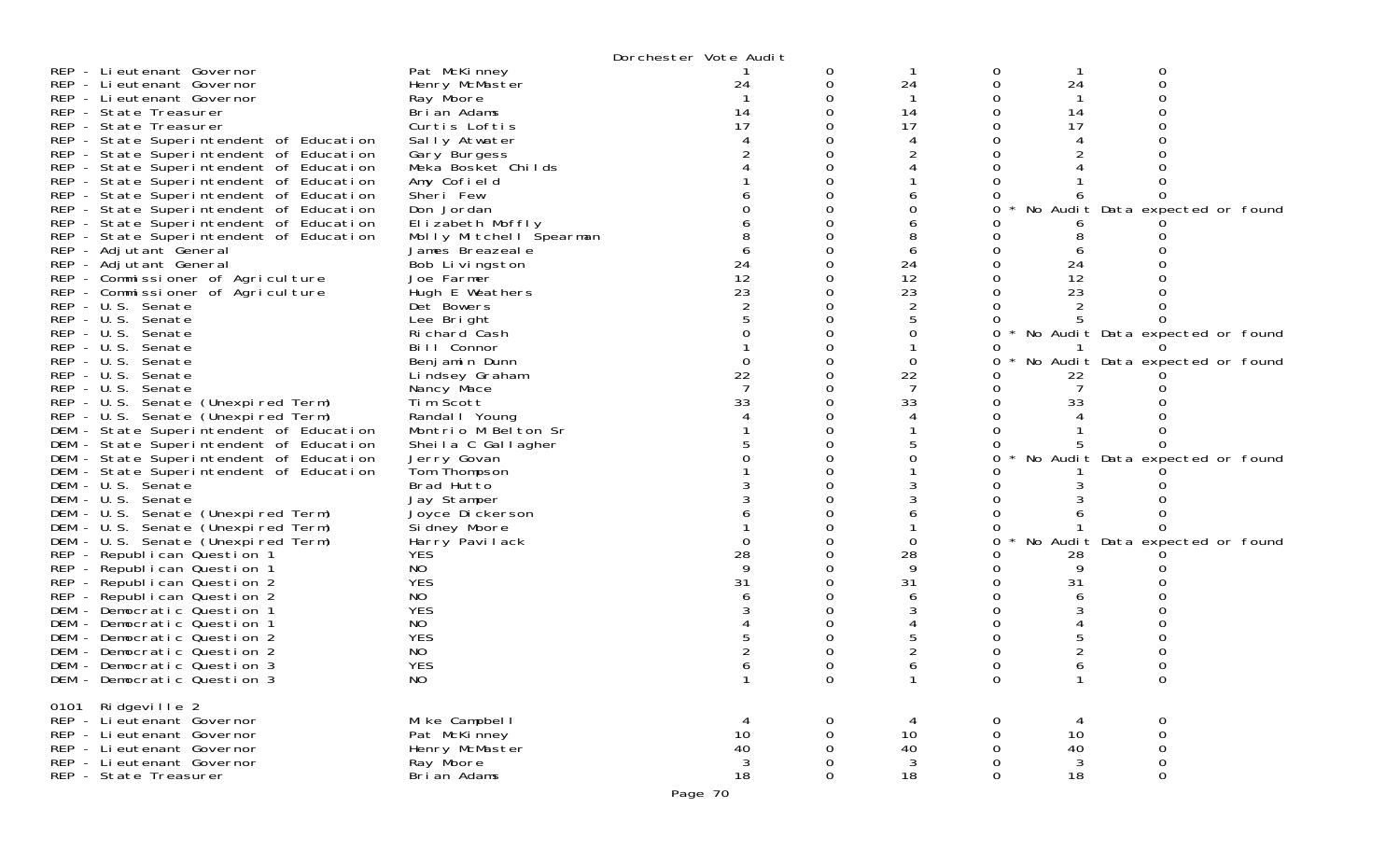|                                                                                                                         | Dorchester Vote Audit   |          |    |   |                                 |  |
|-------------------------------------------------------------------------------------------------------------------------|-------------------------|----------|----|---|---------------------------------|--|
| REP - Lieutenant Governor<br>Pat McKinney                                                                               |                         | 0        |    | 0 | 0                               |  |
| Henry McMaster<br>REP - Lieutenant Governor                                                                             | 24                      | 0        | 24 |   | 24                              |  |
| REP - Lieutenant Governor<br>Ray Moore                                                                                  |                         |          |    |   |                                 |  |
| REP - State Treasurer<br>Brian Adams                                                                                    | 14                      |          | 14 |   | 14                              |  |
| REP - State Treasurer<br>Curtis Loftis                                                                                  | 17                      |          | 17 |   | 17                              |  |
| REP - State Superintendent of Education<br>Sally Atwater                                                                |                         |          |    |   |                                 |  |
| REP - State Superintendent of Education<br>Gary Burgess                                                                 |                         |          |    |   |                                 |  |
| REP - State Superintendent of Education<br>Meka Bosket Childs                                                           |                         |          |    |   |                                 |  |
| REP - State Superintendent of Education<br>Amy Cofield                                                                  |                         |          |    |   |                                 |  |
| Sheri Few<br>REP - State Superintendent of Education                                                                    |                         |          |    |   |                                 |  |
| Don Jordan<br>REP - State Superintendent of Education                                                                   |                         |          |    |   | No Audit Data expected or found |  |
| REP - State Superintendent of Education<br>Elizabeth Moffly                                                             |                         |          |    |   |                                 |  |
| REP - State Superintendent of Education                                                                                 | Molly Mitchell Spearman |          |    |   |                                 |  |
| REP - Adjutant General<br>James Breazeale                                                                               |                         |          |    |   |                                 |  |
| REP - Adjutant General<br>Bob Livingston                                                                                | 24                      |          | 24 |   | 24                              |  |
| REP - Commissioner of Agriculture<br>Joe Farmer                                                                         | 12                      |          | 12 |   | 12                              |  |
| Hugh E Weathers<br>REP - Commissioner of Agriculture                                                                    | 23                      |          | 23 |   | 23                              |  |
| REP - U.S. Senate<br>Det Bowers                                                                                         |                         |          |    |   |                                 |  |
| REP - U.S. Senate<br>Lee Bright                                                                                         |                         |          |    |   |                                 |  |
| REP - U.S. Senate<br>Richard Cash                                                                                       |                         |          |    |   | No Audit Data expected or found |  |
| REP - U.S. Senate<br>Bill Connor                                                                                        |                         |          |    |   |                                 |  |
| $REP - U.S.$<br>Senate<br>Benjamin Dunn                                                                                 | 0                       |          | 0  |   | No Audit Data expected or found |  |
| REP - U.S. Senate<br>Lindsey Graham                                                                                     | 22                      |          | 22 |   | 22                              |  |
| REP - U.S. Senate<br>Nancy Mace                                                                                         | 33                      |          |    |   |                                 |  |
| REP - U.S. Senate (Unexpired Term)<br>Tim Scott                                                                         |                         |          | 33 |   | 33                              |  |
| REP - U.S. Senate (Unexpired Term)<br>Randal I Young                                                                    |                         |          |    |   |                                 |  |
| DEM - State Superintendent of Education<br>Montrio M Belton Sr                                                          |                         |          |    |   |                                 |  |
| DEM - State Superintendent of Education<br>Sheila C Gallagher<br>DEM - State Superintendent of Education<br>Jerry Govan |                         |          |    |   | No Audit Data expected or found |  |
| DEM - State Superintendent of Education<br>Tom Thompson                                                                 |                         |          |    |   |                                 |  |
| DEM - U.S. Senate<br>Brad Hutto                                                                                         |                         |          |    |   |                                 |  |
| DEM - U.S. Senate<br>Jay Stamper                                                                                        |                         |          |    |   |                                 |  |
| DEM - U.S. Senate (Unexpired Term)<br>Joyce Dickerson                                                                   |                         |          |    |   |                                 |  |
| DEM - U.S. Senate (Unexpired Term)<br>Si dney Moore                                                                     |                         |          |    |   |                                 |  |
| DEM - U.S. Senate (Unexpired Term)<br>Harry Pavilack                                                                    |                         |          |    |   | No Audit Data expected or found |  |
| REP - Republican Question 1<br><b>YES</b>                                                                               | 28                      |          | 28 |   | 28                              |  |
| NO<br>REP - Republican Question 1                                                                                       |                         |          | 9  |   |                                 |  |
| <b>YES</b><br>REP - Republican Question 2                                                                               | 31                      |          | 31 |   | 31                              |  |
| REP - Republican Question 2<br>NO                                                                                       |                         |          |    |   |                                 |  |
| <b>YES</b><br>DEM - Democratic Question 1                                                                               |                         |          |    |   |                                 |  |
| DEM - Democratic Question 1<br>NO.                                                                                      |                         |          |    |   |                                 |  |
| <b>YES</b><br>DEM - Democratic Question 2                                                                               |                         |          |    |   |                                 |  |
| NO<br>DEM - Democratic Question 2                                                                                       |                         |          |    |   |                                 |  |
| <b>YES</b><br>DEM - Democratic Question 3                                                                               |                         |          |    |   |                                 |  |
| <b>NO</b><br>DEM - Democratic Question 3                                                                                | 1                       | 0        |    | 0 | 0                               |  |
| 0101 Ridgeville 2                                                                                                       |                         |          |    |   |                                 |  |
| REP - Li eutenant Governor<br>Mike Campbell                                                                             |                         | 0        |    | 0 | 0                               |  |
| REP - Li eutenant Governor<br>Pat McKinney                                                                              | 10                      | 0        | 10 | 0 | 10<br>0                         |  |
| REP - Lieutenant Governor<br>Henry McMaster                                                                             | 40                      | $\Omega$ | 40 | 0 | 40<br>0                         |  |
| REP - Lieutenant Governor<br>Ray Moore                                                                                  | 3                       | 0        | 3  | 0 | $\mathbf{3}$                    |  |
| Brian Adams<br>REP - State Treasurer                                                                                    | 18                      | 0        | 18 | 0 | 18<br>0                         |  |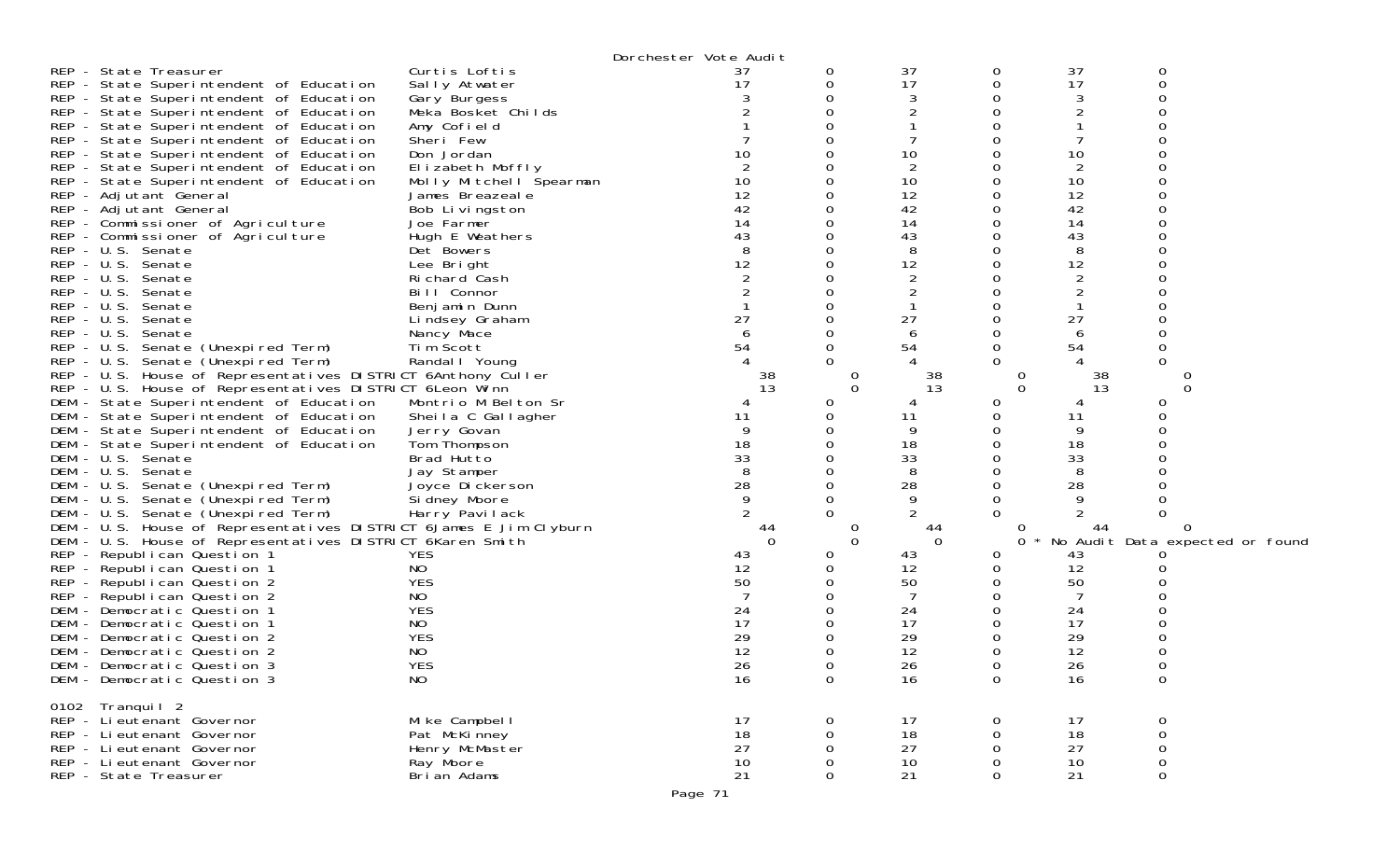|              |                                                                   |                         | Dorchester Vote Audit |              |    |          |    |                                 |  |
|--------------|-------------------------------------------------------------------|-------------------------|-----------------------|--------------|----|----------|----|---------------------------------|--|
|              | REP - State Treasurer                                             | Curtis Loftis           | 37                    | 0            | 37 |          | 37 |                                 |  |
|              | REP - State Superintendent of Education                           | Sally Atwater           | 17                    | 0            | 17 |          | 17 | ∩                               |  |
|              | REP - State Superintendent of Education                           | Gary Burgess            |                       | 0            |    |          |    |                                 |  |
|              | REP - State Superintendent of Education                           | Meka Bosket Childs      |                       | O            |    |          |    |                                 |  |
|              | REP - State Superintendent of Education                           | Amy Cofield             |                       |              |    |          |    |                                 |  |
|              | REP - State Superintendent of Education                           | Sheri Few               |                       |              |    |          |    |                                 |  |
|              | REP - State Superintendent of Education                           | Don Jordan              | 10                    |              | 10 |          | 10 |                                 |  |
|              | REP - State Superintendent of Education                           | Elizabeth Moffly        | $\overline{2}$        |              | 2  |          | 2  |                                 |  |
|              | REP - State Superintendent of Education                           | Molly Mitchell Spearman | 10                    | 0            | 10 |          | 10 |                                 |  |
|              | REP - Adjutant General                                            | James Breazeale         | 12                    | 0            | 12 |          | 12 |                                 |  |
|              | REP - Adjutant General                                            | Bob Livingston          | 42                    |              | 42 |          | 42 |                                 |  |
|              | REP - Commissioner of Agriculture                                 | Joe Farmer              | 14                    | O            | 14 |          | 14 |                                 |  |
|              | REP - Commissioner of Agriculture                                 | Hugh E Weathers         | 43                    |              | 43 |          | 43 |                                 |  |
|              | REP - U.S. Senate                                                 | Det Bowers              | 8                     |              | 8  |          | 8  |                                 |  |
|              | REP - U.S. Senate                                                 | Lee Bright              | 12                    | U            | 12 |          | 12 |                                 |  |
|              | REP - U.S. Senate                                                 | Richard Cash            |                       |              |    |          |    |                                 |  |
| $REP - U.S.$ | Senate                                                            | Bill Connor             |                       |              |    |          |    |                                 |  |
|              | REP - U.S. Senate                                                 | Benjamin Dunn           |                       |              |    |          |    |                                 |  |
| $REP - U.S.$ | Senate                                                            | Lindsey Graham          | 27                    |              | 27 |          | 27 |                                 |  |
| $REP - U.S.$ | Senate                                                            | Nancy Mace              | 6                     |              | 6  |          |    |                                 |  |
|              | REP - U.S. Senate (Unexpired Term)                                | Tim Scott               | 54                    | ი            | 54 |          | 54 | 0                               |  |
|              | REP - U.S. Senate (Unexpired Term)                                | Randal I Young          |                       | 0            |    |          |    |                                 |  |
|              | REP - U.S. House of Representatives DISTRICT 6Anthony Culler      |                         | 38                    | $\Omega$     | 38 |          | 38 |                                 |  |
|              | REP - U.S. House of Representatives DISTRICT 6 Leon Winn          |                         | 13                    | $\Omega$     | 13 | $\Omega$ | 13 | $\Omega$                        |  |
|              | DEM - State Superintendent of Education                           | Montrio M Belton Sr     |                       | 0            |    |          |    | 0                               |  |
|              | DEM - State Superintendent of Education                           | Sheila C Gallagher      | 11                    | 0            | 11 |          | 11 |                                 |  |
|              | DEM - State Superintendent of Education                           | Jerry Govan             |                       | 0            | 9  |          |    |                                 |  |
|              | DEM - State Superintendent of Education                           | Tom Thompson            | 18                    |              | 18 |          | 18 |                                 |  |
|              | DEM - U.S. Senate                                                 | Brad Hutto              | 33                    | ი            | 33 |          | 33 |                                 |  |
|              | DEM - U.S. Senate                                                 | Jay Stamper             | 8                     | O            | 8  |          |    |                                 |  |
|              | DEM - U.S. Senate (Unexpired Term)                                | Joyce Dickerson         | 28                    | 0            | 28 |          | 28 |                                 |  |
|              | DEM - U.S. Senate (Unexpired Term)                                | Si dney Moore           | 9                     | 0            | 9  |          |    |                                 |  |
|              | DEM - U.S. Senate (Unexpired Term)                                | Harry Pavilack          |                       | 0            |    |          |    |                                 |  |
|              | DEM - U.S. House of Representatives DISTRICT 6James E Jim Clyburn |                         | 44                    | $\cup$       | 44 |          | 44 |                                 |  |
|              | DEM - U.S. House of Representatives DISTRICT 6Karen Smith         |                         | $\Omega$              | $\Omega$     | 0  |          |    | No Audit Data expected or found |  |
|              | REP - Republican Question 1                                       | <b>YES</b>              | 43                    | 0            | 43 |          | 43 |                                 |  |
|              | REP - Republican Question 1                                       | NO.                     | 12                    |              | 12 |          | 12 |                                 |  |
|              | REP - Republican Question 2                                       | <b>YES</b>              | 50                    | 0            | 50 |          | 50 |                                 |  |
|              | REP - Republican Question 2                                       | NO                      |                       | Ω            |    |          |    |                                 |  |
|              | DEM - Democratic Question 1                                       | <b>YES</b>              | 24                    |              | 24 |          | 24 |                                 |  |
|              | DEM - Democratic Question 1                                       | NO                      | 17                    | 0            | 17 |          | 17 |                                 |  |
|              | DEM - Democratic Question 2                                       | <b>YES</b>              | 29                    | O            | 29 |          | 29 |                                 |  |
|              | DEM - Democratic Question 2                                       | NO.                     | 12                    |              | 12 |          | 12 |                                 |  |
|              | DEM - Democratic Question 3                                       | <b>YES</b>              | 26                    | 0            | 26 |          | 26 | 0                               |  |
|              | DEM - Democratic Question 3                                       | NO.                     | 16                    | $\mathbf{0}$ | 16 | 0        | 16 | $\sigma$                        |  |
|              | 0102 Tranquil 2                                                   |                         |                       |              |    |          |    |                                 |  |
|              | REP - Li eutenant Governor                                        | Mike Campbell           | 17                    | 0            | 17 |          | 17 | 0                               |  |
|              | REP - Lieutenant Governor                                         | Pat McKinney            | 18                    | 0            | 18 |          | 18 | 0                               |  |
|              | REP - Lieutenant Governor                                         | Henry McMaster          | 27                    | 0            | 27 | 0        | 27 | $\mathbf 0$                     |  |
|              | REP - Lieutenant Governor                                         | Ray Moore               | 10                    | $\mathbf 0$  | 10 | 0        | 10 | $\mathbf 0$                     |  |
|              | REP - State Treasurer                                             | Brian Adams             | 21                    | 0            | 21 | 0        | 21 | 0                               |  |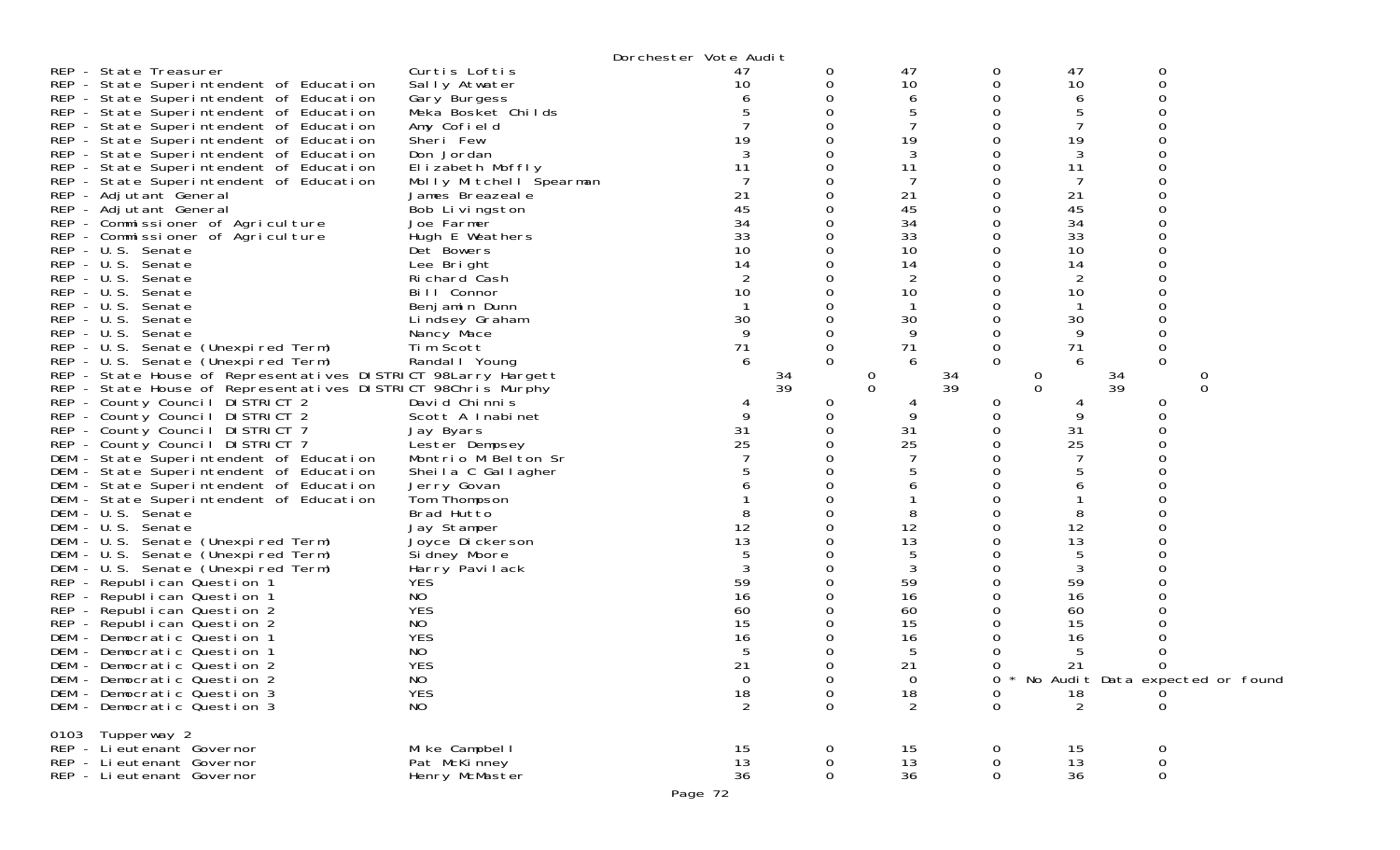|                                                               |                         | Dorchester Vote Audit |             |                |          |              |                                 |
|---------------------------------------------------------------|-------------------------|-----------------------|-------------|----------------|----------|--------------|---------------------------------|
| REP - State Treasurer                                         | Curtis Loftis           | 47                    | 0           | 47             | 0        | 47           | 0                               |
| REP - State Superintendent of Education                       | Sally Atwater           | 10                    | 0           | 10             | 0        | 10           | 0                               |
| REP - State Superintendent of Education                       | Gary Burgess            |                       | 0           | 6              |          | 6            |                                 |
| REP - State Superintendent of Education                       | Meka Bosket Childs      |                       | 0           | 5              |          | 5            |                                 |
| REP - State Superintendent of Education                       | Amy Cofield             |                       |             | 7              |          | 7            |                                 |
| REP - State Superintendent of Education                       | Sheri Few               | 19                    |             | 19             |          | 19           |                                 |
| REP - State Superintendent of Education                       | Don Jordan              | 3                     | 0           | 3              |          | 3            |                                 |
| REP - State Superintendent of Education                       | Elizabeth Moffly        | 11                    |             | 11             |          | 11           |                                 |
| REP - State Superintendent of Education                       | Molly Mitchell Spearman |                       |             | 7              |          |              |                                 |
| REP - Adjutant General                                        | James Breazeale         | 21                    | 0           | 21             |          | 21           |                                 |
| REP - Adjutant General                                        | Bob Livingston          | 45                    |             | 45             |          | 45           |                                 |
| REP - Commissioner of Agriculture                             | Joe Farmer              | 34                    |             | 34             |          | 34           |                                 |
| REP - Commissioner of Agriculture                             | Hugh E Weathers         | 33                    |             | 33             |          | 33           |                                 |
| REP - U.S. Senate                                             | Det Bowers              | 10                    |             | 10             |          | 10           |                                 |
| REP - U.S. Senate                                             | Lee Bright              | 14                    |             | 14             |          | 14           |                                 |
| REP - U.S. Senate                                             | Richard Cash            |                       |             | 2              |          | 2            |                                 |
| REP - U.S. Senate                                             | Bill Connor             | 10                    |             | 10             |          | 10           |                                 |
| REP - U.S. Senate                                             | Benjamin Dunn           |                       |             |                |          |              |                                 |
| REP - U.S. Senate                                             | Lindsey Graham          | 30                    | 0           | 30             |          | 30           |                                 |
| $REP - U.S.$<br>Senate                                        | Nancy Mace              | 9                     | 0           | 9              |          | 9            |                                 |
| REP - U.S. Senate (Unexpired Term)                            | Tim Scott               | 71                    | 0           | 71             | 0        | 71           | 0                               |
| REP - U.S. Senate (Unexpired Term)                            | Randal I Young          | 6                     | $\Omega$    | 6              | $\Omega$ | 6            | $\Omega$                        |
| REP - State House of Representatives DISTRICT 98Larry Hargett |                         |                       | 34          | $\overline{0}$ | 34       | 0            | 34<br>0                         |
| REP - State House of Representatives DISTRICT 98Chris Murphy  |                         |                       | 39          | $\Omega$       | 39       | $\mathbf{O}$ | 39<br>0                         |
| REP - County Council DISTRICT 2                               | David Chinnis           | 4                     | 0           | 4              | 0        |              | 0                               |
| REP - County Council DISTRICT 2                               | Scott A Inabinet        | 9                     | 0           | 9              |          | 9            | ∩                               |
| REP - County Council DISTRICT 7                               | Jay Byars               | 31                    | 0           | 31             |          | 31           |                                 |
| REP - County Council DISTRICT 7                               | Lester Dempsey          | 25                    |             | 25             |          | 25           |                                 |
| DEM - State Superintendent of Education                       | Montrio M Belton Sr     |                       |             |                |          |              |                                 |
| DEM - State Superintendent of Education                       | Sheila C Gallagher      |                       |             | 5              |          | 5            |                                 |
| DEM - State Superintendent of Education                       | Jerry Govan             |                       |             | 6              |          | 6            |                                 |
| DEM - State Superintendent of Education                       | Tom Thompson            |                       |             |                |          |              |                                 |
| DEM - U.S. Senate                                             | Brad Hutto              |                       |             | 8              |          | 8            |                                 |
| DEM - U.S. Senate                                             | Jay Stamper             | 12                    |             | 12             |          | 12           |                                 |
| DEM - U.S. Senate (Unexpired Term)                            | Joyce Dickerson         | 13                    |             | 13             |          | 13           |                                 |
| DEM - U.S. Senate (Unexpired Term)                            | Sidney Moore            |                       | 0           | 5              |          | 5            |                                 |
| DEM - U.S. Senate (Unexpired Term)                            | Harry Pavilack          | 3                     | 0           | 3              |          | 3            |                                 |
| REP - Republican Question 1                                   | <b>YES</b>              | 59                    |             | 59             |          | 59           |                                 |
| REP - Republican Question 1                                   | NO                      | 16                    |             | 16             |          | 16           |                                 |
| REP - Republican Question 2                                   | <b>YES</b>              | 60                    |             | 60             |          | 60           |                                 |
| REP - Republican Question 2                                   | NO                      | 15                    |             | 15             |          | 15           |                                 |
| DEM - Democratic Question 1                                   | <b>YES</b>              | 16                    | 0           | 16             |          | 16           |                                 |
| DEM - Democratic Question 1                                   | NO                      |                       | 0           | 5              |          | 5            |                                 |
| DEM - Democratic Question 2                                   | <b>YES</b>              | 21                    | 0           | 21             | 0        | 21           | 0                               |
| DEM - Democratic Question 2                                   | NO.                     | 0                     | $\theta$    | 0              | O        |              | No Audit Data expected or found |
| DEM - Democratic Question 3                                   | <b>YES</b>              | 18                    | $\mathbf 0$ | 18             | 0        | 18           | $\Omega$                        |
| DEM - Democratic Question 3                                   | NO                      | 2                     | $\Omega$    | 2              | $\Omega$ | 2            | ∩                               |
| 0103 Tupperway 2                                              |                         |                       |             |                |          |              |                                 |
| REP - Lieutenant Governor                                     | Mike Campbell           | 15                    | 0           | 15             | 0        | 15           | 0                               |
| REP - Lieutenant Governor                                     | Pat McKinney            | 13                    | 0           | 13             |          | 13           | 0                               |
| REP - Lieutenant Governor                                     | Henry McMaster          | 36                    | 0           | 36             | 0        | 36           | $\mathbf 0$                     |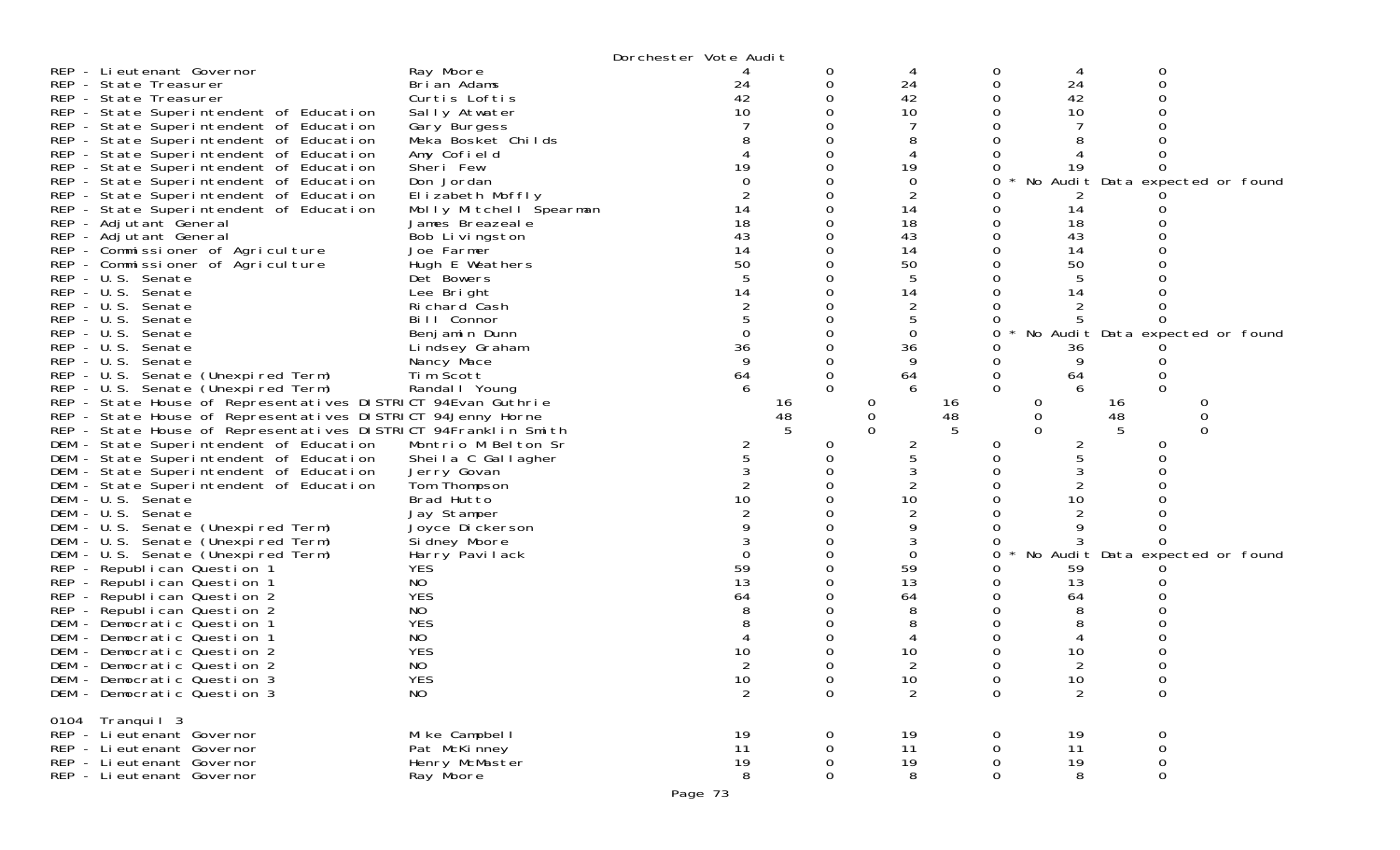|                                                                |                             | Dorchester Vote Audit |          |                |             |          |             |                                 |
|----------------------------------------------------------------|-----------------------------|-----------------------|----------|----------------|-------------|----------|-------------|---------------------------------|
| REP - Lieutenant Governor                                      | Ray Moore                   |                       | 0        |                | 0           | 4        | 0           |                                 |
| REP - State Treasurer                                          | Brian Adams                 | 24                    | 0        | 24             |             | 24       |             |                                 |
| REP - State Treasurer                                          | Curtis Loftis               | 42                    |          | 42             |             | 42       |             |                                 |
| REP - State Superintendent of Education                        | Sally Atwater               | 10                    |          | 10             |             | 10       |             |                                 |
| REP - State Superintendent of Education                        | Gary Burgess                |                       |          |                |             |          |             |                                 |
| REP - State Superintendent of Education                        | Meka Bosket Childs          |                       |          |                |             |          |             |                                 |
| REP - State Superintendent of Education                        | Amy Cofield                 |                       |          |                |             |          |             |                                 |
| REP - State Superintendent of Education                        | Sheri Few                   | 19                    |          | 19             |             | 19       |             |                                 |
| REP - State Superintendent of Education                        | Don Jordan                  |                       |          | 0              | 0           |          |             | No Audit Data expected or found |
| REP - State Superintendent of Education                        | Elizabeth Moffly            |                       |          |                |             |          |             |                                 |
| REP - State Superintendent of Education                        | Molly Mitchell Spearman     | 14                    |          | 14             |             | 14       |             |                                 |
| REP - Adjutant General                                         | James Breazeale             | 18                    |          | 18             |             | 18       |             |                                 |
| REP - Adjutant General                                         | Bob Livingston              | 43                    |          | 43             |             | 43       |             |                                 |
| REP - Commissioner of Agriculture                              | Joe Farmer                  | 14                    |          | 14             |             | 14       |             |                                 |
| REP - Commissioner of Agriculture                              | Hugh E Weathers             | 50                    |          | 50             |             | 50       |             |                                 |
| REP - U.S. Senate                                              | Det Bowers                  |                       |          |                |             |          |             |                                 |
| REP - U.S. Senate                                              | Lee Bright                  | 14                    |          | 14             |             | 14       |             |                                 |
| REP - U.S. Senate<br>REP - U.S. Senate                         | Richard Cash<br>Bill Connor |                       |          |                |             |          |             |                                 |
| REP - U.S. Senate                                              | Benjamin Dunn               | $\Omega$              |          | 0              | 0           |          |             | No Audit Data expected or found |
| REP - U.S. Senate                                              | Lindsey Graham              | 36                    |          | 36             |             | 36       |             |                                 |
| REP - U.S. Senate                                              | Nancy Mace                  | 9                     |          | 9              |             | 9        |             |                                 |
| REP - U.S. Senate (Unexpired Term)                             | Tim Scott                   | 64                    | 0        | 64             | 0           | 64       |             |                                 |
| REP - U.S. Senate (Unexpired Term)                             | Randal   Young              | 6                     | $\Omega$ | 6              | $\Omega$    | 6        | $\Omega$    |                                 |
| REP - State House of Representatives DISTRICT 94Evan Guthrie   |                             |                       | 16       | 0              | 16          | 0        | 16          |                                 |
| REP - State House of Representatives DISTRICT 94Jenny Horne    |                             |                       | 48       | 0              | 48          | 0        | 48          |                                 |
| REP - State House of Representatives DISTRICT 94Franklin Smith |                             |                       |          | $\Omega$       |             | $\Omega$ |             | $\Omega$                        |
| DEM - State Superintendent of Education                        | Montrio M Belton Sr         |                       | 0        | 2              |             |          |             |                                 |
| DEM - State Superintendent of Education                        | Sheila C Gallagher          |                       | 0        |                |             | 2<br>5   |             |                                 |
| DEM - State Superintendent of Education                        | Jerry Govan                 |                       |          | 3              |             |          |             |                                 |
| DEM - State Superintendent of Education                        | Tom Thompson                |                       |          | 2              |             |          |             |                                 |
| DEM - U.S. Senate                                              | Brad Hutto                  | 10                    |          | 10             |             | 10       |             |                                 |
| DEM - U.S. Senate                                              | Jay Stamper                 |                       |          | 2              |             |          |             |                                 |
| DEM - U.S. Senate (Unexpired Term)                             | Joyce Dickerson             |                       |          |                |             |          |             |                                 |
| DEM - U.S. Senate (Unexpired Term)                             | Si dney Moore               |                       |          |                |             |          |             |                                 |
| DEM - U.S. Senate (Unexpired Term)                             | Harry Pavilack              | $\Omega$              |          | 0              | 0           |          |             | No Audit Data expected or found |
| REP - Republican Question 1                                    | <b>YES</b>                  | 59                    |          | 59             |             | 59       |             |                                 |
| REP - Republican Question 1                                    | NO                          | 13                    |          | 13             |             | 13       |             |                                 |
| REP - Republican Question 2                                    | <b>YES</b>                  | 64                    |          | 64             |             | 64       |             |                                 |
| REP - Republican Question 2                                    | NO                          |                       |          |                |             |          |             |                                 |
| DEM - Democratic Question 1                                    | <b>YES</b>                  |                       |          |                |             |          |             |                                 |
| DEM - Democratic Question 1                                    | NO                          |                       |          |                |             |          |             |                                 |
| DEM - Democratic Question 2                                    | <b>YES</b>                  | 10                    |          | 10             |             | 10       |             |                                 |
| DEM - Democratic Question 2                                    | NO                          |                       |          |                |             |          |             |                                 |
| DEM - Democratic Question 3                                    | <b>YES</b>                  | $10$                  | 0        | 10             | 0           | 10       | 0           |                                 |
| DEM - Democratic Question 3                                    | <b>NO</b>                   | $\overline{2}$        | 0        | $\overline{2}$ | $\mathbf 0$ | 2        | $\mathbf 0$ |                                 |
| 0104 Tranquil 3                                                |                             |                       |          |                |             |          |             |                                 |
| REP - Li eutenant Governor                                     | Mike Campbell               | 19                    | 0        | 19             | 0           | 19       | 0           |                                 |
| REP - Lieutenant Governor                                      | Pat McKinney                | 11                    | 0        | 11             | 0           | 11       | 0           |                                 |
| REP - Lieutenant Governor                                      | Henry McMaster              | 19                    | 0        | 19             | 0           | 19       | 0           |                                 |
| REP - Lieutenant Governor                                      | Ray Moore                   | 8                     | 0        | 8              | 0           | 8        | $\mathbf 0$ |                                 |
|                                                                |                             |                       |          |                |             |          |             |                                 |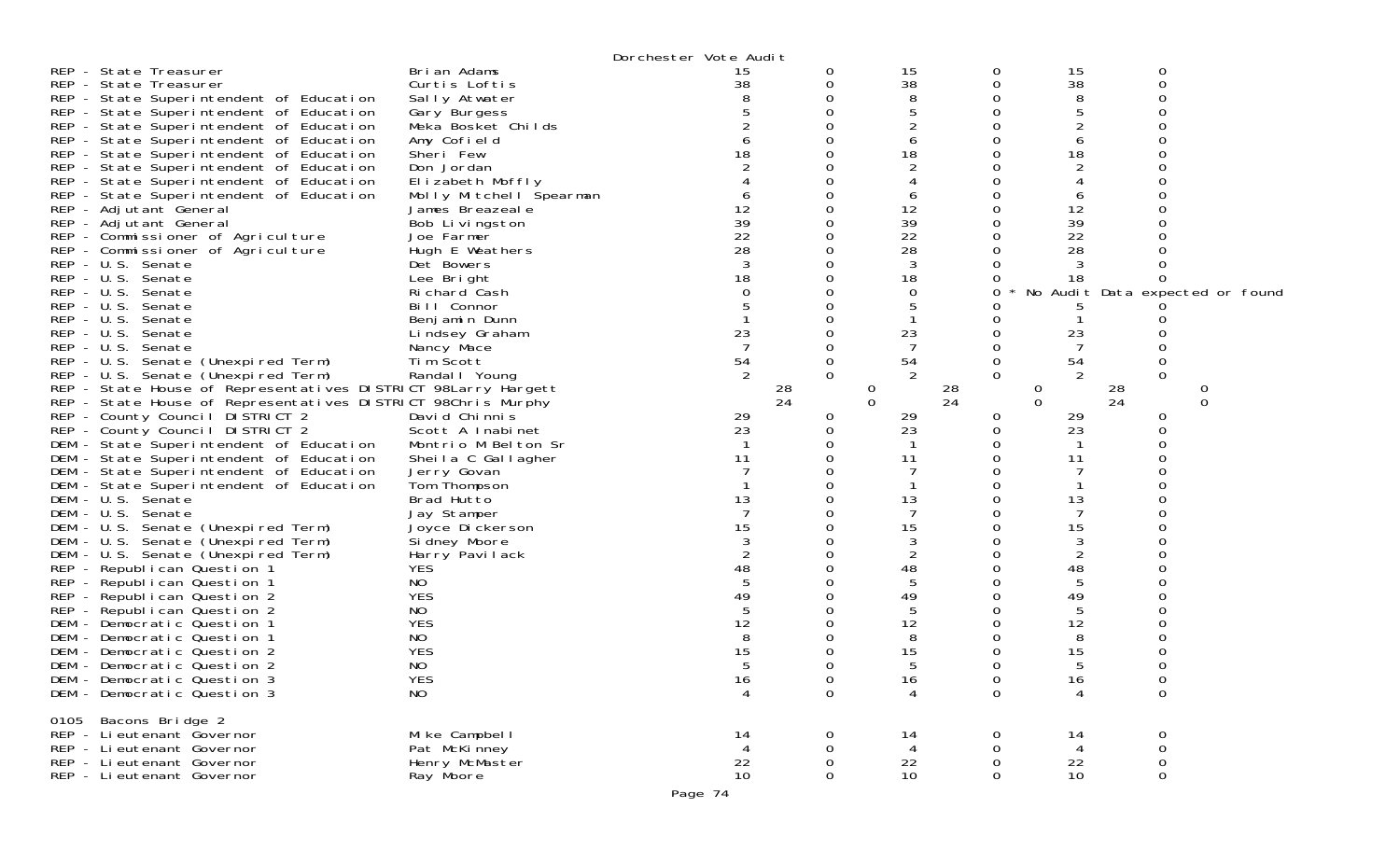| REP - State Treasurer<br>REP - State Treasurer<br>REP - State Superintendent of Education<br>REP - State Superintendent of Education<br>REP - State Superintendent of Education<br>REP - State Superintendent of Education<br>REP - State Superintendent of Education<br>REP - State Superintendent of Education<br>REP - State Superintendent of Education<br>REP - State Superintendent of Education<br>REP - Adjutant General<br>REP - Adjutant General<br>REP - Commissioner of Agriculture<br>REP - Commissioner of Agriculture<br>REP - U.S. Senate<br>REP - U.S. Senate<br>REP - U.S. Senate<br>REP - U.S. Senate<br>REP - U.S. Senate<br>REP - U.S. Senate<br>REP - U.S. Senate<br>REP - U.S. Senate (Unexpired Term)<br>REP - U.S. Senate (Unexpired Term)<br>REP - State House of Representatives DISTRICT 98Larry Hargett<br>REP - State House of Representatives DISTRICT 98Chris Murphy<br>REP - County Council DISTRICT 2<br>REP - County Council DISTRICT 2<br>DEM - State Superintendent of Education<br>DEM - State Superintendent of Education<br>DEM - State Superintendent of Education<br>DEM - State Superintendent of Education<br>DEM - U.S. Senate<br>DEM - U.S. Senate<br>DEM - U.S. Senate (Unexpired Term)<br>DEM - U.S. Senate (Unexpired Term)<br>DEM - U.S. Senate (Unexpired Term)<br>REP - Republican Question 1<br>REP - Republican Question 1<br>REP - Republican Question 2<br>REP - Republican Question 2 | Brian Adams<br>Curtis Loftis<br>Sally Atwater<br>Gary Burgess<br>Meka Bosket Childs<br>Amy Cofield<br>Sheri Few<br>Don Jordan<br>Elizabeth Moffly<br>Molly Mitchell Spearman<br>James Breazeale<br>Bob Livingston<br>Joe Farmer<br>Hugh E Weathers<br>Det Bowers<br>Lee Bright<br>Richard Cash<br>Bill Connor<br>Benjamin Dunn<br>Lindsey Graham<br>Nancy Mace<br>Tim Scott<br>Randal   Young<br>David Chinnis<br>Scott A Inabinet<br>Montrio M Belton Sr<br>Sheila C Gallagher<br>Jerry Govan<br>Tom Thompson<br>Brad Hutto<br>Jay Stamper<br>Joyce Dickerson<br>Sidney Moore<br>Harry Pavilack<br><b>YES</b><br>NO<br><b>YES</b><br>NO | Dorchester Vote Audit<br>15<br>38<br>18<br>12<br>39<br>22<br>28<br>18<br>23<br>54<br>2<br>29<br>23<br>11<br>13<br>7<br>15<br>2<br>48<br>49 | 0<br>0<br>0<br>O<br>0<br>0<br>0<br>0<br>28<br>24<br>0<br>0 | 15<br>38<br>8<br>5<br>6<br>18<br>6<br>12<br>39<br>22<br>28<br>3<br>18<br>0<br>5<br>23<br>7<br>54<br>2<br>28<br>0<br>$\Omega$<br>24<br>29<br>23<br>11<br>13<br>7<br>15<br>3<br>2<br>48<br>5<br>49<br>5 | 0<br>0<br>Ω<br>0<br>$\Omega$<br>0 | 15<br>38<br>8<br>5<br>6<br>18<br>6<br>12<br>39<br>22<br>28<br>3<br>18<br>23<br>7<br>54<br>2<br>0<br>$\Omega$<br>29<br>23<br>11<br>13<br>7<br>15<br>3<br>$\overline{2}$<br>48<br>5<br>49<br>5 | $\mathbf 0$<br>$\Omega$<br>0<br>$\Omega$<br>28<br>24<br>0<br>Ω | No Audit Data expected or found<br>0<br>$\Omega$ |
|------------------------------------------------------------------------------------------------------------------------------------------------------------------------------------------------------------------------------------------------------------------------------------------------------------------------------------------------------------------------------------------------------------------------------------------------------------------------------------------------------------------------------------------------------------------------------------------------------------------------------------------------------------------------------------------------------------------------------------------------------------------------------------------------------------------------------------------------------------------------------------------------------------------------------------------------------------------------------------------------------------------------------------------------------------------------------------------------------------------------------------------------------------------------------------------------------------------------------------------------------------------------------------------------------------------------------------------------------------------------------------------------------------------------------------------------|------------------------------------------------------------------------------------------------------------------------------------------------------------------------------------------------------------------------------------------------------------------------------------------------------------------------------------------------------------------------------------------------------------------------------------------------------------------------------------------------------------------------------------------------------------------------------------------------------------------------------------------|--------------------------------------------------------------------------------------------------------------------------------------------|------------------------------------------------------------|-------------------------------------------------------------------------------------------------------------------------------------------------------------------------------------------------------|-----------------------------------|----------------------------------------------------------------------------------------------------------------------------------------------------------------------------------------------|----------------------------------------------------------------|--------------------------------------------------|
| DEM - Democratic Question 1<br>DEM - Democratic Question 1<br>DEM - Democratic Question 2<br>DEM - Democratic Question 2<br>DEM - Democratic Question 3<br>DEM - Democratic Question 3                                                                                                                                                                                                                                                                                                                                                                                                                                                                                                                                                                                                                                                                                                                                                                                                                                                                                                                                                                                                                                                                                                                                                                                                                                                         | <b>YES</b><br>NO<br><b>YES</b><br>NO<br><b>YES</b><br>NO                                                                                                                                                                                                                                                                                                                                                                                                                                                                                                                                                                                 | 12<br>8<br>15<br>16<br>4                                                                                                                   | $\mathbf 0$<br>$\mathbf 0$                                 | 12<br>8<br>15<br>16<br>4                                                                                                                                                                              | 0<br>0                            | 12<br>8<br>15<br>16<br>4                                                                                                                                                                     | ∩<br>$\mathbf 0$<br>$\mathbf 0$                                |                                                  |
| Bacons Bridge 2<br>0105<br>REP - Lieutenant Governor<br>REP - Li eutenant Governor<br>REP - Lieutenant Governor<br>REP - Lieutenant Governor                                                                                                                                                                                                                                                                                                                                                                                                                                                                                                                                                                                                                                                                                                                                                                                                                                                                                                                                                                                                                                                                                                                                                                                                                                                                                                   | Mike Campbell<br>Pat McKinney<br>Henry McMaster<br>Ray Moore                                                                                                                                                                                                                                                                                                                                                                                                                                                                                                                                                                             | 14<br>$\overline{4}$<br>22<br>10 <sup>°</sup>                                                                                              | 0<br>$\Omega$<br>0<br>0                                    | 14<br>4<br>22<br>10                                                                                                                                                                                   | 0<br>0<br>0<br>$\Omega$           | 14<br>4<br>22<br>10                                                                                                                                                                          | 0<br>$\mathbf 0$<br>$\boldsymbol{0}$<br>$\boldsymbol{0}$       |                                                  |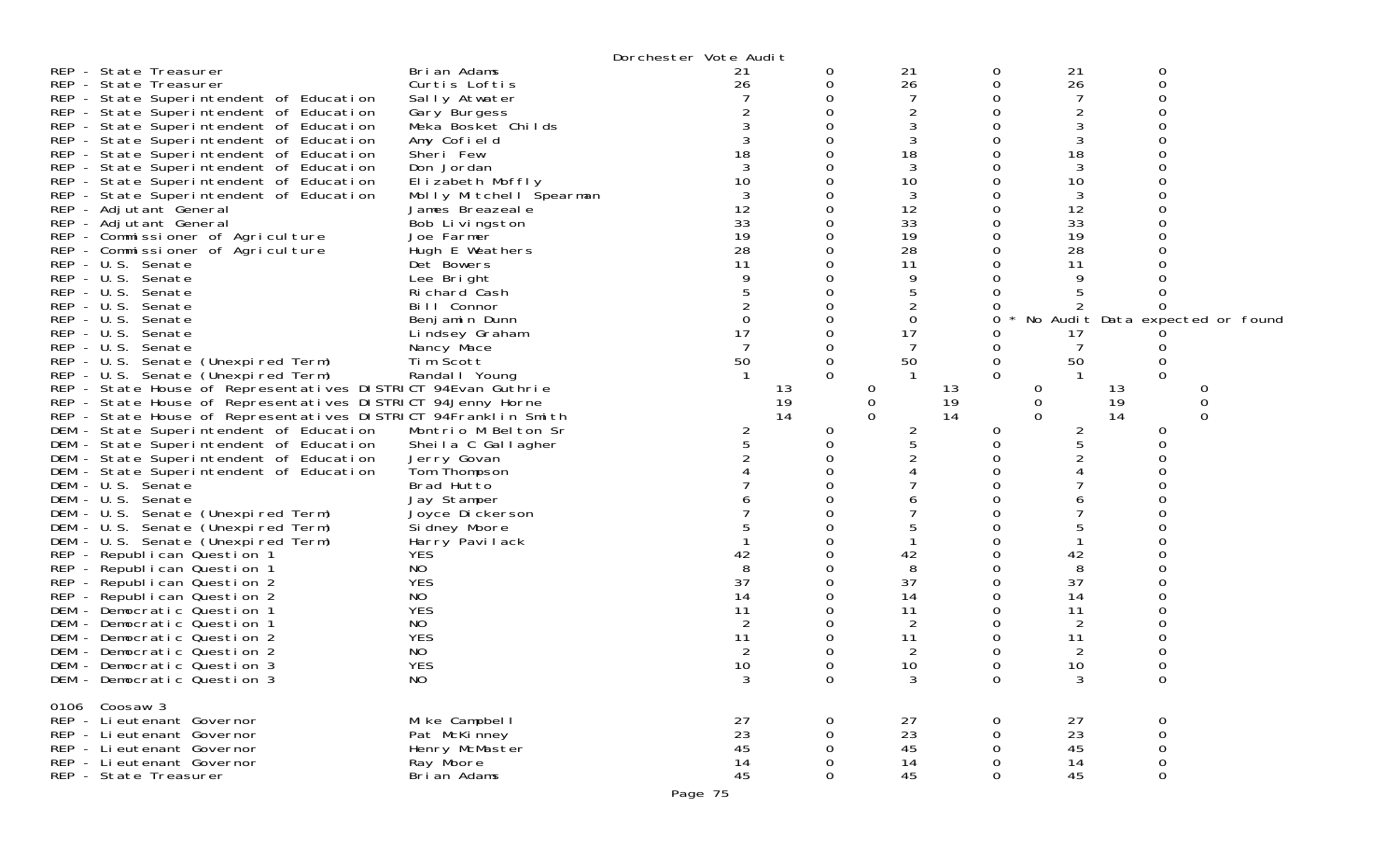|                                                                |                              | Dorchester Vote Audit |          |             |    |                |                     |                                 |
|----------------------------------------------------------------|------------------------------|-----------------------|----------|-------------|----|----------------|---------------------|---------------------------------|
| REP - State Treasurer                                          | Brian Adams                  | 21                    | 0        | 21          | 0  | 21             | 0                   |                                 |
| REP - State Treasurer                                          | Curtis Loftis                | 26                    | 0        | 26          | 0  | 26             | 0                   |                                 |
| REP - State Superintendent of Education                        | Sally Atwater                |                       |          | 7           |    |                |                     |                                 |
| REP - State Superintendent of Education                        | Gary Burgess                 |                       |          | 2           |    | $\overline{c}$ |                     |                                 |
| REP - State Superintendent of Education                        | Meka Bosket Childs           |                       |          | 3           |    | 3              |                     |                                 |
| REP - State Superintendent of Education                        | Amy Cofield                  |                       |          | 3           |    | 3              |                     |                                 |
| REP - State Superintendent of Education                        | Sheri Few                    | 18                    |          | 18          |    | 18             |                     |                                 |
| REP - State Superintendent of Education                        | Don Jordan                   |                       |          | 3           |    | 3              |                     |                                 |
| REP - State Superintendent of Education                        | Elizabeth Moffly             | 10                    |          | 10          |    | 10             |                     |                                 |
| REP - State Superintendent of Education                        | Molly Mitchell Spearman      |                       |          | 3           |    | 3              |                     |                                 |
| REP - Adjutant General                                         | James Breazeale              | 12                    |          | 12          |    | 12             |                     |                                 |
| REP - Adjutant General                                         | Bob Livingston               | 33                    |          | 33          |    | 33             |                     |                                 |
| REP - Commissioner of Agriculture                              | Joe Farmer                   | 19                    |          | 19          |    | 19             |                     |                                 |
| REP - Commissioner of Agriculture                              | Hugh E Weathers              | 28                    |          | 28          |    | 28             |                     |                                 |
| REP - U.S. Senate                                              | Det Bowers                   | 11                    |          | 11          |    | 11             |                     |                                 |
| REP - U.S. Senate                                              | Lee Bright                   |                       |          | 9           |    | 9              |                     |                                 |
| REP - U.S. Senate                                              | Richard Cash                 |                       |          | 5           |    |                |                     |                                 |
| REP - U.S. Senate<br>$REP - U.S.$<br>Senate                    | Bill Connor<br>Benjamin Dunn |                       |          | 2<br>0      | Ω  |                |                     | No Audit Data expected or found |
| REP - U.S. Senate                                              |                              | 17                    |          | 17          |    | 17             |                     |                                 |
| REP - U.S. Senate                                              | Lindsey Graham               |                       |          | 7           |    |                |                     |                                 |
| REP - U.S. Senate (Unexpired Term)                             | Nancy Mace<br>Tim Scott      | 50                    | 0        | 50          | 0  | 50             |                     |                                 |
| REP - U.S. Senate (Unexpired Term)                             | Randal   Young               |                       | $\Omega$ |             | 0  |                | $\Omega$            |                                 |
| REP - State House of Representatives DISTRICT 94Evan Guthrie   |                              |                       | 13       | $\Omega$    | 13 | 0              | 13                  |                                 |
| REP - State House of Representatives DISTRICT 94Jenny Horne    |                              |                       | 19       | $\mathbf 0$ | 19 | 0              | 19                  | 0                               |
| REP - State House of Representatives DISTRICT 94Franklin Smith |                              |                       | 14       | $\Omega$    | 14 | $\Omega$       | 14                  | 0                               |
| DEM - State Superintendent of Education                        | Montrio M Belton Sr          | $\overline{2}$        | 0        | 2           | 0  | 2              | 0                   |                                 |
| DEM - State Superintendent of Education                        | Sheila C Gallagher           |                       |          | 5           |    |                |                     |                                 |
| DEM - State Superintendent of Education                        | Jerry Govan                  |                       |          |             |    |                |                     |                                 |
| DEM - State Superintendent of Education                        | Tom Thompson                 |                       |          |             |    |                |                     |                                 |
| DEM - U.S. Senate                                              | Brad Hutto                   |                       |          |             |    |                |                     |                                 |
| DEM - U.S. Senate                                              | Jay Stamper                  |                       |          |             |    |                |                     |                                 |
| DEM - U.S. Senate (Unexpired Term)                             | Joyce Dickerson              |                       |          |             |    |                |                     |                                 |
| DEM - U.S. Senate (Unexpired Term)                             | Si dney Moore                |                       |          |             |    |                |                     |                                 |
| DEM - U.S. Senate (Unexpired Term)                             | Harry Pavilack               |                       |          |             |    |                |                     |                                 |
| REP - Republican Question 1                                    | <b>YES</b>                   | 42                    |          | 42          |    | 42             |                     |                                 |
| REP - Republican Question 1                                    | NO                           |                       |          | 8           |    | 8              |                     |                                 |
| REP - Republican Question 2                                    | <b>YES</b>                   | 37                    |          | 37          |    | 37             |                     |                                 |
| REP - Republican Question 2                                    | NO.                          | 14                    |          | 14          |    | 14             |                     |                                 |
| DEM - Democratic Question 1                                    | <b>YES</b>                   | 11                    |          | 11          |    | 11             |                     |                                 |
| DEM - Democratic Question 1                                    | NO                           |                       |          |             |    |                |                     |                                 |
| DEM - Democratic Question 2                                    | <b>YES</b>                   | 11                    |          | 11          |    | 11             |                     |                                 |
| DEM - Democratic Question 2                                    | NO                           |                       |          | 2           |    |                |                     |                                 |
| DEM - Democratic Question 3                                    | <b>YES</b>                   | 10                    |          | 10          |    | 10             | ∩                   |                                 |
| DEM - Democratic Question 3                                    | <b>NO</b>                    | 3                     | 0        | 3           | 0  | 3              | 0                   |                                 |
| 0106 Coosaw 3                                                  |                              |                       |          |             |    |                |                     |                                 |
| REP - Li eutenant Governor                                     | Mike Campbell                | 27                    | O        | 27          |    | 27             | 0                   |                                 |
| REP - Lieutenant Governor                                      | Pat McKinney                 | 23                    | 0        | 23          |    | 23             | $\mathbf 0$         |                                 |
| REP - Li eutenant Governor                                     | Henry McMaster               | 45                    |          | 45          |    | 45             | 0                   |                                 |
| REP - Lieutenant Governor                                      | Ray Moore                    | 14                    | 0        | 14          | 0  | 14             | $\mathbf 0$         |                                 |
| REP - State Treasurer                                          | Brian Adams                  | 45                    | 0        | 45          | 0  | 45             | $\mathsf{O}\xspace$ |                                 |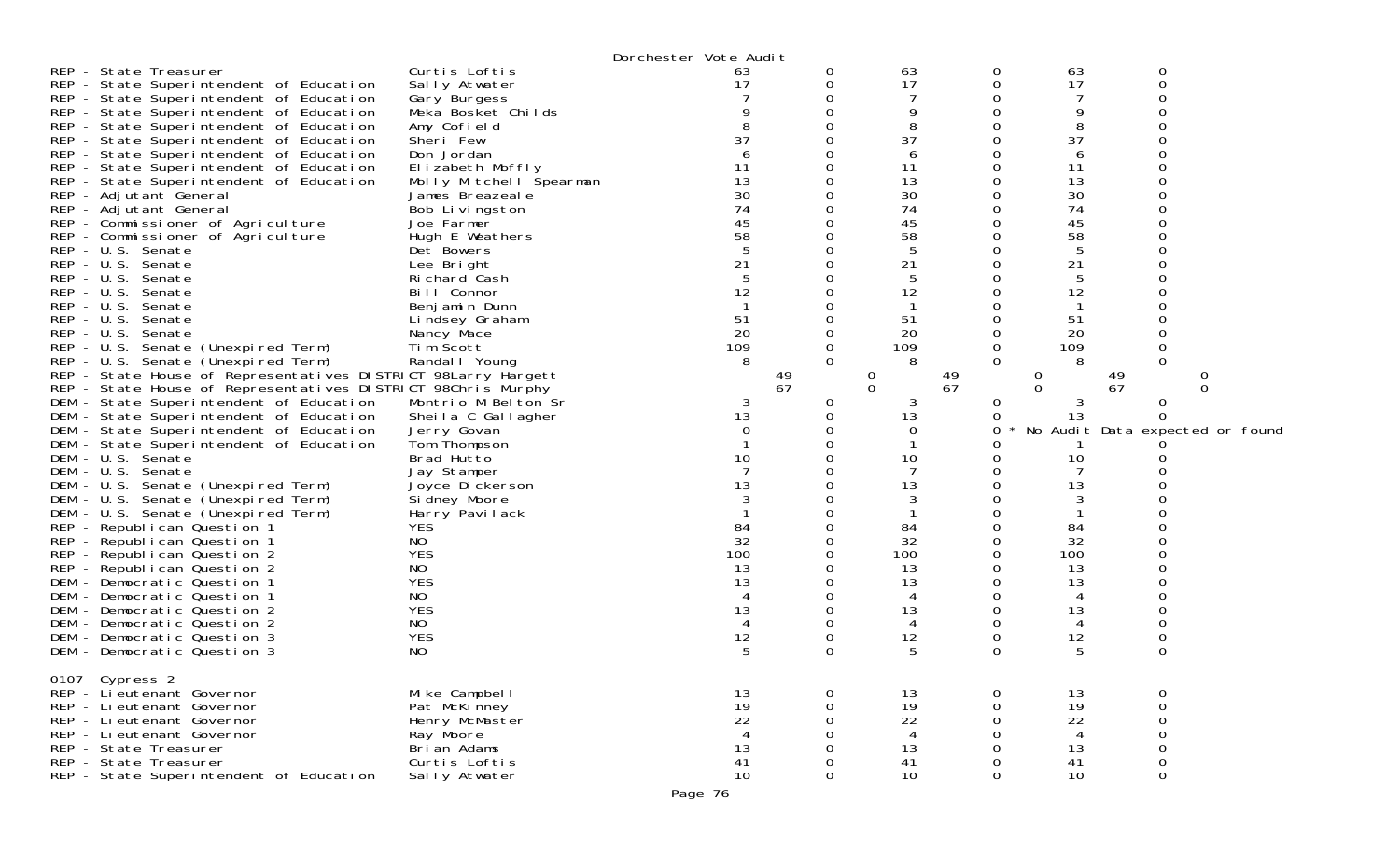|                                                               |                         | Dorchester Vote Audit |          |                |          |                |                  |                                 |
|---------------------------------------------------------------|-------------------------|-----------------------|----------|----------------|----------|----------------|------------------|---------------------------------|
| REP - State Treasurer                                         | Curtis Loftis           | 63                    | 0        | 63             | 0        | 63             | 0                |                                 |
| REP - State Superintendent of Education                       | Sally Atwater           | 17                    |          | 17             | 0        | 17             | 0                |                                 |
| REP - State Superintendent of Education                       | Gary Burgess            |                       |          |                |          |                | O                |                                 |
| REP - State Superintendent of Education                       | Meka Bosket Childs      |                       |          | 9              | 0        | 9              |                  |                                 |
| REP - State Superintendent of Education                       | Amy Cofield             |                       |          | 8              | 0        | 8              |                  |                                 |
| REP - State Superintendent of Education                       | Sheri Few               | 37                    |          | 37             | 0        | 37             | ∩                |                                 |
| REP - State Superintendent of Education                       | Don Jordan              |                       |          | 6              | 0        | 6              |                  |                                 |
| REP - State Superintendent of Education                       | Elizabeth Moffly        | 11                    |          | 11             | 0        | 11             |                  |                                 |
| REP - State Superintendent of Education                       | Molly Mitchell Spearman | 13                    |          | 13             | 0        | 13             |                  |                                 |
| REP - Adjutant General                                        | James Breazeale         | 30                    |          | 30             | 0        | 30             |                  |                                 |
| REP - Adjutant General                                        | Bob Livingston          | 74                    |          | 74             | 0        | 74             |                  |                                 |
| REP - Commissioner of Agriculture                             | Joe Farmer              | 45                    |          | 45             | 0        | 45             |                  |                                 |
|                                                               | Hugh E Weathers         | 58                    |          | 58             | 0        | 58             |                  |                                 |
| REP - Commissioner of Agriculture<br>REP - U.S. Senate        |                         |                       |          |                |          | 5              |                  |                                 |
|                                                               | Det Bowers              |                       |          | 5              | 0        |                |                  |                                 |
| REP - U.S. Senate                                             | Lee Bright              | 21                    |          | 21             |          | 21             |                  |                                 |
| REP - U.S. Senate                                             | Richard Cash            | 5                     |          | 5              | Ω        | 5              |                  |                                 |
| REP - U.S. Senate                                             | Bill Connor             | 12                    |          | 12             |          | 12             |                  |                                 |
| REP - U.S. Senate                                             | Benjamin Dunn           |                       |          |                |          |                |                  |                                 |
| REP - U.S. Senate                                             | Lindsey Graham          | 51                    |          | 51             | 0        | 51             |                  |                                 |
| REP - U.S. Senate                                             | Nancy Mace              | 20                    |          | 20             | 0        | 20             |                  |                                 |
| REP - U.S. Senate (Unexpired Term)                            | Tim Scott               | 109                   |          | 109            | 0        | 109            | 0                |                                 |
| REP - U.S. Senate (Unexpired Term)                            | Randal   Young          | 8                     | $\Omega$ | 8              | $\Omega$ | 8              | $\Omega$         |                                 |
| REP - State House of Representatives DISTRICT 98Larry Hargett |                         |                       | 49       | $\theta$       | 49       | 0              | 49               |                                 |
| REP - State House of Representatives DISTRICT 98Chris Murphy  |                         |                       | 67       | $\Omega$       | 67       | $\Omega$       | 67               | ∩                               |
| DEM - State Superintendent of Education                       | Montrio M Belton Sr     | 3                     | 0        | 3              | 0        | 3              | 0                |                                 |
| DEM - State Superintendent of Education                       | Sheila C Gallagher      | 13                    |          | 13             | 0        | 13             | 0                |                                 |
| DEM - State Superintendent of Education                       | Jerry Govan             | 0                     |          | $\Omega$       | 0        |                |                  | No Audit Data expected or found |
| DEM - State Superintendent of Education                       | Tom Thompson            |                       |          |                |          |                |                  |                                 |
| DEM - U.S. Senate                                             | Brad Hutto              | 10                    |          | 10             |          | 10             |                  |                                 |
| DEM - U.S. Senate                                             | Jay Stamper             |                       |          |                |          |                |                  |                                 |
| DEM - U.S. Senate (Unexpired Term)                            | Joyce Dickerson         | 13                    |          | 13             | 0        | 13             |                  |                                 |
| DEM - U.S. Senate (Unexpired Term)                            | Si dney Moore           |                       |          | 3              |          | 3              |                  |                                 |
| DEM - U.S. Senate (Unexpired Term)                            | Harry Pavilack          |                       |          |                | 0        |                |                  |                                 |
| REP - Republican Question 1                                   | <b>YES</b>              | 84                    |          | 84             | 0        | 84             |                  |                                 |
| REP - Republican Question 1                                   | NO                      | 32                    |          | 32             |          | 32             |                  |                                 |
| REP - Republican Question 2                                   | <b>YES</b>              | 100                   |          | 100            | 0        | 100            |                  |                                 |
| REP - Republican Question 2                                   | NO                      | 13                    |          | 13             | 0        | 13             |                  |                                 |
| DEM - Democratic Question 1                                   | <b>YES</b>              | 13                    |          | 13             | 0        | 13             |                  |                                 |
| DEM - Democratic Question 1                                   | NO.                     |                       |          |                | 0        | 4              |                  |                                 |
| DEM - Democratic Question 2                                   | <b>YES</b>              | 13                    |          | 13             | 0        | 13             |                  |                                 |
| DEM - Democratic Question 2                                   | NO                      |                       |          | 4              | 0        | 4              | 0                |                                 |
| DEM - Democratic Question 3                                   | <b>YES</b>              | 12                    | 0        | 12             | 0        | 12             | 0                |                                 |
| DEM - Democratic Question 3                                   | NO                      | 5                     | 0        | 5              | $\Omega$ | 5              | 0                |                                 |
|                                                               |                         |                       |          |                |          |                |                  |                                 |
|                                                               |                         |                       |          |                |          |                |                  |                                 |
| 0107 Cypress 2<br>REP - Li eutenant Governor                  | Mike Campbell           |                       |          | 13             |          | 13             |                  |                                 |
| REP - Lieutenant Governor                                     |                         | 13<br>19              | 0        | 19             | 0<br>0   | 19             | 0                |                                 |
|                                                               | Pat McKinney            |                       | 0        |                |          |                | $\boldsymbol{0}$ |                                 |
| REP - Lieutenant Governor                                     | Henry McMaster          | 22                    | 0        | 22             | 0        | 22             | $\mathbf 0$      |                                 |
| REP - Li eutenant Governor                                    | Ray Moore               | $\overline{4}$        |          | $\overline{4}$ | 0        | $\overline{4}$ | $\boldsymbol{0}$ |                                 |
| REP - State Treasurer                                         | Brian Adams             | 13                    |          | 13             | 0        | 13             | $\mathbf 0$      |                                 |
| REP - State Treasurer                                         | Curtis Loftis           | 41                    | 0        | 41             | 0        | 41             | $\mathbf 0$      |                                 |
| REP - State Superintendent of Education                       | Sally Atwater           | 10                    | 0        | 10             | 0        | 10             | 0                |                                 |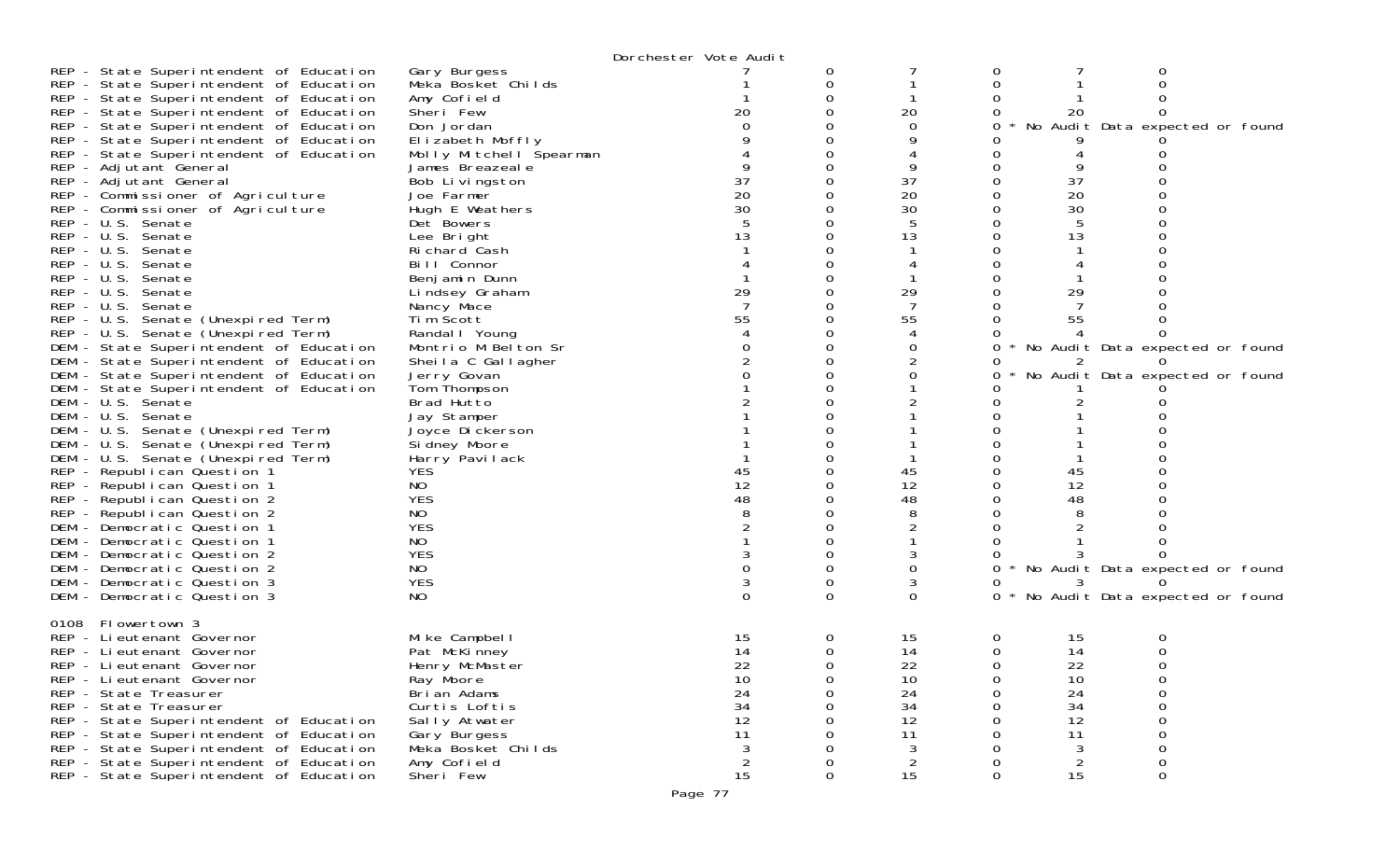| Gary Burgess<br>0<br>O<br>Meka Bosket Childs<br>0<br>REP - State Superintendent of Education<br>Amy Cofield<br>∩<br>Sheri Few<br>20<br>20<br>REP - State Superintendent of Education<br>20<br>REP - State Superintendent of Education<br>Don Jordan<br>0<br>No Audit Data expected or found<br>REP - State Superintendent of Education<br>Elizabeth Moffly<br>REP - State Superintendent of Education<br>Molly Mitchell Spearman<br>REP - Adjutant General<br>9<br>James Breazeale<br>37<br>37<br>REP - Adjutant General<br>Bob Livingston<br>37<br>20<br>20<br>20<br>REP - Commissioner of Agriculture<br>Joe Farmer<br>0<br>30<br>30<br>REP - Commissioner of Agriculture<br>Hugh E Weathers<br>30<br>REP - U.S. Senate<br>Det Bowers<br>REP - U.S. Senate<br>13<br>13<br>13<br>Lee Bright<br>REP - U.S. Senate<br>Richard Cash<br>REP - U.S. Senate<br>Bill Connor<br>REP - U.S. Senate<br>Benjamin Dunn<br>29<br>29<br>REP - U.S. Senate<br>29<br>Lindsey Graham<br>REP - U.S. Senate<br>Nancy Mace<br>O<br>55<br>REP - U.S. Senate (Unexpired Term)<br>Tim Scott<br>55<br>55<br>REP - U.S. Senate (Unexpired Term)<br>Randal I Young<br>DEM - State Superintendent of Education<br>Montrio M Belton Sr<br>O<br>No Audit Data expected or found<br>Sheila C Gallagher<br>Jerry Govan<br>No Audit Data expected or found<br>DEM - State Superintendent of Education<br>Tom Thompson<br>DEM - U.S. Senate<br>Brad Hutto<br>DEM - U.S. Senate<br>Jay Stamper<br>DEM - U.S. Senate (Unexpired Term)<br>Joyce Dickerson<br>DEM - U.S. Senate (Unexpired Term)<br>Si dney Moore<br>DEM - U.S. Senate (Unexpired Term)<br>Harry Pavilack<br><b>YES</b><br>45<br>REP - Republican Question 1<br>45<br>45<br>12<br>12<br>12<br>REP - Republican Question 1<br>NO<br><b>YES</b><br>48<br>48<br>REP - Republican Question 2<br>48<br>NO<br>8<br>REP - Republican Question 2<br><b>YES</b><br>DEM - Democratic Question 1<br>NO<br>DEM - Democratic Question 1<br><b>YES</b><br>DEM - Democratic Question 2<br>NO<br>DEM - Democratic Question 2<br>No Audit Data expected or found<br><b>YES</b><br>DEM - Democratic Question 3<br>0<br>NO.<br>$\Omega$<br>$\Omega$<br>0<br>No Audit Data expected or found<br>Mike Campbell<br>15<br>15<br>0<br>15<br>0<br>14<br>14<br>14<br>Pat McKinney<br>0<br>0<br>22<br>22<br>22<br>Henry McMaster<br>∩<br>0<br>10<br>10<br>REP - Lieutenant Governor<br>Ray Moore<br>10<br>Ω<br>0<br>REP - State Treasurer<br>Brian Adams<br>24<br>24<br>24<br>Curtis Loftis<br>REP - State Treasurer<br>34<br>34<br>34<br>REP - State Superintendent of Education<br>12<br>12<br>Sally Atwater<br>12<br>REP - State Superintendent of Education<br>Gary Burgess<br>11<br>11<br>11<br>REP - State Superintendent of Education<br>Meka Bosket Childs |                                                                                    | Dorchester Vote Audit |  |  |  |
|---------------------------------------------------------------------------------------------------------------------------------------------------------------------------------------------------------------------------------------------------------------------------------------------------------------------------------------------------------------------------------------------------------------------------------------------------------------------------------------------------------------------------------------------------------------------------------------------------------------------------------------------------------------------------------------------------------------------------------------------------------------------------------------------------------------------------------------------------------------------------------------------------------------------------------------------------------------------------------------------------------------------------------------------------------------------------------------------------------------------------------------------------------------------------------------------------------------------------------------------------------------------------------------------------------------------------------------------------------------------------------------------------------------------------------------------------------------------------------------------------------------------------------------------------------------------------------------------------------------------------------------------------------------------------------------------------------------------------------------------------------------------------------------------------------------------------------------------------------------------------------------------------------------------------------------------------------------------------------------------------------------------------------------------------------------------------------------------------------------------------------------------------------------------------------------------------------------------------------------------------------------------------------------------------------------------------------------------------------------------------------------------------------------------------------------------------------------------------------------------------------------------------------------------------------------------------------------------------------------------------------------------------------------------------------------------------------------------------------------------------------------------|------------------------------------------------------------------------------------|-----------------------|--|--|--|
|                                                                                                                                                                                                                                                                                                                                                                                                                                                                                                                                                                                                                                                                                                                                                                                                                                                                                                                                                                                                                                                                                                                                                                                                                                                                                                                                                                                                                                                                                                                                                                                                                                                                                                                                                                                                                                                                                                                                                                                                                                                                                                                                                                                                                                                                                                                                                                                                                                                                                                                                                                                                                                                                                                                                                                     | REP - State Superintendent of Education                                            |                       |  |  |  |
|                                                                                                                                                                                                                                                                                                                                                                                                                                                                                                                                                                                                                                                                                                                                                                                                                                                                                                                                                                                                                                                                                                                                                                                                                                                                                                                                                                                                                                                                                                                                                                                                                                                                                                                                                                                                                                                                                                                                                                                                                                                                                                                                                                                                                                                                                                                                                                                                                                                                                                                                                                                                                                                                                                                                                                     | REP - State Superintendent of Education                                            |                       |  |  |  |
|                                                                                                                                                                                                                                                                                                                                                                                                                                                                                                                                                                                                                                                                                                                                                                                                                                                                                                                                                                                                                                                                                                                                                                                                                                                                                                                                                                                                                                                                                                                                                                                                                                                                                                                                                                                                                                                                                                                                                                                                                                                                                                                                                                                                                                                                                                                                                                                                                                                                                                                                                                                                                                                                                                                                                                     |                                                                                    |                       |  |  |  |
|                                                                                                                                                                                                                                                                                                                                                                                                                                                                                                                                                                                                                                                                                                                                                                                                                                                                                                                                                                                                                                                                                                                                                                                                                                                                                                                                                                                                                                                                                                                                                                                                                                                                                                                                                                                                                                                                                                                                                                                                                                                                                                                                                                                                                                                                                                                                                                                                                                                                                                                                                                                                                                                                                                                                                                     |                                                                                    |                       |  |  |  |
|                                                                                                                                                                                                                                                                                                                                                                                                                                                                                                                                                                                                                                                                                                                                                                                                                                                                                                                                                                                                                                                                                                                                                                                                                                                                                                                                                                                                                                                                                                                                                                                                                                                                                                                                                                                                                                                                                                                                                                                                                                                                                                                                                                                                                                                                                                                                                                                                                                                                                                                                                                                                                                                                                                                                                                     |                                                                                    |                       |  |  |  |
|                                                                                                                                                                                                                                                                                                                                                                                                                                                                                                                                                                                                                                                                                                                                                                                                                                                                                                                                                                                                                                                                                                                                                                                                                                                                                                                                                                                                                                                                                                                                                                                                                                                                                                                                                                                                                                                                                                                                                                                                                                                                                                                                                                                                                                                                                                                                                                                                                                                                                                                                                                                                                                                                                                                                                                     |                                                                                    |                       |  |  |  |
|                                                                                                                                                                                                                                                                                                                                                                                                                                                                                                                                                                                                                                                                                                                                                                                                                                                                                                                                                                                                                                                                                                                                                                                                                                                                                                                                                                                                                                                                                                                                                                                                                                                                                                                                                                                                                                                                                                                                                                                                                                                                                                                                                                                                                                                                                                                                                                                                                                                                                                                                                                                                                                                                                                                                                                     |                                                                                    |                       |  |  |  |
|                                                                                                                                                                                                                                                                                                                                                                                                                                                                                                                                                                                                                                                                                                                                                                                                                                                                                                                                                                                                                                                                                                                                                                                                                                                                                                                                                                                                                                                                                                                                                                                                                                                                                                                                                                                                                                                                                                                                                                                                                                                                                                                                                                                                                                                                                                                                                                                                                                                                                                                                                                                                                                                                                                                                                                     |                                                                                    |                       |  |  |  |
|                                                                                                                                                                                                                                                                                                                                                                                                                                                                                                                                                                                                                                                                                                                                                                                                                                                                                                                                                                                                                                                                                                                                                                                                                                                                                                                                                                                                                                                                                                                                                                                                                                                                                                                                                                                                                                                                                                                                                                                                                                                                                                                                                                                                                                                                                                                                                                                                                                                                                                                                                                                                                                                                                                                                                                     |                                                                                    |                       |  |  |  |
|                                                                                                                                                                                                                                                                                                                                                                                                                                                                                                                                                                                                                                                                                                                                                                                                                                                                                                                                                                                                                                                                                                                                                                                                                                                                                                                                                                                                                                                                                                                                                                                                                                                                                                                                                                                                                                                                                                                                                                                                                                                                                                                                                                                                                                                                                                                                                                                                                                                                                                                                                                                                                                                                                                                                                                     |                                                                                    |                       |  |  |  |
|                                                                                                                                                                                                                                                                                                                                                                                                                                                                                                                                                                                                                                                                                                                                                                                                                                                                                                                                                                                                                                                                                                                                                                                                                                                                                                                                                                                                                                                                                                                                                                                                                                                                                                                                                                                                                                                                                                                                                                                                                                                                                                                                                                                                                                                                                                                                                                                                                                                                                                                                                                                                                                                                                                                                                                     |                                                                                    |                       |  |  |  |
|                                                                                                                                                                                                                                                                                                                                                                                                                                                                                                                                                                                                                                                                                                                                                                                                                                                                                                                                                                                                                                                                                                                                                                                                                                                                                                                                                                                                                                                                                                                                                                                                                                                                                                                                                                                                                                                                                                                                                                                                                                                                                                                                                                                                                                                                                                                                                                                                                                                                                                                                                                                                                                                                                                                                                                     |                                                                                    |                       |  |  |  |
|                                                                                                                                                                                                                                                                                                                                                                                                                                                                                                                                                                                                                                                                                                                                                                                                                                                                                                                                                                                                                                                                                                                                                                                                                                                                                                                                                                                                                                                                                                                                                                                                                                                                                                                                                                                                                                                                                                                                                                                                                                                                                                                                                                                                                                                                                                                                                                                                                                                                                                                                                                                                                                                                                                                                                                     |                                                                                    |                       |  |  |  |
|                                                                                                                                                                                                                                                                                                                                                                                                                                                                                                                                                                                                                                                                                                                                                                                                                                                                                                                                                                                                                                                                                                                                                                                                                                                                                                                                                                                                                                                                                                                                                                                                                                                                                                                                                                                                                                                                                                                                                                                                                                                                                                                                                                                                                                                                                                                                                                                                                                                                                                                                                                                                                                                                                                                                                                     |                                                                                    |                       |  |  |  |
|                                                                                                                                                                                                                                                                                                                                                                                                                                                                                                                                                                                                                                                                                                                                                                                                                                                                                                                                                                                                                                                                                                                                                                                                                                                                                                                                                                                                                                                                                                                                                                                                                                                                                                                                                                                                                                                                                                                                                                                                                                                                                                                                                                                                                                                                                                                                                                                                                                                                                                                                                                                                                                                                                                                                                                     |                                                                                    |                       |  |  |  |
|                                                                                                                                                                                                                                                                                                                                                                                                                                                                                                                                                                                                                                                                                                                                                                                                                                                                                                                                                                                                                                                                                                                                                                                                                                                                                                                                                                                                                                                                                                                                                                                                                                                                                                                                                                                                                                                                                                                                                                                                                                                                                                                                                                                                                                                                                                                                                                                                                                                                                                                                                                                                                                                                                                                                                                     |                                                                                    |                       |  |  |  |
|                                                                                                                                                                                                                                                                                                                                                                                                                                                                                                                                                                                                                                                                                                                                                                                                                                                                                                                                                                                                                                                                                                                                                                                                                                                                                                                                                                                                                                                                                                                                                                                                                                                                                                                                                                                                                                                                                                                                                                                                                                                                                                                                                                                                                                                                                                                                                                                                                                                                                                                                                                                                                                                                                                                                                                     |                                                                                    |                       |  |  |  |
|                                                                                                                                                                                                                                                                                                                                                                                                                                                                                                                                                                                                                                                                                                                                                                                                                                                                                                                                                                                                                                                                                                                                                                                                                                                                                                                                                                                                                                                                                                                                                                                                                                                                                                                                                                                                                                                                                                                                                                                                                                                                                                                                                                                                                                                                                                                                                                                                                                                                                                                                                                                                                                                                                                                                                                     |                                                                                    |                       |  |  |  |
|                                                                                                                                                                                                                                                                                                                                                                                                                                                                                                                                                                                                                                                                                                                                                                                                                                                                                                                                                                                                                                                                                                                                                                                                                                                                                                                                                                                                                                                                                                                                                                                                                                                                                                                                                                                                                                                                                                                                                                                                                                                                                                                                                                                                                                                                                                                                                                                                                                                                                                                                                                                                                                                                                                                                                                     |                                                                                    |                       |  |  |  |
|                                                                                                                                                                                                                                                                                                                                                                                                                                                                                                                                                                                                                                                                                                                                                                                                                                                                                                                                                                                                                                                                                                                                                                                                                                                                                                                                                                                                                                                                                                                                                                                                                                                                                                                                                                                                                                                                                                                                                                                                                                                                                                                                                                                                                                                                                                                                                                                                                                                                                                                                                                                                                                                                                                                                                                     |                                                                                    |                       |  |  |  |
|                                                                                                                                                                                                                                                                                                                                                                                                                                                                                                                                                                                                                                                                                                                                                                                                                                                                                                                                                                                                                                                                                                                                                                                                                                                                                                                                                                                                                                                                                                                                                                                                                                                                                                                                                                                                                                                                                                                                                                                                                                                                                                                                                                                                                                                                                                                                                                                                                                                                                                                                                                                                                                                                                                                                                                     | DEM - State Superintendent of Education                                            |                       |  |  |  |
|                                                                                                                                                                                                                                                                                                                                                                                                                                                                                                                                                                                                                                                                                                                                                                                                                                                                                                                                                                                                                                                                                                                                                                                                                                                                                                                                                                                                                                                                                                                                                                                                                                                                                                                                                                                                                                                                                                                                                                                                                                                                                                                                                                                                                                                                                                                                                                                                                                                                                                                                                                                                                                                                                                                                                                     | DEM - State Superintendent of Education                                            |                       |  |  |  |
|                                                                                                                                                                                                                                                                                                                                                                                                                                                                                                                                                                                                                                                                                                                                                                                                                                                                                                                                                                                                                                                                                                                                                                                                                                                                                                                                                                                                                                                                                                                                                                                                                                                                                                                                                                                                                                                                                                                                                                                                                                                                                                                                                                                                                                                                                                                                                                                                                                                                                                                                                                                                                                                                                                                                                                     |                                                                                    |                       |  |  |  |
|                                                                                                                                                                                                                                                                                                                                                                                                                                                                                                                                                                                                                                                                                                                                                                                                                                                                                                                                                                                                                                                                                                                                                                                                                                                                                                                                                                                                                                                                                                                                                                                                                                                                                                                                                                                                                                                                                                                                                                                                                                                                                                                                                                                                                                                                                                                                                                                                                                                                                                                                                                                                                                                                                                                                                                     |                                                                                    |                       |  |  |  |
|                                                                                                                                                                                                                                                                                                                                                                                                                                                                                                                                                                                                                                                                                                                                                                                                                                                                                                                                                                                                                                                                                                                                                                                                                                                                                                                                                                                                                                                                                                                                                                                                                                                                                                                                                                                                                                                                                                                                                                                                                                                                                                                                                                                                                                                                                                                                                                                                                                                                                                                                                                                                                                                                                                                                                                     |                                                                                    |                       |  |  |  |
|                                                                                                                                                                                                                                                                                                                                                                                                                                                                                                                                                                                                                                                                                                                                                                                                                                                                                                                                                                                                                                                                                                                                                                                                                                                                                                                                                                                                                                                                                                                                                                                                                                                                                                                                                                                                                                                                                                                                                                                                                                                                                                                                                                                                                                                                                                                                                                                                                                                                                                                                                                                                                                                                                                                                                                     |                                                                                    |                       |  |  |  |
|                                                                                                                                                                                                                                                                                                                                                                                                                                                                                                                                                                                                                                                                                                                                                                                                                                                                                                                                                                                                                                                                                                                                                                                                                                                                                                                                                                                                                                                                                                                                                                                                                                                                                                                                                                                                                                                                                                                                                                                                                                                                                                                                                                                                                                                                                                                                                                                                                                                                                                                                                                                                                                                                                                                                                                     |                                                                                    |                       |  |  |  |
|                                                                                                                                                                                                                                                                                                                                                                                                                                                                                                                                                                                                                                                                                                                                                                                                                                                                                                                                                                                                                                                                                                                                                                                                                                                                                                                                                                                                                                                                                                                                                                                                                                                                                                                                                                                                                                                                                                                                                                                                                                                                                                                                                                                                                                                                                                                                                                                                                                                                                                                                                                                                                                                                                                                                                                     |                                                                                    |                       |  |  |  |
|                                                                                                                                                                                                                                                                                                                                                                                                                                                                                                                                                                                                                                                                                                                                                                                                                                                                                                                                                                                                                                                                                                                                                                                                                                                                                                                                                                                                                                                                                                                                                                                                                                                                                                                                                                                                                                                                                                                                                                                                                                                                                                                                                                                                                                                                                                                                                                                                                                                                                                                                                                                                                                                                                                                                                                     |                                                                                    |                       |  |  |  |
|                                                                                                                                                                                                                                                                                                                                                                                                                                                                                                                                                                                                                                                                                                                                                                                                                                                                                                                                                                                                                                                                                                                                                                                                                                                                                                                                                                                                                                                                                                                                                                                                                                                                                                                                                                                                                                                                                                                                                                                                                                                                                                                                                                                                                                                                                                                                                                                                                                                                                                                                                                                                                                                                                                                                                                     |                                                                                    |                       |  |  |  |
|                                                                                                                                                                                                                                                                                                                                                                                                                                                                                                                                                                                                                                                                                                                                                                                                                                                                                                                                                                                                                                                                                                                                                                                                                                                                                                                                                                                                                                                                                                                                                                                                                                                                                                                                                                                                                                                                                                                                                                                                                                                                                                                                                                                                                                                                                                                                                                                                                                                                                                                                                                                                                                                                                                                                                                     |                                                                                    |                       |  |  |  |
|                                                                                                                                                                                                                                                                                                                                                                                                                                                                                                                                                                                                                                                                                                                                                                                                                                                                                                                                                                                                                                                                                                                                                                                                                                                                                                                                                                                                                                                                                                                                                                                                                                                                                                                                                                                                                                                                                                                                                                                                                                                                                                                                                                                                                                                                                                                                                                                                                                                                                                                                                                                                                                                                                                                                                                     |                                                                                    |                       |  |  |  |
|                                                                                                                                                                                                                                                                                                                                                                                                                                                                                                                                                                                                                                                                                                                                                                                                                                                                                                                                                                                                                                                                                                                                                                                                                                                                                                                                                                                                                                                                                                                                                                                                                                                                                                                                                                                                                                                                                                                                                                                                                                                                                                                                                                                                                                                                                                                                                                                                                                                                                                                                                                                                                                                                                                                                                                     |                                                                                    |                       |  |  |  |
|                                                                                                                                                                                                                                                                                                                                                                                                                                                                                                                                                                                                                                                                                                                                                                                                                                                                                                                                                                                                                                                                                                                                                                                                                                                                                                                                                                                                                                                                                                                                                                                                                                                                                                                                                                                                                                                                                                                                                                                                                                                                                                                                                                                                                                                                                                                                                                                                                                                                                                                                                                                                                                                                                                                                                                     |                                                                                    |                       |  |  |  |
|                                                                                                                                                                                                                                                                                                                                                                                                                                                                                                                                                                                                                                                                                                                                                                                                                                                                                                                                                                                                                                                                                                                                                                                                                                                                                                                                                                                                                                                                                                                                                                                                                                                                                                                                                                                                                                                                                                                                                                                                                                                                                                                                                                                                                                                                                                                                                                                                                                                                                                                                                                                                                                                                                                                                                                     |                                                                                    |                       |  |  |  |
|                                                                                                                                                                                                                                                                                                                                                                                                                                                                                                                                                                                                                                                                                                                                                                                                                                                                                                                                                                                                                                                                                                                                                                                                                                                                                                                                                                                                                                                                                                                                                                                                                                                                                                                                                                                                                                                                                                                                                                                                                                                                                                                                                                                                                                                                                                                                                                                                                                                                                                                                                                                                                                                                                                                                                                     |                                                                                    |                       |  |  |  |
|                                                                                                                                                                                                                                                                                                                                                                                                                                                                                                                                                                                                                                                                                                                                                                                                                                                                                                                                                                                                                                                                                                                                                                                                                                                                                                                                                                                                                                                                                                                                                                                                                                                                                                                                                                                                                                                                                                                                                                                                                                                                                                                                                                                                                                                                                                                                                                                                                                                                                                                                                                                                                                                                                                                                                                     | DEM - Democratic Question 3                                                        |                       |  |  |  |
|                                                                                                                                                                                                                                                                                                                                                                                                                                                                                                                                                                                                                                                                                                                                                                                                                                                                                                                                                                                                                                                                                                                                                                                                                                                                                                                                                                                                                                                                                                                                                                                                                                                                                                                                                                                                                                                                                                                                                                                                                                                                                                                                                                                                                                                                                                                                                                                                                                                                                                                                                                                                                                                                                                                                                                     | 0108 Flowertown 3                                                                  |                       |  |  |  |
|                                                                                                                                                                                                                                                                                                                                                                                                                                                                                                                                                                                                                                                                                                                                                                                                                                                                                                                                                                                                                                                                                                                                                                                                                                                                                                                                                                                                                                                                                                                                                                                                                                                                                                                                                                                                                                                                                                                                                                                                                                                                                                                                                                                                                                                                                                                                                                                                                                                                                                                                                                                                                                                                                                                                                                     | REP - Lieutenant Governor                                                          |                       |  |  |  |
|                                                                                                                                                                                                                                                                                                                                                                                                                                                                                                                                                                                                                                                                                                                                                                                                                                                                                                                                                                                                                                                                                                                                                                                                                                                                                                                                                                                                                                                                                                                                                                                                                                                                                                                                                                                                                                                                                                                                                                                                                                                                                                                                                                                                                                                                                                                                                                                                                                                                                                                                                                                                                                                                                                                                                                     | REP - Lieutenant Governor                                                          |                       |  |  |  |
|                                                                                                                                                                                                                                                                                                                                                                                                                                                                                                                                                                                                                                                                                                                                                                                                                                                                                                                                                                                                                                                                                                                                                                                                                                                                                                                                                                                                                                                                                                                                                                                                                                                                                                                                                                                                                                                                                                                                                                                                                                                                                                                                                                                                                                                                                                                                                                                                                                                                                                                                                                                                                                                                                                                                                                     | REP - Lieutenant Governor                                                          |                       |  |  |  |
|                                                                                                                                                                                                                                                                                                                                                                                                                                                                                                                                                                                                                                                                                                                                                                                                                                                                                                                                                                                                                                                                                                                                                                                                                                                                                                                                                                                                                                                                                                                                                                                                                                                                                                                                                                                                                                                                                                                                                                                                                                                                                                                                                                                                                                                                                                                                                                                                                                                                                                                                                                                                                                                                                                                                                                     |                                                                                    |                       |  |  |  |
|                                                                                                                                                                                                                                                                                                                                                                                                                                                                                                                                                                                                                                                                                                                                                                                                                                                                                                                                                                                                                                                                                                                                                                                                                                                                                                                                                                                                                                                                                                                                                                                                                                                                                                                                                                                                                                                                                                                                                                                                                                                                                                                                                                                                                                                                                                                                                                                                                                                                                                                                                                                                                                                                                                                                                                     |                                                                                    |                       |  |  |  |
|                                                                                                                                                                                                                                                                                                                                                                                                                                                                                                                                                                                                                                                                                                                                                                                                                                                                                                                                                                                                                                                                                                                                                                                                                                                                                                                                                                                                                                                                                                                                                                                                                                                                                                                                                                                                                                                                                                                                                                                                                                                                                                                                                                                                                                                                                                                                                                                                                                                                                                                                                                                                                                                                                                                                                                     |                                                                                    |                       |  |  |  |
|                                                                                                                                                                                                                                                                                                                                                                                                                                                                                                                                                                                                                                                                                                                                                                                                                                                                                                                                                                                                                                                                                                                                                                                                                                                                                                                                                                                                                                                                                                                                                                                                                                                                                                                                                                                                                                                                                                                                                                                                                                                                                                                                                                                                                                                                                                                                                                                                                                                                                                                                                                                                                                                                                                                                                                     |                                                                                    |                       |  |  |  |
|                                                                                                                                                                                                                                                                                                                                                                                                                                                                                                                                                                                                                                                                                                                                                                                                                                                                                                                                                                                                                                                                                                                                                                                                                                                                                                                                                                                                                                                                                                                                                                                                                                                                                                                                                                                                                                                                                                                                                                                                                                                                                                                                                                                                                                                                                                                                                                                                                                                                                                                                                                                                                                                                                                                                                                     |                                                                                    |                       |  |  |  |
|                                                                                                                                                                                                                                                                                                                                                                                                                                                                                                                                                                                                                                                                                                                                                                                                                                                                                                                                                                                                                                                                                                                                                                                                                                                                                                                                                                                                                                                                                                                                                                                                                                                                                                                                                                                                                                                                                                                                                                                                                                                                                                                                                                                                                                                                                                                                                                                                                                                                                                                                                                                                                                                                                                                                                                     |                                                                                    |                       |  |  |  |
| Amy Cofield<br>$\overline{2}$<br>2<br>$\overline{2}$<br>0<br>0<br>15<br>Sheri Few<br>15<br>15<br>$\Omega$<br>0<br>0                                                                                                                                                                                                                                                                                                                                                                                                                                                                                                                                                                                                                                                                                                                                                                                                                                                                                                                                                                                                                                                                                                                                                                                                                                                                                                                                                                                                                                                                                                                                                                                                                                                                                                                                                                                                                                                                                                                                                                                                                                                                                                                                                                                                                                                                                                                                                                                                                                                                                                                                                                                                                                                 | REP - State Superintendent of Education<br>REP - State Superintendent of Education |                       |  |  |  |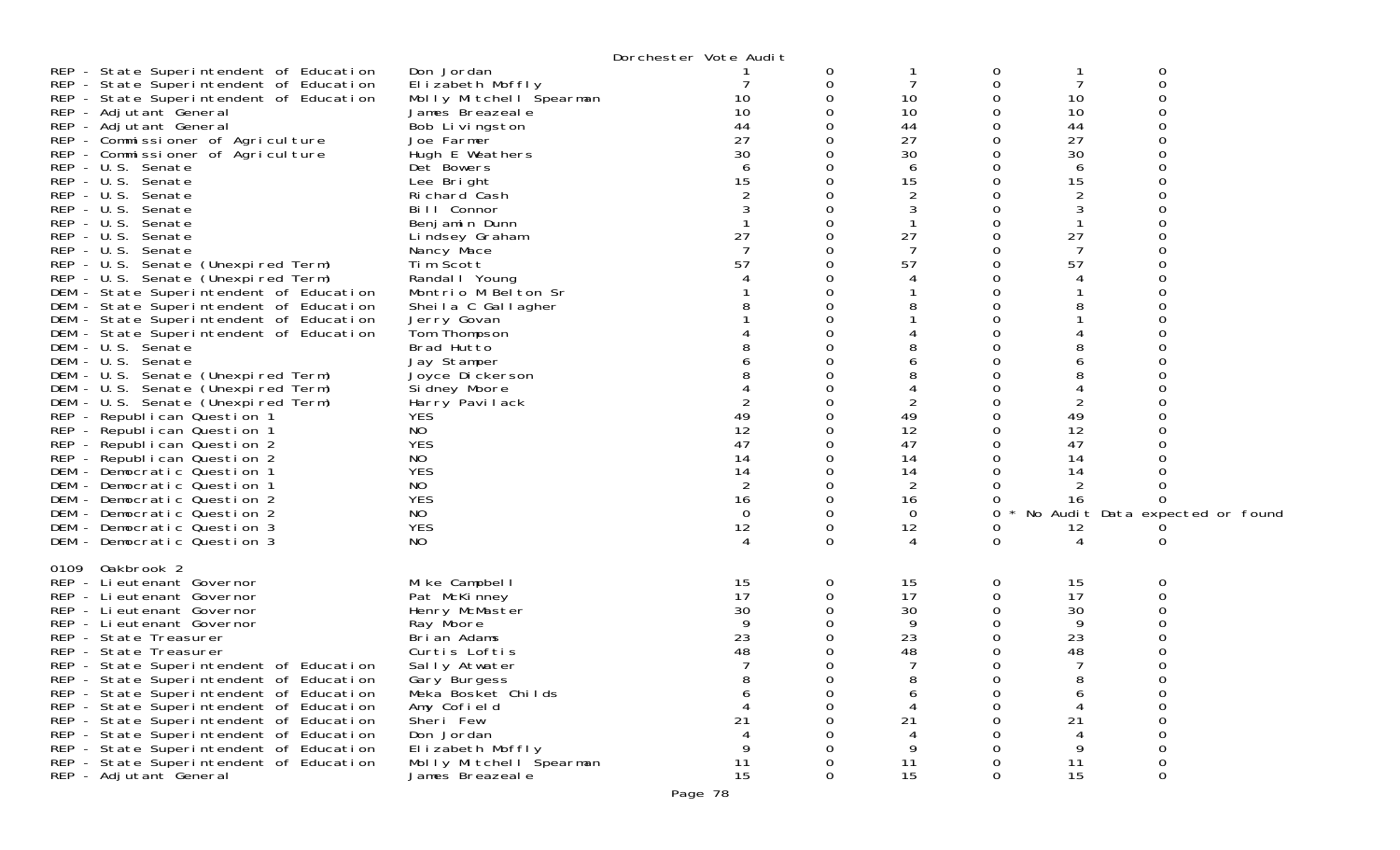|                                                                                                                          | Dorchester Vote Audit |   |                |        |    |                                 |  |
|--------------------------------------------------------------------------------------------------------------------------|-----------------------|---|----------------|--------|----|---------------------------------|--|
| REP - State Superintendent of Education<br>Don Jordan                                                                    |                       | 0 |                | 0      |    | 0                               |  |
| REP - State Superintendent of Education<br>Elizabeth Moffly                                                              |                       | 0 |                | 0      | 7  | 0                               |  |
| REP - State Superintendent of Education<br>Molly Mitchell Spearman                                                       | 10                    |   | 10             | O      | 10 |                                 |  |
| REP - Adjutant General<br>James Breazeale                                                                                | 10                    |   | 10             | Ω      | 10 |                                 |  |
| REP - Adjutant General<br>Bob Livingston                                                                                 | 44                    |   | 44             | Ω      | 44 |                                 |  |
| REP - Commissioner of Agriculture<br>Joe Farmer                                                                          | 27                    |   | 27             | Ω      | 27 |                                 |  |
| REP - Commissioner of Agriculture<br>Hugh E Weathers                                                                     | 30                    |   | 30             | 0      | 30 |                                 |  |
| REP - U.S. Senate<br>Det Bowers                                                                                          |                       |   | 6              | Ω      | 6  |                                 |  |
| REP - U.S. Senate<br>Lee Bright                                                                                          | 15                    |   | 15             | Ω      | 15 |                                 |  |
| REP - U.S. Senate<br>Richard Cash                                                                                        |                       |   | 2              | Ω      | 2  |                                 |  |
| REP - U.S. Senate<br>Bill Connor                                                                                         |                       |   |                |        | 3  |                                 |  |
| REP - U.S. Senate<br>Benjamin Dunn                                                                                       |                       |   |                |        |    |                                 |  |
| REP - U.S. Senate<br>Lindsey Graham                                                                                      | 27                    |   | 27             | 0      | 27 |                                 |  |
| REP - U.S. Senate<br>Nancy Mace                                                                                          |                       |   |                |        | 7  |                                 |  |
| Tim Scott<br>REP - U.S. Senate (Unexpired Term)                                                                          | 57                    |   | 57             | Ω      | 57 |                                 |  |
| REP - U.S. Senate (Unexpired Term)<br>Randal I Young                                                                     |                       |   |                |        |    |                                 |  |
| Montrio M Belton Sr<br>DEM - State Superintendent of Education                                                           |                       |   |                |        |    |                                 |  |
| DEM - State Superintendent of Education<br>Sheila C Gallagher                                                            |                       |   |                |        |    |                                 |  |
| DEM - State Superintendent of Education<br>Jerry Govan                                                                   |                       |   |                |        |    |                                 |  |
| DEM - State Superintendent of Education<br>Tom Thompson<br>Brad Hutto                                                    |                       |   |                |        |    |                                 |  |
| DEM - U.S. Senate<br>DEM - U.S. Senate<br>Jay Stamper                                                                    |                       |   |                |        | 6  |                                 |  |
| DEM - U.S. Senate (Unexpired Term)<br>Joyce Dickerson                                                                    |                       |   |                |        |    |                                 |  |
| DEM - U.S. Senate (Unexpired Term)<br>Si dney Moore                                                                      |                       |   |                | Ω      |    |                                 |  |
| DEM - U.S. Senate (Unexpired Term)<br>Harry Pavilack                                                                     |                       |   | 2              |        | 2  |                                 |  |
| <b>YES</b><br>REP - Republican Question 1                                                                                | 49                    |   | 49             |        | 49 |                                 |  |
| REP - Republican Question 1<br>NO                                                                                        | 12                    |   | 12             | 0      | 12 |                                 |  |
| <b>YES</b><br>REP - Republican Question 2                                                                                | 47                    |   | 47             | 0      | 47 |                                 |  |
| REP - Republican Question 2<br>NO                                                                                        | 14                    |   | 14             |        | 14 |                                 |  |
| <b>YES</b><br>DEM - Democratic Question 1                                                                                | 14                    |   | 14             |        | 14 |                                 |  |
| DEM - Democratic Question 1<br>NO.                                                                                       | 2                     |   | $\overline{2}$ |        |    |                                 |  |
| <b>YES</b><br>DEM - Democratic Question 2                                                                                | 16                    |   | 16             |        | 16 |                                 |  |
| DEM - Democratic Question 2<br>NO                                                                                        | $\Omega$              |   | 0              | 0      |    | No Audit Data expected or found |  |
| <b>YES</b><br>DEM - Democratic Question 3                                                                                | 12                    | 0 | 12             | O      | 12 |                                 |  |
| N <sub>O</sub><br>DEM - Democratic Question 3                                                                            |                       | 0 | 4              | 0      | 4  | O                               |  |
|                                                                                                                          |                       |   |                |        |    |                                 |  |
| 0109 Oakbrook 2                                                                                                          |                       |   |                |        |    |                                 |  |
| REP - Lieutenant Governor<br>Mike Campbell                                                                               | 15                    | 0 | 15             | 0      | 15 | 0                               |  |
| REP - Lieutenant Governor<br>Pat McKinney                                                                                | 17                    |   | 17             | 0      | 17 |                                 |  |
| REP - Lieutenant Governor<br>Henry McMaster                                                                              | 30                    |   | 30             |        | 30 |                                 |  |
| REP - Lieutenant Governor<br>Ray Moore                                                                                   |                       |   | 9              |        | 9  |                                 |  |
| REP - State Treasurer<br>Brian Adams                                                                                     | 23                    |   | 23             | 0      | 23 |                                 |  |
| REP - State Treasurer<br>Curtis Loftis                                                                                   | 48                    |   | 48             | O<br>∩ | 48 | ∩                               |  |
| REP - State Superintendent of Education<br>Sally Atwater                                                                 |                       |   |                | 0      | 8  | Ω                               |  |
| REP - State Superintendent of Education<br>Gary Burgess<br>REP - State Superintendent of Education<br>Meka Bosket Childs |                       |   |                |        |    |                                 |  |
| REP - State Superintendent of Education<br>Amy Cofield                                                                   |                       |   |                |        |    |                                 |  |
| REP - State Superintendent of Education<br>Sheri Few                                                                     |                       |   | 21             |        | 21 |                                 |  |
| REP - State Superintendent of Education<br>Don Jordan                                                                    |                       |   |                |        |    |                                 |  |
| REP - State Superintendent of Education<br>Elizabeth Moffly                                                              |                       |   | 9              |        | 9  |                                 |  |
| REP - State Superintendent of Education<br>Molly Mitchell Spearman                                                       | 11                    |   | 11             |        | 11 |                                 |  |
| REP - Adjutant General<br>James Breazeale                                                                                | 15                    | 0 | 15             | 0      | 15 | 0                               |  |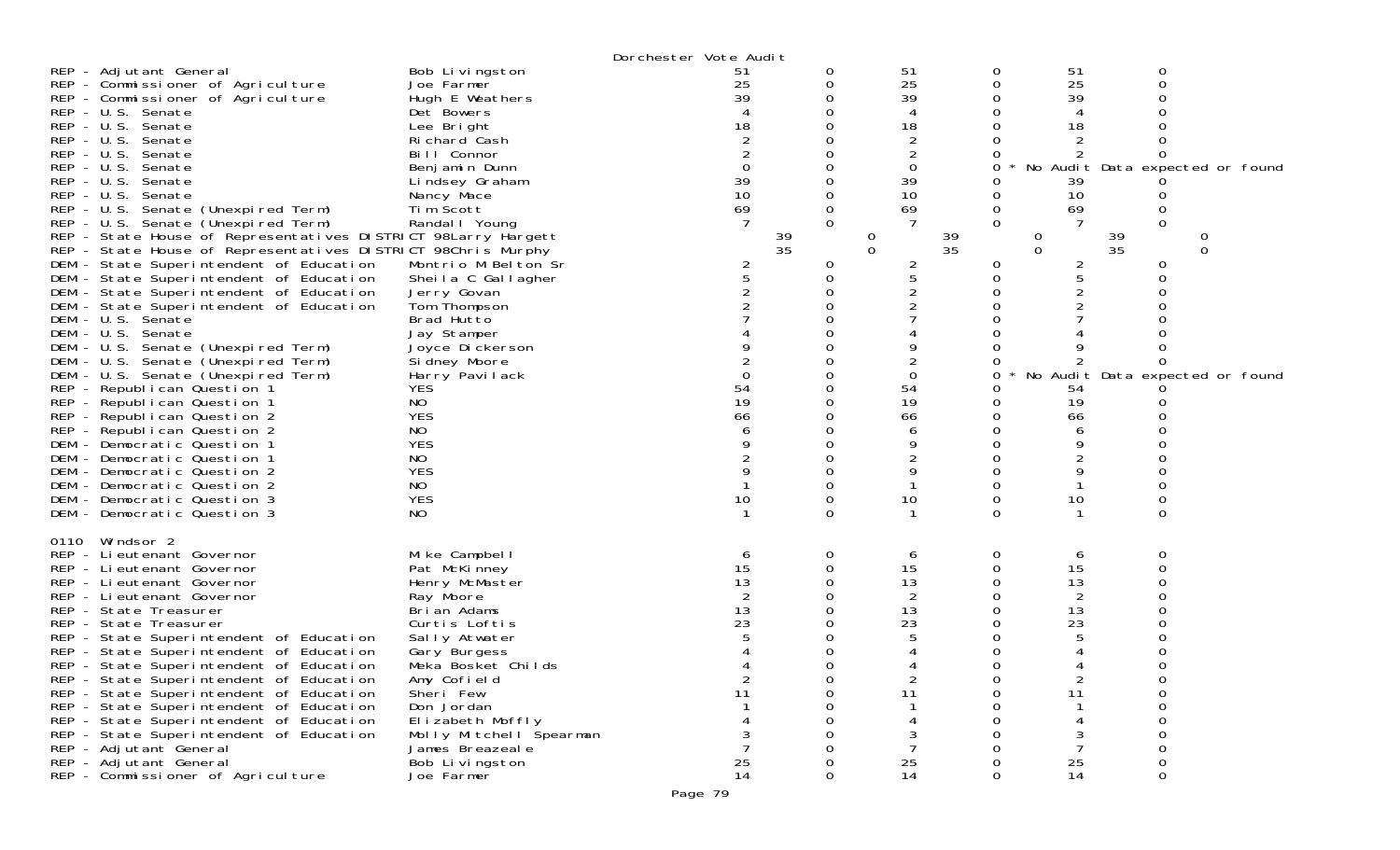|      |                                                                                                                                                                                                                                                                                                                                                                                                                                                                                                                                                                                                                                                                                                                                                                                                                                                                                                                                                                                                                                                                                                                                     |                                                                                                                                                                                                                                                                                                                                                                                                                                                               | Dorchester Vote Audit                                                      |        |                                                                                                                                                       |                                                                                                    |                                                                                                          |                                               |                                                                                |
|------|-------------------------------------------------------------------------------------------------------------------------------------------------------------------------------------------------------------------------------------------------------------------------------------------------------------------------------------------------------------------------------------------------------------------------------------------------------------------------------------------------------------------------------------------------------------------------------------------------------------------------------------------------------------------------------------------------------------------------------------------------------------------------------------------------------------------------------------------------------------------------------------------------------------------------------------------------------------------------------------------------------------------------------------------------------------------------------------------------------------------------------------|---------------------------------------------------------------------------------------------------------------------------------------------------------------------------------------------------------------------------------------------------------------------------------------------------------------------------------------------------------------------------------------------------------------------------------------------------------------|----------------------------------------------------------------------------|--------|-------------------------------------------------------------------------------------------------------------------------------------------------------|----------------------------------------------------------------------------------------------------|----------------------------------------------------------------------------------------------------------|-----------------------------------------------|--------------------------------------------------------------------------------|
|      | REP - Adjutant General<br>REP - Commissioner of Agriculture<br>REP - Commissioner of Agriculture<br>REP - U.S. Senate<br>REP - U.S. Senate<br>REP - U.S. Senate<br>REP - U.S. Senate<br>$REP - U.S.$<br>Senate<br>REP - U.S. Senate<br>REP - U.S. Senate<br>REP - U.S. Senate (Unexpired Term)<br>REP - U.S. Senate (Unexpired Term)<br>REP - State House of Representatives DISTRICT 98Larry Hargett<br>REP - State House of Representatives DISTRICT 98Chris Murphy<br>DEM - State Superintendent of Education<br>DEM - State Superintendent of Education<br>DEM - State Superintendent of Education<br>DEM - State Superintendent of Education<br>DEM - U.S. Senate<br>DEM - U.S. Senate<br>DEM - U.S. Senate (Unexpired Term)<br>DEM - U.S. Senate (Unexpired Term)<br>DEM - U.S. Senate (Unexpired Term)<br>REP - Republican Question 1<br>REP - Republican Question 1<br>REP - Republican Question 2<br>REP - Republican Question 2<br>DEM - Democratic Question 1<br>DEM - Democratic Question 1<br>DEM - Democratic Question 2<br>DEM - Democratic Question 2<br>DEM - Democratic Question 3<br>DEM - Democratic Question 3 | Bob Livingston<br>Joe Farmer<br>Hugh E Weathers<br>Det Bowers<br>Lee Bright<br>Richard Cash<br>Bill Connor<br>Benjamin Dunn<br>Lindsey Graham<br>Nancy Mace<br>Tim Scott<br>Randal I Young<br>Montrio M Belton Sr<br>Sheila C Gallagher<br>Jerry Govan<br>Tom Thompson<br>Brad Hutto<br>Jay Stamper<br>Joyce Dickerson<br>Si dney Moore<br>Harry Pavilack<br><b>YES</b><br>NO<br><b>YES</b><br>NO<br><b>YES</b><br>NO<br><b>YES</b><br>NO<br><b>YES</b><br>NO | 51<br>25<br>39<br>18<br>39<br>10<br>69<br>39<br>35<br>54<br>19<br>66<br>10 | 0<br>0 | 51<br>25<br>39<br>4<br>18<br>2<br>2<br>$\overline{0}$<br>39<br>10<br>69<br>$\theta$<br>$\Omega$<br>2<br>5<br>0<br>54<br>19<br>66<br>6<br>9<br>9<br>10 | 0<br>0<br>Ω<br>Ω<br>0<br>0<br>0<br>0<br>39<br>35<br>0<br>0<br>0<br>0<br>0<br>ი<br>O<br>Ω<br>0<br>0 | 51<br>25<br>39<br>4<br>18<br>39<br>10<br>69<br>0<br>$\Omega$<br>2<br>5<br>54<br>19<br>66<br>6<br>9<br>10 | 0<br>0<br>0<br>39<br>35<br>0<br>0<br>$\Omega$ | No Audit Data expected or found<br>$\Omega$<br>No Audit Data expected or found |
| 0110 | Windsor 2<br>REP - Lieutenant Governor<br>REP - Lieutenant Governor<br>REP - Lieutenant Governor<br>REP - Li eutenant Governor<br>REP - State Treasurer<br>REP - State Treasurer<br>REP - State Superintendent of Education<br>REP - State Superintendent of Education<br>REP - State Superintendent of Education<br>REP - State Superintendent of Education<br>REP - State Superintendent of Education<br>REP - State Superintendent of Education<br>REP - State Superintendent of Education<br>REP - State Superintendent of Education<br>REP - Adjutant General<br>REP - Adjutant General<br>REP - Commissioner of Agriculture                                                                                                                                                                                                                                                                                                                                                                                                                                                                                                   | Mike Campbell<br>Pat McKinney<br>Henry McMaster<br>Ray Moore<br>Brian Adams<br>Curtis Loftis<br>Sally Atwater<br>Gary Burgess<br>Meka Bosket Childs<br>Amy Cofield<br>Sheri Few<br>Don Jordan<br>Elizabeth Moffly<br>Molly Mitchell Spearman<br>James Breazeale<br>Bob Livingston<br>Joe Farmer                                                                                                                                                               | O<br>15<br>13<br>13<br>23<br>2<br>11<br>25<br>14                           | 0      | 6<br>15<br>13<br>2<br>13<br>23<br>$\overline{2}$<br>11<br>25<br>14                                                                                    | 0<br>0<br>0<br>Ω<br>O<br>0<br>Ω<br>0                                                               | 6<br>15<br>13<br>2<br>13<br>23<br>$\overline{2}$<br>11<br>25<br>14                                       | 0<br>0<br>0                                   |                                                                                |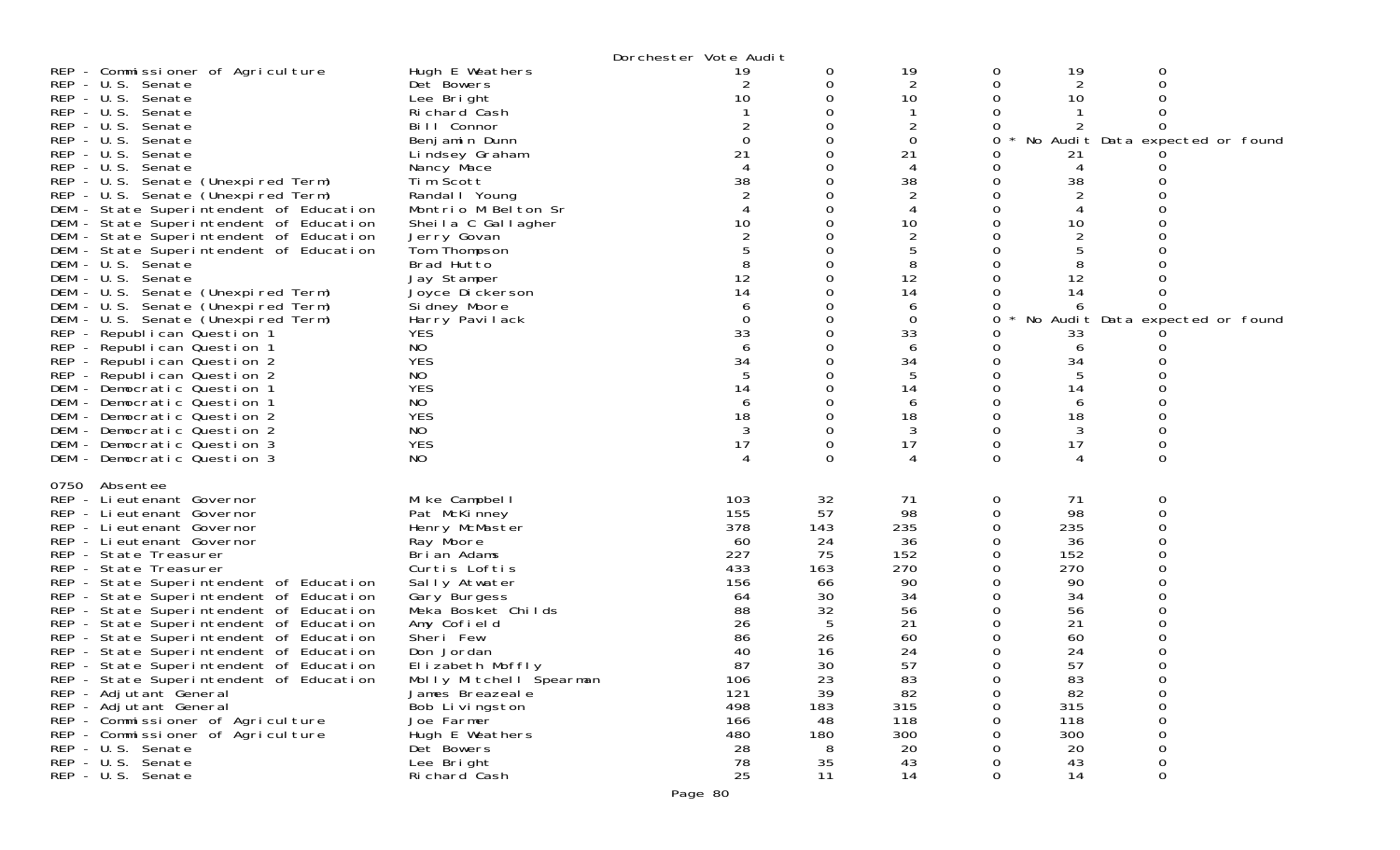|              |                                         |                         | Dorchester Vote Audit |     |                |          |                |                                 |  |
|--------------|-----------------------------------------|-------------------------|-----------------------|-----|----------------|----------|----------------|---------------------------------|--|
|              | REP - Commissioner of Agriculture       | Hugh E Weathers         | 19                    | 0   | 19             | 0        | 19             | 0                               |  |
|              | REP - U.S. Senate                       | Det Bowers              | 2                     | 0   | 2              | 0        | 2              |                                 |  |
|              | REP - U.S. Senate                       | Lee Bright              | 10                    |     | 10             | 0        | 10             |                                 |  |
|              | REP - U.S. Senate                       | Richard Cash            |                       |     |                |          |                |                                 |  |
|              | REP - U.S. Senate                       | Bill Connor             |                       |     | 2              | O        |                |                                 |  |
|              | REP - U.S. Senate                       | Benjamin Dunn           |                       |     | 0              | 0        |                | No Audit Data expected or found |  |
| $REP - U.S.$ | Senate                                  | Lindsey Graham          | 21                    |     | 21             |          | 21             |                                 |  |
|              | REP - U.S. Senate                       | Nancy Mace              |                       |     | 4              | $\Omega$ | 4              |                                 |  |
|              | REP - U.S. Senate (Unexpired Term)      | Tim Scott               | 38                    |     | 38             | 0        | 38             |                                 |  |
|              | REP - U.S. Senate (Unexpired Term)      | Randal I Young          |                       |     | $\overline{2}$ |          |                |                                 |  |
|              | DEM - State Superintendent of Education | Montrio M Belton Sr     |                       |     |                | Ω        |                |                                 |  |
|              | DEM - State Superintendent of Education | Sheila C Gallagher      | 10                    |     | 10             | 0        | 10             |                                 |  |
|              | DEM - State Superintendent of Education | Jerry Govan             |                       |     | $\overline{2}$ |          | $\overline{2}$ |                                 |  |
| DEM          | - State Superintendent of Education     | Tom Thompson            |                       |     | 5              |          |                |                                 |  |
|              | DEM - U.S. Senate                       | Brad Hutto              |                       |     | 8              | O        | 8              |                                 |  |
| DEM          | - U.S. Senate                           | Jay Stamper             | 12                    |     | 12             |          | 12             |                                 |  |
| DEM          | - U.S. Senate (Unexpired Term)          | Joyce Dickerson         | 14                    |     | 14             |          | 14             |                                 |  |
|              | DEM - U.S. Senate (Unexpired Term)      | Si dney Moore           | 6                     |     | 6              | O        |                |                                 |  |
| DEM          | - U.S. Senate (Unexpired Term)          | Harry Pavilack          |                       |     | $\mathbf 0$    | 0        |                | No Audit Data expected or found |  |
|              | REP - Republican Question 1             | <b>YES</b>              | 33                    |     | 33             |          | 33             |                                 |  |
|              | REP - Republican Question 1             | NO                      |                       |     | 6              | 0        | 6              |                                 |  |
|              | REP - Republican Question 2             | <b>YES</b>              | 34                    |     | 34             | 0        | 34             |                                 |  |
|              | REP - Republican Question 2             | NO                      |                       |     |                |          |                |                                 |  |
|              | DEM - Democratic Question 1             | <b>YES</b>              | 14                    |     | 14             | 0        | 14             |                                 |  |
|              | DEM - Democratic Question 1             | <b>NO</b>               | 6                     |     | 6              | Ω        | 6              |                                 |  |
|              | DEM - Democratic Question 2             | <b>YES</b>              | 18                    |     | 18             | 0        | 18             |                                 |  |
|              | DEM - Democratic Question 2             | NO                      | 3                     |     | 3              | 0        | 3              |                                 |  |
|              | DEM - Democratic Question 3             | <b>YES</b>              | 17                    |     | 17             | 0        | 17             |                                 |  |
|              | DEM - Democratic Question 3             | NO                      |                       |     |                | 0        | 4              | $\Omega$                        |  |
|              |                                         |                         |                       |     |                |          |                |                                 |  |
| 0750         | Absentee                                |                         |                       |     |                |          |                |                                 |  |
|              | REP - Li eutenant Governor              | Mike Campbell           | 103                   | 32  | 71             | 0        | 71             | 0                               |  |
|              | REP - Lieutenant Governor               | Pat McKinney            | 155                   | 57  | 98             | 0        | 98             | 0                               |  |
|              | REP - Lieutenant Governor               | Henry McMaster          | 378                   | 143 | 235            | 0        | 235            |                                 |  |
|              | REP - Lieutenant Governor               | Ray Moore               | -60                   | 24  | 36             | 0        | 36             |                                 |  |
|              | REP - State Treasurer                   | Brian Adams             | 227                   | 75  | 152            | 0        | 152            |                                 |  |
|              | REP - State Treasurer                   | Curtis Loftis           | 433                   | 163 | 270            | 0        | 270            |                                 |  |
|              | REP - State Superintendent of Education | Sally Atwater           | 156                   | 66  | 90             | 0        | 90             |                                 |  |
|              | REP - State Superintendent of Education | Gary Burgess            | 64                    | 30  | 34             | 0        | 34             |                                 |  |
|              | REP - State Superintendent of Education | Meka Bosket Childs      | 88                    | 32  | 56             | 0        | 56             |                                 |  |
|              | REP - State Superintendent of Education | Amy Cofield             | 26                    | 5   | 21             | 0        | 21             |                                 |  |
|              | REP - State Superintendent of Education | Sheri Few               | 86                    | 26  | 60             |          | 60             |                                 |  |
|              | REP - State Superintendent of Education | Don Jordan              | 40                    | 16  | 24             |          | 24             |                                 |  |
|              | REP - State Superintendent of Education | Elizabeth Moffly        | 87                    | 30  | 57             | ∩        | 57             |                                 |  |
|              | REP - State Superintendent of Education | Molly Mitchell Špearman | 106                   | 23  | 83             | 0        | 83             | 0                               |  |
|              | REP - Adjutant General                  | James Breazeal e        | 121                   | 39  | 82             | 0        | 82             | 0                               |  |
|              | REP - Adjutant General                  | Bob Livingston          | 498                   | 183 | 315            | 0        | 315            | 0                               |  |
|              | REP - Commissioner of Agriculture       | Joe Farmer              | 166                   | 48  | 118            |          | 118            | 0                               |  |
|              | REP - Commissioner of Agriculture       | Hugh E Weathers         | 480                   | 180 | 300            |          | 300            |                                 |  |
|              | REP - U.S. Senate                       | Det Bowers              | 28                    | 8   | 20             |          | 20             | 0                               |  |
|              | REP - U.S. Senate                       | Lee Bright              | 78                    | 35  | 43             |          | 43             | 0                               |  |
|              | REP - U.S. Senate                       | Richard Cash            | 25                    | 11  | 14             | 0        | 14             | 0                               |  |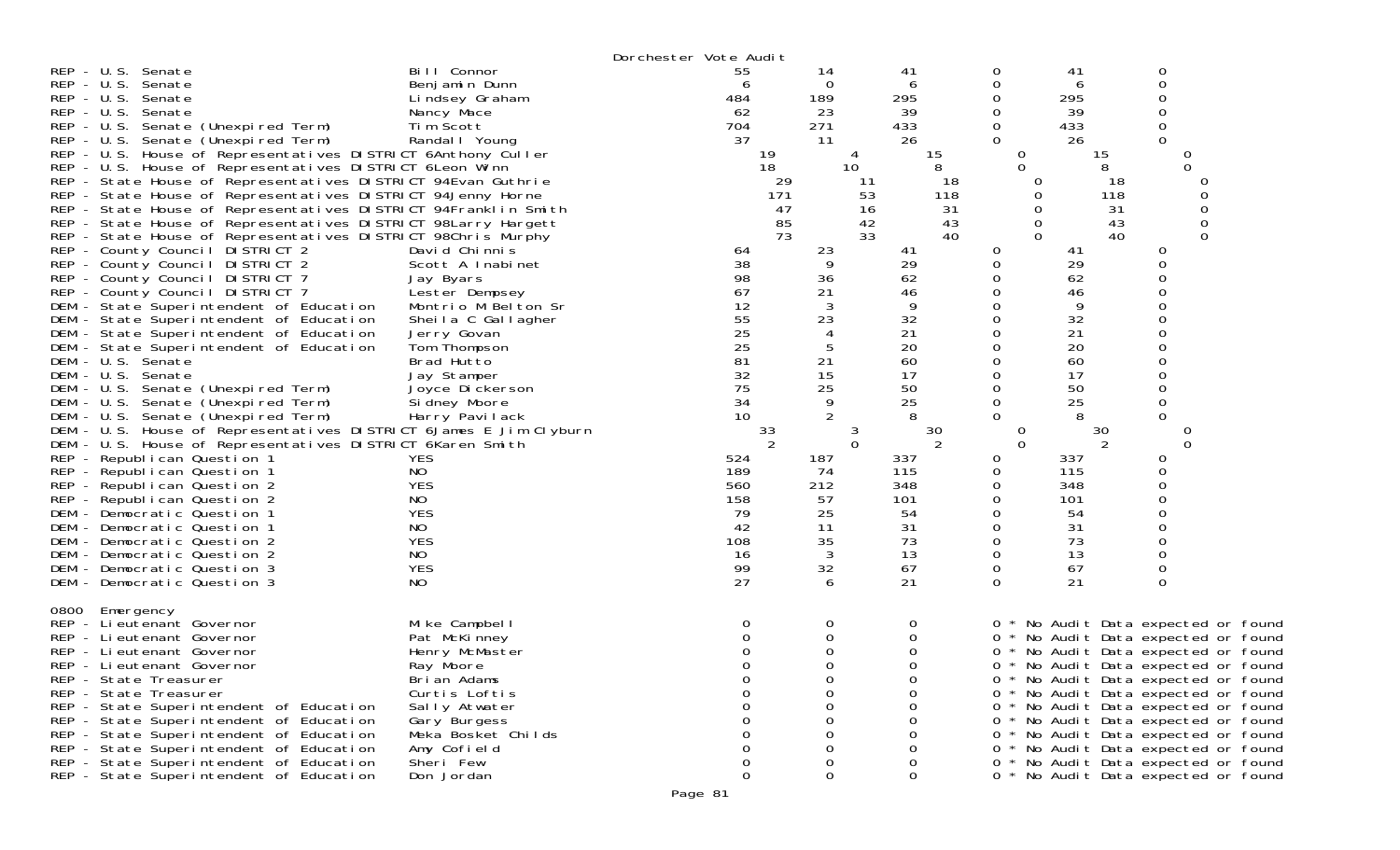|                                                                   |                              | Dorchester Vote Audit |          |                 |             |          |          |                                                                            |  |
|-------------------------------------------------------------------|------------------------------|-----------------------|----------|-----------------|-------------|----------|----------|----------------------------------------------------------------------------|--|
| REP - U.S. Senate                                                 | Bill Connor                  | 55                    | 14       | 41              | 0           |          | 41       | 0                                                                          |  |
| $REP - U.S.$<br>Senate                                            | Benjamin Dunn                | 6                     | 0        | 6               | 0           |          | 6        | 0                                                                          |  |
| REP - U.S. Senate                                                 | Lindsey Graham               | 484                   | 189      | 295             | 0           |          | 295      | 0                                                                          |  |
| REP - U.S. Senate                                                 | Nancy Mace                   | 62                    | 23       | 39              | 0           |          | 39       | 0                                                                          |  |
| REP - U.S. Senate (Unexpired Term)                                | Tim Scott                    | 704                   | 271      | 433             | 0           |          | 433      | 0                                                                          |  |
| REP - U.S. Senate (Unexpired Term)                                | Randal   Young               | 37                    | 11       | 26              | 0           |          | 26       | 0                                                                          |  |
| REP - U.S. House of Representatives DISTRICT 6Anthony Culler      |                              |                       | 19       |                 | 15          | 0        | 15       | 0                                                                          |  |
| REP - U.S. House of Representatives DISTRICT 6 Leon Winn          |                              |                       | 18       | 10 <sup>°</sup> | 8           | $\Omega$ | 8        | $\Omega$                                                                   |  |
| REP - State House of Representatives DISTRICT 94Evan Guthrie      |                              |                       | 29       | 11              | 18          | $\Omega$ |          | 18<br>0                                                                    |  |
| REP - State House of Representatives DISTRICT 94Jenny Horne       |                              |                       | 171      | 53              | 118         |          |          | $\Omega$<br>118                                                            |  |
| REP - State House of Representatives DISTRICT 94Franklin Smith    |                              |                       | 47       | 16              | 31          | 0        |          | $\mathbf 0$<br>31                                                          |  |
| REP - State House of Representatives DISTRICT 98Larry Hargett     |                              |                       | 85       | 42              | 43          | 0        |          | $\mathbf 0$<br>43                                                          |  |
| REP - State House of Representatives DISTRICT 98Chris Murphy      |                              |                       | 73       | 33              | 40          | 0        |          | 40<br>$\Omega$                                                             |  |
| REP - County Council DISTRICT 2                                   | David Chinnis                | 64                    | 23       | 41              | 0           |          | 41       | 0                                                                          |  |
| REP - County Council DISTRICT 2                                   | Scott A Inabinet             | 38                    | -9       | 29              | 0           |          | 29       | 0                                                                          |  |
| REP - County Council DISTRICT 7                                   | Jay Byars                    | 98                    | 36       | 62              | 0           |          | 62       | 0                                                                          |  |
| REP - County Council DISTRICT 7                                   | Lester Dempsey               | 67                    | 21       | 46              | 0           |          | 46       | 0                                                                          |  |
| DEM - State Superintendent of Education                           | Montrio M Belton Sr          | 12<br>55              | 3<br>23  | 9               | 0           |          | 9        | Ω<br>0                                                                     |  |
| DEM - State Superintendent of Education                           | Sheila C Gallagher           | 25                    |          | 32<br>21        | 0<br>0      |          | 32<br>21 |                                                                            |  |
| DEM - State Superintendent of Education                           | Jerry Govan<br>Tom Thompson  | 25                    |          | 20              | 0           |          | 20       |                                                                            |  |
| DEM - State Superintendent of Education<br>DEM - U.S. Senate      | Brad Hutto                   | 81                    | 21       | 60              | 0           |          | 60       | 0                                                                          |  |
| DEM - U.S. Senate                                                 | Jay Stamper                  | 32                    | 15       | 17              | 0           |          | 17       | 0                                                                          |  |
| DEM - U.S. Senate (Unexpired Term)                                | Joyce Dickerson              | 75                    | 25       | 50              | 0           |          | 50       | 0                                                                          |  |
| DEM - U.S. Senate (Unexpired Term)                                | Si dney Moore                | 34                    |          | 25              | 0           |          | 25       | 0                                                                          |  |
| DEM - U.S. Senate (Unexpired Term)                                | Harry Pavilack               | 10                    |          |                 | 0<br>8      |          | 8        | 0                                                                          |  |
| DEM - U.S. House of Representatives DISTRICT 6James E Jim Clyburn |                              |                       | 33       | 3               | 30          | 0        | 30       | 0                                                                          |  |
| DEM - U.S. House of Representatives DISTRICT 6Karen Smith         |                              |                       |          | $\Omega$        | 2           | $\Omega$ | 2        | $\Omega$                                                                   |  |
| REP - Republican Question 1                                       | <b>YES</b>                   | 524                   | 187      | 337             | 0           |          | 337      | O                                                                          |  |
| REP - Republican Question 1                                       | NO.                          | 189                   | 74       | 115             | 0           |          | 115      | 0                                                                          |  |
| REP - Republican Question 2                                       | <b>YES</b>                   | 560                   | 212      | 348             | 0           |          | 348      | 0                                                                          |  |
| REP - Republican Question 2                                       | NO.                          | 158                   | 57       | 101             | 0           |          | 101      |                                                                            |  |
| DEM - Democratic Question 1                                       | <b>YES</b>                   | 79                    | 25       | 54              | 0           |          | 54       | 0                                                                          |  |
| DEM - Democratic Question 1                                       | NO.                          | 42                    | 11       | 31              | 0           |          | 31       | 0                                                                          |  |
| DEM - Democratic Question 2                                       | <b>YES</b>                   | 108                   | 35       | 73              | 0           |          | 73       |                                                                            |  |
| DEM - Democratic Question 2                                       | NO.                          | 16                    | 3        | 13              | 0           |          | 13       | 0                                                                          |  |
| DEM - Democratic Question 3                                       | <b>YES</b>                   | 99                    | 32       | 67              | 0           |          | 67       | 0                                                                          |  |
| DEM - Democratic Question 3                                       | NO.                          | 27                    | 6        | 21              | $\Omega$    |          | 21       | 0                                                                          |  |
|                                                                   |                              |                       |          |                 |             |          |          |                                                                            |  |
| 0800 Emergency                                                    |                              |                       |          |                 |             |          |          |                                                                            |  |
| REP - Lieutenant Governor                                         | Mike Campbell                | 0                     | 0        |                 | 0<br>0      |          |          | * No Audit Data expected or found                                          |  |
| REP - Lieutenant Governor                                         | Pat McKinney                 |                       | 0        |                 | 0           |          |          | 0 * No Audit Data expected or found                                        |  |
| REP - Lieutenant Governor                                         | Henry McMaster               |                       |          |                 | 0<br>0      |          |          | * No Audit Data expected or found                                          |  |
| REP - Li eutenant Governor                                        | Ray Moore                    |                       | $\Omega$ |                 | $\Omega$    | 0        |          | * No Audit Data expected or found                                          |  |
| REP - State Treasurer<br>REP - State Treasurer                    | Brian Adams<br>Curtis Loftis | 0<br>0                | 0        | 0               | 0           |          |          | 0 * No Audit Data expected or found<br>0 * No Audit Data expected or found |  |
| REP - State Superintendent of Education                           | Sally Atwater                |                       |          |                 | 0           |          |          | 0 * No Audit Data expected or found                                        |  |
| REP - State Superintendent of Education                           | Gary Burgess                 |                       |          |                 | 0           |          |          | 0 * No Audit Data expected or found                                        |  |
| REP - State Superintendent of Education                           | Meka Bosket Childs           |                       |          |                 | 0           |          |          | 0 * No Audit Data expected or found                                        |  |
| REP - State Superintendent of Education                           | Amy Cofield                  |                       |          |                 | 0           |          |          | 0 * No Audit Data expected or found                                        |  |
| REP - State Superintendent of Education                           | Sheri Few                    | 0                     |          |                 | 0           |          |          | 0 * No Audit Data expected or found                                        |  |
| REP - State Superintendent of Education                           | Don Jordan                   | 0                     | 0        |                 | $\mathbf 0$ |          |          | 0 * No Audit Data expected or found                                        |  |
|                                                                   |                              |                       |          |                 |             |          |          |                                                                            |  |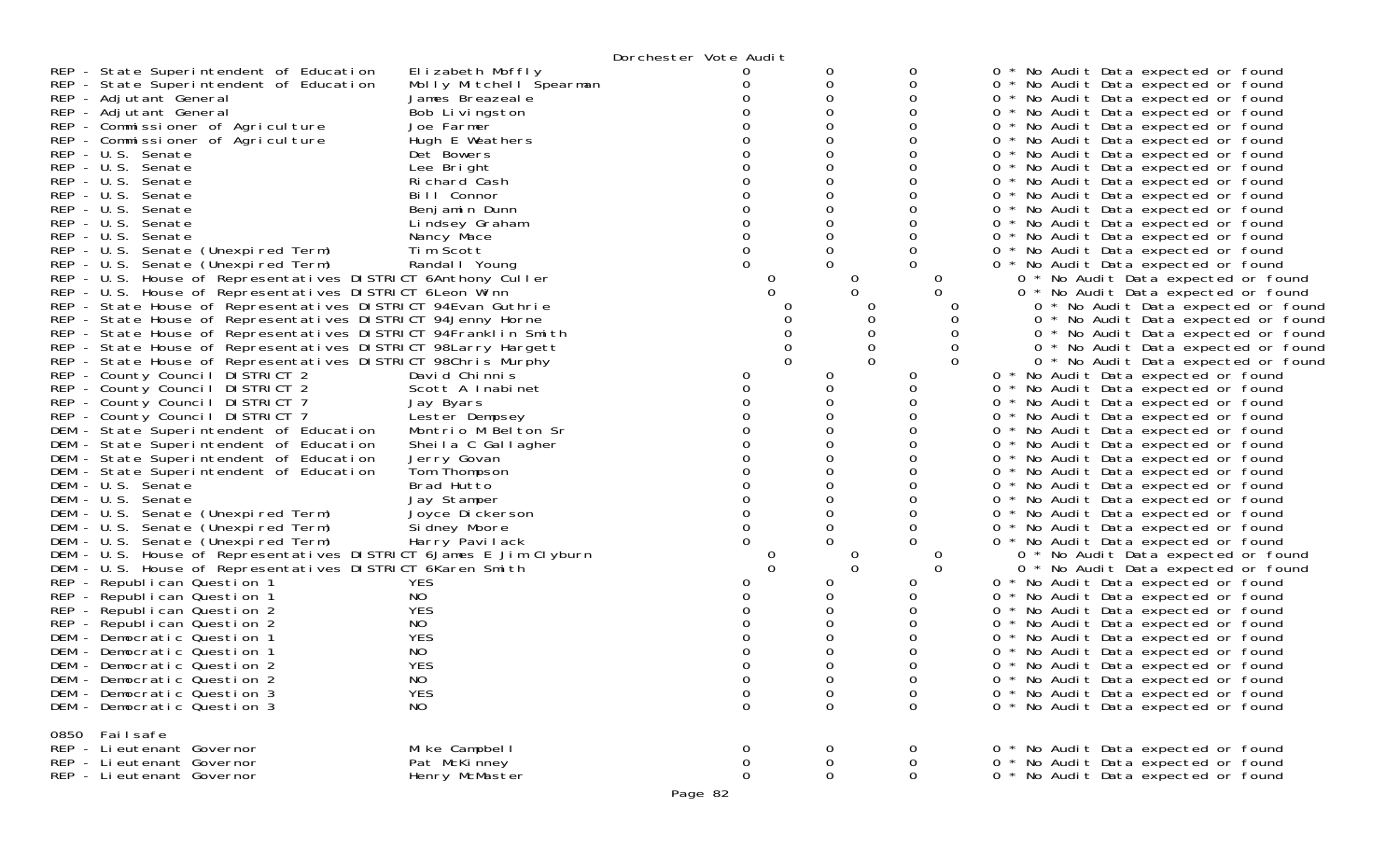| REP - State Superintendent of Education<br>REP - State Superintendent of Education<br>REP - Adjutant General<br>REP - Adjutant General<br>REP - Commissioner of Agriculture<br>REP - Commissioner of Agriculture<br>REP - U.S. Senate<br>REP - U.S. Senate<br>REP - U.S. Senate<br>REP - U.S. Senate<br>REP - U.S. Senate<br>REP - U.S. Senate<br>REP - U.S. Senate<br>REP - U.S. Senate (Unexpired Term)<br>REP - U.S. Senate (Unexpired Term)<br>REP - U.S. House of Representatives DISTRICT 6Anthony Culler<br>REP - U.S. House of Representatives DISTRICT 6Leon Winn<br>REP - State House of Representatives DISTRICT 94Evan Guthrie<br>REP - State House of Representatives DISTRICT 94Jenny Horne<br>REP - State House of Representatives DISTRICT 94Franklin Smith<br>REP - State House of Representatives DISTRICT 98Larry Hargett<br>REP - State House of Representatives DISTRICT 98Chris Murphy<br>REP - County Council DISTRICT 2<br>REP - County Council DISTRICT 2<br>REP - County Council DISTRICT 7<br>REP - County Council DISTRICT 7<br>DEM - State Superintendent of Education<br>DEM - State Superintendent of Education<br>DEM - State Superintendent of Education<br>DEM - State Superintendent of Education<br>DEM - U.S. Senate<br>DEM - U.S. Senate<br>DEM - U.S. Senate (Unexpired Term)<br>DEM - U.S. Senate (Unexpired Term)<br>DEM - U.S. Senate (Unexpired Term)<br>DEM - U.S. House of Representatives DISTRICT 6James E Jim Clyburn<br>DEM - U.S. House of Representatives DISTRICT 6Karen Smith<br>REP - Republican Question 1<br>REP - Republican Question 1<br>REP - Republican Question 2<br>REP - Republican Question 2<br>DEM - Democratic Question 1<br>DEM - Democratic Question 1<br>DEM - Democratic Question 2<br>DEM - Democratic Question 2<br>DEM - Democratic Question 3<br>DEM - Democratic Question 3 | Elizabeth Moffly<br>Molly Mitchell Spearman<br>James Breazeale<br>Bob Livingston<br>Joe Farmer<br>Hugh E Weathers<br>Det Bowers<br>Lee Bright<br>Richard Cash<br>Bill Connor<br>Benjamin Dunn<br>Lindsey Graham<br>Nancy Mace<br>Tim Scott<br>Randal I Young<br>David Chinnis<br>Scott A Inabinet<br>Jay Byars<br>Lester Dempsey<br>Montrio M Belton Sr<br>Sheila C Gallagher<br>Jerry Govan<br>Tom Thompson<br>Brad Hutto<br>Jay Stamper<br>Joyce Dickerson<br>Si dney Moore<br>Harry Pavilack<br><b>YES</b><br>NO<br><b>YES</b><br>NO.<br>YES<br>NO<br>YES<br>NO<br><b>YES</b><br>NO | Dorchester Vote Audit<br>0<br>0<br>0<br>0<br>$\Omega$<br>$\Omega$<br>0<br>0<br>0 | 0<br>0<br>0<br>0<br>0<br>0<br>0<br>0<br>0<br>O<br>0<br>0<br>0<br>$\Omega$<br>0<br>0<br>0<br>0<br>0<br>0<br>0<br>0<br>0<br>0<br>0<br>U<br>0<br>0<br>0<br>$\mathbf 0$<br>0<br>$\Omega$ | 0<br>0<br>0<br>0<br>0<br>0<br>0<br>0<br>0<br>0<br>O<br>0<br>0<br>0<br>∩<br>0<br>O<br>O<br>0<br>0<br>$\Omega$<br>O<br>0<br>0<br>O<br>0<br>0<br>0<br>0<br>0<br>0<br>0<br>0<br>0<br>O<br>$\Omega$<br>0<br>0<br>0<br>0<br>0<br>0<br>0<br>$\Omega$ | 0 * No Audit Data expected or found<br>0 * No Audit Data expected or found<br>0 * No Audit Data expected or found<br>0 * No Audit Data expected or found<br>0 * No Audit Data expected or found<br>0 * No Audit Data expected or found<br>0 * No Audit Data expected or found<br>0 * No Audit Data expected or found<br>0 * No Audit Data expected or found<br>0 * No Audit Data expected or found<br>0 * No Audit Data expected or found<br>0 * No Audit Data expected or found<br>0 * No Audit Data expected or found<br>0 * No Audit Data expected or found<br>0 * No Audit Data expected or found<br>0 * No Audit Data expected or found<br>0 * No Audit Data expected or found<br>0 * No Audit Data expected or found<br>0 * No Audit Data expected or found<br>0 * No Audit Data expected or found<br>0 * No Audit Data expected or found<br>0 * No Audit Data expected or found<br>0 * No Audit Data expected or found<br>0 * No Audit Data expected or found<br>0 * No Audit Data expected or found<br>0 * No Audit Data expected or found<br>0 * No Audit Data expected or found<br>0 * No Audit Data expected or found<br>0 * No Audit Data expected or found<br>0 * No Audit Data expected or found<br>0 * No Audit Data expected or found<br>0 * No Audit Data expected or found<br>0 * No Audit Data expected or found<br>0 * No Audit Data expected or found<br>0 * No Audit Data expected or found<br>0 * No Audit Data expected or found<br>0 * No Audit Data expected or found<br>0 * No Audit Data expected or found<br>0 * No Audit Data expected or found<br>0 * No Audit Data expected or found<br>0 * No Audit Data expected or found<br>0 * No Audit Data expected or found<br>0 * No Audit Data expected or found<br>0 * No Audit Data expected or found<br>0 * No Audit Data expected or found<br>0 * No Audit Data expected or found<br>0 * No Audit Data expected or found |
|----------------------------------------------------------------------------------------------------------------------------------------------------------------------------------------------------------------------------------------------------------------------------------------------------------------------------------------------------------------------------------------------------------------------------------------------------------------------------------------------------------------------------------------------------------------------------------------------------------------------------------------------------------------------------------------------------------------------------------------------------------------------------------------------------------------------------------------------------------------------------------------------------------------------------------------------------------------------------------------------------------------------------------------------------------------------------------------------------------------------------------------------------------------------------------------------------------------------------------------------------------------------------------------------------------------------------------------------------------------------------------------------------------------------------------------------------------------------------------------------------------------------------------------------------------------------------------------------------------------------------------------------------------------------------------------------------------------------------------------------------------------------------------------------------------------------------------------------------------|----------------------------------------------------------------------------------------------------------------------------------------------------------------------------------------------------------------------------------------------------------------------------------------------------------------------------------------------------------------------------------------------------------------------------------------------------------------------------------------------------------------------------------------------------------------------------------------|----------------------------------------------------------------------------------|--------------------------------------------------------------------------------------------------------------------------------------------------------------------------------------|-----------------------------------------------------------------------------------------------------------------------------------------------------------------------------------------------------------------------------------------------|-------------------------------------------------------------------------------------------------------------------------------------------------------------------------------------------------------------------------------------------------------------------------------------------------------------------------------------------------------------------------------------------------------------------------------------------------------------------------------------------------------------------------------------------------------------------------------------------------------------------------------------------------------------------------------------------------------------------------------------------------------------------------------------------------------------------------------------------------------------------------------------------------------------------------------------------------------------------------------------------------------------------------------------------------------------------------------------------------------------------------------------------------------------------------------------------------------------------------------------------------------------------------------------------------------------------------------------------------------------------------------------------------------------------------------------------------------------------------------------------------------------------------------------------------------------------------------------------------------------------------------------------------------------------------------------------------------------------------------------------------------------------------------------------------------------------------------------------------------------------------------------------------------|
| 0850 Failsafe<br>REP - Li eutenant Governor<br>REP - Lieutenant Governor<br>REP - Li eutenant Governor                                                                                                                                                                                                                                                                                                                                                                                                                                                                                                                                                                                                                                                                                                                                                                                                                                                                                                                                                                                                                                                                                                                                                                                                                                                                                                                                                                                                                                                                                                                                                                                                                                                                                                                                                   | Mike Campbell<br>Pat McKinney<br>Henry McMaster                                                                                                                                                                                                                                                                                                                                                                                                                                                                                                                                        | $\sigma$<br>0<br>0                                                               | 0<br>0<br>0                                                                                                                                                                          | 0<br>$\mathbf 0$<br>$\mathbf 0$                                                                                                                                                                                                               | 0 * No Audit Data expected or found<br>0 * No Audit Data expected or found<br>0 * No Audit Data expected or found                                                                                                                                                                                                                                                                                                                                                                                                                                                                                                                                                                                                                                                                                                                                                                                                                                                                                                                                                                                                                                                                                                                                                                                                                                                                                                                                                                                                                                                                                                                                                                                                                                                                                                                                                                                     |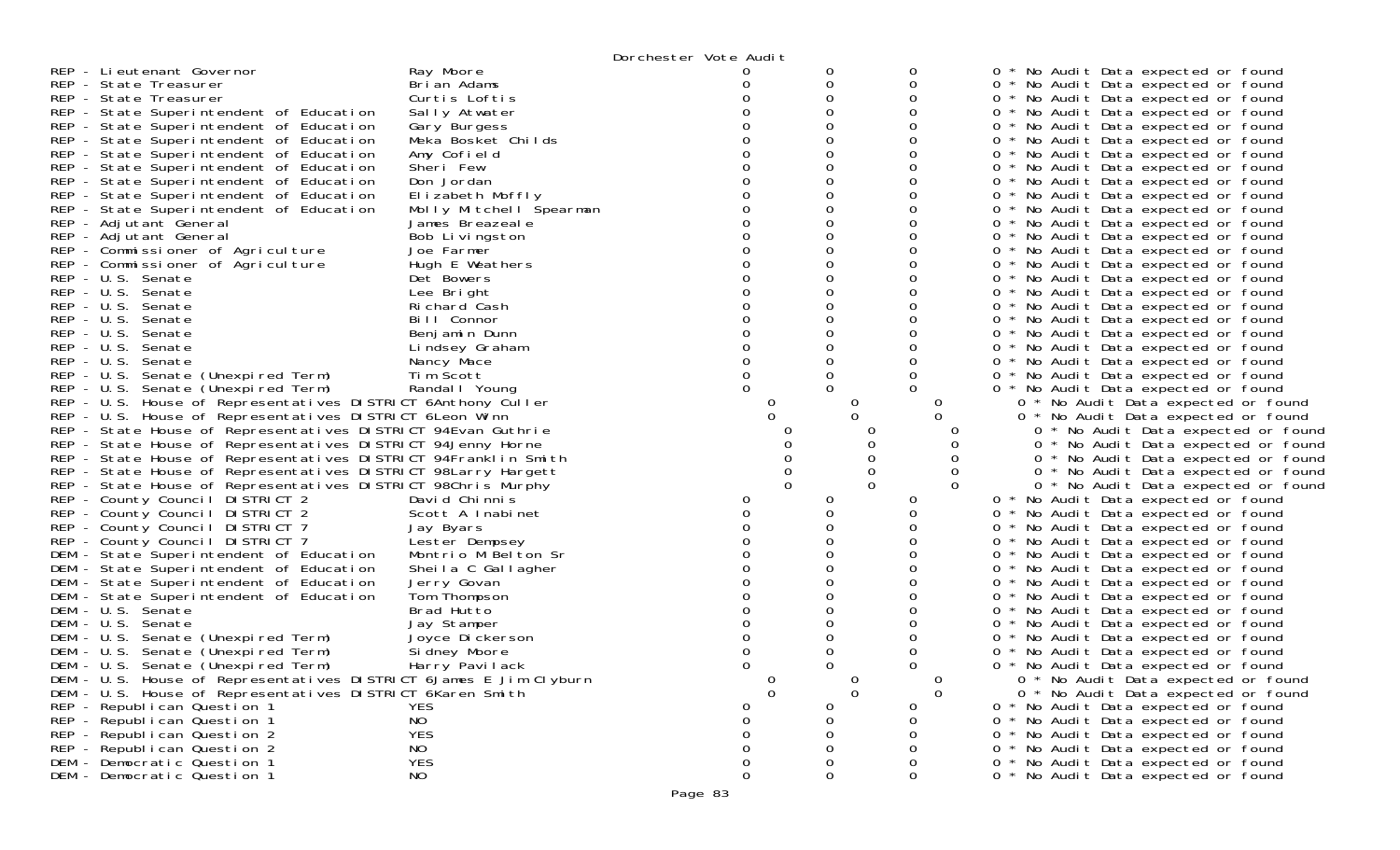|                                                                                    |                             | Dorchester Vote Audit |              |                |                  |                                                                                      |
|------------------------------------------------------------------------------------|-----------------------------|-----------------------|--------------|----------------|------------------|--------------------------------------------------------------------------------------|
| REP - Lieutenant Governor                                                          | Ray Moore                   |                       |              | 0              |                  | 0<br>* No Audit Data expected or found                                               |
| REP - State Treasurer                                                              | Brian Adams                 |                       | 0            | 0              |                  | $\overline{0}$<br>* No Audit Data expected or found                                  |
| REP - State Treasurer                                                              | Curtis Loftis               |                       | 0            | 0              |                  | 0 * No Audit Data expected or found                                                  |
| REP - State Superintendent of Education                                            | Sally Atwater               |                       |              | 0              |                  | $\Omega$<br>* No Audit Data expected or found                                        |
| REP - State Superintendent of Education                                            | Gary Burgess                |                       |              | 0              |                  | 0 * No Audit Data expected or found                                                  |
| REP - State Superintendent of Education                                            | Meka Bosket Childs          |                       | 0            | 0              |                  | 0 * No Audit Data expected or found                                                  |
| REP - State Superintendent of Education                                            | Amy Cofield                 |                       |              | 0              |                  | 0<br>* No Audit Data expected or found                                               |
| REP - State Superintendent of Education                                            | Sheri Few                   |                       | Ω            | 0              |                  | 0<br>* No Audit Data expected or found                                               |
| REP - State Superintendent of Education                                            | Don Jordan                  |                       | 0            | 0              |                  | 0 * No Audit Data expected or found                                                  |
| REP - State Superintendent of Education                                            | Elizabeth Moffly            |                       |              | 0              |                  | $\Omega$<br>* No Audit Data expected or found                                        |
| REP - State Superintendent of Education                                            | Molly Mitchell Spearman     |                       | 0            | 0              |                  | $\overline{0}$<br>* No Audit Data expected or found                                  |
| REP - Adjutant General                                                             | James Breazeale             |                       |              | 0              |                  | 0 * No Audit Data expected or found                                                  |
| REP - Adjutant General                                                             | Bob Livingston              |                       | Ω            | 0              |                  | $\mathbf{O}$<br>* No Audit Data expected or found                                    |
| REP - Commissioner of Agriculture                                                  | Joe Farmer                  |                       |              | 0              |                  | 0<br>* No Audit Data expected or found                                               |
| REP - Commissioner of Agriculture                                                  | Hugh E Weathers             |                       |              | 0              |                  | 0 * No Audit Data expected or found                                                  |
| REP - U.S. Senate                                                                  | Det Bowers                  |                       |              | 0              |                  | 0 * No Audit Data expected or found                                                  |
| REP - U.S. Senate                                                                  | Lee Bright                  |                       |              | 0              |                  | $\overline{0}$<br>* No Audit Data expected or found                                  |
| REP - U.S. Senate                                                                  | Richard Cash                |                       |              | 0              |                  | 0 * No Audit Data expected or found                                                  |
| REP - U.S. Senate                                                                  | Bill Connor                 |                       |              | 0              |                  | $\overline{0}$<br>* No Audit Data expected or found                                  |
| REP - U.S. Senate                                                                  | Benjamin Dunn               |                       |              | 0              |                  | 0<br>* No Audit Data expected or found                                               |
| REP - U.S. Senate                                                                  | Lindsey Graham              |                       |              | 0              |                  | $\overline{0}$<br>* No Audit Data expected or found                                  |
| REP - U.S. Senate                                                                  | Nancy Mace                  |                       |              | 0              |                  | 0 * No Audit Data expected or found                                                  |
| REP - U.S. Senate (Unexpired Term)                                                 | Tim Scott                   |                       |              | 0              |                  | 0<br>* No Audit Data expected or found                                               |
| REP - U.S. Senate (Unexpired Term)                                                 | Randal I Young              |                       |              | $\Omega$       |                  | 0 * No Audit Data expected or found                                                  |
| REP - U.S. House of Representatives DISTRICT 6Anthony Culler                       |                             | O                     |              | $\sigma$       | 0                | 0 * No Audit Data expected or found                                                  |
| REP - U.S. House of Representatives DISTRICT 6Leon Winn                            |                             |                       |              | 0              |                  | 0 * No Audit Data expected or found                                                  |
| REP - State House of Representatives DISTRICT 94Evan Guthrie                       |                             |                       |              |                |                  | 0 * No Audit Data expected or found                                                  |
| REP - State House of Representatives DISTRICT 94Jenny Horne                        |                             |                       |              |                |                  | 0 * No Audit Data expected or found                                                  |
| REP - State House of Representatives DISTRICT 94Franklin Smith                     |                             |                       |              | 0              | $\Omega$         | 0 * No Audit Data expected or found                                                  |
| REP - State House of Representatives DISTRICT 98Larry Hargett                      |                             |                       | $\Omega$     | 0<br>$\Omega$  | 0                | 0 * No Audit Data expected or found                                                  |
| REP - State House of Representatives DISTRICT 98Chris Murphy                       |                             |                       |              |                |                  | 0 * No Audit Data expected or found                                                  |
| REP - County Council DISTRICT 2                                                    | David Chinnis               | 0                     | 0            | $\Omega$       |                  | 0 * No Audit Data expected or found                                                  |
| REP - County Council DISTRICT 2                                                    | Scott A Inabinet            |                       | 0            | 0              |                  | 0 * No Audit Data expected or found                                                  |
| REP - County Council DISTRICT 7                                                    | Jay Byars                   |                       |              | 0              |                  | 0 * No Audit Data expected or found                                                  |
| REP - County Council DISTRICT 7                                                    | Lester Dempsey              |                       |              | 0              |                  | $\overline{0}$<br>* No Audit Data expected or found                                  |
| DEM - State Superintendent of Education                                            | Montrio M Belton Sr         |                       |              | 0<br>0         |                  | 0<br>* No Audit Data expected or found                                               |
| DEM - State Superintendent of Education<br>DEM - State Superintendent of Education | Sheila C Gallagher          |                       | 0            | 0              |                  | 0 * No Audit Data expected or found<br>* No Audit Data expected or found<br>$\sigma$ |
| DEM - State Superintendent of Education                                            | Jerry Govan<br>Tom Thompson |                       |              | 0              |                  | $\mathbf{O}$<br>* No Audit Data expected or found                                    |
| DEM - U.S. Senate                                                                  | Brad Hutto                  |                       |              | 0              |                  | $\overline{0}$<br>* No Audit Data expected or found                                  |
| DEM - U.S. Senate                                                                  | Jay Stamper                 |                       | 0            | 0              |                  | * No Audit Data expected or found<br>0                                               |
| DEM - U.S. Senate (Unexpired Term)                                                 | Joyce Dickerson             |                       |              | 0              |                  | 0<br>No Audit Data expected or found                                                 |
| DEM - U.S. Senate (Unexpired Term)                                                 | Si dney Moore               |                       |              | 0              |                  | 0<br>* No Audit Data expected or found                                               |
| DEM - U.S. Senate (Unexpired Term)                                                 | Harry Pavilack              | ∩                     | <sup>n</sup> | $\Omega$       |                  | 0<br>$\star$<br>No Audit Data expected or found                                      |
| DEM - U.S. House of Representatives DISTRICT 6James E Jim Clyburn                  |                             | $\mathbf 0$           |              | $\overline{0}$ | $\boldsymbol{0}$ | 0 * No Audit Data expected or found                                                  |
| DEM - U.S. House of Representatives DISTRICT 6Karen Smith                          |                             | $\mathbf 0$           |              | $\mathbf 0$    | $\Omega$         | 0 * No Audit Data expected or found                                                  |
| REP - Republican Question 1                                                        | <b>YES</b>                  | O                     | 0            | $\mathbf{0}$   |                  | 0 * No Audit Data expected or found                                                  |
| REP - Republican Question 1                                                        | NO                          | 0                     | 0            | 0              |                  | * No Audit Data expected or found<br>$\Omega$                                        |
| REP - Republican Question 2                                                        | <b>YES</b>                  |                       |              | 0              |                  | 0 * No Audit Data expected or found                                                  |
| REP - Republican Question 2                                                        | NO                          | 0                     | 0            | 0              |                  | 0 * No Audit Data expected or found                                                  |
| DEM - Democratic Question 1                                                        | <b>YES</b>                  | 0                     | 0            | 0              |                  | * No Audit Data expected or found<br>$\overline{0}$                                  |
| DEM - Democratic Question 1                                                        | NO                          | 0                     | 0            | 0              |                  | 0 * No Audit Data expected or found                                                  |
|                                                                                    |                             |                       |              |                |                  |                                                                                      |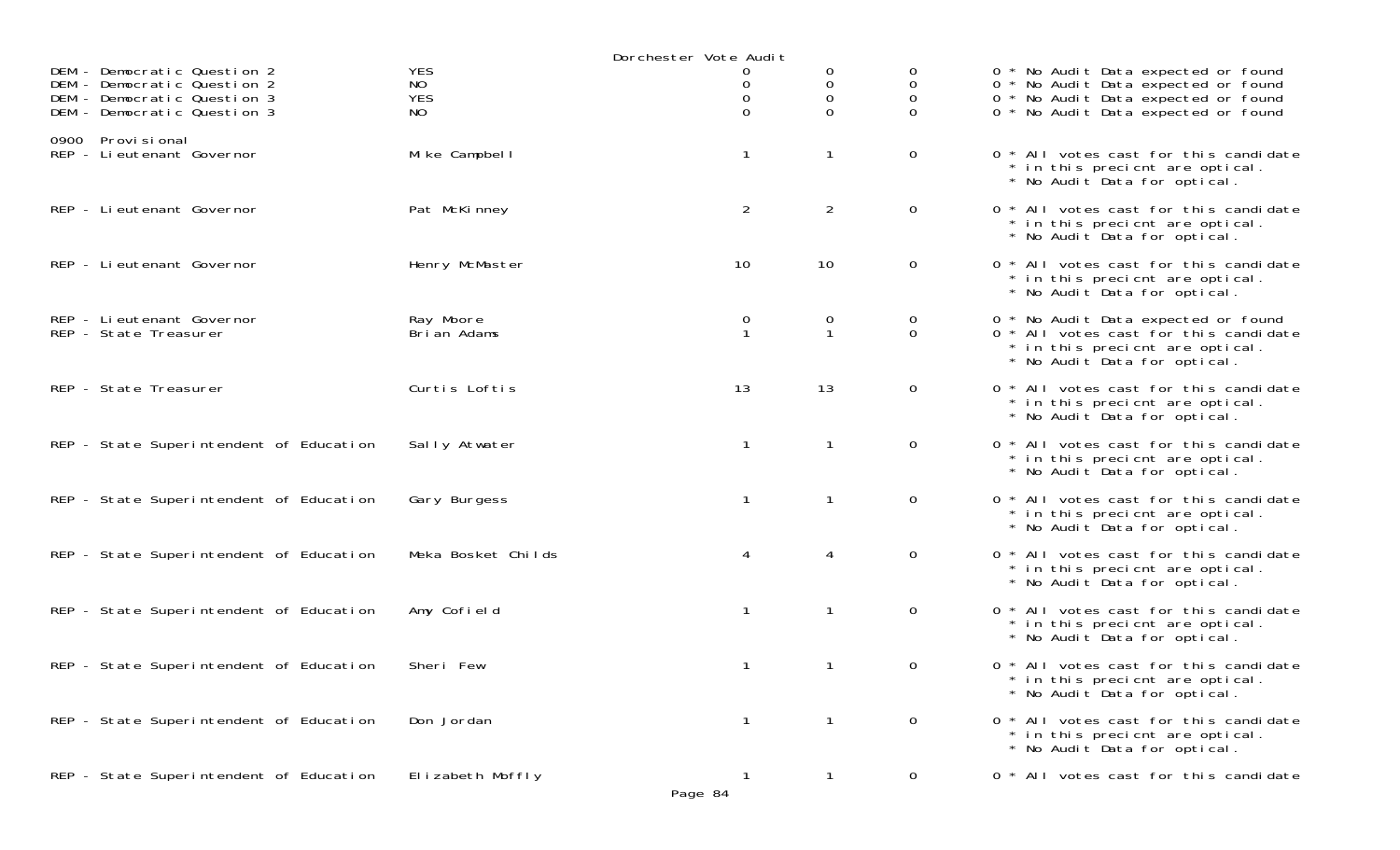|                                                                                                                          |                                       | Dorchester Vote Audit |                   |                             |                                                                                                                                                          |
|--------------------------------------------------------------------------------------------------------------------------|---------------------------------------|-----------------------|-------------------|-----------------------------|----------------------------------------------------------------------------------------------------------------------------------------------------------|
| DEM - Democratic Question 2<br>DEM - Democratic Question 2<br>DEM - Democratic Question 3<br>DEM - Democratic Question 3 | <b>YES</b><br>NO<br><b>YES</b><br>NO. | 0<br>0<br>$\Omega$    | 0<br>0<br>0<br>0  | 0<br>0<br>0<br><sup>o</sup> | 0 * No Audit Data expected or found<br>0 * No Audit Data expected or found<br>0 * No Audit Data expected or found<br>0 * No Audit Data expected or found |
| 0900 Provi si onal<br>REP - Lieutenant Governor                                                                          | Mike Campbell                         | $\mathbf{1}$          | $\mathbf{1}$      | $\overline{0}$              | 0 * All votes cast for this candidate<br>* in this precient are optical.<br>* No Audit Data for optical.                                                 |
| REP - Li eutenant Governor                                                                                               | Pat McKinney                          | $\overline{2}$        | $\overline{2}$    | $\overline{O}$              | 0 * All votes cast for this candidate<br>* in this precient are optical.<br>* No Audit Data for optical.                                                 |
| REP - Lieutenant Governor                                                                                                | Henry McMaster                        | 10                    | 10                | $\overline{0}$              | 0 * All votes cast for this candidate<br>* in this precient are optical.<br>* No Audit Data for optical.                                                 |
| REP - Li eutenant Governor<br>REP - State Treasurer                                                                      | Ray Moore<br>Brian Adams              | 0<br>$\mathbf{1}$     | 0<br>$\mathbf{1}$ | 0<br>$\overline{0}$         | 0 * No Audit Data expected or found<br>0 * All votes cast for this candidate<br>* in this precient are optical.<br>* No Audit Data for optical.          |
| REP - State Treasurer                                                                                                    | Curtis Loftis                         | 13                    | 13                | $\mathbf{0}$                | 0 * All votes cast for this candidate<br>* in this precient are optical.<br>* No Audit Data for optical.                                                 |
| REP - State Superintendent of Education                                                                                  | Sally Atwater                         | $\mathbf{1}$          | $\mathbf{1}$      | $\mathbf{0}$                | 0 * All votes cast for this candidate<br>* in this precient are optical.<br>* No Audit Data for optical.                                                 |
| REP - State Superintendent of Education                                                                                  | Gary Burgess                          | $\mathbf{1}$          | $\mathbf{1}$      | $\overline{0}$              | 0 * All votes cast for this candidate<br>* in this precient are optical.<br>* No Audit Data for optical.                                                 |
| REP - State Superintendent of Education                                                                                  | Meka Bosket Childs                    | 4                     | 4                 | $\mathsf{O}$                | 0 * All votes cast for this candidate<br>* in this precient are optical.<br>* No Audit Data for optical.                                                 |
| REP - State Superintendent of Education                                                                                  | Amy Cofield                           | $\mathbf{1}$          | $\mathbf{1}$      | $\mathbf{0}$                | 0 * All votes cast for this candidate<br>* in this precient are optical.<br>* No Audit Data for optical.                                                 |
| REP - State Superintendent of Education                                                                                  | Sheri Few                             | $\mathbf{1}$          | $\mathbf{1}$      | $\mathbf{0}$                | 0 * All votes cast for this candidate<br>* in this precient are optical.<br>* No Audit Data for optical.                                                 |
| REP - State Superintendent of Education                                                                                  | Don Jordan                            | $\mathbf{1}$          | 1                 | $\overline{O}$              | 0 * All votes cast for this candidate<br>* in this precient are optical.<br>* No Audit Data for optical.                                                 |
| REP - State Superintendent of Education                                                                                  | Elizabeth Moffly                      | $\Omega$              | $\mathbf{1}$      | $\mathbf{0}$                | 0 * All votes cast for this candidate                                                                                                                    |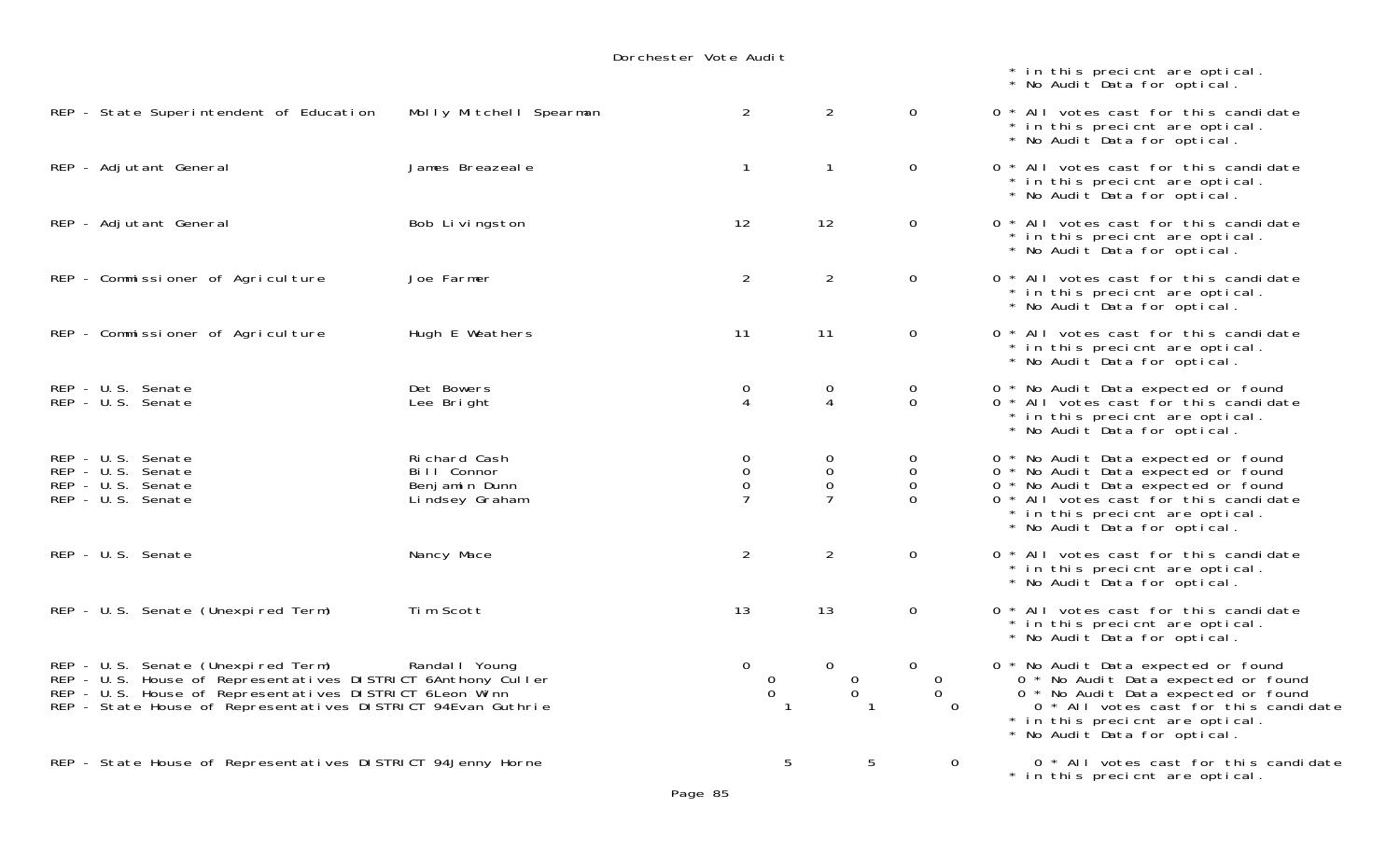|                                                                                                                                                                                                                               |                                                                | Dorchester Vote Audit                      |                                                   |                                                       |                                                                                                                                                                                                                               |
|-------------------------------------------------------------------------------------------------------------------------------------------------------------------------------------------------------------------------------|----------------------------------------------------------------|--------------------------------------------|---------------------------------------------------|-------------------------------------------------------|-------------------------------------------------------------------------------------------------------------------------------------------------------------------------------------------------------------------------------|
|                                                                                                                                                                                                                               |                                                                |                                            |                                                   |                                                       | * in this precicnt are optical.<br>* No Audit Data for optical.                                                                                                                                                               |
| REP - State Superintendent of Education                                                                                                                                                                                       | Molly Mitchell Spearman                                        | $\overline{2}$                             | $\overline{2}$                                    | $\mathbf 0$                                           | 0 * All votes cast for this candidate<br>* in this precicnt are optical.<br>* No Audit Data for optical.                                                                                                                      |
| REP - Adjutant General                                                                                                                                                                                                        | James Breazeale                                                | -1                                         | -1                                                | $\mathbf{O}$                                          | 0 * All votes cast for this candidate<br>* in this precient are optical.<br>* No Audit Data for optical.                                                                                                                      |
| REP - Adjutant General                                                                                                                                                                                                        | Bob Livingston                                                 | 12                                         | 12                                                | $\mathsf{O}$                                          | 0 * All votes cast for this candidate<br>* in this precient are optical.<br>* No Audit Data for optical.                                                                                                                      |
| REP - Commissioner of Agriculture                                                                                                                                                                                             | Joe Farmer                                                     | $\overline{2}$                             | $\overline{2}$                                    | $\mathbf 0$                                           | 0 * All votes cast for this candidate<br>* in this precient are optical.<br>* No Audit Data for optical.                                                                                                                      |
| REP - Commissioner of Agriculture                                                                                                                                                                                             | Hugh E Weathers                                                | 11                                         | 11                                                | $\mathbf{O}$                                          | 0 * All votes cast for this candidate<br>* in this precient are optical.<br>* No Audit Data for optical.                                                                                                                      |
| REP - U.S. Senate<br>REP - U.S. Senate                                                                                                                                                                                        | Det Bowers<br>Lee Bright                                       | $\mathbf 0$<br>4                           | 0<br>$\overline{4}$                               | 0<br>$\Omega$                                         | 0 * No Audit Data expected or found<br>0 * All votes cast for this candidate<br>* in this precient are optical.<br>* No Audit Data for optical.                                                                               |
| REP - U.S. Senate<br>REP - U.S. Senate<br>REP - U.S. Senate<br>REP - U.S. Senate                                                                                                                                              | Richard Cash<br>Bill Connor<br>Benjamin Dunn<br>Lindsey Graham | 0<br>0<br>$\mathbf 0$<br>$\overline{7}$    | 0<br>$\mathbf 0$<br>$\mathbf 0$<br>$\overline{7}$ | 0<br>0<br>0<br>$\Omega$                               | 0 * No Audit Data expected or found<br>0 * No Audit Data expected or found<br>0 * No Audit Data expected or found<br>0 * All votes cast for this candidate<br>* in this precient are optical.<br>* No Audit Data for optical. |
| REP - U.S. Senate                                                                                                                                                                                                             | Nancy Mace                                                     | 2                                          | $\overline{2}$                                    | $\mathbf 0$                                           | 0 * All votes cast for this candidate<br>* in this precient are optical.<br>* No Audit Data for optical.                                                                                                                      |
| REP - U.S. Senate (Unexpired Term)                                                                                                                                                                                            | Tim Scott                                                      | 13                                         | 13                                                | $\mathbf{O}$                                          | 0 * All votes cast for this candidate<br>* in this precient are optical.<br>* No Audit Data for optical.                                                                                                                      |
| REP - U.S. Senate (Unexpired Term)<br>REP - U.S. House of Representatives DISTRICT 6Anthony Culler<br>REP - U.S. House of Representatives DISTRICT 6Leon Winn<br>REP - State House of Representatives DISTRICT 94Evan Guthrie | Randal   Young                                                 | $\overline{0}$<br>$\mathbf{O}$<br>$\Omega$ | $\mathbf 0$<br>0<br>$\Omega$                      | $\mathbf 0$<br>$\overline{0}$<br>$\Omega$<br>$\Omega$ | 0 * No Audit Data expected or found<br>0 * No Audit Data expected or found<br>0 * No Audit Data expected or found<br>0 * All votes cast for this candidate<br>* in this precient are optical.<br>* No Audit Data for optical. |
| REP - State House of Representatives DISTRICT 94Jenny Horne                                                                                                                                                                   |                                                                | 5                                          | 5                                                 | $\overline{0}$                                        | 0 * All votes cast for this candidate<br>* in this precient are optical.                                                                                                                                                      |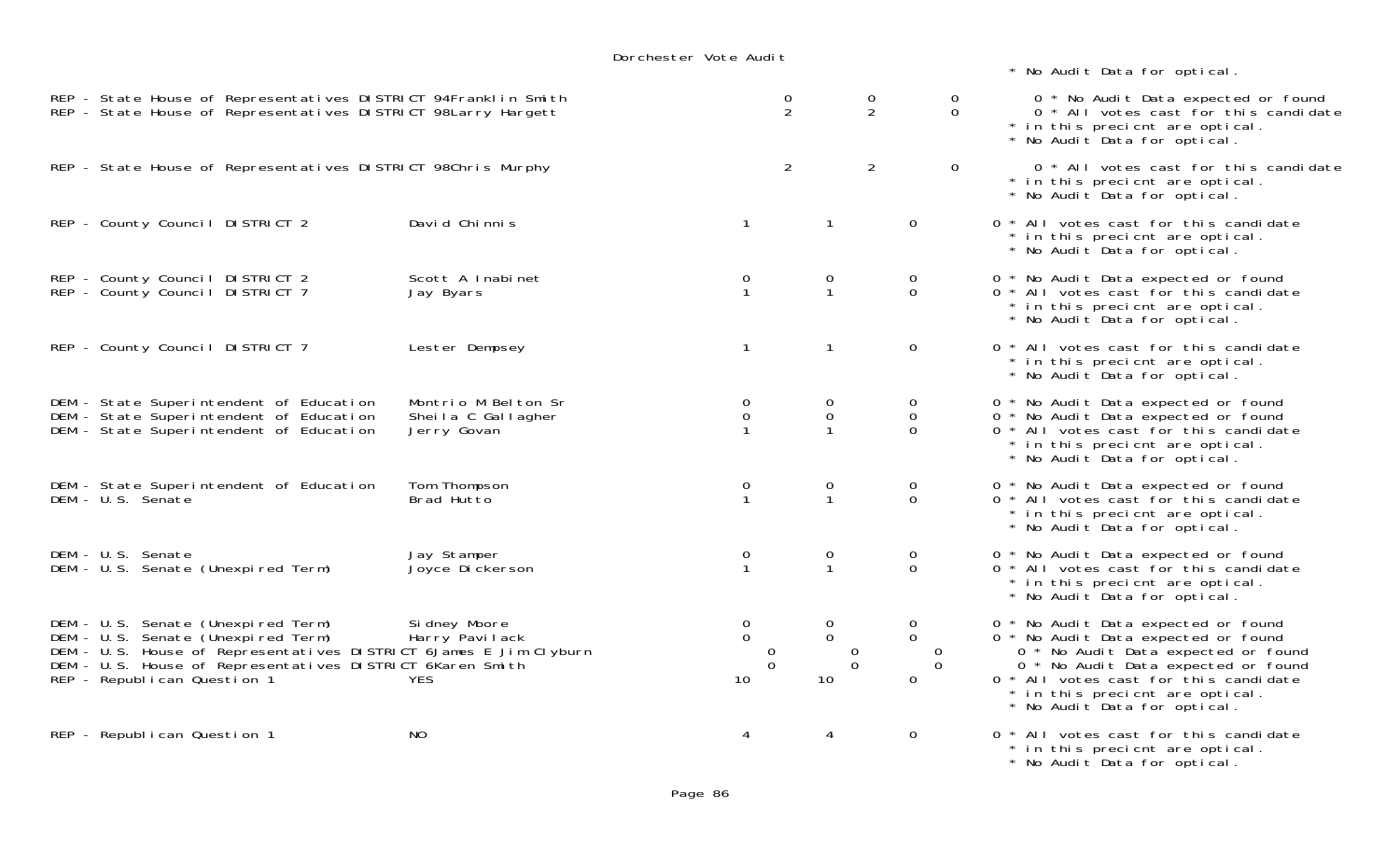|                                                                                                                                                                                                                                           |                                                          | Dorchester Vote Audit                                |                                                                         |                                                                     |               |                                                                                                                                                                                                                                                                      |
|-------------------------------------------------------------------------------------------------------------------------------------------------------------------------------------------------------------------------------------------|----------------------------------------------------------|------------------------------------------------------|-------------------------------------------------------------------------|---------------------------------------------------------------------|---------------|----------------------------------------------------------------------------------------------------------------------------------------------------------------------------------------------------------------------------------------------------------------------|
|                                                                                                                                                                                                                                           |                                                          |                                                      |                                                                         |                                                                     |               | * No Audit Data for optical.                                                                                                                                                                                                                                         |
| REP - State House of Representatives DISTRICT 94Franklin Smith<br>REP - State House of Representatives DISTRICT 98Larry Hargett                                                                                                           |                                                          |                                                      | $\frac{0}{2}$                                                           | $\frac{0}{2}$                                                       | 0<br>$\Omega$ | 0 * No Audit Data expected or found<br>0 * All votes cast for this candidate<br>* in this precient are optical.<br>* No Audit Data for optical.                                                                                                                      |
| REP - State House of Representatives DISTRICT 98Chris Murphy                                                                                                                                                                              |                                                          |                                                      | $\overline{2}$                                                          | $\overline{2}$                                                      | $\mathbf 0$   | 0 * All votes cast for this candidate<br>* in this precient are optical.<br>* No Audit Data for optical.                                                                                                                                                             |
| REP - County Council DISTRICT 2                                                                                                                                                                                                           | David Chinnis                                            | $\mathbf{1}$                                         | $\mathbf{1}$                                                            | $\mathbf 0$                                                         |               | 0 * All votes cast for this candidate<br>* in this precient are optical.<br>* No Audit Data for optical.                                                                                                                                                             |
| REP - County Council DISTRICT 2<br>REP - County Council DISTRICT 7                                                                                                                                                                        | Scott A Inabinet<br>Jay Byars                            | $\overline{0}$<br>$\mathbf{1}$                       | 0<br>$\mathbf{1}$                                                       | 0<br>$\overline{0}$                                                 |               | 0 * No Audit Data expected or found<br>0 * All votes cast for this candidate<br>* in this precient are optical.<br>* No Audit Data for optical.                                                                                                                      |
| REP - County Council DISTRICT 7                                                                                                                                                                                                           | Lester Dempsey                                           | $\mathbf{1}$                                         | $\mathbf{1}$                                                            | $\mathbf 0$                                                         |               | 0 * All votes cast for this candidate<br>* in this precient are optical.<br>* No Audit Data for optical.                                                                                                                                                             |
| DEM - State Superintendent of Education<br>DEM - State Superintendent of Education<br>DEM - State Superintendent of Education                                                                                                             | Montrio M Belton Sr<br>Sheila C Gallagher<br>Jerry Govan | $\overline{0}$<br>$\mathbf 0$                        | 0<br>$\mathsf{O}$<br>$\mathbf{1}$                                       | 0<br>$\mathbf 0$<br>$\Omega$                                        |               | 0 * No Audit Data expected or found<br>0 * No Audit Data expected or found<br>0 * All votes cast for this candidate<br>* in this precient are optical.<br>* No Audit Data for optical.                                                                               |
| DEM - State Superintendent of Education<br>DEM - U.S. Senate                                                                                                                                                                              | Tom Thompson<br>Brad Hutto                               | 0<br>$\mathbf{1}$                                    | 0<br>$\mathbf{1}$                                                       | 0<br>$\mathbf 0$                                                    |               | 0 * No Audit Data expected or found<br>0 * All votes cast for this candidate<br>* in this precient are optical.<br>* No Audit Data for optical.                                                                                                                      |
| DEM - U.S. Senate<br>DEM - U.S. Senate (Unexpired Term)                                                                                                                                                                                   | Jay Stamper<br>Joyce Di ckerson                          | $\mathbf 0$<br>$\mathbf{1}$                          | 0<br>$\mathbf{1}$                                                       | 0<br>$\overline{0}$                                                 |               | 0 * No Audit Data expected or found<br>0 * All votes cast for this candidate<br>* in this precient are optical.<br>* No Audit Data for optical.                                                                                                                      |
| DEM - U.S. Senate (Unexpired Term)<br>DEM - U.S. Senate (Unexpired Term)<br>DEM - U.S. House of Representatives DISTRICT 6James E Jim Clyburn<br>DEM - U.S. House of Representatives DISTRICT 6Karen Smith<br>REP - Republican Question 1 | Si dney Moore<br>Harry Pavilack<br><b>YES</b>            | $\mathbf 0$<br>$\overline{0}$<br>0<br>$\Omega$<br>10 | 0<br>$\overline{0}$<br>$\overline{0}$<br>$\mathbf 0$<br>10 <sup>°</sup> | 0<br>$\overline{0}$<br>$\overline{0}$<br>$\Omega$<br>$\overline{0}$ |               | 0 * No Audit Data expected or found<br>0 * No Audit Data expected or found<br>0 * No Audit Data expected or found<br>0 * No Audit Data expected or found<br>0 * All votes cast for this candidate<br>* in this precicnt are optical.<br>* No Audit Data for optical. |
| REP - Republican Question 1                                                                                                                                                                                                               | <b>NO</b>                                                |                                                      | 4                                                                       | 0                                                                   |               | 0 * All votes cast for this candidate<br>* in this precient are optical.                                                                                                                                                                                             |

\* No Audit Data for optical.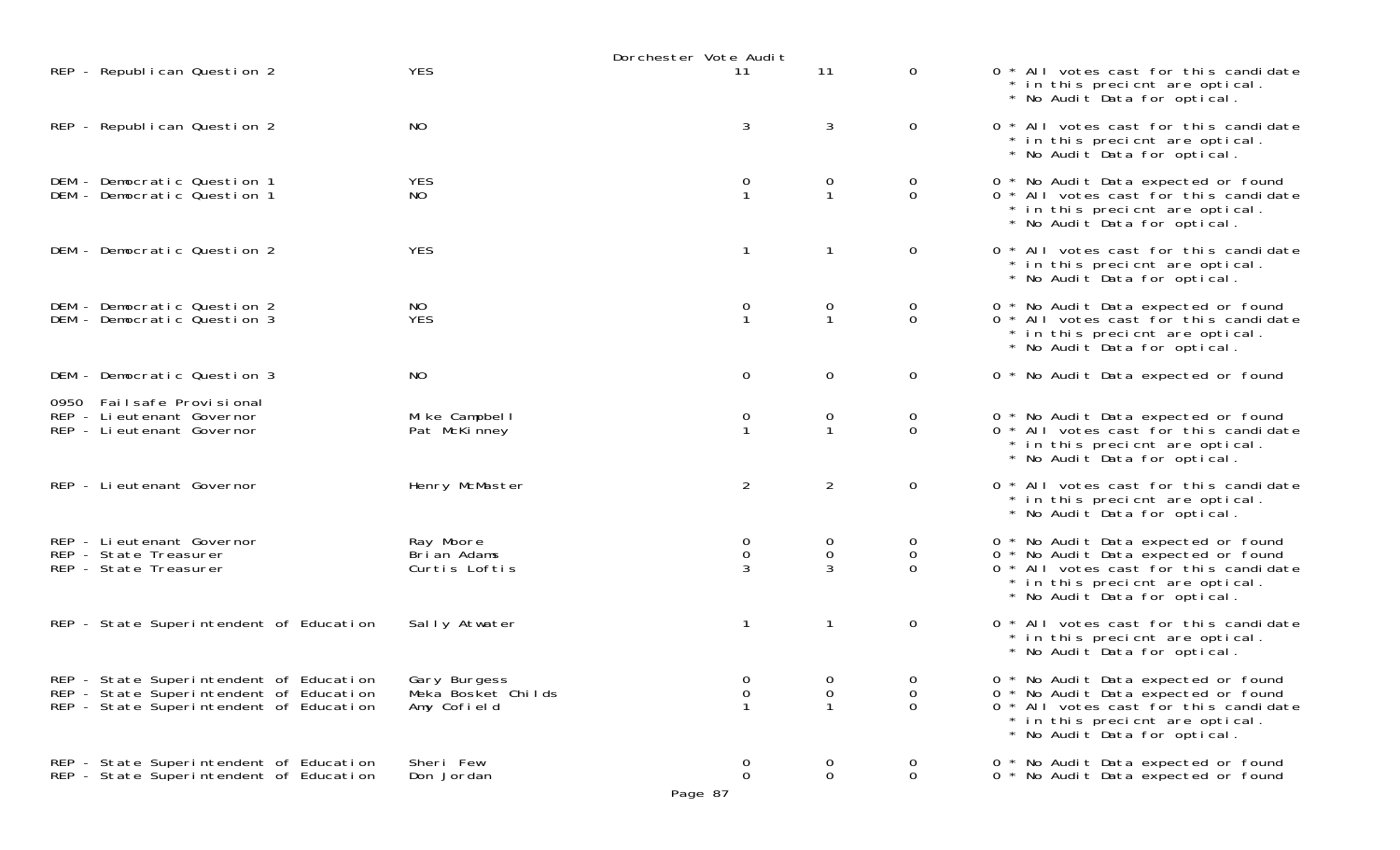|                                                                                                                               |                                                   | Dorchester Vote Audit           |                                    |                              |                                                                                                                                                                                        |
|-------------------------------------------------------------------------------------------------------------------------------|---------------------------------------------------|---------------------------------|------------------------------------|------------------------------|----------------------------------------------------------------------------------------------------------------------------------------------------------------------------------------|
| REP - Republican Question 2                                                                                                   | <b>YES</b>                                        | 11                              | 11                                 | $\mathbf 0$                  | 0 * All votes cast for this candidate<br>* in this precient are optical.<br>* No Audit Data for optical.                                                                               |
| REP - Republican Question 2                                                                                                   | NO                                                | 3                               | 3                                  | $\mathbf 0$                  | 0 * All votes cast for this candidate<br>* in this precient are optical.<br>* No Audit Data for optical.                                                                               |
| DEM - Democratic Question 1<br>DEM - Democratic Question 1                                                                    | <b>YES</b><br>NO                                  | 0<br>$\mathbf{1}$               | 0<br>$\mathbf{1}$                  | 0<br>$\overline{0}$          | 0 * No Audit Data expected or found<br>0 * All votes cast for this candidate<br>* in this precient are optical.<br>* No Audit Data for optical.                                        |
| DEM - Democratic Question 2                                                                                                   | <b>YES</b>                                        | $\mathbf{1}$                    | $\mathbf{1}$                       | 0                            | 0 * All votes cast for this candidate<br>* in this precient are optical.<br>* No Audit Data for optical.                                                                               |
| DEM - Democratic Question 2<br>DEM - Democratic Question 3                                                                    | NO<br><b>YES</b>                                  | $\overline{0}$<br>$\mathbf{1}$  | 0<br>$\mathbf{1}$                  | 0<br>$\overline{0}$          | 0 * No Audit Data expected or found<br>0 * All votes cast for this candidate<br>* in this precient are optical.<br>* No Audit Data for optical.                                        |
| DEM - Democratic Question 3                                                                                                   | <b>NO</b>                                         | $\overline{0}$                  | $\mathsf{O}\xspace$                | $\mathbf 0$                  | 0 * No Audit Data expected or found                                                                                                                                                    |
| 0950 Failsafe Provisional<br>REP - Lieutenant Governor<br>REP - Lieutenant Governor                                           | Mike Campbell<br>Pat McKinney                     | 0<br>$\mathbf{1}$               | $\overline{0}$<br>$\mathbf{1}$     | 0<br>$\Omega$                | 0 * No Audit Data expected or found<br>0 * All votes cast for this candidate<br>* in this precient are optical.<br>* No Audit Data for optical.                                        |
| REP - Lieutenant Governor                                                                                                     | Henry McMaster                                    | $\overline{2}$                  | $\overline{2}$                     | $\mathbf 0$                  | 0 * All votes cast for this candidate<br>* in this precient are optical.<br>* No Audit Data for optical.                                                                               |
| REP - Lieutenant Governor<br>REP - State Treasurer<br>REP - State Treasurer                                                   | Ray Moore<br>Brian Adams<br>Curtis Loftis         | 0<br>0<br>3                     | 0<br>$\mathbf 0$<br>$\overline{3}$ | 0<br>$\mathbf 0$<br>$\Omega$ | 0 * No Audit Data expected or found<br>0 * No Audit Data expected or found<br>0 * All votes cast for this candidate<br>* in this precient are optical.<br>* No Audit Data for optical. |
| REP - State Superintendent of Education                                                                                       | Sally Atwater                                     | $\mathbf{1}$                    | $\mathbf{1}$                       | 0                            | 0 * All votes cast for this candidate<br>* in this precient are optical.<br>* No Audit Data for optical.                                                                               |
| REP - State Superintendent of Education<br>REP - State Superintendent of Education<br>REP - State Superintendent of Education | Gary Burgess<br>Meka Bosket Childs<br>Amy Cofield | 0<br>$\mathbf 0$<br>$\mathbf 1$ | 0<br>0<br>$\mathbf{1}$             | 0<br>$\Omega$<br>$\Omega$    | 0 * No Audit Data expected or found<br>0 * No Audit Data expected or found<br>0 * All votes cast for this candidate<br>* in this precient are optical.<br>* No Audit Data for optical. |
| REP - State Superintendent of Education<br>REP - State Superintendent of Education                                            | Sheri Few<br>Don Jordan                           | 0<br>$\mathbf 0$<br>Page 87     | 0<br>$\mathsf{O}\xspace$           | 0<br>$\mathbf 0$             | 0 * No Audit Data expected or found<br>0 * No Audit Data expected or found                                                                                                             |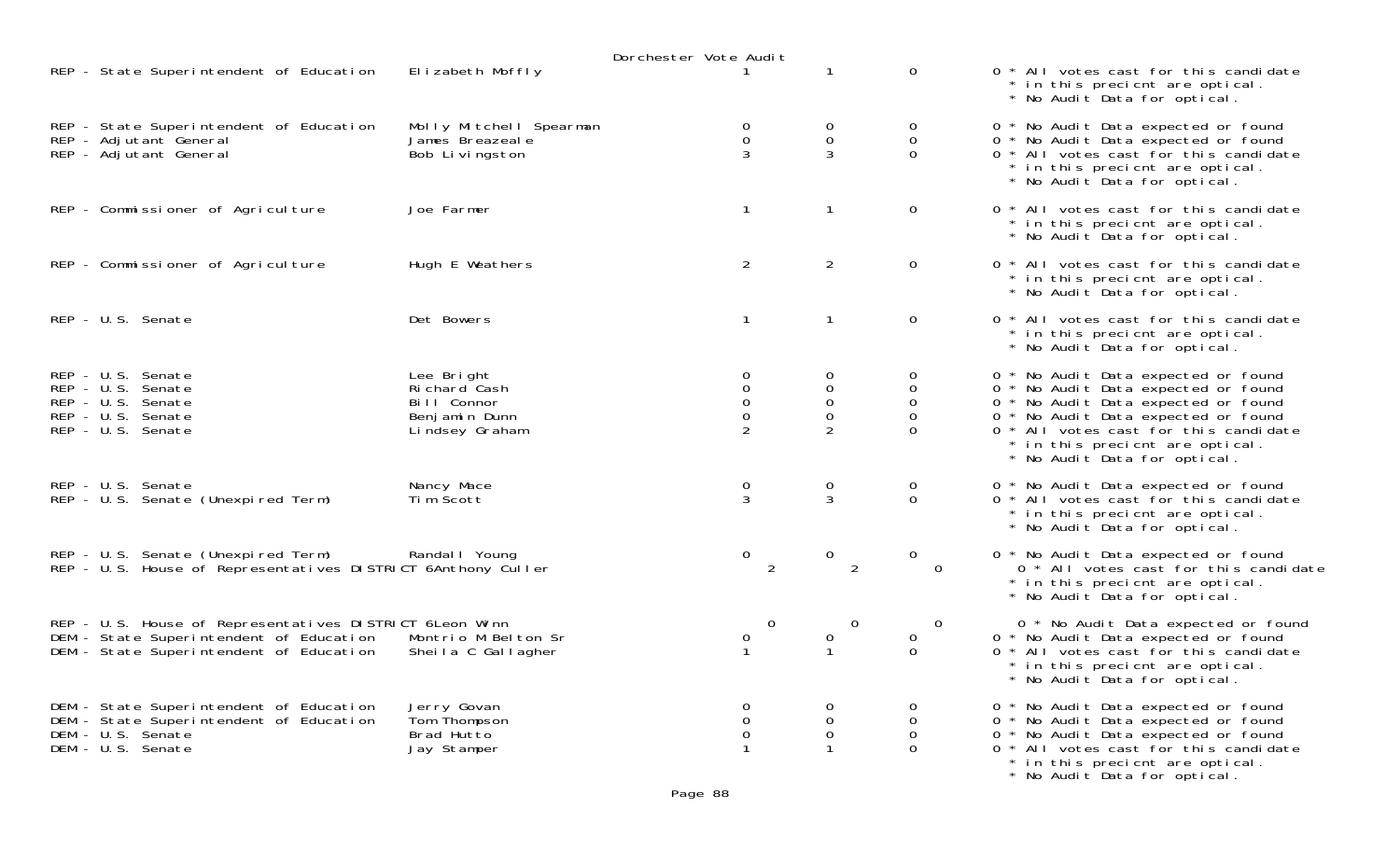|                                                                                                                                               |                                                                              | Dorchester Vote Audit   |                                         |                                                                         |                                                                                                                                                                                                                                                                      |
|-----------------------------------------------------------------------------------------------------------------------------------------------|------------------------------------------------------------------------------|-------------------------|-----------------------------------------|-------------------------------------------------------------------------|----------------------------------------------------------------------------------------------------------------------------------------------------------------------------------------------------------------------------------------------------------------------|
| REP - State Superintendent of Education                                                                                                       | Elizabeth Moffly                                                             |                         |                                         | $\overline{0}$                                                          | 0 * All votes cast for this candidate<br>* in this precient are optical.<br>* No Audit Data for optical.                                                                                                                                                             |
| REP - State Superintendent of Education<br>REP - Adjutant General<br>REP - Adjutant General                                                   | Molly Mitchell Spearman<br>James Breazeale<br>Bob Livingston                 | 0<br>0<br>3             | $\overline{O}$<br>$\mathbf 0$<br>3      | $\overline{0}$<br>$\mathbf 0$<br>$\Omega$                               | 0 * No Audit Data expected or found<br>0 * No Audit Data expected or found<br>0 * All votes cast for this candidate<br>* in this precient are optical.<br>* No Audit Data for optical.                                                                               |
| REP - Commissioner of Agriculture                                                                                                             | Joe Farmer                                                                   | $\mathbf{1}$            |                                         | $\mathbf{0}$                                                            | 0 * All votes cast for this candidate<br>* in this precient are optical.<br>* No Audit Data for optical.                                                                                                                                                             |
| REP - Commissioner of Agriculture                                                                                                             | Hugh E Weathers                                                              | $\overline{a}$          | $\overline{2}$                          | $\mathbf{0}$                                                            | 0 * All votes cast for this candidate<br>* in this precient are optical.<br>* No Audit Data for optical.                                                                                                                                                             |
| REP - U.S. Senate                                                                                                                             | Det Bowers                                                                   | $\mathbf{1}$            |                                         | $\overline{0}$                                                          | 0 * All votes cast for this candidate<br>* in this precient are optical.<br>* No Audit Data for optical.                                                                                                                                                             |
| REP - U.S. Senate<br>REP - U.S. Senate<br>REP - U.S. Senate<br>REP - U.S. Senate<br>REP - U.S. Senate                                         | Lee Bright<br>Richard Cash<br>Bill Connor<br>Benjamin Dunn<br>Lindsey Graham | 0<br>0<br>$\Omega$<br>0 | 0<br>$\overline{0}$<br>$\mathbf 0$<br>0 | $\mathbf{O}$<br>$\mathbf{O}$<br>$\mathbf{0}$<br>$\mathbf 0$<br>$\Omega$ | 0 * No Audit Data expected or found<br>0 * No Audit Data expected or found<br>0 * No Audit Data expected or found<br>0 * No Audit Data expected or found<br>0 * All votes cast for this candidate<br>* in this precient are optical.<br>* No Audit Data for optical. |
| REP - U.S. Senate<br>REP - U.S. Senate (Unexpired Term)                                                                                       | Nancy Mace<br>Tim Scott                                                      | 0<br>$\overline{3}$     | 0<br>$\mathbf{3}$                       | 0<br>$\overline{O}$                                                     | 0 * No Audit Data expected or found<br>0 * All votes cast for this candidate<br>* in this precient are optical.<br>* No Audit Data for optical.                                                                                                                      |
| REP - U.S. Senate (Unexpired Term)<br>REP - U.S. House of Representatives DISTRICT 6Anthony Culler                                            | Randal   Young                                                               | $\overline{0}$<br>2     | $\overline{0}$<br>2                     | $\overline{0}$<br>$\overline{0}$                                        | 0 * No Audit Data expected or found<br>0 * All votes cast for this candidate<br>* in this precient are optical.<br>* No Audit Data for optical.                                                                                                                      |
| REP - U.S. House of Representatives DISTRICT 6Leon Winn<br>DEM - State Superintendent of Education<br>DEM - State Superintendent of Education | Montrio M Belton Sr<br>Sheila C Gallagher                                    | $\overline{0}$<br>0     | $\mathbf 0$<br>$\mathbf{O}$             | $\overline{0}$<br>$\overline{O}$<br>$\Omega$                            | 0 * No Audit Data expected or found<br>0 * No Audit Data expected or found<br>* All votes cast for this candidate<br>$\Omega$<br>* in this precient are optical.<br>* No Audit Data for optical.                                                                     |
| DEM - State Superintendent of Education<br>DEM - State Superintendent of Education<br>DEM - U.S. Senate<br>DEM - U.S. Senate                  | Jerry Govan<br>Tom Thompson<br>Brad Hutto<br>Jay Stamper                     | 0<br>0<br>0             | 0<br>0                                  | 0<br>$\mathbf{O}$<br>$\Omega$                                           | * No Audit Data expected or found<br>0 * No Audit Data expected or found<br>* No Audit Data expected or found<br>0<br>* All votes cast for this candidate<br>0<br>* in this precient are optical.<br>* No Audit Data for optical.                                    |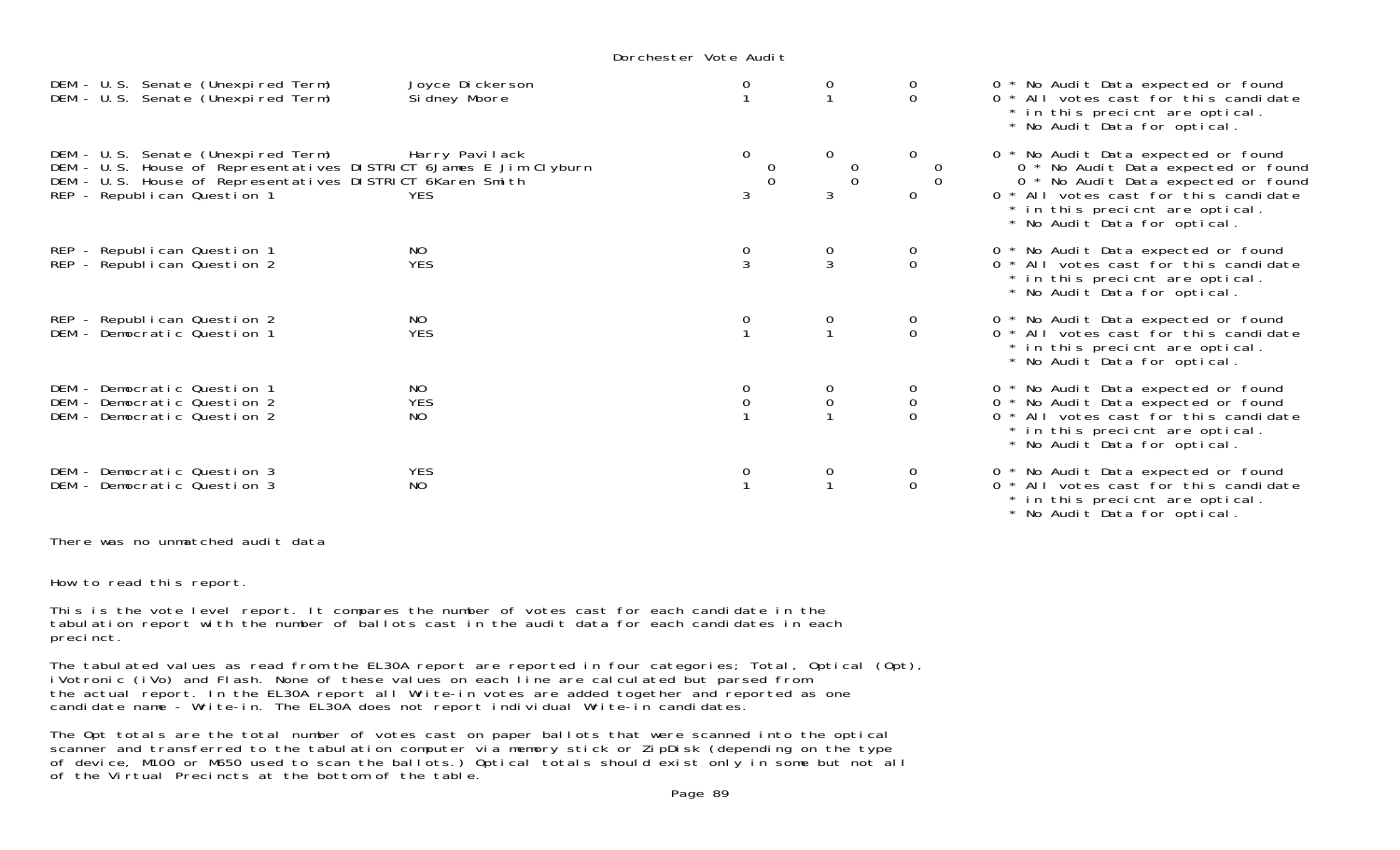Dorchester Vote Audit

| DEM - U.S. Senate (Unexpired Term)<br>DEM - U.S. Senate (Unexpired Term)                                                                                                                            | Joyce Dickerson<br>Sidney Moore |                                                    |                                                  | $\Omega$                                           | 0 * No Audit Data expected or found<br>0 * All votes cast for this candidate<br>* in this precient are optical.<br>* No Audit Data for optical.                                                                               |
|-----------------------------------------------------------------------------------------------------------------------------------------------------------------------------------------------------|---------------------------------|----------------------------------------------------|--------------------------------------------------|----------------------------------------------------|-------------------------------------------------------------------------------------------------------------------------------------------------------------------------------------------------------------------------------|
| DEM - U.S. Senate (Unexpired Term)<br>DEM - U.S. House of Representatives DISTRICT 6James E Jim Clyburn<br>DEM - U.S. House of Representatives DISTRICT 6Karen Smith<br>REP - Republican Question 1 | Harry Pavilack<br><b>YES</b>    | $\overline{O}$<br>$\begin{matrix}0\\0\end{matrix}$ | $\mathbf{0}$<br>$\begin{matrix}0\\0\end{matrix}$ | $\begin{matrix}0\\0\end{matrix}$<br>$\overline{0}$ | 0 * No Audit Data expected or found<br>0 * No Audit Data expected or found<br>0 * No Audit Data expected or found<br>0 * All votes cast for this candidate<br>* in this precient are optical.<br>* No Audit Data for optical. |
| REP - Republican Question 1<br>REP - Republican Question 2                                                                                                                                          | NO.<br><b>YES</b>               |                                                    | $\frac{0}{3}$                                    | $\begin{matrix} 0 \\ 0 \end{matrix}$               | 0 * No Audit Data expected or found<br>0 * All votes cast for this candidate<br>* in this precient are optical.<br>* No Audit Data for optical.                                                                               |
| REP - Republican Question 2<br>DEM - Democratic Question 1                                                                                                                                          | NO.<br><b>YES</b>               | 0                                                  | 0                                                | $_{0}^{0}$                                         | 0 * No Audit Data expected or found<br>0 * All votes cast for this candidate<br>* in this precient are optical.<br>* No Audit Data for optical.                                                                               |
| DEM - Democratic Question 1<br>DEM - Democratic Question 2<br>DEM - Democratic Question 2                                                                                                           | NO.<br><b>YES</b><br>NO         | 0                                                  | $\mathsf{O}\xspace$                              | $\mathsf O$                                        | 0 * No Audit Data expected or found<br>0 * No Audit Data expected or found<br>0 * All votes cast for this candidate<br>* in this precient are optical.<br>* No Audit Data for optical.                                        |
| DEM - Democratic Question 3<br>DEM - Democratic Question 3                                                                                                                                          | <b>YES</b><br><b>NO</b>         | 0                                                  |                                                  | $\Omega$                                           | 0 * No Audit Data expected or found<br>0 * All votes cast for this candidate<br>* in this precient are optical.                                                                                                               |

\* No Audit Data for optical.

There was no unmatched audit data

How to read this report.

This is the vote level report. It compares the number of votes cast for each candidate in the tabulation report with the number of ballots cast in the audit data for each candidates in each precinct.

The tabulated values as read from the EL30A report are reported in four categories; Total, Optical (Opt), iVotronic (iVo) and Flash. None of these values on each line are calculated but parsed from the actual report. In the EL30A report all Write-in votes are added together and reported as one candidate name - Write-in. The EL30A does not report individual Write-in candidates.

The Opt totals are the total number of votes cast on paper ballots that were scanned into the optical scanner and transferred to the tabulation computer via memory stick or ZipDisk (depending on the type of device, M100 or M650 used to scan the ballots.) Optical totals should exist only in some but not all of the Virtual Precincts at the bottom of the table.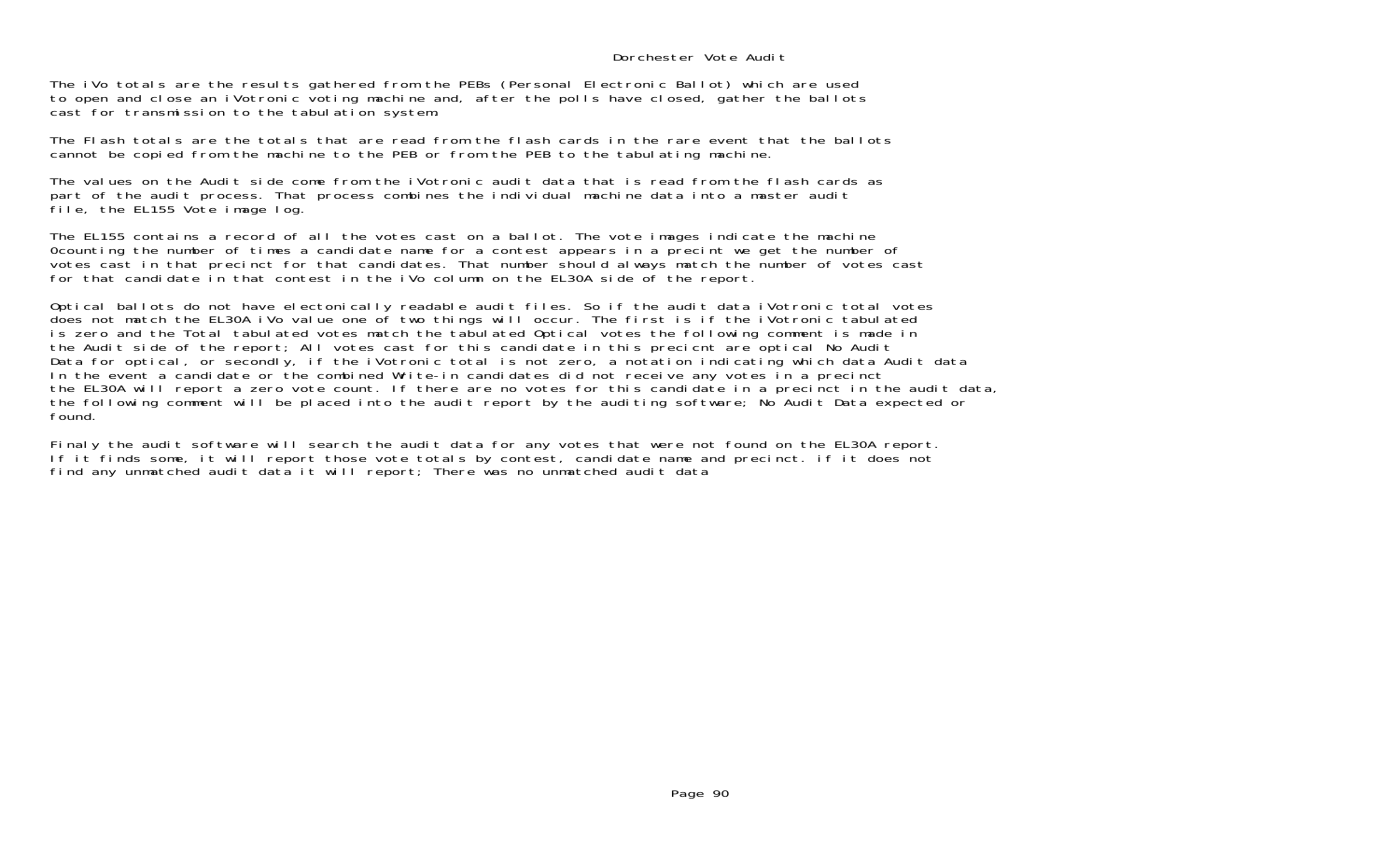## Dorchester Vote Audit

The iVo totals are the results gathered from the PEBs (Personal Electronic Ballot) which are used to open and close an iVotronic voting machine and, after the polls have closed, gather the ballots cast for transmission to the tabulation system.

The Flash totals are the totals that are read from the flash cards in the rare event that the ballots cannot be copied from the machine to the PEB or from the PEB to the tabulating machine.

The values on the Audit side come from the iVotronic audit data that is read from the flash cards as part of the audit process. That process combines the individual machine data into a master audit file, the EL155 Vote image log.

The EL155 contains a record of all the votes cast on a ballot. The vote images indicate the machine 0counting the number of times a candidate name for a contest appears in a precint we get the number of votes cast in that precinct for that candidates. That number should always match the number of votes cast for that candidate in that contest in the iVo column on the EL30A side of the report.

Optical ballots do not have electonically readable audit files. So if the audit data iVotronic total votes does not match the EL30A iVo value one of two things will occur. The first is if the iVotronic tabulated is zero and the Total tabulated votes match the tabulated Optical votes the following comment is made in the Audit side of the report; All votes cast for this candidate in this precicnt are optical No Audit Data for optical, or secondly, if the iVotronic total is not zero, a notation indicating which data Audit data In the event a candidate or the combined Write-in candidates did not receive any votes in a precinct the EL30A will report a zero vote count. If there are no votes for this candidate in a precinct in the audit data, the following comment will be placed into the audit report by the auditing software; No Audit Data expected or found.

Finaly the audit software will search the audit data for any votes that were not found on the EL30A report. If it finds some, it will report those vote totals by contest, candidate name and precinct. if it does not find any unmatched audit data it will report; There was no unmatched audit data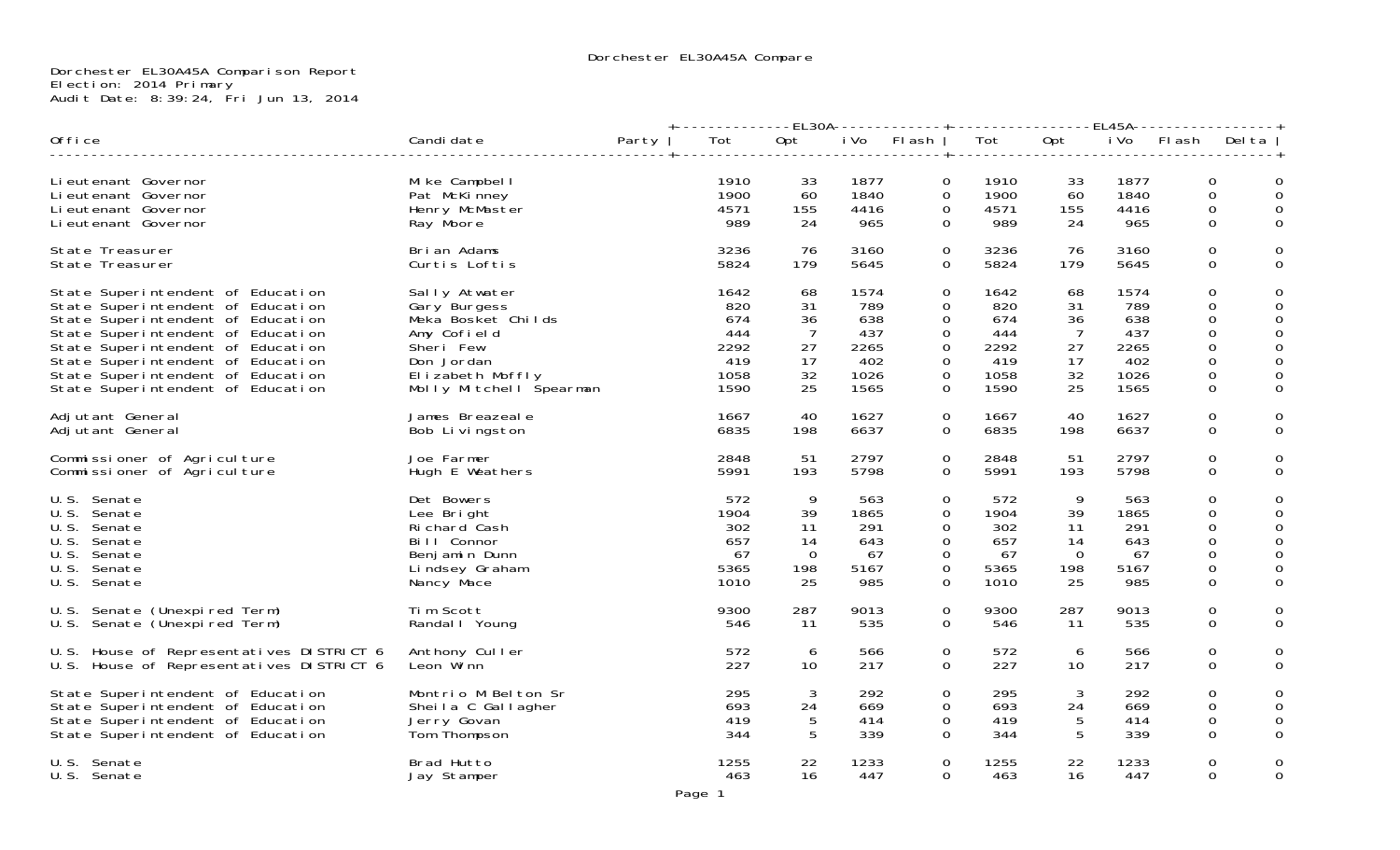## Dorchester EL30A45A Comparison Report Election: 2014 Primary Audit Date: 8:39:24, Fri Jun 13, 2014

|                                                                                                                                                                                                                                                                                                      |                                                                                                                                              |       | +-------------EL30A------------+-----------------EL45A----------------+ |                                                          |                                                          |                                                                                                                   |                                                          |                                                          |                                                          |                                                                         |                       |
|------------------------------------------------------------------------------------------------------------------------------------------------------------------------------------------------------------------------------------------------------------------------------------------------------|----------------------------------------------------------------------------------------------------------------------------------------------|-------|-------------------------------------------------------------------------|----------------------------------------------------------|----------------------------------------------------------|-------------------------------------------------------------------------------------------------------------------|----------------------------------------------------------|----------------------------------------------------------|----------------------------------------------------------|-------------------------------------------------------------------------|-----------------------|
| Office                                                                                                                                                                                                                                                                                               | Candi date                                                                                                                                   | Party | Tot                                                                     | Opt                                                      |                                                          | iVo Flash                                                                                                         | Tot                                                      | Opt                                                      |                                                          | iVo Flash Delta                                                         |                       |
| Li eutenant Governor<br>Lieutenant Governor<br>Li eutenant Governor<br>Li eutenant Governor                                                                                                                                                                                                          | Mike Campbell<br>Pat McKinney<br>Henry McMaster<br>Ray Moore                                                                                 |       | 1910<br>1900<br>4571<br>989                                             | 33<br>60<br>155<br>24                                    | 1877<br>1840<br>4416<br>965                              | $\overline{O}$<br>$\mathbf 0$<br>$\mathbf{0}$<br>$\Omega$                                                         | 1910<br>1900<br>4571<br>989                              | 33<br>60<br>155<br>24                                    | 1877<br>1840<br>4416<br>965                              | $\mathbf 0$<br>0<br>0<br>$\Omega$                                       | 0<br>0<br>0           |
| State Treasurer<br>State Treasurer                                                                                                                                                                                                                                                                   | Brian Adams<br>Curtis Loftis                                                                                                                 |       | 3236<br>5824                                                            | 76<br>179                                                | 3160<br>5645                                             | $\overline{0}$<br>$\overline{0}$                                                                                  | 3236<br>5824                                             | 76<br>179                                                | 3160<br>5645                                             | 0<br>0                                                                  | 0<br>0                |
| State Superintendent of Education<br>State Superintendent of Education<br>State Superintendent of Education<br>State Superintendent of Education<br>State Superintendent of Education<br>State Superintendent of Education<br>State Superintendent of Education<br>State Superintendent of Education | Sally Atwater<br>Gary Burgess<br>Meka Bosket Childs<br>Amy Cofield<br>Sheri Few<br>Don Jordan<br>Elizabeth Moffly<br>Molly Mitchell Spearman |       | 1642<br>820<br>674<br>444<br>2292<br>419<br>1058<br>1590                | 68<br>31<br>36<br>$\overline{7}$<br>27<br>17<br>32<br>25 | 1574<br>789<br>638<br>437<br>2265<br>402<br>1026<br>1565 | $\Omega$<br>$\Omega$<br>0<br>$\mathbf{O}$<br>$\overline{0}$<br>$\overline{O}$<br>$\overline{0}$<br>$\overline{0}$ | 1642<br>820<br>674<br>444<br>2292<br>419<br>1058<br>1590 | 68<br>31<br>36<br>$\overline{7}$<br>27<br>17<br>32<br>25 | 1574<br>789<br>638<br>437<br>2265<br>402<br>1026<br>1565 | $\mathbf 0$<br>0<br>0<br>$\boldsymbol{0}$<br>0<br>0<br>0<br>$\mathbf 0$ | 0<br>0<br>0<br>0<br>0 |
| Adjutant General<br>Adjutant General                                                                                                                                                                                                                                                                 | James Breazeale<br>Bob Livingston                                                                                                            |       | 1667<br>6835                                                            | 40<br>198                                                | 1627<br>6637                                             | $\Omega$<br>$\Omega$                                                                                              | 1667<br>6835                                             | 40<br>198                                                | 1627<br>6637                                             | 0<br>0                                                                  | $\Omega$              |
| Commissioner of Agriculture<br>Commissioner of Agriculture                                                                                                                                                                                                                                           | Joe Farmer<br>Hugh E Weathers                                                                                                                |       | 2848<br>5991                                                            | 51<br>193                                                | 2797<br>5798                                             | 0<br>0                                                                                                            | 2848<br>5991                                             | 51<br>193                                                | 2797<br>5798                                             | $\mathbf 0$<br>0                                                        | 0                     |
| U.S. Senate<br>U.S. Senate<br>U.S. Senate<br>U.S. Senate<br>U.S. Senate<br>U.S. Senate<br>U.S. Senate                                                                                                                                                                                                | Det Bowers<br>Lee Bright<br>Richard Cash<br>Bill Connor<br>Benjamin Dunn<br>Lindsey Graham<br>Nancy Mace                                     |       | 572<br>1904<br>302<br>657<br>67<br>5365<br>1010                         | 9<br>39<br>11<br>14<br>$\Omega$<br>198<br>25             | 563<br>1865<br>291<br>643<br>67<br>5167<br>985           | $\Omega$<br>$\mathbf 0$<br>$\mathbf{O}$<br>$\Omega$<br>$\Omega$<br>$\mathbf{O}$<br>$\mathbf{O}$                   | 572<br>1904<br>302<br>657<br>-67<br>5365<br>1010         | 9<br>39<br>11<br>14<br>$\Omega$<br>198<br>25             | 563<br>1865<br>291<br>643<br>67<br>5167<br>985           | $\Omega$<br>0<br>0<br>$\Omega$<br>$\Omega$<br>0<br>$\mathbf 0$          | 0<br>0<br>0           |
| U.S. Senate (Unexpired Term)<br>U.S. Senate (Unexpired Term)                                                                                                                                                                                                                                         | Tim Scott<br>Randal I Young                                                                                                                  |       | 9300<br>546                                                             | 287<br>11                                                | 9013<br>535                                              | 0<br>$\Omega$                                                                                                     | 9300<br>546                                              | 287<br>-11                                               | 9013<br>535                                              | $\mathbf 0$<br>$\Omega$                                                 | 0                     |
| U.S. House of Representatives DISTRICT 6<br>U.S. House of Representatives DISTRICT 6                                                                                                                                                                                                                 | Anthony Culler<br>Leon Winn                                                                                                                  |       | 572<br>227                                                              | 6<br>10                                                  | 566<br>217                                               | $\overline{O}$<br>$\Omega$                                                                                        | 572<br>227                                               | 6<br>10                                                  | 566<br>217                                               | 0<br>$\Omega$                                                           | 0                     |
| State Superintendent of Education<br>State Superintendent of Education<br>State Superintendent of Education<br>State Superintendent of Education                                                                                                                                                     | Montrio M Belton Sr<br>Sheila C Gallagher<br>Jerry Govan<br>Tom Thompson                                                                     |       | 295<br>693<br>419<br>344                                                | 3<br>24<br>5<br>-5                                       | 292<br>669<br>414<br>339                                 | $\Omega$<br>$\Omega$<br>0<br>$\Omega$                                                                             | 295<br>693<br>419<br>344                                 | 3<br>24<br>5<br>5                                        | 292<br>669<br>414<br>339                                 | 0<br>0<br>0<br>0                                                        | 0<br>0<br>0           |
| U.S. Senate<br>U.S. Senate                                                                                                                                                                                                                                                                           | Brad Hutto<br>Jay Stamper                                                                                                                    |       | 1255<br>463                                                             | 22<br>16                                                 | 1233<br>447                                              | $\mathbf{O}$<br>$\overline{O}$                                                                                    | 1255<br>463                                              | 22<br>16                                                 | 1233<br>447                                              | 0<br>0                                                                  | 0<br>0                |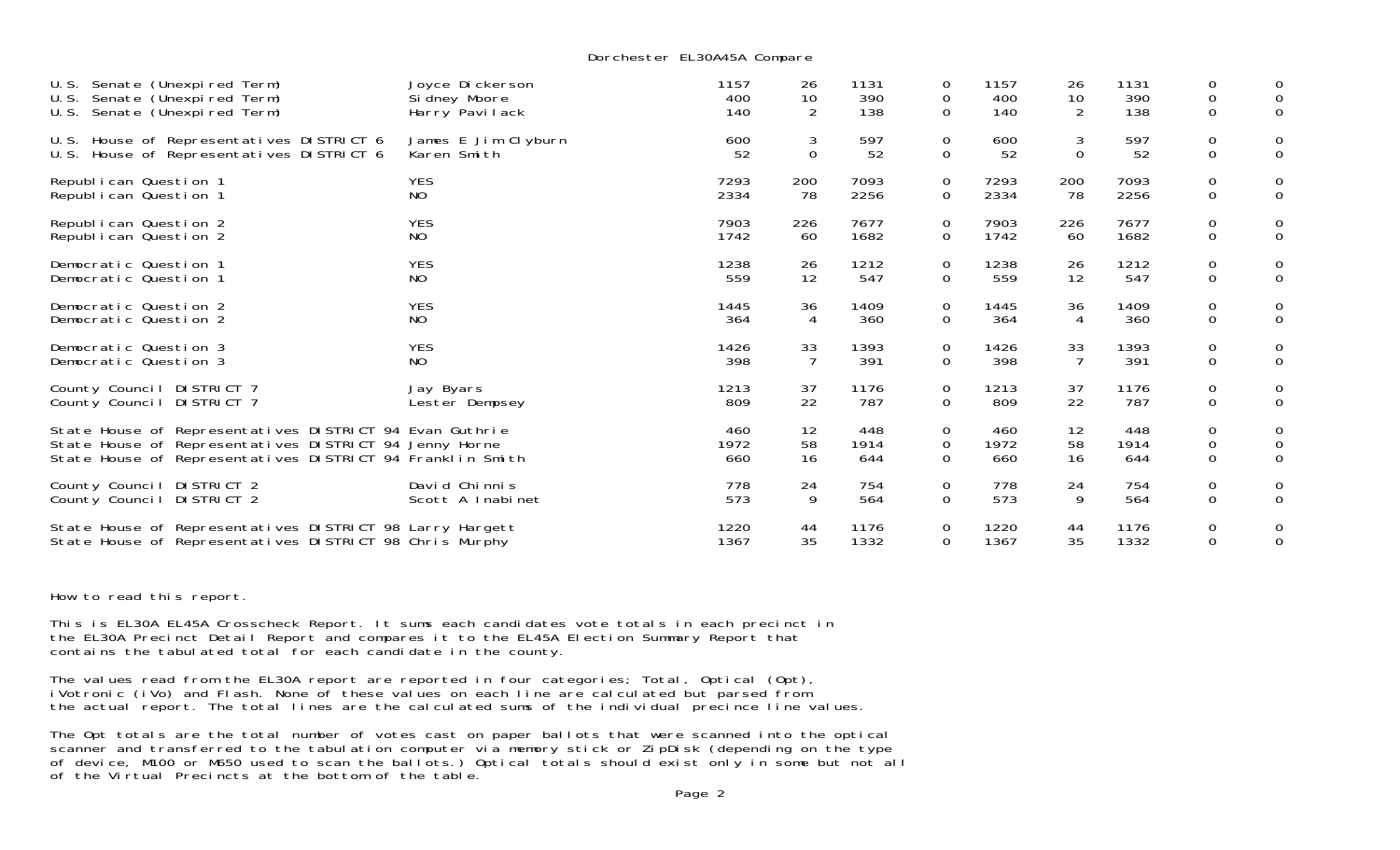Dorchester EL30A45A Compare

| Senate (Unexpired Term)<br>U.S.<br>U.S.<br>Senate (Unexpired Term)<br>U.S.<br>Senate (Unexpired Term) | Joyce Dickerson<br>Sidney Moore<br>Harry Pavilack | 1157<br>400<br>140 | 26<br>10<br>2  | 1131<br>390<br>138 | 0<br>0<br>$\mathbf{O}$ | 1157<br>400<br>140 | 26<br>10<br>2  | 1131<br>390<br>138 | 0<br>$\mathbf 0$<br>$\mathbf 0$ | 0<br>0<br>0    |
|-------------------------------------------------------------------------------------------------------|---------------------------------------------------|--------------------|----------------|--------------------|------------------------|--------------------|----------------|--------------------|---------------------------------|----------------|
| U.S. House of Representatives DISTRICT 6                                                              | James E Jim Clyburn                               | 600                | 3              | 597                | 0                      | 600                | 3              | 597                | $\mathbf 0$                     | 0              |
| U.S. House of Representatives DISTRICT 6                                                              | Karen Smith                                       | 52                 | $\mathbf 0$    | 52                 | $\mathbf 0$            | 52                 | 0              | 52                 | $\mathbf 0$                     | 0              |
| Republican Question 1                                                                                 | <b>YES</b>                                        | 7293               | 200            | 7093               | $\mathbf 0$            | 7293               | 200            | 7093               | $\mathbf 0$                     | 0              |
| Republican Question 1                                                                                 | N <sub>O</sub>                                    | 2334               | 78             | 2256               | $\mathbf 0$            | 2334               | 78             | 2256               | $\mathbf 0$                     | 0              |
| Republican Question 2                                                                                 | <b>YES</b>                                        | 7903               | 226            | 7677               | 0                      | 7903               | 226            | 7677               | $\mathbf 0$                     | 0              |
| Republican Question 2                                                                                 | NO.                                               | 1742               | 60             | 1682               | 0                      | 1742               | 60             | 1682               | $\mathbf 0$                     | $\mathbf 0$    |
| Democratic Question 1                                                                                 | <b>YES</b>                                        | 1238               | 26             | 1212               | 0                      | 1238               | 26             | 1212               | 0                               | 0              |
| Democratic Question 1                                                                                 | N <sub>O</sub>                                    | 559                | 12             | 547                | $\mathbf 0$            | 559                | 12             | 547                | $\mathbf 0$                     | 0              |
| Democratic Question 2                                                                                 | <b>YES</b>                                        | 1445               | 36             | 1409               | 0                      | 1445               | 36             | 1409               | $\mathbf 0$                     | 0              |
| Democratic Question 2                                                                                 | NO.                                               | 364                | $\overline{4}$ | 360                | $\mathbf{O}$           | 364                | 4              | 360                | $\mathbf 0$                     | $\overline{0}$ |
| Democratic Question 3                                                                                 | <b>YES</b>                                        | 1426               | 33             | 1393               | $\mathbf 0$            | 1426               | 33             | 1393               | $\mathbf 0$                     | 0              |
| Democratic Question 3                                                                                 | NO.                                               | 398                | $\overline{7}$ | 391                | 0                      | 398                | $\overline{7}$ | 391                | $\mathbf 0$                     | 0              |
| County Council DISTRICT 7                                                                             | Jay Byars                                         | 1213               | 37             | 1176               | 0                      | 1213               | 37             | 1176               | $\mathbf 0$                     | 0              |
| County Council DISTRICT 7                                                                             | Lester Dempsey                                    | 809                | 22             | 787                | $\mathbf 0$            | 809                | 22             | 787                | $\mathbf 0$                     | 0              |
| State House of Representatives DISTRICT 94 Evan Guthrie                                               |                                                   | 460                | 12             | 448                | 0                      | 460                | 12             | 448                | $\mathbf 0$                     | 0              |
| State House of Representatives DISTRICT 94 Jenny Horne                                                |                                                   | 1972               | 58             | 1914               | 0                      | 1972               | 58             | 1914               | $\mathbf 0$                     | 0              |
| State House of Representatives DISTRICT 94 Franklin Smith                                             |                                                   | 660                | 16             | 644                | $\Omega$               | 660                | 16             | 644                | $\mathbf 0$                     | $\mathbf 0$    |
| County Council DISTRICT 2                                                                             | David Chinnis                                     | 778                | 24             | 754                | 0                      | 778                | 24             | 754                | $\mathbf 0$                     | 0              |
| County Council DISTRICT 2                                                                             | Scott A Inabinet                                  | 573                | 9              | 564                | $\mathbf 0$            | 573                | 9              | 564                | $\mathbf 0$                     | $\mathbf{O}$   |
| State House of Representatives DISTRICT 98 Larry Hargett                                              |                                                   | 1220               | 44             | 1176               | 0                      | 1220               | 44             | 1176               | 0                               | 0              |
| State House of Representatives DISTRICT 98 Chris Murphy                                               |                                                   | 1367               | 35             | 1332               | 0                      | 1367               | 35             | 1332               | $\mathbf 0$                     | $\mathbf 0$    |

How to read this report.

This is EL30A EL45A Crosscheck Report. It sums each candidates vote totals in each precinct in the EL30A Precinct Detail Report and compares it to the EL45A Election Summary Report that contains the tabulated total for each candidate in the county.

The values read from the EL30A report are reported in four categories; Total, Optical (Opt), iVotronic (iVo) and Flash. None of these values on each line are calculated but parsed from the actual report. The total lines are the calculated sums of the individual precince line values.

The Opt totals are the total number of votes cast on paper ballots that were scanned into the optical scanner and transferred to the tabulation computer via memory stick or ZipDisk (depending on the type of device, M100 or M650 used to scan the ballots.) Optical totals should exist only in some but not all of the Virtual Precincts at the bottom of the table.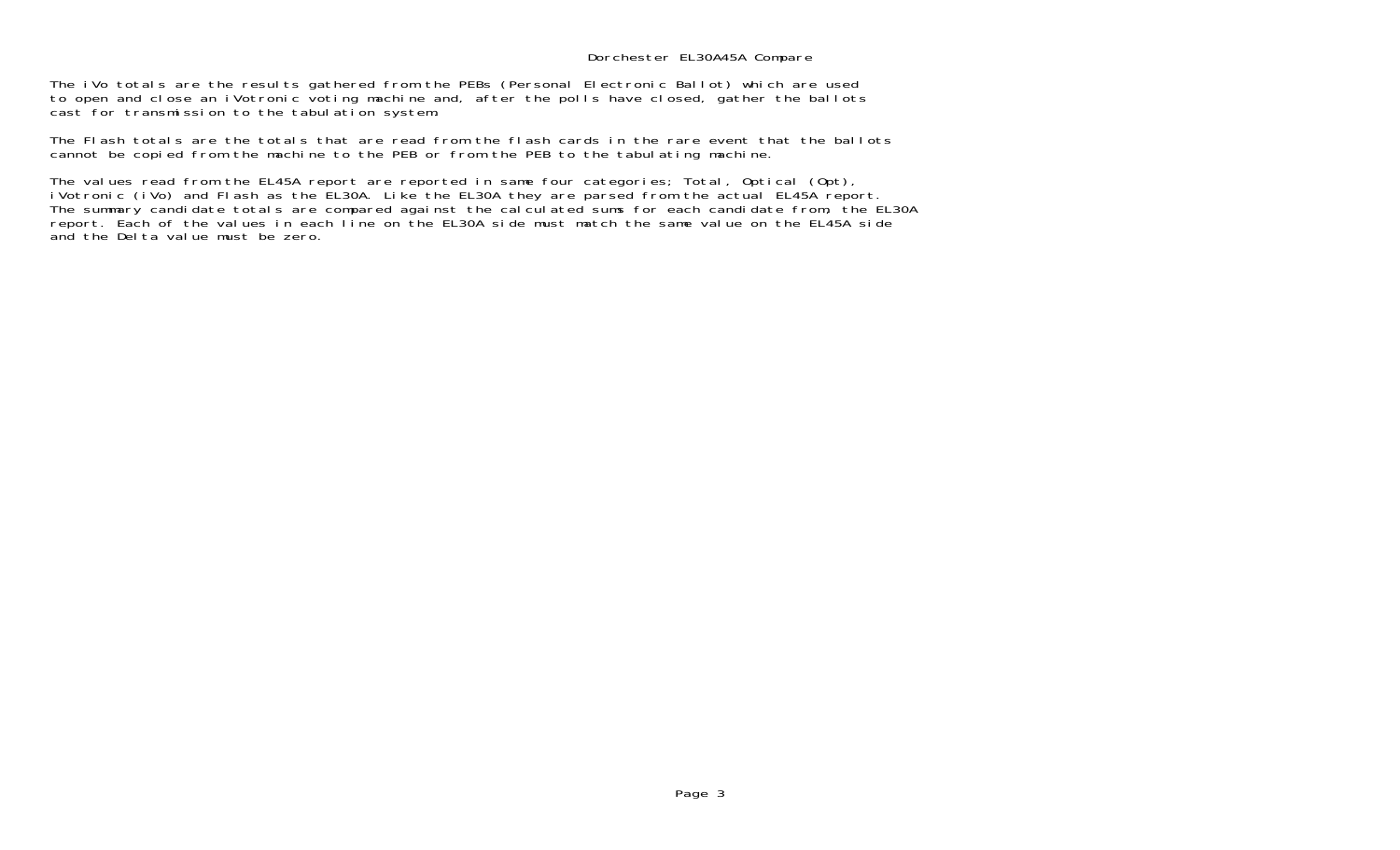## Dorchester EL30A45A Compare

The iVo totals are the results gathered from the PEBs (Personal Electronic Ballot) which are used to open and close an iVotronic voting machine and, after the polls have closed, gather the ballots cast for transmission to the tabulation system.

The Flash totals are the totals that are read from the flash cards in the rare event that the ballots cannot be copied from the machine to the PEB or from the PEB to the tabulating machine.

The values read from the EL45A report are reported in same four categories; Total, Optical (Opt), iVotronic (iVo) and Flash as the EL30A. Like the EL30A they are parsed from the actual EL45A report. The summary candidate totals are compared against the calculated sums for each candidate from, the EL30A report. Each of the values in each line on the EL30A side must match the same value on the EL45A side and the Delta value must be zero.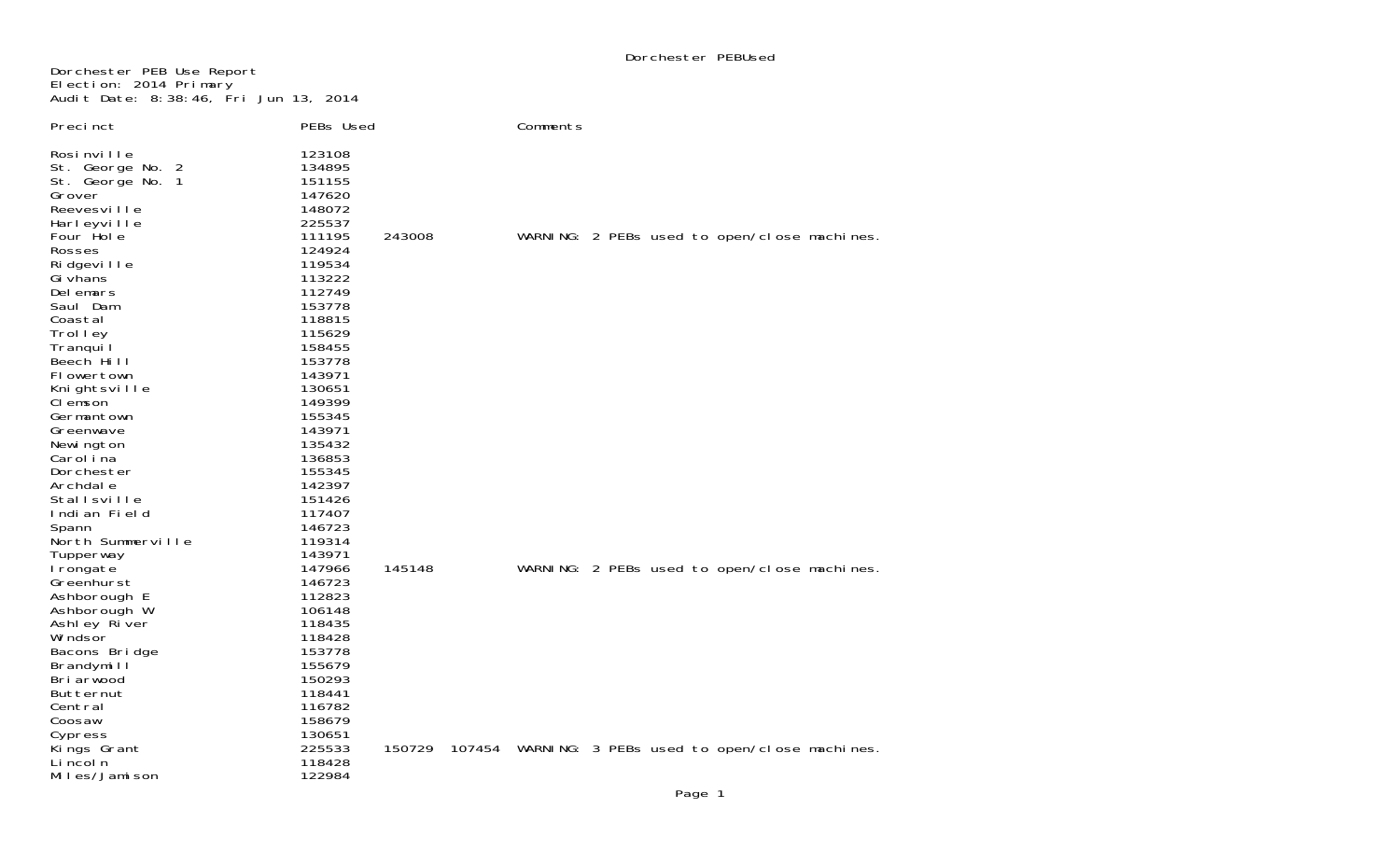Dorchester PEB Use Report Election: 2014 Primary Audit Date: 8:38:46, Fri Jun 13, 2014

| Precinct                                                                                                                  | PEBs Used                                                                    |        | Comments |  |                                                     |
|---------------------------------------------------------------------------------------------------------------------------|------------------------------------------------------------------------------|--------|----------|--|-----------------------------------------------------|
| Rosi nville<br>St. George No. 2<br>St. George No. 1<br>Grover<br>Reevesville<br>Harleyville<br>Four Hole<br><b>Rosses</b> | 123108<br>134895<br>151155<br>147620<br>148072<br>225537<br>111195<br>124924 | 243008 |          |  | WARNING: 2 PEBs used to open/close machines.        |
| Ri dgevi I I e<br>Gi vhans                                                                                                | 119534<br>113222                                                             |        |          |  |                                                     |
| Delemars<br>Saul Dam<br>Coastal                                                                                           | 112749<br>153778<br>118815                                                   |        |          |  |                                                     |
| Trolley<br>Tranquil                                                                                                       | 115629<br>158455                                                             |        |          |  |                                                     |
| Beech Hill<br>Flowertown<br>Knightsville                                                                                  | 153778<br>143971<br>130651                                                   |        |          |  |                                                     |
| CI emson<br>Germantown                                                                                                    | 149399<br>155345                                                             |        |          |  |                                                     |
| Greenwave<br>Newi ngton<br>Carol i na                                                                                     | 143971<br>135432<br>136853                                                   |        |          |  |                                                     |
| Dorchester<br>Archdal e                                                                                                   | 155345<br>142397                                                             |        |          |  |                                                     |
| Stallsville<br>Indian Field<br>Spann                                                                                      | 151426<br>117407<br>146723                                                   |        |          |  |                                                     |
| North Summerville<br>Tupperway<br>I rongate                                                                               | 119314<br>143971<br>147966                                                   | 145148 |          |  | WARNING: 2 PEBs used to open/close machines.        |
| Greenhurst<br>Ashborough E                                                                                                | 146723<br>112823                                                             |        |          |  |                                                     |
| Ashborough W<br>Ashley River<br>Wi ndsor                                                                                  | 106148<br>118435<br>118428                                                   |        |          |  |                                                     |
| Bacons Bridge<br>Brandymill<br>Bri arwood                                                                                 | 153778<br>155679<br>150293                                                   |        |          |  |                                                     |
| Butternut<br>Central                                                                                                      | 118441<br>116782                                                             |        |          |  |                                                     |
| Coosaw<br>Cypress<br>Kings Grant                                                                                          | 158679<br>130651<br>225533                                                   | 150729 |          |  | 107454 WARNING: 3 PEBs used to open/close machines. |
| Li ncol n<br>Miles/Jamison                                                                                                | 118428<br>122984                                                             |        |          |  |                                                     |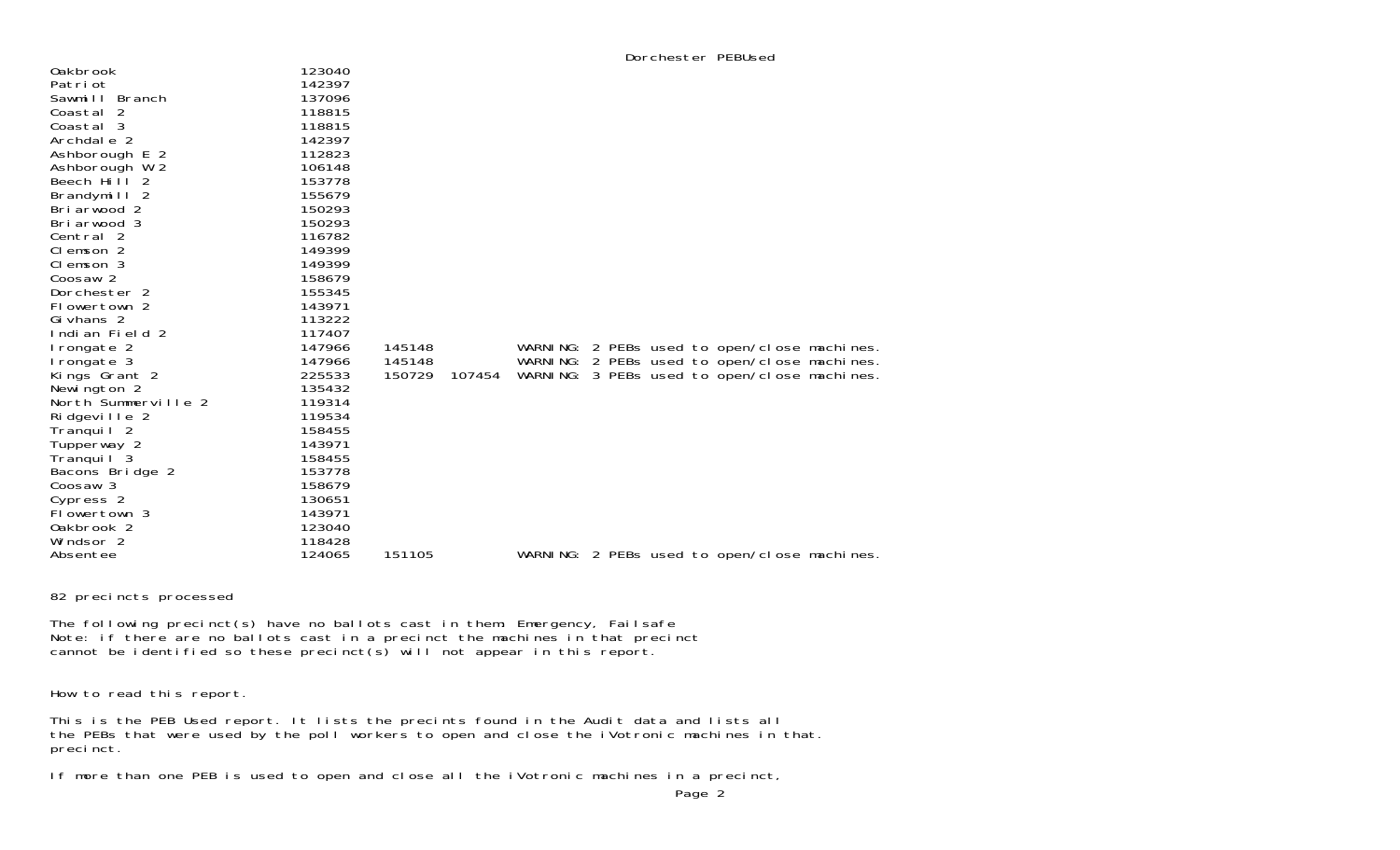| <b>Oakbrook</b>       | 123040 |        |        |  |  |                                              |  |
|-----------------------|--------|--------|--------|--|--|----------------------------------------------|--|
| Patri ot              | 142397 |        |        |  |  |                                              |  |
| Sawmill Branch        | 137096 |        |        |  |  |                                              |  |
| Coastal 2             | 118815 |        |        |  |  |                                              |  |
| Coastal 3             | 118815 |        |        |  |  |                                              |  |
| Archdale 2            | 142397 |        |        |  |  |                                              |  |
| Ashborough E 2        | 112823 |        |        |  |  |                                              |  |
| Ashborough W 2        | 106148 |        |        |  |  |                                              |  |
| Beech Hill 2          | 153778 |        |        |  |  |                                              |  |
| Brandymill 2          | 155679 |        |        |  |  |                                              |  |
| Briarwood 2           | 150293 |        |        |  |  |                                              |  |
| Briarwood 3           | 150293 |        |        |  |  |                                              |  |
| Central 2             | 116782 |        |        |  |  |                                              |  |
| Clemson 2             | 149399 |        |        |  |  |                                              |  |
| Clemson 3             | 149399 |        |        |  |  |                                              |  |
| Coosaw 2              | 158679 |        |        |  |  |                                              |  |
| Dorchester 2          | 155345 |        |        |  |  |                                              |  |
| Flowertown 2          | 143971 |        |        |  |  |                                              |  |
| Gi vhans 2            | 113222 |        |        |  |  |                                              |  |
| Indian Field 2        | 117407 |        |        |  |  |                                              |  |
| Irongate 2            | 147966 | 145148 |        |  |  | WARNING: 2 PEBs used to open/close machines. |  |
| I rongate 3           | 147966 | 145148 |        |  |  | WARNING: 2 PEBs used to open/close machines. |  |
| Kings Grant 2         | 225533 | 150729 | 107454 |  |  | WARNING: 3 PEBs used to open/close machines. |  |
| Newington 2           | 135432 |        |        |  |  |                                              |  |
| North Summerville 2   | 119314 |        |        |  |  |                                              |  |
| Ridgeville 2          | 119534 |        |        |  |  |                                              |  |
| Tranquil <sub>2</sub> | 158455 |        |        |  |  |                                              |  |
| Tupperway 2           | 143971 |        |        |  |  |                                              |  |
| Tranquil 3            | 158455 |        |        |  |  |                                              |  |
| Bacons Bridge 2       | 153778 |        |        |  |  |                                              |  |
| Coosaw 3              | 158679 |        |        |  |  |                                              |  |
| Cypress 2             | 130651 |        |        |  |  |                                              |  |
| Flowertown 3          | 143971 |        |        |  |  |                                              |  |
| Oakbrook 2            | 123040 |        |        |  |  |                                              |  |
| Windsor 2             | 118428 |        |        |  |  |                                              |  |
| Absentee              | 124065 | 151105 |        |  |  | WARNING: 2 PEBs used to open/close machines. |  |

82 precincts processed

The following precinct(s) have no ballots cast in them: Emergency, Failsafe Note: if there are no ballots cast in a precinct the machines in that precinct cannot be identified so these precinct(s) will not appear in this report.

How to read this report.

This is the PEB Used report. It lists the precints found in the Audit data and lists all the PEBs that were used by the poll workers to open and close the iVotronic machines in that. precinct.

If more than one PEB is used to open and close all the iVotronic machines in a precinct,

Dorchester PEBUsed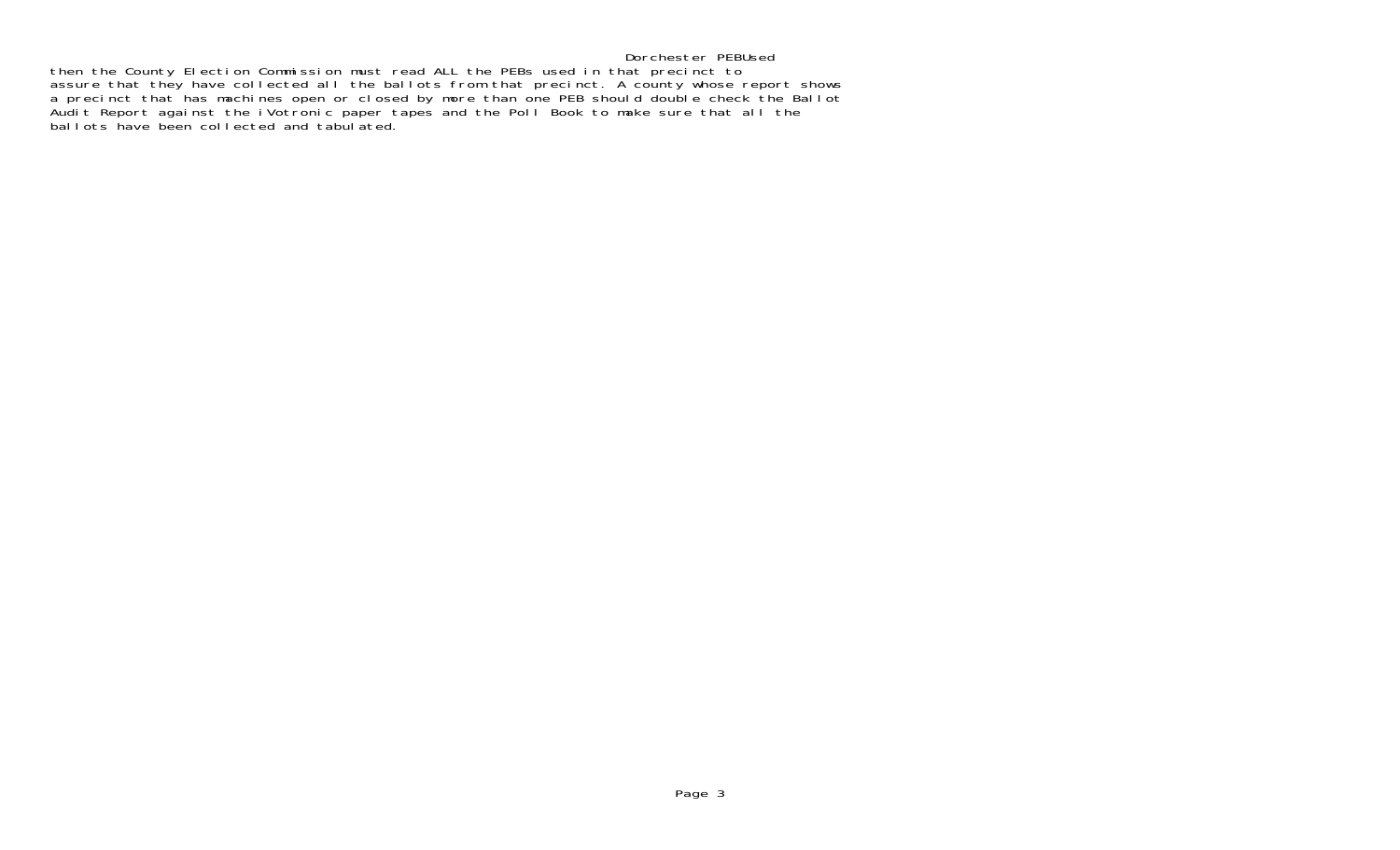## Dorchester PEBUsed

 then the County Election Commission must read ALL the PEBs used in that precinct to assure that they have collected all the ballots from that precinct. A county whose report shows a precinct that has machines open or closed by more than one PEB should double check the Ballot Audit Report against the iVotronic paper tapes and the Poll Book to make sure that all the ballots have been collected and tabulated.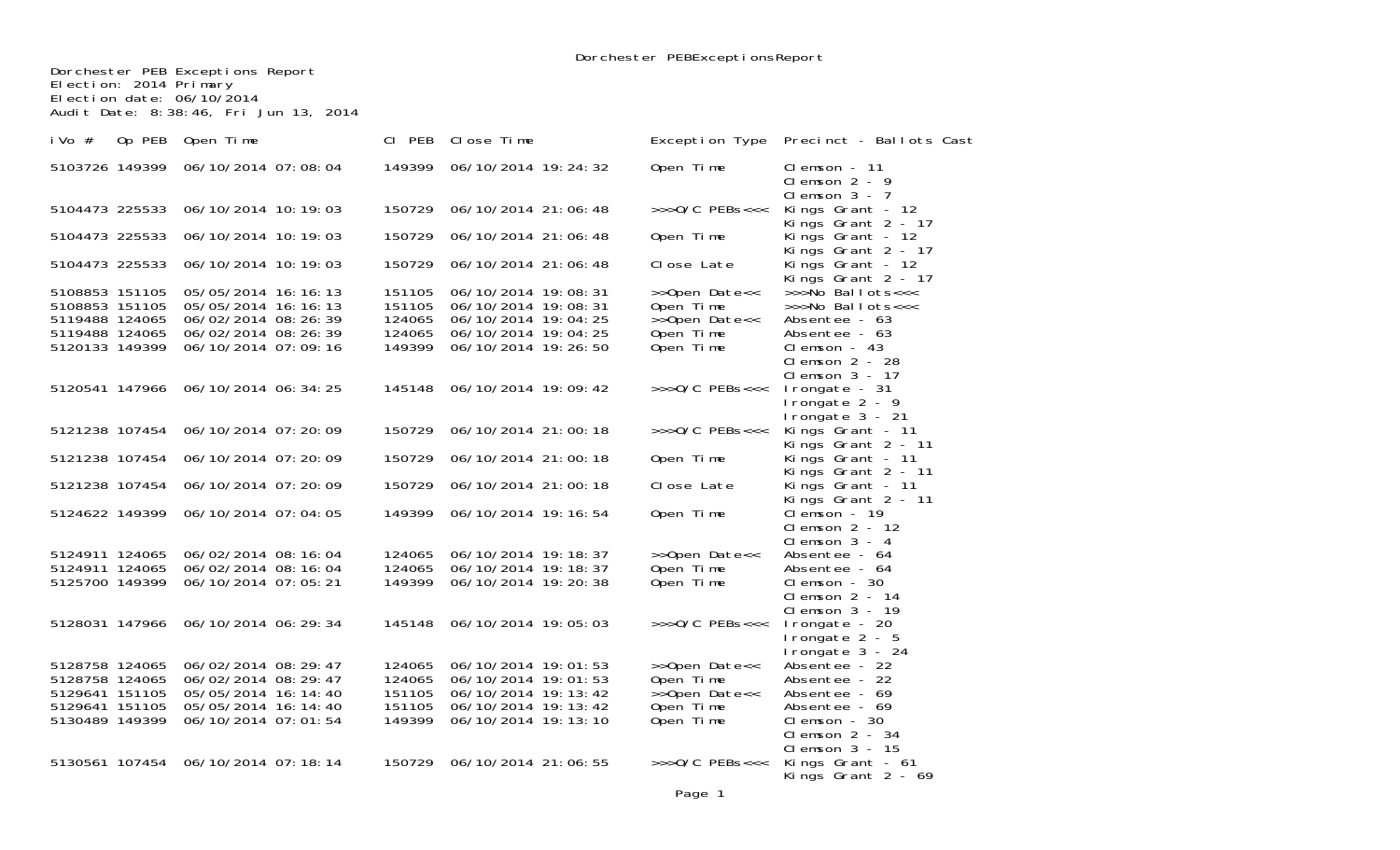Dorchester PEB Exceptions Report Election: 2014 Primary Election date: 06/10/2014 Audit Date: 8:38:46, Fri Jun 13, 2014

| i Vo $#$       | Op PEB | Open Time             | CI PEB | Close Time            |                             | Exception Type Precinct - Ballots Cast                 |
|----------------|--------|-----------------------|--------|-----------------------|-----------------------------|--------------------------------------------------------|
| 5103726 149399 |        | 06/10/2014 07:08:04   | 149399 | 06/10/2014 19:24:32   | Open Time                   | $Cl$ emson $-11$<br>Clemson $2 - 9$<br>Clemson $3 - 7$ |
| 5104473 225533 |        | 06/10/2014 10:19:03   | 150729 | 06/10/2014 21:06:48   | $\rightarrow$ >>0/C PEBs<<< | Kings Grant - 12<br>Kings Grant 2 - 17                 |
| 5104473 225533 |        | 06/10/2014 10:19:03   | 150729 | 06/10/2014 21:06:48   | Open Time                   | Kings Grant - 12<br>Kings Grant 2 - 17                 |
| 5104473 225533 |        | 06/10/2014 10:19:03   | 150729 | 06/10/2014 21:06:48   | Close Late                  | Kings Grant - $12$<br>Kings Grant 2 - 17               |
| 5108853 151105 |        | 05/05/2014 16:16:13   | 151105 | 06/10/2014 19:08:31   | >>Open Date<<               | >>>No Ballots<<<                                       |
| 5108853 151105 |        | 05/05/2014 16:16:13   | 151105 | 06/10/2014 19:08:31   | Open Time                   | >>>No Ballots<<<                                       |
| 5119488 124065 |        | 06/02/2014 08:26:39   | 124065 | 06/10/2014 19:04:25   | >>Open Date<<               | Absentee - 63                                          |
| 5119488 124065 |        | 06/02/2014 08:26:39   | 124065 | 06/10/2014 19:04:25   | Open Time                   | Absentee - 63                                          |
| 5120133 149399 |        | 06/10/2014 07:09:16   | 149399 | 06/10/2014 19:26:50   | Open Time                   | $Cl$ emson - 43                                        |
|                |        |                       |        |                       |                             | Clemson $2 - 28$                                       |
|                |        |                       |        |                       |                             | Clemson $3 - 17$                                       |
| 5120541 147966 |        | 06/10/2014 06:34:25   | 145148 | 06/10/2014 19:09:42   | $\gg$ >0/C PEBs<<<          | Irongate - 31                                          |
|                |        |                       |        |                       |                             | I rongate $2 - 9$                                      |
|                |        |                       |        |                       |                             | Irongate 3 - 21                                        |
| 5121238 107454 |        | 06/10/2014 07:20:09   | 150729 | 06/10/2014 21:00:18   | $\rightarrow$ >>0/C PEBs<<< | Kings Grant - 11                                       |
| 5121238 107454 |        | 06/10/2014 07:20:09   | 150729 | 06/10/2014 21:00:18   | Open Time                   | Kings Grant 2 - 11<br>Kings Grant - 11                 |
|                |        |                       |        |                       |                             | Kings Grant 2 - 11                                     |
| 5121238 107454 |        | 06/10/2014 07:20:09   | 150729 | 06/10/2014 21:00:18   | Close Late                  | Kings Grant - 11                                       |
|                |        |                       |        |                       |                             | Kings Grant 2 - 11                                     |
| 5124622 149399 |        | 06/10/2014 07:04:05   | 149399 | 06/10/2014 19:16:54   | Open Time                   | Clemson - 19                                           |
|                |        |                       |        |                       |                             | Clemson $2 - 12$                                       |
|                |        |                       |        |                       |                             | Clemson $3 - 4$                                        |
| 5124911 124065 |        | 06/02/2014 08:16:04   | 124065 | 06/10/2014 19:18:37   | >>Open Date<<               | Absentee - 64                                          |
| 5124911 124065 |        | 06/02/2014 08:16:04   | 124065 | 06/10/2014 19:18:37   | Open Time                   | Absentee - 64                                          |
| 5125700 149399 |        | 06/10/2014 07:05:21   | 149399 | 06/10/2014 19:20:38   | Open Time                   | $Cl$ emson - 30<br>Clemson $2 - 14$                    |
|                |        |                       |        |                       |                             | Clemson $3 - 19$                                       |
| 5128031 147966 |        | 06/10/2014 06:29:34   | 145148 | 06/10/2014 19:05:03   | $\rightarrow$ >>0/C PEBs<<< | I rongate - 20                                         |
|                |        |                       |        |                       |                             | I rongate $2 - 5$                                      |
|                |        |                       |        |                       |                             | Irongate 3 - 24                                        |
| 5128758 124065 |        | 06/02/2014 08:29:47   | 124065 | 06/10/2014 19:01:53   | >>Open Date<<               | Absentee - 22                                          |
| 5128758 124065 |        | 06/02/2014 08:29:47   | 124065 | 06/10/2014 19:01:53   | Open Time                   | Absentee - 22                                          |
| 5129641 151105 |        | 05/05/2014 16: 14: 40 | 151105 | 06/10/2014 19: 13: 42 | >>Open Date<<               | Absentee - 69                                          |
| 5129641 151105 |        | 05/05/2014 16: 14: 40 | 151105 | 06/10/2014 19: 13: 42 | Open Time                   | Absentee - 69                                          |
| 5130489 149399 |        | 06/10/2014 07:01:54   | 149399 | 06/10/2014 19:13:10   | Open Time                   | $Cl$ emson - 30                                        |
|                |        |                       |        |                       |                             | Clemson $2 - 34$                                       |
|                |        |                       |        |                       |                             | $Cl$ emson $3 - 15$                                    |
| 5130561 107454 |        | 06/10/2014 07:18:14   | 150729 | 06/10/2014 21:06:55   | $\gg$ >0/C PEBs<<<          | Kings Grant - 61<br>Kings Grant $2 - 69$               |
|                |        |                       |        |                       |                             |                                                        |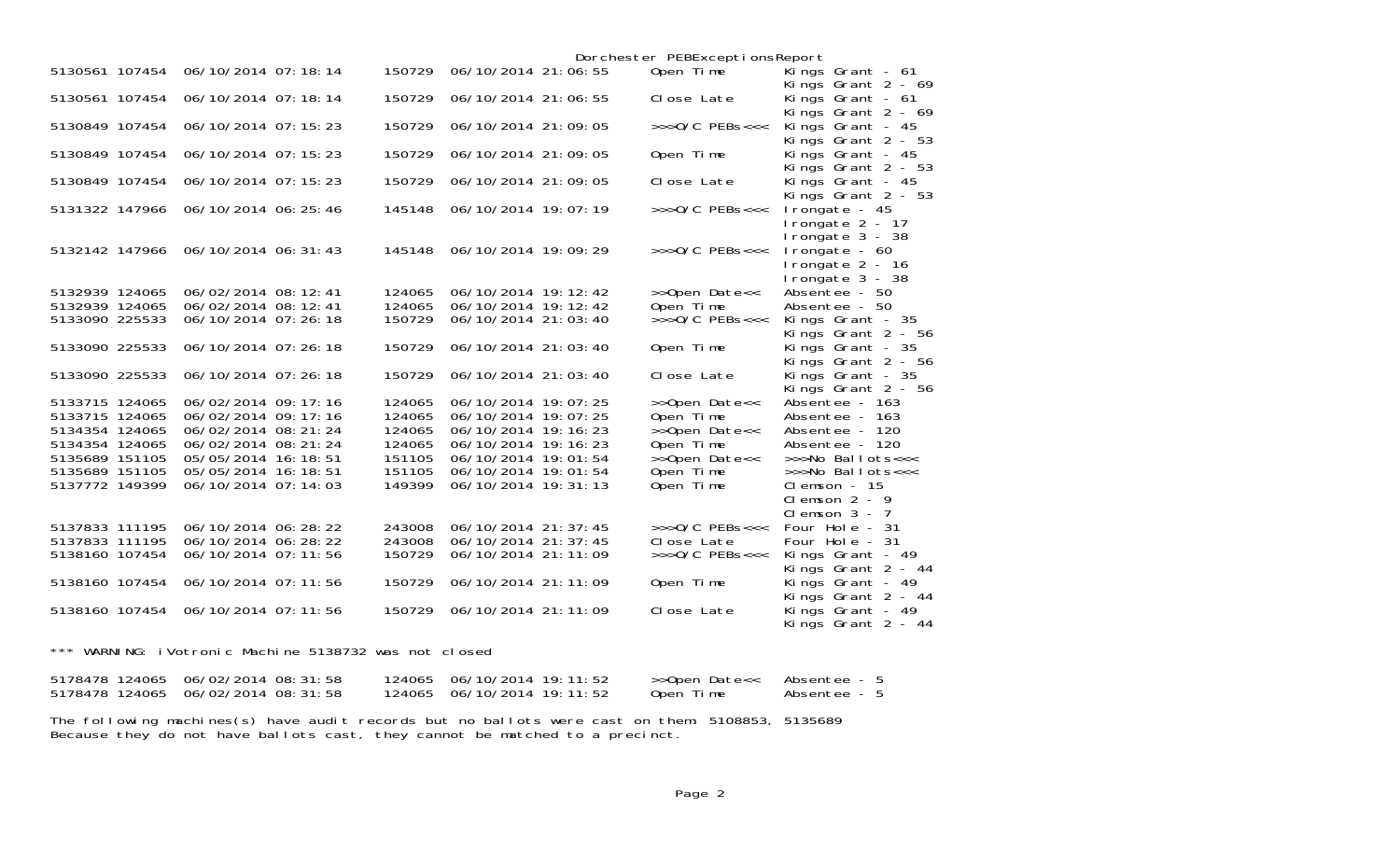|                                    |                         |        |                       | Dorchester PEBExceptionsReport |                                                          |
|------------------------------------|-------------------------|--------|-----------------------|--------------------------------|----------------------------------------------------------|
| 5130561 107454                     | 06/10/2014 07:18:14     | 150729 | 06/10/2014 21:06:55   | Open Time                      | Kings Grant - 61<br>Kings Grant $2 - 69$                 |
| 5130561 107454                     | 06/10/2014 07:18:14     | 150729 | 06/10/2014 21:06:55   | Close Late                     | Kings Grant - 61<br>Kings Grant $2 - 69$                 |
| 5130849 107454                     | 06/10/2014 07:15:23     | 150729 | 06/10/2014 21:09:05   | $>>$ $0/C$ PEBs<<<             | Kings Grant - 45<br>Kings Grant $2 - 53$                 |
| 5130849 107454                     | $06/10/2014$ 07: 15: 23 | 150729 | 06/10/2014 21:09:05   | Open Time                      | Kings Grant - 45<br>Kings Grant $2 - 53$                 |
| 5130849 107454                     | 06/10/2014 07:15:23     | 150729 | 06/10/2014 21:09:05   | Close Late                     | Kings Grant - 45<br>Kings Grant $2 - 53$                 |
| 5131322 147966                     | 06/10/2014 06: 25: 46   | 145148 | 06/10/2014 19:07:19   | $\gg$ >0/C PEBs<<<             | I rongate - 45<br>I rongate $2 - 17$<br>I rongate 3 - 38 |
| 5132142 147966 06/10/2014 06:31:43 |                         | 145148 | 06/10/2014 19:09:29   | $>>$ $0/C$ PEBs<<<             | I rongate $-60$<br>Irongate 2 - 16<br>Irongate 3 - 38    |
| 5132939 124065                     | 06/02/2014 08:12:41     | 124065 | 06/10/2014 19:12:42   | >>Open Date<<                  | Absentee - 50                                            |
| 5132939 124065                     | 06/02/2014 08:12:41     | 124065 | 06/10/2014 19:12:42   | Open Time                      | Absentee - 50                                            |
| 5133090 225533                     | 06/10/2014 07:26:18     | 150729 | 06/10/2014 21:03:40   | $>>$ $0/C$ PEBs<<<             | Kings Grant - 35<br>Kings Grant $2 - 56$                 |
| 5133090 225533                     | 06/10/2014 07:26:18     | 150729 | 06/10/2014 21:03:40   | Open Time                      | Kings Grant - 35<br>Kings Grant $2 - 56$                 |
| 5133090 225533                     | 06/10/2014 07:26:18     | 150729 | 06/10/2014 21:03:40   | Close Late                     | Kings Grant - 35<br>Kings Grant 2 - 56                   |
| 5133715 124065                     | 06/02/2014 09:17:16     | 124065 | 06/10/2014 19:07:25   | >>Open Date<<                  | Absentee - 163                                           |
| 5133715 124065                     | 06/02/2014 09:17:16     | 124065 | 06/10/2014 19:07:25   | Open Time                      | Absentee - 163                                           |
| 5134354 124065                     | 06/02/2014 08: 21: 24   | 124065 | 06/10/2014 19: 16: 23 | >>Open Date<<                  | Absentee - 120                                           |
| 5134354 124065                     | 06/02/2014 08: 21: 24   | 124065 | 06/10/2014 19:16:23   | Open Time                      | Absentee - 120                                           |
| 5135689 151105                     | 05/05/2014 16:18:51     | 151105 | 06/10/2014 19:01:54   | $\rightarrow$ Open Date<<      | $\gg$ No Ballots $<<$                                    |
| 5135689 151105                     | 05/05/2014 16:18:51     | 151105 | 06/10/2014 19:01:54   | Open Time                      | >>>No Ballots<<<                                         |
| 5137772 149399                     | 06/10/2014 07:14:03     | 149399 | 06/10/2014 19: 31: 13 | Open Time                      | $Cl$ emson $-15$<br>Clemson $2 - 9$<br>Clemson $3 - 7$   |
| 5137833 111195                     | 06/10/2014 06: 28: 22   | 243008 | 06/10/2014 21: 37: 45 | $\rightarrow$ >>0/C PEBs<<<    | Four Hole - 31                                           |
| 5137833 111195                     | 06/10/2014 06: 28: 22   | 243008 | 06/10/2014 21: 37: 45 | Close Late                     | Four Hole - 31                                           |
| 5138160 107454                     | 06/10/2014 07:11:56     | 150729 | 06/10/2014 21:11:09   | $>>$ $0/C$ PEBs<<<             | Kings Grant - 49<br>Kings Grant 2 - 44                   |
| 5138160 107454                     | 06/10/2014 07:11:56     | 150729 | 06/10/2014 21:11:09   | Open Time                      | Kings Grant - 49<br>Kings Grant 2 - 44                   |
| 5138160 107454                     | 06/10/2014 07:11:56     | 150729 | 06/10/2014 21:11:09   | Close Late                     | Kings Grant - 49<br>Kings Grant 2 - 44                   |

\*\*\* WARNING: iVotronic Machine 5138732 was not closed

| 5178478 124065 06/02/2014 08:31:58 | 124065  06/10/2014  19: 11: 52 | >>Open Date<< | - Absentee |
|------------------------------------|--------------------------------|---------------|------------|
| 5178478 124065 06/02/2014 08:31:58 | 124065  06/10/2014  19: 11: 52 | Open Time     | - Absentee |

The following machines(s) have audit records but no ballots were cast on them: 5108853, 5135689 Because they do not have ballots cast, they cannot be matched to a precinct.